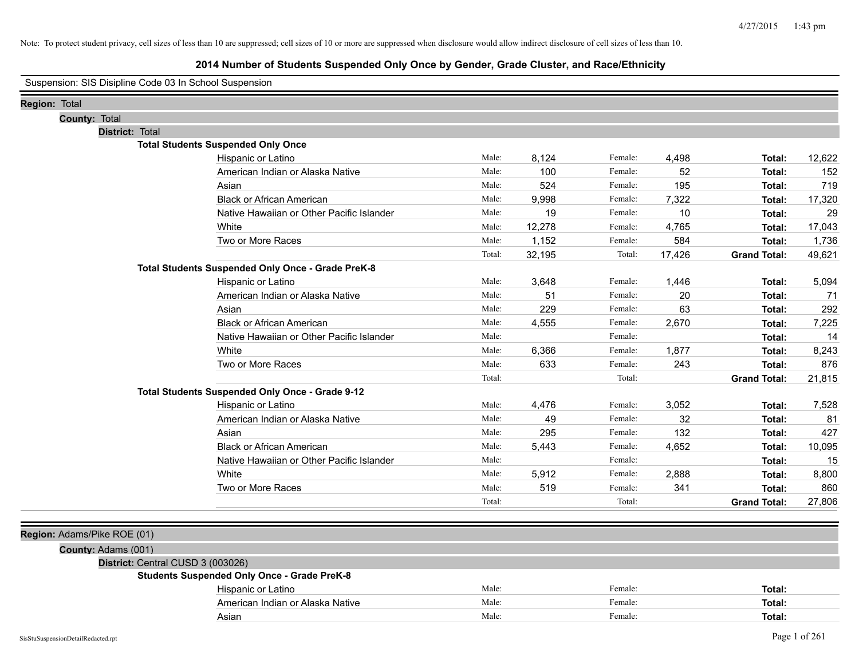|                      |               |                             | Suspension: SIS Disipline Code 03 In School Suspension |        |        |         |        |                     |        |
|----------------------|---------------|-----------------------------|--------------------------------------------------------|--------|--------|---------|--------|---------------------|--------|
| <b>Region: Total</b> |               |                             |                                                        |        |        |         |        |                     |        |
|                      | County: Total |                             |                                                        |        |        |         |        |                     |        |
|                      |               | District: Total             |                                                        |        |        |         |        |                     |        |
|                      |               |                             | <b>Total Students Suspended Only Once</b>              |        |        |         |        |                     |        |
|                      |               |                             | Hispanic or Latino                                     | Male:  | 8,124  | Female: | 4,498  | Total:              | 12,622 |
|                      |               |                             | American Indian or Alaska Native                       | Male:  | 100    | Female: | 52     | Total:              | 152    |
|                      |               |                             | Asian                                                  | Male:  | 524    | Female: | 195    | Total:              | 719    |
|                      |               |                             | <b>Black or African American</b>                       | Male:  | 9,998  | Female: | 7,322  | Total:              | 17,320 |
|                      |               |                             | Native Hawaiian or Other Pacific Islander              | Male:  | 19     | Female: | 10     | Total:              | 29     |
|                      |               |                             | White                                                  | Male:  | 12,278 | Female: | 4,765  | Total:              | 17,043 |
|                      |               |                             | Two or More Races                                      | Male:  | 1,152  | Female: | 584    | Total:              | 1,736  |
|                      |               |                             |                                                        | Total: | 32,195 | Total:  | 17,426 | <b>Grand Total:</b> | 49,621 |
|                      |               |                             | Total Students Suspended Only Once - Grade PreK-8      |        |        |         |        |                     |        |
|                      |               |                             | Hispanic or Latino                                     | Male:  | 3,648  | Female: | 1,446  | Total:              | 5,094  |
|                      |               |                             | American Indian or Alaska Native                       | Male:  | 51     | Female: | 20     | Total:              | 71     |
|                      |               |                             | Asian                                                  | Male:  | 229    | Female: | 63     | Total:              | 292    |
|                      |               |                             | <b>Black or African American</b>                       | Male:  | 4,555  | Female: | 2,670  | Total:              | 7,225  |
|                      |               |                             | Native Hawaiian or Other Pacific Islander              | Male:  |        | Female: |        | Total:              | 14     |
|                      |               |                             | White                                                  | Male:  | 6,366  | Female: | 1,877  | Total:              | 8,243  |
|                      |               |                             | Two or More Races                                      | Male:  | 633    | Female: | 243    | Total:              | 876    |
|                      |               |                             |                                                        | Total: |        | Total:  |        | <b>Grand Total:</b> | 21,815 |
|                      |               |                             | Total Students Suspended Only Once - Grade 9-12        |        |        |         |        |                     |        |
|                      |               |                             | Hispanic or Latino                                     | Male:  | 4,476  | Female: | 3,052  | Total:              | 7,528  |
|                      |               |                             | American Indian or Alaska Native                       | Male:  | 49     | Female: | 32     | Total:              | 81     |
|                      |               |                             | Asian                                                  | Male:  | 295    | Female: | 132    | Total:              | 427    |
|                      |               |                             | <b>Black or African American</b>                       | Male:  | 5,443  | Female: | 4,652  | Total:              | 10,095 |
|                      |               |                             | Native Hawaiian or Other Pacific Islander              | Male:  |        | Female: |        | Total:              | 15     |
|                      |               |                             | White                                                  | Male:  | 5,912  | Female: | 2,888  | Total:              | 8,800  |
|                      |               |                             | Two or More Races                                      | Male:  | 519    | Female: | 341    | Total:              | 860    |
|                      |               |                             |                                                        | Total: |        | Total:  |        | <b>Grand Total:</b> | 27,806 |
|                      |               |                             |                                                        |        |        |         |        |                     |        |
|                      |               | Region: Adams/Pike ROE (01) |                                                        |        |        |         |        |                     |        |
|                      |               | County: Adams (001)         |                                                        |        |        |         |        |                     |        |
|                      |               |                             | District: Central CUSD 3 (003026)                      |        |        |         |        |                     |        |
|                      |               |                             | <b>Students Suspended Only Once - Grade PreK-8</b>     |        |        |         |        |                     |        |
|                      |               |                             | Hispanic or Latino                                     | Male:  |        | Female: |        | Total:              |        |
|                      |               |                             | American Indian or Alaska Native                       | Male:  |        | Female: |        | Total:              |        |
|                      |               |                             | Asian                                                  | Male:  |        | Female: |        | Total:              |        |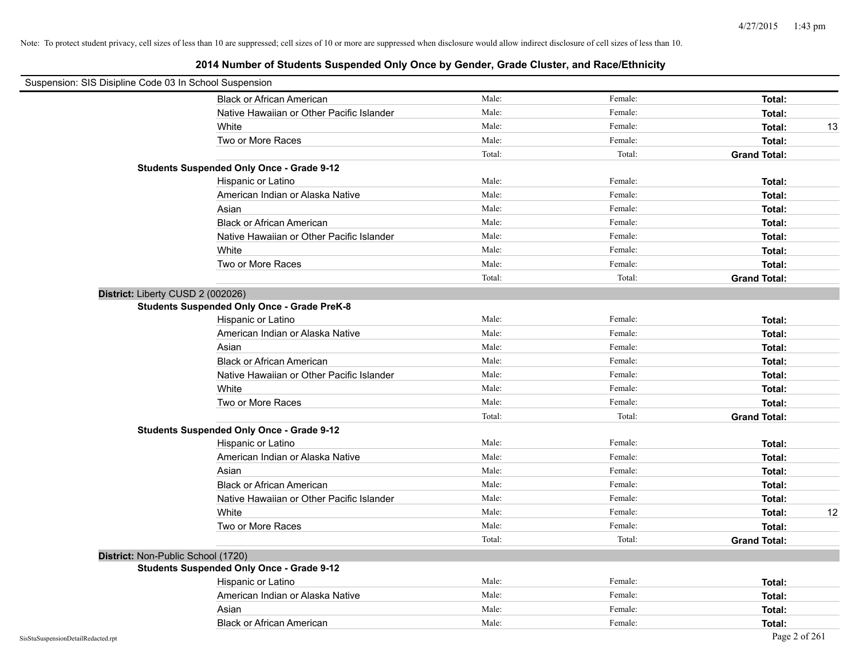| Suspension: SIS Disipline Code 03 In School Suspension |                                                    |        |         |                     |
|--------------------------------------------------------|----------------------------------------------------|--------|---------|---------------------|
|                                                        | <b>Black or African American</b>                   | Male:  | Female: | Total:              |
|                                                        | Native Hawaiian or Other Pacific Islander          | Male:  | Female: | Total:              |
|                                                        | White                                              | Male:  | Female: | 13<br>Total:        |
|                                                        | Two or More Races                                  | Male:  | Female: | Total:              |
|                                                        |                                                    | Total: | Total:  | <b>Grand Total:</b> |
|                                                        | <b>Students Suspended Only Once - Grade 9-12</b>   |        |         |                     |
|                                                        | Hispanic or Latino                                 | Male:  | Female: | Total:              |
|                                                        | American Indian or Alaska Native                   | Male:  | Female: | Total:              |
|                                                        | Asian                                              | Male:  | Female: | Total:              |
|                                                        | <b>Black or African American</b>                   | Male:  | Female: | Total:              |
|                                                        | Native Hawaiian or Other Pacific Islander          | Male:  | Female: | Total:              |
|                                                        | White                                              | Male:  | Female: | Total:              |
|                                                        | Two or More Races                                  | Male:  | Female: | Total:              |
|                                                        |                                                    | Total: | Total:  | <b>Grand Total:</b> |
| District: Liberty CUSD 2 (002026)                      |                                                    |        |         |                     |
|                                                        | <b>Students Suspended Only Once - Grade PreK-8</b> |        |         |                     |
|                                                        | Hispanic or Latino                                 | Male:  | Female: | Total:              |
|                                                        | American Indian or Alaska Native                   | Male:  | Female: | Total:              |
|                                                        | Asian                                              | Male:  | Female: | Total:              |
|                                                        | <b>Black or African American</b>                   | Male:  | Female: | Total:              |
|                                                        | Native Hawaiian or Other Pacific Islander          | Male:  | Female: | Total:              |
|                                                        | White                                              | Male:  | Female: | Total:              |
|                                                        | Two or More Races                                  | Male:  | Female: | Total:              |
|                                                        |                                                    | Total: | Total:  | <b>Grand Total:</b> |
|                                                        | <b>Students Suspended Only Once - Grade 9-12</b>   |        |         |                     |
|                                                        | Hispanic or Latino                                 | Male:  | Female: | Total:              |
|                                                        | American Indian or Alaska Native                   | Male:  | Female: | Total:              |
|                                                        | Asian                                              | Male:  | Female: | Total:              |
|                                                        | <b>Black or African American</b>                   | Male:  | Female: | Total:              |
|                                                        | Native Hawaiian or Other Pacific Islander          | Male:  | Female: | Total:              |
|                                                        | White                                              | Male:  | Female: | Total:<br>12        |
|                                                        | Two or More Races                                  | Male:  | Female: | Total:              |
|                                                        |                                                    | Total: | Total:  | <b>Grand Total:</b> |
| District: Non-Public School (1720)                     |                                                    |        |         |                     |
|                                                        | <b>Students Suspended Only Once - Grade 9-12</b>   |        |         |                     |
|                                                        | Hispanic or Latino                                 | Male:  | Female: | Total:              |
|                                                        | American Indian or Alaska Native                   | Male:  | Female: | Total:              |
|                                                        | Asian                                              | Male:  | Female: | Total:              |
|                                                        | <b>Black or African American</b>                   | Male:  | Female: | Total:              |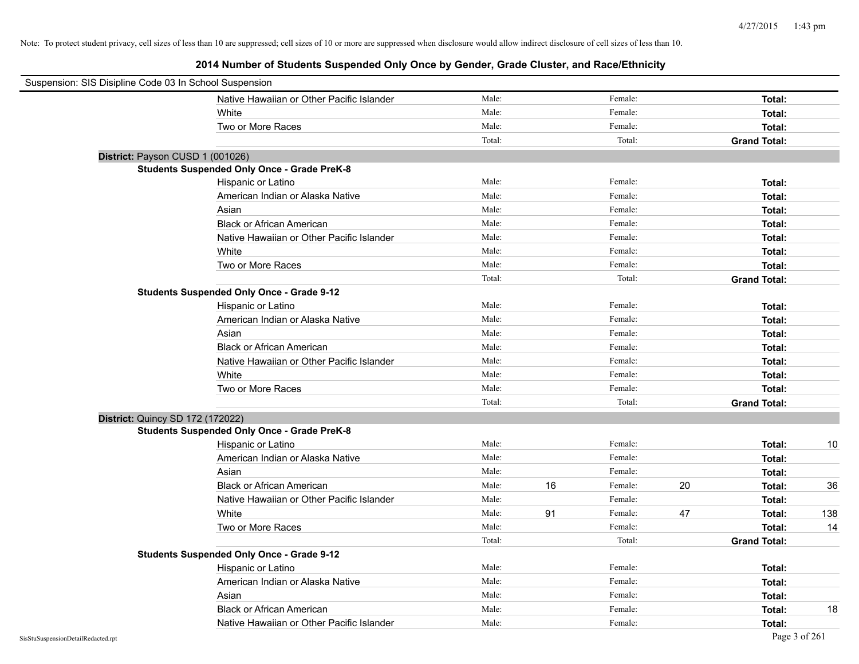| Suspension: SIS Disipline Code 03 In School Suspension |                                                    |        |    |         |    |                     |     |
|--------------------------------------------------------|----------------------------------------------------|--------|----|---------|----|---------------------|-----|
|                                                        | Native Hawaiian or Other Pacific Islander          | Male:  |    | Female: |    | Total:              |     |
|                                                        | White                                              | Male:  |    | Female: |    | Total:              |     |
|                                                        | Two or More Races                                  | Male:  |    | Female: |    | Total:              |     |
|                                                        |                                                    | Total: |    | Total:  |    | <b>Grand Total:</b> |     |
| District: Payson CUSD 1 (001026)                       |                                                    |        |    |         |    |                     |     |
|                                                        | <b>Students Suspended Only Once - Grade PreK-8</b> |        |    |         |    |                     |     |
|                                                        | Hispanic or Latino                                 | Male:  |    | Female: |    | Total:              |     |
|                                                        | American Indian or Alaska Native                   | Male:  |    | Female: |    | Total:              |     |
|                                                        | Asian                                              | Male:  |    | Female: |    | Total:              |     |
|                                                        | <b>Black or African American</b>                   | Male:  |    | Female: |    | Total:              |     |
|                                                        | Native Hawaiian or Other Pacific Islander          | Male:  |    | Female: |    | Total:              |     |
|                                                        | White                                              | Male:  |    | Female: |    | Total:              |     |
|                                                        | Two or More Races                                  | Male:  |    | Female: |    | Total:              |     |
|                                                        |                                                    | Total: |    | Total:  |    | <b>Grand Total:</b> |     |
|                                                        | <b>Students Suspended Only Once - Grade 9-12</b>   |        |    |         |    |                     |     |
|                                                        | Hispanic or Latino                                 | Male:  |    | Female: |    | Total:              |     |
|                                                        | American Indian or Alaska Native                   | Male:  |    | Female: |    | Total:              |     |
|                                                        | Asian                                              | Male:  |    | Female: |    | Total:              |     |
|                                                        | <b>Black or African American</b>                   | Male:  |    | Female: |    | Total:              |     |
|                                                        | Native Hawaiian or Other Pacific Islander          | Male:  |    | Female: |    | Total:              |     |
|                                                        | White                                              | Male:  |    | Female: |    | Total:              |     |
|                                                        | Two or More Races                                  | Male:  |    | Female: |    | Total:              |     |
|                                                        |                                                    | Total: |    | Total:  |    | <b>Grand Total:</b> |     |
| District: Quincy SD 172 (172022)                       |                                                    |        |    |         |    |                     |     |
|                                                        | <b>Students Suspended Only Once - Grade PreK-8</b> |        |    |         |    |                     |     |
|                                                        | Hispanic or Latino                                 | Male:  |    | Female: |    | Total:              | 10  |
|                                                        | American Indian or Alaska Native                   | Male:  |    | Female: |    | Total:              |     |
|                                                        | Asian                                              | Male:  |    | Female: |    | Total:              |     |
|                                                        | <b>Black or African American</b>                   | Male:  | 16 | Female: | 20 | Total:              | 36  |
|                                                        | Native Hawaiian or Other Pacific Islander          | Male:  |    | Female: |    | Total:              |     |
|                                                        | White                                              | Male:  | 91 | Female: | 47 | Total:              | 138 |
|                                                        | Two or More Races                                  | Male:  |    | Female: |    | Total:              | 14  |
|                                                        |                                                    | Total: |    | Total:  |    | <b>Grand Total:</b> |     |
|                                                        | <b>Students Suspended Only Once - Grade 9-12</b>   |        |    |         |    |                     |     |
|                                                        | Hispanic or Latino                                 | Male:  |    | Female: |    | Total:              |     |
|                                                        | American Indian or Alaska Native                   | Male:  |    | Female: |    | Total:              |     |
|                                                        | Asian                                              | Male:  |    | Female: |    | Total:              |     |
|                                                        | <b>Black or African American</b>                   | Male:  |    | Female: |    | Total:              | 18  |
|                                                        | Native Hawaiian or Other Pacific Islander          | Male:  |    | Female: |    | Total:              |     |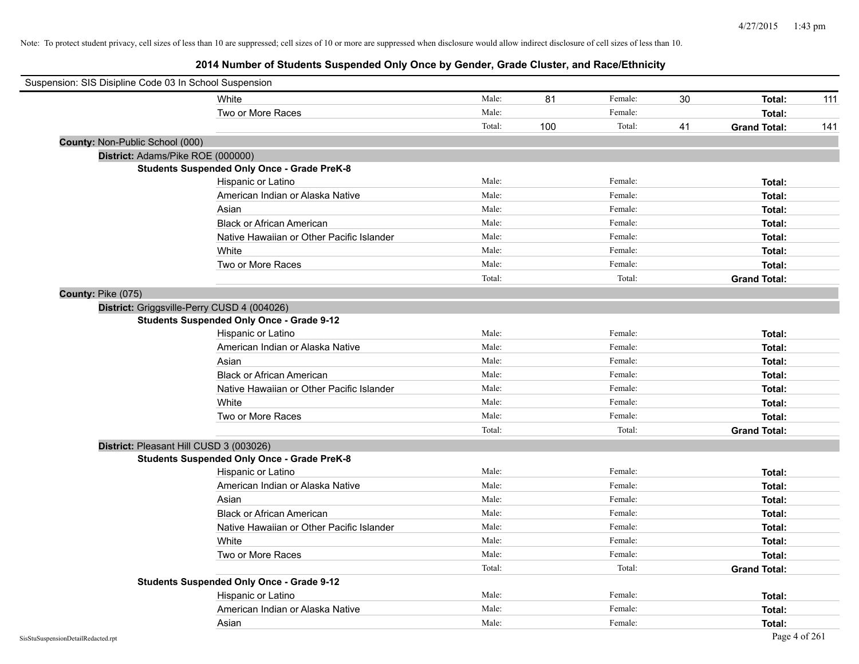| Suspension: SIS Disipline Code 03 In School Suspension |                                                    |        |     |         |    |                     |     |
|--------------------------------------------------------|----------------------------------------------------|--------|-----|---------|----|---------------------|-----|
|                                                        | White                                              | Male:  | 81  | Female: | 30 | Total:              | 111 |
|                                                        | Two or More Races                                  | Male:  |     | Female: |    | Total:              |     |
|                                                        |                                                    | Total: | 100 | Total:  | 41 | <b>Grand Total:</b> | 141 |
| County: Non-Public School (000)                        |                                                    |        |     |         |    |                     |     |
|                                                        | District: Adams/Pike ROE (000000)                  |        |     |         |    |                     |     |
|                                                        | <b>Students Suspended Only Once - Grade PreK-8</b> |        |     |         |    |                     |     |
|                                                        | Hispanic or Latino                                 | Male:  |     | Female: |    | Total:              |     |
|                                                        | American Indian or Alaska Native                   | Male:  |     | Female: |    | Total:              |     |
|                                                        | Asian                                              | Male:  |     | Female: |    | Total:              |     |
|                                                        | <b>Black or African American</b>                   | Male:  |     | Female: |    | Total:              |     |
|                                                        | Native Hawaiian or Other Pacific Islander          | Male:  |     | Female: |    | Total:              |     |
|                                                        | White                                              | Male:  |     | Female: |    | Total:              |     |
|                                                        | Two or More Races                                  | Male:  |     | Female: |    | Total:              |     |
|                                                        |                                                    | Total: |     | Total:  |    | <b>Grand Total:</b> |     |
| County: Pike (075)                                     |                                                    |        |     |         |    |                     |     |
|                                                        | District: Griggsville-Perry CUSD 4 (004026)        |        |     |         |    |                     |     |
|                                                        | <b>Students Suspended Only Once - Grade 9-12</b>   |        |     |         |    |                     |     |
|                                                        | Hispanic or Latino                                 | Male:  |     | Female: |    | Total:              |     |
|                                                        | American Indian or Alaska Native                   | Male:  |     | Female: |    | Total:              |     |
|                                                        | Asian                                              | Male:  |     | Female: |    | Total:              |     |
|                                                        | <b>Black or African American</b>                   | Male:  |     | Female: |    | Total:              |     |
|                                                        | Native Hawaiian or Other Pacific Islander          | Male:  |     | Female: |    | Total:              |     |
|                                                        | White                                              | Male:  |     | Female: |    | Total:              |     |
|                                                        | Two or More Races                                  | Male:  |     | Female: |    | Total:              |     |
|                                                        |                                                    | Total: |     | Total:  |    | <b>Grand Total:</b> |     |
|                                                        | District: Pleasant Hill CUSD 3 (003026)            |        |     |         |    |                     |     |
|                                                        | <b>Students Suspended Only Once - Grade PreK-8</b> |        |     |         |    |                     |     |
|                                                        | Hispanic or Latino                                 | Male:  |     | Female: |    | Total:              |     |
|                                                        | American Indian or Alaska Native                   | Male:  |     | Female: |    | Total:              |     |
|                                                        | Asian                                              | Male:  |     | Female: |    | Total:              |     |
|                                                        | <b>Black or African American</b>                   | Male:  |     | Female: |    | Total:              |     |
|                                                        | Native Hawaiian or Other Pacific Islander          | Male:  |     | Female: |    | Total:              |     |
|                                                        | White                                              | Male:  |     | Female: |    | Total:              |     |
|                                                        | Two or More Races                                  | Male:  |     | Female: |    | Total:              |     |
|                                                        |                                                    | Total: |     | Total:  |    | <b>Grand Total:</b> |     |
|                                                        | <b>Students Suspended Only Once - Grade 9-12</b>   |        |     |         |    |                     |     |
|                                                        | Hispanic or Latino                                 | Male:  |     | Female: |    | Total:              |     |
|                                                        | American Indian or Alaska Native                   | Male:  |     | Female: |    | Total:              |     |
|                                                        | Asian                                              | Male:  |     | Female: |    | Total:              |     |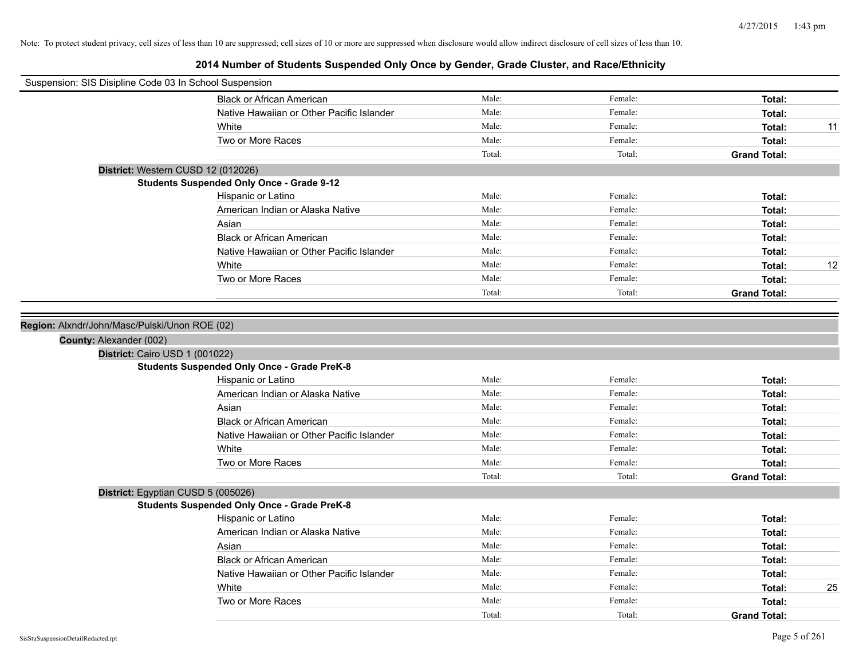| Suspension: SIS Disipline Code 03 In School Suspension |                                                    |        |         |                     |    |
|--------------------------------------------------------|----------------------------------------------------|--------|---------|---------------------|----|
|                                                        | <b>Black or African American</b>                   | Male:  | Female: | Total:              |    |
|                                                        | Native Hawaiian or Other Pacific Islander          | Male:  | Female: | Total:              |    |
|                                                        | White                                              | Male:  | Female: | Total:              | 11 |
|                                                        | Two or More Races                                  | Male:  | Female: | Total:              |    |
|                                                        |                                                    | Total: | Total:  | <b>Grand Total:</b> |    |
| District: Western CUSD 12 (012026)                     |                                                    |        |         |                     |    |
|                                                        | <b>Students Suspended Only Once - Grade 9-12</b>   |        |         |                     |    |
|                                                        | Hispanic or Latino                                 | Male:  | Female: | Total:              |    |
|                                                        | American Indian or Alaska Native                   | Male:  | Female: | Total:              |    |
|                                                        | Asian                                              | Male:  | Female: | Total:              |    |
|                                                        | <b>Black or African American</b>                   | Male:  | Female: | Total:              |    |
|                                                        | Native Hawaiian or Other Pacific Islander          | Male:  | Female: | Total:              |    |
|                                                        | White                                              | Male:  | Female: | Total:              | 12 |
|                                                        | Two or More Races                                  | Male:  | Female: | Total:              |    |
|                                                        |                                                    | Total: | Total:  | <b>Grand Total:</b> |    |
|                                                        |                                                    |        |         |                     |    |
| Region: Alxndr/John/Masc/Pulski/Unon ROE (02)          |                                                    |        |         |                     |    |
| County: Alexander (002)                                |                                                    |        |         |                     |    |
| District: Cairo USD 1 (001022)                         |                                                    |        |         |                     |    |
|                                                        | <b>Students Suspended Only Once - Grade PreK-8</b> |        |         |                     |    |
|                                                        | Hispanic or Latino                                 | Male:  | Female: | Total:              |    |
|                                                        | American Indian or Alaska Native                   | Male:  | Female: | Total:              |    |
|                                                        | Asian                                              | Male:  | Female: | Total:              |    |
|                                                        | <b>Black or African American</b>                   | Male:  | Female: | Total:              |    |
|                                                        | Native Hawaiian or Other Pacific Islander          | Male:  | Female: | Total:              |    |
|                                                        | White                                              | Male:  | Female: | Total:              |    |
|                                                        | Two or More Races                                  | Male:  | Female: | Total:              |    |
|                                                        |                                                    | Total: | Total:  | <b>Grand Total:</b> |    |
| District: Egyptian CUSD 5 (005026)                     |                                                    |        |         |                     |    |
|                                                        | <b>Students Suspended Only Once - Grade PreK-8</b> |        |         |                     |    |
|                                                        | Hispanic or Latino                                 | Male:  | Female: | Total:              |    |
|                                                        | American Indian or Alaska Native                   | Male:  | Female: | Total:              |    |
|                                                        | Asian                                              | Male:  | Female: | Total:              |    |
|                                                        | <b>Black or African American</b>                   | Male:  | Female: | Total:              |    |
|                                                        | Native Hawaiian or Other Pacific Islander          | Male:  | Female: | Total:              |    |
|                                                        | White                                              | Male:  | Female: | Total:              | 25 |
|                                                        | Two or More Races                                  | Male:  | Female: | Total:              |    |
|                                                        |                                                    | Total: | Total:  | <b>Grand Total:</b> |    |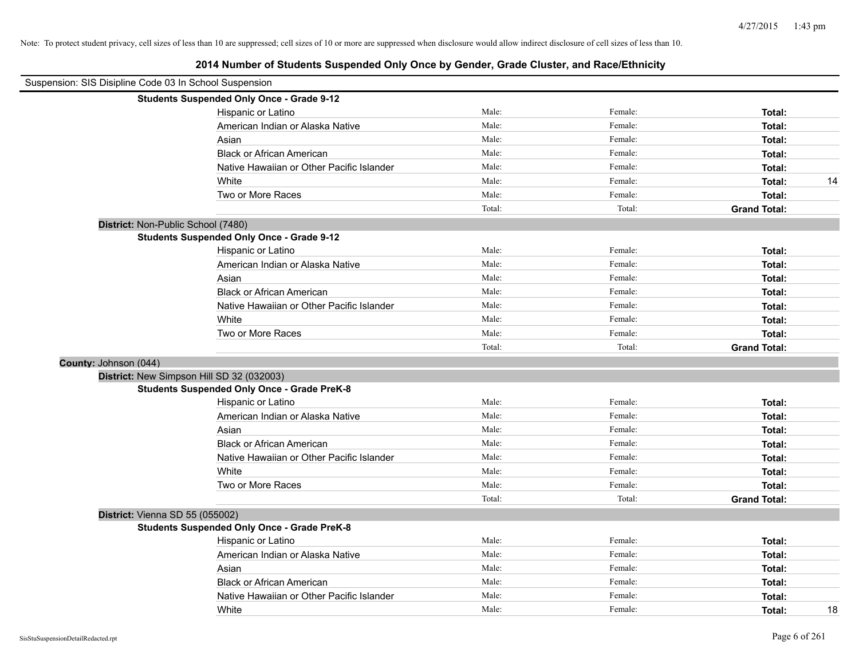| Suspension: SIS Disipline Code 03 In School Suspension |                                                    |        |         |                     |
|--------------------------------------------------------|----------------------------------------------------|--------|---------|---------------------|
|                                                        | <b>Students Suspended Only Once - Grade 9-12</b>   |        |         |                     |
|                                                        | Hispanic or Latino                                 | Male:  | Female: | Total:              |
|                                                        | American Indian or Alaska Native                   | Male:  | Female: | Total:              |
|                                                        | Asian                                              | Male:  | Female: | Total:              |
|                                                        | <b>Black or African American</b>                   | Male:  | Female: | Total:              |
|                                                        | Native Hawaiian or Other Pacific Islander          | Male:  | Female: | Total:              |
|                                                        | White                                              | Male:  | Female: | Total:<br>14        |
|                                                        | Two or More Races                                  | Male:  | Female: | Total:              |
|                                                        |                                                    | Total: | Total:  | <b>Grand Total:</b> |
| District: Non-Public School (7480)                     |                                                    |        |         |                     |
|                                                        | <b>Students Suspended Only Once - Grade 9-12</b>   |        |         |                     |
|                                                        | Hispanic or Latino                                 | Male:  | Female: | Total:              |
|                                                        | American Indian or Alaska Native                   | Male:  | Female: | Total:              |
|                                                        | Asian                                              | Male:  | Female: | Total:              |
|                                                        | <b>Black or African American</b>                   | Male:  | Female: | Total:              |
|                                                        | Native Hawaiian or Other Pacific Islander          | Male:  | Female: | Total:              |
|                                                        | White                                              | Male:  | Female: | Total:              |
|                                                        | Two or More Races                                  | Male:  | Female: | Total:              |
|                                                        |                                                    | Total: | Total:  | <b>Grand Total:</b> |
| County: Johnson (044)                                  |                                                    |        |         |                     |
|                                                        | District: New Simpson Hill SD 32 (032003)          |        |         |                     |
|                                                        | <b>Students Suspended Only Once - Grade PreK-8</b> |        |         |                     |
|                                                        | Hispanic or Latino                                 | Male:  | Female: | Total:              |
|                                                        | American Indian or Alaska Native                   | Male:  | Female: | Total:              |
|                                                        | Asian                                              | Male:  | Female: | Total:              |
|                                                        | <b>Black or African American</b>                   | Male:  | Female: | Total:              |
|                                                        | Native Hawaiian or Other Pacific Islander          | Male:  | Female: | Total:              |
|                                                        | White                                              | Male:  | Female: | Total:              |
|                                                        | Two or More Races                                  | Male:  | Female: | Total:              |
|                                                        |                                                    | Total: | Total:  | <b>Grand Total:</b> |
| District: Vienna SD 55 (055002)                        |                                                    |        |         |                     |
|                                                        | <b>Students Suspended Only Once - Grade PreK-8</b> |        |         |                     |
|                                                        | Hispanic or Latino                                 | Male:  | Female: | Total:              |
|                                                        | American Indian or Alaska Native                   | Male:  | Female: | Total:              |
|                                                        | Asian                                              | Male:  | Female: | Total:              |
|                                                        | <b>Black or African American</b>                   | Male:  | Female: | Total:              |
|                                                        | Native Hawaiian or Other Pacific Islander          | Male:  | Female: | Total:              |
|                                                        | White                                              | Male:  | Female: | 18<br>Total:        |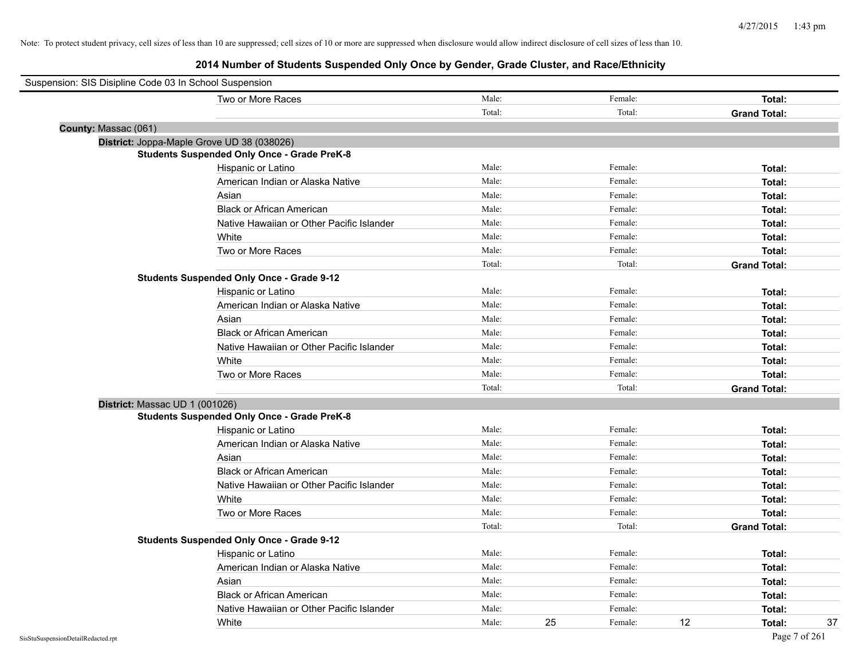| Suspension: SIS Disipline Code 03 In School Suspension |        |    |         |    |                     |
|--------------------------------------------------------|--------|----|---------|----|---------------------|
| Two or More Races                                      | Male:  |    | Female: |    | Total:              |
|                                                        | Total: |    | Total:  |    | <b>Grand Total:</b> |
| County: Massac (061)                                   |        |    |         |    |                     |
| District: Joppa-Maple Grove UD 38 (038026)             |        |    |         |    |                     |
| <b>Students Suspended Only Once - Grade PreK-8</b>     |        |    |         |    |                     |
| Hispanic or Latino                                     | Male:  |    | Female: |    | Total:              |
| American Indian or Alaska Native                       | Male:  |    | Female: |    | Total:              |
| Asian                                                  | Male:  |    | Female: |    | Total:              |
| <b>Black or African American</b>                       | Male:  |    | Female: |    | Total:              |
| Native Hawaiian or Other Pacific Islander              | Male:  |    | Female: |    | Total:              |
| White                                                  | Male:  |    | Female: |    | Total:              |
| Two or More Races                                      | Male:  |    | Female: |    | Total:              |
|                                                        | Total: |    | Total:  |    | <b>Grand Total:</b> |
| <b>Students Suspended Only Once - Grade 9-12</b>       |        |    |         |    |                     |
| Hispanic or Latino                                     | Male:  |    | Female: |    | Total:              |
| American Indian or Alaska Native                       | Male:  |    | Female: |    | Total:              |
| Asian                                                  | Male:  |    | Female: |    | Total:              |
| <b>Black or African American</b>                       | Male:  |    | Female: |    | Total:              |
| Native Hawaiian or Other Pacific Islander              | Male:  |    | Female: |    | Total:              |
| White                                                  | Male:  |    | Female: |    | Total:              |
| Two or More Races                                      | Male:  |    | Female: |    | Total:              |
|                                                        | Total: |    | Total:  |    | <b>Grand Total:</b> |
| District: Massac UD 1 (001026)                         |        |    |         |    |                     |
| <b>Students Suspended Only Once - Grade PreK-8</b>     |        |    |         |    |                     |
| Hispanic or Latino                                     | Male:  |    | Female: |    | Total:              |
| American Indian or Alaska Native                       | Male:  |    | Female: |    | Total:              |
| Asian                                                  | Male:  |    | Female: |    | Total:              |
| <b>Black or African American</b>                       | Male:  |    | Female: |    | Total:              |
| Native Hawaiian or Other Pacific Islander              | Male:  |    | Female: |    | Total:              |
| White                                                  | Male:  |    | Female: |    | Total:              |
| Two or More Races                                      | Male:  |    | Female: |    | Total:              |
|                                                        | Total: |    | Total:  |    | <b>Grand Total:</b> |
| <b>Students Suspended Only Once - Grade 9-12</b>       |        |    |         |    |                     |
| Hispanic or Latino                                     | Male:  |    | Female: |    | Total:              |
| American Indian or Alaska Native                       | Male:  |    | Female: |    | Total:              |
| Asian                                                  | Male:  |    | Female: |    | Total:              |
| <b>Black or African American</b>                       | Male:  |    | Female: |    | Total:              |
| Native Hawaiian or Other Pacific Islander              | Male:  |    | Female: |    | Total:              |
| White                                                  | Male:  | 25 | Female: | 12 | 37<br>Total:        |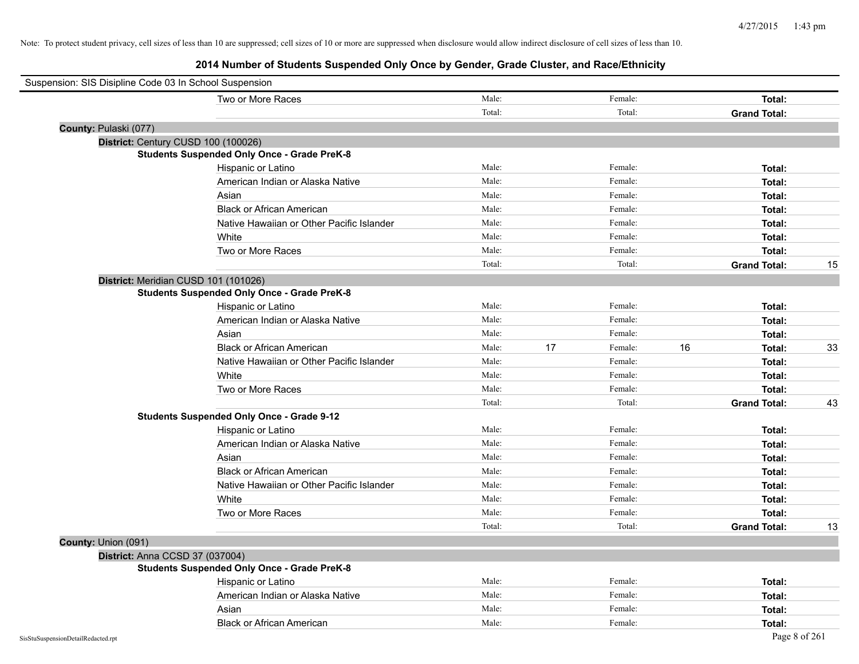|                                    | Two or More Races                                  | Male:  |    | Female: |    | Total:              |    |
|------------------------------------|----------------------------------------------------|--------|----|---------|----|---------------------|----|
|                                    |                                                    | Total: |    | Total:  |    | <b>Grand Total:</b> |    |
| County: Pulaski (077)              |                                                    |        |    |         |    |                     |    |
|                                    | District: Century CUSD 100 (100026)                |        |    |         |    |                     |    |
|                                    | <b>Students Suspended Only Once - Grade PreK-8</b> |        |    |         |    |                     |    |
|                                    | Hispanic or Latino                                 | Male:  |    | Female: |    | Total:              |    |
|                                    | American Indian or Alaska Native                   | Male:  |    | Female: |    | Total:              |    |
|                                    | Asian                                              | Male:  |    | Female: |    | Total:              |    |
|                                    | <b>Black or African American</b>                   | Male:  |    | Female: |    | Total:              |    |
|                                    | Native Hawaiian or Other Pacific Islander          | Male:  |    | Female: |    | Total:              |    |
|                                    | White                                              | Male:  |    | Female: |    | Total:              |    |
|                                    | Two or More Races                                  | Male:  |    | Female: |    | Total:              |    |
|                                    |                                                    | Total: |    | Total:  |    | <b>Grand Total:</b> | 15 |
|                                    | District: Meridian CUSD 101 (101026)               |        |    |         |    |                     |    |
|                                    | <b>Students Suspended Only Once - Grade PreK-8</b> |        |    |         |    |                     |    |
|                                    | Hispanic or Latino                                 | Male:  |    | Female: |    | Total:              |    |
|                                    | American Indian or Alaska Native                   | Male:  |    | Female: |    | Total:              |    |
|                                    | Asian                                              | Male:  |    | Female: |    | Total:              |    |
|                                    | <b>Black or African American</b>                   | Male:  | 17 | Female: | 16 | Total:              | 33 |
|                                    | Native Hawaiian or Other Pacific Islander          | Male:  |    | Female: |    | Total:              |    |
|                                    | White                                              | Male:  |    | Female: |    | Total:              |    |
|                                    | Two or More Races                                  | Male:  |    | Female: |    | Total:              |    |
|                                    |                                                    | Total: |    | Total:  |    | <b>Grand Total:</b> | 43 |
|                                    | <b>Students Suspended Only Once - Grade 9-12</b>   |        |    |         |    |                     |    |
|                                    | Hispanic or Latino                                 | Male:  |    | Female: |    | Total:              |    |
|                                    | American Indian or Alaska Native                   | Male:  |    | Female: |    | Total:              |    |
|                                    | Asian                                              | Male:  |    | Female: |    | Total:              |    |
|                                    | <b>Black or African American</b>                   | Male:  |    | Female: |    | Total:              |    |
|                                    | Native Hawaiian or Other Pacific Islander          | Male:  |    | Female: |    | Total:              |    |
|                                    | White                                              | Male:  |    | Female: |    | Total:              |    |
|                                    | Two or More Races                                  | Male:  |    | Female: |    | Total:              |    |
|                                    |                                                    | Total: |    | Total:  |    | <b>Grand Total:</b> | 13 |
| County: Union (091)                |                                                    |        |    |         |    |                     |    |
| District: Anna CCSD 37 (037004)    |                                                    |        |    |         |    |                     |    |
|                                    | <b>Students Suspended Only Once - Grade PreK-8</b> |        |    |         |    |                     |    |
|                                    | Hispanic or Latino                                 | Male:  |    | Female: |    | Total:              |    |
|                                    | American Indian or Alaska Native                   | Male:  |    | Female: |    | Total:              |    |
|                                    | Asian                                              | Male:  |    | Female: |    | Total:              |    |
|                                    | <b>Black or African American</b>                   | Male:  |    | Female: |    | Total:              |    |
| SisStuSuspensionDetailRedacted.rpt |                                                    |        |    |         |    | Page 8 of 261       |    |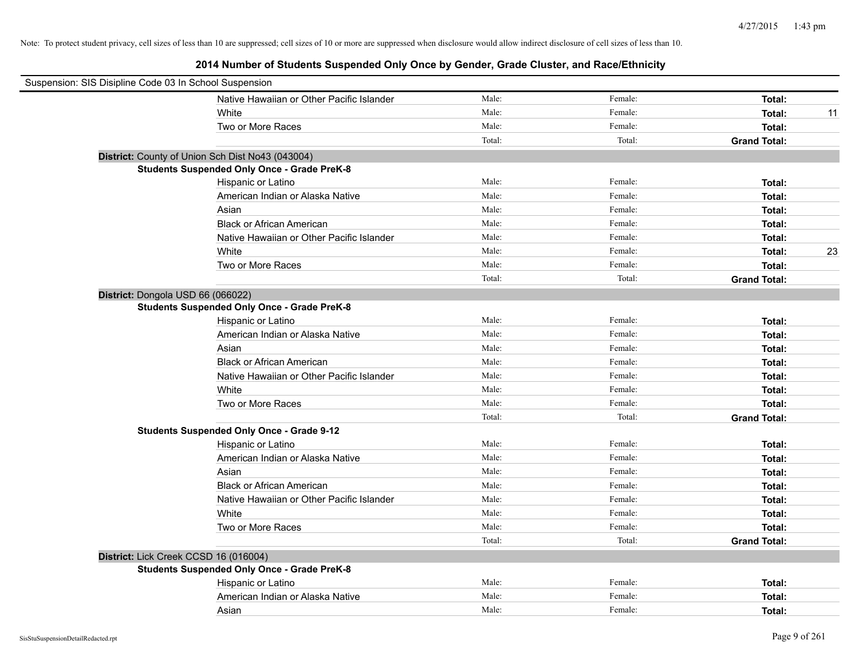| Suspension: SIS Disipline Code 03 In School Suspension |                                                    |        |         |                     |    |
|--------------------------------------------------------|----------------------------------------------------|--------|---------|---------------------|----|
|                                                        | Native Hawaiian or Other Pacific Islander          | Male:  | Female: | Total:              |    |
|                                                        | White                                              | Male:  | Female: | Total:              | 11 |
|                                                        | Two or More Races                                  | Male:  | Female: | Total:              |    |
|                                                        |                                                    | Total: | Total:  | <b>Grand Total:</b> |    |
|                                                        | District: County of Union Sch Dist No43 (043004)   |        |         |                     |    |
|                                                        | <b>Students Suspended Only Once - Grade PreK-8</b> |        |         |                     |    |
|                                                        | Hispanic or Latino                                 | Male:  | Female: | Total:              |    |
|                                                        | American Indian or Alaska Native                   | Male:  | Female: | Total:              |    |
|                                                        | Asian                                              | Male:  | Female: | Total:              |    |
|                                                        | <b>Black or African American</b>                   | Male:  | Female: | Total:              |    |
|                                                        | Native Hawaiian or Other Pacific Islander          | Male:  | Female: | Total:              |    |
|                                                        | White                                              | Male:  | Female: | Total:              | 23 |
|                                                        | Two or More Races                                  | Male:  | Female: | Total:              |    |
|                                                        |                                                    | Total: | Total:  | <b>Grand Total:</b> |    |
| District: Dongola USD 66 (066022)                      |                                                    |        |         |                     |    |
|                                                        | <b>Students Suspended Only Once - Grade PreK-8</b> |        |         |                     |    |
|                                                        | Hispanic or Latino                                 | Male:  | Female: | Total:              |    |
|                                                        | American Indian or Alaska Native                   | Male:  | Female: | Total:              |    |
|                                                        | Asian                                              | Male:  | Female: | Total:              |    |
|                                                        | <b>Black or African American</b>                   | Male:  | Female: | Total:              |    |
|                                                        | Native Hawaiian or Other Pacific Islander          | Male:  | Female: | Total:              |    |
|                                                        | White                                              | Male:  | Female: | Total:              |    |
|                                                        | Two or More Races                                  | Male:  | Female: | Total:              |    |
|                                                        |                                                    | Total: | Total:  | <b>Grand Total:</b> |    |
|                                                        | <b>Students Suspended Only Once - Grade 9-12</b>   |        |         |                     |    |
|                                                        | Hispanic or Latino                                 | Male:  | Female: | Total:              |    |
|                                                        | American Indian or Alaska Native                   | Male:  | Female: | Total:              |    |
|                                                        | Asian                                              | Male:  | Female: | Total:              |    |
|                                                        | <b>Black or African American</b>                   | Male:  | Female: | Total:              |    |
|                                                        | Native Hawaiian or Other Pacific Islander          | Male:  | Female: | Total:              |    |
|                                                        | White                                              | Male:  | Female: | Total:              |    |
|                                                        | Two or More Races                                  | Male:  | Female: | Total:              |    |
|                                                        |                                                    | Total: | Total:  | <b>Grand Total:</b> |    |
|                                                        | District: Lick Creek CCSD 16 (016004)              |        |         |                     |    |
|                                                        | <b>Students Suspended Only Once - Grade PreK-8</b> |        |         |                     |    |
|                                                        | Hispanic or Latino                                 | Male:  | Female: | Total:              |    |
|                                                        | American Indian or Alaska Native                   | Male:  | Female: | Total:              |    |
|                                                        | Asian                                              | Male:  | Female: | Total:              |    |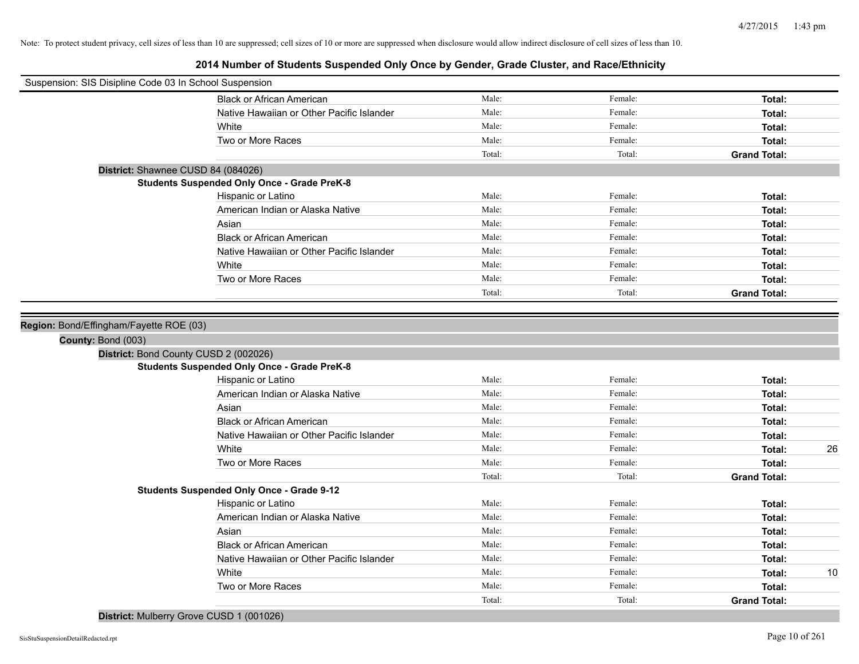| Suspension: SIS Disipline Code 03 In School Suspension |                                                    |        |         |                     |
|--------------------------------------------------------|----------------------------------------------------|--------|---------|---------------------|
|                                                        | <b>Black or African American</b>                   | Male:  | Female: | Total:              |
|                                                        | Native Hawaiian or Other Pacific Islander          | Male:  | Female: | Total:              |
|                                                        | White                                              | Male:  | Female: | Total:              |
|                                                        | Two or More Races                                  | Male:  | Female: | Total:              |
|                                                        |                                                    | Total: | Total:  | <b>Grand Total:</b> |
| District: Shawnee CUSD 84 (084026)                     |                                                    |        |         |                     |
|                                                        | <b>Students Suspended Only Once - Grade PreK-8</b> |        |         |                     |
|                                                        | Hispanic or Latino                                 | Male:  | Female: | Total:              |
|                                                        | American Indian or Alaska Native                   | Male:  | Female: | Total:              |
|                                                        | Asian                                              | Male:  | Female: | Total:              |
|                                                        | <b>Black or African American</b>                   | Male:  | Female: | Total:              |
|                                                        | Native Hawaiian or Other Pacific Islander          | Male:  | Female: | Total:              |
|                                                        | White                                              | Male:  | Female: | Total:              |
|                                                        | Two or More Races                                  | Male:  | Female: | Total:              |
|                                                        |                                                    | Total: | Total:  | <b>Grand Total:</b> |
|                                                        |                                                    |        |         |                     |
| Region: Bond/Effingham/Fayette ROE (03)                |                                                    |        |         |                     |
| County: Bond (003)                                     |                                                    |        |         |                     |
| District: Bond County CUSD 2 (002026)                  |                                                    |        |         |                     |
|                                                        | <b>Students Suspended Only Once - Grade PreK-8</b> |        |         |                     |
|                                                        | Hispanic or Latino                                 | Male:  | Female: | Total:              |
|                                                        | American Indian or Alaska Native                   | Male:  | Female: | Total:              |
|                                                        | Asian                                              | Male:  | Female: | Total:              |
|                                                        | <b>Black or African American</b>                   | Male:  | Female: | Total:              |
|                                                        | Native Hawaiian or Other Pacific Islander          | Male:  | Female: | Total:              |
|                                                        | White                                              | Male:  | Female: | 26<br>Total:        |
|                                                        | Two or More Races                                  | Male:  | Female: | Total:              |
|                                                        |                                                    | Total: | Total:  | <b>Grand Total:</b> |
|                                                        | <b>Students Suspended Only Once - Grade 9-12</b>   |        |         |                     |
|                                                        | Hispanic or Latino                                 | Male:  | Female: | Total:              |
|                                                        | American Indian or Alaska Native                   | Male:  | Female: | Total:              |
|                                                        | Asian                                              | Male:  | Female: | Total:              |
|                                                        | <b>Black or African American</b>                   | Male:  | Female: | Total:              |
|                                                        | Native Hawaiian or Other Pacific Islander          | Male:  | Female: | Total:              |
|                                                        | White                                              | Male:  | Female: | 10<br>Total:        |
|                                                        | Two or More Races                                  | Male:  | Female: | Total:              |
|                                                        |                                                    | Total: | Total:  | <b>Grand Total:</b> |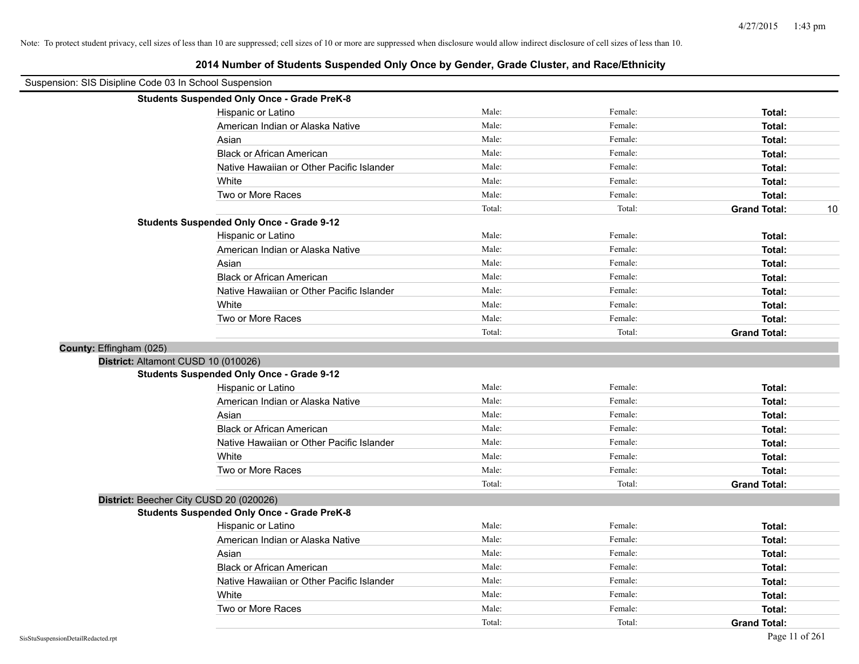| 2014 Number of Students Suspended Only Once by Gender, Grade Cluster, and Race/Ethnicity |                                                    |        |         |                     |    |
|------------------------------------------------------------------------------------------|----------------------------------------------------|--------|---------|---------------------|----|
| Suspension: SIS Disipline Code 03 In School Suspension                                   |                                                    |        |         |                     |    |
|                                                                                          | <b>Students Suspended Only Once - Grade PreK-8</b> |        |         |                     |    |
|                                                                                          | Hispanic or Latino                                 | Male:  | Female: | Total:              |    |
|                                                                                          | American Indian or Alaska Native                   | Male:  | Female: | Total:              |    |
|                                                                                          | Asian                                              | Male:  | Female: | Total:              |    |
|                                                                                          | <b>Black or African American</b>                   | Male:  | Female: | Total:              |    |
|                                                                                          | Native Hawaiian or Other Pacific Islander          | Male:  | Female: | Total:              |    |
|                                                                                          | White                                              | Male:  | Female: | Total:              |    |
|                                                                                          | Two or More Races                                  | Male:  | Female: | Total:              |    |
|                                                                                          |                                                    | Total: | Total:  | <b>Grand Total:</b> | 10 |
|                                                                                          | <b>Students Suspended Only Once - Grade 9-12</b>   |        |         |                     |    |
|                                                                                          | Hispanic or Latino                                 | Male:  | Female: | Total:              |    |
|                                                                                          | American Indian or Alaska Native                   | Male:  | Female: | Total:              |    |
|                                                                                          | Asian                                              | Male:  | Female: | Total:              |    |
|                                                                                          | <b>Black or African American</b>                   | Male:  | Female: | Total:              |    |
|                                                                                          | Native Hawaiian or Other Pacific Islander          | Male:  | Female: | Total:              |    |
|                                                                                          | White                                              | Male:  | Female: | Total:              |    |
|                                                                                          | Two or More Races                                  | Male:  | Female: | Total:              |    |
|                                                                                          |                                                    | Total: | Total:  | <b>Grand Total:</b> |    |
| County: Effingham (025)                                                                  |                                                    |        |         |                     |    |
| District: Altamont CUSD 10 (010026)                                                      |                                                    |        |         |                     |    |
|                                                                                          | <b>Students Suspended Only Once - Grade 9-12</b>   |        |         |                     |    |
|                                                                                          | Hispanic or Latino                                 | Male:  | Female: | Total:              |    |
|                                                                                          | American Indian or Alaska Native                   | Male:  | Female: | Total:              |    |
|                                                                                          | Asian                                              | Male:  | Female: | Total:              |    |
|                                                                                          | <b>Black or African American</b>                   | Male:  | Female: | Total:              |    |
|                                                                                          | Native Hawaiian or Other Pacific Islander          | Male:  | Female: | Total:              |    |
|                                                                                          | White                                              | Male:  | Female: | Total:              |    |
|                                                                                          | Two or More Races                                  | Male:  | Female: | Total:              |    |
|                                                                                          |                                                    | Total: | Total:  | <b>Grand Total:</b> |    |
|                                                                                          | District: Beecher City CUSD 20 (020026)            |        |         |                     |    |
|                                                                                          | <b>Students Suspended Only Once - Grade PreK-8</b> |        |         |                     |    |
|                                                                                          | Hispanic or Latino                                 | Male:  | Female: | Total:              |    |
|                                                                                          | American Indian or Alaska Native                   | Male:  | Female: | Total:              |    |
|                                                                                          | Asian                                              | Male:  | Female: | Total:              |    |
|                                                                                          | <b>Black or African American</b>                   | Male:  | Female: | Total:              |    |
|                                                                                          | Native Hawaiian or Other Pacific Islander          | Male:  | Female: | Total:              |    |
|                                                                                          | White                                              | Male:  | Female: | Total:              |    |
|                                                                                          | Two or More Races                                  | Male:  | Female: | Total:              |    |
|                                                                                          |                                                    | Total: | Total:  | <b>Grand Total:</b> |    |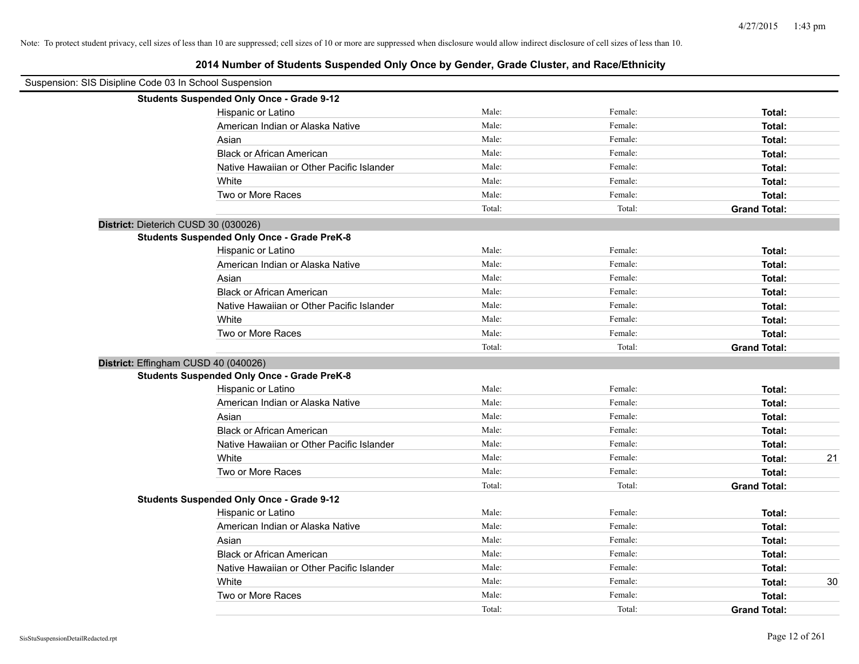| Suspension: SIS Disipline Code 03 In School Suspension |                                                    |        |         |                     |
|--------------------------------------------------------|----------------------------------------------------|--------|---------|---------------------|
|                                                        | <b>Students Suspended Only Once - Grade 9-12</b>   |        |         |                     |
|                                                        | Hispanic or Latino                                 | Male:  | Female: | Total:              |
|                                                        | American Indian or Alaska Native                   | Male:  | Female: | Total:              |
|                                                        | Asian                                              | Male:  | Female: | Total:              |
|                                                        | <b>Black or African American</b>                   | Male:  | Female: | Total:              |
|                                                        | Native Hawaiian or Other Pacific Islander          | Male:  | Female: | Total:              |
|                                                        | White                                              | Male:  | Female: | Total:              |
|                                                        | Two or More Races                                  | Male:  | Female: | Total:              |
|                                                        |                                                    | Total: | Total:  | <b>Grand Total:</b> |
| District: Dieterich CUSD 30 (030026)                   |                                                    |        |         |                     |
|                                                        | <b>Students Suspended Only Once - Grade PreK-8</b> |        |         |                     |
|                                                        | Hispanic or Latino                                 | Male:  | Female: | Total:              |
|                                                        | American Indian or Alaska Native                   | Male:  | Female: | Total:              |
|                                                        | Asian                                              | Male:  | Female: | Total:              |
|                                                        | <b>Black or African American</b>                   | Male:  | Female: | Total:              |
|                                                        | Native Hawaiian or Other Pacific Islander          | Male:  | Female: | Total:              |
|                                                        | White                                              | Male:  | Female: | Total:              |
|                                                        | Two or More Races                                  | Male:  | Female: | Total:              |
|                                                        |                                                    | Total: | Total:  | <b>Grand Total:</b> |
| District: Effingham CUSD 40 (040026)                   |                                                    |        |         |                     |
|                                                        | <b>Students Suspended Only Once - Grade PreK-8</b> |        |         |                     |
|                                                        | Hispanic or Latino                                 | Male:  | Female: | Total:              |
|                                                        | American Indian or Alaska Native                   | Male:  | Female: | Total:              |
|                                                        | Asian                                              | Male:  | Female: | Total:              |
|                                                        | <b>Black or African American</b>                   | Male:  | Female: | Total:              |
|                                                        | Native Hawaiian or Other Pacific Islander          | Male:  | Female: | Total:              |
|                                                        | White                                              | Male:  | Female: | 21<br>Total:        |
|                                                        | Two or More Races                                  | Male:  | Female: | Total:              |
|                                                        |                                                    | Total: | Total:  | <b>Grand Total:</b> |
|                                                        | <b>Students Suspended Only Once - Grade 9-12</b>   |        |         |                     |
|                                                        | Hispanic or Latino                                 | Male:  | Female: | Total:              |
|                                                        | American Indian or Alaska Native                   | Male:  | Female: | Total:              |
|                                                        | Asian                                              | Male:  | Female: | Total:              |
|                                                        | <b>Black or African American</b>                   | Male:  | Female: | Total:              |
|                                                        | Native Hawaiian or Other Pacific Islander          | Male:  | Female: | Total:              |
|                                                        | White                                              | Male:  | Female: | Total:<br>30        |
|                                                        | Two or More Races                                  | Male:  | Female: | Total:              |
|                                                        |                                                    | Total: | Total:  | <b>Grand Total:</b> |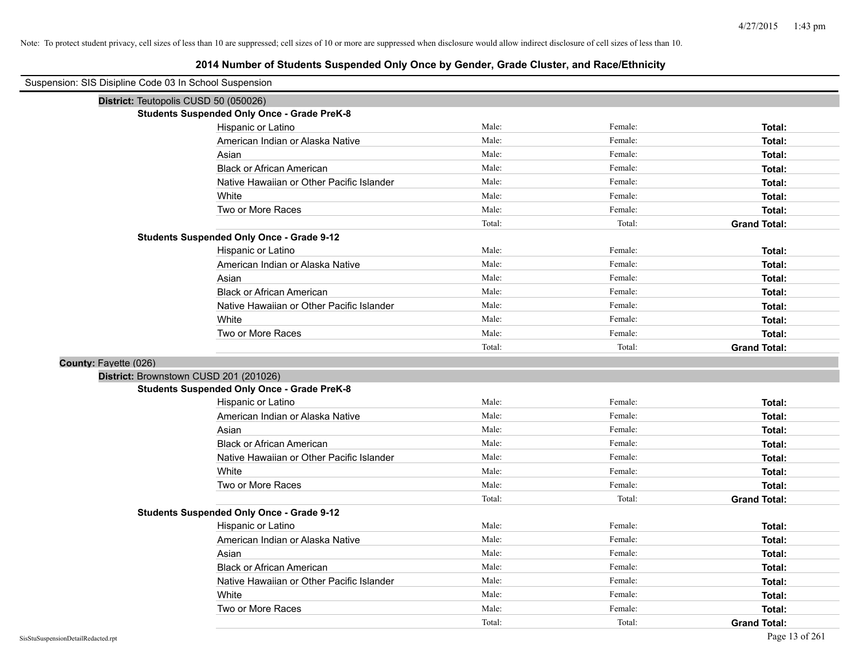| Suspension: SIS Disipline Code 03 In School Suspension |                                                    |        |         |                     |
|--------------------------------------------------------|----------------------------------------------------|--------|---------|---------------------|
| District: Teutopolis CUSD 50 (050026)                  |                                                    |        |         |                     |
|                                                        | <b>Students Suspended Only Once - Grade PreK-8</b> |        |         |                     |
|                                                        | Hispanic or Latino                                 | Male:  | Female: | Total:              |
|                                                        | American Indian or Alaska Native                   | Male:  | Female: | Total:              |
|                                                        | Asian                                              | Male:  | Female: | Total:              |
|                                                        | <b>Black or African American</b>                   | Male:  | Female: | Total:              |
|                                                        | Native Hawaiian or Other Pacific Islander          | Male:  | Female: | Total:              |
|                                                        | White                                              | Male:  | Female: | Total:              |
|                                                        | Two or More Races                                  | Male:  | Female: | Total:              |
|                                                        |                                                    | Total: | Total:  | <b>Grand Total:</b> |
|                                                        | <b>Students Suspended Only Once - Grade 9-12</b>   |        |         |                     |
|                                                        | Hispanic or Latino                                 | Male:  | Female: | Total:              |
|                                                        | American Indian or Alaska Native                   | Male:  | Female: | Total:              |
|                                                        | Asian                                              | Male:  | Female: | Total:              |
|                                                        | <b>Black or African American</b>                   | Male:  | Female: | Total:              |
|                                                        | Native Hawaiian or Other Pacific Islander          | Male:  | Female: | Total:              |
|                                                        | White                                              | Male:  | Female: | Total:              |
|                                                        | Two or More Races                                  | Male:  | Female: | Total:              |
|                                                        |                                                    | Total: | Total:  | <b>Grand Total:</b> |
| County: Fayette (026)                                  |                                                    |        |         |                     |
| District: Brownstown CUSD 201 (201026)                 |                                                    |        |         |                     |
|                                                        | <b>Students Suspended Only Once - Grade PreK-8</b> |        |         |                     |
|                                                        | Hispanic or Latino                                 | Male:  | Female: | Total:              |
|                                                        | American Indian or Alaska Native                   | Male:  | Female: | Total:              |
|                                                        | Asian                                              | Male:  | Female: | Total:              |
|                                                        | <b>Black or African American</b>                   | Male:  | Female: | Total:              |
|                                                        | Native Hawaiian or Other Pacific Islander          | Male:  | Female: | Total:              |
|                                                        | White                                              | Male:  | Female: | Total:              |
|                                                        | Two or More Races                                  | Male:  | Female: | Total:              |
|                                                        |                                                    | Total: | Total:  | <b>Grand Total:</b> |
|                                                        | <b>Students Suspended Only Once - Grade 9-12</b>   |        |         |                     |
|                                                        | Hispanic or Latino                                 | Male:  | Female: | Total:              |
|                                                        | American Indian or Alaska Native                   | Male:  | Female: | Total:              |
|                                                        | Asian                                              | Male:  | Female: | Total:              |
|                                                        | <b>Black or African American</b>                   | Male:  | Female: | Total:              |
|                                                        | Native Hawaiian or Other Pacific Islander          | Male:  | Female: | Total:              |
|                                                        | White                                              | Male:  | Female: | Total:              |
|                                                        | Two or More Races                                  | Male:  | Female: | Total:              |
|                                                        |                                                    | Total: | Total:  | <b>Grand Total:</b> |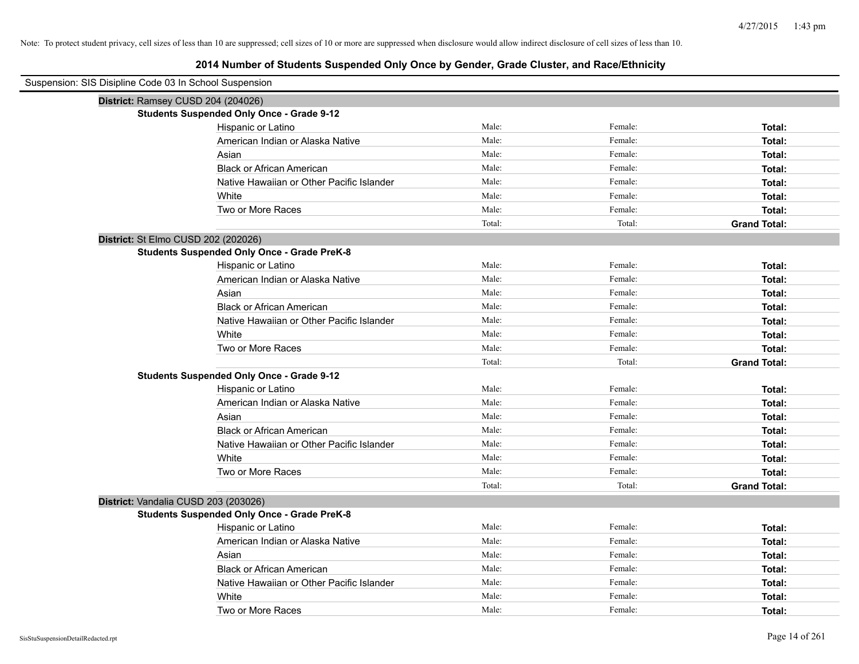| Suspension: SIS Disipline Code 03 In School Suspension |                                                    |        |         |                     |
|--------------------------------------------------------|----------------------------------------------------|--------|---------|---------------------|
| District: Ramsey CUSD 204 (204026)                     |                                                    |        |         |                     |
|                                                        | <b>Students Suspended Only Once - Grade 9-12</b>   |        |         |                     |
|                                                        | Hispanic or Latino                                 | Male:  | Female: | Total:              |
|                                                        | American Indian or Alaska Native                   | Male:  | Female: | Total:              |
|                                                        | Asian                                              | Male:  | Female: | Total:              |
|                                                        | <b>Black or African American</b>                   | Male:  | Female: | Total:              |
|                                                        | Native Hawaiian or Other Pacific Islander          | Male:  | Female: | Total:              |
|                                                        | White                                              | Male:  | Female: | Total:              |
|                                                        | Two or More Races                                  | Male:  | Female: | Total:              |
|                                                        |                                                    | Total: | Total:  | <b>Grand Total:</b> |
| District: St Elmo CUSD 202 (202026)                    |                                                    |        |         |                     |
|                                                        | <b>Students Suspended Only Once - Grade PreK-8</b> |        |         |                     |
|                                                        | Hispanic or Latino                                 | Male:  | Female: | Total:              |
|                                                        | American Indian or Alaska Native                   | Male:  | Female: | Total:              |
|                                                        | Asian                                              | Male:  | Female: | Total:              |
|                                                        | <b>Black or African American</b>                   | Male:  | Female: | Total:              |
|                                                        | Native Hawaiian or Other Pacific Islander          | Male:  | Female: | <b>Total:</b>       |
|                                                        | White                                              | Male:  | Female: | Total:              |
|                                                        | Two or More Races                                  | Male:  | Female: | Total:              |
|                                                        |                                                    | Total: | Total:  | <b>Grand Total:</b> |
|                                                        | <b>Students Suspended Only Once - Grade 9-12</b>   |        |         |                     |
|                                                        | Hispanic or Latino                                 | Male:  | Female: | Total:              |
|                                                        | American Indian or Alaska Native                   | Male:  | Female: | Total:              |
|                                                        | Asian                                              | Male:  | Female: | Total:              |
|                                                        | <b>Black or African American</b>                   | Male:  | Female: | Total:              |
|                                                        | Native Hawaiian or Other Pacific Islander          | Male:  | Female: | Total:              |
|                                                        | White                                              | Male:  | Female: | <b>Total:</b>       |
|                                                        | Two or More Races                                  | Male:  | Female: | Total:              |
|                                                        |                                                    | Total: | Total:  | <b>Grand Total:</b> |
| District: Vandalia CUSD 203 (203026)                   |                                                    |        |         |                     |
|                                                        | <b>Students Suspended Only Once - Grade PreK-8</b> |        |         |                     |
|                                                        | Hispanic or Latino                                 | Male:  | Female: | Total:              |
|                                                        | American Indian or Alaska Native                   | Male:  | Female: | Total:              |
|                                                        | Asian                                              | Male:  | Female: | Total:              |
|                                                        | <b>Black or African American</b>                   | Male:  | Female: | Total:              |
|                                                        | Native Hawaiian or Other Pacific Islander          | Male:  | Female: | Total:              |
|                                                        | White                                              | Male:  | Female: | Total:              |
|                                                        | Two or More Races                                  | Male:  | Female: | Total:              |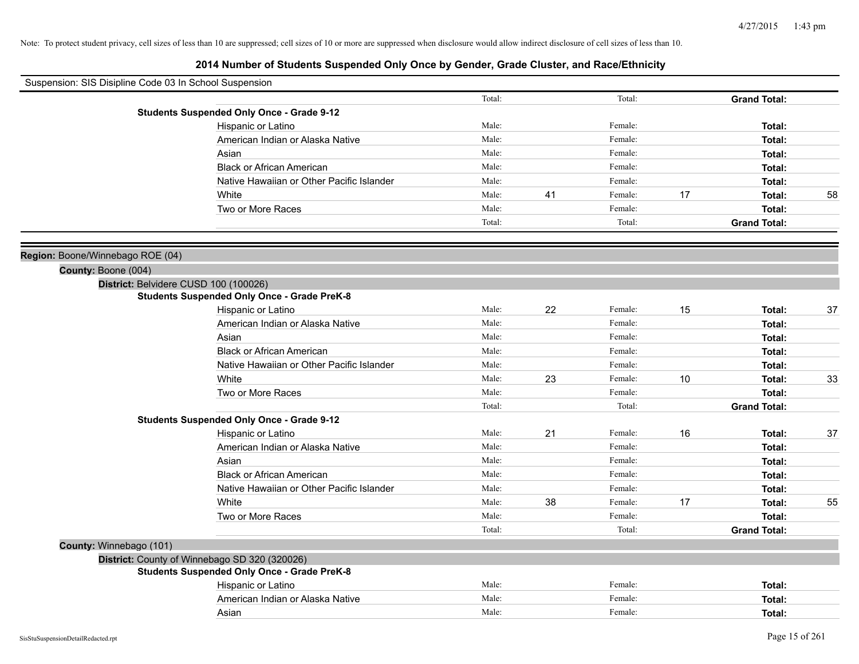|                                  | Suspension: SIS Disipline Code 03 In School Suspension |        |    |         |    |                     |    |
|----------------------------------|--------------------------------------------------------|--------|----|---------|----|---------------------|----|
|                                  |                                                        | Total: |    | Total:  |    | <b>Grand Total:</b> |    |
|                                  | <b>Students Suspended Only Once - Grade 9-12</b>       |        |    |         |    |                     |    |
|                                  | Hispanic or Latino                                     | Male:  |    | Female: |    | Total:              |    |
|                                  | American Indian or Alaska Native                       | Male:  |    | Female: |    | Total:              |    |
|                                  | Asian                                                  | Male:  |    | Female: |    | Total:              |    |
|                                  | <b>Black or African American</b>                       | Male:  |    | Female: |    | Total:              |    |
|                                  | Native Hawaiian or Other Pacific Islander              | Male:  |    | Female: |    | Total:              |    |
|                                  | White                                                  | Male:  | 41 | Female: | 17 | Total:              | 58 |
|                                  | Two or More Races                                      | Male:  |    | Female: |    | Total:              |    |
|                                  |                                                        | Total: |    | Total:  |    | <b>Grand Total:</b> |    |
| Region: Boone/Winnebago ROE (04) |                                                        |        |    |         |    |                     |    |
| County: Boone (004)              |                                                        |        |    |         |    |                     |    |
|                                  | District: Belvidere CUSD 100 (100026)                  |        |    |         |    |                     |    |
|                                  | <b>Students Suspended Only Once - Grade PreK-8</b>     |        |    |         |    |                     |    |
|                                  | Hispanic or Latino                                     | Male:  | 22 | Female: | 15 | Total:              | 37 |
|                                  | American Indian or Alaska Native                       | Male:  |    | Female: |    | Total:              |    |
|                                  | Asian                                                  | Male:  |    | Female: |    | Total:              |    |
|                                  | <b>Black or African American</b>                       | Male:  |    | Female: |    | Total:              |    |
|                                  | Native Hawaiian or Other Pacific Islander              | Male:  |    | Female: |    | Total:              |    |
|                                  | White                                                  | Male:  | 23 | Female: | 10 | Total:              | 33 |
|                                  | Two or More Races                                      | Male:  |    | Female: |    | Total:              |    |
|                                  |                                                        | Total: |    | Total:  |    | <b>Grand Total:</b> |    |
|                                  | <b>Students Suspended Only Once - Grade 9-12</b>       |        |    |         |    |                     |    |
|                                  | Hispanic or Latino                                     | Male:  | 21 | Female: | 16 | Total:              | 37 |
|                                  | American Indian or Alaska Native                       | Male:  |    | Female: |    | Total:              |    |
|                                  | Asian                                                  | Male:  |    | Female: |    | Total:              |    |
|                                  | <b>Black or African American</b>                       | Male:  |    | Female: |    | Total:              |    |
|                                  | Native Hawaiian or Other Pacific Islander              | Male:  |    | Female: |    | Total:              |    |
|                                  | White                                                  | Male:  | 38 | Female: | 17 | Total:              | 55 |
|                                  | Two or More Races                                      | Male:  |    | Female: |    | Total:              |    |
|                                  |                                                        | Total: |    | Total:  |    | <b>Grand Total:</b> |    |
| County: Winnebago (101)          |                                                        |        |    |         |    |                     |    |
|                                  | District: County of Winnebago SD 320 (320026)          |        |    |         |    |                     |    |
|                                  | <b>Students Suspended Only Once - Grade PreK-8</b>     |        |    |         |    |                     |    |
|                                  | Hispanic or Latino                                     | Male:  |    | Female: |    | Total:              |    |
|                                  | American Indian or Alaska Native                       | Male:  |    | Female: |    | Total:              |    |
|                                  | Asian                                                  | Male:  |    | Female: |    | Total:              |    |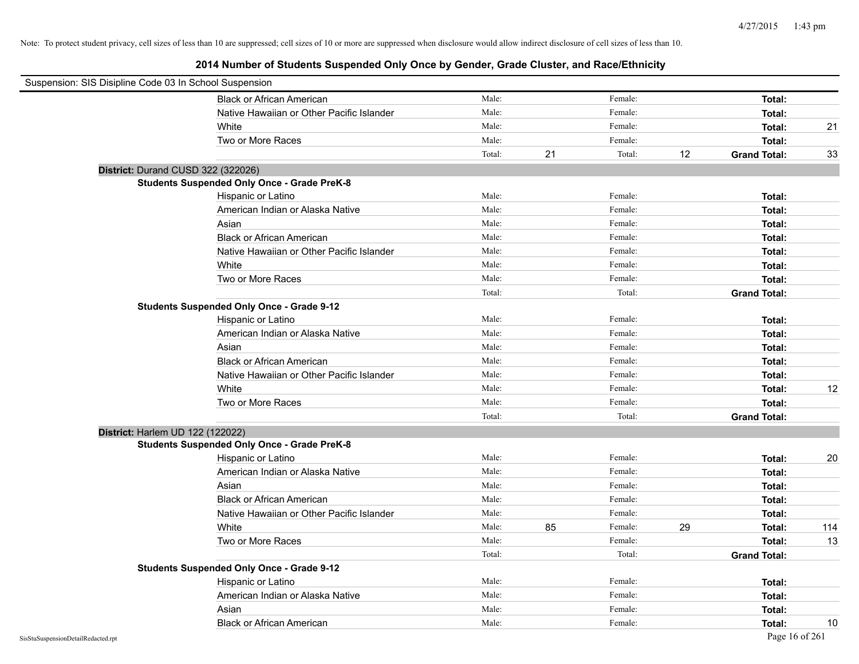| Suspension: SIS Disipline Code 03 In School Suspension |                                                    |        |    |         |    |                     |     |
|--------------------------------------------------------|----------------------------------------------------|--------|----|---------|----|---------------------|-----|
|                                                        | <b>Black or African American</b>                   | Male:  |    | Female: |    | Total:              |     |
|                                                        | Native Hawaiian or Other Pacific Islander          | Male:  |    | Female: |    | Total:              |     |
|                                                        | White                                              | Male:  |    | Female: |    | Total:              | 21  |
|                                                        | Two or More Races                                  | Male:  |    | Female: |    | Total:              |     |
|                                                        |                                                    | Total: | 21 | Total:  | 12 | <b>Grand Total:</b> | 33  |
| District: Durand CUSD 322 (322026)                     |                                                    |        |    |         |    |                     |     |
|                                                        | <b>Students Suspended Only Once - Grade PreK-8</b> |        |    |         |    |                     |     |
|                                                        | Hispanic or Latino                                 | Male:  |    | Female: |    | Total:              |     |
|                                                        | American Indian or Alaska Native                   | Male:  |    | Female: |    | Total:              |     |
|                                                        | Asian                                              | Male:  |    | Female: |    | Total:              |     |
|                                                        | <b>Black or African American</b>                   | Male:  |    | Female: |    | Total:              |     |
|                                                        | Native Hawaiian or Other Pacific Islander          | Male:  |    | Female: |    | Total:              |     |
|                                                        | White                                              | Male:  |    | Female: |    | Total:              |     |
|                                                        | Two or More Races                                  | Male:  |    | Female: |    | Total:              |     |
|                                                        |                                                    | Total: |    | Total:  |    | <b>Grand Total:</b> |     |
|                                                        | <b>Students Suspended Only Once - Grade 9-12</b>   |        |    |         |    |                     |     |
|                                                        | Hispanic or Latino                                 | Male:  |    | Female: |    | Total:              |     |
|                                                        | American Indian or Alaska Native                   | Male:  |    | Female: |    | Total:              |     |
|                                                        | Asian                                              | Male:  |    | Female: |    | Total:              |     |
|                                                        | <b>Black or African American</b>                   | Male:  |    | Female: |    | Total:              |     |
|                                                        | Native Hawaiian or Other Pacific Islander          | Male:  |    | Female: |    | Total:              |     |
|                                                        | White                                              | Male:  |    | Female: |    | Total:              | 12  |
|                                                        | Two or More Races                                  | Male:  |    | Female: |    | Total:              |     |
|                                                        |                                                    | Total: |    | Total:  |    | <b>Grand Total:</b> |     |
| District: Harlem UD 122 (122022)                       |                                                    |        |    |         |    |                     |     |
|                                                        | <b>Students Suspended Only Once - Grade PreK-8</b> |        |    |         |    |                     |     |
|                                                        | Hispanic or Latino                                 | Male:  |    | Female: |    | Total:              | 20  |
|                                                        | American Indian or Alaska Native                   | Male:  |    | Female: |    | Total:              |     |
|                                                        | Asian                                              | Male:  |    | Female: |    | Total:              |     |
|                                                        | <b>Black or African American</b>                   | Male:  |    | Female: |    | Total:              |     |
|                                                        | Native Hawaiian or Other Pacific Islander          | Male:  |    | Female: |    | Total:              |     |
|                                                        | White                                              | Male:  | 85 | Female: | 29 | Total:              | 114 |
|                                                        | Two or More Races                                  | Male:  |    | Female: |    | Total:              | 13  |
|                                                        |                                                    | Total: |    | Total:  |    | <b>Grand Total:</b> |     |
|                                                        | <b>Students Suspended Only Once - Grade 9-12</b>   |        |    |         |    |                     |     |
|                                                        | Hispanic or Latino                                 | Male:  |    | Female: |    | Total:              |     |
|                                                        | American Indian or Alaska Native                   | Male:  |    | Female: |    | Total:              |     |
|                                                        | Asian                                              | Male:  |    | Female: |    | Total:              |     |
|                                                        | <b>Black or African American</b>                   | Male:  |    | Female: |    | Total:              | 10  |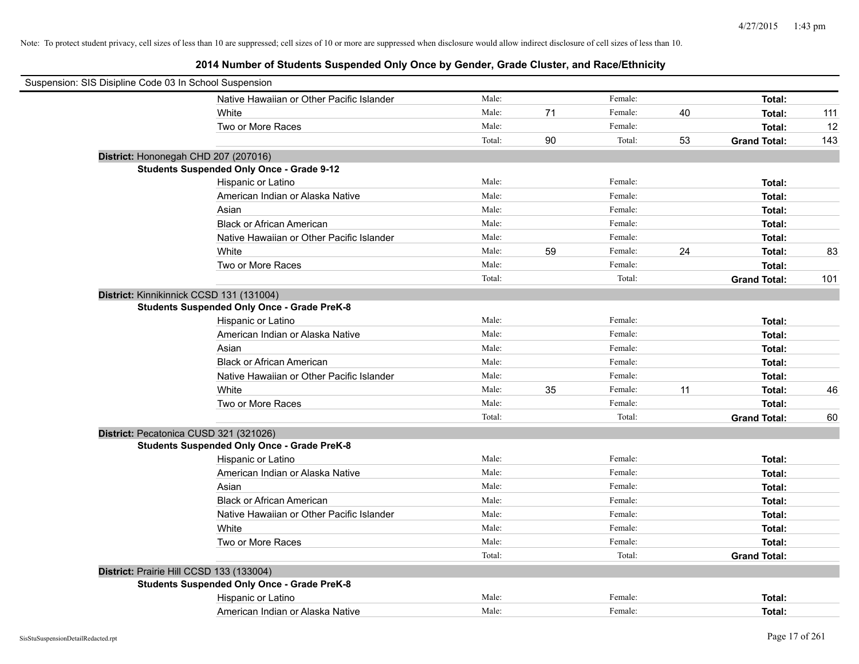| Suspension: SIS Disipline Code 03 In School Suspension |                                                    |        |    |         |    |                     |     |
|--------------------------------------------------------|----------------------------------------------------|--------|----|---------|----|---------------------|-----|
|                                                        | Native Hawaiian or Other Pacific Islander          | Male:  |    | Female: |    | Total:              |     |
|                                                        | White                                              | Male:  | 71 | Female: | 40 | Total:              | 111 |
|                                                        | Two or More Races                                  | Male:  |    | Female: |    | Total:              | 12  |
|                                                        |                                                    | Total: | 90 | Total:  | 53 | <b>Grand Total:</b> | 143 |
|                                                        | District: Hononegah CHD 207 (207016)               |        |    |         |    |                     |     |
|                                                        | <b>Students Suspended Only Once - Grade 9-12</b>   |        |    |         |    |                     |     |
|                                                        | Hispanic or Latino                                 | Male:  |    | Female: |    | Total:              |     |
|                                                        | American Indian or Alaska Native                   | Male:  |    | Female: |    | Total:              |     |
|                                                        | Asian                                              | Male:  |    | Female: |    | Total:              |     |
|                                                        | <b>Black or African American</b>                   | Male:  |    | Female: |    | Total:              |     |
|                                                        | Native Hawaiian or Other Pacific Islander          | Male:  |    | Female: |    | Total:              |     |
|                                                        | White                                              | Male:  | 59 | Female: | 24 | Total:              | 83  |
|                                                        | Two or More Races                                  | Male:  |    | Female: |    | Total:              |     |
|                                                        |                                                    | Total: |    | Total:  |    | <b>Grand Total:</b> | 101 |
|                                                        | District: Kinnikinnick CCSD 131 (131004)           |        |    |         |    |                     |     |
|                                                        | <b>Students Suspended Only Once - Grade PreK-8</b> |        |    |         |    |                     |     |
|                                                        | Hispanic or Latino                                 | Male:  |    | Female: |    | Total:              |     |
|                                                        | American Indian or Alaska Native                   | Male:  |    | Female: |    | Total:              |     |
|                                                        | Asian                                              | Male:  |    | Female: |    | Total:              |     |
|                                                        | <b>Black or African American</b>                   | Male:  |    | Female: |    | Total:              |     |
|                                                        | Native Hawaiian or Other Pacific Islander          | Male:  |    | Female: |    | Total:              |     |
|                                                        | White                                              | Male:  | 35 | Female: | 11 | Total:              | 46  |
|                                                        | Two or More Races                                  | Male:  |    | Female: |    | Total:              |     |
|                                                        |                                                    | Total: |    | Total:  |    | <b>Grand Total:</b> | 60  |
|                                                        | District: Pecatonica CUSD 321 (321026)             |        |    |         |    |                     |     |
|                                                        | <b>Students Suspended Only Once - Grade PreK-8</b> |        |    |         |    |                     |     |
|                                                        | Hispanic or Latino                                 | Male:  |    | Female: |    | Total:              |     |
|                                                        | American Indian or Alaska Native                   | Male:  |    | Female: |    | Total:              |     |
|                                                        | Asian                                              | Male:  |    | Female: |    | Total:              |     |
|                                                        | <b>Black or African American</b>                   | Male:  |    | Female: |    | Total:              |     |
|                                                        | Native Hawaiian or Other Pacific Islander          | Male:  |    | Female: |    | Total:              |     |
|                                                        | White                                              | Male:  |    | Female: |    | Total:              |     |
|                                                        | Two or More Races                                  | Male:  |    | Female: |    | Total:              |     |
|                                                        |                                                    | Total: |    | Total:  |    | <b>Grand Total:</b> |     |
|                                                        | District: Prairie Hill CCSD 133 (133004)           |        |    |         |    |                     |     |
|                                                        | <b>Students Suspended Only Once - Grade PreK-8</b> |        |    |         |    |                     |     |
|                                                        | Hispanic or Latino                                 | Male:  |    | Female: |    | Total:              |     |
|                                                        | American Indian or Alaska Native                   | Male:  |    | Female: |    | Total:              |     |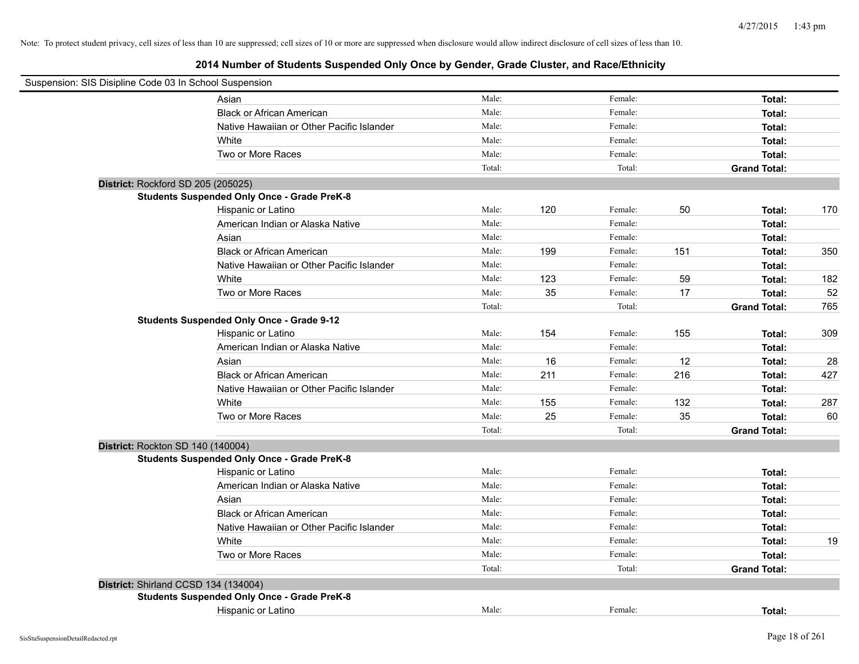| Suspension: SIS Disipline Code 03 In School Suspension |                                                    |        |     |         |     |                     |     |
|--------------------------------------------------------|----------------------------------------------------|--------|-----|---------|-----|---------------------|-----|
|                                                        | Asian                                              | Male:  |     | Female: |     | Total:              |     |
|                                                        | <b>Black or African American</b>                   | Male:  |     | Female: |     | Total:              |     |
|                                                        | Native Hawaiian or Other Pacific Islander          | Male:  |     | Female: |     | Total:              |     |
|                                                        | White                                              | Male:  |     | Female: |     | Total:              |     |
|                                                        | Two or More Races                                  | Male:  |     | Female: |     | Total:              |     |
|                                                        |                                                    | Total: |     | Total:  |     | <b>Grand Total:</b> |     |
| District: Rockford SD 205 (205025)                     |                                                    |        |     |         |     |                     |     |
|                                                        | <b>Students Suspended Only Once - Grade PreK-8</b> |        |     |         |     |                     |     |
|                                                        | Hispanic or Latino                                 | Male:  | 120 | Female: | 50  | Total:              | 170 |
|                                                        | American Indian or Alaska Native                   | Male:  |     | Female: |     | Total:              |     |
|                                                        | Asian                                              | Male:  |     | Female: |     | Total:              |     |
|                                                        | <b>Black or African American</b>                   | Male:  | 199 | Female: | 151 | Total:              | 350 |
|                                                        | Native Hawaiian or Other Pacific Islander          | Male:  |     | Female: |     | Total:              |     |
|                                                        | White                                              | Male:  | 123 | Female: | 59  | Total:              | 182 |
|                                                        | Two or More Races                                  | Male:  | 35  | Female: | 17  | Total:              | 52  |
|                                                        |                                                    | Total: |     | Total:  |     | <b>Grand Total:</b> | 765 |
|                                                        | <b>Students Suspended Only Once - Grade 9-12</b>   |        |     |         |     |                     |     |
|                                                        | Hispanic or Latino                                 | Male:  | 154 | Female: | 155 | Total:              | 309 |
|                                                        | American Indian or Alaska Native                   | Male:  |     | Female: |     | Total:              |     |
|                                                        | Asian                                              | Male:  | 16  | Female: | 12  | Total:              | 28  |
|                                                        | <b>Black or African American</b>                   | Male:  | 211 | Female: | 216 | Total:              | 427 |
|                                                        | Native Hawaiian or Other Pacific Islander          | Male:  |     | Female: |     | Total:              |     |
|                                                        | White                                              | Male:  | 155 | Female: | 132 | Total:              | 287 |
|                                                        | Two or More Races                                  | Male:  | 25  | Female: | 35  | Total:              | 60  |
|                                                        |                                                    | Total: |     | Total:  |     | <b>Grand Total:</b> |     |
| District: Rockton SD 140 (140004)                      |                                                    |        |     |         |     |                     |     |
|                                                        | <b>Students Suspended Only Once - Grade PreK-8</b> |        |     |         |     |                     |     |
|                                                        | Hispanic or Latino                                 | Male:  |     | Female: |     | Total:              |     |
|                                                        | American Indian or Alaska Native                   | Male:  |     | Female: |     | Total:              |     |
|                                                        | Asian                                              | Male:  |     | Female: |     | Total:              |     |
|                                                        | <b>Black or African American</b>                   | Male:  |     | Female: |     | Total:              |     |
|                                                        | Native Hawaiian or Other Pacific Islander          | Male:  |     | Female: |     | Total:              |     |
|                                                        | White                                              | Male:  |     | Female: |     | Total:              | 19  |
|                                                        | Two or More Races                                  | Male:  |     | Female: |     | Total:              |     |
|                                                        |                                                    | Total: |     | Total:  |     | <b>Grand Total:</b> |     |
|                                                        | District: Shirland CCSD 134 (134004)               |        |     |         |     |                     |     |
|                                                        | <b>Students Suspended Only Once - Grade PreK-8</b> |        |     |         |     |                     |     |
|                                                        | Hispanic or Latino                                 | Male:  |     | Female: |     | Total:              |     |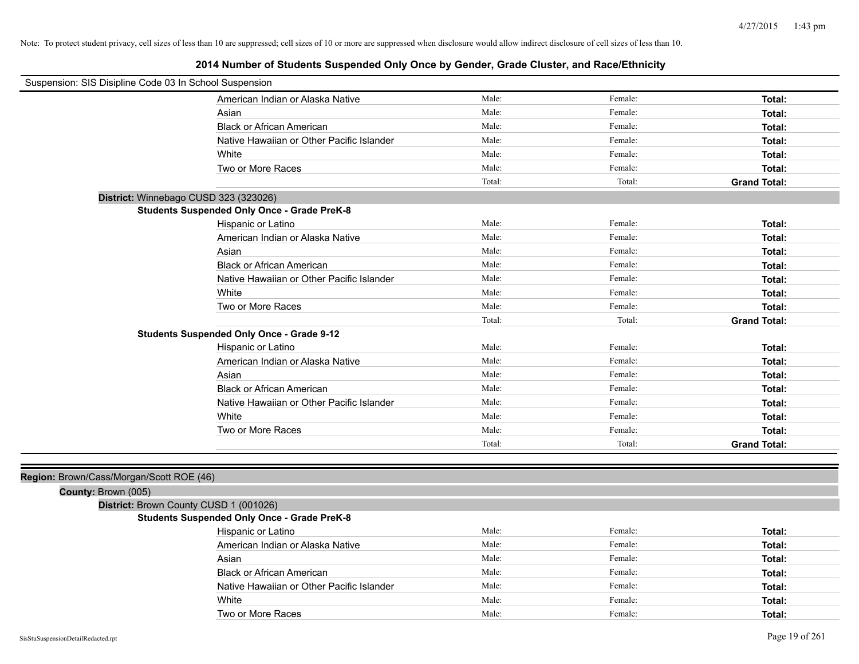# **2014 Number of Students Suspended Only Once by Gender, Grade Cluster, and Race/Ethnicity**

| Suspension: SIS Disipline Code 03 In School Suspension |                                                    |        |         |                     |
|--------------------------------------------------------|----------------------------------------------------|--------|---------|---------------------|
|                                                        | American Indian or Alaska Native                   | Male:  | Female: | Total:              |
|                                                        | Asian                                              | Male:  | Female: | Total:              |
|                                                        | <b>Black or African American</b>                   | Male:  | Female: | Total:              |
|                                                        | Native Hawaiian or Other Pacific Islander          | Male:  | Female: | Total:              |
|                                                        | White                                              | Male:  | Female: | Total:              |
|                                                        | Two or More Races                                  | Male:  | Female: | Total:              |
|                                                        |                                                    | Total: | Total:  | <b>Grand Total:</b> |
|                                                        | District: Winnebago CUSD 323 (323026)              |        |         |                     |
|                                                        | <b>Students Suspended Only Once - Grade PreK-8</b> |        |         |                     |
|                                                        | Hispanic or Latino                                 | Male:  | Female: | Total:              |
|                                                        | American Indian or Alaska Native                   | Male:  | Female: | Total:              |
|                                                        | Asian                                              | Male:  | Female: | Total:              |
|                                                        | <b>Black or African American</b>                   | Male:  | Female: | Total:              |
|                                                        | Native Hawaiian or Other Pacific Islander          | Male:  | Female: | Total:              |
|                                                        | White                                              | Male:  | Female: | Total:              |
|                                                        | Two or More Races                                  | Male:  | Female: | Total:              |
|                                                        |                                                    | Total: | Total:  | <b>Grand Total:</b> |
|                                                        | <b>Students Suspended Only Once - Grade 9-12</b>   |        |         |                     |
|                                                        | Hispanic or Latino                                 | Male:  | Female: | Total:              |
|                                                        | American Indian or Alaska Native                   | Male:  | Female: | Total:              |
|                                                        | Asian                                              | Male:  | Female: | Total:              |
|                                                        | <b>Black or African American</b>                   | Male:  | Female: | Total:              |
|                                                        | Native Hawaiian or Other Pacific Islander          | Male:  | Female: | Total:              |
|                                                        | White                                              | Male:  | Female: | Total:              |
|                                                        | Two or More Races                                  | Male:  | Female: | Total:              |
|                                                        |                                                    | Total: | Total:  | <b>Grand Total:</b> |
|                                                        |                                                    |        |         |                     |
| Region: Brown/Cass/Morgan/Scott ROE (46)               |                                                    |        |         |                     |
| County: Brown (005)                                    |                                                    |        |         |                     |
|                                                        | District: Brown County CUSD 1 (001026)             |        |         |                     |
|                                                        | <b>Students Suspended Only Once - Grade PreK-8</b> |        |         |                     |
|                                                        | Hispanic or Latino                                 | Male:  | Female: | Total:              |
|                                                        | American Indian or Alaska Native                   | Male:  | Female: | Total:              |
|                                                        | Asian                                              | Male:  | Female: | Total:              |
|                                                        | <b>Black or African American</b>                   | Male:  | Female: | Total:              |

Native Hawaiian or Other Pacific Islander Male: Male: Female: Female: **Total:** Total: White **Total:** Male: **Female:** Female: **Total:** Total: **Total:** Total: **Total:** Total: **Total:** Total: **Total:** Total: **Total:** Total: **Total:** Total: **Total:** Total: **Total:** Total: **Total:** Total: **Total:** Total: **Total:** Two or More Races **Total:** Total: Male: Female: Female: **Total:** Total: Total: Total: Total: Total: Total: Total: Total: Total: Total: Total: Total: Total: Total: Total: Total: Total: Total: Total: Total: Total: Total: Tot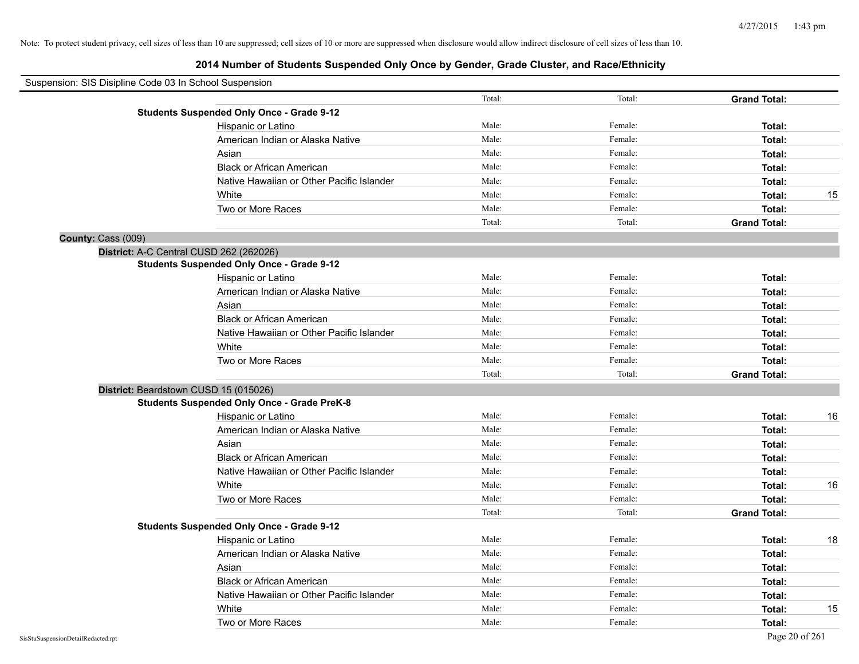| Suspension: SIS Disipline Code 03 In School Suspension |                                                    |        |         |                     |    |
|--------------------------------------------------------|----------------------------------------------------|--------|---------|---------------------|----|
|                                                        |                                                    | Total: | Total:  | <b>Grand Total:</b> |    |
|                                                        | <b>Students Suspended Only Once - Grade 9-12</b>   |        |         |                     |    |
|                                                        | Hispanic or Latino                                 | Male:  | Female: | Total:              |    |
|                                                        | American Indian or Alaska Native                   | Male:  | Female: | Total:              |    |
|                                                        | Asian                                              | Male:  | Female: | Total:              |    |
|                                                        | <b>Black or African American</b>                   | Male:  | Female: | Total:              |    |
|                                                        | Native Hawaiian or Other Pacific Islander          | Male:  | Female: | Total:              |    |
|                                                        | White                                              | Male:  | Female: | Total:              | 15 |
|                                                        | Two or More Races                                  | Male:  | Female: | Total:              |    |
|                                                        |                                                    | Total: | Total:  | <b>Grand Total:</b> |    |
| County: Cass (009)                                     |                                                    |        |         |                     |    |
|                                                        | District: A-C Central CUSD 262 (262026)            |        |         |                     |    |
|                                                        | <b>Students Suspended Only Once - Grade 9-12</b>   |        |         |                     |    |
|                                                        | Hispanic or Latino                                 | Male:  | Female: | Total:              |    |
|                                                        | American Indian or Alaska Native                   | Male:  | Female: | Total:              |    |
|                                                        | Asian                                              | Male:  | Female: | Total:              |    |
|                                                        | <b>Black or African American</b>                   | Male:  | Female: | Total:              |    |
|                                                        | Native Hawaiian or Other Pacific Islander          | Male:  | Female: | Total:              |    |
|                                                        | White                                              | Male:  | Female: | Total:              |    |
|                                                        | Two or More Races                                  | Male:  | Female: | Total:              |    |
|                                                        |                                                    | Total: | Total:  | <b>Grand Total:</b> |    |
|                                                        | District: Beardstown CUSD 15 (015026)              |        |         |                     |    |
|                                                        | <b>Students Suspended Only Once - Grade PreK-8</b> |        |         |                     |    |
|                                                        | Hispanic or Latino                                 | Male:  | Female: | Total:              | 16 |
|                                                        | American Indian or Alaska Native                   | Male:  | Female: | Total:              |    |
|                                                        | Asian                                              | Male:  | Female: | Total:              |    |
|                                                        | <b>Black or African American</b>                   | Male:  | Female: | Total:              |    |
|                                                        | Native Hawaiian or Other Pacific Islander          | Male:  | Female: | Total:              |    |
|                                                        | White                                              | Male:  | Female: | Total:              | 16 |
|                                                        | Two or More Races                                  | Male:  | Female: | Total:              |    |
|                                                        |                                                    | Total: | Total:  | <b>Grand Total:</b> |    |
|                                                        | <b>Students Suspended Only Once - Grade 9-12</b>   |        |         |                     |    |
|                                                        | Hispanic or Latino                                 | Male:  | Female: | Total:              | 18 |
|                                                        | American Indian or Alaska Native                   | Male:  | Female: | Total:              |    |
|                                                        | Asian                                              | Male:  | Female: | Total:              |    |
|                                                        | <b>Black or African American</b>                   | Male:  | Female: | Total:              |    |
|                                                        | Native Hawaiian or Other Pacific Islander          | Male:  | Female: | Total:              |    |
|                                                        | White                                              | Male:  | Female: | Total:              | 15 |
|                                                        | Two or More Races                                  | Male:  | Female: | Total:              |    |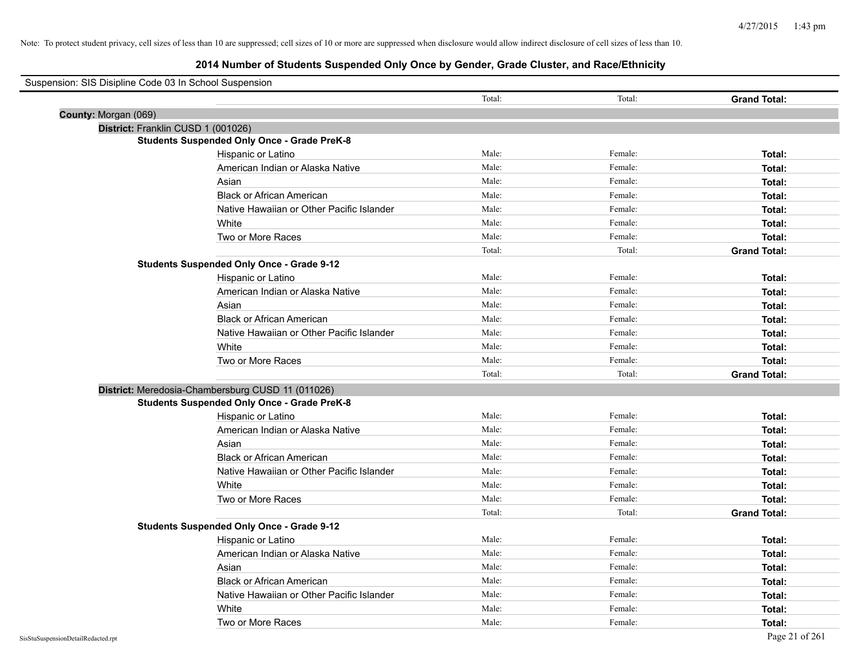| Suspension: SIS Disipline Code 03 In School Suspension |                                                    |        |         |                     |
|--------------------------------------------------------|----------------------------------------------------|--------|---------|---------------------|
|                                                        |                                                    | Total: | Total:  | <b>Grand Total:</b> |
| County: Morgan (069)                                   |                                                    |        |         |                     |
|                                                        | District: Franklin CUSD 1 (001026)                 |        |         |                     |
|                                                        | <b>Students Suspended Only Once - Grade PreK-8</b> |        |         |                     |
|                                                        | Hispanic or Latino                                 | Male:  | Female: | Total:              |
|                                                        | American Indian or Alaska Native                   | Male:  | Female: | Total:              |
|                                                        | Asian                                              | Male:  | Female: | Total:              |
|                                                        | <b>Black or African American</b>                   | Male:  | Female: | Total:              |
|                                                        | Native Hawaiian or Other Pacific Islander          | Male:  | Female: | Total:              |
|                                                        | White                                              | Male:  | Female: | Total:              |
|                                                        | Two or More Races                                  | Male:  | Female: | Total:              |
|                                                        |                                                    | Total: | Total:  | <b>Grand Total:</b> |
|                                                        | <b>Students Suspended Only Once - Grade 9-12</b>   |        |         |                     |
|                                                        | Hispanic or Latino                                 | Male:  | Female: | Total:              |
|                                                        | American Indian or Alaska Native                   | Male:  | Female: | Total:              |
|                                                        | Asian                                              | Male:  | Female: | Total:              |
|                                                        | <b>Black or African American</b>                   | Male:  | Female: | Total:              |
|                                                        | Native Hawaiian or Other Pacific Islander          | Male:  | Female: | Total:              |
|                                                        | White                                              | Male:  | Female: | Total:              |
|                                                        | Two or More Races                                  | Male:  | Female: | Total:              |
|                                                        |                                                    | Total: | Total:  | <b>Grand Total:</b> |
|                                                        | District: Meredosia-Chambersburg CUSD 11 (011026)  |        |         |                     |
|                                                        | <b>Students Suspended Only Once - Grade PreK-8</b> |        |         |                     |
|                                                        | Hispanic or Latino                                 | Male:  | Female: | Total:              |
|                                                        | American Indian or Alaska Native                   | Male:  | Female: | Total:              |
|                                                        | Asian                                              | Male:  | Female: | Total:              |
|                                                        | <b>Black or African American</b>                   | Male:  | Female: | Total:              |
|                                                        | Native Hawaiian or Other Pacific Islander          | Male:  | Female: | Total:              |
|                                                        | White                                              | Male:  | Female: | Total:              |
|                                                        | Two or More Races                                  | Male:  | Female: | Total:              |
|                                                        |                                                    | Total: | Total:  | <b>Grand Total:</b> |
|                                                        | <b>Students Suspended Only Once - Grade 9-12</b>   |        |         |                     |
|                                                        | Hispanic or Latino                                 | Male:  | Female: | Total:              |
|                                                        | American Indian or Alaska Native                   | Male:  | Female: | Total:              |
|                                                        | Asian                                              | Male:  | Female: | Total:              |
|                                                        | <b>Black or African American</b>                   | Male:  | Female: | Total:              |
|                                                        | Native Hawaiian or Other Pacific Islander          | Male:  | Female: | Total:              |
|                                                        | White                                              | Male:  | Female: | Total:              |
|                                                        | Two or More Races                                  | Male:  | Female: | Total:              |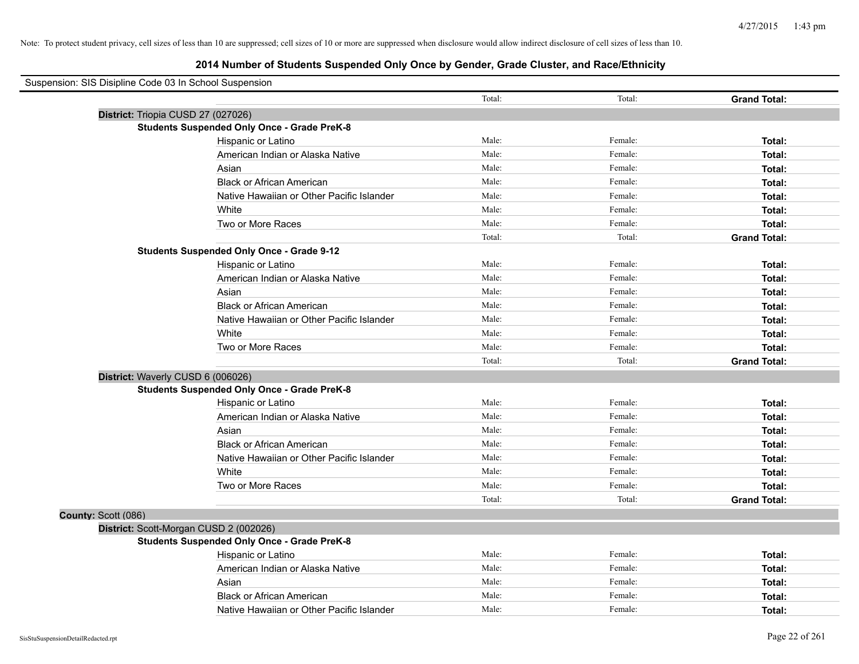| Suspension: SIS Disipline Code 03 In School Suspension |                                                    |        |         |                     |
|--------------------------------------------------------|----------------------------------------------------|--------|---------|---------------------|
|                                                        |                                                    | Total: | Total:  | <b>Grand Total:</b> |
| District: Triopia CUSD 27 (027026)                     |                                                    |        |         |                     |
|                                                        | <b>Students Suspended Only Once - Grade PreK-8</b> |        |         |                     |
|                                                        | Hispanic or Latino                                 | Male:  | Female: | Total:              |
|                                                        | American Indian or Alaska Native                   | Male:  | Female: | Total:              |
|                                                        | Asian                                              | Male:  | Female: | Total:              |
|                                                        | <b>Black or African American</b>                   | Male:  | Female: | Total:              |
|                                                        | Native Hawaiian or Other Pacific Islander          | Male:  | Female: | Total:              |
|                                                        | White                                              | Male:  | Female: | Total:              |
|                                                        | Two or More Races                                  | Male:  | Female: | Total:              |
|                                                        |                                                    | Total: | Total:  | <b>Grand Total:</b> |
|                                                        | <b>Students Suspended Only Once - Grade 9-12</b>   |        |         |                     |
|                                                        | Hispanic or Latino                                 | Male:  | Female: | Total:              |
|                                                        | American Indian or Alaska Native                   | Male:  | Female: | Total:              |
|                                                        | Asian                                              | Male:  | Female: | Total:              |
|                                                        | <b>Black or African American</b>                   | Male:  | Female: | Total:              |
|                                                        | Native Hawaiian or Other Pacific Islander          | Male:  | Female: | Total:              |
|                                                        | White                                              | Male:  | Female: | Total:              |
|                                                        | Two or More Races                                  | Male:  | Female: | Total:              |
|                                                        |                                                    | Total: | Total:  | <b>Grand Total:</b> |
| District: Waverly CUSD 6 (006026)                      |                                                    |        |         |                     |
|                                                        | <b>Students Suspended Only Once - Grade PreK-8</b> |        |         |                     |
|                                                        | Hispanic or Latino                                 | Male:  | Female: | Total:              |
|                                                        | American Indian or Alaska Native                   | Male:  | Female: | Total:              |
|                                                        | Asian                                              | Male:  | Female: | Total:              |
|                                                        | <b>Black or African American</b>                   | Male:  | Female: | Total:              |
|                                                        | Native Hawaiian or Other Pacific Islander          | Male:  | Female: | Total:              |
|                                                        | White                                              | Male:  | Female: | Total:              |
|                                                        | Two or More Races                                  | Male:  | Female: | Total:              |
|                                                        |                                                    | Total: | Total:  | <b>Grand Total:</b> |
| County: Scott (086)                                    |                                                    |        |         |                     |
|                                                        | District: Scott-Morgan CUSD 2 (002026)             |        |         |                     |
|                                                        | <b>Students Suspended Only Once - Grade PreK-8</b> |        |         |                     |
|                                                        | Hispanic or Latino                                 | Male:  | Female: | Total:              |
|                                                        | American Indian or Alaska Native                   | Male:  | Female: | Total:              |
|                                                        | Asian                                              | Male:  | Female: | Total:              |
|                                                        | <b>Black or African American</b>                   | Male:  | Female: | Total:              |
|                                                        | Native Hawaiian or Other Pacific Islander          | Male:  | Female: | Total:              |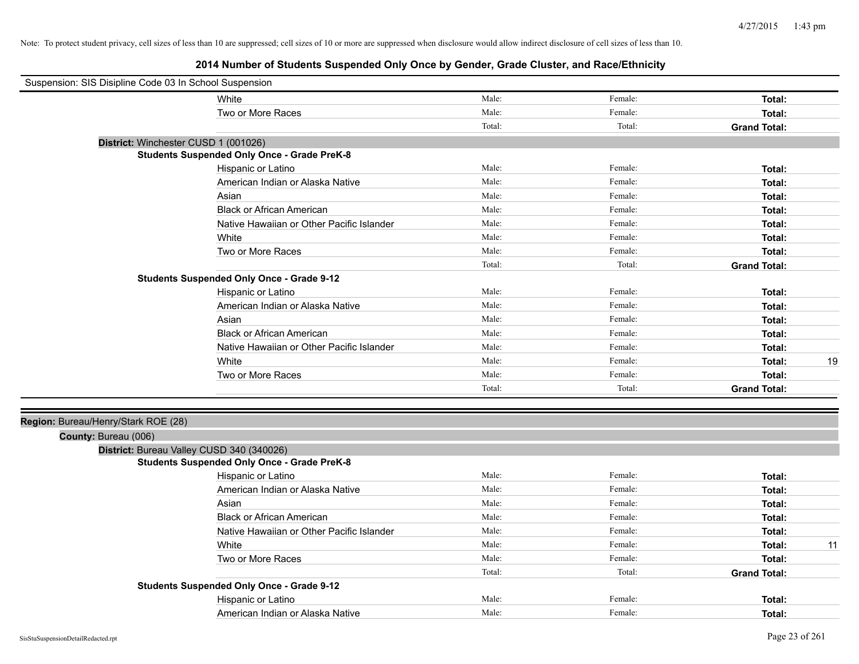| Suspension: SIS Disipline Code 03 In School Suspension |                                                    |        |         |                     |    |
|--------------------------------------------------------|----------------------------------------------------|--------|---------|---------------------|----|
|                                                        | White                                              | Male:  | Female: | Total:              |    |
|                                                        | Two or More Races                                  | Male:  | Female: | Total:              |    |
|                                                        |                                                    | Total: | Total:  | <b>Grand Total:</b> |    |
| District: Winchester CUSD 1 (001026)                   |                                                    |        |         |                     |    |
|                                                        | <b>Students Suspended Only Once - Grade PreK-8</b> |        |         |                     |    |
|                                                        | Hispanic or Latino                                 | Male:  | Female: | Total:              |    |
|                                                        | American Indian or Alaska Native                   | Male:  | Female: | Total:              |    |
|                                                        | Asian                                              | Male:  | Female: | Total:              |    |
|                                                        | <b>Black or African American</b>                   | Male:  | Female: | Total:              |    |
|                                                        | Native Hawaiian or Other Pacific Islander          | Male:  | Female: | Total:              |    |
|                                                        | White                                              | Male:  | Female: | Total:              |    |
|                                                        | Two or More Races                                  | Male:  | Female: | Total:              |    |
|                                                        |                                                    | Total: | Total:  | <b>Grand Total:</b> |    |
|                                                        | <b>Students Suspended Only Once - Grade 9-12</b>   |        |         |                     |    |
|                                                        | Hispanic or Latino                                 | Male:  | Female: | Total:              |    |
|                                                        | American Indian or Alaska Native                   | Male:  | Female: | Total:              |    |
|                                                        | Asian                                              | Male:  | Female: | Total:              |    |
|                                                        | <b>Black or African American</b>                   | Male:  | Female: | Total:              |    |
|                                                        | Native Hawaiian or Other Pacific Islander          | Male:  | Female: | Total:              |    |
|                                                        | White                                              | Male:  | Female: | Total:              | 19 |
|                                                        | Two or More Races                                  | Male:  | Female: | Total:              |    |
|                                                        |                                                    | Total: | Total:  | <b>Grand Total:</b> |    |
|                                                        |                                                    |        |         |                     |    |
| Region: Bureau/Henry/Stark ROE (28)                    |                                                    |        |         |                     |    |
| County: Bureau (006)                                   |                                                    |        |         |                     |    |
|                                                        | District: Bureau Valley CUSD 340 (340026)          |        |         |                     |    |
|                                                        | <b>Students Suspended Only Once - Grade PreK-8</b> |        |         |                     |    |
|                                                        | Hispanic or Latino                                 | Male:  | Female: | Total:              |    |
|                                                        | American Indian or Alaska Native                   | Male:  | Female: | Total:              |    |
|                                                        | Asian                                              | Male:  | Female: | Total:              |    |
|                                                        | <b>Black or African American</b>                   | Male:  | Female: | Total:              |    |
|                                                        | Native Hawaiian or Other Pacific Islander          | Male:  | Female: | Total:              |    |
|                                                        | White                                              | Male:  | Female: | Total:              | 11 |
|                                                        | Two or More Races                                  | Male:  | Female: | Total:              |    |
|                                                        |                                                    | Total: | Total:  | <b>Grand Total:</b> |    |
|                                                        | <b>Students Suspended Only Once - Grade 9-12</b>   |        |         |                     |    |
|                                                        | Hispanic or Latino                                 | Male:  | Female: | Total:              |    |
|                                                        | American Indian or Alaska Native                   | Male:  | Female: | Total:              |    |
|                                                        |                                                    |        |         |                     |    |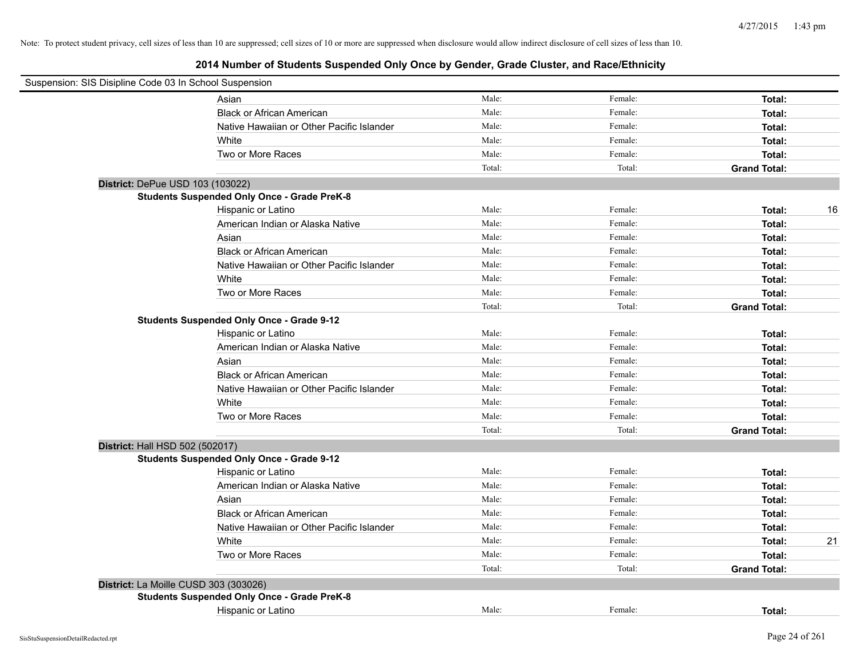| Suspension: SIS Disipline Code 03 In School Suspension |                                                    |        |         |                     |    |
|--------------------------------------------------------|----------------------------------------------------|--------|---------|---------------------|----|
|                                                        | Asian                                              | Male:  | Female: | Total:              |    |
|                                                        | <b>Black or African American</b>                   | Male:  | Female: | Total:              |    |
|                                                        | Native Hawaiian or Other Pacific Islander          | Male:  | Female: | Total:              |    |
|                                                        | White                                              | Male:  | Female: | Total:              |    |
|                                                        | Two or More Races                                  | Male:  | Female: | Total:              |    |
|                                                        |                                                    | Total: | Total:  | <b>Grand Total:</b> |    |
| District: DePue USD 103 (103022)                       |                                                    |        |         |                     |    |
|                                                        | <b>Students Suspended Only Once - Grade PreK-8</b> |        |         |                     |    |
|                                                        | Hispanic or Latino                                 | Male:  | Female: | Total:              | 16 |
|                                                        | American Indian or Alaska Native                   | Male:  | Female: | Total:              |    |
|                                                        | Asian                                              | Male:  | Female: | Total:              |    |
|                                                        | <b>Black or African American</b>                   | Male:  | Female: | Total:              |    |
|                                                        | Native Hawaiian or Other Pacific Islander          | Male:  | Female: | Total:              |    |
|                                                        | White                                              | Male:  | Female: | Total:              |    |
|                                                        | Two or More Races                                  | Male:  | Female: | Total:              |    |
|                                                        |                                                    | Total: | Total:  | <b>Grand Total:</b> |    |
|                                                        | <b>Students Suspended Only Once - Grade 9-12</b>   |        |         |                     |    |
|                                                        | Hispanic or Latino                                 | Male:  | Female: | Total:              |    |
|                                                        | American Indian or Alaska Native                   | Male:  | Female: | Total:              |    |
|                                                        | Asian                                              | Male:  | Female: | Total:              |    |
|                                                        | <b>Black or African American</b>                   | Male:  | Female: | Total:              |    |
|                                                        | Native Hawaiian or Other Pacific Islander          | Male:  | Female: | Total:              |    |
|                                                        | White                                              | Male:  | Female: | Total:              |    |
|                                                        | Two or More Races                                  | Male:  | Female: | Total:              |    |
|                                                        |                                                    | Total: | Total:  | <b>Grand Total:</b> |    |
| District: Hall HSD 502 (502017)                        |                                                    |        |         |                     |    |
|                                                        | <b>Students Suspended Only Once - Grade 9-12</b>   |        |         |                     |    |
|                                                        | Hispanic or Latino                                 | Male:  | Female: | Total:              |    |
|                                                        | American Indian or Alaska Native                   | Male:  | Female: | Total:              |    |
|                                                        | Asian                                              | Male:  | Female: | Total:              |    |
|                                                        | <b>Black or African American</b>                   | Male:  | Female: | Total:              |    |
|                                                        | Native Hawaiian or Other Pacific Islander          | Male:  | Female: | Total:              |    |
|                                                        | White                                              | Male:  | Female: | Total:              | 21 |
|                                                        | Two or More Races                                  | Male:  | Female: | Total:              |    |
|                                                        |                                                    | Total: | Total:  | <b>Grand Total:</b> |    |
| District: La Moille CUSD 303 (303026)                  |                                                    |        |         |                     |    |
|                                                        | <b>Students Suspended Only Once - Grade PreK-8</b> |        |         |                     |    |
|                                                        | Hispanic or Latino                                 | Male:  | Female: | Total:              |    |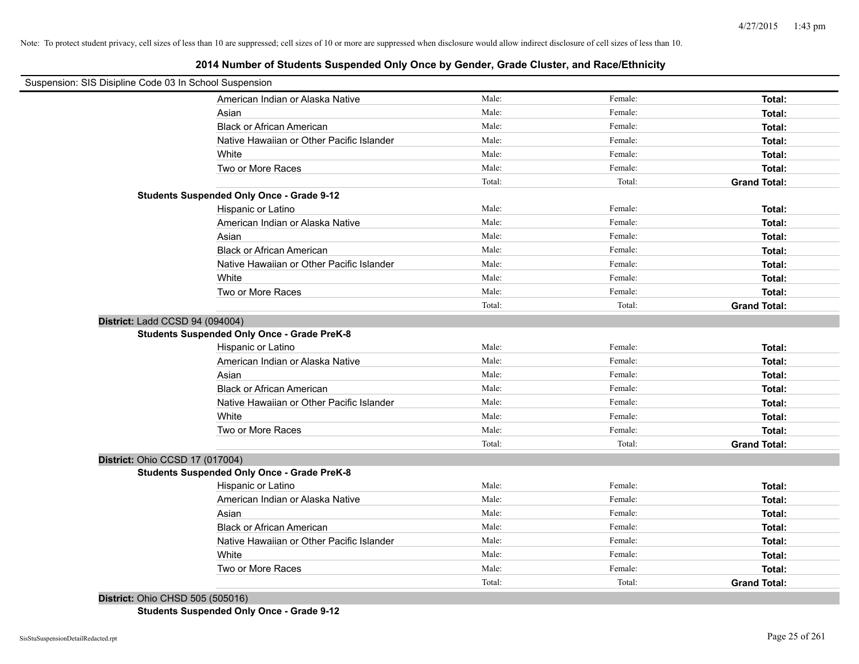# **2014 Number of Students Suspended Only Once by Gender, Grade Cluster, and Race/Ethnicity**

| Suspension: SIS Disipline Code 03 In School Suspension |                                                    |        |         |                     |
|--------------------------------------------------------|----------------------------------------------------|--------|---------|---------------------|
|                                                        | American Indian or Alaska Native                   | Male:  | Female: | Total:              |
|                                                        | Asian                                              | Male:  | Female: | Total:              |
|                                                        | <b>Black or African American</b>                   | Male:  | Female: | Total:              |
|                                                        | Native Hawaiian or Other Pacific Islander          | Male:  | Female: | Total:              |
|                                                        | White                                              | Male:  | Female: | Total:              |
|                                                        | Two or More Races                                  | Male:  | Female: | Total:              |
|                                                        |                                                    | Total: | Total:  | <b>Grand Total:</b> |
|                                                        | <b>Students Suspended Only Once - Grade 9-12</b>   |        |         |                     |
|                                                        | Hispanic or Latino                                 | Male:  | Female: | Total:              |
|                                                        | American Indian or Alaska Native                   | Male:  | Female: | Total:              |
|                                                        | Asian                                              | Male:  | Female: | Total:              |
|                                                        | <b>Black or African American</b>                   | Male:  | Female: | Total:              |
|                                                        | Native Hawaiian or Other Pacific Islander          | Male:  | Female: | Total:              |
|                                                        | White                                              | Male:  | Female: | Total:              |
|                                                        | Two or More Races                                  | Male:  | Female: | Total:              |
|                                                        |                                                    | Total: | Total:  | <b>Grand Total:</b> |
| District: Ladd CCSD 94 (094004)                        |                                                    |        |         |                     |
|                                                        | <b>Students Suspended Only Once - Grade PreK-8</b> |        |         |                     |
|                                                        | Hispanic or Latino                                 | Male:  | Female: | Total:              |
|                                                        | American Indian or Alaska Native                   | Male:  | Female: | Total:              |
|                                                        | Asian                                              | Male:  | Female: | Total:              |
|                                                        | <b>Black or African American</b>                   | Male:  | Female: | Total:              |
|                                                        | Native Hawaiian or Other Pacific Islander          | Male:  | Female: | Total:              |
|                                                        | White                                              | Male:  | Female: | Total:              |
|                                                        | Two or More Races                                  | Male:  | Female: | Total:              |
|                                                        |                                                    | Total: | Total:  | <b>Grand Total:</b> |
| District: Ohio CCSD 17 (017004)                        |                                                    |        |         |                     |
|                                                        | <b>Students Suspended Only Once - Grade PreK-8</b> |        |         |                     |
|                                                        | Hispanic or Latino                                 | Male:  | Female: | Total:              |
|                                                        | American Indian or Alaska Native                   | Male:  | Female: | Total:              |
|                                                        | Asian                                              | Male:  | Female: | Total:              |
|                                                        | <b>Black or African American</b>                   | Male:  | Female: | Total:              |
|                                                        | Native Hawaiian or Other Pacific Islander          | Male:  | Female: | Total:              |
|                                                        | White                                              | Male:  | Female: | Total:              |
|                                                        | Two or More Races                                  | Male:  | Female: | Total:              |
|                                                        |                                                    | Total: | Total:  | <b>Grand Total:</b> |

**District:** Ohio CHSD 505 (505016) **Students Suspended Only Once - Grade 9-12**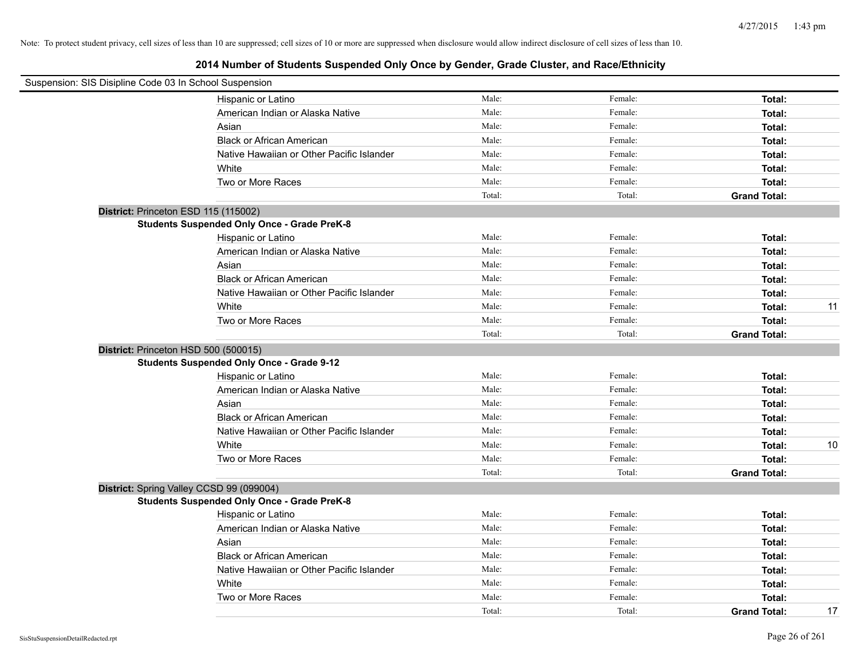| Suspension: SIS Disipline Code 03 In School Suspension |                                           |        |         |                     |    |
|--------------------------------------------------------|-------------------------------------------|--------|---------|---------------------|----|
| Hispanic or Latino                                     |                                           | Male:  | Female: | Total:              |    |
|                                                        | American Indian or Alaska Native          | Male:  | Female: | Total:              |    |
| Asian                                                  |                                           | Male:  | Female: | Total:              |    |
| <b>Black or African American</b>                       |                                           | Male:  | Female: | Total:              |    |
|                                                        | Native Hawaiian or Other Pacific Islander | Male:  | Female: | Total:              |    |
| White                                                  |                                           | Male:  | Female: | Total:              |    |
| Two or More Races                                      |                                           | Male:  | Female: | Total:              |    |
|                                                        |                                           | Total: | Total:  | <b>Grand Total:</b> |    |
| District: Princeton ESD 115 (115002)                   |                                           |        |         |                     |    |
| <b>Students Suspended Only Once - Grade PreK-8</b>     |                                           |        |         |                     |    |
| Hispanic or Latino                                     |                                           | Male:  | Female: | Total:              |    |
|                                                        | American Indian or Alaska Native          | Male:  | Female: | Total:              |    |
| Asian                                                  |                                           | Male:  | Female: | Total:              |    |
| <b>Black or African American</b>                       |                                           | Male:  | Female: | Total:              |    |
|                                                        | Native Hawaiian or Other Pacific Islander | Male:  | Female: | Total:              |    |
| White                                                  |                                           | Male:  | Female: | Total:              | 11 |
| Two or More Races                                      |                                           | Male:  | Female: | Total:              |    |
|                                                        |                                           | Total: | Total:  | <b>Grand Total:</b> |    |
| District: Princeton HSD 500 (500015)                   |                                           |        |         |                     |    |
| <b>Students Suspended Only Once - Grade 9-12</b>       |                                           |        |         |                     |    |
| Hispanic or Latino                                     |                                           | Male:  | Female: | Total:              |    |
|                                                        | American Indian or Alaska Native          | Male:  | Female: | Total:              |    |
| Asian                                                  |                                           | Male:  | Female: | Total:              |    |
| <b>Black or African American</b>                       |                                           | Male:  | Female: | Total:              |    |
|                                                        | Native Hawaiian or Other Pacific Islander | Male:  | Female: | Total:              |    |
| White                                                  |                                           | Male:  | Female: | Total:              | 10 |
| Two or More Races                                      |                                           | Male:  | Female: | Total:              |    |
|                                                        |                                           | Total: | Total:  | <b>Grand Total:</b> |    |
| District: Spring Valley CCSD 99 (099004)               |                                           |        |         |                     |    |
| <b>Students Suspended Only Once - Grade PreK-8</b>     |                                           |        |         |                     |    |
| Hispanic or Latino                                     |                                           | Male:  | Female: | Total:              |    |
|                                                        | American Indian or Alaska Native          | Male:  | Female: | Total:              |    |
| Asian                                                  |                                           | Male:  | Female: | Total:              |    |
| <b>Black or African American</b>                       |                                           | Male:  | Female: | Total:              |    |
|                                                        | Native Hawaiian or Other Pacific Islander | Male:  | Female: | Total:              |    |
| White                                                  |                                           | Male:  | Female: | Total:              |    |
| Two or More Races                                      |                                           | Male:  | Female: | Total:              |    |
|                                                        |                                           | Total: | Total:  | <b>Grand Total:</b> | 17 |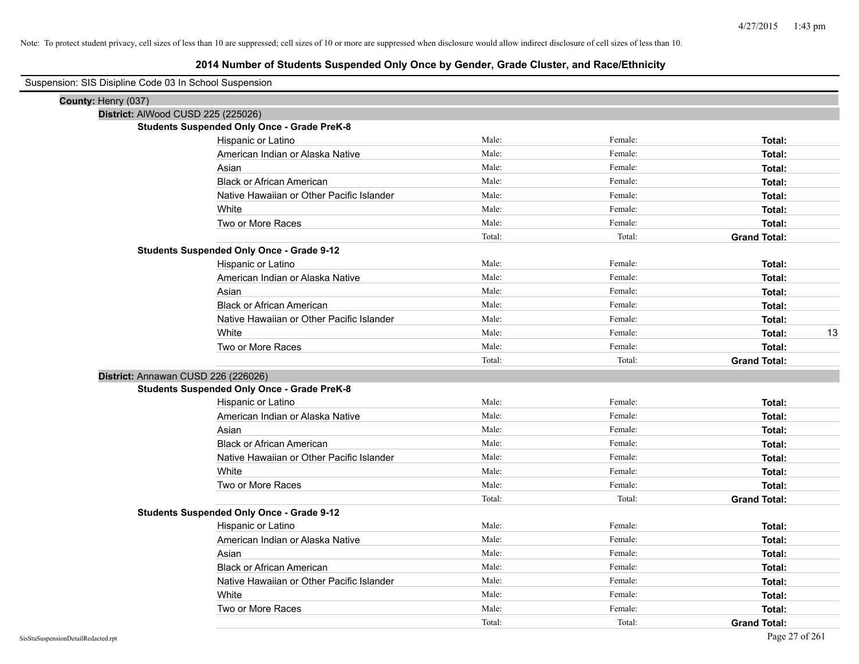| Suspension: SIS Disipline Code 03 In School Suspension |                                                    |        |         |                     |
|--------------------------------------------------------|----------------------------------------------------|--------|---------|---------------------|
| County: Henry (037)                                    |                                                    |        |         |                     |
| District: AlWood CUSD 225 (225026)                     |                                                    |        |         |                     |
|                                                        | <b>Students Suspended Only Once - Grade PreK-8</b> |        |         |                     |
|                                                        | Hispanic or Latino                                 | Male:  | Female: | Total:              |
|                                                        | American Indian or Alaska Native                   | Male:  | Female: | Total:              |
|                                                        | Asian                                              | Male:  | Female: | Total:              |
|                                                        | <b>Black or African American</b>                   | Male:  | Female: | Total:              |
|                                                        | Native Hawaiian or Other Pacific Islander          | Male:  | Female: | Total:              |
|                                                        | White                                              | Male:  | Female: | Total:              |
|                                                        | Two or More Races                                  | Male:  | Female: | Total:              |
|                                                        |                                                    | Total: | Total:  | <b>Grand Total:</b> |
|                                                        | <b>Students Suspended Only Once - Grade 9-12</b>   |        |         |                     |
|                                                        | Hispanic or Latino                                 | Male:  | Female: | Total:              |
|                                                        | American Indian or Alaska Native                   | Male:  | Female: | Total:              |
|                                                        | Asian                                              | Male:  | Female: | Total:              |
|                                                        | <b>Black or African American</b>                   | Male:  | Female: | Total:              |
|                                                        | Native Hawaiian or Other Pacific Islander          | Male:  | Female: | Total:              |
|                                                        | White                                              | Male:  | Female: | Total:<br>13        |
|                                                        | Two or More Races                                  | Male:  | Female: | Total:              |
|                                                        |                                                    | Total: | Total:  | <b>Grand Total:</b> |
| District: Annawan CUSD 226 (226026)                    |                                                    |        |         |                     |
|                                                        | <b>Students Suspended Only Once - Grade PreK-8</b> |        |         |                     |
|                                                        | Hispanic or Latino                                 | Male:  | Female: | Total:              |
|                                                        | American Indian or Alaska Native                   | Male:  | Female: | Total:              |
|                                                        | Asian                                              | Male:  | Female: | Total:              |
|                                                        | <b>Black or African American</b>                   | Male:  | Female: | Total:              |
|                                                        | Native Hawaiian or Other Pacific Islander          | Male:  | Female: | Total:              |
|                                                        | White                                              | Male:  | Female: | Total:              |
|                                                        | Two or More Races                                  | Male:  | Female: | Total:              |
|                                                        |                                                    | Total: | Total:  | <b>Grand Total:</b> |
|                                                        | <b>Students Suspended Only Once - Grade 9-12</b>   |        |         |                     |
|                                                        | Hispanic or Latino                                 | Male:  | Female: | Total:              |
|                                                        | American Indian or Alaska Native                   | Male:  | Female: | Total:              |
|                                                        | Asian                                              | Male:  | Female: | Total:              |
|                                                        | <b>Black or African American</b>                   | Male:  | Female: | Total:              |
|                                                        | Native Hawaiian or Other Pacific Islander          | Male:  | Female: | Total:              |
|                                                        | White                                              | Male:  | Female: | Total:              |
|                                                        | Two or More Races                                  | Male:  | Female: | Total:              |
|                                                        |                                                    | Total: | Total:  | <b>Grand Total:</b> |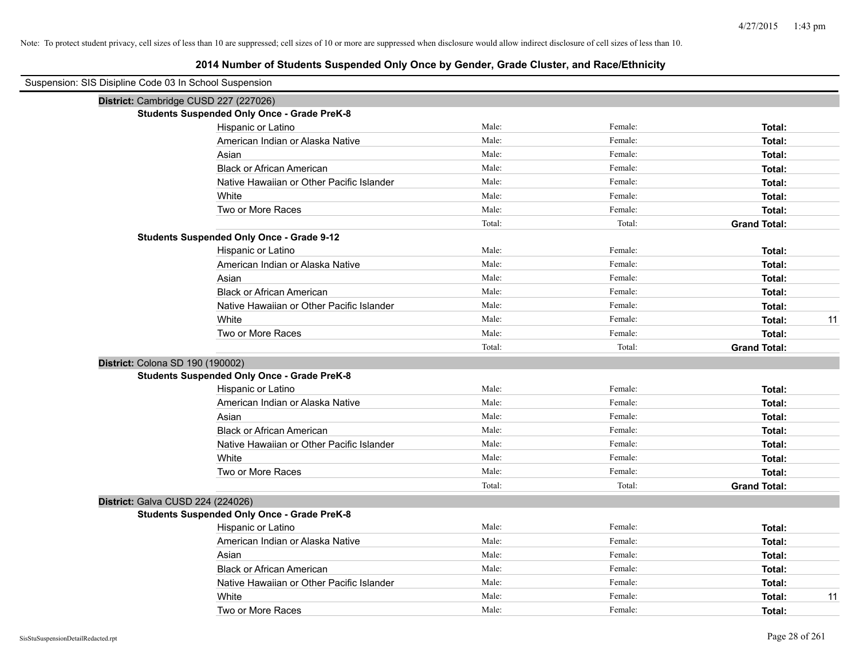| Suspension: SIS Disipline Code 03 In School Suspension |                                                    |        |         |                     |
|--------------------------------------------------------|----------------------------------------------------|--------|---------|---------------------|
|                                                        | District: Cambridge CUSD 227 (227026)              |        |         |                     |
|                                                        | <b>Students Suspended Only Once - Grade PreK-8</b> |        |         |                     |
|                                                        | Hispanic or Latino                                 | Male:  | Female: | Total:              |
|                                                        | American Indian or Alaska Native                   | Male:  | Female: | Total:              |
|                                                        | Asian                                              | Male:  | Female: | Total:              |
|                                                        | <b>Black or African American</b>                   | Male:  | Female: | Total:              |
|                                                        | Native Hawaiian or Other Pacific Islander          | Male:  | Female: | Total:              |
|                                                        | White                                              | Male:  | Female: | Total:              |
|                                                        | Two or More Races                                  | Male:  | Female: | Total:              |
|                                                        |                                                    | Total: | Total:  | <b>Grand Total:</b> |
|                                                        | <b>Students Suspended Only Once - Grade 9-12</b>   |        |         |                     |
|                                                        | Hispanic or Latino                                 | Male:  | Female: | Total:              |
|                                                        | American Indian or Alaska Native                   | Male:  | Female: | Total:              |
|                                                        | Asian                                              | Male:  | Female: | Total:              |
|                                                        | <b>Black or African American</b>                   | Male:  | Female: | Total:              |
|                                                        | Native Hawaiian or Other Pacific Islander          | Male:  | Female: | Total:              |
|                                                        | White                                              | Male:  | Female: | 11<br>Total:        |
|                                                        | Two or More Races                                  | Male:  | Female: | Total:              |
|                                                        |                                                    | Total: | Total:  | <b>Grand Total:</b> |
| District: Colona SD 190 (190002)                       |                                                    |        |         |                     |
|                                                        | <b>Students Suspended Only Once - Grade PreK-8</b> |        |         |                     |
|                                                        | Hispanic or Latino                                 | Male:  | Female: | Total:              |
|                                                        | American Indian or Alaska Native                   | Male:  | Female: | Total:              |
|                                                        | Asian                                              | Male:  | Female: | Total:              |
|                                                        | <b>Black or African American</b>                   | Male:  | Female: | Total:              |
|                                                        | Native Hawaiian or Other Pacific Islander          | Male:  | Female: | Total:              |
|                                                        | White                                              | Male:  | Female: | Total:              |
|                                                        | Two or More Races                                  | Male:  | Female: | Total:              |
|                                                        |                                                    | Total: | Total:  | <b>Grand Total:</b> |
|                                                        | District: Galva CUSD 224 (224026)                  |        |         |                     |
|                                                        | <b>Students Suspended Only Once - Grade PreK-8</b> |        |         |                     |
|                                                        | Hispanic or Latino                                 | Male:  | Female: | Total:              |
|                                                        | American Indian or Alaska Native                   | Male:  | Female: | Total:              |
|                                                        | Asian                                              | Male:  | Female: | Total:              |
|                                                        | <b>Black or African American</b>                   | Male:  | Female: | Total:              |
|                                                        | Native Hawaiian or Other Pacific Islander          | Male:  | Female: | Total:              |
|                                                        | White                                              | Male:  | Female: | Total:<br>11        |
|                                                        | Two or More Races                                  | Male:  | Female: | Total:              |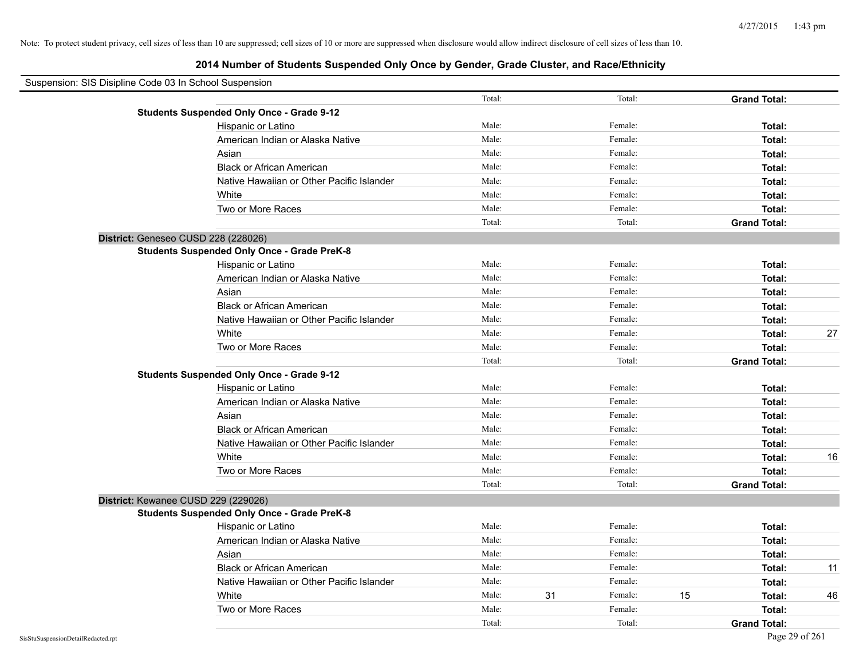| Suspension: SIS Disipline Code 03 In School Suspension |                                                    |        |    |         |    |                     |    |
|--------------------------------------------------------|----------------------------------------------------|--------|----|---------|----|---------------------|----|
|                                                        |                                                    | Total: |    | Total:  |    | <b>Grand Total:</b> |    |
|                                                        | <b>Students Suspended Only Once - Grade 9-12</b>   |        |    |         |    |                     |    |
|                                                        | Hispanic or Latino                                 | Male:  |    | Female: |    | Total:              |    |
|                                                        | American Indian or Alaska Native                   | Male:  |    | Female: |    | Total:              |    |
|                                                        | Asian                                              | Male:  |    | Female: |    | Total:              |    |
|                                                        | <b>Black or African American</b>                   | Male:  |    | Female: |    | Total:              |    |
|                                                        | Native Hawaiian or Other Pacific Islander          | Male:  |    | Female: |    | Total:              |    |
|                                                        | White                                              | Male:  |    | Female: |    | Total:              |    |
|                                                        | Two or More Races                                  | Male:  |    | Female: |    | Total:              |    |
|                                                        |                                                    | Total: |    | Total:  |    | <b>Grand Total:</b> |    |
|                                                        | District: Geneseo CUSD 228 (228026)                |        |    |         |    |                     |    |
|                                                        | <b>Students Suspended Only Once - Grade PreK-8</b> |        |    |         |    |                     |    |
|                                                        | Hispanic or Latino                                 | Male:  |    | Female: |    | Total:              |    |
|                                                        | American Indian or Alaska Native                   | Male:  |    | Female: |    | Total:              |    |
|                                                        | Asian                                              | Male:  |    | Female: |    | Total:              |    |
|                                                        | <b>Black or African American</b>                   | Male:  |    | Female: |    | Total:              |    |
|                                                        | Native Hawaiian or Other Pacific Islander          | Male:  |    | Female: |    | Total:              |    |
|                                                        | White                                              | Male:  |    | Female: |    | Total:              | 27 |
|                                                        | Two or More Races                                  | Male:  |    | Female: |    | Total:              |    |
|                                                        |                                                    | Total: |    | Total:  |    | <b>Grand Total:</b> |    |
|                                                        | <b>Students Suspended Only Once - Grade 9-12</b>   |        |    |         |    |                     |    |
|                                                        | Hispanic or Latino                                 | Male:  |    | Female: |    | Total:              |    |
|                                                        | American Indian or Alaska Native                   | Male:  |    | Female: |    | Total:              |    |
|                                                        | Asian                                              | Male:  |    | Female: |    | Total:              |    |
|                                                        | <b>Black or African American</b>                   | Male:  |    | Female: |    | Total:              |    |
|                                                        | Native Hawaiian or Other Pacific Islander          | Male:  |    | Female: |    | Total:              |    |
|                                                        | White                                              | Male:  |    | Female: |    | Total:              | 16 |
|                                                        | Two or More Races                                  | Male:  |    | Female: |    | Total:              |    |
|                                                        |                                                    | Total: |    | Total:  |    | <b>Grand Total:</b> |    |
|                                                        | District: Kewanee CUSD 229 (229026)                |        |    |         |    |                     |    |
|                                                        | <b>Students Suspended Only Once - Grade PreK-8</b> |        |    |         |    |                     |    |
|                                                        | Hispanic or Latino                                 | Male:  |    | Female: |    | Total:              |    |
|                                                        | American Indian or Alaska Native                   | Male:  |    | Female: |    | Total:              |    |
|                                                        | Asian                                              | Male:  |    | Female: |    | Total:              |    |
|                                                        | <b>Black or African American</b>                   | Male:  |    | Female: |    | Total:              | 11 |
|                                                        | Native Hawaiian or Other Pacific Islander          | Male:  |    | Female: |    | Total:              |    |
|                                                        | White                                              | Male:  | 31 | Female: | 15 | Total:              | 46 |
|                                                        | Two or More Races                                  | Male:  |    | Female: |    | Total:              |    |
|                                                        |                                                    | Total: |    | Total:  |    | <b>Grand Total:</b> |    |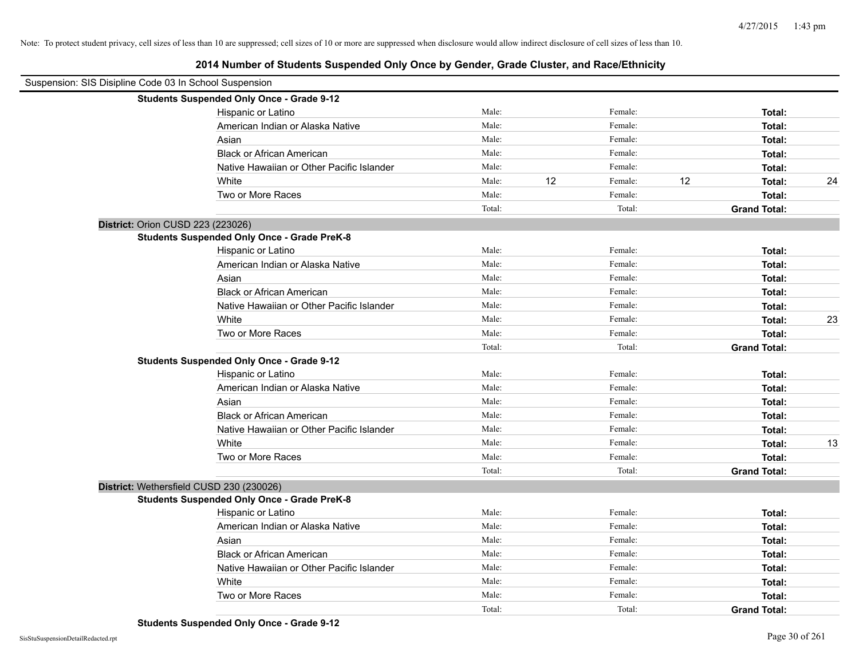| Suspension: SIS Disipline Code 03 In School Suspension |                                                    |        |    |         |    |                     |    |
|--------------------------------------------------------|----------------------------------------------------|--------|----|---------|----|---------------------|----|
|                                                        | <b>Students Suspended Only Once - Grade 9-12</b>   |        |    |         |    |                     |    |
|                                                        | Hispanic or Latino                                 | Male:  |    | Female: |    | Total:              |    |
|                                                        | American Indian or Alaska Native                   | Male:  |    | Female: |    | Total:              |    |
|                                                        | Asian                                              | Male:  |    | Female: |    | Total:              |    |
|                                                        | <b>Black or African American</b>                   | Male:  |    | Female: |    | Total:              |    |
|                                                        | Native Hawaiian or Other Pacific Islander          | Male:  |    | Female: |    | Total:              |    |
|                                                        | White                                              | Male:  | 12 | Female: | 12 | Total:              | 24 |
|                                                        | Two or More Races                                  | Male:  |    | Female: |    | Total:              |    |
|                                                        |                                                    | Total: |    | Total:  |    | <b>Grand Total:</b> |    |
| District: Orion CUSD 223 (223026)                      |                                                    |        |    |         |    |                     |    |
|                                                        | <b>Students Suspended Only Once - Grade PreK-8</b> |        |    |         |    |                     |    |
|                                                        | Hispanic or Latino                                 | Male:  |    | Female: |    | Total:              |    |
|                                                        | American Indian or Alaska Native                   | Male:  |    | Female: |    | Total:              |    |
|                                                        | Asian                                              | Male:  |    | Female: |    | Total:              |    |
|                                                        | <b>Black or African American</b>                   | Male:  |    | Female: |    | Total:              |    |
|                                                        | Native Hawaiian or Other Pacific Islander          | Male:  |    | Female: |    | Total:              |    |
|                                                        | White                                              | Male:  |    | Female: |    | Total:              | 23 |
|                                                        | Two or More Races                                  | Male:  |    | Female: |    | Total:              |    |
|                                                        |                                                    | Total: |    | Total:  |    | <b>Grand Total:</b> |    |
|                                                        | <b>Students Suspended Only Once - Grade 9-12</b>   |        |    |         |    |                     |    |
|                                                        | Hispanic or Latino                                 | Male:  |    | Female: |    | Total:              |    |
|                                                        | American Indian or Alaska Native                   | Male:  |    | Female: |    | Total:              |    |
|                                                        | Asian                                              | Male:  |    | Female: |    | Total:              |    |
|                                                        | <b>Black or African American</b>                   | Male:  |    | Female: |    | Total:              |    |
|                                                        | Native Hawaiian or Other Pacific Islander          | Male:  |    | Female: |    | Total:              |    |
|                                                        | White                                              | Male:  |    | Female: |    | Total:              | 13 |
|                                                        | Two or More Races                                  | Male:  |    | Female: |    | Total:              |    |
|                                                        |                                                    | Total: |    | Total:  |    | <b>Grand Total:</b> |    |
| District: Wethersfield CUSD 230 (230026)               |                                                    |        |    |         |    |                     |    |
|                                                        | <b>Students Suspended Only Once - Grade PreK-8</b> |        |    |         |    |                     |    |
|                                                        | Hispanic or Latino                                 | Male:  |    | Female: |    | Total:              |    |
|                                                        | American Indian or Alaska Native                   | Male:  |    | Female: |    | Total:              |    |
|                                                        | Asian                                              | Male:  |    | Female: |    | Total:              |    |
|                                                        | <b>Black or African American</b>                   | Male:  |    | Female: |    | Total:              |    |
|                                                        | Native Hawaiian or Other Pacific Islander          | Male:  |    | Female: |    | Total:              |    |
|                                                        | White                                              | Male:  |    | Female: |    | Total:              |    |
|                                                        | Two or More Races                                  | Male:  |    | Female: |    | Total:              |    |
|                                                        |                                                    | Total: |    | Total:  |    | <b>Grand Total:</b> |    |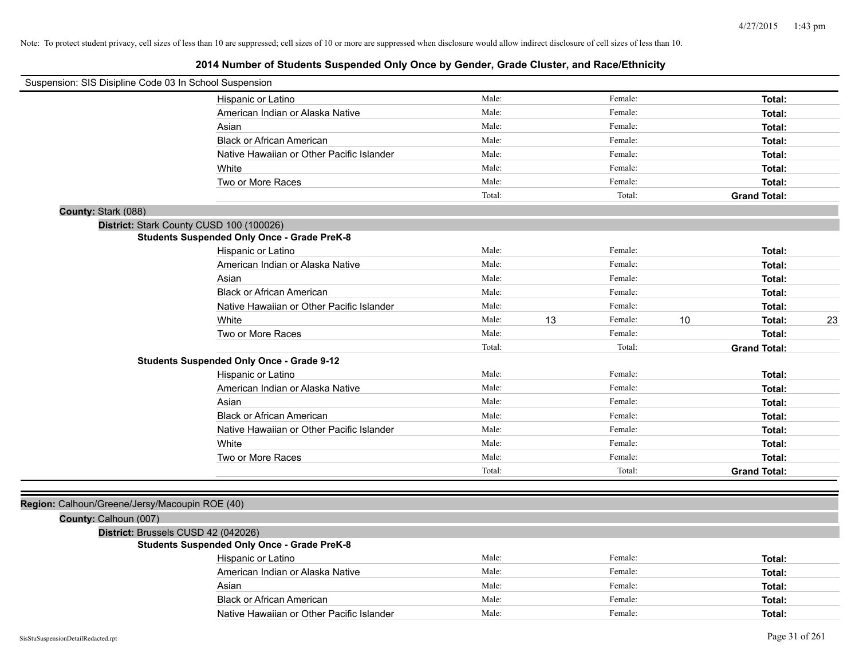| Suspension: SIS Disipline Code 03 In School Suspension |                                                    |        |    |         |      |                     |    |
|--------------------------------------------------------|----------------------------------------------------|--------|----|---------|------|---------------------|----|
|                                                        | Hispanic or Latino                                 | Male:  |    | Female: |      | Total:              |    |
|                                                        | American Indian or Alaska Native                   | Male:  |    | Female: |      | Total:              |    |
|                                                        | Asian                                              | Male:  |    | Female: |      | Total:              |    |
|                                                        | <b>Black or African American</b>                   | Male:  |    | Female: |      | Total:              |    |
|                                                        | Native Hawaiian or Other Pacific Islander          | Male:  |    | Female: |      | Total:              |    |
|                                                        | White                                              | Male:  |    | Female: |      | Total:              |    |
|                                                        | Two or More Races                                  | Male:  |    | Female: |      | Total:              |    |
|                                                        |                                                    | Total: |    | Total:  |      | <b>Grand Total:</b> |    |
| County: Stark (088)                                    |                                                    |        |    |         |      |                     |    |
| District: Stark County CUSD 100 (100026)               |                                                    |        |    |         |      |                     |    |
|                                                        | <b>Students Suspended Only Once - Grade PreK-8</b> |        |    |         |      |                     |    |
|                                                        | Hispanic or Latino                                 | Male:  |    | Female: |      | Total:              |    |
|                                                        | American Indian or Alaska Native                   | Male:  |    | Female: |      | Total:              |    |
|                                                        | Asian                                              | Male:  |    | Female: |      | Total:              |    |
|                                                        | <b>Black or African American</b>                   | Male:  |    | Female: |      | Total:              |    |
|                                                        | Native Hawaiian or Other Pacific Islander          | Male:  |    | Female: |      | Total:              |    |
|                                                        | White                                              | Male:  | 13 | Female: | $10$ | Total:              | 23 |
|                                                        | Two or More Races                                  | Male:  |    | Female: |      | Total:              |    |
|                                                        |                                                    | Total: |    | Total:  |      | <b>Grand Total:</b> |    |
|                                                        | <b>Students Suspended Only Once - Grade 9-12</b>   |        |    |         |      |                     |    |
|                                                        | Hispanic or Latino                                 | Male:  |    | Female: |      | Total:              |    |
|                                                        | American Indian or Alaska Native                   | Male:  |    | Female: |      | Total:              |    |
|                                                        | Asian                                              | Male:  |    | Female: |      | Total:              |    |
|                                                        | <b>Black or African American</b>                   | Male:  |    | Female: |      | Total:              |    |
|                                                        | Native Hawaiian or Other Pacific Islander          | Male:  |    | Female: |      | Total:              |    |
|                                                        | White                                              | Male:  |    | Female: |      | Total:              |    |
|                                                        | Two or More Races                                  | Male:  |    | Female: |      | Total:              |    |
|                                                        |                                                    | Total: |    | Total:  |      | <b>Grand Total:</b> |    |
|                                                        |                                                    |        |    |         |      |                     |    |
| Region: Calhoun/Greene/Jersy/Macoupin ROE (40)         |                                                    |        |    |         |      |                     |    |
| County: Calhoun (007)                                  |                                                    |        |    |         |      |                     |    |
| District: Brussels CUSD 42 (042026)                    |                                                    |        |    |         |      |                     |    |
|                                                        | <b>Students Suspended Only Once - Grade PreK-8</b> |        |    |         |      |                     |    |
|                                                        | Hispanic or Latino                                 | Male:  |    | Female: |      | Total:              |    |
|                                                        | American Indian or Alaska Native                   | Male:  |    | Female: |      | Total:              |    |
|                                                        | Asian                                              | Male:  |    | Female: |      | Total:              |    |
|                                                        | <b>Black or African American</b>                   | Male:  |    | Female: |      | Total:              |    |
|                                                        | Native Hawaiian or Other Pacific Islander          | Male:  |    | Female: |      | Total:              |    |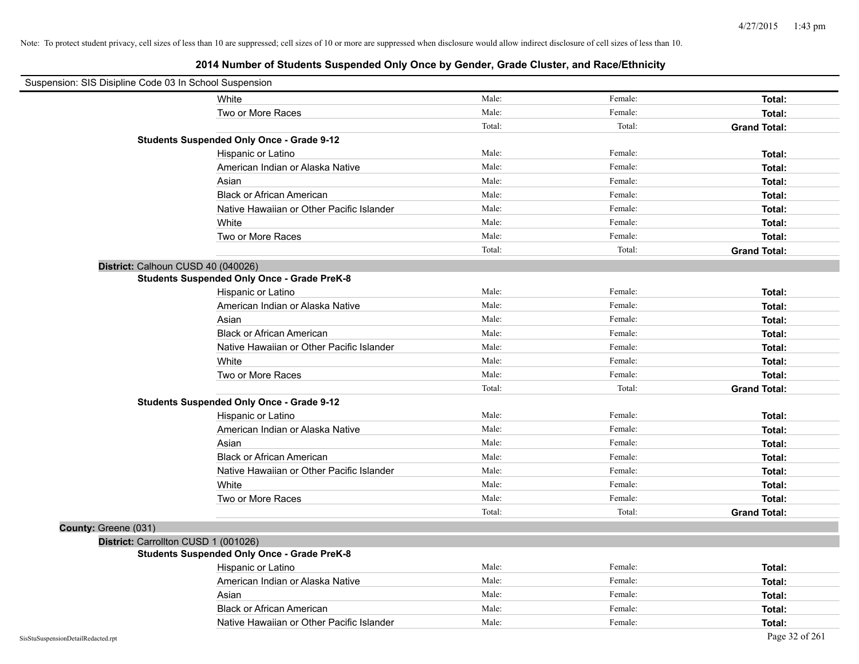| Suspension: SIS Disipline Code 03 In School Suspension |                                                    |        |         |                     |
|--------------------------------------------------------|----------------------------------------------------|--------|---------|---------------------|
|                                                        | White                                              | Male:  | Female: | Total:              |
|                                                        | Two or More Races                                  | Male:  | Female: | Total:              |
|                                                        |                                                    | Total: | Total:  | <b>Grand Total:</b> |
|                                                        | <b>Students Suspended Only Once - Grade 9-12</b>   |        |         |                     |
|                                                        | Hispanic or Latino                                 | Male:  | Female: | Total:              |
|                                                        | American Indian or Alaska Native                   | Male:  | Female: | Total:              |
|                                                        | Asian                                              | Male:  | Female: | Total:              |
|                                                        | <b>Black or African American</b>                   | Male:  | Female: | Total:              |
|                                                        | Native Hawaiian or Other Pacific Islander          | Male:  | Female: | Total:              |
|                                                        | White                                              | Male:  | Female: | Total:              |
|                                                        | Two or More Races                                  | Male:  | Female: | Total:              |
|                                                        |                                                    | Total: | Total:  | <b>Grand Total:</b> |
|                                                        | District: Calhoun CUSD 40 (040026)                 |        |         |                     |
|                                                        | <b>Students Suspended Only Once - Grade PreK-8</b> |        |         |                     |
|                                                        | Hispanic or Latino                                 | Male:  | Female: | Total:              |
|                                                        | American Indian or Alaska Native                   | Male:  | Female: | Total:              |
|                                                        | Asian                                              | Male:  | Female: | Total:              |
|                                                        | <b>Black or African American</b>                   | Male:  | Female: | Total:              |
|                                                        | Native Hawaiian or Other Pacific Islander          | Male:  | Female: | Total:              |
|                                                        | White                                              | Male:  | Female: | Total:              |
|                                                        | Two or More Races                                  | Male:  | Female: | Total:              |
|                                                        |                                                    | Total: | Total:  | <b>Grand Total:</b> |
|                                                        | <b>Students Suspended Only Once - Grade 9-12</b>   |        |         |                     |
|                                                        | Hispanic or Latino                                 | Male:  | Female: | Total:              |
|                                                        | American Indian or Alaska Native                   | Male:  | Female: | Total:              |
|                                                        | Asian                                              | Male:  | Female: | Total:              |
|                                                        | <b>Black or African American</b>                   | Male:  | Female: | Total:              |
|                                                        | Native Hawaiian or Other Pacific Islander          | Male:  | Female: | Total:              |
|                                                        | White                                              | Male:  | Female: | Total:              |
|                                                        | Two or More Races                                  | Male:  | Female: | Total:              |
|                                                        |                                                    | Total: | Total:  | <b>Grand Total:</b> |
| County: Greene (031)                                   |                                                    |        |         |                     |
|                                                        | District: Carrollton CUSD 1 (001026)               |        |         |                     |
|                                                        | <b>Students Suspended Only Once - Grade PreK-8</b> |        |         |                     |
|                                                        | Hispanic or Latino                                 | Male:  | Female: | Total:              |
|                                                        | American Indian or Alaska Native                   | Male:  | Female: | Total:              |
|                                                        | Asian                                              | Male:  | Female: | Total:              |
|                                                        | <b>Black or African American</b>                   | Male:  | Female: | Total:              |
|                                                        | Native Hawaiian or Other Pacific Islander          | Male:  | Female: | Total:              |
| SisStuSuspensionDetailRedacted.rpt                     |                                                    |        |         | Page 32 of 261      |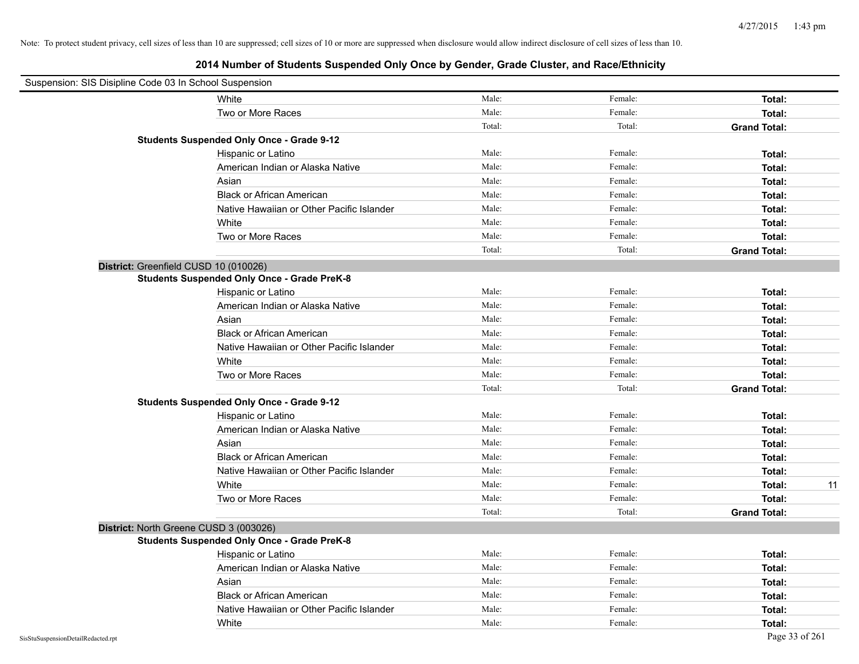| Suspension: SIS Disipline Code 03 In School Suspension |                                                    |        |         |                     |    |
|--------------------------------------------------------|----------------------------------------------------|--------|---------|---------------------|----|
|                                                        | White                                              | Male:  | Female: | Total:              |    |
|                                                        | Two or More Races                                  | Male:  | Female: | Total:              |    |
|                                                        |                                                    | Total: | Total:  | <b>Grand Total:</b> |    |
|                                                        | <b>Students Suspended Only Once - Grade 9-12</b>   |        |         |                     |    |
|                                                        | Hispanic or Latino                                 | Male:  | Female: | Total:              |    |
|                                                        | American Indian or Alaska Native                   | Male:  | Female: | Total:              |    |
|                                                        | Asian                                              | Male:  | Female: | Total:              |    |
|                                                        | <b>Black or African American</b>                   | Male:  | Female: | Total:              |    |
|                                                        | Native Hawaiian or Other Pacific Islander          | Male:  | Female: | Total:              |    |
|                                                        | White                                              | Male:  | Female: | Total:              |    |
|                                                        | Two or More Races                                  | Male:  | Female: | Total:              |    |
|                                                        |                                                    | Total: | Total:  | <b>Grand Total:</b> |    |
| District: Greenfield CUSD 10 (010026)                  |                                                    |        |         |                     |    |
|                                                        | <b>Students Suspended Only Once - Grade PreK-8</b> |        |         |                     |    |
|                                                        | Hispanic or Latino                                 | Male:  | Female: | Total:              |    |
|                                                        | American Indian or Alaska Native                   | Male:  | Female: | Total:              |    |
|                                                        | Asian                                              | Male:  | Female: | Total:              |    |
|                                                        | <b>Black or African American</b>                   | Male:  | Female: | Total:              |    |
|                                                        | Native Hawaiian or Other Pacific Islander          | Male:  | Female: | Total:              |    |
|                                                        | White                                              | Male:  | Female: | Total:              |    |
|                                                        | Two or More Races                                  | Male:  | Female: | Total:              |    |
|                                                        |                                                    | Total: | Total:  | <b>Grand Total:</b> |    |
|                                                        | <b>Students Suspended Only Once - Grade 9-12</b>   |        |         |                     |    |
|                                                        | Hispanic or Latino                                 | Male:  | Female: | Total:              |    |
|                                                        | American Indian or Alaska Native                   | Male:  | Female: | Total:              |    |
|                                                        | Asian                                              | Male:  | Female: | Total:              |    |
|                                                        | <b>Black or African American</b>                   | Male:  | Female: | Total:              |    |
|                                                        | Native Hawaiian or Other Pacific Islander          | Male:  | Female: | Total:              |    |
|                                                        | White                                              | Male:  | Female: | Total:              | 11 |
|                                                        | Two or More Races                                  | Male:  | Female: | Total:              |    |
|                                                        |                                                    | Total: | Total:  | <b>Grand Total:</b> |    |
| District: North Greene CUSD 3 (003026)                 |                                                    |        |         |                     |    |
|                                                        | <b>Students Suspended Only Once - Grade PreK-8</b> |        |         |                     |    |
|                                                        | Hispanic or Latino                                 | Male:  | Female: | Total:              |    |
|                                                        | American Indian or Alaska Native                   | Male:  | Female: | Total:              |    |
|                                                        | Asian                                              | Male:  | Female: | Total:              |    |
|                                                        | <b>Black or African American</b>                   | Male:  | Female: | Total:              |    |
|                                                        | Native Hawaiian or Other Pacific Islander          | Male:  | Female: | Total:              |    |
|                                                        | White                                              | Male:  | Female: | Total:              |    |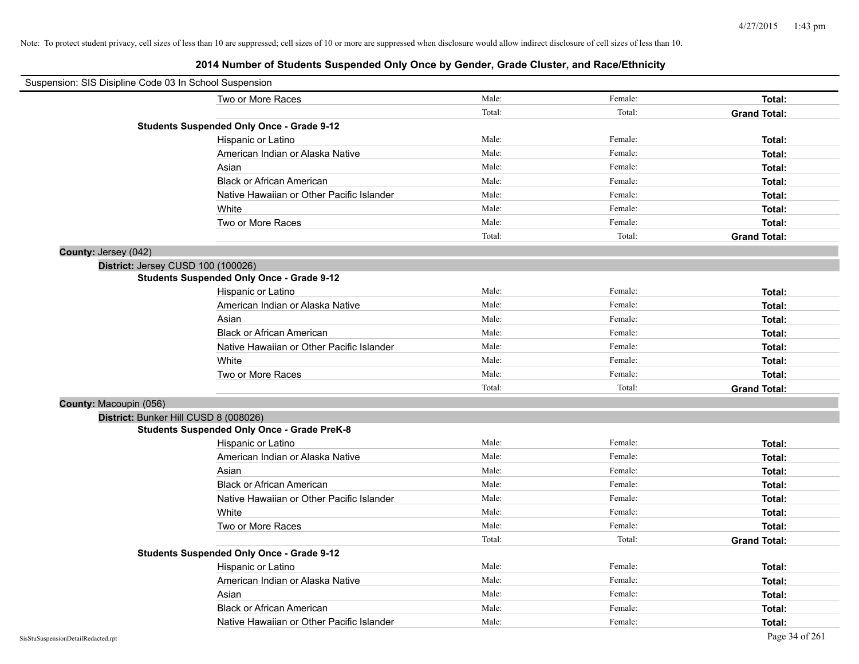| Suspension: SIS Disipline Code 03 In School Suspension |                                                    |        |         |                     |
|--------------------------------------------------------|----------------------------------------------------|--------|---------|---------------------|
|                                                        | Two or More Races                                  | Male:  | Female: | Total:              |
|                                                        |                                                    | Total: | Total:  | <b>Grand Total:</b> |
|                                                        | <b>Students Suspended Only Once - Grade 9-12</b>   |        |         |                     |
|                                                        | Hispanic or Latino                                 | Male:  | Female: | Total:              |
|                                                        | American Indian or Alaska Native                   | Male:  | Female: | Total:              |
|                                                        | Asian                                              | Male:  | Female: | Total:              |
|                                                        | <b>Black or African American</b>                   | Male:  | Female: | Total:              |
|                                                        | Native Hawaiian or Other Pacific Islander          | Male:  | Female: | Total:              |
|                                                        | White                                              | Male:  | Female: | Total:              |
|                                                        | Two or More Races                                  | Male:  | Female: | Total:              |
|                                                        |                                                    | Total: | Total:  | <b>Grand Total:</b> |
| County: Jersey (042)                                   |                                                    |        |         |                     |
|                                                        | District: Jersey CUSD 100 (100026)                 |        |         |                     |
|                                                        | <b>Students Suspended Only Once - Grade 9-12</b>   |        |         |                     |
|                                                        | Hispanic or Latino                                 | Male:  | Female: | Total:              |
|                                                        | American Indian or Alaska Native                   | Male:  | Female: | Total:              |
|                                                        | Asian                                              | Male:  | Female: | Total:              |
|                                                        | <b>Black or African American</b>                   | Male:  | Female: | Total:              |
|                                                        | Native Hawaiian or Other Pacific Islander          | Male:  | Female: | Total:              |
|                                                        | White                                              | Male:  | Female: | Total:              |
|                                                        | Two or More Races                                  | Male:  | Female: | Total:              |
|                                                        |                                                    | Total: | Total:  | <b>Grand Total:</b> |
| County: Macoupin (056)                                 |                                                    |        |         |                     |
|                                                        | District: Bunker Hill CUSD 8 (008026)              |        |         |                     |
|                                                        | <b>Students Suspended Only Once - Grade PreK-8</b> |        |         |                     |
|                                                        | Hispanic or Latino                                 | Male:  | Female: | Total:              |
|                                                        | American Indian or Alaska Native                   | Male:  | Female: | Total:              |
|                                                        | Asian                                              | Male:  | Female: | Total:              |
|                                                        | <b>Black or African American</b>                   | Male:  | Female: | Total:              |
|                                                        | Native Hawaiian or Other Pacific Islander          | Male:  | Female: | Total:              |
|                                                        | White                                              | Male:  | Female: | Total:              |
|                                                        | Two or More Races                                  | Male:  | Female: | Total:              |
|                                                        |                                                    | Total: | Total:  | <b>Grand Total:</b> |
|                                                        | <b>Students Suspended Only Once - Grade 9-12</b>   |        |         |                     |
|                                                        | Hispanic or Latino                                 | Male:  | Female: | Total:              |
|                                                        | American Indian or Alaska Native                   | Male:  | Female: | Total:              |
|                                                        | Asian                                              | Male:  | Female: | Total:              |
|                                                        | <b>Black or African American</b>                   | Male:  | Female: | Total:              |
|                                                        | Native Hawaiian or Other Pacific Islander          | Male:  | Female: | Total:              |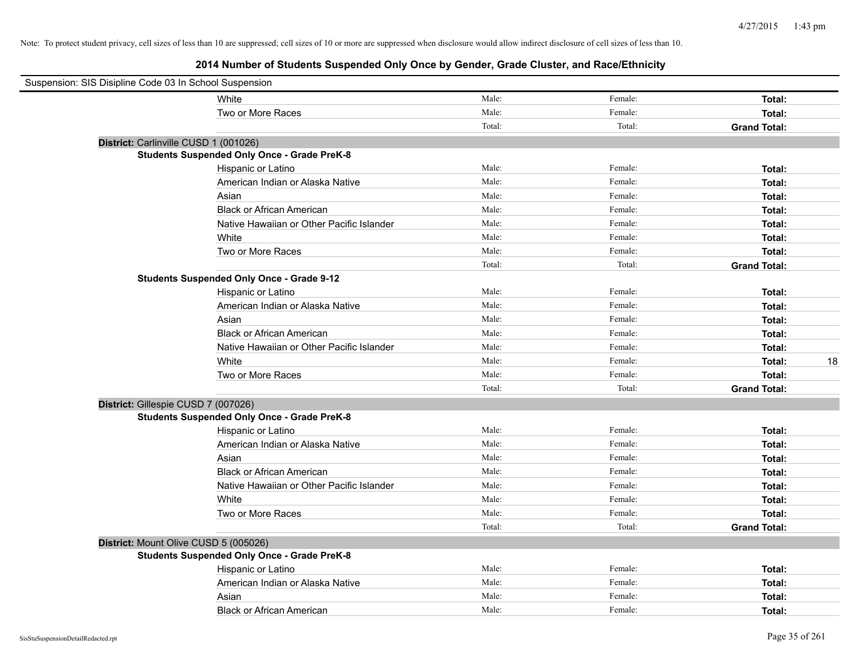| Suspension: SIS Disipline Code 03 In School Suspension |                                                    |        |         |                     |
|--------------------------------------------------------|----------------------------------------------------|--------|---------|---------------------|
|                                                        | White                                              | Male:  | Female: | Total:              |
|                                                        | Two or More Races                                  | Male:  | Female: | Total:              |
|                                                        |                                                    | Total: | Total:  | <b>Grand Total:</b> |
| District: Carlinville CUSD 1 (001026)                  |                                                    |        |         |                     |
|                                                        | <b>Students Suspended Only Once - Grade PreK-8</b> |        |         |                     |
|                                                        | Hispanic or Latino                                 | Male:  | Female: | Total:              |
|                                                        | American Indian or Alaska Native                   | Male:  | Female: | Total:              |
|                                                        | Asian                                              | Male:  | Female: | Total:              |
|                                                        | <b>Black or African American</b>                   | Male:  | Female: | Total:              |
|                                                        | Native Hawaiian or Other Pacific Islander          | Male:  | Female: | Total:              |
|                                                        | White                                              | Male:  | Female: | Total:              |
|                                                        | Two or More Races                                  | Male:  | Female: | Total:              |
|                                                        |                                                    | Total: | Total:  | <b>Grand Total:</b> |
|                                                        | <b>Students Suspended Only Once - Grade 9-12</b>   |        |         |                     |
|                                                        | Hispanic or Latino                                 | Male:  | Female: | Total:              |
|                                                        | American Indian or Alaska Native                   | Male:  | Female: | Total:              |
|                                                        | Asian                                              | Male:  | Female: | Total:              |
|                                                        | <b>Black or African American</b>                   | Male:  | Female: | Total:              |
|                                                        | Native Hawaiian or Other Pacific Islander          | Male:  | Female: | Total:              |
|                                                        | White                                              | Male:  | Female: | 18<br>Total:        |
|                                                        | Two or More Races                                  | Male:  | Female: | Total:              |
|                                                        |                                                    | Total: | Total:  | <b>Grand Total:</b> |
| District: Gillespie CUSD 7 (007026)                    |                                                    |        |         |                     |
|                                                        | <b>Students Suspended Only Once - Grade PreK-8</b> |        |         |                     |
|                                                        | Hispanic or Latino                                 | Male:  | Female: | Total:              |
|                                                        | American Indian or Alaska Native                   | Male:  | Female: | Total:              |
|                                                        | Asian                                              | Male:  | Female: | Total:              |
|                                                        | <b>Black or African American</b>                   | Male:  | Female: | Total:              |
|                                                        | Native Hawaiian or Other Pacific Islander          | Male:  | Female: | Total:              |
|                                                        | White                                              | Male:  | Female: | Total:              |
|                                                        | Two or More Races                                  | Male:  | Female: | Total:              |
|                                                        |                                                    | Total: | Total:  | <b>Grand Total:</b> |
| District: Mount Olive CUSD 5 (005026)                  |                                                    |        |         |                     |
|                                                        | <b>Students Suspended Only Once - Grade PreK-8</b> |        |         |                     |
|                                                        | Hispanic or Latino                                 | Male:  | Female: | Total:              |
|                                                        | American Indian or Alaska Native                   | Male:  | Female: | Total:              |
|                                                        | Asian                                              | Male:  | Female: | Total:              |
|                                                        | <b>Black or African American</b>                   | Male:  | Female: | Total:              |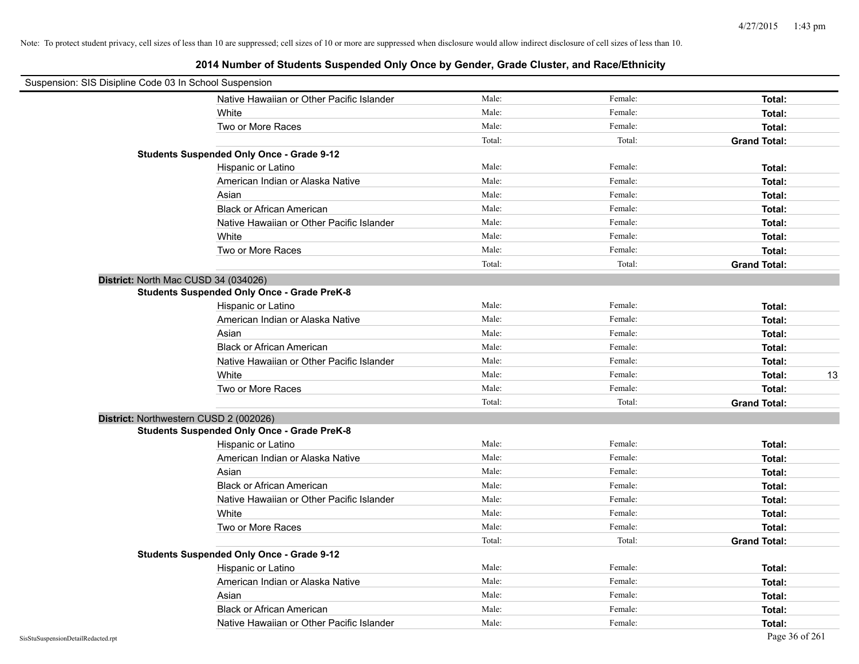| Suspension: SIS Disipline Code 03 In School Suspension |        |         |                     |
|--------------------------------------------------------|--------|---------|---------------------|
| Native Hawaiian or Other Pacific Islander              | Male:  | Female: | Total:              |
| White                                                  | Male:  | Female: | Total:              |
| Two or More Races                                      | Male:  | Female: | Total:              |
|                                                        | Total: | Total:  | <b>Grand Total:</b> |
| <b>Students Suspended Only Once - Grade 9-12</b>       |        |         |                     |
| Hispanic or Latino                                     | Male:  | Female: | Total:              |
| American Indian or Alaska Native                       | Male:  | Female: | Total:              |
| Asian                                                  | Male:  | Female: | Total:              |
| <b>Black or African American</b>                       | Male:  | Female: | Total:              |
| Native Hawaiian or Other Pacific Islander              | Male:  | Female: | Total:              |
| White                                                  | Male:  | Female: | Total:              |
| Two or More Races                                      | Male:  | Female: | Total:              |
|                                                        | Total: | Total:  | <b>Grand Total:</b> |
| District: North Mac CUSD 34 (034026)                   |        |         |                     |
| <b>Students Suspended Only Once - Grade PreK-8</b>     |        |         |                     |
| Hispanic or Latino                                     | Male:  | Female: | Total:              |
| American Indian or Alaska Native                       | Male:  | Female: | Total:              |
| Asian                                                  | Male:  | Female: | Total:              |
| <b>Black or African American</b>                       | Male:  | Female: | Total:              |
| Native Hawaiian or Other Pacific Islander              | Male:  | Female: | Total:              |
| White                                                  | Male:  | Female: | 13<br>Total:        |
| Two or More Races                                      | Male:  | Female: | Total:              |
|                                                        | Total: | Total:  | <b>Grand Total:</b> |
| District: Northwestern CUSD 2 (002026)                 |        |         |                     |
| <b>Students Suspended Only Once - Grade PreK-8</b>     |        |         |                     |
| Hispanic or Latino                                     | Male:  | Female: | Total:              |
| American Indian or Alaska Native                       | Male:  | Female: | Total:              |
| Asian                                                  | Male:  | Female: | Total:              |
| <b>Black or African American</b>                       | Male:  | Female: | Total:              |
| Native Hawaiian or Other Pacific Islander              | Male:  | Female: | Total:              |
| White                                                  | Male:  | Female: | Total:              |
| Two or More Races                                      | Male:  | Female: | Total:              |
|                                                        | Total: | Total:  | <b>Grand Total:</b> |
| <b>Students Suspended Only Once - Grade 9-12</b>       |        |         |                     |
| Hispanic or Latino                                     | Male:  | Female: | Total:              |
| American Indian or Alaska Native                       | Male:  | Female: | Total:              |
| Asian                                                  | Male:  | Female: | Total:              |
| <b>Black or African American</b>                       | Male:  | Female: | Total:              |
| Native Hawaiian or Other Pacific Islander              | Male:  | Female: | Total:              |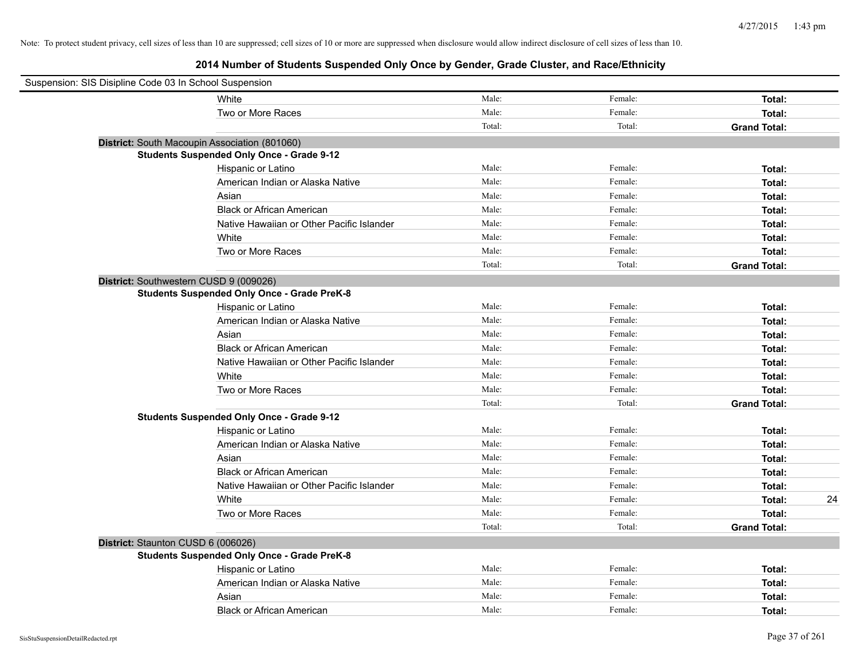| Suspension: SIS Disipline Code 03 In School Suspension |                                                    |        |         |                     |    |
|--------------------------------------------------------|----------------------------------------------------|--------|---------|---------------------|----|
|                                                        | White                                              | Male:  | Female: | Total:              |    |
|                                                        | Two or More Races                                  | Male:  | Female: | Total:              |    |
|                                                        |                                                    | Total: | Total:  | <b>Grand Total:</b> |    |
|                                                        | District: South Macoupin Association (801060)      |        |         |                     |    |
|                                                        | <b>Students Suspended Only Once - Grade 9-12</b>   |        |         |                     |    |
|                                                        | Hispanic or Latino                                 | Male:  | Female: | Total:              |    |
|                                                        | American Indian or Alaska Native                   | Male:  | Female: | Total:              |    |
|                                                        | Asian                                              | Male:  | Female: | Total:              |    |
|                                                        | <b>Black or African American</b>                   | Male:  | Female: | Total:              |    |
|                                                        | Native Hawaiian or Other Pacific Islander          | Male:  | Female: | Total:              |    |
|                                                        | White                                              | Male:  | Female: | Total:              |    |
|                                                        | Two or More Races                                  | Male:  | Female: | Total:              |    |
|                                                        |                                                    | Total: | Total:  | <b>Grand Total:</b> |    |
| District: Southwestern CUSD 9 (009026)                 |                                                    |        |         |                     |    |
|                                                        | <b>Students Suspended Only Once - Grade PreK-8</b> |        |         |                     |    |
|                                                        | Hispanic or Latino                                 | Male:  | Female: | Total:              |    |
|                                                        | American Indian or Alaska Native                   | Male:  | Female: | Total:              |    |
|                                                        | Asian                                              | Male:  | Female: | Total:              |    |
|                                                        | <b>Black or African American</b>                   | Male:  | Female: | Total:              |    |
|                                                        | Native Hawaiian or Other Pacific Islander          | Male:  | Female: | Total:              |    |
|                                                        | White                                              | Male:  | Female: | Total:              |    |
|                                                        | Two or More Races                                  | Male:  | Female: | Total:              |    |
|                                                        |                                                    | Total: | Total:  | <b>Grand Total:</b> |    |
|                                                        | <b>Students Suspended Only Once - Grade 9-12</b>   |        |         |                     |    |
|                                                        | Hispanic or Latino                                 | Male:  | Female: | Total:              |    |
|                                                        | American Indian or Alaska Native                   | Male:  | Female: | Total:              |    |
|                                                        | Asian                                              | Male:  | Female: | Total:              |    |
|                                                        | <b>Black or African American</b>                   | Male:  | Female: | Total:              |    |
|                                                        | Native Hawaiian or Other Pacific Islander          | Male:  | Female: | Total:              |    |
|                                                        | White                                              | Male:  | Female: | Total:              | 24 |
|                                                        | Two or More Races                                  | Male:  | Female: | Total:              |    |
|                                                        |                                                    | Total: | Total:  | <b>Grand Total:</b> |    |
| District: Staunton CUSD 6 (006026)                     |                                                    |        |         |                     |    |
|                                                        | <b>Students Suspended Only Once - Grade PreK-8</b> |        |         |                     |    |
|                                                        | Hispanic or Latino                                 | Male:  | Female: | Total:              |    |
|                                                        | American Indian or Alaska Native                   | Male:  | Female: | Total:              |    |
|                                                        | Asian                                              | Male:  | Female: | Total:              |    |
|                                                        | <b>Black or African American</b>                   | Male:  | Female: | Total:              |    |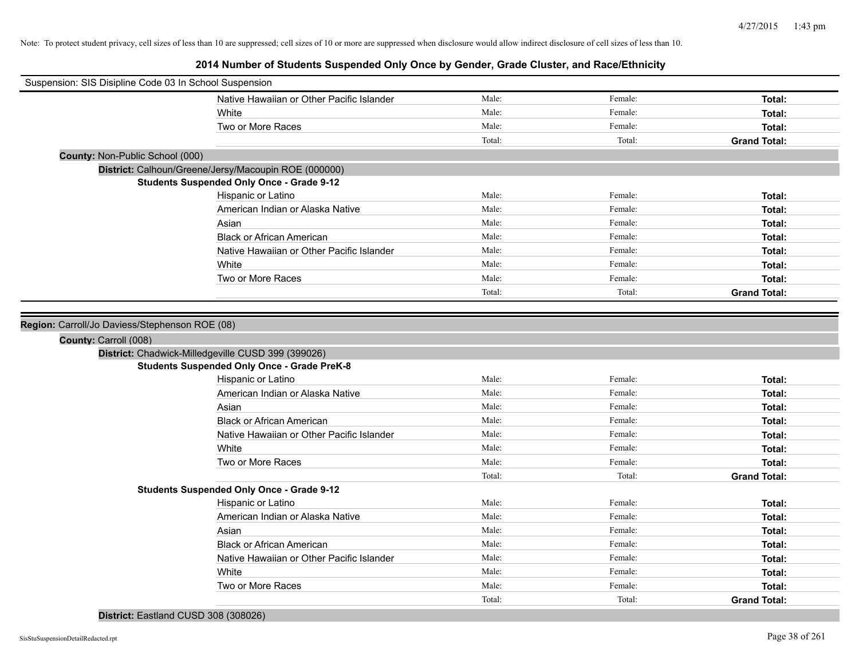**2014 Number of Students Suspended Only Once by Gender, Grade Cluster, and Race/Ethnicity**

| Suspension: SIS Disipline Code 03 In School Suspension |                                                      |        |         |                     |
|--------------------------------------------------------|------------------------------------------------------|--------|---------|---------------------|
|                                                        | Native Hawaiian or Other Pacific Islander            | Male:  | Female: | Total:              |
|                                                        | White                                                | Male:  | Female: | Total:              |
|                                                        | Two or More Races                                    | Male:  | Female: | Total:              |
|                                                        |                                                      | Total: | Total:  | <b>Grand Total:</b> |
| <b>County: Non-Public School (000)</b>                 |                                                      |        |         |                     |
|                                                        | District: Calhoun/Greene/Jersy/Macoupin ROE (000000) |        |         |                     |
|                                                        | <b>Students Suspended Only Once - Grade 9-12</b>     |        |         |                     |
|                                                        | Hispanic or Latino                                   | Male:  | Female: | Total:              |
|                                                        | American Indian or Alaska Native                     | Male:  | Female: | Total:              |
|                                                        | Asian                                                | Male:  | Female: | Total:              |
|                                                        | <b>Black or African American</b>                     | Male:  | Female: | Total:              |
|                                                        | Native Hawaiian or Other Pacific Islander            | Male:  | Female: | Total:              |
|                                                        | White                                                | Male:  | Female: | Total:              |
|                                                        | Two or More Races                                    | Male:  | Female: | Total:              |
|                                                        |                                                      | Total: | Total:  | <b>Grand Total:</b> |
|                                                        |                                                      |        |         |                     |
| Region: Carroll/Jo Daviess/Stephenson ROE (08)         |                                                      |        |         |                     |
| County: Carroll (008)                                  |                                                      |        |         |                     |
|                                                        | District: Chadwick-Milledgeville CUSD 399 (399026)   |        |         |                     |
|                                                        | <b>Students Suspended Only Once - Grade PreK-8</b>   |        |         |                     |
|                                                        | Hispanic or Latino                                   | Male:  | Female: | Total:              |
|                                                        | American Indian or Alaska Native                     | Male:  | Female: | Total:              |
|                                                        | Asian                                                | Male:  | Female: | Total:              |
|                                                        | <b>Black or African American</b>                     | Male:  | Female: | Total:              |
|                                                        | Native Hawaiian or Other Pacific Islander            | Male:  | Female: | Total:              |
|                                                        | White                                                | Male:  | Female: | Total:              |
|                                                        | Two or More Races                                    | Male:  | Female: | Total:              |
|                                                        |                                                      | Total: | Total:  | <b>Grand Total:</b> |
|                                                        | <b>Students Suspended Only Once - Grade 9-12</b>     |        |         |                     |
|                                                        |                                                      |        |         |                     |
|                                                        | Hispanic or Latino                                   | Male:  | Female: | Total:              |
|                                                        | American Indian or Alaska Native                     | Male:  | Female: | Total:              |
|                                                        | Asian                                                | Male:  | Female: | Total:              |
|                                                        | <b>Black or African American</b>                     | Male:  | Female: | Total:              |
|                                                        | Native Hawaiian or Other Pacific Islander            | Male:  | Female: | Total:              |
|                                                        | White                                                | Male:  | Female: | Total:              |
|                                                        | Two or More Races                                    | Male:  | Female: | Total:              |

#### **District:** Eastland CUSD 308 (308026)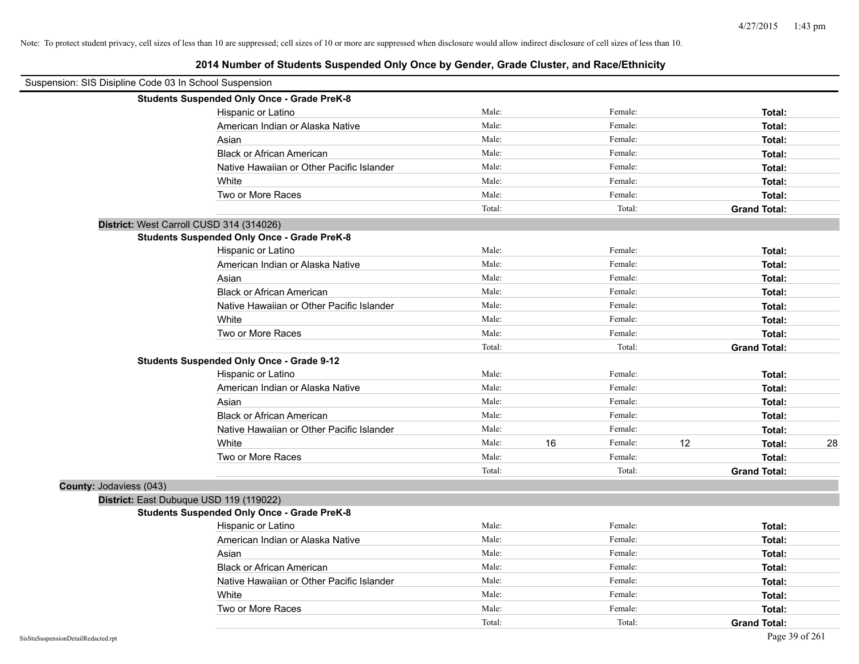| Suspension: SIS Disipline Code 03 In School Suspension |                                                    |        |    |         |    |                     |    |
|--------------------------------------------------------|----------------------------------------------------|--------|----|---------|----|---------------------|----|
|                                                        | <b>Students Suspended Only Once - Grade PreK-8</b> |        |    |         |    |                     |    |
|                                                        | Hispanic or Latino                                 | Male:  |    | Female: |    | Total:              |    |
|                                                        | American Indian or Alaska Native                   | Male:  |    | Female: |    | Total:              |    |
|                                                        | Asian                                              | Male:  |    | Female: |    | Total:              |    |
|                                                        | <b>Black or African American</b>                   | Male:  |    | Female: |    | Total:              |    |
|                                                        | Native Hawaiian or Other Pacific Islander          | Male:  |    | Female: |    | Total:              |    |
|                                                        | White                                              | Male:  |    | Female: |    | Total:              |    |
|                                                        | Two or More Races                                  | Male:  |    | Female: |    | Total:              |    |
|                                                        |                                                    | Total: |    | Total:  |    | <b>Grand Total:</b> |    |
|                                                        | District: West Carroll CUSD 314 (314026)           |        |    |         |    |                     |    |
|                                                        | <b>Students Suspended Only Once - Grade PreK-8</b> |        |    |         |    |                     |    |
|                                                        | Hispanic or Latino                                 | Male:  |    | Female: |    | Total:              |    |
|                                                        | American Indian or Alaska Native                   | Male:  |    | Female: |    | Total:              |    |
|                                                        | Asian                                              | Male:  |    | Female: |    | Total:              |    |
|                                                        | <b>Black or African American</b>                   | Male:  |    | Female: |    | Total:              |    |
|                                                        | Native Hawaiian or Other Pacific Islander          | Male:  |    | Female: |    | Total:              |    |
|                                                        | White                                              | Male:  |    | Female: |    | Total:              |    |
|                                                        | Two or More Races                                  | Male:  |    | Female: |    | Total:              |    |
|                                                        |                                                    | Total: |    | Total:  |    | <b>Grand Total:</b> |    |
|                                                        | <b>Students Suspended Only Once - Grade 9-12</b>   |        |    |         |    |                     |    |
|                                                        | Hispanic or Latino                                 | Male:  |    | Female: |    | Total:              |    |
|                                                        | American Indian or Alaska Native                   | Male:  |    | Female: |    | Total:              |    |
|                                                        | Asian                                              | Male:  |    | Female: |    | Total:              |    |
|                                                        | <b>Black or African American</b>                   | Male:  |    | Female: |    | Total:              |    |
|                                                        | Native Hawaiian or Other Pacific Islander          | Male:  |    | Female: |    | Total:              |    |
|                                                        | White                                              | Male:  | 16 | Female: | 12 | Total:              | 28 |
|                                                        | Two or More Races                                  | Male:  |    | Female: |    | Total:              |    |
|                                                        |                                                    | Total: |    | Total:  |    | <b>Grand Total:</b> |    |
| County: Jodaviess (043)                                |                                                    |        |    |         |    |                     |    |
|                                                        | District: East Dubuque USD 119 (119022)            |        |    |         |    |                     |    |
|                                                        | <b>Students Suspended Only Once - Grade PreK-8</b> |        |    |         |    |                     |    |
|                                                        | Hispanic or Latino                                 | Male:  |    | Female: |    | Total:              |    |
|                                                        | American Indian or Alaska Native                   | Male:  |    | Female: |    | Total:              |    |
|                                                        | Asian                                              | Male:  |    | Female: |    | Total:              |    |
|                                                        | <b>Black or African American</b>                   | Male:  |    | Female: |    | Total:              |    |
|                                                        | Native Hawaiian or Other Pacific Islander          | Male:  |    | Female: |    | Total:              |    |
|                                                        | White                                              | Male:  |    | Female: |    | Total:              |    |
|                                                        | Two or More Races                                  | Male:  |    | Female: |    | Total:              |    |
|                                                        |                                                    | Total: |    | Total:  |    | <b>Grand Total:</b> |    |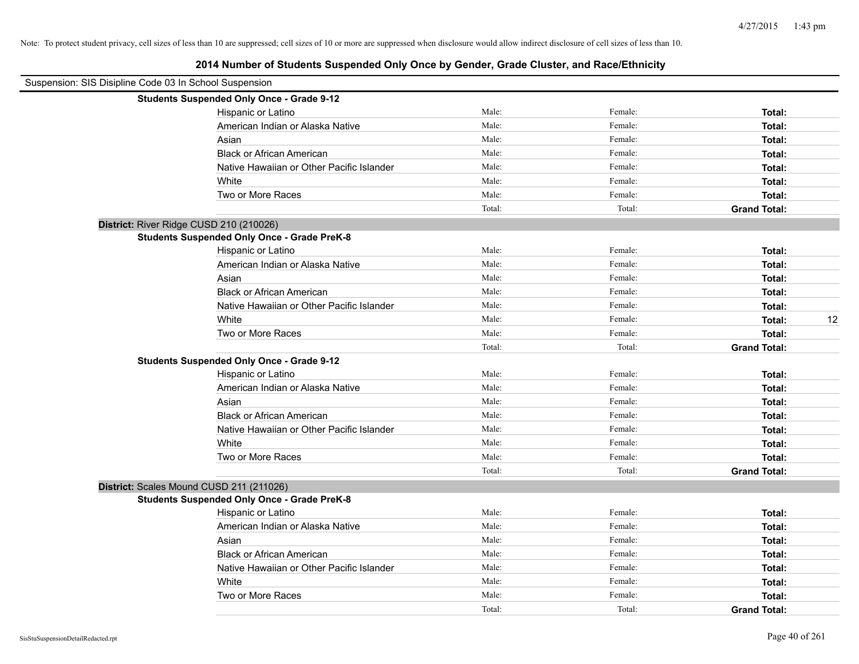| Suspension: SIS Disipline Code 03 In School Suspension |                                                    |        |         |                     |
|--------------------------------------------------------|----------------------------------------------------|--------|---------|---------------------|
|                                                        | <b>Students Suspended Only Once - Grade 9-12</b>   |        |         |                     |
|                                                        | Hispanic or Latino                                 | Male:  | Female: | Total:              |
|                                                        | American Indian or Alaska Native                   | Male:  | Female: | Total:              |
|                                                        | Asian                                              | Male:  | Female: | Total:              |
|                                                        | <b>Black or African American</b>                   | Male:  | Female: | Total:              |
|                                                        | Native Hawaiian or Other Pacific Islander          | Male:  | Female: | Total:              |
|                                                        | White                                              | Male:  | Female: | Total:              |
|                                                        | Two or More Races                                  | Male:  | Female: | Total:              |
|                                                        |                                                    | Total: | Total:  | <b>Grand Total:</b> |
| District: River Ridge CUSD 210 (210026)                |                                                    |        |         |                     |
|                                                        | <b>Students Suspended Only Once - Grade PreK-8</b> |        |         |                     |
|                                                        | Hispanic or Latino                                 | Male:  | Female: | Total:              |
|                                                        | American Indian or Alaska Native                   | Male:  | Female: | Total:              |
|                                                        | Asian                                              | Male:  | Female: | Total:              |
|                                                        | <b>Black or African American</b>                   | Male:  | Female: | Total:              |
|                                                        | Native Hawaiian or Other Pacific Islander          | Male:  | Female: | Total:              |
|                                                        | White                                              | Male:  | Female: | 12<br>Total:        |
|                                                        | Two or More Races                                  | Male:  | Female: | Total:              |
|                                                        |                                                    | Total: | Total:  | <b>Grand Total:</b> |
|                                                        | <b>Students Suspended Only Once - Grade 9-12</b>   |        |         |                     |
|                                                        | Hispanic or Latino                                 | Male:  | Female: | Total:              |
|                                                        | American Indian or Alaska Native                   | Male:  | Female: | Total:              |
|                                                        | Asian                                              | Male:  | Female: | Total:              |
|                                                        | <b>Black or African American</b>                   | Male:  | Female: | Total:              |
|                                                        | Native Hawaiian or Other Pacific Islander          | Male:  | Female: | Total:              |
|                                                        | White                                              | Male:  | Female: | Total:              |
|                                                        | Two or More Races                                  | Male:  | Female: | Total:              |
|                                                        |                                                    | Total: | Total:  | <b>Grand Total:</b> |
| District: Scales Mound CUSD 211 (211026)               |                                                    |        |         |                     |
|                                                        | <b>Students Suspended Only Once - Grade PreK-8</b> |        |         |                     |
|                                                        | Hispanic or Latino                                 | Male:  | Female: | Total:              |
|                                                        | American Indian or Alaska Native                   | Male:  | Female: | Total:              |
|                                                        | Asian                                              | Male:  | Female: | Total:              |
|                                                        | <b>Black or African American</b>                   | Male:  | Female: | Total:              |
|                                                        | Native Hawaiian or Other Pacific Islander          | Male:  | Female: | Total:              |
|                                                        | White                                              | Male:  | Female: | Total:              |
|                                                        | Two or More Races                                  | Male:  | Female: | Total:              |
|                                                        |                                                    | Total: | Total:  | <b>Grand Total:</b> |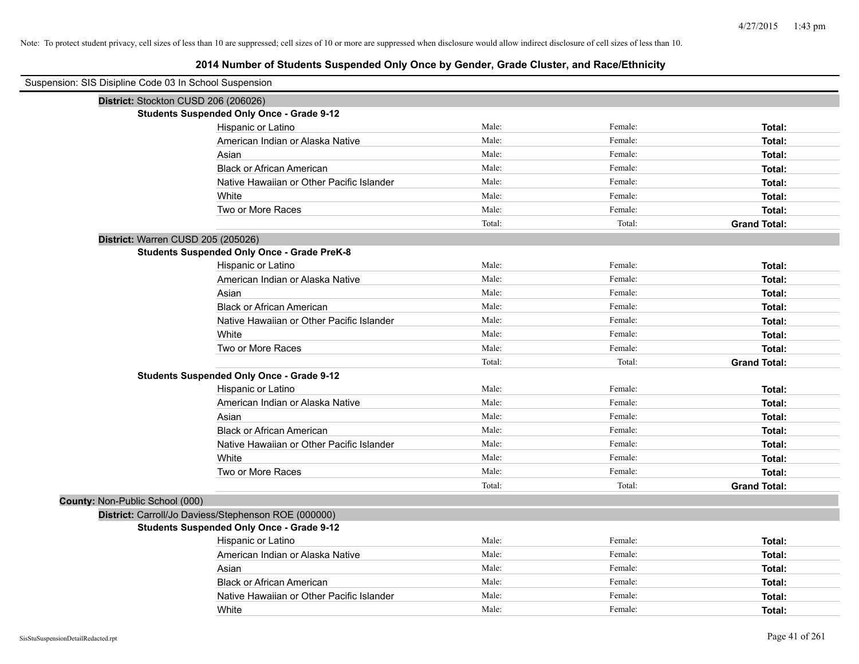| Suspension: SIS Disipline Code 03 In School Suspension |                                                      |        |         |                     |
|--------------------------------------------------------|------------------------------------------------------|--------|---------|---------------------|
| District: Stockton CUSD 206 (206026)                   |                                                      |        |         |                     |
|                                                        | <b>Students Suspended Only Once - Grade 9-12</b>     |        |         |                     |
|                                                        | Hispanic or Latino                                   | Male:  | Female: | Total:              |
|                                                        | American Indian or Alaska Native                     | Male:  | Female: | Total:              |
|                                                        | Asian                                                | Male:  | Female: | Total:              |
|                                                        | <b>Black or African American</b>                     | Male:  | Female: | Total:              |
|                                                        | Native Hawaiian or Other Pacific Islander            | Male:  | Female: | Total:              |
|                                                        | White                                                | Male:  | Female: | Total:              |
|                                                        | Two or More Races                                    | Male:  | Female: | Total:              |
|                                                        |                                                      | Total: | Total:  | <b>Grand Total:</b> |
| District: Warren CUSD 205 (205026)                     |                                                      |        |         |                     |
|                                                        | <b>Students Suspended Only Once - Grade PreK-8</b>   |        |         |                     |
|                                                        | Hispanic or Latino                                   | Male:  | Female: | Total:              |
|                                                        | American Indian or Alaska Native                     | Male:  | Female: | Total:              |
|                                                        | Asian                                                | Male:  | Female: | Total:              |
|                                                        | <b>Black or African American</b>                     | Male:  | Female: | Total:              |
|                                                        | Native Hawaiian or Other Pacific Islander            | Male:  | Female: | Total:              |
|                                                        | White                                                | Male:  | Female: | Total:              |
|                                                        | Two or More Races                                    | Male:  | Female: | Total:              |
|                                                        |                                                      | Total: | Total:  | <b>Grand Total:</b> |
|                                                        | <b>Students Suspended Only Once - Grade 9-12</b>     |        |         |                     |
|                                                        | Hispanic or Latino                                   | Male:  | Female: | Total:              |
|                                                        | American Indian or Alaska Native                     | Male:  | Female: | Total:              |
|                                                        | Asian                                                | Male:  | Female: | Total:              |
|                                                        | <b>Black or African American</b>                     | Male:  | Female: | Total:              |
|                                                        | Native Hawaiian or Other Pacific Islander            | Male:  | Female: | Total:              |
|                                                        | White                                                | Male:  | Female: | Total:              |
|                                                        | Two or More Races                                    | Male:  | Female: | Total:              |
|                                                        |                                                      | Total: | Total:  | <b>Grand Total:</b> |
| County: Non-Public School (000)                        |                                                      |        |         |                     |
|                                                        | District: Carroll/Jo Daviess/Stephenson ROE (000000) |        |         |                     |
|                                                        | <b>Students Suspended Only Once - Grade 9-12</b>     |        |         |                     |
|                                                        | Hispanic or Latino                                   | Male:  | Female: | Total:              |
|                                                        | American Indian or Alaska Native                     | Male:  | Female: | Total:              |
|                                                        | Asian                                                | Male:  | Female: | Total:              |
|                                                        | <b>Black or African American</b>                     | Male:  | Female: | Total:              |
|                                                        | Native Hawaiian or Other Pacific Islander            | Male:  | Female: | Total:              |
|                                                        | White                                                | Male:  | Female: | Total:              |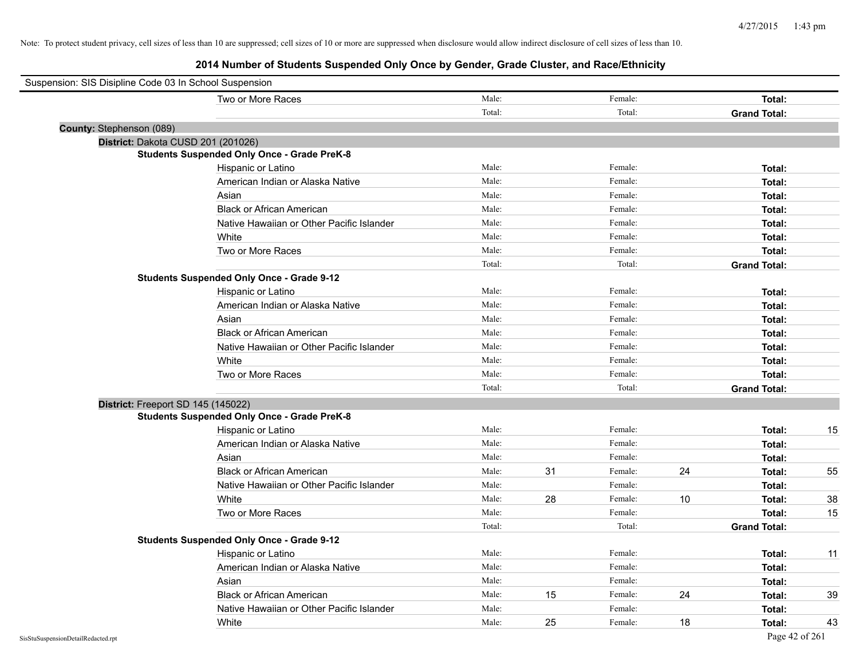| Suspension: SIS Disipline Code 03 In School Suspension |        |    |         |    |                     |    |
|--------------------------------------------------------|--------|----|---------|----|---------------------|----|
| Two or More Races                                      | Male:  |    | Female: |    | Total:              |    |
|                                                        | Total: |    | Total:  |    | <b>Grand Total:</b> |    |
| County: Stephenson (089)                               |        |    |         |    |                     |    |
| District: Dakota CUSD 201 (201026)                     |        |    |         |    |                     |    |
| <b>Students Suspended Only Once - Grade PreK-8</b>     |        |    |         |    |                     |    |
| Hispanic or Latino                                     | Male:  |    | Female: |    | Total:              |    |
| American Indian or Alaska Native                       | Male:  |    | Female: |    | Total:              |    |
| Asian                                                  | Male:  |    | Female: |    | Total:              |    |
| <b>Black or African American</b>                       | Male:  |    | Female: |    | Total:              |    |
| Native Hawaiian or Other Pacific Islander              | Male:  |    | Female: |    | Total:              |    |
| White                                                  | Male:  |    | Female: |    | Total:              |    |
| Two or More Races                                      | Male:  |    | Female: |    | Total:              |    |
|                                                        | Total: |    | Total:  |    | <b>Grand Total:</b> |    |
| <b>Students Suspended Only Once - Grade 9-12</b>       |        |    |         |    |                     |    |
| Hispanic or Latino                                     | Male:  |    | Female: |    | Total:              |    |
| American Indian or Alaska Native                       | Male:  |    | Female: |    | Total:              |    |
| Asian                                                  | Male:  |    | Female: |    | Total:              |    |
| <b>Black or African American</b>                       | Male:  |    | Female: |    | Total:              |    |
| Native Hawaiian or Other Pacific Islander              | Male:  |    | Female: |    | Total:              |    |
| White                                                  | Male:  |    | Female: |    | Total:              |    |
| Two or More Races                                      | Male:  |    | Female: |    | Total:              |    |
|                                                        | Total: |    | Total:  |    | <b>Grand Total:</b> |    |
| District: Freeport SD 145 (145022)                     |        |    |         |    |                     |    |
| <b>Students Suspended Only Once - Grade PreK-8</b>     |        |    |         |    |                     |    |
| Hispanic or Latino                                     | Male:  |    | Female: |    | Total:              | 15 |
| American Indian or Alaska Native                       | Male:  |    | Female: |    | Total:              |    |
| Asian                                                  | Male:  |    | Female: |    | Total:              |    |
| <b>Black or African American</b>                       | Male:  | 31 | Female: | 24 | Total:              | 55 |
| Native Hawaiian or Other Pacific Islander              | Male:  |    | Female: |    | Total:              |    |
| White                                                  | Male:  | 28 | Female: | 10 | Total:              | 38 |
| Two or More Races                                      | Male:  |    | Female: |    | Total:              | 15 |
|                                                        | Total: |    | Total:  |    | <b>Grand Total:</b> |    |
| <b>Students Suspended Only Once - Grade 9-12</b>       |        |    |         |    |                     |    |
| Hispanic or Latino                                     | Male:  |    | Female: |    | Total:              | 11 |
| American Indian or Alaska Native                       | Male:  |    | Female: |    | Total:              |    |
| Asian                                                  | Male:  |    | Female: |    | Total:              |    |
| <b>Black or African American</b>                       | Male:  | 15 | Female: | 24 | Total:              | 39 |
| Native Hawaiian or Other Pacific Islander              | Male:  |    | Female: |    | Total:              |    |
| White                                                  | Male:  | 25 | Female: | 18 | Total:              | 43 |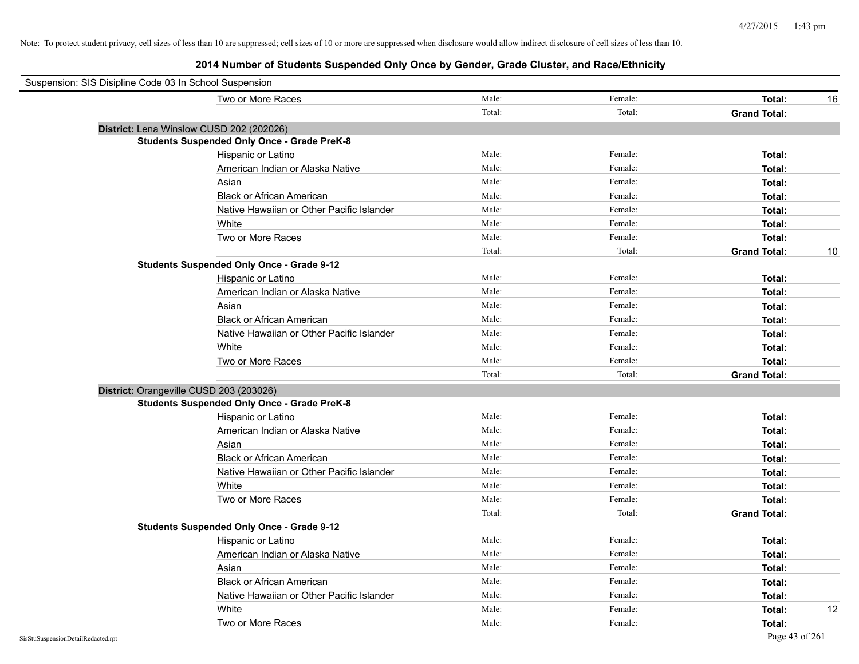| Suspension: SIS Disipline Code 03 In School Suspension |                                                    |        |         |                     |    |
|--------------------------------------------------------|----------------------------------------------------|--------|---------|---------------------|----|
|                                                        | Two or More Races                                  | Male:  | Female: | Total:              | 16 |
|                                                        |                                                    | Total: | Total:  | <b>Grand Total:</b> |    |
|                                                        | District: Lena Winslow CUSD 202 (202026)           |        |         |                     |    |
|                                                        | <b>Students Suspended Only Once - Grade PreK-8</b> |        |         |                     |    |
|                                                        | Hispanic or Latino                                 | Male:  | Female: | Total:              |    |
|                                                        | American Indian or Alaska Native                   | Male:  | Female: | Total:              |    |
|                                                        | Asian                                              | Male:  | Female: | Total:              |    |
|                                                        | <b>Black or African American</b>                   | Male:  | Female: | Total:              |    |
|                                                        | Native Hawaiian or Other Pacific Islander          | Male:  | Female: | Total:              |    |
|                                                        | White                                              | Male:  | Female: | Total:              |    |
|                                                        | Two or More Races                                  | Male:  | Female: | Total:              |    |
|                                                        |                                                    | Total: | Total:  | <b>Grand Total:</b> | 10 |
|                                                        | <b>Students Suspended Only Once - Grade 9-12</b>   |        |         |                     |    |
|                                                        | Hispanic or Latino                                 | Male:  | Female: | Total:              |    |
|                                                        | American Indian or Alaska Native                   | Male:  | Female: | Total:              |    |
|                                                        | Asian                                              | Male:  | Female: | Total:              |    |
|                                                        | <b>Black or African American</b>                   | Male:  | Female: | Total:              |    |
|                                                        | Native Hawaiian or Other Pacific Islander          | Male:  | Female: | Total:              |    |
|                                                        | White                                              | Male:  | Female: | Total:              |    |
|                                                        | Two or More Races                                  | Male:  | Female: | Total:              |    |
|                                                        |                                                    | Total: | Total:  | <b>Grand Total:</b> |    |
| District: Orangeville CUSD 203 (203026)                |                                                    |        |         |                     |    |
|                                                        | <b>Students Suspended Only Once - Grade PreK-8</b> |        |         |                     |    |
|                                                        | Hispanic or Latino                                 | Male:  | Female: | Total:              |    |
|                                                        | American Indian or Alaska Native                   | Male:  | Female: | Total:              |    |
|                                                        | Asian                                              | Male:  | Female: | Total:              |    |
|                                                        | <b>Black or African American</b>                   | Male:  | Female: | Total:              |    |
|                                                        | Native Hawaiian or Other Pacific Islander          | Male:  | Female: | Total:              |    |
|                                                        | White                                              | Male:  | Female: | Total:              |    |
|                                                        | Two or More Races                                  | Male:  | Female: | Total:              |    |
|                                                        |                                                    | Total: | Total:  | <b>Grand Total:</b> |    |
|                                                        | <b>Students Suspended Only Once - Grade 9-12</b>   |        |         |                     |    |
|                                                        | Hispanic or Latino                                 | Male:  | Female: | Total:              |    |
|                                                        | American Indian or Alaska Native                   | Male:  | Female: | Total:              |    |
|                                                        | Asian                                              | Male:  | Female: | Total:              |    |
|                                                        | <b>Black or African American</b>                   | Male:  | Female: | Total:              |    |
|                                                        | Native Hawaiian or Other Pacific Islander          | Male:  | Female: | Total:              |    |
|                                                        | White                                              | Male:  | Female: | Total:              | 12 |
|                                                        | Two or More Races                                  | Male:  | Female: | Total:              |    |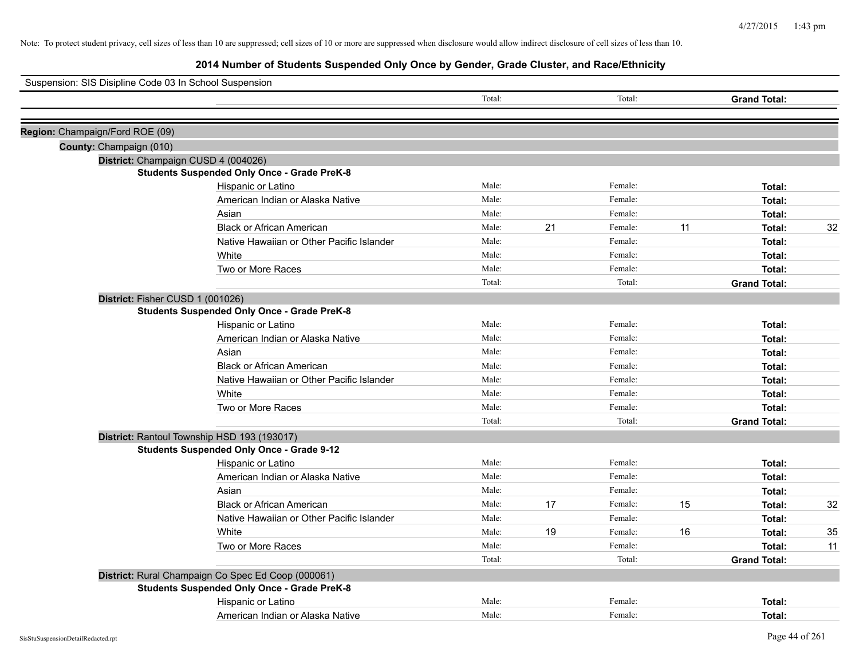| Suspension: SIS Disipline Code 03 In School Suspension |                                                    |        |    |         |    |                     |    |
|--------------------------------------------------------|----------------------------------------------------|--------|----|---------|----|---------------------|----|
|                                                        |                                                    | Total: |    | Total:  |    | <b>Grand Total:</b> |    |
|                                                        |                                                    |        |    |         |    |                     |    |
| Region: Champaign/Ford ROE (09)                        |                                                    |        |    |         |    |                     |    |
| County: Champaign (010)                                |                                                    |        |    |         |    |                     |    |
|                                                        | District: Champaign CUSD 4 (004026)                |        |    |         |    |                     |    |
|                                                        | <b>Students Suspended Only Once - Grade PreK-8</b> |        |    |         |    |                     |    |
|                                                        | Hispanic or Latino                                 | Male:  |    | Female: |    | Total:              |    |
|                                                        | American Indian or Alaska Native                   | Male:  |    | Female: |    | Total:              |    |
|                                                        | Asian                                              | Male:  |    | Female: |    | Total:              |    |
|                                                        | <b>Black or African American</b>                   | Male:  | 21 | Female: | 11 | Total:              | 32 |
|                                                        | Native Hawaiian or Other Pacific Islander          | Male:  |    | Female: |    | Total:              |    |
|                                                        | White                                              | Male:  |    | Female: |    | Total:              |    |
|                                                        | Two or More Races                                  | Male:  |    | Female: |    | Total:              |    |
|                                                        |                                                    | Total: |    | Total:  |    | <b>Grand Total:</b> |    |
|                                                        | District: Fisher CUSD 1 (001026)                   |        |    |         |    |                     |    |
|                                                        | <b>Students Suspended Only Once - Grade PreK-8</b> |        |    |         |    |                     |    |
|                                                        | Hispanic or Latino                                 | Male:  |    | Female: |    | Total:              |    |
|                                                        | American Indian or Alaska Native                   | Male:  |    | Female: |    | Total:              |    |
|                                                        | Asian                                              | Male:  |    | Female: |    | Total:              |    |
|                                                        | <b>Black or African American</b>                   | Male:  |    | Female: |    | Total:              |    |
|                                                        | Native Hawaiian or Other Pacific Islander          | Male:  |    | Female: |    | Total:              |    |
|                                                        | White                                              | Male:  |    | Female: |    | Total:              |    |
|                                                        | Two or More Races                                  | Male:  |    | Female: |    | Total:              |    |
|                                                        |                                                    | Total: |    | Total:  |    | <b>Grand Total:</b> |    |
|                                                        | District: Rantoul Township HSD 193 (193017)        |        |    |         |    |                     |    |
|                                                        | <b>Students Suspended Only Once - Grade 9-12</b>   |        |    |         |    |                     |    |
|                                                        | Hispanic or Latino                                 | Male:  |    | Female: |    | Total:              |    |
|                                                        | American Indian or Alaska Native                   | Male:  |    | Female: |    | Total:              |    |
|                                                        | Asian                                              | Male:  |    | Female: |    | Total:              |    |
|                                                        | <b>Black or African American</b>                   | Male:  | 17 | Female: | 15 | Total:              | 32 |
|                                                        | Native Hawaiian or Other Pacific Islander          | Male:  |    | Female: |    | Total:              |    |
|                                                        | White                                              | Male:  | 19 | Female: | 16 | Total:              | 35 |
|                                                        | Two or More Races                                  | Male:  |    | Female: |    | Total:              | 11 |
|                                                        |                                                    | Total: |    | Total:  |    | <b>Grand Total:</b> |    |
|                                                        | District: Rural Champaign Co Spec Ed Coop (000061) |        |    |         |    |                     |    |
|                                                        | <b>Students Suspended Only Once - Grade PreK-8</b> |        |    |         |    |                     |    |
|                                                        | Hispanic or Latino                                 | Male:  |    | Female: |    | Total:              |    |
|                                                        | American Indian or Alaska Native                   | Male:  |    | Female: |    | Total:              |    |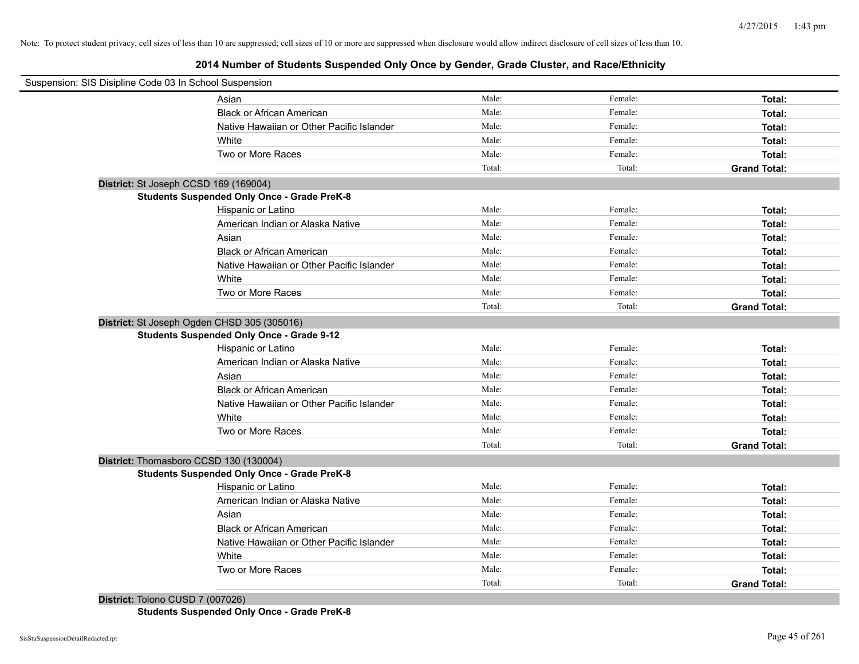## **2014 Number of Students Suspended Only Once by Gender, Grade Cluster, and Race/Ethnicity**

| Suspension: SIS Disipline Code 03 In School Suspension |                                                    |        |         |                     |
|--------------------------------------------------------|----------------------------------------------------|--------|---------|---------------------|
|                                                        | Asian                                              | Male:  | Female: | Total:              |
|                                                        | <b>Black or African American</b>                   | Male:  | Female: | Total:              |
|                                                        | Native Hawaiian or Other Pacific Islander          | Male:  | Female: | Total:              |
|                                                        | White                                              | Male:  | Female: | Total:              |
|                                                        | Two or More Races                                  | Male:  | Female: | Total:              |
|                                                        |                                                    | Total: | Total:  | <b>Grand Total:</b> |
| District: St Joseph CCSD 169 (169004)                  |                                                    |        |         |                     |
|                                                        | <b>Students Suspended Only Once - Grade PreK-8</b> |        |         |                     |
|                                                        | Hispanic or Latino                                 | Male:  | Female: | Total:              |
|                                                        | American Indian or Alaska Native                   | Male:  | Female: | Total:              |
|                                                        | Asian                                              | Male:  | Female: | Total:              |
|                                                        | <b>Black or African American</b>                   | Male:  | Female: | Total:              |
|                                                        | Native Hawaiian or Other Pacific Islander          | Male:  | Female: | Total:              |
|                                                        | White                                              | Male:  | Female: | Total:              |
|                                                        | Two or More Races                                  | Male:  | Female: | Total:              |
|                                                        |                                                    | Total: | Total:  | <b>Grand Total:</b> |
|                                                        | District: St Joseph Ogden CHSD 305 (305016)        |        |         |                     |
|                                                        | <b>Students Suspended Only Once - Grade 9-12</b>   |        |         |                     |
|                                                        | Hispanic or Latino                                 | Male:  | Female: | Total:              |
|                                                        | American Indian or Alaska Native                   | Male:  | Female: | Total:              |
|                                                        | Asian                                              | Male:  | Female: | Total:              |
|                                                        | <b>Black or African American</b>                   | Male:  | Female: | Total:              |
|                                                        | Native Hawaiian or Other Pacific Islander          | Male:  | Female: | Total:              |
|                                                        | White                                              | Male:  | Female: | Total:              |
|                                                        | Two or More Races                                  | Male:  | Female: | Total:              |
|                                                        |                                                    | Total: | Total:  | <b>Grand Total:</b> |
|                                                        | District: Thomasboro CCSD 130 (130004)             |        |         |                     |
|                                                        | <b>Students Suspended Only Once - Grade PreK-8</b> |        |         |                     |
|                                                        | Hispanic or Latino                                 | Male:  | Female: | Total:              |
|                                                        | American Indian or Alaska Native                   | Male:  | Female: | Total:              |
|                                                        | Asian                                              | Male:  | Female: | Total:              |
|                                                        | <b>Black or African American</b>                   | Male:  | Female: | Total:              |
|                                                        | Native Hawaiian or Other Pacific Islander          | Male:  | Female: | Total:              |
|                                                        | White                                              | Male:  | Female: | Total:              |
|                                                        | Two or More Races                                  | Male:  | Female: | Total:              |
|                                                        |                                                    | Total: | Total:  | <b>Grand Total:</b> |
| District: Tolono CUSD 7 (007026)                       |                                                    |        |         |                     |

**Students Suspended Only Once - Grade PreK-8**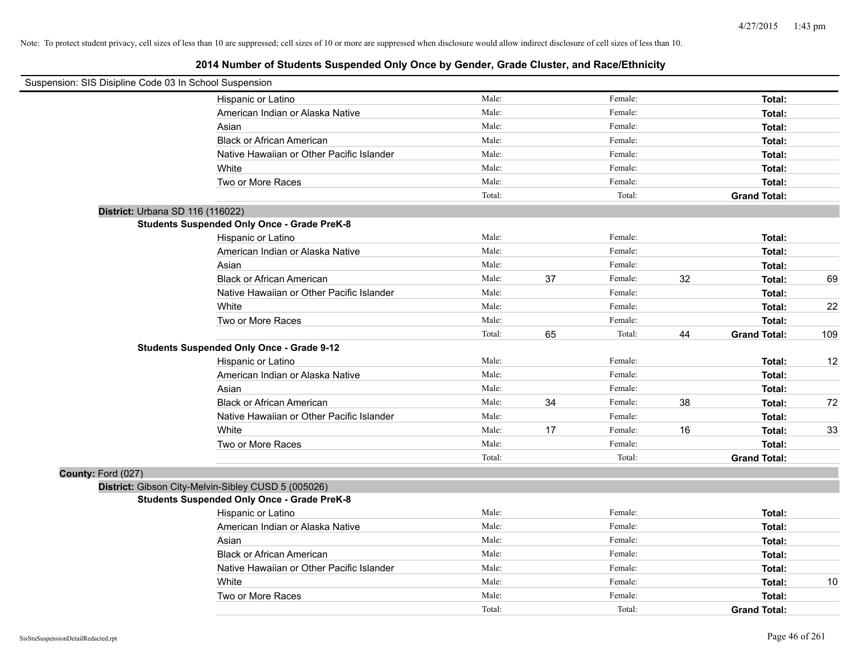| Suspension: SIS Disipline Code 03 In School Suspension |                                                     |        |    |         |    |                     |     |
|--------------------------------------------------------|-----------------------------------------------------|--------|----|---------|----|---------------------|-----|
|                                                        | Hispanic or Latino                                  | Male:  |    | Female: |    | Total:              |     |
|                                                        | American Indian or Alaska Native                    | Male:  |    | Female: |    | Total:              |     |
|                                                        | Asian                                               | Male:  |    | Female: |    | Total:              |     |
|                                                        | <b>Black or African American</b>                    | Male:  |    | Female: |    | Total:              |     |
|                                                        | Native Hawaiian or Other Pacific Islander           | Male:  |    | Female: |    | Total:              |     |
|                                                        | White                                               | Male:  |    | Female: |    | Total:              |     |
|                                                        | Two or More Races                                   | Male:  |    | Female: |    | Total:              |     |
|                                                        |                                                     | Total: |    | Total:  |    | <b>Grand Total:</b> |     |
| District: Urbana SD 116 (116022)                       |                                                     |        |    |         |    |                     |     |
|                                                        | <b>Students Suspended Only Once - Grade PreK-8</b>  |        |    |         |    |                     |     |
|                                                        | Hispanic or Latino                                  | Male:  |    | Female: |    | Total:              |     |
|                                                        | American Indian or Alaska Native                    | Male:  |    | Female: |    | Total:              |     |
|                                                        | Asian                                               | Male:  |    | Female: |    | Total:              |     |
|                                                        | <b>Black or African American</b>                    | Male:  | 37 | Female: | 32 | Total:              | 69  |
|                                                        | Native Hawaiian or Other Pacific Islander           | Male:  |    | Female: |    | Total:              |     |
|                                                        | White                                               | Male:  |    | Female: |    | Total:              | 22  |
|                                                        | Two or More Races                                   | Male:  |    | Female: |    | Total:              |     |
|                                                        |                                                     | Total: | 65 | Total:  | 44 | <b>Grand Total:</b> | 109 |
|                                                        | <b>Students Suspended Only Once - Grade 9-12</b>    |        |    |         |    |                     |     |
|                                                        | Hispanic or Latino                                  | Male:  |    | Female: |    | Total:              | 12  |
|                                                        | American Indian or Alaska Native                    | Male:  |    | Female: |    | Total:              |     |
|                                                        | Asian                                               | Male:  |    | Female: |    | Total:              |     |
|                                                        | <b>Black or African American</b>                    | Male:  | 34 | Female: | 38 | Total:              | 72  |
|                                                        | Native Hawaiian or Other Pacific Islander           | Male:  |    | Female: |    | Total:              |     |
|                                                        | White                                               | Male:  | 17 | Female: | 16 | Total:              | 33  |
|                                                        | Two or More Races                                   | Male:  |    | Female: |    | Total:              |     |
|                                                        |                                                     | Total: |    | Total:  |    | <b>Grand Total:</b> |     |
| County: Ford (027)                                     |                                                     |        |    |         |    |                     |     |
|                                                        | District: Gibson City-Melvin-Sibley CUSD 5 (005026) |        |    |         |    |                     |     |
|                                                        | <b>Students Suspended Only Once - Grade PreK-8</b>  |        |    |         |    |                     |     |
|                                                        | Hispanic or Latino                                  | Male:  |    | Female: |    | Total:              |     |
|                                                        | American Indian or Alaska Native                    | Male:  |    | Female: |    | Total:              |     |
|                                                        | Asian                                               | Male:  |    | Female: |    | Total:              |     |
|                                                        | <b>Black or African American</b>                    | Male:  |    | Female: |    | Total:              |     |
|                                                        | Native Hawaiian or Other Pacific Islander           | Male:  |    | Female: |    | Total:              |     |
|                                                        | White                                               | Male:  |    | Female: |    | Total:              | 10  |
|                                                        | Two or More Races                                   | Male:  |    | Female: |    | Total:              |     |
|                                                        |                                                     | Total: |    | Total:  |    | <b>Grand Total:</b> |     |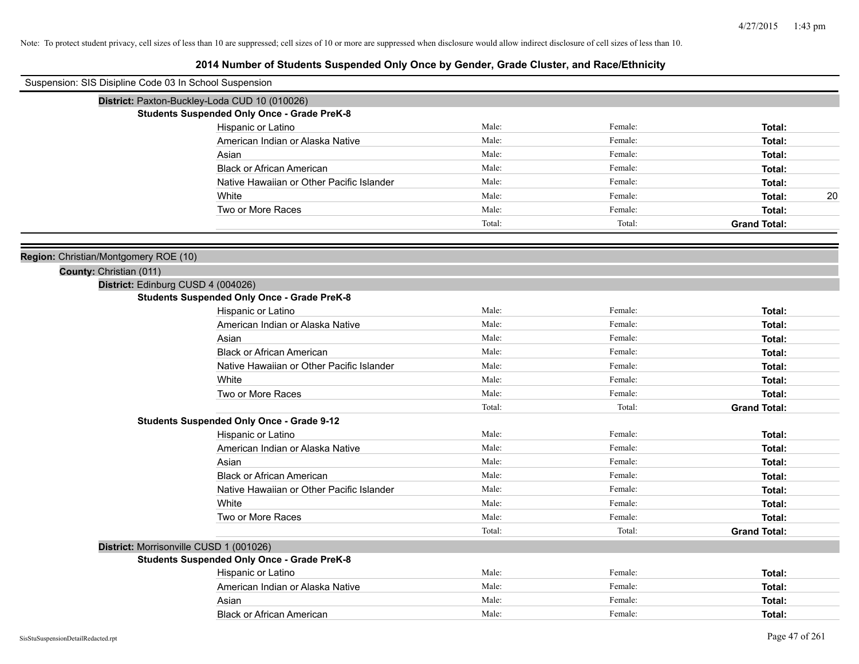| Suspension: SIS Disipline Code 03 In School Suspension |                                                    |        |         |                     |
|--------------------------------------------------------|----------------------------------------------------|--------|---------|---------------------|
|                                                        | District: Paxton-Buckley-Loda CUD 10 (010026)      |        |         |                     |
|                                                        | <b>Students Suspended Only Once - Grade PreK-8</b> |        |         |                     |
|                                                        | Hispanic or Latino                                 | Male:  | Female: | Total:              |
|                                                        | American Indian or Alaska Native                   | Male:  | Female: | Total:              |
|                                                        | Asian                                              | Male:  | Female: | Total:              |
|                                                        | <b>Black or African American</b>                   | Male:  | Female: | Total:              |
|                                                        | Native Hawaiian or Other Pacific Islander          | Male:  | Female: | Total:              |
|                                                        | White                                              | Male:  | Female: | 20<br>Total:        |
|                                                        | Two or More Races                                  | Male:  | Female: | Total:              |
|                                                        |                                                    | Total: | Total:  | <b>Grand Total:</b> |
| Region: Christian/Montgomery ROE (10)                  |                                                    |        |         |                     |
| County: Christian (011)                                |                                                    |        |         |                     |
|                                                        | District: Edinburg CUSD 4 (004026)                 |        |         |                     |
|                                                        | <b>Students Suspended Only Once - Grade PreK-8</b> |        |         |                     |
|                                                        | Hispanic or Latino                                 | Male:  | Female: | Total:              |
|                                                        | American Indian or Alaska Native                   | Male:  | Female: | Total:              |
|                                                        | Asian                                              | Male:  | Female: | Total:              |
|                                                        | <b>Black or African American</b>                   | Male:  | Female: | Total:              |
|                                                        | Native Hawaiian or Other Pacific Islander          | Male:  | Female: | Total:              |
|                                                        | White                                              | Male:  | Female: | Total:              |
|                                                        | Two or More Races                                  | Male:  | Female: | Total:              |
|                                                        |                                                    | Total: | Total:  | <b>Grand Total:</b> |
|                                                        | <b>Students Suspended Only Once - Grade 9-12</b>   |        |         |                     |
|                                                        | Hispanic or Latino                                 | Male:  | Female: | Total:              |
|                                                        | American Indian or Alaska Native                   | Male:  | Female: | Total:              |
|                                                        | Asian                                              | Male:  | Female: | Total:              |
|                                                        | <b>Black or African American</b>                   | Male:  | Female: | Total:              |
|                                                        | Native Hawaiian or Other Pacific Islander          | Male:  | Female: | Total:              |
|                                                        | White                                              | Male:  | Female: | Total:              |
|                                                        | Two or More Races                                  | Male:  | Female: | Total:              |
|                                                        |                                                    | Total: | Total:  | <b>Grand Total:</b> |
|                                                        | District: Morrisonville CUSD 1 (001026)            |        |         |                     |
|                                                        | <b>Students Suspended Only Once - Grade PreK-8</b> |        |         |                     |
|                                                        | Hispanic or Latino                                 | Male:  | Female: | Total:              |
|                                                        | American Indian or Alaska Native                   | Male:  | Female: | Total:              |
|                                                        | Asian                                              | Male:  | Female: | Total:              |
|                                                        | <b>Black or African American</b>                   | Male:  | Female: | Total:              |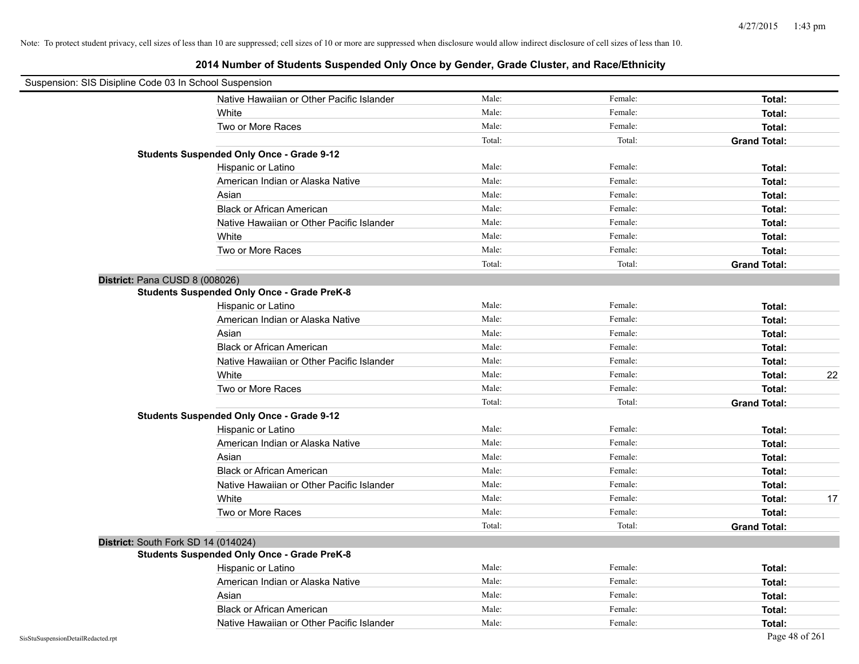| Suspension: SIS Disipline Code 03 In School Suspension |                                                    |        |         |                     |    |
|--------------------------------------------------------|----------------------------------------------------|--------|---------|---------------------|----|
|                                                        | Native Hawaiian or Other Pacific Islander          | Male:  | Female: | Total:              |    |
|                                                        | White                                              | Male:  | Female: | Total:              |    |
|                                                        | Two or More Races                                  | Male:  | Female: | Total:              |    |
|                                                        |                                                    | Total: | Total:  | <b>Grand Total:</b> |    |
|                                                        | <b>Students Suspended Only Once - Grade 9-12</b>   |        |         |                     |    |
|                                                        | Hispanic or Latino                                 | Male:  | Female: | Total:              |    |
|                                                        | American Indian or Alaska Native                   | Male:  | Female: | Total:              |    |
|                                                        | Asian                                              | Male:  | Female: | Total:              |    |
|                                                        | <b>Black or African American</b>                   | Male:  | Female: | Total:              |    |
|                                                        | Native Hawaiian or Other Pacific Islander          | Male:  | Female: | Total:              |    |
|                                                        | White                                              | Male:  | Female: | Total:              |    |
|                                                        | Two or More Races                                  | Male:  | Female: | Total:              |    |
|                                                        |                                                    | Total: | Total:  | <b>Grand Total:</b> |    |
|                                                        | District: Pana CUSD 8 (008026)                     |        |         |                     |    |
|                                                        | <b>Students Suspended Only Once - Grade PreK-8</b> |        |         |                     |    |
|                                                        | Hispanic or Latino                                 | Male:  | Female: | Total:              |    |
|                                                        | American Indian or Alaska Native                   | Male:  | Female: | Total:              |    |
|                                                        | Asian                                              | Male:  | Female: | Total:              |    |
|                                                        | <b>Black or African American</b>                   | Male:  | Female: | Total:              |    |
|                                                        | Native Hawaiian or Other Pacific Islander          | Male:  | Female: | Total:              |    |
|                                                        | White                                              | Male:  | Female: | Total:              | 22 |
|                                                        | Two or More Races                                  | Male:  | Female: | Total:              |    |
|                                                        |                                                    | Total: | Total:  | <b>Grand Total:</b> |    |
|                                                        | <b>Students Suspended Only Once - Grade 9-12</b>   |        |         |                     |    |
|                                                        | Hispanic or Latino                                 | Male:  | Female: | Total:              |    |
|                                                        | American Indian or Alaska Native                   | Male:  | Female: | Total:              |    |
|                                                        | Asian                                              | Male:  | Female: | Total:              |    |
|                                                        | <b>Black or African American</b>                   | Male:  | Female: | Total:              |    |
|                                                        | Native Hawaiian or Other Pacific Islander          | Male:  | Female: | Total:              |    |
|                                                        | White                                              | Male:  | Female: | Total:              | 17 |
|                                                        | Two or More Races                                  | Male:  | Female: | Total:              |    |
|                                                        |                                                    | Total: | Total:  | <b>Grand Total:</b> |    |
|                                                        | District: South Fork SD 14 (014024)                |        |         |                     |    |
|                                                        | <b>Students Suspended Only Once - Grade PreK-8</b> |        |         |                     |    |
|                                                        | Hispanic or Latino                                 | Male:  | Female: | Total:              |    |
|                                                        | American Indian or Alaska Native                   | Male:  | Female: | Total:              |    |
|                                                        | Asian                                              | Male:  | Female: | Total:              |    |
|                                                        | <b>Black or African American</b>                   | Male:  | Female: | Total:              |    |
|                                                        | Native Hawaiian or Other Pacific Islander          | Male:  | Female: | Total:              |    |
| SisStuSuspensionDetailRedacted.rpt                     |                                                    |        |         | Page 48 of 261      |    |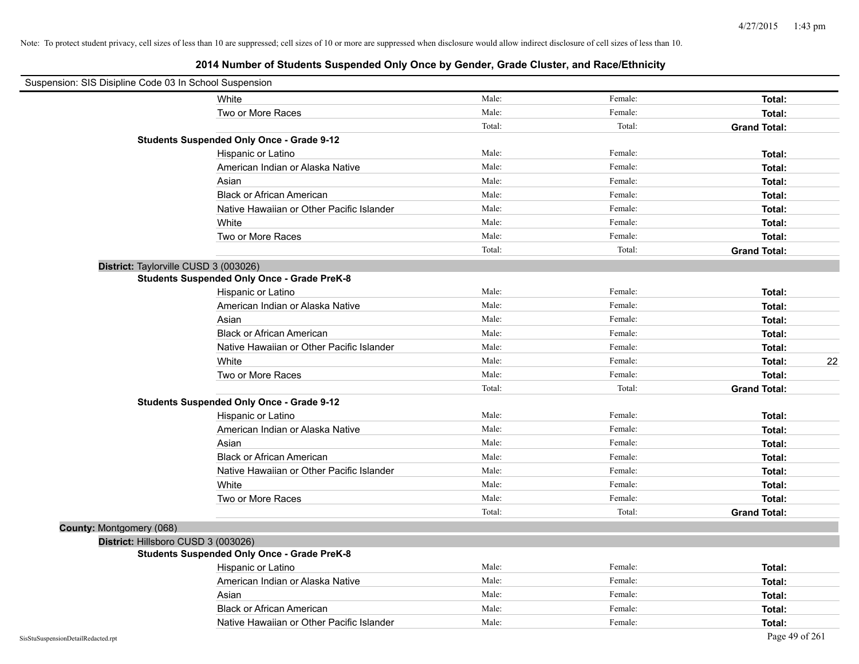| Suspension: SIS Disipline Code 03 In School Suspension |                                                    |        |         |                     |
|--------------------------------------------------------|----------------------------------------------------|--------|---------|---------------------|
|                                                        | White                                              | Male:  | Female: | Total:              |
|                                                        | Two or More Races                                  | Male:  | Female: | Total:              |
|                                                        |                                                    | Total: | Total:  | <b>Grand Total:</b> |
|                                                        | <b>Students Suspended Only Once - Grade 9-12</b>   |        |         |                     |
|                                                        | Hispanic or Latino                                 | Male:  | Female: | Total:              |
|                                                        | American Indian or Alaska Native                   | Male:  | Female: | Total:              |
|                                                        | Asian                                              | Male:  | Female: | Total:              |
|                                                        | <b>Black or African American</b>                   | Male:  | Female: | Total:              |
|                                                        | Native Hawaiian or Other Pacific Islander          | Male:  | Female: | Total:              |
|                                                        | White                                              | Male:  | Female: | Total:              |
|                                                        | Two or More Races                                  | Male:  | Female: | Total:              |
|                                                        |                                                    | Total: | Total:  | <b>Grand Total:</b> |
|                                                        | District: Taylorville CUSD 3 (003026)              |        |         |                     |
|                                                        | <b>Students Suspended Only Once - Grade PreK-8</b> |        |         |                     |
|                                                        | Hispanic or Latino                                 | Male:  | Female: | Total:              |
|                                                        | American Indian or Alaska Native                   | Male:  | Female: | Total:              |
|                                                        | Asian                                              | Male:  | Female: | Total:              |
|                                                        | <b>Black or African American</b>                   | Male:  | Female: | Total:              |
|                                                        | Native Hawaiian or Other Pacific Islander          | Male:  | Female: | Total:              |
|                                                        | White                                              | Male:  | Female: | 22<br>Total:        |
|                                                        | Two or More Races                                  | Male:  | Female: | Total:              |
|                                                        |                                                    | Total: | Total:  | <b>Grand Total:</b> |
|                                                        | <b>Students Suspended Only Once - Grade 9-12</b>   |        |         |                     |
|                                                        | Hispanic or Latino                                 | Male:  | Female: | Total:              |
|                                                        | American Indian or Alaska Native                   | Male:  | Female: | Total:              |
|                                                        | Asian                                              | Male:  | Female: | Total:              |
|                                                        | <b>Black or African American</b>                   | Male:  | Female: | Total:              |
|                                                        | Native Hawaiian or Other Pacific Islander          | Male:  | Female: | Total:              |
|                                                        | White                                              | Male:  | Female: | Total:              |
|                                                        | Two or More Races                                  | Male:  | Female: | Total:              |
|                                                        |                                                    | Total: | Total:  | <b>Grand Total:</b> |
| County: Montgomery (068)                               |                                                    |        |         |                     |
|                                                        | District: Hillsboro CUSD 3 (003026)                |        |         |                     |
|                                                        | <b>Students Suspended Only Once - Grade PreK-8</b> |        |         |                     |
|                                                        | Hispanic or Latino                                 | Male:  | Female: | Total:              |
|                                                        | American Indian or Alaska Native                   | Male:  | Female: | Total:              |
|                                                        | Asian                                              | Male:  | Female: | Total:              |
|                                                        | <b>Black or African American</b>                   | Male:  | Female: | Total:              |
|                                                        | Native Hawaiian or Other Pacific Islander          | Male:  | Female: | Total:              |
| SisStuSuspensionDetailRedacted.rpt                     |                                                    |        |         | Page 49 of 261      |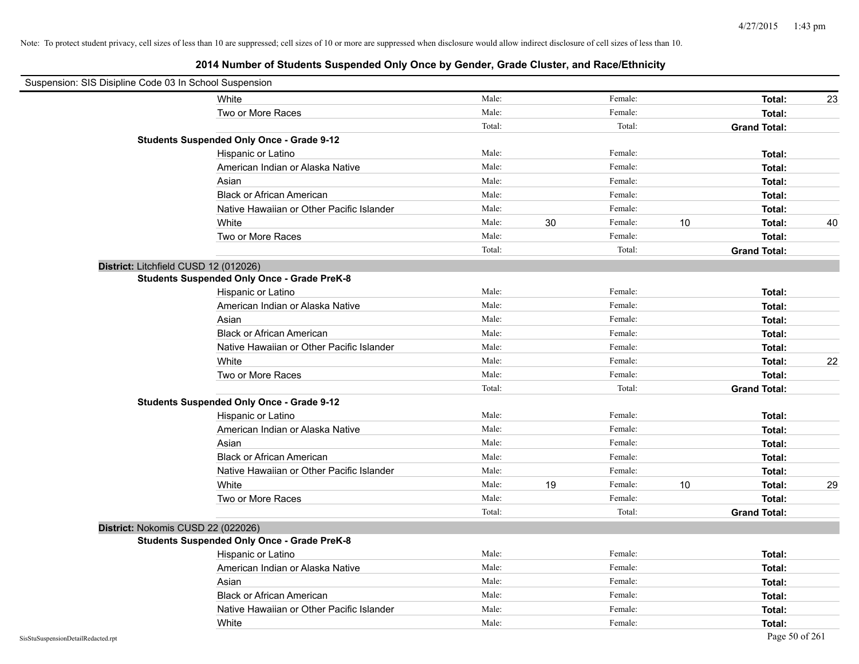| Suspension: SIS Disipline Code 03 In School Suspension |        |        |         |    |                     |    |
|--------------------------------------------------------|--------|--------|---------|----|---------------------|----|
| White                                                  | Male:  |        | Female: |    | Total:              | 23 |
| Two or More Races                                      | Male:  |        | Female: |    | Total:              |    |
|                                                        | Total: |        | Total:  |    | <b>Grand Total:</b> |    |
| <b>Students Suspended Only Once - Grade 9-12</b>       |        |        |         |    |                     |    |
| Hispanic or Latino                                     | Male:  |        | Female: |    | Total:              |    |
| American Indian or Alaska Native                       | Male:  |        | Female: |    | Total:              |    |
| Asian                                                  | Male:  |        | Female: |    | Total:              |    |
| <b>Black or African American</b>                       | Male:  |        | Female: |    | Total:              |    |
| Native Hawaiian or Other Pacific Islander              | Male:  |        | Female: |    | Total:              |    |
| White                                                  | Male:  | $30\,$ | Female: | 10 | Total:              | 40 |
| Two or More Races                                      | Male:  |        | Female: |    | Total:              |    |
|                                                        | Total: |        | Total:  |    | <b>Grand Total:</b> |    |
| District: Litchfield CUSD 12 (012026)                  |        |        |         |    |                     |    |
| <b>Students Suspended Only Once - Grade PreK-8</b>     |        |        |         |    |                     |    |
| Hispanic or Latino                                     | Male:  |        | Female: |    | Total:              |    |
| American Indian or Alaska Native                       | Male:  |        | Female: |    | Total:              |    |
| Asian                                                  | Male:  |        | Female: |    | Total:              |    |
| <b>Black or African American</b>                       | Male:  |        | Female: |    | Total:              |    |
| Native Hawaiian or Other Pacific Islander              | Male:  |        | Female: |    | Total:              |    |
| White                                                  | Male:  |        | Female: |    | Total:              | 22 |
| Two or More Races                                      | Male:  |        | Female: |    | Total:              |    |
|                                                        | Total: |        | Total:  |    | <b>Grand Total:</b> |    |
| <b>Students Suspended Only Once - Grade 9-12</b>       |        |        |         |    |                     |    |
| Hispanic or Latino                                     | Male:  |        | Female: |    | Total:              |    |
| American Indian or Alaska Native                       | Male:  |        | Female: |    | Total:              |    |
| Asian                                                  | Male:  |        | Female: |    | Total:              |    |
| <b>Black or African American</b>                       | Male:  |        | Female: |    | Total:              |    |
| Native Hawaiian or Other Pacific Islander              | Male:  |        | Female: |    | Total:              |    |
| White                                                  | Male:  | 19     | Female: | 10 | Total:              | 29 |
| Two or More Races                                      | Male:  |        | Female: |    | Total:              |    |
|                                                        | Total: |        | Total:  |    | <b>Grand Total:</b> |    |
| District: Nokomis CUSD 22 (022026)                     |        |        |         |    |                     |    |
| <b>Students Suspended Only Once - Grade PreK-8</b>     |        |        |         |    |                     |    |
| Hispanic or Latino                                     | Male:  |        | Female: |    | Total:              |    |
| American Indian or Alaska Native                       | Male:  |        | Female: |    | Total:              |    |
| Asian                                                  | Male:  |        | Female: |    | Total:              |    |
| <b>Black or African American</b>                       | Male:  |        | Female: |    | Total:              |    |
| Native Hawaiian or Other Pacific Islander              | Male:  |        | Female: |    | Total:              |    |
| White                                                  | Male:  |        | Female: |    | Total:              |    |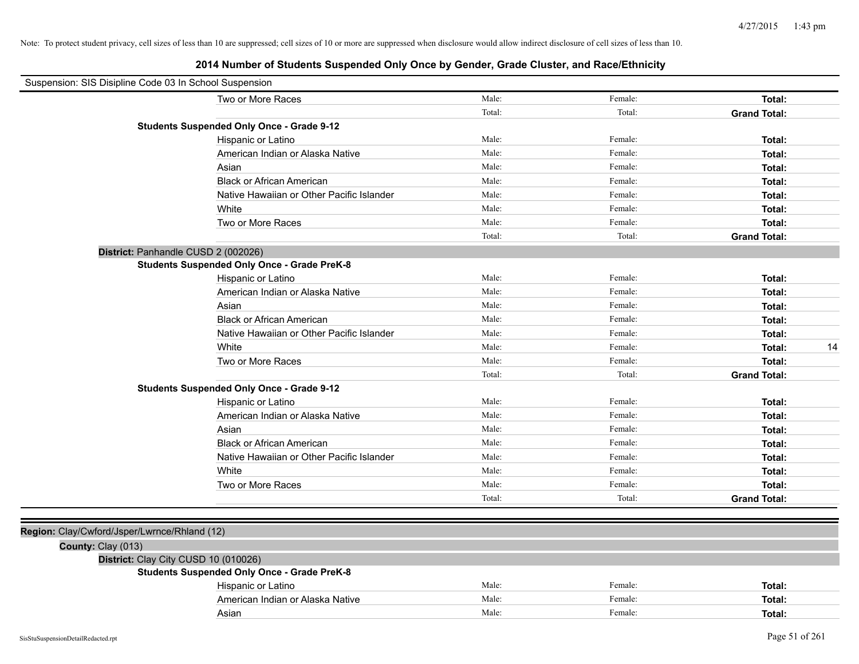| Suspension: SIS Disipline Code 03 In School Suspension |                                                    |        |         |                     |
|--------------------------------------------------------|----------------------------------------------------|--------|---------|---------------------|
|                                                        | Two or More Races                                  | Male:  | Female: | Total:              |
|                                                        |                                                    | Total: | Total:  | <b>Grand Total:</b> |
|                                                        | <b>Students Suspended Only Once - Grade 9-12</b>   |        |         |                     |
|                                                        | Hispanic or Latino                                 | Male:  | Female: | Total:              |
|                                                        | American Indian or Alaska Native                   | Male:  | Female: | Total:              |
|                                                        | Asian                                              | Male:  | Female: | Total:              |
|                                                        | <b>Black or African American</b>                   | Male:  | Female: | Total:              |
|                                                        | Native Hawaiian or Other Pacific Islander          | Male:  | Female: | Total:              |
|                                                        | White                                              | Male:  | Female: | Total:              |
|                                                        | Two or More Races                                  | Male:  | Female: | Total:              |
|                                                        |                                                    | Total: | Total:  | <b>Grand Total:</b> |
|                                                        | District: Panhandle CUSD 2 (002026)                |        |         |                     |
|                                                        | <b>Students Suspended Only Once - Grade PreK-8</b> |        |         |                     |
|                                                        | Hispanic or Latino                                 | Male:  | Female: | Total:              |
|                                                        | American Indian or Alaska Native                   | Male:  | Female: | Total:              |
|                                                        | Asian                                              | Male:  | Female: | Total:              |
|                                                        | <b>Black or African American</b>                   | Male:  | Female: | Total:              |
|                                                        | Native Hawaiian or Other Pacific Islander          | Male:  | Female: | Total:              |
|                                                        | White                                              | Male:  | Female: | 14<br>Total:        |
|                                                        | Two or More Races                                  | Male:  | Female: | Total:              |
|                                                        |                                                    | Total: | Total:  | <b>Grand Total:</b> |
|                                                        | <b>Students Suspended Only Once - Grade 9-12</b>   |        |         |                     |
|                                                        | Hispanic or Latino                                 | Male:  | Female: | Total:              |
|                                                        | American Indian or Alaska Native                   | Male:  | Female: | Total:              |
|                                                        | Asian                                              | Male:  | Female: | Total:              |
|                                                        | <b>Black or African American</b>                   | Male:  | Female: | Total:              |
|                                                        | Native Hawaiian or Other Pacific Islander          | Male:  | Female: | Total:              |
|                                                        | White                                              | Male:  | Female: | Total:              |
|                                                        | Two or More Races                                  | Male:  | Female: | Total:              |
|                                                        |                                                    | Total: | Total:  | <b>Grand Total:</b> |
|                                                        |                                                    |        |         |                     |
| Region: Clay/Cwford/Jsper/Lwrnce/Rhland (12)           |                                                    |        |         |                     |
| County: Clay (013)                                     |                                                    |        |         |                     |
|                                                        | District: Clay City CUSD 10 (010026)               |        |         |                     |
|                                                        | <b>Students Suspended Only Once - Grade PreK-8</b> |        |         |                     |
|                                                        | Hispanic or Latino                                 | Male:  | Female: | Total:              |
|                                                        | American Indian or Alaska Native                   | Male:  | Female: | Total:              |
|                                                        | Asian                                              | Male:  | Female: | Total:              |
|                                                        |                                                    |        |         |                     |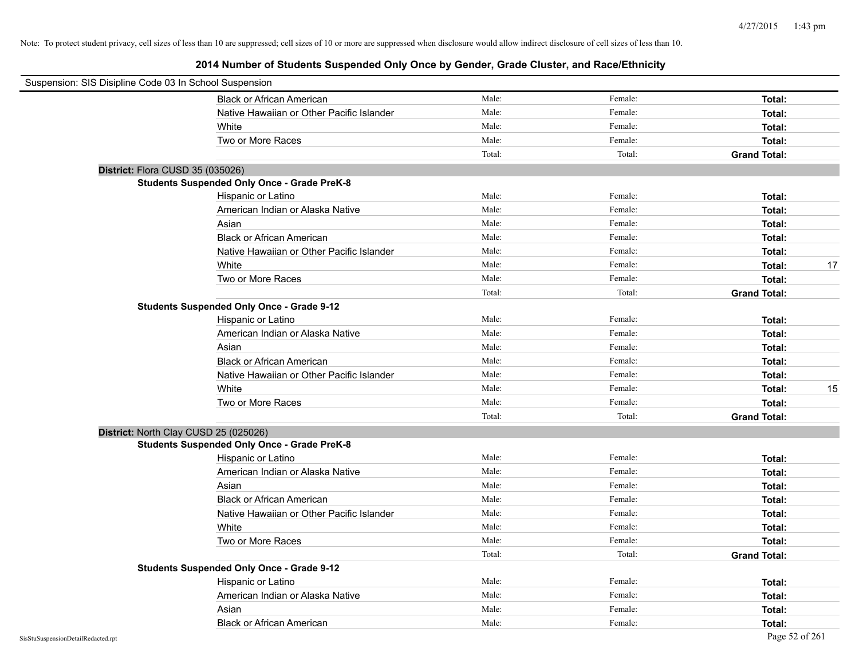| Suspension: SIS Disipline Code 03 In School Suspension |                                                    |        |         |                     |    |
|--------------------------------------------------------|----------------------------------------------------|--------|---------|---------------------|----|
|                                                        | <b>Black or African American</b>                   | Male:  | Female: | Total:              |    |
|                                                        | Native Hawaiian or Other Pacific Islander          | Male:  | Female: | Total:              |    |
|                                                        | White                                              | Male:  | Female: | Total:              |    |
|                                                        | Two or More Races                                  | Male:  | Female: | Total:              |    |
|                                                        |                                                    | Total: | Total:  | <b>Grand Total:</b> |    |
| District: Flora CUSD 35 (035026)                       |                                                    |        |         |                     |    |
|                                                        | <b>Students Suspended Only Once - Grade PreK-8</b> |        |         |                     |    |
|                                                        | Hispanic or Latino                                 | Male:  | Female: | Total:              |    |
|                                                        | American Indian or Alaska Native                   | Male:  | Female: | Total:              |    |
|                                                        | Asian                                              | Male:  | Female: | Total:              |    |
|                                                        | <b>Black or African American</b>                   | Male:  | Female: | Total:              |    |
|                                                        | Native Hawaiian or Other Pacific Islander          | Male:  | Female: | Total:              |    |
|                                                        | White                                              | Male:  | Female: | Total:              | 17 |
|                                                        | Two or More Races                                  | Male:  | Female: | Total:              |    |
|                                                        |                                                    | Total: | Total:  | <b>Grand Total:</b> |    |
|                                                        | <b>Students Suspended Only Once - Grade 9-12</b>   |        |         |                     |    |
|                                                        | Hispanic or Latino                                 | Male:  | Female: | Total:              |    |
|                                                        | American Indian or Alaska Native                   | Male:  | Female: | Total:              |    |
|                                                        | Asian                                              | Male:  | Female: | Total:              |    |
|                                                        | <b>Black or African American</b>                   | Male:  | Female: | Total:              |    |
|                                                        | Native Hawaiian or Other Pacific Islander          | Male:  | Female: | Total:              |    |
|                                                        | White                                              | Male:  | Female: | Total:              | 15 |
|                                                        | Two or More Races                                  | Male:  | Female: | Total:              |    |
|                                                        |                                                    | Total: | Total:  | <b>Grand Total:</b> |    |
| District: North Clay CUSD 25 (025026)                  |                                                    |        |         |                     |    |
|                                                        | <b>Students Suspended Only Once - Grade PreK-8</b> |        |         |                     |    |
|                                                        | Hispanic or Latino                                 | Male:  | Female: | Total:              |    |
|                                                        | American Indian or Alaska Native                   | Male:  | Female: | Total:              |    |
|                                                        | Asian                                              | Male:  | Female: | Total:              |    |
|                                                        | <b>Black or African American</b>                   | Male:  | Female: | Total:              |    |
|                                                        | Native Hawaiian or Other Pacific Islander          | Male:  | Female: | Total:              |    |
|                                                        | White                                              | Male:  | Female: | Total:              |    |
|                                                        | Two or More Races                                  | Male:  | Female: | Total:              |    |
|                                                        |                                                    | Total: | Total:  | <b>Grand Total:</b> |    |
|                                                        | <b>Students Suspended Only Once - Grade 9-12</b>   |        |         |                     |    |
|                                                        | Hispanic or Latino                                 | Male:  | Female: | Total:              |    |
|                                                        | American Indian or Alaska Native                   | Male:  | Female: | Total:              |    |
|                                                        | Asian                                              | Male:  | Female: | Total:              |    |
|                                                        | <b>Black or African American</b>                   | Male:  | Female: | Total:              |    |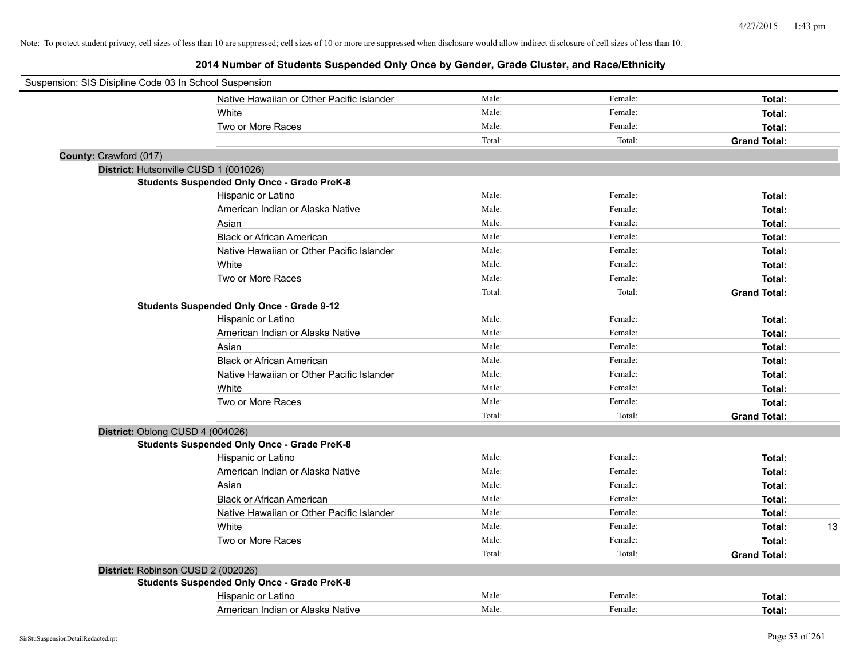| Suspension: SIS Disipline Code 03 In School Suspension |                                                    |        |         |                     |    |
|--------------------------------------------------------|----------------------------------------------------|--------|---------|---------------------|----|
|                                                        | Native Hawaiian or Other Pacific Islander          | Male:  | Female: | Total:              |    |
|                                                        | White                                              | Male:  | Female: | Total:              |    |
|                                                        | Two or More Races                                  | Male:  | Female: | Total:              |    |
|                                                        |                                                    | Total: | Total:  | <b>Grand Total:</b> |    |
| County: Crawford (017)                                 |                                                    |        |         |                     |    |
|                                                        | District: Hutsonville CUSD 1 (001026)              |        |         |                     |    |
|                                                        | <b>Students Suspended Only Once - Grade PreK-8</b> |        |         |                     |    |
|                                                        | Hispanic or Latino                                 | Male:  | Female: | Total:              |    |
|                                                        | American Indian or Alaska Native                   | Male:  | Female: | Total:              |    |
|                                                        | Asian                                              | Male:  | Female: | Total:              |    |
|                                                        | <b>Black or African American</b>                   | Male:  | Female: | Total:              |    |
|                                                        | Native Hawaiian or Other Pacific Islander          | Male:  | Female: | Total:              |    |
|                                                        | White                                              | Male:  | Female: | Total:              |    |
|                                                        | Two or More Races                                  | Male:  | Female: | Total:              |    |
|                                                        |                                                    | Total: | Total:  | <b>Grand Total:</b> |    |
|                                                        | <b>Students Suspended Only Once - Grade 9-12</b>   |        |         |                     |    |
|                                                        | Hispanic or Latino                                 | Male:  | Female: | Total:              |    |
|                                                        | American Indian or Alaska Native                   | Male:  | Female: | Total:              |    |
|                                                        | Asian                                              | Male:  | Female: | Total:              |    |
|                                                        | <b>Black or African American</b>                   | Male:  | Female: | Total:              |    |
|                                                        | Native Hawaiian or Other Pacific Islander          | Male:  | Female: | Total:              |    |
|                                                        | White                                              | Male:  | Female: | Total:              |    |
|                                                        | Two or More Races                                  | Male:  | Female: | Total:              |    |
|                                                        |                                                    | Total: | Total:  | <b>Grand Total:</b> |    |
|                                                        | District: Oblong CUSD 4 (004026)                   |        |         |                     |    |
|                                                        | <b>Students Suspended Only Once - Grade PreK-8</b> |        |         |                     |    |
|                                                        | Hispanic or Latino                                 | Male:  | Female: | Total:              |    |
|                                                        | American Indian or Alaska Native                   | Male:  | Female: | Total:              |    |
|                                                        | Asian                                              | Male:  | Female: | Total:              |    |
|                                                        | <b>Black or African American</b>                   | Male:  | Female: | Total:              |    |
|                                                        | Native Hawaiian or Other Pacific Islander          | Male:  | Female: | Total:              |    |
|                                                        | White                                              | Male:  | Female: | Total:              | 13 |
|                                                        | Two or More Races                                  | Male:  | Female: | Total:              |    |
|                                                        |                                                    | Total: | Total:  | <b>Grand Total:</b> |    |
|                                                        | District: Robinson CUSD 2 (002026)                 |        |         |                     |    |
|                                                        | <b>Students Suspended Only Once - Grade PreK-8</b> |        |         |                     |    |
|                                                        | Hispanic or Latino                                 | Male:  | Female: | Total:              |    |
|                                                        | American Indian or Alaska Native                   | Male:  | Female: | Total:              |    |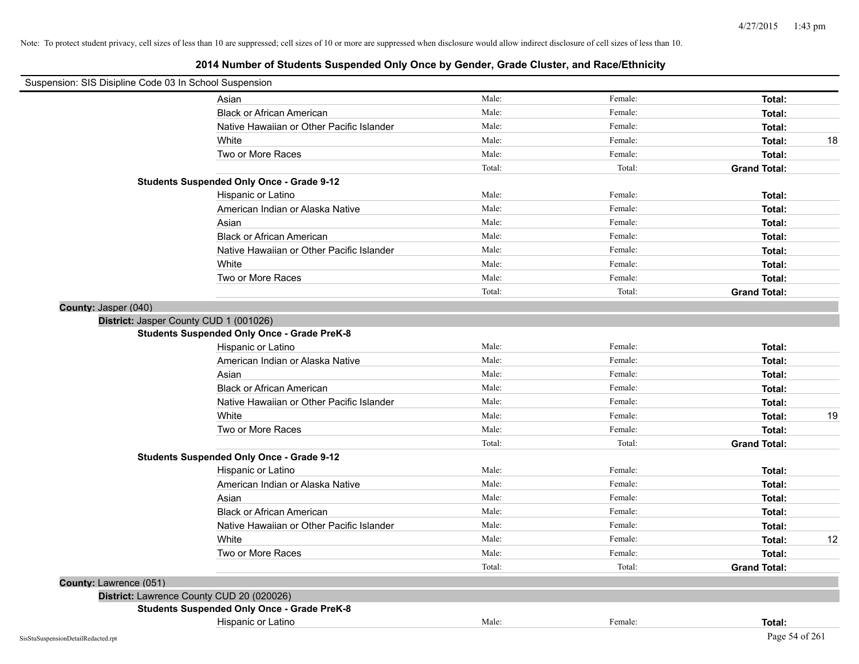| Suspension: SIS Disipline Code 03 In School Suspension |                                                    |        |         |                     |    |
|--------------------------------------------------------|----------------------------------------------------|--------|---------|---------------------|----|
|                                                        | Asian                                              | Male:  | Female: | Total:              |    |
|                                                        | <b>Black or African American</b>                   | Male:  | Female: | Total:              |    |
|                                                        | Native Hawaiian or Other Pacific Islander          | Male:  | Female: | Total:              |    |
|                                                        | White                                              | Male:  | Female: | Total:              | 18 |
|                                                        | Two or More Races                                  | Male:  | Female: | Total:              |    |
|                                                        |                                                    | Total: | Total:  | <b>Grand Total:</b> |    |
|                                                        | <b>Students Suspended Only Once - Grade 9-12</b>   |        |         |                     |    |
|                                                        | Hispanic or Latino                                 | Male:  | Female: | Total:              |    |
|                                                        | American Indian or Alaska Native                   | Male:  | Female: | Total:              |    |
|                                                        | Asian                                              | Male:  | Female: | Total:              |    |
|                                                        | <b>Black or African American</b>                   | Male:  | Female: | Total:              |    |
|                                                        | Native Hawaiian or Other Pacific Islander          | Male:  | Female: | Total:              |    |
|                                                        | White                                              | Male:  | Female: | Total:              |    |
|                                                        | Two or More Races                                  | Male:  | Female: | Total:              |    |
|                                                        |                                                    | Total: | Total:  | <b>Grand Total:</b> |    |
| County: Jasper (040)                                   |                                                    |        |         |                     |    |
|                                                        | District: Jasper County CUD 1 (001026)             |        |         |                     |    |
|                                                        | <b>Students Suspended Only Once - Grade PreK-8</b> |        |         |                     |    |
|                                                        | Hispanic or Latino                                 | Male:  | Female: | Total:              |    |
|                                                        | American Indian or Alaska Native                   | Male:  | Female: | Total:              |    |
|                                                        | Asian                                              | Male:  | Female: | Total:              |    |
|                                                        | <b>Black or African American</b>                   | Male:  | Female: | Total:              |    |
|                                                        | Native Hawaiian or Other Pacific Islander          | Male:  | Female: | Total:              |    |
|                                                        | White                                              | Male:  | Female: | Total:              | 19 |
|                                                        | Two or More Races                                  | Male:  | Female: | Total:              |    |
|                                                        |                                                    | Total: | Total:  | <b>Grand Total:</b> |    |
|                                                        | <b>Students Suspended Only Once - Grade 9-12</b>   |        |         |                     |    |
|                                                        | Hispanic or Latino                                 | Male:  | Female: | Total:              |    |
|                                                        | American Indian or Alaska Native                   | Male:  | Female: | Total:              |    |
|                                                        | Asian                                              | Male:  | Female: | Total:              |    |
|                                                        | <b>Black or African American</b>                   | Male:  | Female: | Total:              |    |
|                                                        | Native Hawaiian or Other Pacific Islander          | Male:  | Female: | Total:              |    |
|                                                        | White                                              | Male:  | Female: | Total:              | 12 |
|                                                        | Two or More Races                                  | Male:  | Female: | Total:              |    |
|                                                        |                                                    | Total: | Total:  | <b>Grand Total:</b> |    |
| County: Lawrence (051)                                 |                                                    |        |         |                     |    |
|                                                        | District: Lawrence County CUD 20 (020026)          |        |         |                     |    |
|                                                        | <b>Students Suspended Only Once - Grade PreK-8</b> |        |         |                     |    |
|                                                        | Hispanic or Latino                                 | Male:  | Female: | Total:              |    |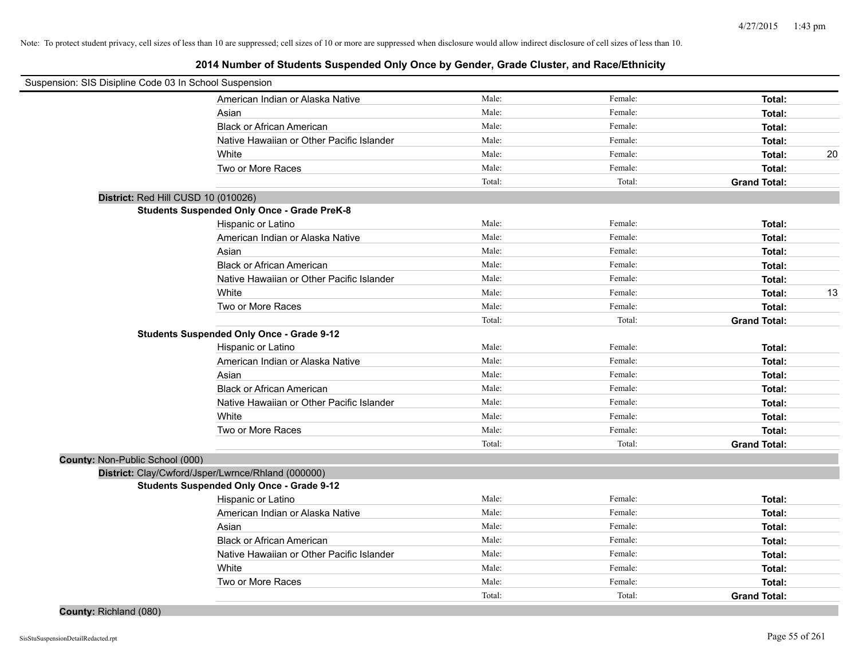| Suspension: SIS Disipline Code 03 In School Suspension |                                                    |        |         |                     |    |
|--------------------------------------------------------|----------------------------------------------------|--------|---------|---------------------|----|
|                                                        | American Indian or Alaska Native                   | Male:  | Female: | Total:              |    |
|                                                        | Asian                                              | Male:  | Female: | Total:              |    |
|                                                        | <b>Black or African American</b>                   | Male:  | Female: | Total:              |    |
|                                                        | Native Hawaiian or Other Pacific Islander          | Male:  | Female: | Total:              |    |
|                                                        | White                                              | Male:  | Female: | Total:              | 20 |
|                                                        | Two or More Races                                  | Male:  | Female: | Total:              |    |
|                                                        |                                                    | Total: | Total:  | <b>Grand Total:</b> |    |
| District: Red Hill CUSD 10 (010026)                    |                                                    |        |         |                     |    |
|                                                        | <b>Students Suspended Only Once - Grade PreK-8</b> |        |         |                     |    |
|                                                        | Hispanic or Latino                                 | Male:  | Female: | Total:              |    |
|                                                        | American Indian or Alaska Native                   | Male:  | Female: | Total:              |    |
|                                                        | Asian                                              | Male:  | Female: | Total:              |    |
|                                                        | <b>Black or African American</b>                   | Male:  | Female: | Total:              |    |
|                                                        | Native Hawaiian or Other Pacific Islander          | Male:  | Female: | Total:              |    |
|                                                        | White                                              | Male:  | Female: | Total:              | 13 |
|                                                        | Two or More Races                                  | Male:  | Female: | Total:              |    |
|                                                        |                                                    | Total: | Total:  | <b>Grand Total:</b> |    |
|                                                        | <b>Students Suspended Only Once - Grade 9-12</b>   |        |         |                     |    |
|                                                        | Hispanic or Latino                                 | Male:  | Female: | Total:              |    |
|                                                        | American Indian or Alaska Native                   | Male:  | Female: | Total:              |    |
|                                                        | Asian                                              | Male:  | Female: | Total:              |    |
|                                                        | <b>Black or African American</b>                   | Male:  | Female: | Total:              |    |
|                                                        | Native Hawaiian or Other Pacific Islander          | Male:  | Female: | Total:              |    |
|                                                        | White                                              | Male:  | Female: | Total:              |    |
|                                                        | Two or More Races                                  | Male:  | Female: | Total:              |    |
|                                                        |                                                    | Total: | Total:  | <b>Grand Total:</b> |    |
| County: Non-Public School (000)                        |                                                    |        |         |                     |    |
|                                                        | District: Clay/Cwford/Jsper/Lwrnce/Rhland (000000) |        |         |                     |    |
|                                                        | <b>Students Suspended Only Once - Grade 9-12</b>   |        |         |                     |    |
|                                                        | Hispanic or Latino                                 | Male:  | Female: | Total:              |    |
|                                                        | American Indian or Alaska Native                   | Male:  | Female: | Total:              |    |
|                                                        | Asian                                              | Male:  | Female: | Total:              |    |
|                                                        | <b>Black or African American</b>                   | Male:  | Female: | Total:              |    |
|                                                        | Native Hawaiian or Other Pacific Islander          | Male:  | Female: | Total:              |    |
|                                                        | White                                              | Male:  | Female: | Total:              |    |
|                                                        | Two or More Races                                  | Male:  | Female: | Total:              |    |
|                                                        |                                                    | Total: | Total:  | <b>Grand Total:</b> |    |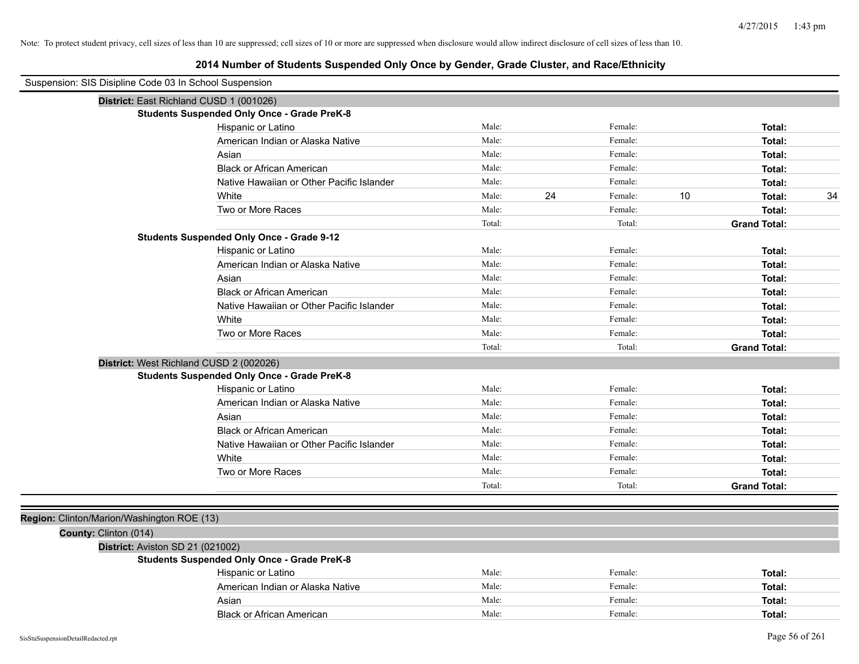| Suspension: SIS Disipline Code 03 In School Suspension |                                                    |        |    |         |    |                     |
|--------------------------------------------------------|----------------------------------------------------|--------|----|---------|----|---------------------|
| District: East Richland CUSD 1 (001026)                |                                                    |        |    |         |    |                     |
|                                                        | <b>Students Suspended Only Once - Grade PreK-8</b> |        |    |         |    |                     |
|                                                        | Hispanic or Latino                                 | Male:  |    | Female: |    | Total:              |
|                                                        | American Indian or Alaska Native                   | Male:  |    | Female: |    | Total:              |
|                                                        | Asian                                              | Male:  |    | Female: |    | Total:              |
|                                                        | <b>Black or African American</b>                   | Male:  |    | Female: |    | Total:              |
|                                                        | Native Hawaiian or Other Pacific Islander          | Male:  |    | Female: |    | Total:              |
|                                                        | White                                              | Male:  | 24 | Female: | 10 | 34<br>Total:        |
|                                                        | Two or More Races                                  | Male:  |    | Female: |    | Total:              |
|                                                        |                                                    | Total: |    | Total:  |    | <b>Grand Total:</b> |
|                                                        | <b>Students Suspended Only Once - Grade 9-12</b>   |        |    |         |    |                     |
|                                                        | Hispanic or Latino                                 | Male:  |    | Female: |    | Total:              |
|                                                        | American Indian or Alaska Native                   | Male:  |    | Female: |    | Total:              |
|                                                        | Asian                                              | Male:  |    | Female: |    | Total:              |
|                                                        | <b>Black or African American</b>                   | Male:  |    | Female: |    | Total:              |
|                                                        | Native Hawaiian or Other Pacific Islander          | Male:  |    | Female: |    | Total:              |
|                                                        | White                                              | Male:  |    | Female: |    | Total:              |
|                                                        | Two or More Races                                  | Male:  |    | Female: |    | Total:              |
|                                                        |                                                    | Total: |    | Total:  |    | <b>Grand Total:</b> |
| District: West Richland CUSD 2 (002026)                |                                                    |        |    |         |    |                     |
|                                                        | <b>Students Suspended Only Once - Grade PreK-8</b> |        |    |         |    |                     |
|                                                        | Hispanic or Latino                                 | Male:  |    | Female: |    | Total:              |
|                                                        | American Indian or Alaska Native                   | Male:  |    | Female: |    | Total:              |
|                                                        | Asian                                              | Male:  |    | Female: |    | Total:              |
|                                                        | <b>Black or African American</b>                   | Male:  |    | Female: |    | Total:              |
|                                                        | Native Hawaiian or Other Pacific Islander          | Male:  |    | Female: |    | Total:              |
|                                                        | White                                              | Male:  |    | Female: |    | Total:              |
|                                                        | Two or More Races                                  | Male:  |    | Female: |    | Total:              |
|                                                        |                                                    | Total: |    | Total:  |    | <b>Grand Total:</b> |
|                                                        |                                                    |        |    |         |    |                     |
| Region: Clinton/Marion/Washington ROE (13)             |                                                    |        |    |         |    |                     |
| County: Clinton (014)                                  |                                                    |        |    |         |    |                     |
| District: Aviston SD 21 (021002)                       |                                                    |        |    |         |    |                     |
|                                                        | <b>Students Suspended Only Once - Grade PreK-8</b> |        |    |         |    |                     |
|                                                        | Hispanic or Latino                                 | Male:  |    | Female: |    | Total:              |
|                                                        | American Indian or Alaska Native                   | Male:  |    | Female: |    | Total:              |
|                                                        | Asian                                              | Male:  |    | Female: |    | Total:              |
|                                                        | <b>Black or African American</b>                   | Male:  |    | Female: |    | Total:              |
| SisStuSuspensionDetailRedacted.rpt                     |                                                    |        |    |         |    | Page 56 of 261      |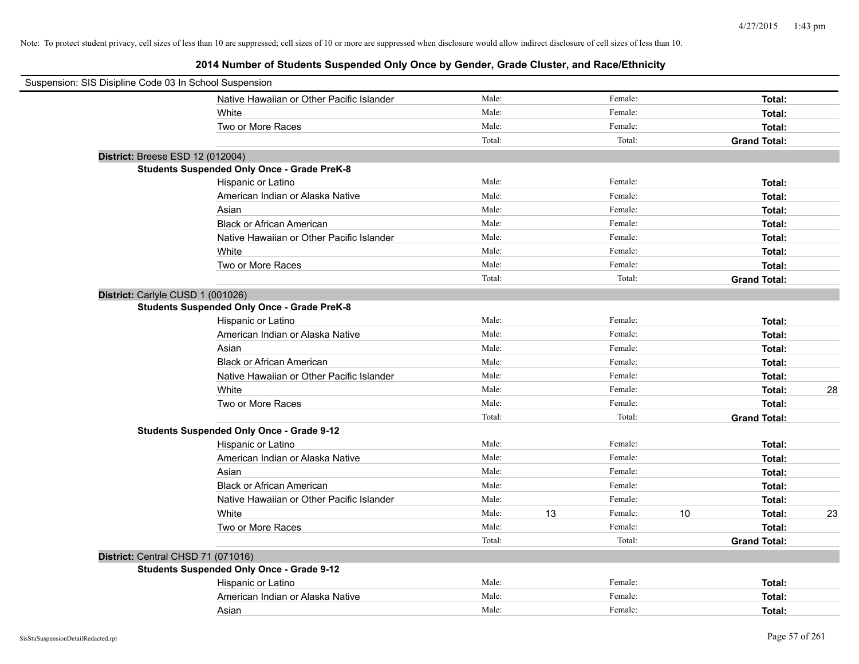| Suspension: SIS Disipline Code 03 In School Suspension |                                                    |        |    |         |      |                     |    |
|--------------------------------------------------------|----------------------------------------------------|--------|----|---------|------|---------------------|----|
|                                                        | Native Hawaiian or Other Pacific Islander          | Male:  |    | Female: |      | Total:              |    |
|                                                        | White                                              | Male:  |    | Female: |      | Total:              |    |
|                                                        | Two or More Races                                  | Male:  |    | Female: |      | Total:              |    |
|                                                        |                                                    | Total: |    | Total:  |      | <b>Grand Total:</b> |    |
| District: Breese ESD 12 (012004)                       |                                                    |        |    |         |      |                     |    |
|                                                        | <b>Students Suspended Only Once - Grade PreK-8</b> |        |    |         |      |                     |    |
|                                                        | Hispanic or Latino                                 | Male:  |    | Female: |      | Total:              |    |
|                                                        | American Indian or Alaska Native                   | Male:  |    | Female: |      | Total:              |    |
|                                                        | Asian                                              | Male:  |    | Female: |      | Total:              |    |
|                                                        | <b>Black or African American</b>                   | Male:  |    | Female: |      | Total:              |    |
|                                                        | Native Hawaiian or Other Pacific Islander          | Male:  |    | Female: |      | Total:              |    |
|                                                        | White                                              | Male:  |    | Female: |      | Total:              |    |
|                                                        | Two or More Races                                  | Male:  |    | Female: |      | Total:              |    |
|                                                        |                                                    | Total: |    | Total:  |      | <b>Grand Total:</b> |    |
| District: Carlyle CUSD 1 (001026)                      |                                                    |        |    |         |      |                     |    |
|                                                        | <b>Students Suspended Only Once - Grade PreK-8</b> |        |    |         |      |                     |    |
|                                                        | Hispanic or Latino                                 | Male:  |    | Female: |      | Total:              |    |
|                                                        | American Indian or Alaska Native                   | Male:  |    | Female: |      | Total:              |    |
|                                                        | Asian                                              | Male:  |    | Female: |      | Total:              |    |
|                                                        | <b>Black or African American</b>                   | Male:  |    | Female: |      | Total:              |    |
|                                                        | Native Hawaiian or Other Pacific Islander          | Male:  |    | Female: |      | Total:              |    |
|                                                        | White                                              | Male:  |    | Female: |      | Total:              | 28 |
|                                                        | Two or More Races                                  | Male:  |    | Female: |      | Total:              |    |
|                                                        |                                                    | Total: |    | Total:  |      | <b>Grand Total:</b> |    |
|                                                        | <b>Students Suspended Only Once - Grade 9-12</b>   |        |    |         |      |                     |    |
|                                                        | Hispanic or Latino                                 | Male:  |    | Female: |      | Total:              |    |
|                                                        | American Indian or Alaska Native                   | Male:  |    | Female: |      | Total:              |    |
|                                                        | Asian                                              | Male:  |    | Female: |      | Total:              |    |
|                                                        | <b>Black or African American</b>                   | Male:  |    | Female: |      | Total:              |    |
|                                                        | Native Hawaiian or Other Pacific Islander          | Male:  |    | Female: |      | Total:              |    |
|                                                        | White                                              | Male:  | 13 | Female: | $10$ | Total:              | 23 |
|                                                        | Two or More Races                                  | Male:  |    | Female: |      | Total:              |    |
|                                                        |                                                    | Total: |    | Total:  |      | <b>Grand Total:</b> |    |
| District: Central CHSD 71 (071016)                     |                                                    |        |    |         |      |                     |    |
|                                                        | <b>Students Suspended Only Once - Grade 9-12</b>   |        |    |         |      |                     |    |
|                                                        | Hispanic or Latino                                 | Male:  |    | Female: |      | Total:              |    |
|                                                        | American Indian or Alaska Native                   | Male:  |    | Female: |      | Total:              |    |
|                                                        | Asian                                              | Male:  |    | Female: |      | Total:              |    |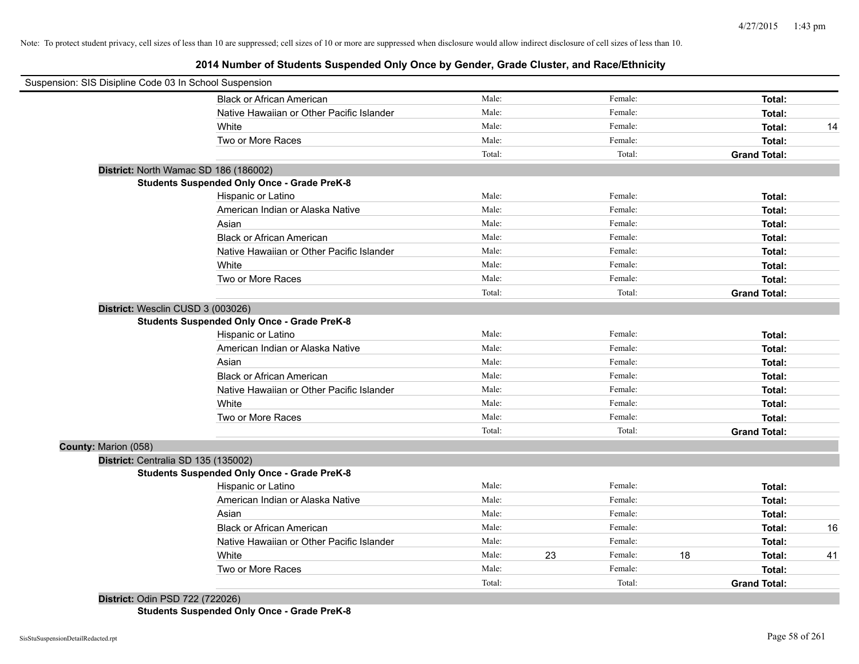## **2014 Number of Students Suspended Only Once by Gender, Grade Cluster, and Race/Ethnicity**

| Male:<br>Female:<br>Total:<br><b>Black or African American</b><br>Male:<br>Female:<br>Native Hawaiian or Other Pacific Islander<br>Total:<br>Male:<br>Female:<br>White<br>Total:<br>Male:<br>Female:<br>Two or More Races<br>Total:<br>Total:<br>Total:<br><b>Grand Total:</b><br>District: North Wamac SD 186 (186002)<br><b>Students Suspended Only Once - Grade PreK-8</b><br>Male:<br>Female:<br>Hispanic or Latino<br>Total:<br>Male:<br>Female:<br>American Indian or Alaska Native<br>Total:<br>Male:<br>Female:<br>Asian<br>Total:<br><b>Black or African American</b><br>Male:<br>Female:<br>Total:<br>Native Hawaiian or Other Pacific Islander<br>Male:<br>Female:<br>Total:<br>Male:<br>White<br>Female:<br>Total:<br>Male:<br>Two or More Races<br>Female:<br>Total:<br>Total:<br>Total:<br><b>Grand Total:</b><br>District: Wesclin CUSD 3 (003026)<br><b>Students Suspended Only Once - Grade PreK-8</b><br>Female:<br>Male:<br>Hispanic or Latino<br>Total:<br>Male:<br>Female:<br>American Indian or Alaska Native<br>Total:<br>Male:<br>Female:<br>Asian<br>Total:<br>Male:<br>Female:<br><b>Black or African American</b><br>Total:<br>Male:<br>Female:<br>Native Hawaiian or Other Pacific Islander<br>Total:<br>Male:<br>Female:<br>White<br>Total:<br>Male:<br>Female:<br>Two or More Races<br>Total:<br>Total:<br>Total:<br><b>Grand Total:</b><br>County: Marion (058)<br>District: Centralia SD 135 (135002)<br><b>Students Suspended Only Once - Grade PreK-8</b><br>Male:<br>Female:<br>Hispanic or Latino<br>Total:<br>Male:<br>Female:<br>American Indian or Alaska Native<br>Total:<br>Male:<br>Female:<br>Asian<br>Total:<br>Male:<br>Female:<br><b>Black or African American</b><br>Total:<br>Male:<br>Female:<br>Native Hawaiian or Other Pacific Islander<br>Total:<br>White<br>Male:<br>23<br>Female:<br>18<br>Total:<br>Male:<br>Female:<br>Two or More Races<br>Total:<br>Total:<br>Total:<br><b>Grand Total:</b> | Suspension: SIS Disipline Code 03 In School Suspension |  |  |    |
|--------------------------------------------------------------------------------------------------------------------------------------------------------------------------------------------------------------------------------------------------------------------------------------------------------------------------------------------------------------------------------------------------------------------------------------------------------------------------------------------------------------------------------------------------------------------------------------------------------------------------------------------------------------------------------------------------------------------------------------------------------------------------------------------------------------------------------------------------------------------------------------------------------------------------------------------------------------------------------------------------------------------------------------------------------------------------------------------------------------------------------------------------------------------------------------------------------------------------------------------------------------------------------------------------------------------------------------------------------------------------------------------------------------------------------------------------------------------------------------------------------------------------------------------------------------------------------------------------------------------------------------------------------------------------------------------------------------------------------------------------------------------------------------------------------------------------------------------------------------------------------------------------------------------------------------------------------|--------------------------------------------------------|--|--|----|
|                                                                                                                                                                                                                                                                                                                                                                                                                                                                                                                                                                                                                                                                                                                                                                                                                                                                                                                                                                                                                                                                                                                                                                                                                                                                                                                                                                                                                                                                                                                                                                                                                                                                                                                                                                                                                                                                                                                                                        |                                                        |  |  |    |
|                                                                                                                                                                                                                                                                                                                                                                                                                                                                                                                                                                                                                                                                                                                                                                                                                                                                                                                                                                                                                                                                                                                                                                                                                                                                                                                                                                                                                                                                                                                                                                                                                                                                                                                                                                                                                                                                                                                                                        |                                                        |  |  |    |
|                                                                                                                                                                                                                                                                                                                                                                                                                                                                                                                                                                                                                                                                                                                                                                                                                                                                                                                                                                                                                                                                                                                                                                                                                                                                                                                                                                                                                                                                                                                                                                                                                                                                                                                                                                                                                                                                                                                                                        |                                                        |  |  | 14 |
|                                                                                                                                                                                                                                                                                                                                                                                                                                                                                                                                                                                                                                                                                                                                                                                                                                                                                                                                                                                                                                                                                                                                                                                                                                                                                                                                                                                                                                                                                                                                                                                                                                                                                                                                                                                                                                                                                                                                                        |                                                        |  |  |    |
|                                                                                                                                                                                                                                                                                                                                                                                                                                                                                                                                                                                                                                                                                                                                                                                                                                                                                                                                                                                                                                                                                                                                                                                                                                                                                                                                                                                                                                                                                                                                                                                                                                                                                                                                                                                                                                                                                                                                                        |                                                        |  |  |    |
|                                                                                                                                                                                                                                                                                                                                                                                                                                                                                                                                                                                                                                                                                                                                                                                                                                                                                                                                                                                                                                                                                                                                                                                                                                                                                                                                                                                                                                                                                                                                                                                                                                                                                                                                                                                                                                                                                                                                                        |                                                        |  |  |    |
|                                                                                                                                                                                                                                                                                                                                                                                                                                                                                                                                                                                                                                                                                                                                                                                                                                                                                                                                                                                                                                                                                                                                                                                                                                                                                                                                                                                                                                                                                                                                                                                                                                                                                                                                                                                                                                                                                                                                                        |                                                        |  |  |    |
|                                                                                                                                                                                                                                                                                                                                                                                                                                                                                                                                                                                                                                                                                                                                                                                                                                                                                                                                                                                                                                                                                                                                                                                                                                                                                                                                                                                                                                                                                                                                                                                                                                                                                                                                                                                                                                                                                                                                                        |                                                        |  |  |    |
|                                                                                                                                                                                                                                                                                                                                                                                                                                                                                                                                                                                                                                                                                                                                                                                                                                                                                                                                                                                                                                                                                                                                                                                                                                                                                                                                                                                                                                                                                                                                                                                                                                                                                                                                                                                                                                                                                                                                                        |                                                        |  |  |    |
|                                                                                                                                                                                                                                                                                                                                                                                                                                                                                                                                                                                                                                                                                                                                                                                                                                                                                                                                                                                                                                                                                                                                                                                                                                                                                                                                                                                                                                                                                                                                                                                                                                                                                                                                                                                                                                                                                                                                                        |                                                        |  |  |    |
|                                                                                                                                                                                                                                                                                                                                                                                                                                                                                                                                                                                                                                                                                                                                                                                                                                                                                                                                                                                                                                                                                                                                                                                                                                                                                                                                                                                                                                                                                                                                                                                                                                                                                                                                                                                                                                                                                                                                                        |                                                        |  |  |    |
|                                                                                                                                                                                                                                                                                                                                                                                                                                                                                                                                                                                                                                                                                                                                                                                                                                                                                                                                                                                                                                                                                                                                                                                                                                                                                                                                                                                                                                                                                                                                                                                                                                                                                                                                                                                                                                                                                                                                                        |                                                        |  |  |    |
|                                                                                                                                                                                                                                                                                                                                                                                                                                                                                                                                                                                                                                                                                                                                                                                                                                                                                                                                                                                                                                                                                                                                                                                                                                                                                                                                                                                                                                                                                                                                                                                                                                                                                                                                                                                                                                                                                                                                                        |                                                        |  |  |    |
|                                                                                                                                                                                                                                                                                                                                                                                                                                                                                                                                                                                                                                                                                                                                                                                                                                                                                                                                                                                                                                                                                                                                                                                                                                                                                                                                                                                                                                                                                                                                                                                                                                                                                                                                                                                                                                                                                                                                                        |                                                        |  |  |    |
|                                                                                                                                                                                                                                                                                                                                                                                                                                                                                                                                                                                                                                                                                                                                                                                                                                                                                                                                                                                                                                                                                                                                                                                                                                                                                                                                                                                                                                                                                                                                                                                                                                                                                                                                                                                                                                                                                                                                                        |                                                        |  |  |    |
|                                                                                                                                                                                                                                                                                                                                                                                                                                                                                                                                                                                                                                                                                                                                                                                                                                                                                                                                                                                                                                                                                                                                                                                                                                                                                                                                                                                                                                                                                                                                                                                                                                                                                                                                                                                                                                                                                                                                                        |                                                        |  |  |    |
|                                                                                                                                                                                                                                                                                                                                                                                                                                                                                                                                                                                                                                                                                                                                                                                                                                                                                                                                                                                                                                                                                                                                                                                                                                                                                                                                                                                                                                                                                                                                                                                                                                                                                                                                                                                                                                                                                                                                                        |                                                        |  |  |    |
|                                                                                                                                                                                                                                                                                                                                                                                                                                                                                                                                                                                                                                                                                                                                                                                                                                                                                                                                                                                                                                                                                                                                                                                                                                                                                                                                                                                                                                                                                                                                                                                                                                                                                                                                                                                                                                                                                                                                                        |                                                        |  |  |    |
|                                                                                                                                                                                                                                                                                                                                                                                                                                                                                                                                                                                                                                                                                                                                                                                                                                                                                                                                                                                                                                                                                                                                                                                                                                                                                                                                                                                                                                                                                                                                                                                                                                                                                                                                                                                                                                                                                                                                                        |                                                        |  |  |    |
|                                                                                                                                                                                                                                                                                                                                                                                                                                                                                                                                                                                                                                                                                                                                                                                                                                                                                                                                                                                                                                                                                                                                                                                                                                                                                                                                                                                                                                                                                                                                                                                                                                                                                                                                                                                                                                                                                                                                                        |                                                        |  |  |    |
|                                                                                                                                                                                                                                                                                                                                                                                                                                                                                                                                                                                                                                                                                                                                                                                                                                                                                                                                                                                                                                                                                                                                                                                                                                                                                                                                                                                                                                                                                                                                                                                                                                                                                                                                                                                                                                                                                                                                                        |                                                        |  |  |    |
|                                                                                                                                                                                                                                                                                                                                                                                                                                                                                                                                                                                                                                                                                                                                                                                                                                                                                                                                                                                                                                                                                                                                                                                                                                                                                                                                                                                                                                                                                                                                                                                                                                                                                                                                                                                                                                                                                                                                                        |                                                        |  |  |    |
|                                                                                                                                                                                                                                                                                                                                                                                                                                                                                                                                                                                                                                                                                                                                                                                                                                                                                                                                                                                                                                                                                                                                                                                                                                                                                                                                                                                                                                                                                                                                                                                                                                                                                                                                                                                                                                                                                                                                                        |                                                        |  |  |    |
|                                                                                                                                                                                                                                                                                                                                                                                                                                                                                                                                                                                                                                                                                                                                                                                                                                                                                                                                                                                                                                                                                                                                                                                                                                                                                                                                                                                                                                                                                                                                                                                                                                                                                                                                                                                                                                                                                                                                                        |                                                        |  |  |    |
|                                                                                                                                                                                                                                                                                                                                                                                                                                                                                                                                                                                                                                                                                                                                                                                                                                                                                                                                                                                                                                                                                                                                                                                                                                                                                                                                                                                                                                                                                                                                                                                                                                                                                                                                                                                                                                                                                                                                                        |                                                        |  |  |    |
|                                                                                                                                                                                                                                                                                                                                                                                                                                                                                                                                                                                                                                                                                                                                                                                                                                                                                                                                                                                                                                                                                                                                                                                                                                                                                                                                                                                                                                                                                                                                                                                                                                                                                                                                                                                                                                                                                                                                                        |                                                        |  |  |    |
|                                                                                                                                                                                                                                                                                                                                                                                                                                                                                                                                                                                                                                                                                                                                                                                                                                                                                                                                                                                                                                                                                                                                                                                                                                                                                                                                                                                                                                                                                                                                                                                                                                                                                                                                                                                                                                                                                                                                                        |                                                        |  |  |    |
|                                                                                                                                                                                                                                                                                                                                                                                                                                                                                                                                                                                                                                                                                                                                                                                                                                                                                                                                                                                                                                                                                                                                                                                                                                                                                                                                                                                                                                                                                                                                                                                                                                                                                                                                                                                                                                                                                                                                                        |                                                        |  |  |    |
|                                                                                                                                                                                                                                                                                                                                                                                                                                                                                                                                                                                                                                                                                                                                                                                                                                                                                                                                                                                                                                                                                                                                                                                                                                                                                                                                                                                                                                                                                                                                                                                                                                                                                                                                                                                                                                                                                                                                                        |                                                        |  |  |    |
|                                                                                                                                                                                                                                                                                                                                                                                                                                                                                                                                                                                                                                                                                                                                                                                                                                                                                                                                                                                                                                                                                                                                                                                                                                                                                                                                                                                                                                                                                                                                                                                                                                                                                                                                                                                                                                                                                                                                                        |                                                        |  |  |    |
|                                                                                                                                                                                                                                                                                                                                                                                                                                                                                                                                                                                                                                                                                                                                                                                                                                                                                                                                                                                                                                                                                                                                                                                                                                                                                                                                                                                                                                                                                                                                                                                                                                                                                                                                                                                                                                                                                                                                                        |                                                        |  |  |    |
|                                                                                                                                                                                                                                                                                                                                                                                                                                                                                                                                                                                                                                                                                                                                                                                                                                                                                                                                                                                                                                                                                                                                                                                                                                                                                                                                                                                                                                                                                                                                                                                                                                                                                                                                                                                                                                                                                                                                                        |                                                        |  |  | 16 |
|                                                                                                                                                                                                                                                                                                                                                                                                                                                                                                                                                                                                                                                                                                                                                                                                                                                                                                                                                                                                                                                                                                                                                                                                                                                                                                                                                                                                                                                                                                                                                                                                                                                                                                                                                                                                                                                                                                                                                        |                                                        |  |  |    |
|                                                                                                                                                                                                                                                                                                                                                                                                                                                                                                                                                                                                                                                                                                                                                                                                                                                                                                                                                                                                                                                                                                                                                                                                                                                                                                                                                                                                                                                                                                                                                                                                                                                                                                                                                                                                                                                                                                                                                        |                                                        |  |  | 41 |
|                                                                                                                                                                                                                                                                                                                                                                                                                                                                                                                                                                                                                                                                                                                                                                                                                                                                                                                                                                                                                                                                                                                                                                                                                                                                                                                                                                                                                                                                                                                                                                                                                                                                                                                                                                                                                                                                                                                                                        |                                                        |  |  |    |
|                                                                                                                                                                                                                                                                                                                                                                                                                                                                                                                                                                                                                                                                                                                                                                                                                                                                                                                                                                                                                                                                                                                                                                                                                                                                                                                                                                                                                                                                                                                                                                                                                                                                                                                                                                                                                                                                                                                                                        |                                                        |  |  |    |

**District:** Odin PSD 722 (722026) **Students Suspended Only Once - Grade PreK-8**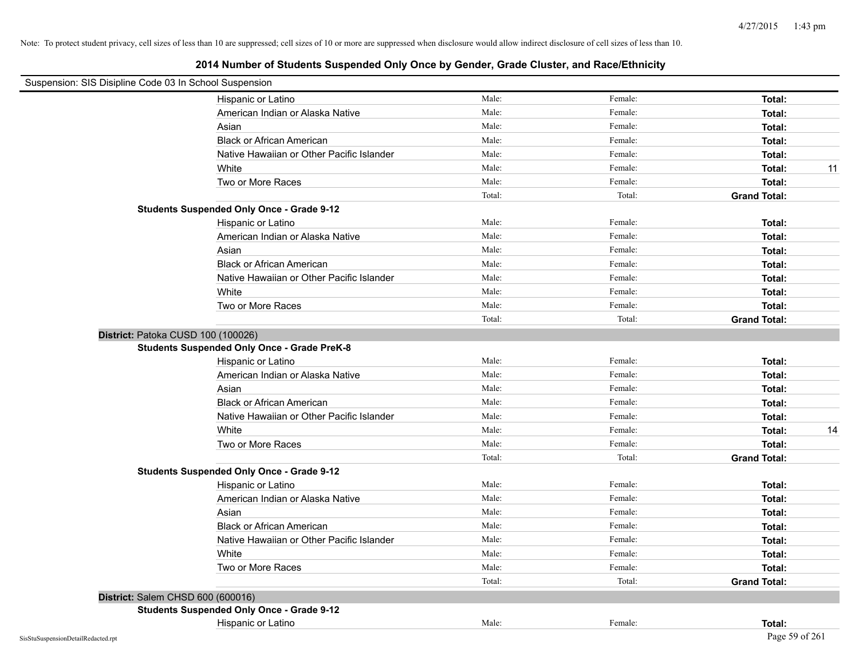| Suspension: SIS Disipline Code 03 In School Suspension |                                                    |        |         |                     |    |
|--------------------------------------------------------|----------------------------------------------------|--------|---------|---------------------|----|
|                                                        | Hispanic or Latino                                 | Male:  | Female: | Total:              |    |
|                                                        | American Indian or Alaska Native                   | Male:  | Female: | Total:              |    |
|                                                        | Asian                                              | Male:  | Female: | Total:              |    |
|                                                        | <b>Black or African American</b>                   | Male:  | Female: | Total:              |    |
|                                                        | Native Hawaiian or Other Pacific Islander          | Male:  | Female: | Total:              |    |
|                                                        | White                                              | Male:  | Female: | Total:              | 11 |
|                                                        | Two or More Races                                  | Male:  | Female: | Total:              |    |
|                                                        |                                                    | Total: | Total:  | <b>Grand Total:</b> |    |
|                                                        | <b>Students Suspended Only Once - Grade 9-12</b>   |        |         |                     |    |
|                                                        | Hispanic or Latino                                 | Male:  | Female: | Total:              |    |
|                                                        | American Indian or Alaska Native                   | Male:  | Female: | Total:              |    |
|                                                        | Asian                                              | Male:  | Female: | Total:              |    |
|                                                        | <b>Black or African American</b>                   | Male:  | Female: | Total:              |    |
|                                                        | Native Hawaiian or Other Pacific Islander          | Male:  | Female: | Total:              |    |
|                                                        | White                                              | Male:  | Female: | Total:              |    |
|                                                        | Two or More Races                                  | Male:  | Female: | Total:              |    |
|                                                        |                                                    | Total: | Total:  | <b>Grand Total:</b> |    |
| District: Patoka CUSD 100 (100026)                     |                                                    |        |         |                     |    |
|                                                        | <b>Students Suspended Only Once - Grade PreK-8</b> |        |         |                     |    |
|                                                        | Hispanic or Latino                                 | Male:  | Female: | Total:              |    |
|                                                        | American Indian or Alaska Native                   | Male:  | Female: | Total:              |    |
|                                                        | Asian                                              | Male:  | Female: | Total:              |    |
|                                                        | <b>Black or African American</b>                   | Male:  | Female: | Total:              |    |
|                                                        | Native Hawaiian or Other Pacific Islander          | Male:  | Female: | Total:              |    |
|                                                        | White                                              | Male:  | Female: | Total:              | 14 |
|                                                        | Two or More Races                                  | Male:  | Female: | Total:              |    |
|                                                        |                                                    | Total: | Total:  | <b>Grand Total:</b> |    |
|                                                        | <b>Students Suspended Only Once - Grade 9-12</b>   |        |         |                     |    |
|                                                        | Hispanic or Latino                                 | Male:  | Female: | Total:              |    |
|                                                        | American Indian or Alaska Native                   | Male:  | Female: | Total:              |    |
|                                                        | Asian                                              | Male:  | Female: | Total:              |    |
|                                                        | <b>Black or African American</b>                   | Male:  | Female: | Total:              |    |
|                                                        | Native Hawaiian or Other Pacific Islander          | Male:  | Female: | Total:              |    |
|                                                        | White                                              | Male:  | Female: | Total:              |    |
|                                                        | Two or More Races                                  | Male:  | Female: | Total:              |    |
|                                                        |                                                    | Total: | Total:  | <b>Grand Total:</b> |    |
| District: Salem CHSD 600 (600016)                      |                                                    |        |         |                     |    |
|                                                        | <b>Students Suspended Only Once - Grade 9-12</b>   |        |         |                     |    |
|                                                        | Hispanic or Latino                                 | Male:  | Female: | Total:              |    |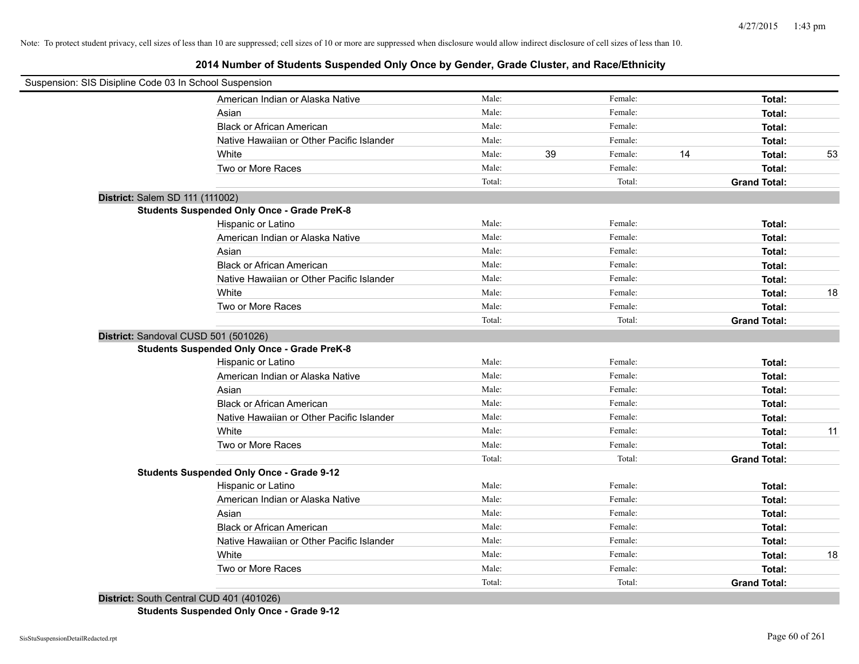## **2014 Number of Students Suspended Only Once by Gender, Grade Cluster, and Race/Ethnicity**

| Suspension: SIS Disipline Code 03 In School Suspension |                                                                                                                                                                                                                                                                                                                              |        |    |         |    |                     |    |
|--------------------------------------------------------|------------------------------------------------------------------------------------------------------------------------------------------------------------------------------------------------------------------------------------------------------------------------------------------------------------------------------|--------|----|---------|----|---------------------|----|
|                                                        | American Indian or Alaska Native                                                                                                                                                                                                                                                                                             | Male:  |    | Female: |    | Total:              |    |
|                                                        | Asian                                                                                                                                                                                                                                                                                                                        | Male:  |    | Female: |    | Total:              |    |
|                                                        | <b>Black or African American</b>                                                                                                                                                                                                                                                                                             | Male:  |    | Female: |    | Total:              |    |
|                                                        | Native Hawaiian or Other Pacific Islander                                                                                                                                                                                                                                                                                    | Male:  |    | Female: |    | Total:              |    |
|                                                        | White                                                                                                                                                                                                                                                                                                                        | Male:  | 39 | Female: | 14 | Total:              | 53 |
|                                                        | Two or More Races                                                                                                                                                                                                                                                                                                            | Male:  |    | Female: |    | Total:              |    |
|                                                        |                                                                                                                                                                                                                                                                                                                              | Total: |    | Total:  |    | <b>Grand Total:</b> |    |
| District: Salem SD 111 (111002)                        |                                                                                                                                                                                                                                                                                                                              |        |    |         |    |                     |    |
|                                                        | <b>Students Suspended Only Once - Grade PreK-8</b>                                                                                                                                                                                                                                                                           |        |    |         |    |                     |    |
|                                                        | Hispanic or Latino                                                                                                                                                                                                                                                                                                           | Male:  |    | Female: |    | Total:              |    |
|                                                        | American Indian or Alaska Native                                                                                                                                                                                                                                                                                             | Male:  |    | Female: |    | Total:              |    |
|                                                        | Asian                                                                                                                                                                                                                                                                                                                        | Male:  |    | Female: |    | Total:              |    |
|                                                        | <b>Black or African American</b>                                                                                                                                                                                                                                                                                             | Male:  |    | Female: |    | Total:              |    |
|                                                        | Native Hawaiian or Other Pacific Islander                                                                                                                                                                                                                                                                                    | Male:  |    | Female: |    | Total:              |    |
|                                                        | White                                                                                                                                                                                                                                                                                                                        | Male:  |    | Female: |    | Total:              | 18 |
|                                                        | Two or More Races                                                                                                                                                                                                                                                                                                            | Male:  |    | Female: |    | Total:              |    |
|                                                        |                                                                                                                                                                                                                                                                                                                              | Total: |    | Total:  |    | <b>Grand Total:</b> |    |
|                                                        | District: Sandoval CUSD 501 (501026)                                                                                                                                                                                                                                                                                         |        |    |         |    |                     |    |
|                                                        | <b>Students Suspended Only Once - Grade PreK-8</b>                                                                                                                                                                                                                                                                           |        |    |         |    |                     |    |
|                                                        | Hispanic or Latino                                                                                                                                                                                                                                                                                                           | Male:  |    | Female: |    | Total:              |    |
|                                                        | American Indian or Alaska Native                                                                                                                                                                                                                                                                                             | Male:  |    | Female: |    | Total:              |    |
|                                                        | Asian                                                                                                                                                                                                                                                                                                                        | Male:  |    | Female: |    | Total:              |    |
|                                                        | <b>Black or African American</b>                                                                                                                                                                                                                                                                                             | Male:  |    | Female: |    | Total:              |    |
|                                                        | Native Hawaiian or Other Pacific Islander                                                                                                                                                                                                                                                                                    | Male:  |    | Female: |    | Total:              |    |
|                                                        | White                                                                                                                                                                                                                                                                                                                        | Male:  |    | Female: |    | Total:              | 11 |
|                                                        | Two or More Races                                                                                                                                                                                                                                                                                                            | Male:  |    | Female: |    | Total:              |    |
|                                                        |                                                                                                                                                                                                                                                                                                                              | Total: |    | Total:  |    | <b>Grand Total:</b> |    |
|                                                        | <b>Students Suspended Only Once - Grade 9-12</b>                                                                                                                                                                                                                                                                             |        |    |         |    |                     |    |
|                                                        | Hispanic or Latino                                                                                                                                                                                                                                                                                                           | Male:  |    | Female: |    | Total:              |    |
|                                                        | American Indian or Alaska Native                                                                                                                                                                                                                                                                                             | Male:  |    | Female: |    | Total:              |    |
|                                                        | Asian                                                                                                                                                                                                                                                                                                                        | Male:  |    | Female: |    | Total:              |    |
|                                                        | <b>Black or African American</b>                                                                                                                                                                                                                                                                                             | Male:  |    | Female: |    | Total:              |    |
|                                                        | Native Hawaiian or Other Pacific Islander                                                                                                                                                                                                                                                                                    | Male:  |    | Female: |    | Total:              |    |
|                                                        | White                                                                                                                                                                                                                                                                                                                        | Male:  |    | Female: |    | Total:              | 18 |
|                                                        | Two or More Races                                                                                                                                                                                                                                                                                                            | Male:  |    | Female: |    | Total:              |    |
|                                                        | $\mathbb{R}^{1}$ $\mathbb{R}^{1}$ $\mathbb{R}^{1}$ $\mathbb{R}^{1}$ $\mathbb{R}^{1}$ $\mathbb{R}^{1}$ $\mathbb{R}^{1}$ $\mathbb{R}^{1}$ $\mathbb{R}^{1}$ $\mathbb{R}^{1}$ $\mathbb{R}^{1}$ $\mathbb{R}^{1}$ $\mathbb{R}^{1}$ $\mathbb{R}^{1}$ $\mathbb{R}^{1}$ $\mathbb{R}^{1}$ $\mathbb{R}^{1}$ $\mathbb{R}^{1}$ $\mathbb{$ | Total: |    | Total:  |    | <b>Grand Total:</b> |    |

**District:** South Central CUD 401 (401026) **Students Suspended Only Once - Grade 9-12**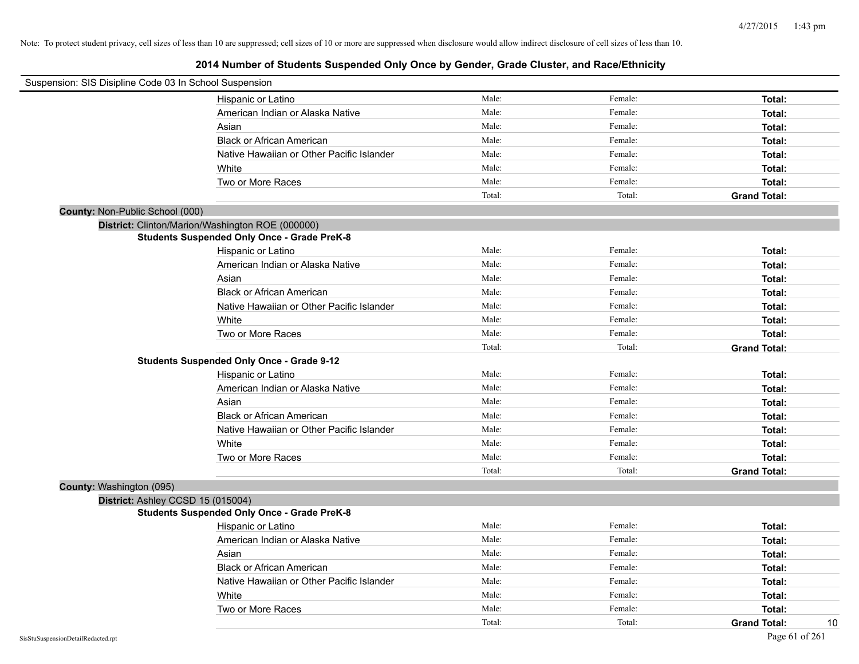| Suspension: SIS Disipline Code 03 In School Suspension |                                                    |        |         |                           |
|--------------------------------------------------------|----------------------------------------------------|--------|---------|---------------------------|
|                                                        | Hispanic or Latino                                 | Male:  | Female: | Total:                    |
|                                                        | American Indian or Alaska Native                   | Male:  | Female: | Total:                    |
|                                                        | Asian                                              | Male:  | Female: | Total:                    |
|                                                        | <b>Black or African American</b>                   | Male:  | Female: | Total:                    |
|                                                        | Native Hawaiian or Other Pacific Islander          | Male:  | Female: | Total:                    |
|                                                        | White                                              | Male:  | Female: | Total:                    |
|                                                        | Two or More Races                                  | Male:  | Female: | Total:                    |
|                                                        |                                                    | Total: | Total:  | <b>Grand Total:</b>       |
| County: Non-Public School (000)                        |                                                    |        |         |                           |
|                                                        | District: Clinton/Marion/Washington ROE (000000)   |        |         |                           |
|                                                        | <b>Students Suspended Only Once - Grade PreK-8</b> |        |         |                           |
|                                                        | Hispanic or Latino                                 | Male:  | Female: | Total:                    |
|                                                        | American Indian or Alaska Native                   | Male:  | Female: | Total:                    |
|                                                        | Asian                                              | Male:  | Female: | Total:                    |
|                                                        | <b>Black or African American</b>                   | Male:  | Female: | Total:                    |
|                                                        | Native Hawaiian or Other Pacific Islander          | Male:  | Female: | Total:                    |
|                                                        | White                                              | Male:  | Female: | Total:                    |
|                                                        | Two or More Races                                  | Male:  | Female: | Total:                    |
|                                                        |                                                    | Total: | Total:  | <b>Grand Total:</b>       |
|                                                        | <b>Students Suspended Only Once - Grade 9-12</b>   |        |         |                           |
|                                                        | Hispanic or Latino                                 | Male:  | Female: | Total:                    |
|                                                        | American Indian or Alaska Native                   | Male:  | Female: | Total:                    |
|                                                        | Asian                                              | Male:  | Female: | Total:                    |
|                                                        | <b>Black or African American</b>                   | Male:  | Female: | Total:                    |
|                                                        | Native Hawaiian or Other Pacific Islander          | Male:  | Female: | Total:                    |
|                                                        | White                                              | Male:  | Female: | Total:                    |
|                                                        | Two or More Races                                  | Male:  | Female: | Total:                    |
|                                                        |                                                    | Total: | Total:  | <b>Grand Total:</b>       |
| County: Washington (095)                               |                                                    |        |         |                           |
| District: Ashley CCSD 15 (015004)                      |                                                    |        |         |                           |
|                                                        | <b>Students Suspended Only Once - Grade PreK-8</b> |        |         |                           |
|                                                        | Hispanic or Latino                                 | Male:  | Female: | Total:                    |
|                                                        | American Indian or Alaska Native                   | Male:  | Female: | Total:                    |
|                                                        | Asian                                              | Male:  | Female: | Total:                    |
|                                                        | <b>Black or African American</b>                   | Male:  | Female: | Total:                    |
|                                                        | Native Hawaiian or Other Pacific Islander          | Male:  | Female: | Total:                    |
|                                                        | White                                              | Male:  | Female: | Total:                    |
|                                                        | Two or More Races                                  | Male:  | Female: | Total:                    |
|                                                        |                                                    | Total: | Total:  | 10<br><b>Grand Total:</b> |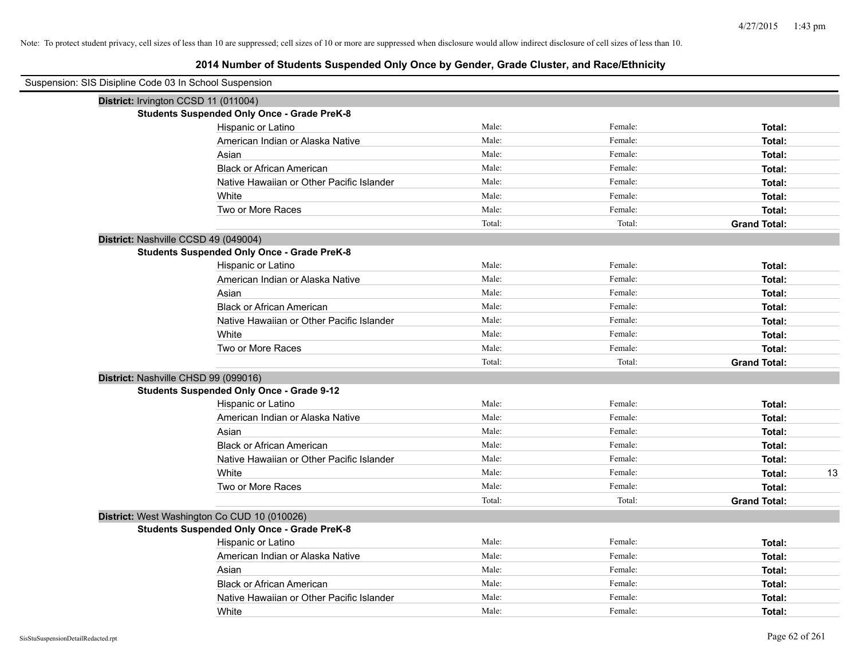## **2014 Number of Students Suspended Only Once by Gender, Grade Cluster, and Race/Ethnicity**

| Suspension: SIS Disipline Code 03 In School Suspension |                                                    |        |         |                     |
|--------------------------------------------------------|----------------------------------------------------|--------|---------|---------------------|
|                                                        | District: Irvington CCSD 11 (011004)               |        |         |                     |
|                                                        | <b>Students Suspended Only Once - Grade PreK-8</b> |        |         |                     |
|                                                        | Hispanic or Latino                                 | Male:  | Female: | Total:              |
|                                                        | American Indian or Alaska Native                   | Male:  | Female: | Total:              |
|                                                        | Asian                                              | Male:  | Female: | Total:              |
|                                                        | <b>Black or African American</b>                   | Male:  | Female: | Total:              |
|                                                        | Native Hawaiian or Other Pacific Islander          | Male:  | Female: | Total:              |
|                                                        | White                                              | Male:  | Female: | Total:              |
|                                                        | Two or More Races                                  | Male:  | Female: | Total:              |
|                                                        |                                                    | Total: | Total:  | <b>Grand Total:</b> |
|                                                        | District: Nashville CCSD 49 (049004)               |        |         |                     |
|                                                        | <b>Students Suspended Only Once - Grade PreK-8</b> |        |         |                     |
|                                                        | Hispanic or Latino                                 | Male:  | Female: | Total:              |
|                                                        | American Indian or Alaska Native                   | Male:  | Female: | Total:              |
|                                                        | Asian                                              | Male:  | Female: | Total:              |
|                                                        | <b>Black or African American</b>                   | Male:  | Female: | Total:              |
|                                                        | Native Hawaiian or Other Pacific Islander          | Male:  | Female: | Total:              |
|                                                        | White                                              | Male:  | Female: | Total:              |
|                                                        | Two or More Races                                  | Male:  | Female: | Total:              |
|                                                        |                                                    | Total: | Total:  | <b>Grand Total:</b> |
|                                                        | District: Nashville CHSD 99 (099016)               |        |         |                     |
|                                                        | <b>Students Suspended Only Once - Grade 9-12</b>   |        |         |                     |
|                                                        | Hispanic or Latino                                 | Male:  | Female: | Total:              |
|                                                        | American Indian or Alaska Native                   | Male:  | Female: | Total:              |
|                                                        | Asian                                              | Male:  | Female: | Total:              |
|                                                        | <b>Black or African American</b>                   | Male:  | Female: | Total:              |
|                                                        | Native Hawaiian or Other Pacific Islander          | Male:  | Female: | Total:              |
|                                                        | White                                              | Male:  | Female: | Total:<br>13        |
|                                                        | Two or More Races                                  | Male:  | Female: | Total:              |
|                                                        |                                                    | Total: | Total:  | <b>Grand Total:</b> |
|                                                        | District: West Washington Co CUD 10 (010026)       |        |         |                     |
|                                                        | <b>Students Suspended Only Once - Grade PreK-8</b> |        |         |                     |
|                                                        | Hispanic or Latino                                 | Male:  | Female: | Total:              |
|                                                        | American Indian or Alaska Native                   | Male:  | Female: | Total:              |
|                                                        | Asian                                              | Male:  | Female: | Total:              |
|                                                        | <b>Black or African American</b>                   | Male:  | Female: | Total:              |
|                                                        | Native Hawaiian or Other Pacific Islander          | Male:  | Female: | Total:              |
|                                                        | White                                              | Male:  | Female: | Total:              |

 $\blacksquare$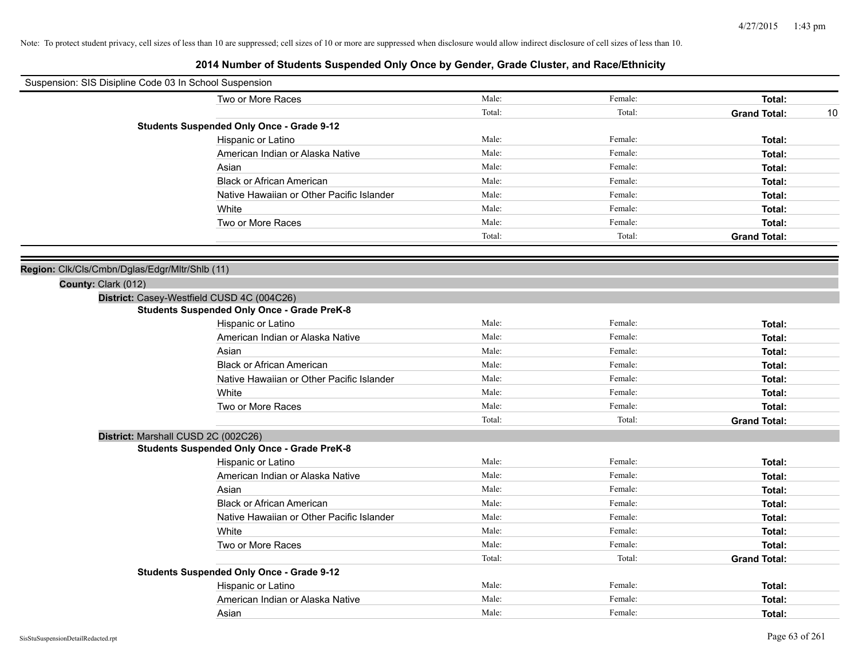| Suspension: SIS Disipline Code 03 In School Suspension |                                                    |        |         |                           |
|--------------------------------------------------------|----------------------------------------------------|--------|---------|---------------------------|
|                                                        | Two or More Races                                  | Male:  | Female: | Total:                    |
|                                                        |                                                    | Total: | Total:  | <b>Grand Total:</b><br>10 |
|                                                        | <b>Students Suspended Only Once - Grade 9-12</b>   |        |         |                           |
|                                                        | Hispanic or Latino                                 | Male:  | Female: | Total:                    |
|                                                        | American Indian or Alaska Native                   | Male:  | Female: | Total:                    |
|                                                        | Asian                                              | Male:  | Female: | Total:                    |
|                                                        | <b>Black or African American</b>                   | Male:  | Female: | Total:                    |
|                                                        | Native Hawaiian or Other Pacific Islander          | Male:  | Female: | Total:                    |
|                                                        | White                                              | Male:  | Female: | Total:                    |
|                                                        | Two or More Races                                  | Male:  | Female: | Total:                    |
|                                                        |                                                    | Total: | Total:  | <b>Grand Total:</b>       |
|                                                        |                                                    |        |         |                           |
| Region: Clk/Cls/Cmbn/Dglas/Edgr/Mltr/Shlb (11)         |                                                    |        |         |                           |
| County: Clark (012)                                    |                                                    |        |         |                           |
|                                                        | District: Casey-Westfield CUSD 4C (004C26)         |        |         |                           |
|                                                        | <b>Students Suspended Only Once - Grade PreK-8</b> |        |         |                           |
|                                                        | Hispanic or Latino                                 | Male:  | Female: | Total:                    |
|                                                        | American Indian or Alaska Native                   | Male:  | Female: | Total:                    |
|                                                        | Asian                                              | Male:  | Female: | Total:                    |
|                                                        | <b>Black or African American</b>                   | Male:  | Female: | Total:                    |
|                                                        | Native Hawaiian or Other Pacific Islander          | Male:  | Female: | Total:                    |
|                                                        | White                                              | Male:  | Female: | Total:                    |
|                                                        | Two or More Races                                  | Male:  | Female: | Total:                    |
|                                                        |                                                    | Total: | Total:  | <b>Grand Total:</b>       |
|                                                        | District: Marshall CUSD 2C (002C26)                |        |         |                           |
|                                                        | <b>Students Suspended Only Once - Grade PreK-8</b> |        |         |                           |
|                                                        | Hispanic or Latino                                 | Male:  | Female: | Total:                    |
|                                                        | American Indian or Alaska Native                   | Male:  | Female: | Total:                    |
|                                                        | Asian                                              | Male:  | Female: | Total:                    |
|                                                        | <b>Black or African American</b>                   | Male:  | Female: | Total:                    |
|                                                        | Native Hawaiian or Other Pacific Islander          | Male:  | Female: | Total:                    |
|                                                        | White                                              | Male:  | Female: | Total:                    |
|                                                        | Two or More Races                                  | Male:  | Female: | Total:                    |
|                                                        |                                                    | Total: | Total:  | <b>Grand Total:</b>       |
|                                                        | <b>Students Suspended Only Once - Grade 9-12</b>   |        |         |                           |
|                                                        | Hispanic or Latino                                 | Male:  | Female: | Total:                    |
|                                                        | American Indian or Alaska Native                   | Male:  | Female: | Total:                    |
|                                                        | Asian                                              | Male:  | Female: | Total:                    |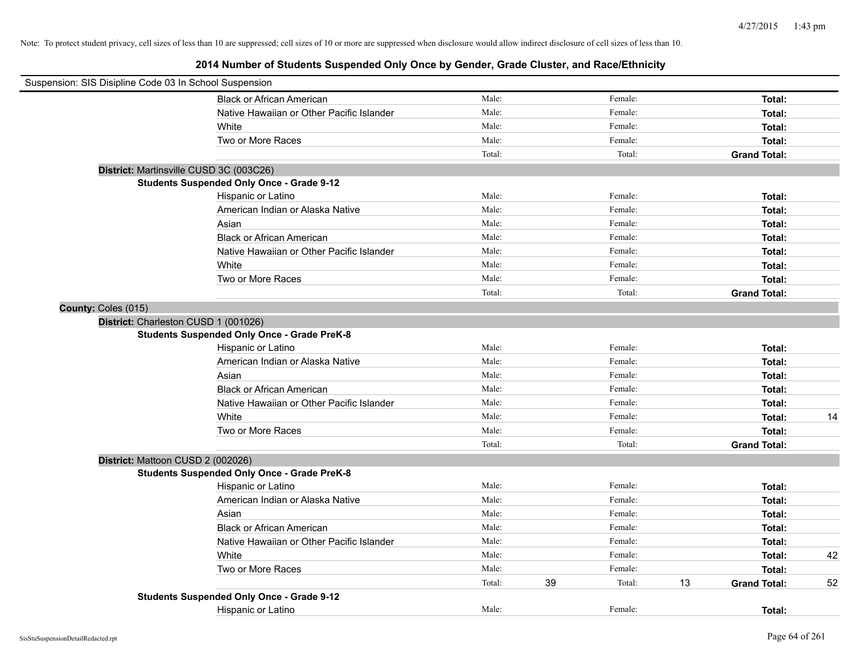|                     | Suspension: SIS Disipline Code 03 In School Suspension |        |    |         |    |                     |    |
|---------------------|--------------------------------------------------------|--------|----|---------|----|---------------------|----|
|                     | <b>Black or African American</b>                       | Male:  |    | Female: |    | Total:              |    |
|                     | Native Hawaiian or Other Pacific Islander              | Male:  |    | Female: |    | Total:              |    |
|                     | White                                                  | Male:  |    | Female: |    | Total:              |    |
|                     | Two or More Races                                      | Male:  |    | Female: |    | Total:              |    |
|                     |                                                        | Total: |    | Total:  |    | <b>Grand Total:</b> |    |
|                     | District: Martinsville CUSD 3C (003C26)                |        |    |         |    |                     |    |
|                     | <b>Students Suspended Only Once - Grade 9-12</b>       |        |    |         |    |                     |    |
|                     | Hispanic or Latino                                     | Male:  |    | Female: |    | Total:              |    |
|                     | American Indian or Alaska Native                       | Male:  |    | Female: |    | Total:              |    |
|                     | Asian                                                  | Male:  |    | Female: |    | Total:              |    |
|                     | <b>Black or African American</b>                       | Male:  |    | Female: |    | Total:              |    |
|                     | Native Hawaiian or Other Pacific Islander              | Male:  |    | Female: |    | Total:              |    |
|                     | White                                                  | Male:  |    | Female: |    | Total:              |    |
|                     | Two or More Races                                      | Male:  |    | Female: |    | Total:              |    |
|                     |                                                        | Total: |    | Total:  |    | <b>Grand Total:</b> |    |
| County: Coles (015) |                                                        |        |    |         |    |                     |    |
|                     | District: Charleston CUSD 1 (001026)                   |        |    |         |    |                     |    |
|                     | <b>Students Suspended Only Once - Grade PreK-8</b>     |        |    |         |    |                     |    |
|                     | Hispanic or Latino                                     | Male:  |    | Female: |    | Total:              |    |
|                     | American Indian or Alaska Native                       | Male:  |    | Female: |    | Total:              |    |
|                     | Asian                                                  | Male:  |    | Female: |    | Total:              |    |
|                     | <b>Black or African American</b>                       | Male:  |    | Female: |    | Total:              |    |
|                     | Native Hawaiian or Other Pacific Islander              | Male:  |    | Female: |    | Total:              |    |
|                     | White                                                  | Male:  |    | Female: |    | Total:              | 14 |
|                     | Two or More Races                                      | Male:  |    | Female: |    | Total:              |    |
|                     |                                                        | Total: |    | Total:  |    | <b>Grand Total:</b> |    |
|                     | District: Mattoon CUSD 2 (002026)                      |        |    |         |    |                     |    |
|                     | <b>Students Suspended Only Once - Grade PreK-8</b>     |        |    |         |    |                     |    |
|                     | Hispanic or Latino                                     | Male:  |    | Female: |    | Total:              |    |
|                     | American Indian or Alaska Native                       | Male:  |    | Female: |    | Total:              |    |
|                     | Asian                                                  | Male:  |    | Female: |    | Total:              |    |
|                     | <b>Black or African American</b>                       | Male:  |    | Female: |    | Total:              |    |
|                     | Native Hawaiian or Other Pacific Islander              | Male:  |    | Female: |    | Total:              |    |
|                     | White                                                  | Male:  |    | Female: |    | Total:              | 42 |
|                     | Two or More Races                                      | Male:  |    | Female: |    | Total:              |    |
|                     |                                                        | Total: | 39 | Total:  | 13 | <b>Grand Total:</b> | 52 |
|                     | <b>Students Suspended Only Once - Grade 9-12</b>       |        |    |         |    |                     |    |
|                     | Hispanic or Latino                                     | Male:  |    | Female: |    | Total:              |    |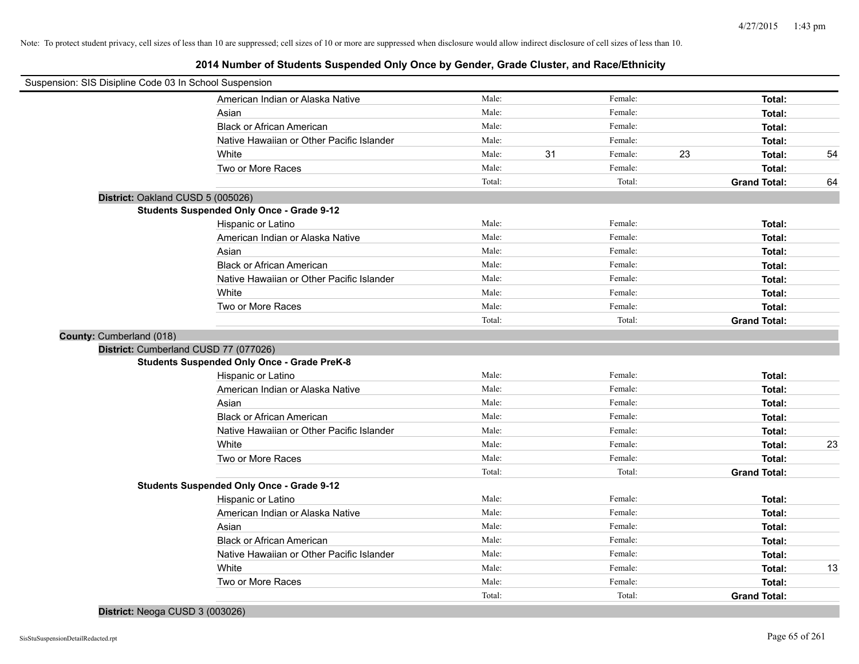## **2014 Number of Students Suspended Only Once by Gender, Grade Cluster, and Race/Ethnicity**

| Suspension: SIS Disipline Code 03 In School Suspension |                                                    |        |    |         |    |                     |    |
|--------------------------------------------------------|----------------------------------------------------|--------|----|---------|----|---------------------|----|
|                                                        | American Indian or Alaska Native                   | Male:  |    | Female: |    | Total:              |    |
|                                                        | Asian                                              | Male:  |    | Female: |    | Total:              |    |
|                                                        | <b>Black or African American</b>                   | Male:  |    | Female: |    | Total:              |    |
|                                                        | Native Hawaiian or Other Pacific Islander          | Male:  |    | Female: |    | Total:              |    |
|                                                        | White                                              | Male:  | 31 | Female: | 23 | Total:              | 54 |
|                                                        | Two or More Races                                  | Male:  |    | Female: |    | Total:              |    |
|                                                        |                                                    | Total: |    | Total:  |    | <b>Grand Total:</b> | 64 |
| District: Oakland CUSD 5 (005026)                      |                                                    |        |    |         |    |                     |    |
|                                                        | <b>Students Suspended Only Once - Grade 9-12</b>   |        |    |         |    |                     |    |
|                                                        | Hispanic or Latino                                 | Male:  |    | Female: |    | Total:              |    |
|                                                        | American Indian or Alaska Native                   | Male:  |    | Female: |    | Total:              |    |
|                                                        | Asian                                              | Male:  |    | Female: |    | Total:              |    |
|                                                        | <b>Black or African American</b>                   | Male:  |    | Female: |    | Total:              |    |
|                                                        | Native Hawaiian or Other Pacific Islander          | Male:  |    | Female: |    | Total:              |    |
|                                                        | White                                              | Male:  |    | Female: |    | Total:              |    |
|                                                        | Two or More Races                                  | Male:  |    | Female: |    | Total:              |    |
|                                                        |                                                    | Total: |    | Total:  |    | <b>Grand Total:</b> |    |
| County: Cumberland (018)                               |                                                    |        |    |         |    |                     |    |
| District: Cumberland CUSD 77 (077026)                  |                                                    |        |    |         |    |                     |    |
|                                                        | <b>Students Suspended Only Once - Grade PreK-8</b> |        |    |         |    |                     |    |
|                                                        | Hispanic or Latino                                 | Male:  |    | Female: |    | Total:              |    |
|                                                        | American Indian or Alaska Native                   | Male:  |    | Female: |    | Total:              |    |
|                                                        | Asian                                              | Male:  |    | Female: |    | Total:              |    |
|                                                        | <b>Black or African American</b>                   | Male:  |    | Female: |    | Total:              |    |
|                                                        | Native Hawaiian or Other Pacific Islander          | Male:  |    | Female: |    | Total:              |    |
|                                                        | White                                              | Male:  |    | Female: |    | Total:              | 23 |
|                                                        | Two or More Races                                  | Male:  |    | Female: |    | Total:              |    |
|                                                        |                                                    | Total: |    | Total:  |    | <b>Grand Total:</b> |    |
|                                                        | <b>Students Suspended Only Once - Grade 9-12</b>   |        |    |         |    |                     |    |
|                                                        | Hispanic or Latino                                 | Male:  |    | Female: |    | Total:              |    |
|                                                        | American Indian or Alaska Native                   | Male:  |    | Female: |    | Total:              |    |
|                                                        | Asian                                              | Male:  |    | Female: |    | Total:              |    |
|                                                        | <b>Black or African American</b>                   | Male:  |    | Female: |    | Total:              |    |
|                                                        | Native Hawaiian or Other Pacific Islander          | Male:  |    | Female: |    | Total:              |    |
|                                                        | White                                              | Male:  |    | Female: |    | Total:              | 13 |
|                                                        | Two or More Races                                  | Male:  |    | Female: |    | Total:              |    |
|                                                        |                                                    | Total: |    | Total:  |    | <b>Grand Total:</b> |    |

#### **District:** Neoga CUSD 3 (003026)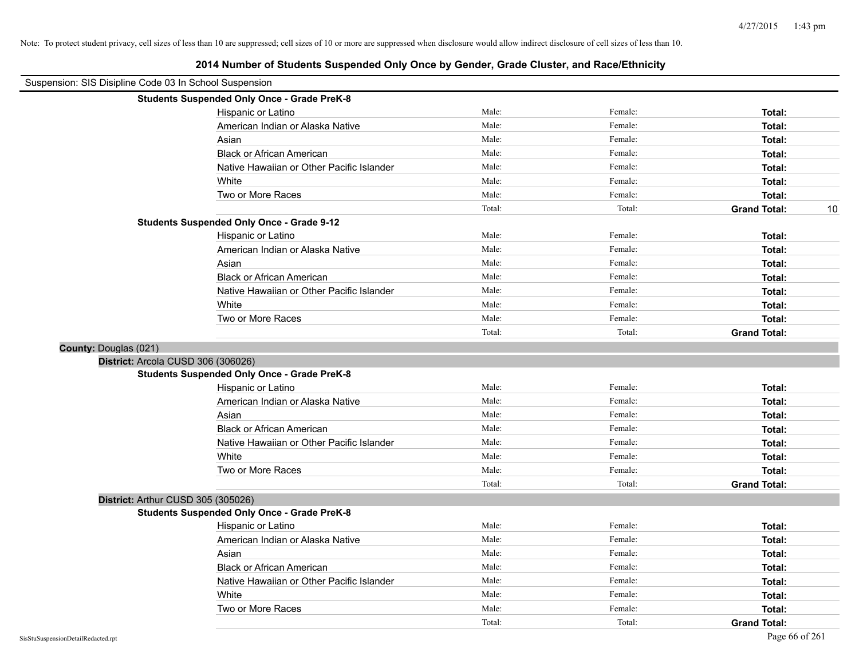| Suspension: SIS Disipline Code 03 In School Suspension | EVIT NUMBER OF STRUCKS Supported Sing Show by Sondor, Study Stactor, and Naod Ethnicity |        |         |                           |
|--------------------------------------------------------|-----------------------------------------------------------------------------------------|--------|---------|---------------------------|
|                                                        | <b>Students Suspended Only Once - Grade PreK-8</b>                                      |        |         |                           |
|                                                        | Hispanic or Latino                                                                      | Male:  | Female: | Total:                    |
|                                                        | American Indian or Alaska Native                                                        | Male:  | Female: | Total:                    |
|                                                        | Asian                                                                                   | Male:  | Female: | Total:                    |
|                                                        | <b>Black or African American</b>                                                        | Male:  | Female: | Total:                    |
|                                                        | Native Hawaiian or Other Pacific Islander                                               | Male:  | Female: | Total:                    |
|                                                        | White                                                                                   | Male:  | Female: | Total:                    |
|                                                        | Two or More Races                                                                       | Male:  | Female: | Total:                    |
|                                                        |                                                                                         | Total: | Total:  | <b>Grand Total:</b><br>10 |
|                                                        | <b>Students Suspended Only Once - Grade 9-12</b>                                        |        |         |                           |
|                                                        | Hispanic or Latino                                                                      | Male:  | Female: | Total:                    |
|                                                        | American Indian or Alaska Native                                                        | Male:  | Female: | Total:                    |
|                                                        | Asian                                                                                   | Male:  | Female: | Total:                    |
|                                                        | <b>Black or African American</b>                                                        | Male:  | Female: | Total:                    |
|                                                        | Native Hawaiian or Other Pacific Islander                                               | Male:  | Female: | Total:                    |
|                                                        | White                                                                                   | Male:  | Female: | Total:                    |
|                                                        | Two or More Races                                                                       | Male:  | Female: | Total:                    |
|                                                        |                                                                                         | Total: | Total:  | <b>Grand Total:</b>       |
| <b>County: Douglas (021)</b>                           |                                                                                         |        |         |                           |
|                                                        | District: Arcola CUSD 306 (306026)                                                      |        |         |                           |
|                                                        | <b>Students Suspended Only Once - Grade PreK-8</b>                                      |        |         |                           |
|                                                        | Hispanic or Latino                                                                      | Male:  | Female: | Total:                    |
|                                                        | American Indian or Alaska Native                                                        | Male:  | Female: | Total:                    |
|                                                        | Asian                                                                                   | Male:  | Female: | Total:                    |
|                                                        | <b>Black or African American</b>                                                        | Male:  | Female: | Total:                    |
|                                                        | Native Hawaiian or Other Pacific Islander                                               | Male:  | Female: | Total:                    |
|                                                        | White                                                                                   | Male:  | Female: | Total:                    |
|                                                        | Two or More Races                                                                       | Male:  | Female: | Total:                    |
|                                                        |                                                                                         | Total: | Total:  | <b>Grand Total:</b>       |
|                                                        | District: Arthur CUSD 305 (305026)                                                      |        |         |                           |
|                                                        | <b>Students Suspended Only Once - Grade PreK-8</b>                                      |        |         |                           |
|                                                        | Hispanic or Latino                                                                      | Male:  | Female: | Total:                    |
|                                                        | American Indian or Alaska Native                                                        | Male:  | Female: | Total:                    |
|                                                        | Asian                                                                                   | Male:  | Female: | Total:                    |
|                                                        | <b>Black or African American</b>                                                        | Male:  | Female: | Total:                    |
|                                                        | Native Hawaiian or Other Pacific Islander                                               | Male:  | Female: | Total:                    |
|                                                        | White                                                                                   | Male:  | Female: | Total:                    |
|                                                        | Two or More Races                                                                       | Male:  | Female: | Total:                    |
|                                                        |                                                                                         | Total: | Total:  | <b>Grand Total:</b>       |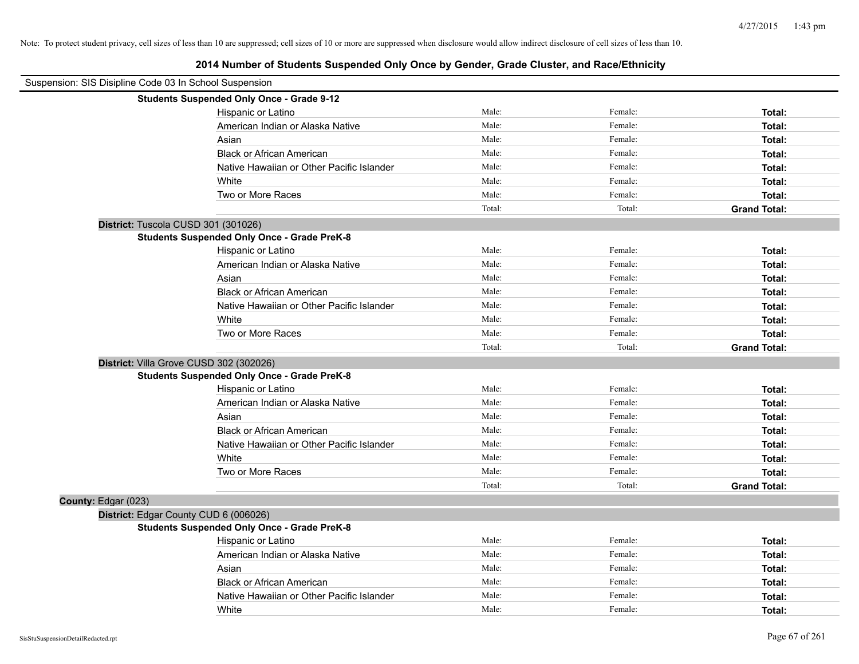|                     | Suspension: SIS Disipline Code 03 In School Suspension |        |         |                     |
|---------------------|--------------------------------------------------------|--------|---------|---------------------|
|                     | <b>Students Suspended Only Once - Grade 9-12</b>       |        |         |                     |
|                     | Hispanic or Latino                                     | Male:  | Female: | Total:              |
|                     | American Indian or Alaska Native                       | Male:  | Female: | Total:              |
|                     | Asian                                                  | Male:  | Female: | Total:              |
|                     | <b>Black or African American</b>                       | Male:  | Female: | Total:              |
|                     | Native Hawaiian or Other Pacific Islander              | Male:  | Female: | Total:              |
|                     | White                                                  | Male:  | Female: | Total:              |
|                     | Two or More Races                                      | Male:  | Female: | Total:              |
|                     |                                                        | Total: | Total:  | <b>Grand Total:</b> |
|                     | District: Tuscola CUSD 301 (301026)                    |        |         |                     |
|                     | <b>Students Suspended Only Once - Grade PreK-8</b>     |        |         |                     |
|                     | Hispanic or Latino                                     | Male:  | Female: | Total:              |
|                     | American Indian or Alaska Native                       | Male:  | Female: | Total:              |
|                     | Asian                                                  | Male:  | Female: | Total:              |
|                     | <b>Black or African American</b>                       | Male:  | Female: | Total:              |
|                     | Native Hawaiian or Other Pacific Islander              | Male:  | Female: | Total:              |
|                     | White                                                  | Male:  | Female: | Total:              |
|                     | Two or More Races                                      | Male:  | Female: | Total:              |
|                     |                                                        | Total: | Total:  | <b>Grand Total:</b> |
|                     | District: Villa Grove CUSD 302 (302026)                |        |         |                     |
|                     | <b>Students Suspended Only Once - Grade PreK-8</b>     |        |         |                     |
|                     | Hispanic or Latino                                     | Male:  | Female: | Total:              |
|                     | American Indian or Alaska Native                       | Male:  | Female: | Total:              |
|                     | Asian                                                  | Male:  | Female: | Total:              |
|                     | <b>Black or African American</b>                       | Male:  | Female: | Total:              |
|                     | Native Hawaiian or Other Pacific Islander              | Male:  | Female: | Total:              |
|                     | White                                                  | Male:  | Female: | Total:              |
|                     | Two or More Races                                      | Male:  | Female: | Total:              |
|                     |                                                        | Total: | Total:  | <b>Grand Total:</b> |
| County: Edgar (023) |                                                        |        |         |                     |
|                     | District: Edgar County CUD 6 (006026)                  |        |         |                     |
|                     | <b>Students Suspended Only Once - Grade PreK-8</b>     |        |         |                     |
|                     | Hispanic or Latino                                     | Male:  | Female: | Total:              |
|                     | American Indian or Alaska Native                       | Male:  | Female: | Total:              |
|                     | Asian                                                  | Male:  | Female: | Total:              |
|                     | <b>Black or African American</b>                       | Male:  | Female: | Total:              |
|                     | Native Hawaiian or Other Pacific Islander              | Male:  | Female: | Total:              |
|                     | White                                                  | Male:  | Female: | Total:              |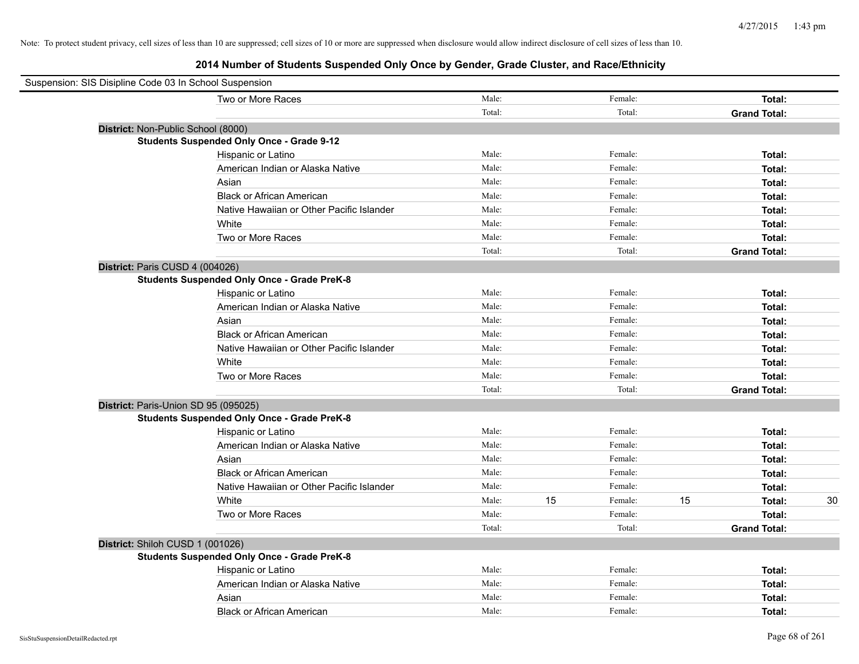|                                    | Suspension: SIS Disipline Code 03 In School Suspension |        |    |         |    |                     |    |
|------------------------------------|--------------------------------------------------------|--------|----|---------|----|---------------------|----|
|                                    | Two or More Races                                      | Male:  |    | Female: |    | Total:              |    |
|                                    |                                                        | Total: |    | Total:  |    | <b>Grand Total:</b> |    |
| District: Non-Public School (8000) |                                                        |        |    |         |    |                     |    |
|                                    | <b>Students Suspended Only Once - Grade 9-12</b>       |        |    |         |    |                     |    |
|                                    | Hispanic or Latino                                     | Male:  |    | Female: |    | Total:              |    |
|                                    | American Indian or Alaska Native                       | Male:  |    | Female: |    | Total:              |    |
|                                    | Asian                                                  | Male:  |    | Female: |    | Total:              |    |
|                                    | <b>Black or African American</b>                       | Male:  |    | Female: |    | Total:              |    |
|                                    | Native Hawaiian or Other Pacific Islander              | Male:  |    | Female: |    | Total:              |    |
|                                    | White                                                  | Male:  |    | Female: |    | Total:              |    |
|                                    | Two or More Races                                      | Male:  |    | Female: |    | Total:              |    |
|                                    |                                                        | Total: |    | Total:  |    | <b>Grand Total:</b> |    |
| District: Paris CUSD 4 (004026)    |                                                        |        |    |         |    |                     |    |
|                                    | <b>Students Suspended Only Once - Grade PreK-8</b>     |        |    |         |    |                     |    |
|                                    | Hispanic or Latino                                     | Male:  |    | Female: |    | Total:              |    |
|                                    | American Indian or Alaska Native                       | Male:  |    | Female: |    | Total:              |    |
|                                    | Asian                                                  | Male:  |    | Female: |    | Total:              |    |
|                                    | <b>Black or African American</b>                       | Male:  |    | Female: |    | Total:              |    |
|                                    | Native Hawaiian or Other Pacific Islander              | Male:  |    | Female: |    | Total:              |    |
|                                    | White                                                  | Male:  |    | Female: |    | Total:              |    |
|                                    | Two or More Races                                      | Male:  |    | Female: |    | Total:              |    |
|                                    |                                                        | Total: |    | Total:  |    | <b>Grand Total:</b> |    |
|                                    | District: Paris-Union SD 95 (095025)                   |        |    |         |    |                     |    |
|                                    | <b>Students Suspended Only Once - Grade PreK-8</b>     |        |    |         |    |                     |    |
|                                    | Hispanic or Latino                                     | Male:  |    | Female: |    | Total:              |    |
|                                    | American Indian or Alaska Native                       | Male:  |    | Female: |    | Total:              |    |
|                                    | Asian                                                  | Male:  |    | Female: |    | Total:              |    |
|                                    | <b>Black or African American</b>                       | Male:  |    | Female: |    | Total:              |    |
|                                    | Native Hawaiian or Other Pacific Islander              | Male:  |    | Female: |    | Total:              |    |
|                                    | White                                                  | Male:  | 15 | Female: | 15 | Total:              | 30 |
|                                    | Two or More Races                                      | Male:  |    | Female: |    | Total:              |    |
|                                    |                                                        | Total: |    | Total:  |    | <b>Grand Total:</b> |    |
| District: Shiloh CUSD 1 (001026)   |                                                        |        |    |         |    |                     |    |
|                                    | <b>Students Suspended Only Once - Grade PreK-8</b>     |        |    |         |    |                     |    |
|                                    | Hispanic or Latino                                     | Male:  |    | Female: |    | Total:              |    |
|                                    | American Indian or Alaska Native                       | Male:  |    | Female: |    | Total:              |    |
|                                    | Asian                                                  | Male:  |    | Female: |    | Total:              |    |
|                                    | <b>Black or African American</b>                       | Male:  |    | Female: |    | Total:              |    |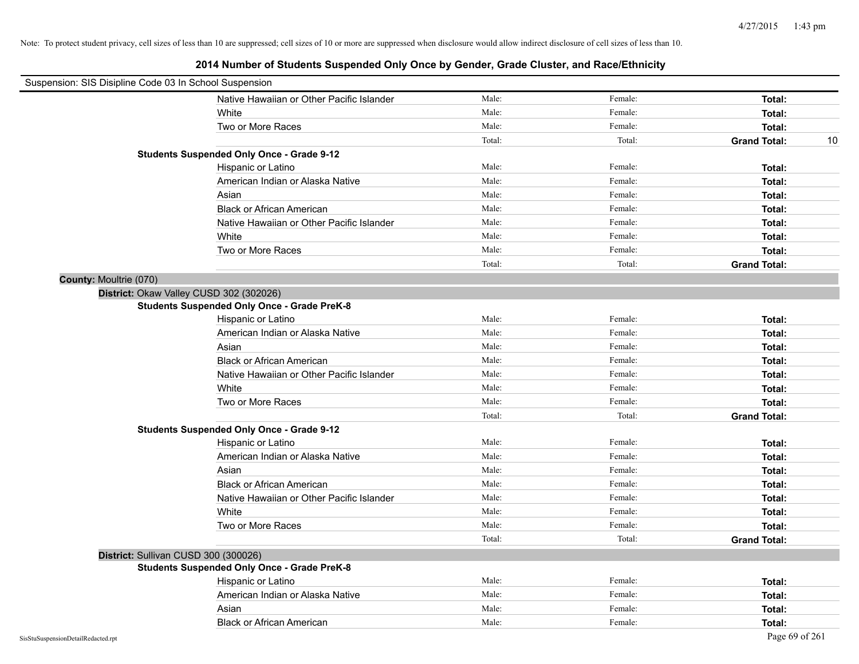| Suspension: SIS Disipline Code 03 In School Suspension |        |         |                     |    |
|--------------------------------------------------------|--------|---------|---------------------|----|
| Native Hawaiian or Other Pacific Islander              | Male:  | Female: | Total:              |    |
| White                                                  | Male:  | Female: | Total:              |    |
| Two or More Races                                      | Male:  | Female: | Total:              |    |
|                                                        | Total: | Total:  | <b>Grand Total:</b> | 10 |
| <b>Students Suspended Only Once - Grade 9-12</b>       |        |         |                     |    |
| Hispanic or Latino                                     | Male:  | Female: | Total:              |    |
| American Indian or Alaska Native                       | Male:  | Female: | Total:              |    |
| Asian                                                  | Male:  | Female: | Total:              |    |
| <b>Black or African American</b>                       | Male:  | Female: | Total:              |    |
| Native Hawaiian or Other Pacific Islander              | Male:  | Female: | Total:              |    |
| White                                                  | Male:  | Female: | Total:              |    |
| Two or More Races                                      | Male:  | Female: | Total:              |    |
|                                                        | Total: | Total:  | <b>Grand Total:</b> |    |
| County: Moultrie (070)                                 |        |         |                     |    |
| District: Okaw Valley CUSD 302 (302026)                |        |         |                     |    |
| <b>Students Suspended Only Once - Grade PreK-8</b>     |        |         |                     |    |
| Hispanic or Latino                                     | Male:  | Female: | Total:              |    |
| American Indian or Alaska Native                       | Male:  | Female: | Total:              |    |
| Asian                                                  | Male:  | Female: | Total:              |    |
| <b>Black or African American</b>                       | Male:  | Female: | Total:              |    |
| Native Hawaiian or Other Pacific Islander              | Male:  | Female: | Total:              |    |
| White                                                  | Male:  | Female: | Total:              |    |
| Two or More Races                                      | Male:  | Female: | Total:              |    |
|                                                        | Total: | Total:  | <b>Grand Total:</b> |    |
| <b>Students Suspended Only Once - Grade 9-12</b>       |        |         |                     |    |
| Hispanic or Latino                                     | Male:  | Female: | Total:              |    |
| American Indian or Alaska Native                       | Male:  | Female: | Total:              |    |
| Asian                                                  | Male:  | Female: | Total:              |    |
| <b>Black or African American</b>                       | Male:  | Female: | Total:              |    |
| Native Hawaiian or Other Pacific Islander              | Male:  | Female: | Total:              |    |
| White                                                  | Male:  | Female: | Total:              |    |
| Two or More Races                                      | Male:  | Female: | Total:              |    |
|                                                        | Total: | Total:  | <b>Grand Total:</b> |    |
| District: Sullivan CUSD 300 (300026)                   |        |         |                     |    |
| <b>Students Suspended Only Once - Grade PreK-8</b>     |        |         |                     |    |
| Hispanic or Latino                                     | Male:  | Female: | Total:              |    |
| American Indian or Alaska Native                       | Male:  | Female: | Total:              |    |
| Asian                                                  | Male:  | Female: | Total:              |    |
| <b>Black or African American</b>                       | Male:  | Female: | Total:              |    |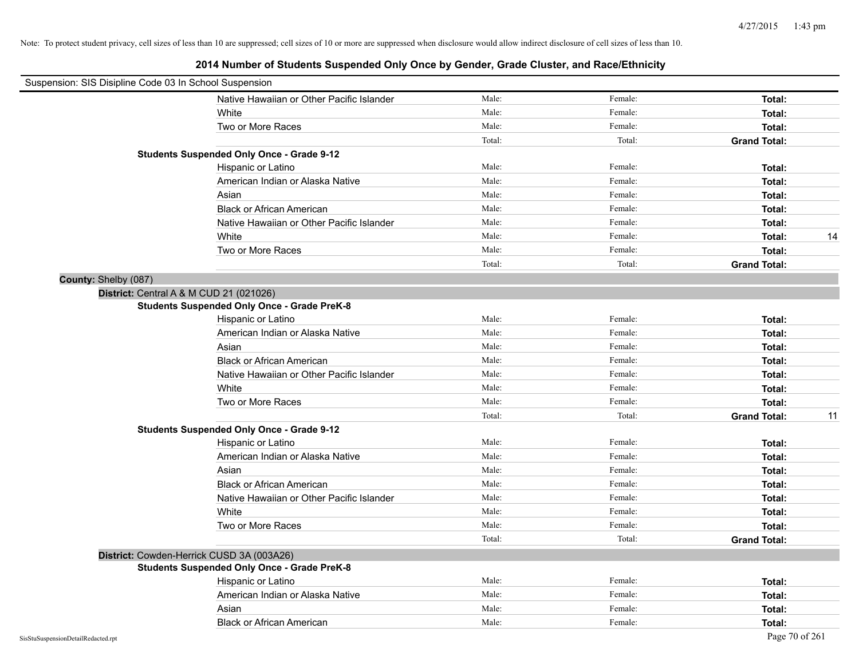| Suspension: SIS Disipline Code 03 In School Suspension |                                                    |        |         |                     |    |
|--------------------------------------------------------|----------------------------------------------------|--------|---------|---------------------|----|
|                                                        | Native Hawaiian or Other Pacific Islander          | Male:  | Female: | Total:              |    |
|                                                        | White                                              | Male:  | Female: | Total:              |    |
|                                                        | Two or More Races                                  | Male:  | Female: | Total:              |    |
|                                                        |                                                    | Total: | Total:  | <b>Grand Total:</b> |    |
|                                                        | <b>Students Suspended Only Once - Grade 9-12</b>   |        |         |                     |    |
|                                                        | Hispanic or Latino                                 | Male:  | Female: | Total:              |    |
|                                                        | American Indian or Alaska Native                   | Male:  | Female: | Total:              |    |
|                                                        | Asian                                              | Male:  | Female: | Total:              |    |
|                                                        | <b>Black or African American</b>                   | Male:  | Female: | Total:              |    |
|                                                        | Native Hawaiian or Other Pacific Islander          | Male:  | Female: | Total:              |    |
|                                                        | White                                              | Male:  | Female: | Total:              | 14 |
|                                                        | Two or More Races                                  | Male:  | Female: | Total:              |    |
|                                                        |                                                    | Total: | Total:  | <b>Grand Total:</b> |    |
| County: Shelby (087)                                   |                                                    |        |         |                     |    |
|                                                        | District: Central A & M CUD 21 (021026)            |        |         |                     |    |
|                                                        | <b>Students Suspended Only Once - Grade PreK-8</b> |        |         |                     |    |
|                                                        | Hispanic or Latino                                 | Male:  | Female: | Total:              |    |
|                                                        | American Indian or Alaska Native                   | Male:  | Female: | Total:              |    |
|                                                        | Asian                                              | Male:  | Female: | Total:              |    |
|                                                        | <b>Black or African American</b>                   | Male:  | Female: | Total:              |    |
|                                                        | Native Hawaiian or Other Pacific Islander          | Male:  | Female: | Total:              |    |
|                                                        | White                                              | Male:  | Female: | Total:              |    |
|                                                        | Two or More Races                                  | Male:  | Female: | Total:              |    |
|                                                        |                                                    | Total: | Total:  | <b>Grand Total:</b> | 11 |
|                                                        | <b>Students Suspended Only Once - Grade 9-12</b>   |        |         |                     |    |
|                                                        | Hispanic or Latino                                 | Male:  | Female: | Total:              |    |
|                                                        | American Indian or Alaska Native                   | Male:  | Female: | Total:              |    |
|                                                        | Asian                                              | Male:  | Female: | Total:              |    |
|                                                        | <b>Black or African American</b>                   | Male:  | Female: | Total:              |    |
|                                                        | Native Hawaiian or Other Pacific Islander          | Male:  | Female: | Total:              |    |
|                                                        | White                                              | Male:  | Female: | Total:              |    |
|                                                        | Two or More Races                                  | Male:  | Female: | Total:              |    |
|                                                        |                                                    | Total: | Total:  | <b>Grand Total:</b> |    |
|                                                        | District: Cowden-Herrick CUSD 3A (003A26)          |        |         |                     |    |
|                                                        | <b>Students Suspended Only Once - Grade PreK-8</b> |        |         |                     |    |
|                                                        | Hispanic or Latino                                 | Male:  | Female: | Total:              |    |
|                                                        | American Indian or Alaska Native                   | Male:  | Female: | Total:              |    |
|                                                        | Asian                                              | Male:  | Female: | Total:              |    |
|                                                        | <b>Black or African American</b>                   | Male:  | Female: | Total:              |    |
| SisStuSuspensionDetailRedacted.rpt                     |                                                    |        |         | Page 70 of 261      |    |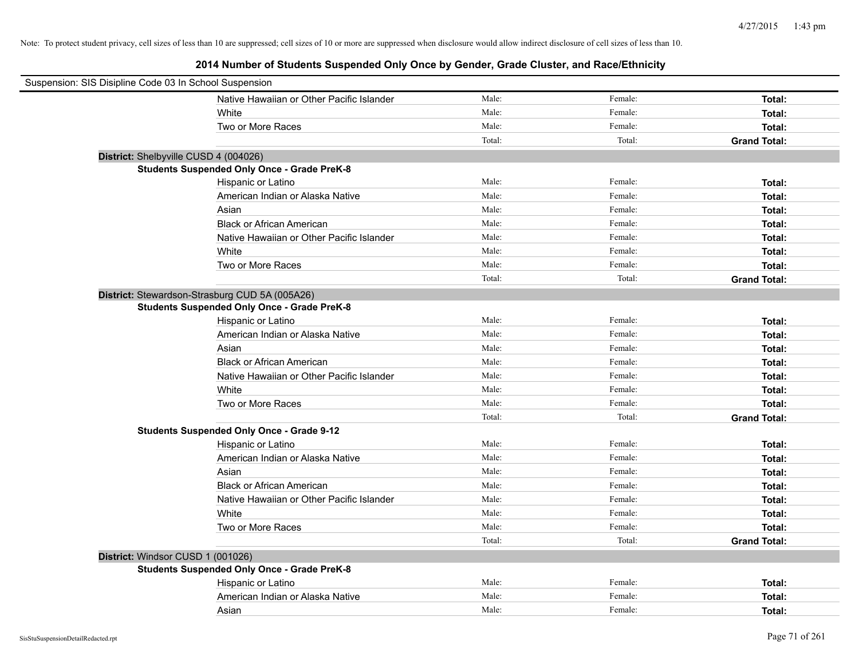| Suspension: SIS Disipline Code 03 In School Suspension |                                                    |        |         |                     |
|--------------------------------------------------------|----------------------------------------------------|--------|---------|---------------------|
|                                                        | Native Hawaiian or Other Pacific Islander          | Male:  | Female: | Total:              |
|                                                        | White                                              | Male:  | Female: | Total:              |
|                                                        | Two or More Races                                  | Male:  | Female: | Total:              |
|                                                        |                                                    | Total: | Total:  | <b>Grand Total:</b> |
| District: Shelbyville CUSD 4 (004026)                  |                                                    |        |         |                     |
|                                                        | <b>Students Suspended Only Once - Grade PreK-8</b> |        |         |                     |
|                                                        | Hispanic or Latino                                 | Male:  | Female: | Total:              |
|                                                        | American Indian or Alaska Native                   | Male:  | Female: | Total:              |
|                                                        | Asian                                              | Male:  | Female: | Total:              |
|                                                        | <b>Black or African American</b>                   | Male:  | Female: | Total:              |
|                                                        | Native Hawaiian or Other Pacific Islander          | Male:  | Female: | Total:              |
|                                                        | White                                              | Male:  | Female: | Total:              |
|                                                        | Two or More Races                                  | Male:  | Female: | Total:              |
|                                                        |                                                    | Total: | Total:  | <b>Grand Total:</b> |
|                                                        | District: Stewardson-Strasburg CUD 5A (005A26)     |        |         |                     |
|                                                        | <b>Students Suspended Only Once - Grade PreK-8</b> |        |         |                     |
|                                                        | Hispanic or Latino                                 | Male:  | Female: | Total:              |
|                                                        | American Indian or Alaska Native                   | Male:  | Female: | Total:              |
|                                                        | Asian                                              | Male:  | Female: | Total:              |
|                                                        | <b>Black or African American</b>                   | Male:  | Female: | Total:              |
|                                                        | Native Hawaiian or Other Pacific Islander          | Male:  | Female: | Total:              |
|                                                        | White                                              | Male:  | Female: | Total:              |
|                                                        | Two or More Races                                  | Male:  | Female: | Total:              |
|                                                        |                                                    | Total: | Total:  | <b>Grand Total:</b> |
|                                                        | <b>Students Suspended Only Once - Grade 9-12</b>   |        |         |                     |
|                                                        | Hispanic or Latino                                 | Male:  | Female: | Total:              |
|                                                        | American Indian or Alaska Native                   | Male:  | Female: | Total:              |
|                                                        | Asian                                              | Male:  | Female: | Total:              |
|                                                        | <b>Black or African American</b>                   | Male:  | Female: | Total:              |
|                                                        | Native Hawaiian or Other Pacific Islander          | Male:  | Female: | Total:              |
|                                                        | White                                              | Male:  | Female: | Total:              |
|                                                        | Two or More Races                                  | Male:  | Female: | Total:              |
|                                                        |                                                    | Total: | Total:  | <b>Grand Total:</b> |
| District: Windsor CUSD 1 (001026)                      |                                                    |        |         |                     |
|                                                        | <b>Students Suspended Only Once - Grade PreK-8</b> |        |         |                     |
|                                                        | Hispanic or Latino                                 | Male:  | Female: | Total:              |
|                                                        | American Indian or Alaska Native                   | Male:  | Female: | Total:              |
|                                                        | Asian                                              | Male:  | Female: | Total:              |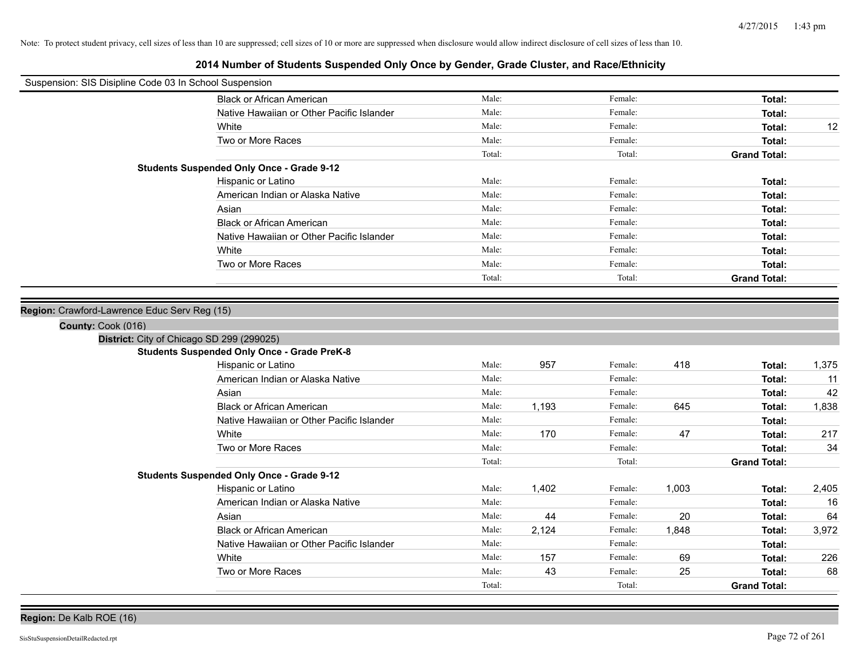## **2014 Number of Students Suspended Only Once by Gender, Grade Cluster, and Race/Ethnicity**

| Suspension: SIS Disipline Code 03 In School Suspension |                                                    |        |       |         |       |                     |       |
|--------------------------------------------------------|----------------------------------------------------|--------|-------|---------|-------|---------------------|-------|
|                                                        | <b>Black or African American</b>                   | Male:  |       | Female: |       | Total:              |       |
|                                                        | Native Hawaiian or Other Pacific Islander          | Male:  |       | Female: |       | Total:              |       |
|                                                        | White                                              | Male:  |       | Female: |       | Total:              | 12    |
|                                                        | Two or More Races                                  | Male:  |       | Female: |       | Total:              |       |
|                                                        |                                                    | Total: |       | Total:  |       | <b>Grand Total:</b> |       |
|                                                        | <b>Students Suspended Only Once - Grade 9-12</b>   |        |       |         |       |                     |       |
|                                                        | Hispanic or Latino                                 | Male:  |       | Female: |       | Total:              |       |
|                                                        | American Indian or Alaska Native                   | Male:  |       | Female: |       | Total:              |       |
|                                                        | Asian                                              | Male:  |       | Female: |       | Total:              |       |
|                                                        | <b>Black or African American</b>                   | Male:  |       | Female: |       | Total:              |       |
|                                                        | Native Hawaiian or Other Pacific Islander          | Male:  |       | Female: |       | Total:              |       |
|                                                        | White                                              | Male:  |       | Female: |       | Total:              |       |
|                                                        | Two or More Races                                  | Male:  |       | Female: |       | Total:              |       |
|                                                        |                                                    | Total: |       | Total:  |       | <b>Grand Total:</b> |       |
|                                                        |                                                    |        |       |         |       |                     |       |
| Region: Crawford-Lawrence Educ Serv Reg (15)           |                                                    |        |       |         |       |                     |       |
| County: Cook (016)                                     |                                                    |        |       |         |       |                     |       |
| District: City of Chicago SD 299 (299025)              |                                                    |        |       |         |       |                     |       |
|                                                        | <b>Students Suspended Only Once - Grade PreK-8</b> |        |       |         |       |                     |       |
|                                                        | Hispanic or Latino                                 | Male:  | 957   | Female: | 418   | Total:              | 1,375 |
|                                                        | American Indian or Alaska Native                   | Male:  |       | Female: |       | Total:              | 11    |
|                                                        | Asian                                              | Male:  |       | Female: |       | Total:              | 42    |
|                                                        | <b>Black or African American</b>                   | Male:  | 1.193 | Female: | 645   | Total:              | 1,838 |
|                                                        | Native Hawaiian or Other Pacific Islander          | Male:  |       | Female: |       | Total:              |       |
|                                                        | White                                              | Male:  | 170   | Female: | 47    | Total:              | 217   |
|                                                        | Two or More Races                                  | Male:  |       | Female: |       | Total:              | 34    |
|                                                        |                                                    | Total: |       | Total:  |       | <b>Grand Total:</b> |       |
|                                                        | <b>Students Suspended Only Once - Grade 9-12</b>   |        |       |         |       |                     |       |
|                                                        | Hispanic or Latino                                 | Male:  | 1,402 | Female: | 1,003 | Total:              | 2,405 |
|                                                        | American Indian or Alaska Native                   | Male:  |       | Female: |       | Total:              | 16    |
|                                                        | Asian                                              | Male:  | 44    | Female: | 20    | Total:              | 64    |
|                                                        | <b>Black or African American</b>                   | Male:  | 2,124 | Female: | 1,848 | Total:              | 3,972 |
|                                                        | Native Hawaiian or Other Pacific Islander          | Male:  |       | Female: |       | Total:              |       |
|                                                        | White                                              | Male:  | 157   | Female: | 69    | Total:              | 226   |
|                                                        | Two or More Races                                  | Male:  | 43    | Female: | 25    | Total:              | 68    |
|                                                        |                                                    | Total: |       | Total:  |       | <b>Grand Total:</b> |       |

**Region:** De Kalb ROE (16)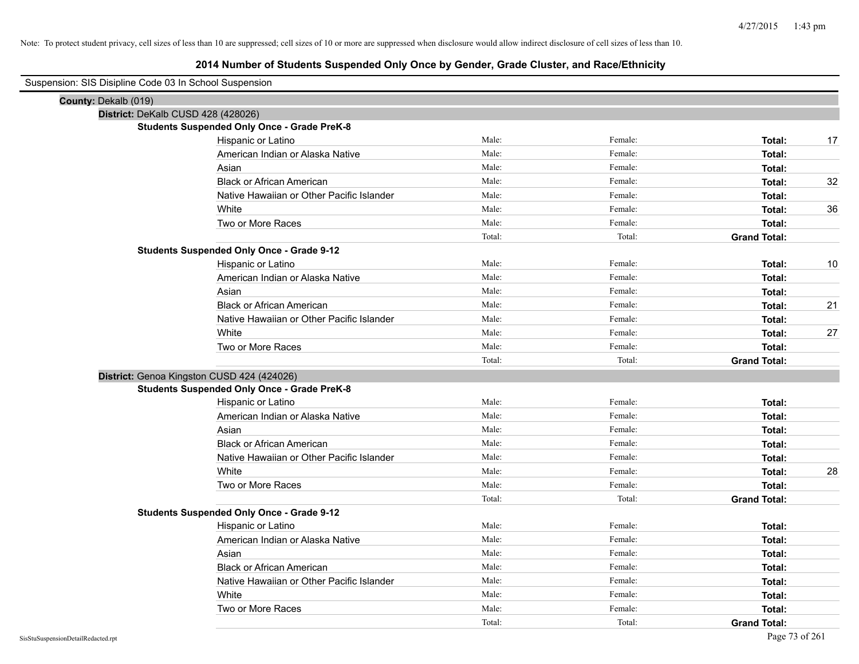| Suspension: SIS Disipline Code 03 In School Suspension |                                                    |        |         |                     |    |
|--------------------------------------------------------|----------------------------------------------------|--------|---------|---------------------|----|
| County: Dekalb (019)                                   |                                                    |        |         |                     |    |
| District: DeKalb CUSD 428 (428026)                     |                                                    |        |         |                     |    |
|                                                        | <b>Students Suspended Only Once - Grade PreK-8</b> |        |         |                     |    |
|                                                        | Hispanic or Latino                                 | Male:  | Female: | Total:              | 17 |
|                                                        | American Indian or Alaska Native                   | Male:  | Female: | Total:              |    |
|                                                        | Asian                                              | Male:  | Female: | Total:              |    |
|                                                        | <b>Black or African American</b>                   | Male:  | Female: | Total:              | 32 |
|                                                        | Native Hawaiian or Other Pacific Islander          | Male:  | Female: | Total:              |    |
|                                                        | White                                              | Male:  | Female: | Total:              | 36 |
|                                                        | Two or More Races                                  | Male:  | Female: | Total:              |    |
|                                                        |                                                    | Total: | Total:  | <b>Grand Total:</b> |    |
|                                                        | <b>Students Suspended Only Once - Grade 9-12</b>   |        |         |                     |    |
|                                                        | Hispanic or Latino                                 | Male:  | Female: | Total:              | 10 |
|                                                        | American Indian or Alaska Native                   | Male:  | Female: | Total:              |    |
|                                                        | Asian                                              | Male:  | Female: | Total:              |    |
|                                                        | <b>Black or African American</b>                   | Male:  | Female: | Total:              | 21 |
|                                                        | Native Hawaiian or Other Pacific Islander          | Male:  | Female: | Total:              |    |
|                                                        | White                                              | Male:  | Female: | Total:              | 27 |
|                                                        | Two or More Races                                  | Male:  | Female: | Total:              |    |
|                                                        |                                                    | Total: | Total:  | <b>Grand Total:</b> |    |
| District: Genoa Kingston CUSD 424 (424026)             |                                                    |        |         |                     |    |
|                                                        | <b>Students Suspended Only Once - Grade PreK-8</b> |        |         |                     |    |
|                                                        | Hispanic or Latino                                 | Male:  | Female: | Total:              |    |
|                                                        | American Indian or Alaska Native                   | Male:  | Female: | Total:              |    |
|                                                        | Asian                                              | Male:  | Female: | Total:              |    |
|                                                        | <b>Black or African American</b>                   | Male:  | Female: | Total:              |    |
|                                                        | Native Hawaiian or Other Pacific Islander          | Male:  | Female: | Total:              |    |
|                                                        | White                                              | Male:  | Female: | Total:              | 28 |
|                                                        | Two or More Races                                  | Male:  | Female: | Total:              |    |
|                                                        |                                                    | Total: | Total:  | <b>Grand Total:</b> |    |
|                                                        | <b>Students Suspended Only Once - Grade 9-12</b>   |        |         |                     |    |
|                                                        | Hispanic or Latino                                 | Male:  | Female: | Total:              |    |
|                                                        | American Indian or Alaska Native                   | Male:  | Female: | Total:              |    |
|                                                        | Asian                                              | Male:  | Female: | Total:              |    |
|                                                        | <b>Black or African American</b>                   | Male:  | Female: | Total:              |    |
|                                                        | Native Hawaiian or Other Pacific Islander          | Male:  | Female: | Total:              |    |
|                                                        | White                                              | Male:  | Female: | Total:              |    |
|                                                        | Two or More Races                                  | Male:  | Female: | Total:              |    |
|                                                        |                                                    | Total: | Total:  | <b>Grand Total:</b> |    |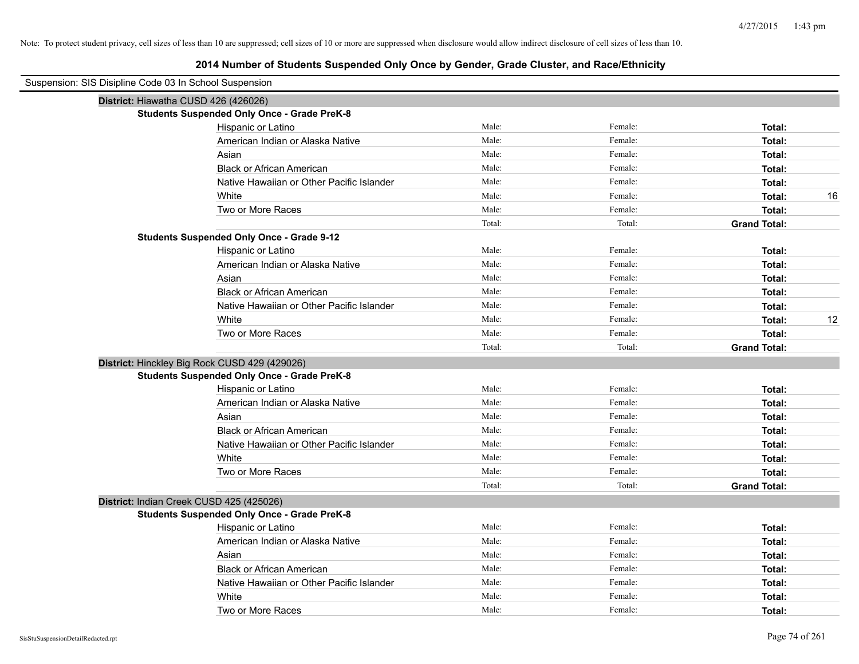| Suspension: SIS Disipline Code 03 In School Suspension |                                                    |        |         |                     |
|--------------------------------------------------------|----------------------------------------------------|--------|---------|---------------------|
| District: Hiawatha CUSD 426 (426026)                   |                                                    |        |         |                     |
|                                                        | <b>Students Suspended Only Once - Grade PreK-8</b> |        |         |                     |
|                                                        | Hispanic or Latino                                 | Male:  | Female: | Total:              |
|                                                        | American Indian or Alaska Native                   | Male:  | Female: | Total:              |
|                                                        | Asian                                              | Male:  | Female: | Total:              |
|                                                        | <b>Black or African American</b>                   | Male:  | Female: | Total:              |
|                                                        | Native Hawaiian or Other Pacific Islander          | Male:  | Female: | Total:              |
|                                                        | White                                              | Male:  | Female: | 16<br>Total:        |
|                                                        | Two or More Races                                  | Male:  | Female: | Total:              |
|                                                        |                                                    | Total: | Total:  | <b>Grand Total:</b> |
|                                                        | <b>Students Suspended Only Once - Grade 9-12</b>   |        |         |                     |
|                                                        | Hispanic or Latino                                 | Male:  | Female: | Total:              |
|                                                        | American Indian or Alaska Native                   | Male:  | Female: | Total:              |
|                                                        | Asian                                              | Male:  | Female: | Total:              |
|                                                        | <b>Black or African American</b>                   | Male:  | Female: | Total:              |
|                                                        | Native Hawaiian or Other Pacific Islander          | Male:  | Female: | Total:              |
|                                                        | White                                              | Male:  | Female: | 12<br>Total:        |
|                                                        | Two or More Races                                  | Male:  | Female: | Total:              |
|                                                        |                                                    | Total: | Total:  | <b>Grand Total:</b> |
|                                                        | District: Hinckley Big Rock CUSD 429 (429026)      |        |         |                     |
|                                                        | <b>Students Suspended Only Once - Grade PreK-8</b> |        |         |                     |
|                                                        | Hispanic or Latino                                 | Male:  | Female: | Total:              |
|                                                        | American Indian or Alaska Native                   | Male:  | Female: | Total:              |
|                                                        | Asian                                              | Male:  | Female: | Total:              |
|                                                        | <b>Black or African American</b>                   | Male:  | Female: | Total:              |
|                                                        | Native Hawaiian or Other Pacific Islander          | Male:  | Female: | Total:              |
|                                                        | White                                              | Male:  | Female: | Total:              |
|                                                        | Two or More Races                                  | Male:  | Female: | Total:              |
|                                                        |                                                    | Total: | Total:  | <b>Grand Total:</b> |
|                                                        | District: Indian Creek CUSD 425 (425026)           |        |         |                     |
|                                                        | <b>Students Suspended Only Once - Grade PreK-8</b> |        |         |                     |
|                                                        | Hispanic or Latino                                 | Male:  | Female: | Total:              |
|                                                        | American Indian or Alaska Native                   | Male:  | Female: | Total:              |
|                                                        | Asian                                              | Male:  | Female: | Total:              |
|                                                        | <b>Black or African American</b>                   | Male:  | Female: | Total:              |
|                                                        | Native Hawaiian or Other Pacific Islander          | Male:  | Female: | Total:              |
|                                                        | White                                              | Male:  | Female: | Total:              |
|                                                        | Two or More Races                                  | Male:  | Female: | Total:              |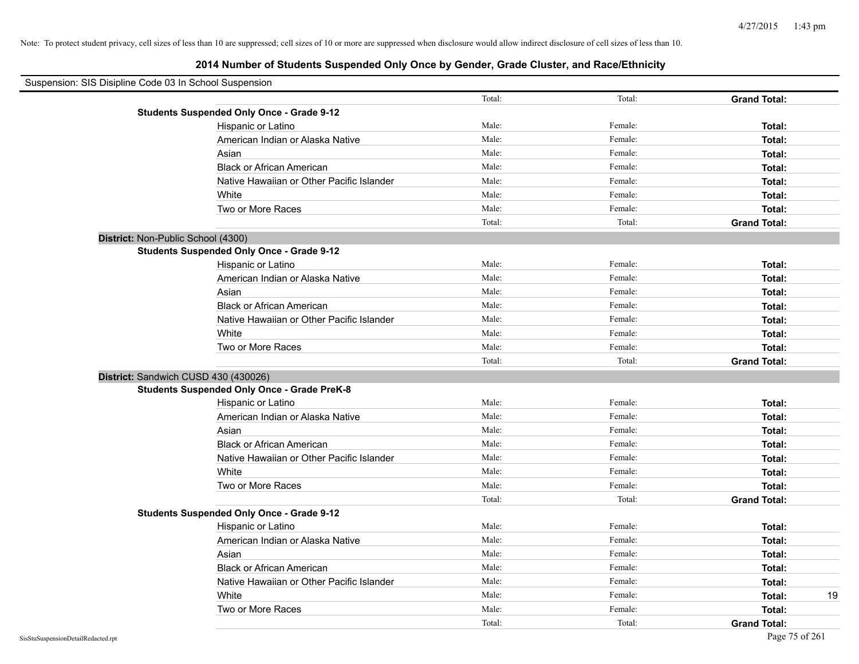| Suspension: SIS Disipline Code 03 In School Suspension |                                                    |        |         |                     |
|--------------------------------------------------------|----------------------------------------------------|--------|---------|---------------------|
|                                                        |                                                    | Total: | Total:  | <b>Grand Total:</b> |
|                                                        | <b>Students Suspended Only Once - Grade 9-12</b>   |        |         |                     |
|                                                        | Hispanic or Latino                                 | Male:  | Female: | Total:              |
|                                                        | American Indian or Alaska Native                   | Male:  | Female: | Total:              |
|                                                        | Asian                                              | Male:  | Female: | Total:              |
|                                                        | <b>Black or African American</b>                   | Male:  | Female: | Total:              |
|                                                        | Native Hawaiian or Other Pacific Islander          | Male:  | Female: | Total:              |
|                                                        | White                                              | Male:  | Female: | Total:              |
|                                                        | Two or More Races                                  | Male:  | Female: | Total:              |
|                                                        |                                                    | Total: | Total:  | <b>Grand Total:</b> |
|                                                        | District: Non-Public School (4300)                 |        |         |                     |
|                                                        | <b>Students Suspended Only Once - Grade 9-12</b>   |        |         |                     |
|                                                        | Hispanic or Latino                                 | Male:  | Female: | Total:              |
|                                                        | American Indian or Alaska Native                   | Male:  | Female: | Total:              |
|                                                        | Asian                                              | Male:  | Female: | Total:              |
|                                                        | <b>Black or African American</b>                   | Male:  | Female: | Total:              |
|                                                        | Native Hawaiian or Other Pacific Islander          | Male:  | Female: | Total:              |
|                                                        | White                                              | Male:  | Female: | Total:              |
|                                                        | Two or More Races                                  | Male:  | Female: | Total:              |
|                                                        |                                                    | Total: | Total:  | <b>Grand Total:</b> |
|                                                        | District: Sandwich CUSD 430 (430026)               |        |         |                     |
|                                                        | <b>Students Suspended Only Once - Grade PreK-8</b> |        |         |                     |
|                                                        | Hispanic or Latino                                 | Male:  | Female: | Total:              |
|                                                        | American Indian or Alaska Native                   | Male:  | Female: | Total:              |
|                                                        | Asian                                              | Male:  | Female: | Total:              |
|                                                        | <b>Black or African American</b>                   | Male:  | Female: | Total:              |
|                                                        | Native Hawaiian or Other Pacific Islander          | Male:  | Female: | Total:              |
|                                                        | White                                              | Male:  | Female: | Total:              |
|                                                        | Two or More Races                                  | Male:  | Female: | Total:              |
|                                                        |                                                    | Total: | Total:  | <b>Grand Total:</b> |
|                                                        | <b>Students Suspended Only Once - Grade 9-12</b>   |        |         |                     |
|                                                        | Hispanic or Latino                                 | Male:  | Female: | Total:              |
|                                                        | American Indian or Alaska Native                   | Male:  | Female: | Total:              |
|                                                        | Asian                                              | Male:  | Female: | Total:              |
|                                                        | <b>Black or African American</b>                   | Male:  | Female: | Total:              |
|                                                        | Native Hawaiian or Other Pacific Islander          | Male:  | Female: | Total:              |
|                                                        | White                                              | Male:  | Female: | 19<br>Total:        |
|                                                        | Two or More Races                                  | Male:  | Female: | Total:              |
|                                                        |                                                    | Total: | Total:  | <b>Grand Total:</b> |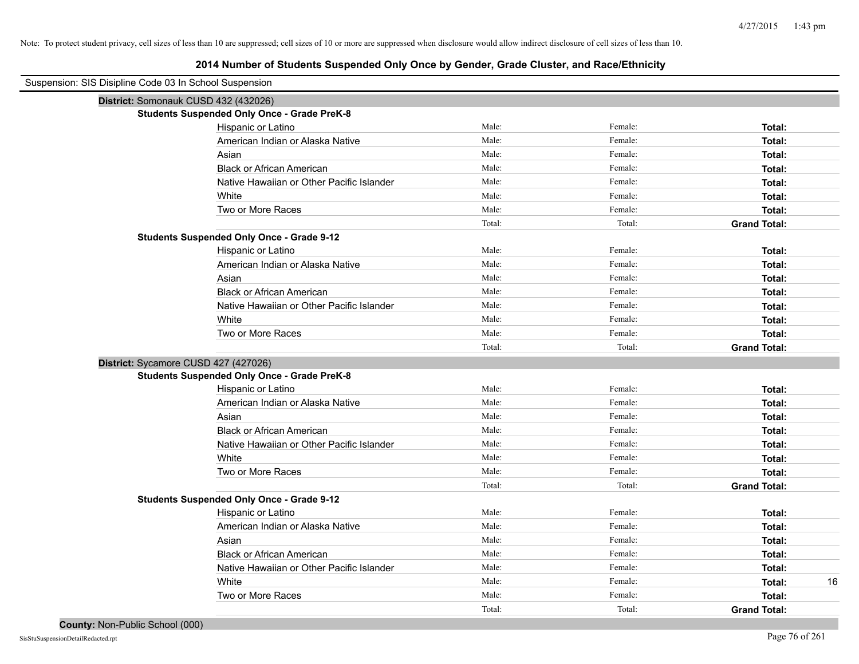| Suspension: SIS Disipline Code 03 In School Suspension |                                                    |        |         |                     |
|--------------------------------------------------------|----------------------------------------------------|--------|---------|---------------------|
| District: Somonauk CUSD 432 (432026)                   |                                                    |        |         |                     |
|                                                        | <b>Students Suspended Only Once - Grade PreK-8</b> |        |         |                     |
|                                                        | Hispanic or Latino                                 | Male:  | Female: | Total:              |
|                                                        | American Indian or Alaska Native                   | Male:  | Female: | Total:              |
|                                                        | Asian                                              | Male:  | Female: | Total:              |
|                                                        | <b>Black or African American</b>                   | Male:  | Female: | Total:              |
|                                                        | Native Hawaiian or Other Pacific Islander          | Male:  | Female: | Total:              |
|                                                        | White                                              | Male:  | Female: | Total:              |
|                                                        | Two or More Races                                  | Male:  | Female: | Total:              |
|                                                        |                                                    | Total: | Total:  | <b>Grand Total:</b> |
|                                                        | <b>Students Suspended Only Once - Grade 9-12</b>   |        |         |                     |
|                                                        | Hispanic or Latino                                 | Male:  | Female: | Total:              |
|                                                        | American Indian or Alaska Native                   | Male:  | Female: | Total:              |
|                                                        | Asian                                              | Male:  | Female: | Total:              |
|                                                        | <b>Black or African American</b>                   | Male:  | Female: | Total:              |
|                                                        | Native Hawaiian or Other Pacific Islander          | Male:  | Female: | Total:              |
|                                                        | White                                              | Male:  | Female: | Total:              |
|                                                        | Two or More Races                                  | Male:  | Female: | Total:              |
|                                                        |                                                    | Total: | Total:  | <b>Grand Total:</b> |
| District: Sycamore CUSD 427 (427026)                   |                                                    |        |         |                     |
|                                                        | <b>Students Suspended Only Once - Grade PreK-8</b> |        |         |                     |
|                                                        | Hispanic or Latino                                 | Male:  | Female: | Total:              |
|                                                        | American Indian or Alaska Native                   | Male:  | Female: | Total:              |
|                                                        | Asian                                              | Male:  | Female: | Total:              |
|                                                        | <b>Black or African American</b>                   | Male:  | Female: | Total:              |
|                                                        | Native Hawaiian or Other Pacific Islander          | Male:  | Female: | Total:              |
|                                                        | White                                              | Male:  | Female: | Total:              |
|                                                        | Two or More Races                                  | Male:  | Female: | Total:              |
|                                                        |                                                    | Total: | Total:  | <b>Grand Total:</b> |
|                                                        | <b>Students Suspended Only Once - Grade 9-12</b>   |        |         |                     |
|                                                        | Hispanic or Latino                                 | Male:  | Female: | Total:              |
|                                                        | American Indian or Alaska Native                   | Male:  | Female: | Total:              |
|                                                        | Asian                                              | Male:  | Female: | Total:              |
|                                                        | <b>Black or African American</b>                   | Male:  | Female: | Total:              |
|                                                        | Native Hawaiian or Other Pacific Islander          | Male:  | Female: | Total:              |
|                                                        | White                                              | Male:  | Female: | Total:<br>16        |
|                                                        | Two or More Races                                  | Male:  | Female: | Total:              |
|                                                        |                                                    | Total: | Total:  | <b>Grand Total:</b> |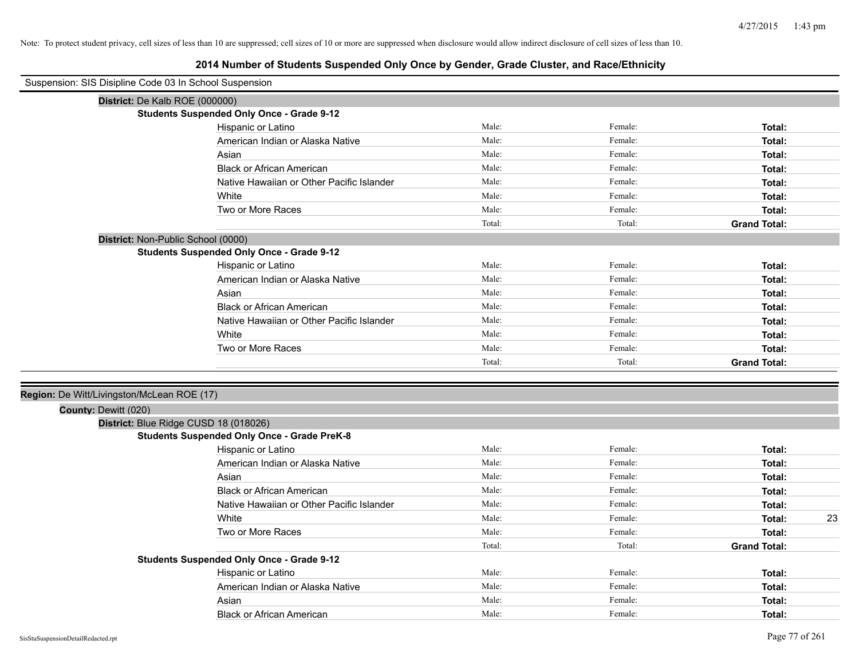| Suspension: SIS Disipline Code 03 In School Suspension |                                                    |        |         |                     |
|--------------------------------------------------------|----------------------------------------------------|--------|---------|---------------------|
| District: De Kalb ROE (000000)                         |                                                    |        |         |                     |
|                                                        | <b>Students Suspended Only Once - Grade 9-12</b>   |        |         |                     |
|                                                        | Hispanic or Latino                                 | Male:  | Female: | Total:              |
|                                                        | American Indian or Alaska Native                   | Male:  | Female: | Total:              |
|                                                        | Asian                                              | Male:  | Female: | Total:              |
|                                                        | <b>Black or African American</b>                   | Male:  | Female: | Total:              |
|                                                        | Native Hawaiian or Other Pacific Islander          | Male:  | Female: | Total:              |
|                                                        | White                                              | Male:  | Female: | Total:              |
|                                                        | Two or More Races                                  | Male:  | Female: | Total:              |
|                                                        |                                                    | Total: | Total:  | <b>Grand Total:</b> |
| District: Non-Public School (0000)                     |                                                    |        |         |                     |
|                                                        | <b>Students Suspended Only Once - Grade 9-12</b>   |        |         |                     |
|                                                        | Hispanic or Latino                                 | Male:  | Female: | Total:              |
|                                                        | American Indian or Alaska Native                   | Male:  | Female: | Total:              |
|                                                        | Asian                                              | Male:  | Female: | Total:              |
|                                                        | <b>Black or African American</b>                   | Male:  | Female: | Total:              |
|                                                        | Native Hawaiian or Other Pacific Islander          | Male:  | Female: | Total:              |
|                                                        | White                                              | Male:  | Female: | Total:              |
|                                                        | Two or More Races                                  | Male:  | Female: | Total:              |
|                                                        |                                                    | Total: | Total:  | <b>Grand Total:</b> |
|                                                        |                                                    |        |         |                     |
| Region: De Witt/Livingston/McLean ROE (17)             |                                                    |        |         |                     |
| County: Dewitt (020)                                   |                                                    |        |         |                     |
|                                                        | District: Blue Ridge CUSD 18 (018026)              |        |         |                     |
|                                                        | <b>Students Suspended Only Once - Grade PreK-8</b> |        |         |                     |
|                                                        | Hispanic or Latino                                 | Male:  | Female: | Total:              |
|                                                        | American Indian or Alaska Native                   | Male:  | Female: | Total:              |
|                                                        | Asian                                              | Male:  | Female: | Total:              |
|                                                        | <b>Black or African American</b>                   | Male:  | Female: | Total:              |
|                                                        | Native Hawaiian or Other Pacific Islander          | Male:  | Female: | Total:              |
|                                                        | White                                              | Male:  | Female: | 23<br>Total:        |
|                                                        | Two or More Races                                  | Male:  | Female: | Total:              |
|                                                        |                                                    | Total: | Total:  | <b>Grand Total:</b> |
|                                                        | <b>Students Suspended Only Once - Grade 9-12</b>   |        |         |                     |
|                                                        | Hispanic or Latino                                 | Male:  | Female: | Total:              |
|                                                        | American Indian or Alaska Native                   | Male:  | Female: | Total:              |
|                                                        | Asian                                              | Male:  | Female: | Total:              |
|                                                        | <b>Black or African American</b>                   | Male:  | Female: | Total:              |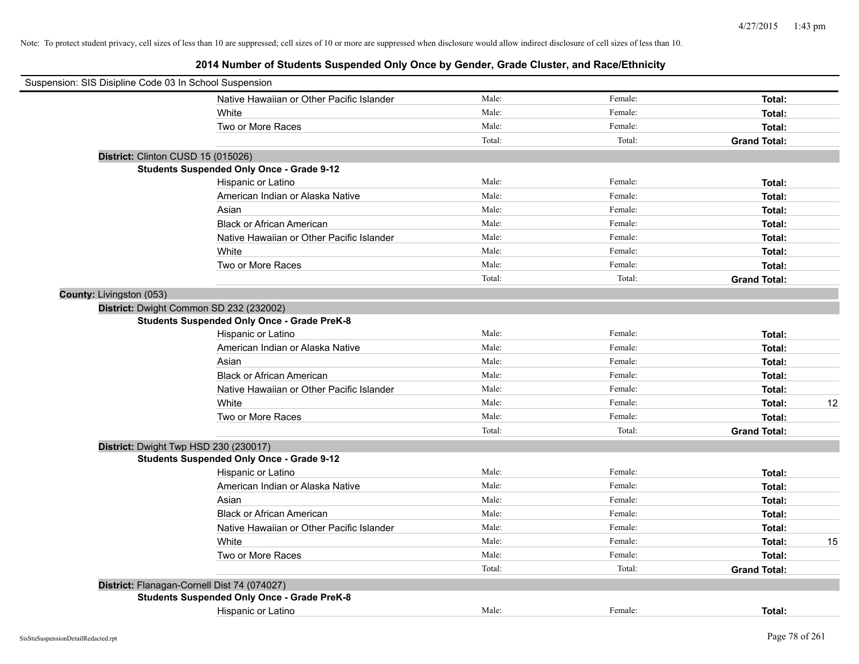| Suspension: SIS Disipline Code 03 In School Suspension |                                                    |        |         |                     |    |
|--------------------------------------------------------|----------------------------------------------------|--------|---------|---------------------|----|
|                                                        | Native Hawaiian or Other Pacific Islander          | Male:  | Female: | Total:              |    |
|                                                        | White                                              | Male:  | Female: | Total:              |    |
|                                                        | Two or More Races                                  | Male:  | Female: | Total:              |    |
|                                                        |                                                    | Total: | Total:  | <b>Grand Total:</b> |    |
| District: Clinton CUSD 15 (015026)                     |                                                    |        |         |                     |    |
|                                                        | <b>Students Suspended Only Once - Grade 9-12</b>   |        |         |                     |    |
|                                                        | Hispanic or Latino                                 | Male:  | Female: | Total:              |    |
|                                                        | American Indian or Alaska Native                   | Male:  | Female: | Total:              |    |
|                                                        | Asian                                              | Male:  | Female: | Total:              |    |
|                                                        | <b>Black or African American</b>                   | Male:  | Female: | Total:              |    |
|                                                        | Native Hawaiian or Other Pacific Islander          | Male:  | Female: | Total:              |    |
|                                                        | White                                              | Male:  | Female: | Total:              |    |
|                                                        | Two or More Races                                  | Male:  | Female: | Total:              |    |
|                                                        |                                                    | Total: | Total:  | <b>Grand Total:</b> |    |
| County: Livingston (053)                               |                                                    |        |         |                     |    |
|                                                        | District: Dwight Common SD 232 (232002)            |        |         |                     |    |
|                                                        | <b>Students Suspended Only Once - Grade PreK-8</b> |        |         |                     |    |
|                                                        | Hispanic or Latino                                 | Male:  | Female: | Total:              |    |
|                                                        | American Indian or Alaska Native                   | Male:  | Female: | Total:              |    |
|                                                        | Asian                                              | Male:  | Female: | Total:              |    |
|                                                        | <b>Black or African American</b>                   | Male:  | Female: | Total:              |    |
|                                                        | Native Hawaiian or Other Pacific Islander          | Male:  | Female: | Total:              |    |
|                                                        | White                                              | Male:  | Female: | Total:              | 12 |
|                                                        | Two or More Races                                  | Male:  | Female: | Total:              |    |
|                                                        |                                                    | Total: | Total:  | <b>Grand Total:</b> |    |
| District: Dwight Twp HSD 230 (230017)                  |                                                    |        |         |                     |    |
|                                                        | <b>Students Suspended Only Once - Grade 9-12</b>   |        |         |                     |    |
|                                                        | Hispanic or Latino                                 | Male:  | Female: | Total:              |    |
|                                                        | American Indian or Alaska Native                   | Male:  | Female: | Total:              |    |
|                                                        | Asian                                              | Male:  | Female: | Total:              |    |
|                                                        | <b>Black or African American</b>                   | Male:  | Female: | Total:              |    |
|                                                        | Native Hawaiian or Other Pacific Islander          | Male:  | Female: | Total:              |    |
|                                                        | White                                              | Male:  | Female: | Total:              | 15 |
|                                                        | Two or More Races                                  | Male:  | Female: | Total:              |    |
|                                                        |                                                    | Total: | Total:  | <b>Grand Total:</b> |    |
|                                                        | District: Flanagan-Cornell Dist 74 (074027)        |        |         |                     |    |
|                                                        | <b>Students Suspended Only Once - Grade PreK-8</b> |        |         |                     |    |
|                                                        | Hispanic or Latino                                 | Male:  | Female: | Total:              |    |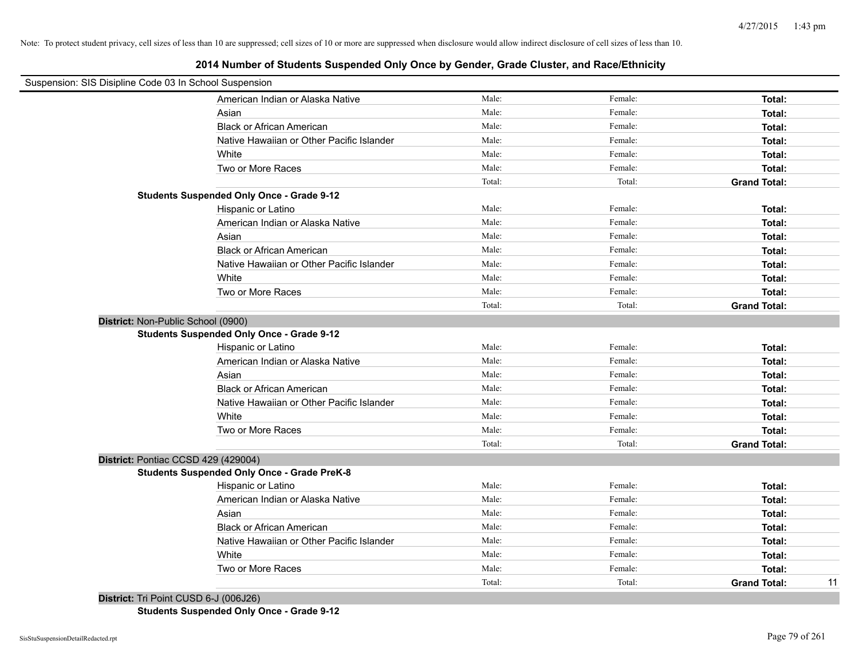# **2014 Number of Students Suspended Only Once by Gender, Grade Cluster, and Race/Ethnicity**

| Suspension: SIS Disipline Code 03 In School Suspension |                                                    |        |         |                     |    |
|--------------------------------------------------------|----------------------------------------------------|--------|---------|---------------------|----|
|                                                        | American Indian or Alaska Native                   | Male:  | Female: | Total:              |    |
|                                                        | Asian                                              | Male:  | Female: | Total:              |    |
|                                                        | <b>Black or African American</b>                   | Male:  | Female: | Total:              |    |
|                                                        | Native Hawaiian or Other Pacific Islander          | Male:  | Female: | Total:              |    |
|                                                        | White                                              | Male:  | Female: | Total:              |    |
|                                                        | Two or More Races                                  | Male:  | Female: | Total:              |    |
|                                                        |                                                    | Total: | Total:  | <b>Grand Total:</b> |    |
|                                                        | <b>Students Suspended Only Once - Grade 9-12</b>   |        |         |                     |    |
|                                                        | Hispanic or Latino                                 | Male:  | Female: | Total:              |    |
|                                                        | American Indian or Alaska Native                   | Male:  | Female: | Total:              |    |
|                                                        | Asian                                              | Male:  | Female: | Total:              |    |
|                                                        | <b>Black or African American</b>                   | Male:  | Female: | Total:              |    |
|                                                        | Native Hawaiian or Other Pacific Islander          | Male:  | Female: | Total:              |    |
|                                                        | White                                              | Male:  | Female: | Total:              |    |
|                                                        | Two or More Races                                  | Male:  | Female: | Total:              |    |
|                                                        |                                                    | Total: | Total:  | <b>Grand Total:</b> |    |
| District: Non-Public School (0900)                     |                                                    |        |         |                     |    |
|                                                        | <b>Students Suspended Only Once - Grade 9-12</b>   |        |         |                     |    |
|                                                        | Hispanic or Latino                                 | Male:  | Female: | Total:              |    |
|                                                        | American Indian or Alaska Native                   | Male:  | Female: | Total:              |    |
|                                                        | Asian                                              | Male:  | Female: | Total:              |    |
|                                                        | <b>Black or African American</b>                   | Male:  | Female: | Total:              |    |
|                                                        | Native Hawaiian or Other Pacific Islander          | Male:  | Female: | Total:              |    |
|                                                        | White                                              | Male:  | Female: | Total:              |    |
|                                                        | Two or More Races                                  | Male:  | Female: | Total:              |    |
|                                                        |                                                    | Total: | Total:  | <b>Grand Total:</b> |    |
| District: Pontiac CCSD 429 (429004)                    |                                                    |        |         |                     |    |
|                                                        | <b>Students Suspended Only Once - Grade PreK-8</b> |        |         |                     |    |
|                                                        | Hispanic or Latino                                 | Male:  | Female: | Total:              |    |
|                                                        | American Indian or Alaska Native                   | Male:  | Female: | Total:              |    |
|                                                        | Asian                                              | Male:  | Female: | Total:              |    |
|                                                        | <b>Black or African American</b>                   | Male:  | Female: | Total:              |    |
|                                                        | Native Hawaiian or Other Pacific Islander          | Male:  | Female: | Total:              |    |
|                                                        | White                                              | Male:  | Female: | Total:              |    |
|                                                        | Two or More Races                                  | Male:  | Female: | Total:              |    |
|                                                        |                                                    | Total: | Total:  | <b>Grand Total:</b> | 11 |
|                                                        |                                                    |        |         |                     |    |

**District:** Tri Point CUSD 6-J (006J26) **Students Suspended Only Once - Grade 9-12**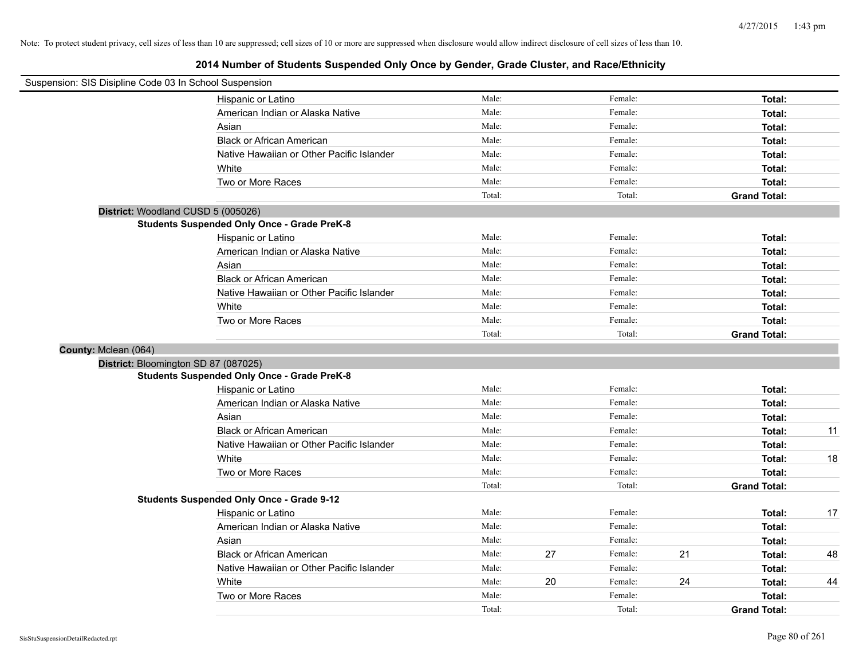| Suspension: SIS Disipline Code 03 In School Suspension |                                                    |                 |    |                   |    |                     |    |
|--------------------------------------------------------|----------------------------------------------------|-----------------|----|-------------------|----|---------------------|----|
|                                                        | Hispanic or Latino                                 | Male:           |    | Female:           |    | Total:              |    |
|                                                        | American Indian or Alaska Native                   | Male:           |    | Female:           |    | Total:              |    |
|                                                        | Asian                                              | Male:           |    | Female:           |    | Total:              |    |
|                                                        | <b>Black or African American</b>                   | Male:           |    | Female:           |    | Total:              |    |
|                                                        | Native Hawaiian or Other Pacific Islander          | Male:           |    | Female:           |    | Total:              |    |
|                                                        | White                                              | Male:           |    | Female:           |    | Total:              |    |
|                                                        | Two or More Races                                  | Male:           |    | Female:           |    | Total:              |    |
|                                                        |                                                    | Total:          |    | Total:            |    | <b>Grand Total:</b> |    |
| District: Woodland CUSD 5 (005026)                     |                                                    |                 |    |                   |    |                     |    |
|                                                        | <b>Students Suspended Only Once - Grade PreK-8</b> |                 |    |                   |    |                     |    |
|                                                        | Hispanic or Latino                                 | Male:           |    | Female:           |    | Total:              |    |
|                                                        | American Indian or Alaska Native                   | Male:           |    | Female:           |    | Total:              |    |
|                                                        | Asian                                              | Male:           |    | Female:           |    | Total:              |    |
|                                                        | <b>Black or African American</b>                   | Male:           |    | Female:           |    | Total:              |    |
|                                                        | Native Hawaiian or Other Pacific Islander          | Male:           |    | Female:           |    | Total:              |    |
|                                                        | White                                              | Male:           |    | Female:           |    | Total:              |    |
|                                                        | Two or More Races                                  | Male:           |    | Female:           |    | Total:              |    |
|                                                        |                                                    | Total:          |    | Total:            |    | <b>Grand Total:</b> |    |
| County: Mclean (064)                                   |                                                    |                 |    |                   |    |                     |    |
| District: Bloomington SD 87 (087025)                   |                                                    |                 |    |                   |    |                     |    |
|                                                        | <b>Students Suspended Only Once - Grade PreK-8</b> |                 |    |                   |    |                     |    |
|                                                        | Hispanic or Latino                                 | Male:           |    | Female:           |    | Total:              |    |
|                                                        | American Indian or Alaska Native                   | Male:           |    | Female:           |    | Total:              |    |
|                                                        | Asian                                              | Male:           |    | Female:           |    | Total:              |    |
|                                                        | <b>Black or African American</b>                   | Male:           |    | Female:           |    | Total:              | 11 |
|                                                        | Native Hawaiian or Other Pacific Islander          | Male:           |    | Female:           |    | Total:              |    |
|                                                        | White                                              | Male:           |    | Female:           |    | Total:              | 18 |
|                                                        | Two or More Races                                  | Male:           |    | Female:           |    | Total:              |    |
|                                                        |                                                    | Total:          |    | Total:            |    | <b>Grand Total:</b> |    |
|                                                        | <b>Students Suspended Only Once - Grade 9-12</b>   |                 |    |                   |    |                     |    |
|                                                        | Hispanic or Latino                                 | Male:           |    | Female:           |    | Total:              | 17 |
|                                                        | American Indian or Alaska Native                   | Male:           |    | Female:           |    | Total:              |    |
|                                                        | Asian                                              | Male:           |    | Female:           |    | Total:              |    |
|                                                        | <b>Black or African American</b>                   | Male:           | 27 | Female:           | 21 | Total:              | 48 |
|                                                        | Native Hawaiian or Other Pacific Islander          | Male:           |    | Female:           | 24 | Total:              |    |
|                                                        | White<br>Two or More Races                         | Male:           | 20 | Female:           |    | Total:              | 44 |
|                                                        |                                                    | Male:<br>Total: |    | Female:<br>Total: |    | Total:              |    |
|                                                        |                                                    |                 |    |                   |    | <b>Grand Total:</b> |    |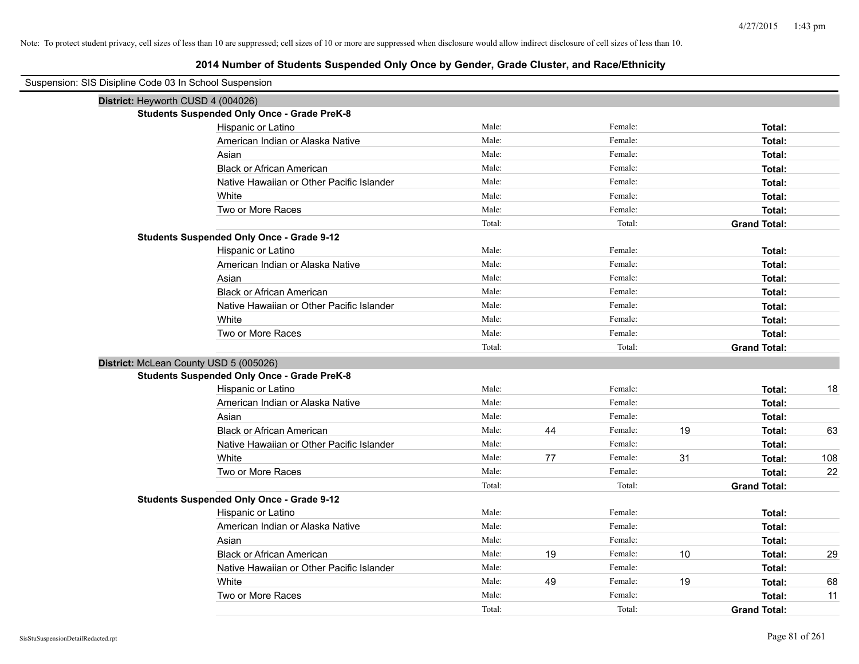| Suspension: SIS Disipline Code 03 In School Suspension |                                                    |        |    |         |      |                     |     |
|--------------------------------------------------------|----------------------------------------------------|--------|----|---------|------|---------------------|-----|
| District: Heyworth CUSD 4 (004026)                     |                                                    |        |    |         |      |                     |     |
|                                                        | <b>Students Suspended Only Once - Grade PreK-8</b> |        |    |         |      |                     |     |
|                                                        | Hispanic or Latino                                 | Male:  |    | Female: |      | Total:              |     |
|                                                        | American Indian or Alaska Native                   | Male:  |    | Female: |      | Total:              |     |
|                                                        | Asian                                              | Male:  |    | Female: |      | Total:              |     |
|                                                        | <b>Black or African American</b>                   | Male:  |    | Female: |      | Total:              |     |
|                                                        | Native Hawaiian or Other Pacific Islander          | Male:  |    | Female: |      | Total:              |     |
|                                                        | White                                              | Male:  |    | Female: |      | Total:              |     |
|                                                        | Two or More Races                                  | Male:  |    | Female: |      | Total:              |     |
|                                                        |                                                    | Total: |    | Total:  |      | <b>Grand Total:</b> |     |
|                                                        | <b>Students Suspended Only Once - Grade 9-12</b>   |        |    |         |      |                     |     |
|                                                        | Hispanic or Latino                                 | Male:  |    | Female: |      | Total:              |     |
|                                                        | American Indian or Alaska Native                   | Male:  |    | Female: |      | Total:              |     |
|                                                        | Asian                                              | Male:  |    | Female: |      | Total:              |     |
|                                                        | <b>Black or African American</b>                   | Male:  |    | Female: |      | Total:              |     |
|                                                        | Native Hawaiian or Other Pacific Islander          | Male:  |    | Female: |      | Total:              |     |
|                                                        | White                                              | Male:  |    | Female: |      | Total:              |     |
|                                                        | Two or More Races                                  | Male:  |    | Female: |      | Total:              |     |
|                                                        |                                                    | Total: |    | Total:  |      | <b>Grand Total:</b> |     |
| District: McLean County USD 5 (005026)                 |                                                    |        |    |         |      |                     |     |
|                                                        | <b>Students Suspended Only Once - Grade PreK-8</b> |        |    |         |      |                     |     |
|                                                        | Hispanic or Latino                                 | Male:  |    | Female: |      | Total:              | 18  |
|                                                        | American Indian or Alaska Native                   | Male:  |    | Female: |      | Total:              |     |
|                                                        | Asian                                              | Male:  |    | Female: |      | Total:              |     |
|                                                        | <b>Black or African American</b>                   | Male:  | 44 | Female: | 19   | Total:              | 63  |
|                                                        | Native Hawaiian or Other Pacific Islander          | Male:  |    | Female: |      | Total:              |     |
|                                                        | White                                              | Male:  | 77 | Female: | 31   | Total:              | 108 |
|                                                        | Two or More Races                                  | Male:  |    | Female: |      | Total:              | 22  |
|                                                        |                                                    | Total: |    | Total:  |      | <b>Grand Total:</b> |     |
|                                                        | <b>Students Suspended Only Once - Grade 9-12</b>   |        |    |         |      |                     |     |
|                                                        | Hispanic or Latino                                 | Male:  |    | Female: |      | Total:              |     |
|                                                        | American Indian or Alaska Native                   | Male:  |    | Female: |      | Total:              |     |
|                                                        | Asian                                              | Male:  |    | Female: |      | Total:              |     |
|                                                        | <b>Black or African American</b>                   | Male:  | 19 | Female: | $10$ | Total:              | 29  |
|                                                        | Native Hawaiian or Other Pacific Islander          | Male:  |    | Female: |      | Total:              |     |
|                                                        | White                                              | Male:  | 49 | Female: | 19   | Total:              | 68  |
|                                                        | Two or More Races                                  | Male:  |    | Female: |      | Total:              | 11  |
|                                                        |                                                    | Total: |    | Total:  |      | <b>Grand Total:</b> |     |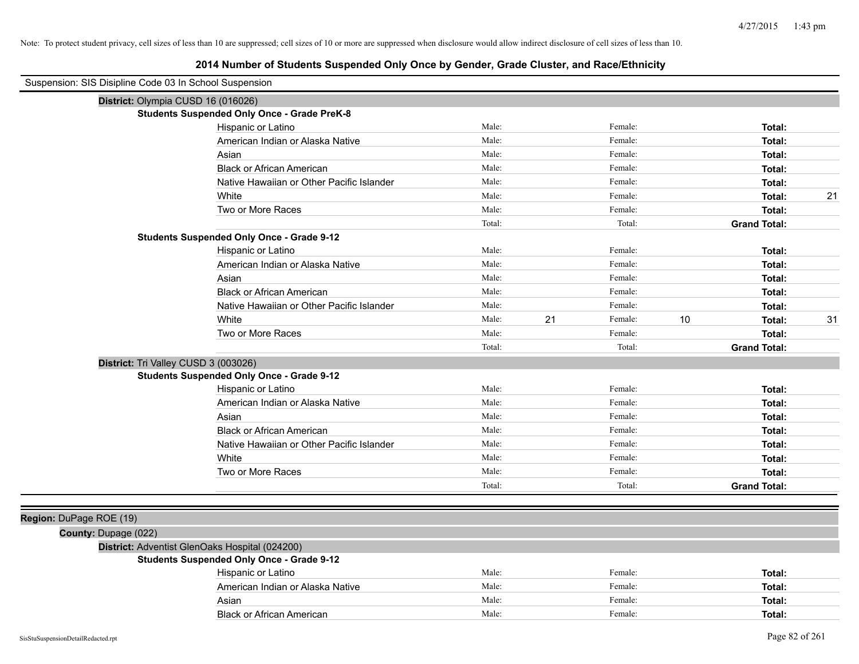| Suspension: SIS Disipline Code 03 In School Suspension |                                                    |        |    |         |    |                     |
|--------------------------------------------------------|----------------------------------------------------|--------|----|---------|----|---------------------|
| District: Olympia CUSD 16 (016026)                     |                                                    |        |    |         |    |                     |
|                                                        | <b>Students Suspended Only Once - Grade PreK-8</b> |        |    |         |    |                     |
|                                                        | Hispanic or Latino                                 | Male:  |    | Female: |    | Total:              |
|                                                        | American Indian or Alaska Native                   | Male:  |    | Female: |    | Total:              |
|                                                        | Asian                                              | Male:  |    | Female: |    | Total:              |
|                                                        | <b>Black or African American</b>                   | Male:  |    | Female: |    | Total:              |
|                                                        | Native Hawaiian or Other Pacific Islander          | Male:  |    | Female: |    | Total:              |
|                                                        | White                                              | Male:  |    | Female: |    | 21<br>Total:        |
|                                                        | Two or More Races                                  | Male:  |    | Female: |    | Total:              |
|                                                        |                                                    | Total: |    | Total:  |    | <b>Grand Total:</b> |
|                                                        | <b>Students Suspended Only Once - Grade 9-12</b>   |        |    |         |    |                     |
|                                                        | Hispanic or Latino                                 | Male:  |    | Female: |    | Total:              |
|                                                        | American Indian or Alaska Native                   | Male:  |    | Female: |    | Total:              |
|                                                        | Asian                                              | Male:  |    | Female: |    | Total:              |
|                                                        | <b>Black or African American</b>                   | Male:  |    | Female: |    | Total:              |
|                                                        | Native Hawaiian or Other Pacific Islander          | Male:  |    | Female: |    | Total:              |
|                                                        | White                                              | Male:  | 21 | Female: | 10 | 31<br>Total:        |
|                                                        | Two or More Races                                  | Male:  |    | Female: |    | Total:              |
|                                                        |                                                    | Total: |    | Total:  |    | <b>Grand Total:</b> |
| District: Tri Valley CUSD 3 (003026)                   |                                                    |        |    |         |    |                     |
|                                                        | <b>Students Suspended Only Once - Grade 9-12</b>   |        |    |         |    |                     |
|                                                        | Hispanic or Latino                                 | Male:  |    | Female: |    | Total:              |
|                                                        | American Indian or Alaska Native                   | Male:  |    | Female: |    | Total:              |
|                                                        | Asian                                              | Male:  |    | Female: |    | Total:              |
|                                                        | <b>Black or African American</b>                   | Male:  |    | Female: |    | Total:              |
|                                                        | Native Hawaiian or Other Pacific Islander          | Male:  |    | Female: |    | Total:              |
|                                                        | White                                              | Male:  |    | Female: |    | Total:              |
|                                                        | Two or More Races                                  | Male:  |    | Female: |    | Total:              |
|                                                        |                                                    | Total: |    | Total:  |    | <b>Grand Total:</b> |
|                                                        |                                                    |        |    |         |    |                     |
| Region: DuPage ROE (19)                                |                                                    |        |    |         |    |                     |
| County: Dupage (022)                                   |                                                    |        |    |         |    |                     |
|                                                        | District: Adventist GlenOaks Hospital (024200)     |        |    |         |    |                     |
|                                                        | <b>Students Suspended Only Once - Grade 9-12</b>   |        |    |         |    |                     |
|                                                        | Hispanic or Latino                                 | Male:  |    | Female: |    | Total:              |
|                                                        | American Indian or Alaska Native                   | Male:  |    | Female: |    | Total:              |
|                                                        | Asian                                              | Male:  |    | Female: |    | Total:              |
|                                                        | <b>Black or African American</b>                   | Male:  |    | Female: |    | Total:              |
| SisStuSuspensionDetailRedacted.rpt                     |                                                    |        |    |         |    | Page 82 of 261      |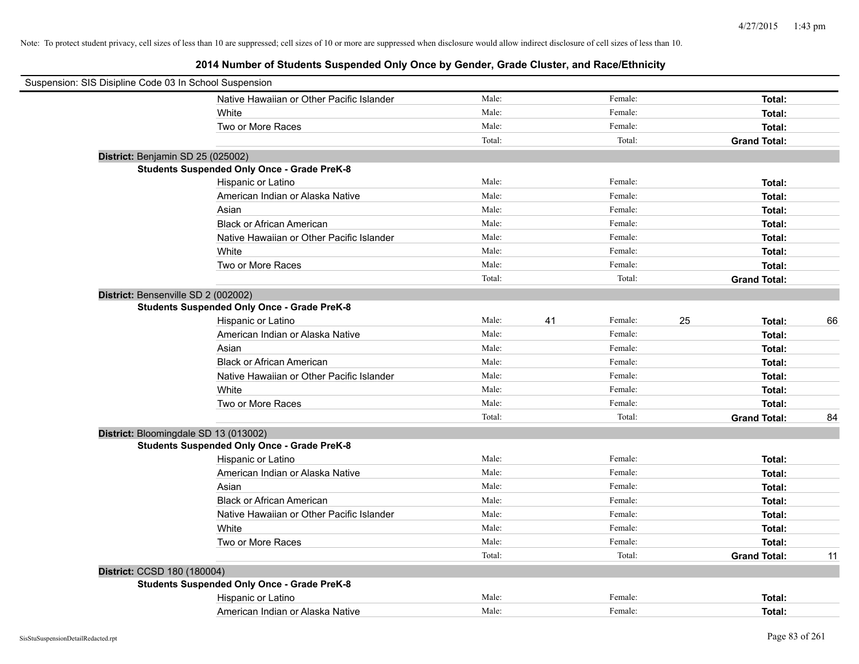| Suspension: SIS Disipline Code 03 In School Suspension |                                                    |        |    |         |    |                     |    |
|--------------------------------------------------------|----------------------------------------------------|--------|----|---------|----|---------------------|----|
|                                                        | Native Hawaiian or Other Pacific Islander          | Male:  |    | Female: |    | Total:              |    |
|                                                        | White                                              | Male:  |    | Female: |    | Total:              |    |
|                                                        | Two or More Races                                  | Male:  |    | Female: |    | Total:              |    |
|                                                        |                                                    | Total: |    | Total:  |    | <b>Grand Total:</b> |    |
| District: Benjamin SD 25 (025002)                      |                                                    |        |    |         |    |                     |    |
|                                                        | <b>Students Suspended Only Once - Grade PreK-8</b> |        |    |         |    |                     |    |
|                                                        | Hispanic or Latino                                 | Male:  |    | Female: |    | Total:              |    |
|                                                        | American Indian or Alaska Native                   | Male:  |    | Female: |    | Total:              |    |
|                                                        | Asian                                              | Male:  |    | Female: |    | Total:              |    |
|                                                        | <b>Black or African American</b>                   | Male:  |    | Female: |    | Total:              |    |
|                                                        | Native Hawaiian or Other Pacific Islander          | Male:  |    | Female: |    | Total:              |    |
|                                                        | White                                              | Male:  |    | Female: |    | Total:              |    |
|                                                        | Two or More Races                                  | Male:  |    | Female: |    | Total:              |    |
|                                                        |                                                    | Total: |    | Total:  |    | <b>Grand Total:</b> |    |
| District: Bensenville SD 2 (002002)                    |                                                    |        |    |         |    |                     |    |
|                                                        | <b>Students Suspended Only Once - Grade PreK-8</b> |        |    |         |    |                     |    |
|                                                        | Hispanic or Latino                                 | Male:  | 41 | Female: | 25 | Total:              | 66 |
|                                                        | American Indian or Alaska Native                   | Male:  |    | Female: |    | Total:              |    |
|                                                        | Asian                                              | Male:  |    | Female: |    | Total:              |    |
|                                                        | <b>Black or African American</b>                   | Male:  |    | Female: |    | Total:              |    |
|                                                        | Native Hawaiian or Other Pacific Islander          | Male:  |    | Female: |    | Total:              |    |
|                                                        | White                                              | Male:  |    | Female: |    | Total:              |    |
|                                                        | Two or More Races                                  | Male:  |    | Female: |    | Total:              |    |
|                                                        |                                                    | Total: |    | Total:  |    | <b>Grand Total:</b> | 84 |
|                                                        | District: Bloomingdale SD 13 (013002)              |        |    |         |    |                     |    |
|                                                        | <b>Students Suspended Only Once - Grade PreK-8</b> |        |    |         |    |                     |    |
|                                                        | Hispanic or Latino                                 | Male:  |    | Female: |    | Total:              |    |
|                                                        | American Indian or Alaska Native                   | Male:  |    | Female: |    | Total:              |    |
|                                                        | Asian                                              | Male:  |    | Female: |    | Total:              |    |
|                                                        | <b>Black or African American</b>                   | Male:  |    | Female: |    | Total:              |    |
|                                                        | Native Hawaiian or Other Pacific Islander          | Male:  |    | Female: |    | Total:              |    |
|                                                        | White                                              | Male:  |    | Female: |    | Total:              |    |
|                                                        | Two or More Races                                  | Male:  |    | Female: |    | Total:              |    |
|                                                        |                                                    | Total: |    | Total:  |    | <b>Grand Total:</b> | 11 |
| District: CCSD 180 (180004)                            |                                                    |        |    |         |    |                     |    |
|                                                        | <b>Students Suspended Only Once - Grade PreK-8</b> |        |    |         |    |                     |    |
|                                                        | Hispanic or Latino                                 | Male:  |    | Female: |    | Total:              |    |
|                                                        | American Indian or Alaska Native                   | Male:  |    | Female: |    | Total:              |    |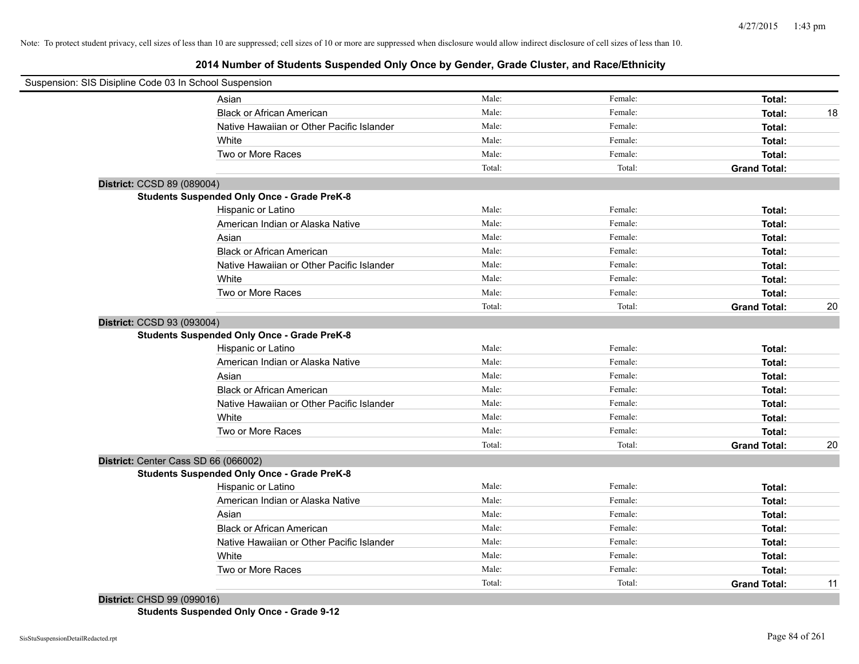# **2014 Number of Students Suspended Only Once by Gender, Grade Cluster, and Race/Ethnicity**

| Suspension: SIS Disipline Code 03 In School Suspension |                                                    |        |         |                     |    |
|--------------------------------------------------------|----------------------------------------------------|--------|---------|---------------------|----|
|                                                        | Asian                                              | Male:  | Female: | Total:              |    |
|                                                        | <b>Black or African American</b>                   | Male:  | Female: | Total:              | 18 |
|                                                        | Native Hawaiian or Other Pacific Islander          | Male:  | Female: | Total:              |    |
|                                                        | White                                              | Male:  | Female: | Total:              |    |
|                                                        | Two or More Races                                  | Male:  | Female: | Total:              |    |
|                                                        |                                                    | Total: | Total:  | <b>Grand Total:</b> |    |
| District: CCSD 89 (089004)                             |                                                    |        |         |                     |    |
|                                                        | <b>Students Suspended Only Once - Grade PreK-8</b> |        |         |                     |    |
|                                                        | Hispanic or Latino                                 | Male:  | Female: | Total:              |    |
|                                                        | American Indian or Alaska Native                   | Male:  | Female: | Total:              |    |
|                                                        | Asian                                              | Male:  | Female: | Total:              |    |
|                                                        | <b>Black or African American</b>                   | Male:  | Female: | Total:              |    |
|                                                        | Native Hawaiian or Other Pacific Islander          | Male:  | Female: | Total:              |    |
|                                                        | White                                              | Male:  | Female: | Total:              |    |
|                                                        | Two or More Races                                  | Male:  | Female: | Total:              |    |
|                                                        |                                                    | Total: | Total:  | <b>Grand Total:</b> | 20 |
| District: CCSD 93 (093004)                             |                                                    |        |         |                     |    |
|                                                        | <b>Students Suspended Only Once - Grade PreK-8</b> |        |         |                     |    |
|                                                        | Hispanic or Latino                                 | Male:  | Female: | Total:              |    |
|                                                        | American Indian or Alaska Native                   | Male:  | Female: | Total:              |    |
|                                                        | Asian                                              | Male:  | Female: | Total:              |    |
|                                                        | <b>Black or African American</b>                   | Male:  | Female: | Total:              |    |
|                                                        | Native Hawaiian or Other Pacific Islander          | Male:  | Female: | Total:              |    |
|                                                        | White                                              | Male:  | Female: | Total:              |    |
|                                                        | Two or More Races                                  | Male:  | Female: | Total:              |    |
|                                                        |                                                    | Total: | Total:  | <b>Grand Total:</b> | 20 |
| District: Center Cass SD 66 (066002)                   |                                                    |        |         |                     |    |
|                                                        | <b>Students Suspended Only Once - Grade PreK-8</b> |        |         |                     |    |
|                                                        | Hispanic or Latino                                 | Male:  | Female: | Total:              |    |
|                                                        | American Indian or Alaska Native                   | Male:  | Female: | Total:              |    |
|                                                        | Asian                                              | Male:  | Female: | Total:              |    |
|                                                        | <b>Black or African American</b>                   | Male:  | Female: | Total:              |    |
|                                                        | Native Hawaiian or Other Pacific Islander          | Male:  | Female: | Total:              |    |
|                                                        | White                                              | Male:  | Female: | Total:              |    |
|                                                        | Two or More Races                                  | Male:  | Female: | Total:              |    |
|                                                        |                                                    | Total: | Total:  | <b>Grand Total:</b> | 11 |

**District:** CHSD 99 (099016)

**Students Suspended Only Once - Grade 9-12**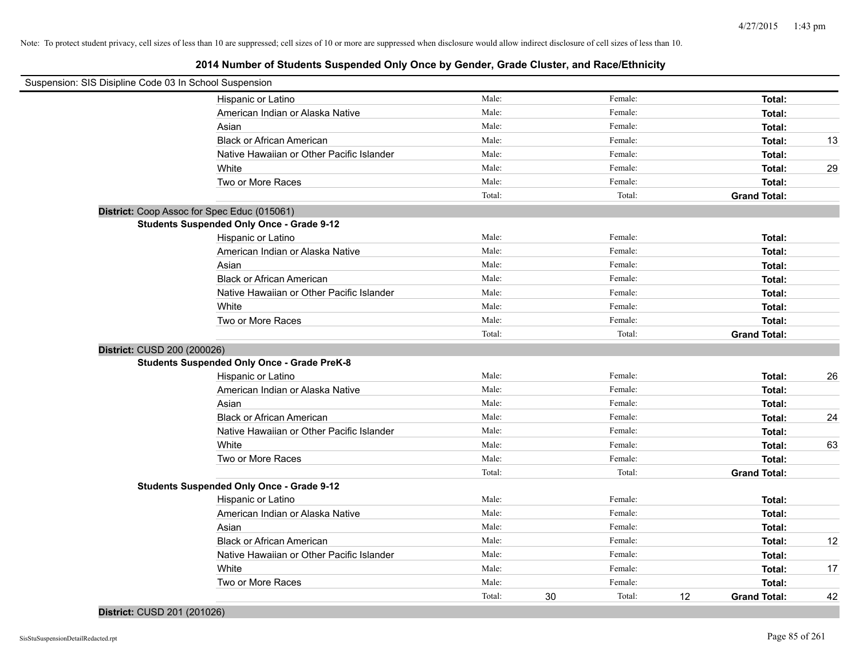| Suspension: SIS Disipline Code 03 In School Suspension |                                                    |        |    |         |    |                     |    |
|--------------------------------------------------------|----------------------------------------------------|--------|----|---------|----|---------------------|----|
|                                                        | Hispanic or Latino                                 | Male:  |    | Female: |    | Total:              |    |
|                                                        | American Indian or Alaska Native                   | Male:  |    | Female: |    | Total:              |    |
|                                                        | Asian                                              | Male:  |    | Female: |    | Total:              |    |
|                                                        | <b>Black or African American</b>                   | Male:  |    | Female: |    | Total:              | 13 |
|                                                        | Native Hawaiian or Other Pacific Islander          | Male:  |    | Female: |    | Total:              |    |
|                                                        | White                                              | Male:  |    | Female: |    | Total:              | 29 |
|                                                        | Two or More Races                                  | Male:  |    | Female: |    | Total:              |    |
|                                                        |                                                    | Total: |    | Total:  |    | <b>Grand Total:</b> |    |
| District: Coop Assoc for Spec Educ (015061)            |                                                    |        |    |         |    |                     |    |
|                                                        | <b>Students Suspended Only Once - Grade 9-12</b>   |        |    |         |    |                     |    |
|                                                        | Hispanic or Latino                                 | Male:  |    | Female: |    | Total:              |    |
|                                                        | American Indian or Alaska Native                   | Male:  |    | Female: |    | Total:              |    |
|                                                        | Asian                                              | Male:  |    | Female: |    | Total:              |    |
|                                                        | <b>Black or African American</b>                   | Male:  |    | Female: |    | Total:              |    |
|                                                        | Native Hawaiian or Other Pacific Islander          | Male:  |    | Female: |    | Total:              |    |
|                                                        | White                                              | Male:  |    | Female: |    | Total:              |    |
|                                                        | Two or More Races                                  | Male:  |    | Female: |    | Total:              |    |
|                                                        |                                                    | Total: |    | Total:  |    | <b>Grand Total:</b> |    |
| District: CUSD 200 (200026)                            |                                                    |        |    |         |    |                     |    |
|                                                        | <b>Students Suspended Only Once - Grade PreK-8</b> |        |    |         |    |                     |    |
|                                                        | Hispanic or Latino                                 | Male:  |    | Female: |    | Total:              | 26 |
|                                                        | American Indian or Alaska Native                   | Male:  |    | Female: |    | Total:              |    |
|                                                        | Asian                                              | Male:  |    | Female: |    | Total:              |    |
|                                                        | <b>Black or African American</b>                   | Male:  |    | Female: |    | Total:              | 24 |
|                                                        | Native Hawaiian or Other Pacific Islander          | Male:  |    | Female: |    | Total:              |    |
|                                                        | White                                              | Male:  |    | Female: |    | Total:              | 63 |
|                                                        | Two or More Races                                  | Male:  |    | Female: |    | Total:              |    |
|                                                        |                                                    | Total: |    | Total:  |    | <b>Grand Total:</b> |    |
|                                                        | <b>Students Suspended Only Once - Grade 9-12</b>   |        |    |         |    |                     |    |
|                                                        | Hispanic or Latino                                 | Male:  |    | Female: |    | Total:              |    |
|                                                        | American Indian or Alaska Native                   | Male:  |    | Female: |    | Total:              |    |
|                                                        | Asian                                              | Male:  |    | Female: |    | Total:              |    |
|                                                        | <b>Black or African American</b>                   | Male:  |    | Female: |    | Total:              | 12 |
|                                                        | Native Hawaiian or Other Pacific Islander          | Male:  |    | Female: |    | Total:              |    |
|                                                        | White                                              | Male:  |    | Female: |    | Total:              | 17 |
|                                                        | Two or More Races                                  | Male:  |    | Female: |    | Total:              |    |
|                                                        |                                                    | Total: | 30 | Total:  | 12 | <b>Grand Total:</b> | 42 |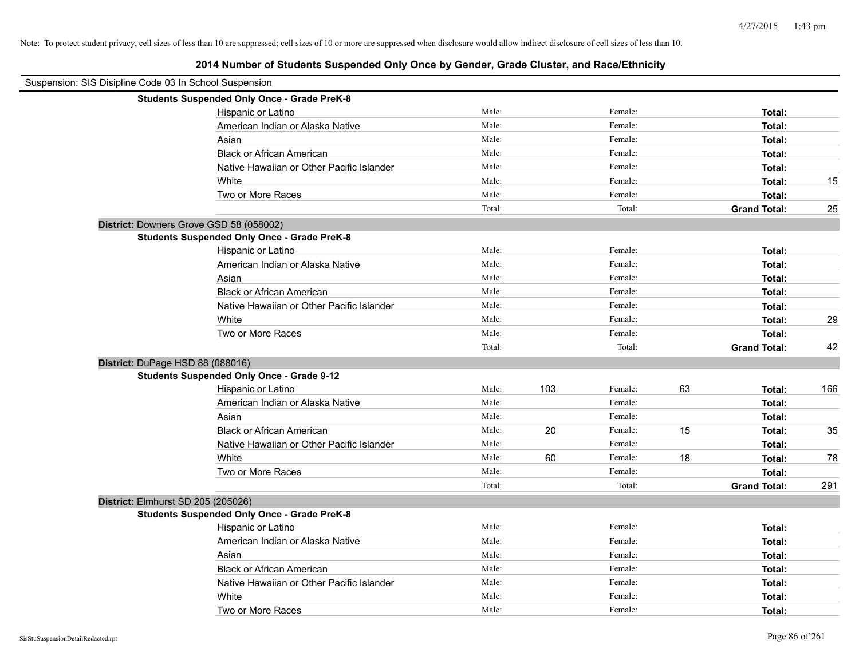| Suspension: SIS Disipline Code 03 In School Suspension |                                                    |        |     |         |    |                     |     |
|--------------------------------------------------------|----------------------------------------------------|--------|-----|---------|----|---------------------|-----|
|                                                        | <b>Students Suspended Only Once - Grade PreK-8</b> |        |     |         |    |                     |     |
|                                                        | Hispanic or Latino                                 | Male:  |     | Female: |    | Total:              |     |
|                                                        | American Indian or Alaska Native                   | Male:  |     | Female: |    | Total:              |     |
|                                                        | Asian                                              | Male:  |     | Female: |    | Total:              |     |
|                                                        | <b>Black or African American</b>                   | Male:  |     | Female: |    | Total:              |     |
|                                                        | Native Hawaiian or Other Pacific Islander          | Male:  |     | Female: |    | Total:              |     |
|                                                        | White                                              | Male:  |     | Female: |    | Total:              | 15  |
|                                                        | Two or More Races                                  | Male:  |     | Female: |    | Total:              |     |
|                                                        |                                                    | Total: |     | Total:  |    | <b>Grand Total:</b> | 25  |
|                                                        | District: Downers Grove GSD 58 (058002)            |        |     |         |    |                     |     |
|                                                        | <b>Students Suspended Only Once - Grade PreK-8</b> |        |     |         |    |                     |     |
|                                                        | Hispanic or Latino                                 | Male:  |     | Female: |    | Total:              |     |
|                                                        | American Indian or Alaska Native                   | Male:  |     | Female: |    | Total:              |     |
|                                                        | Asian                                              | Male:  |     | Female: |    | Total:              |     |
|                                                        | <b>Black or African American</b>                   | Male:  |     | Female: |    | Total:              |     |
|                                                        | Native Hawaiian or Other Pacific Islander          | Male:  |     | Female: |    | Total:              |     |
|                                                        | White                                              | Male:  |     | Female: |    | Total:              | 29  |
|                                                        | Two or More Races                                  | Male:  |     | Female: |    | Total:              |     |
|                                                        |                                                    | Total: |     | Total:  |    | <b>Grand Total:</b> | 42  |
| District: DuPage HSD 88 (088016)                       |                                                    |        |     |         |    |                     |     |
|                                                        | <b>Students Suspended Only Once - Grade 9-12</b>   |        |     |         |    |                     |     |
|                                                        | Hispanic or Latino                                 | Male:  | 103 | Female: | 63 | Total:              | 166 |
|                                                        | American Indian or Alaska Native                   | Male:  |     | Female: |    | Total:              |     |
|                                                        | Asian                                              | Male:  |     | Female: |    | Total:              |     |
|                                                        | <b>Black or African American</b>                   | Male:  | 20  | Female: | 15 | Total:              | 35  |
|                                                        | Native Hawaiian or Other Pacific Islander          | Male:  |     | Female: |    | Total:              |     |
|                                                        | White                                              | Male:  | 60  | Female: | 18 | Total:              | 78  |
|                                                        | Two or More Races                                  | Male:  |     | Female: |    | Total:              |     |
|                                                        |                                                    | Total: |     | Total:  |    | <b>Grand Total:</b> | 291 |
| District: Elmhurst SD 205 (205026)                     |                                                    |        |     |         |    |                     |     |
|                                                        | <b>Students Suspended Only Once - Grade PreK-8</b> |        |     |         |    |                     |     |
|                                                        | Hispanic or Latino                                 | Male:  |     | Female: |    | Total:              |     |
|                                                        | American Indian or Alaska Native                   | Male:  |     | Female: |    | Total:              |     |
|                                                        | Asian                                              | Male:  |     | Female: |    | Total:              |     |
|                                                        | <b>Black or African American</b>                   | Male:  |     | Female: |    | Total:              |     |
|                                                        | Native Hawaiian or Other Pacific Islander          | Male:  |     | Female: |    | Total:              |     |
|                                                        | White                                              | Male:  |     | Female: |    | Total:              |     |
|                                                        | Two or More Races                                  | Male:  |     | Female: |    | Total:              |     |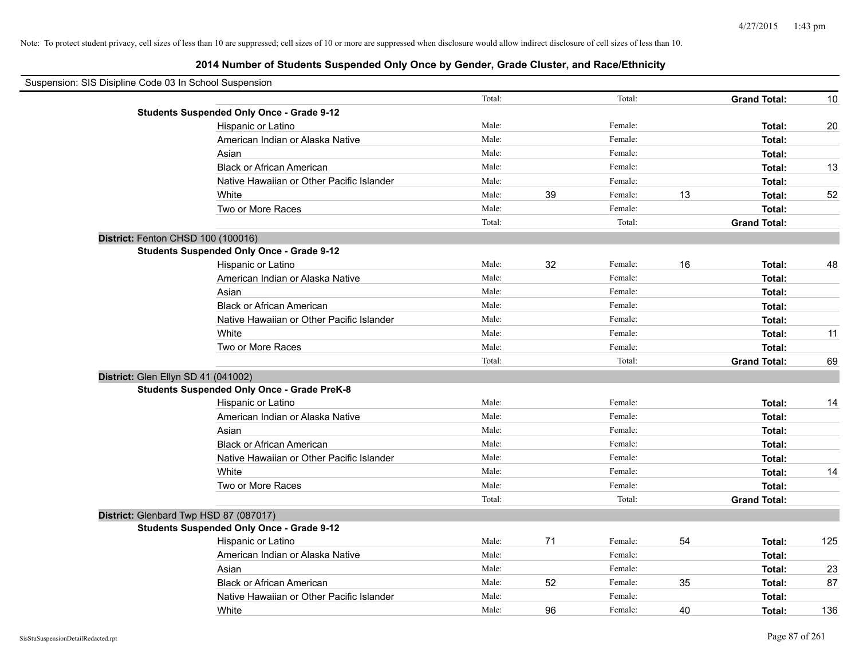# **2014 Number of Students Suspended Only Once by Gender, Grade Cluster, and Race/Ethnicity**

| Suspension: SIS Disipline Code 03 In School Suspension |                                                    |        |    |         |    |                     |     |
|--------------------------------------------------------|----------------------------------------------------|--------|----|---------|----|---------------------|-----|
|                                                        |                                                    | Total: |    | Total:  |    | <b>Grand Total:</b> | 10  |
|                                                        | <b>Students Suspended Only Once - Grade 9-12</b>   |        |    |         |    |                     |     |
|                                                        | Hispanic or Latino                                 | Male:  |    | Female: |    | Total:              | 20  |
|                                                        | American Indian or Alaska Native                   | Male:  |    | Female: |    | Total:              |     |
|                                                        | Asian                                              | Male:  |    | Female: |    | Total:              |     |
|                                                        | <b>Black or African American</b>                   | Male:  |    | Female: |    | Total:              | 13  |
|                                                        | Native Hawaiian or Other Pacific Islander          | Male:  |    | Female: |    | Total:              |     |
|                                                        | White                                              | Male:  | 39 | Female: | 13 | Total:              | 52  |
|                                                        | Two or More Races                                  | Male:  |    | Female: |    | Total:              |     |
|                                                        |                                                    | Total: |    | Total:  |    | <b>Grand Total:</b> |     |
|                                                        | District: Fenton CHSD 100 (100016)                 |        |    |         |    |                     |     |
|                                                        | <b>Students Suspended Only Once - Grade 9-12</b>   |        |    |         |    |                     |     |
|                                                        | Hispanic or Latino                                 | Male:  | 32 | Female: | 16 | Total:              | 48  |
|                                                        | American Indian or Alaska Native                   | Male:  |    | Female: |    | Total:              |     |
|                                                        | Asian                                              | Male:  |    | Female: |    | Total:              |     |
|                                                        | <b>Black or African American</b>                   | Male:  |    | Female: |    | Total:              |     |
|                                                        | Native Hawaiian or Other Pacific Islander          | Male:  |    | Female: |    | Total:              |     |
|                                                        | White                                              | Male:  |    | Female: |    | Total:              | 11  |
|                                                        | Two or More Races                                  | Male:  |    | Female: |    | Total:              |     |
|                                                        |                                                    | Total: |    | Total:  |    | <b>Grand Total:</b> | 69  |
|                                                        | District: Glen Ellyn SD 41 (041002)                |        |    |         |    |                     |     |
|                                                        | <b>Students Suspended Only Once - Grade PreK-8</b> |        |    |         |    |                     |     |
|                                                        | Hispanic or Latino                                 | Male:  |    | Female: |    | Total:              | 14  |
|                                                        | American Indian or Alaska Native                   | Male:  |    | Female: |    | Total:              |     |
|                                                        | Asian                                              | Male:  |    | Female: |    | Total:              |     |
|                                                        | <b>Black or African American</b>                   | Male:  |    | Female: |    | Total:              |     |
|                                                        | Native Hawaiian or Other Pacific Islander          | Male:  |    | Female: |    | Total:              |     |
|                                                        | White                                              | Male:  |    | Female: |    | Total:              | 14  |
|                                                        | Two or More Races                                  | Male:  |    | Female: |    | Total:              |     |
|                                                        |                                                    | Total: |    | Total:  |    | <b>Grand Total:</b> |     |
|                                                        | District: Glenbard Twp HSD 87 (087017)             |        |    |         |    |                     |     |
|                                                        | <b>Students Suspended Only Once - Grade 9-12</b>   |        |    |         |    |                     |     |
|                                                        | Hispanic or Latino                                 | Male:  | 71 | Female: | 54 | Total:              | 125 |
|                                                        | American Indian or Alaska Native                   | Male:  |    | Female: |    | Total:              |     |
|                                                        | Asian                                              | Male:  |    | Female: |    | Total:              | 23  |
|                                                        | <b>Black or African American</b>                   | Male:  | 52 | Female: | 35 | Total:              | 87  |
|                                                        | Native Hawaiian or Other Pacific Islander          | Male:  |    | Female: |    | Total:              |     |
|                                                        | White                                              | Male:  | 96 | Female: | 40 | Total:              | 136 |

 $\blacksquare$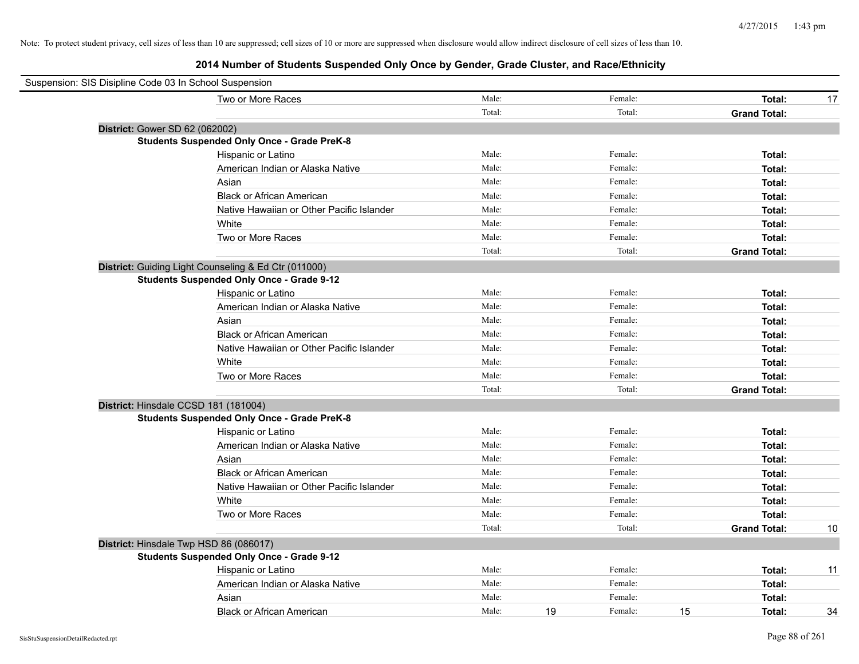| Suspension: SIS Disipline Code 03 In School Suspension |                                           |        |    |         |    |                     |    |
|--------------------------------------------------------|-------------------------------------------|--------|----|---------|----|---------------------|----|
|                                                        | Two or More Races                         | Male:  |    | Female: |    | Total:              | 17 |
|                                                        |                                           | Total: |    | Total:  |    | <b>Grand Total:</b> |    |
| District: Gower SD 62 (062002)                         |                                           |        |    |         |    |                     |    |
| <b>Students Suspended Only Once - Grade PreK-8</b>     |                                           |        |    |         |    |                     |    |
|                                                        | Hispanic or Latino                        | Male:  |    | Female: |    | Total:              |    |
|                                                        | American Indian or Alaska Native          | Male:  |    | Female: |    | Total:              |    |
| Asian                                                  |                                           | Male:  |    | Female: |    | Total:              |    |
|                                                        | <b>Black or African American</b>          | Male:  |    | Female: |    | Total:              |    |
|                                                        | Native Hawaiian or Other Pacific Islander | Male:  |    | Female: |    | Total:              |    |
| White                                                  |                                           | Male:  |    | Female: |    | Total:              |    |
|                                                        | Two or More Races                         | Male:  |    | Female: |    | Total:              |    |
|                                                        |                                           | Total: |    | Total:  |    | <b>Grand Total:</b> |    |
| District: Guiding Light Counseling & Ed Ctr (011000)   |                                           |        |    |         |    |                     |    |
| <b>Students Suspended Only Once - Grade 9-12</b>       |                                           |        |    |         |    |                     |    |
|                                                        | Hispanic or Latino                        | Male:  |    | Female: |    | Total:              |    |
|                                                        | American Indian or Alaska Native          | Male:  |    | Female: |    | Total:              |    |
| Asian                                                  |                                           | Male:  |    | Female: |    | Total:              |    |
|                                                        | <b>Black or African American</b>          | Male:  |    | Female: |    | Total:              |    |
|                                                        | Native Hawaiian or Other Pacific Islander | Male:  |    | Female: |    | Total:              |    |
| White                                                  |                                           | Male:  |    | Female: |    | Total:              |    |
|                                                        | Two or More Races                         | Male:  |    | Female: |    | Total:              |    |
|                                                        |                                           | Total: |    | Total:  |    | <b>Grand Total:</b> |    |
| District: Hinsdale CCSD 181 (181004)                   |                                           |        |    |         |    |                     |    |
| <b>Students Suspended Only Once - Grade PreK-8</b>     |                                           |        |    |         |    |                     |    |
|                                                        | Hispanic or Latino                        | Male:  |    | Female: |    | Total:              |    |
|                                                        | American Indian or Alaska Native          | Male:  |    | Female: |    | Total:              |    |
| Asian                                                  |                                           | Male:  |    | Female: |    | Total:              |    |
|                                                        | <b>Black or African American</b>          | Male:  |    | Female: |    | Total:              |    |
|                                                        | Native Hawaiian or Other Pacific Islander | Male:  |    | Female: |    | Total:              |    |
| White                                                  |                                           | Male:  |    | Female: |    | Total:              |    |
|                                                        | Two or More Races                         | Male:  |    | Female: |    | Total:              |    |
|                                                        |                                           | Total: |    | Total:  |    | <b>Grand Total:</b> | 10 |
| District: Hinsdale Twp HSD 86 (086017)                 |                                           |        |    |         |    |                     |    |
| <b>Students Suspended Only Once - Grade 9-12</b>       |                                           |        |    |         |    |                     |    |
|                                                        | Hispanic or Latino                        | Male:  |    | Female: |    | Total:              | 11 |
|                                                        | American Indian or Alaska Native          | Male:  |    | Female: |    | Total:              |    |
| Asian                                                  |                                           | Male:  |    | Female: |    | Total:              |    |
|                                                        | <b>Black or African American</b>          | Male:  | 19 | Female: | 15 | Total:              | 34 |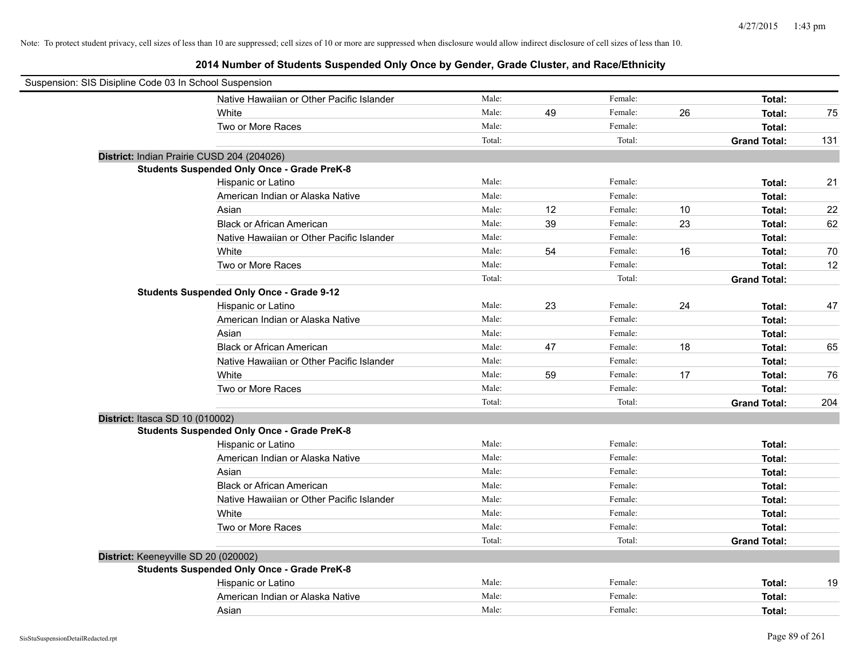| Suspension: SIS Disipline Code 03 In School Suspension |        |    |         |    |                     |     |
|--------------------------------------------------------|--------|----|---------|----|---------------------|-----|
| Native Hawaiian or Other Pacific Islander              | Male:  |    | Female: |    | Total:              |     |
| White                                                  | Male:  | 49 | Female: | 26 | Total:              | 75  |
| Two or More Races                                      | Male:  |    | Female: |    | Total:              |     |
|                                                        | Total: |    | Total:  |    | <b>Grand Total:</b> | 131 |
| District: Indian Prairie CUSD 204 (204026)             |        |    |         |    |                     |     |
| <b>Students Suspended Only Once - Grade PreK-8</b>     |        |    |         |    |                     |     |
| Hispanic or Latino                                     | Male:  |    | Female: |    | Total:              | 21  |
| American Indian or Alaska Native                       | Male:  |    | Female: |    | Total:              |     |
| Asian                                                  | Male:  | 12 | Female: | 10 | Total:              | 22  |
| <b>Black or African American</b>                       | Male:  | 39 | Female: | 23 | Total:              | 62  |
| Native Hawaiian or Other Pacific Islander              | Male:  |    | Female: |    | Total:              |     |
| White                                                  | Male:  | 54 | Female: | 16 | Total:              | 70  |
| Two or More Races                                      | Male:  |    | Female: |    | Total:              | 12  |
|                                                        | Total: |    | Total:  |    | <b>Grand Total:</b> |     |
| <b>Students Suspended Only Once - Grade 9-12</b>       |        |    |         |    |                     |     |
| Hispanic or Latino                                     | Male:  | 23 | Female: | 24 | Total:              | 47  |
| American Indian or Alaska Native                       | Male:  |    | Female: |    | Total:              |     |
| Asian                                                  | Male:  |    | Female: |    | Total:              |     |
| <b>Black or African American</b>                       | Male:  | 47 | Female: | 18 | Total:              | 65  |
| Native Hawaiian or Other Pacific Islander              | Male:  |    | Female: |    | Total:              |     |
| White                                                  | Male:  | 59 | Female: | 17 | Total:              | 76  |
| Two or More Races                                      | Male:  |    | Female: |    | Total:              |     |
|                                                        | Total: |    | Total:  |    | <b>Grand Total:</b> | 204 |
| District: Itasca SD 10 (010002)                        |        |    |         |    |                     |     |
| <b>Students Suspended Only Once - Grade PreK-8</b>     |        |    |         |    |                     |     |
| Hispanic or Latino                                     | Male:  |    | Female: |    | Total:              |     |
| American Indian or Alaska Native                       | Male:  |    | Female: |    | Total:              |     |
| Asian                                                  | Male:  |    | Female: |    | Total:              |     |
| <b>Black or African American</b>                       | Male:  |    | Female: |    | Total:              |     |
| Native Hawaiian or Other Pacific Islander              | Male:  |    | Female: |    | Total:              |     |
| White                                                  | Male:  |    | Female: |    | Total:              |     |
| Two or More Races                                      | Male:  |    | Female: |    | Total:              |     |
|                                                        | Total: |    | Total:  |    | <b>Grand Total:</b> |     |
| District: Keeneyville SD 20 (020002)                   |        |    |         |    |                     |     |
| <b>Students Suspended Only Once - Grade PreK-8</b>     |        |    |         |    |                     |     |
| Hispanic or Latino                                     | Male:  |    | Female: |    | Total:              | 19  |
| American Indian or Alaska Native                       | Male:  |    | Female: |    | Total:              |     |
| Asian                                                  | Male:  |    | Female: |    | Total:              |     |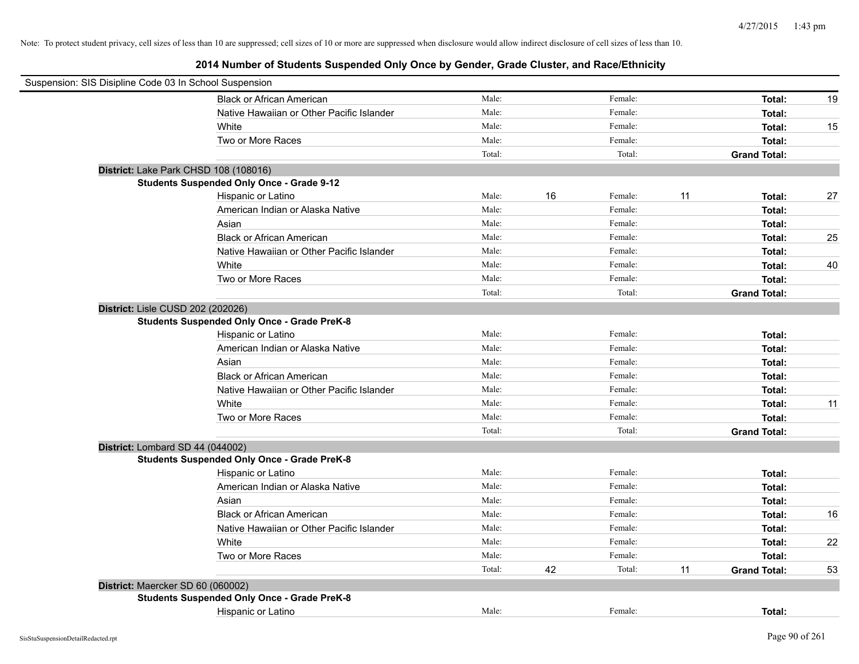|                                   | Suspension: SIS Disipline Code 03 In School Suspension |        |    |         |    |                     |    |
|-----------------------------------|--------------------------------------------------------|--------|----|---------|----|---------------------|----|
|                                   | <b>Black or African American</b>                       | Male:  |    | Female: |    | Total:              | 19 |
|                                   | Native Hawaiian or Other Pacific Islander              | Male:  |    | Female: |    | Total:              |    |
|                                   | White                                                  | Male:  |    | Female: |    | Total:              | 15 |
|                                   | Two or More Races                                      | Male:  |    | Female: |    | Total:              |    |
|                                   |                                                        | Total: |    | Total:  |    | <b>Grand Total:</b> |    |
|                                   | District: Lake Park CHSD 108 (108016)                  |        |    |         |    |                     |    |
|                                   | <b>Students Suspended Only Once - Grade 9-12</b>       |        |    |         |    |                     |    |
|                                   | Hispanic or Latino                                     | Male:  | 16 | Female: | 11 | Total:              | 27 |
|                                   | American Indian or Alaska Native                       | Male:  |    | Female: |    | Total:              |    |
|                                   | Asian                                                  | Male:  |    | Female: |    | Total:              |    |
|                                   | <b>Black or African American</b>                       | Male:  |    | Female: |    | Total:              | 25 |
|                                   | Native Hawaiian or Other Pacific Islander              | Male:  |    | Female: |    | Total:              |    |
|                                   | White                                                  | Male:  |    | Female: |    | Total:              | 40 |
|                                   | Two or More Races                                      | Male:  |    | Female: |    | Total:              |    |
|                                   |                                                        | Total: |    | Total:  |    | <b>Grand Total:</b> |    |
| District: Lisle CUSD 202 (202026) |                                                        |        |    |         |    |                     |    |
|                                   | <b>Students Suspended Only Once - Grade PreK-8</b>     |        |    |         |    |                     |    |
|                                   | Hispanic or Latino                                     | Male:  |    | Female: |    | Total:              |    |
|                                   | American Indian or Alaska Native                       | Male:  |    | Female: |    | Total:              |    |
|                                   | Asian                                                  | Male:  |    | Female: |    | Total:              |    |
|                                   | <b>Black or African American</b>                       | Male:  |    | Female: |    | Total:              |    |
|                                   | Native Hawaiian or Other Pacific Islander              | Male:  |    | Female: |    | Total:              |    |
|                                   | White                                                  | Male:  |    | Female: |    | Total:              | 11 |
|                                   | Two or More Races                                      | Male:  |    | Female: |    | Total:              |    |
|                                   |                                                        | Total: |    | Total:  |    | <b>Grand Total:</b> |    |
| District: Lombard SD 44 (044002)  |                                                        |        |    |         |    |                     |    |
|                                   | <b>Students Suspended Only Once - Grade PreK-8</b>     |        |    |         |    |                     |    |
|                                   | Hispanic or Latino                                     | Male:  |    | Female: |    | Total:              |    |
|                                   | American Indian or Alaska Native                       | Male:  |    | Female: |    | Total:              |    |
|                                   | Asian                                                  | Male:  |    | Female: |    | Total:              |    |
|                                   | <b>Black or African American</b>                       | Male:  |    | Female: |    | Total:              | 16 |
|                                   | Native Hawaiian or Other Pacific Islander              | Male:  |    | Female: |    | Total:              |    |
|                                   | White                                                  | Male:  |    | Female: |    | Total:              | 22 |
|                                   | Two or More Races                                      | Male:  |    | Female: |    | Total:              |    |
|                                   |                                                        | Total: | 42 | Total:  | 11 | <b>Grand Total:</b> | 53 |
|                                   | District: Maercker SD 60 (060002)                      |        |    |         |    |                     |    |
|                                   | <b>Students Suspended Only Once - Grade PreK-8</b>     |        |    |         |    |                     |    |
|                                   | Hispanic or Latino                                     | Male:  |    | Female: |    | Total:              |    |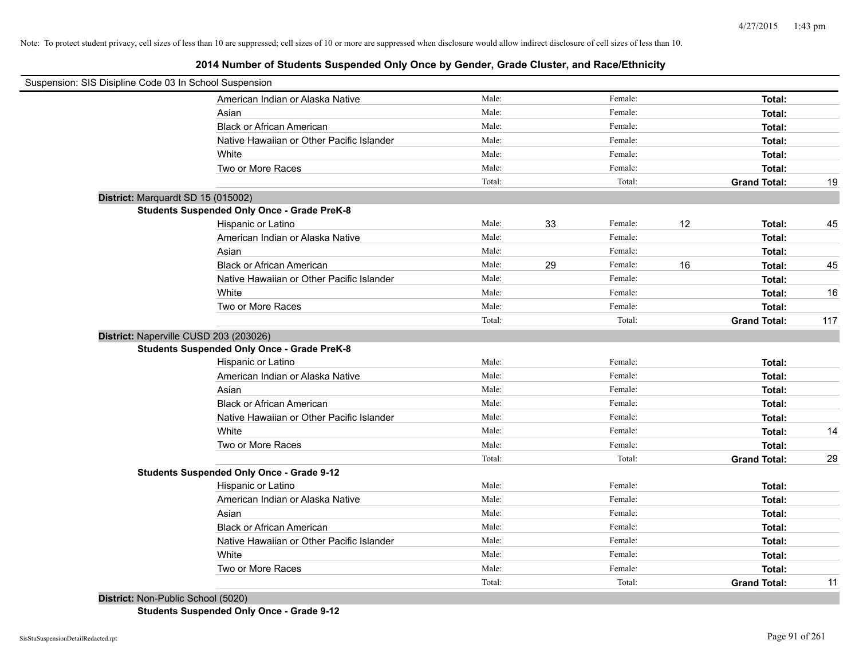# **2014 Number of Students Suspended Only Once by Gender, Grade Cluster, and Race/Ethnicity**

| Suspension: SIS Disipline Code 03 In School Suspension |        |    |         |    |                     |     |
|--------------------------------------------------------|--------|----|---------|----|---------------------|-----|
| American Indian or Alaska Native                       | Male:  |    | Female: |    | Total:              |     |
| Asian                                                  | Male:  |    | Female: |    | Total:              |     |
| <b>Black or African American</b>                       | Male:  |    | Female: |    | Total:              |     |
| Native Hawaiian or Other Pacific Islander              | Male:  |    | Female: |    | Total:              |     |
| White                                                  | Male:  |    | Female: |    | Total:              |     |
| Two or More Races                                      | Male:  |    | Female: |    | Total:              |     |
|                                                        | Total: |    | Total:  |    | <b>Grand Total:</b> | 19  |
| District: Marquardt SD 15 (015002)                     |        |    |         |    |                     |     |
| <b>Students Suspended Only Once - Grade PreK-8</b>     |        |    |         |    |                     |     |
| Hispanic or Latino                                     | Male:  | 33 | Female: | 12 | Total:              | 45  |
| American Indian or Alaska Native                       | Male:  |    | Female: |    | Total:              |     |
| Asian                                                  | Male:  |    | Female: |    | Total:              |     |
| <b>Black or African American</b>                       | Male:  | 29 | Female: | 16 | Total:              | 45  |
| Native Hawaiian or Other Pacific Islander              | Male:  |    | Female: |    | Total:              |     |
| White                                                  | Male:  |    | Female: |    | Total:              | 16  |
| Two or More Races                                      | Male:  |    | Female: |    | Total:              |     |
|                                                        | Total: |    | Total:  |    | <b>Grand Total:</b> | 117 |
| District: Naperville CUSD 203 (203026)                 |        |    |         |    |                     |     |
| <b>Students Suspended Only Once - Grade PreK-8</b>     |        |    |         |    |                     |     |
| Hispanic or Latino                                     | Male:  |    | Female: |    | Total:              |     |
| American Indian or Alaska Native                       | Male:  |    | Female: |    | Total:              |     |
| Asian                                                  | Male:  |    | Female: |    | Total:              |     |
| <b>Black or African American</b>                       | Male:  |    | Female: |    | Total:              |     |
| Native Hawaiian or Other Pacific Islander              | Male:  |    | Female: |    | Total:              |     |
| White                                                  | Male:  |    | Female: |    | Total:              | 14  |
| Two or More Races                                      | Male:  |    | Female: |    | Total:              |     |
|                                                        | Total: |    | Total:  |    | <b>Grand Total:</b> | 29  |
| <b>Students Suspended Only Once - Grade 9-12</b>       |        |    |         |    |                     |     |
| Hispanic or Latino                                     | Male:  |    | Female: |    | Total:              |     |
| American Indian or Alaska Native                       | Male:  |    | Female: |    | Total:              |     |
| Asian                                                  | Male:  |    | Female: |    | Total:              |     |
| <b>Black or African American</b>                       | Male:  |    | Female: |    | Total:              |     |
| Native Hawaiian or Other Pacific Islander              | Male:  |    | Female: |    | Total:              |     |
| White                                                  | Male:  |    | Female: |    | Total:              |     |
| Two or More Races                                      | Male:  |    | Female: |    | Total:              |     |
|                                                        | Total: |    | Total:  |    | <b>Grand Total:</b> | 11  |
|                                                        |        |    |         |    |                     |     |

**District:** Non-Public School (5020) **Students Suspended Only Once - Grade 9-12**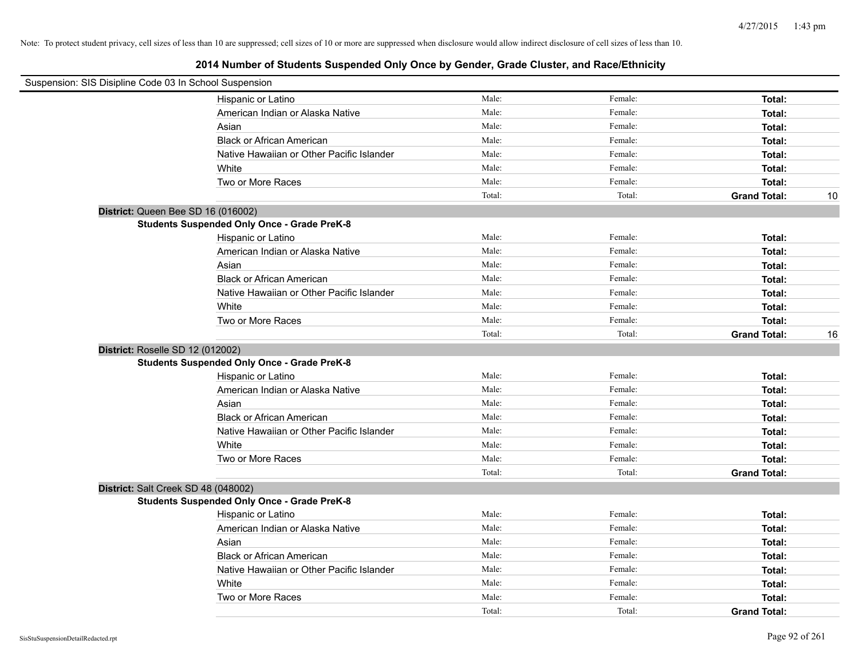| Suspension: SIS Disipline Code 03 In School Suspension |                                                    |        |         |                     |    |
|--------------------------------------------------------|----------------------------------------------------|--------|---------|---------------------|----|
|                                                        | Hispanic or Latino                                 | Male:  | Female: | Total:              |    |
|                                                        | American Indian or Alaska Native                   | Male:  | Female: | Total:              |    |
|                                                        | Asian                                              | Male:  | Female: | Total:              |    |
|                                                        | <b>Black or African American</b>                   | Male:  | Female: | Total:              |    |
|                                                        | Native Hawaiian or Other Pacific Islander          | Male:  | Female: | Total:              |    |
|                                                        | White                                              | Male:  | Female: | Total:              |    |
|                                                        | Two or More Races                                  | Male:  | Female: | Total:              |    |
|                                                        |                                                    | Total: | Total:  | <b>Grand Total:</b> | 10 |
| District: Queen Bee SD 16 (016002)                     |                                                    |        |         |                     |    |
|                                                        | <b>Students Suspended Only Once - Grade PreK-8</b> |        |         |                     |    |
|                                                        | Hispanic or Latino                                 | Male:  | Female: | Total:              |    |
|                                                        | American Indian or Alaska Native                   | Male:  | Female: | Total:              |    |
|                                                        | Asian                                              | Male:  | Female: | Total:              |    |
|                                                        | <b>Black or African American</b>                   | Male:  | Female: | Total:              |    |
|                                                        | Native Hawaiian or Other Pacific Islander          | Male:  | Female: | Total:              |    |
|                                                        | White                                              | Male:  | Female: | Total:              |    |
|                                                        | Two or More Races                                  | Male:  | Female: | Total:              |    |
|                                                        |                                                    | Total: | Total:  | <b>Grand Total:</b> | 16 |
| District: Roselle SD 12 (012002)                       |                                                    |        |         |                     |    |
|                                                        | <b>Students Suspended Only Once - Grade PreK-8</b> |        |         |                     |    |
|                                                        | Hispanic or Latino                                 | Male:  | Female: | Total:              |    |
|                                                        | American Indian or Alaska Native                   | Male:  | Female: | Total:              |    |
|                                                        | Asian                                              | Male:  | Female: | Total:              |    |
|                                                        | <b>Black or African American</b>                   | Male:  | Female: | Total:              |    |
|                                                        | Native Hawaiian or Other Pacific Islander          | Male:  | Female: | Total:              |    |
|                                                        | White                                              | Male:  | Female: | Total:              |    |
|                                                        | Two or More Races                                  | Male:  | Female: | Total:              |    |
|                                                        |                                                    | Total: | Total:  | <b>Grand Total:</b> |    |
| District: Salt Creek SD 48 (048002)                    |                                                    |        |         |                     |    |
|                                                        | <b>Students Suspended Only Once - Grade PreK-8</b> |        |         |                     |    |
|                                                        | Hispanic or Latino                                 | Male:  | Female: | Total:              |    |
|                                                        | American Indian or Alaska Native                   | Male:  | Female: | Total:              |    |
|                                                        | Asian                                              | Male:  | Female: | Total:              |    |
|                                                        | <b>Black or African American</b>                   | Male:  | Female: | Total:              |    |
|                                                        | Native Hawaiian or Other Pacific Islander          | Male:  | Female: | Total:              |    |
|                                                        | White                                              | Male:  | Female: | Total:              |    |
|                                                        | Two or More Races                                  | Male:  | Female: | Total:              |    |
|                                                        |                                                    | Total: | Total:  | <b>Grand Total:</b> |    |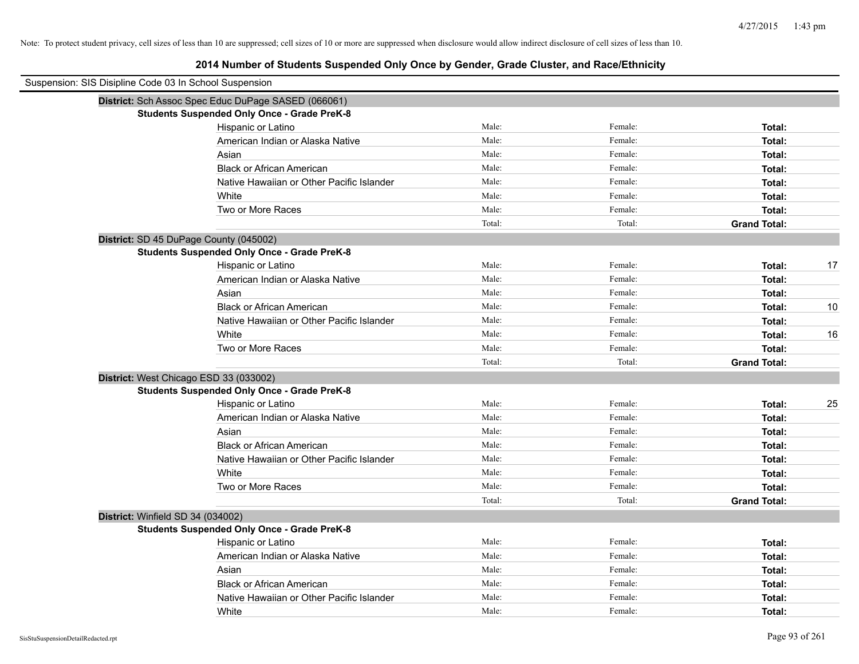| Suspension: SIS Disipline Code 03 In School Suspension |                                                     |        |         |                     |    |
|--------------------------------------------------------|-----------------------------------------------------|--------|---------|---------------------|----|
|                                                        | District: Sch Assoc Spec Educ DuPage SASED (066061) |        |         |                     |    |
|                                                        | <b>Students Suspended Only Once - Grade PreK-8</b>  |        |         |                     |    |
|                                                        | Hispanic or Latino                                  | Male:  | Female: | Total:              |    |
|                                                        | American Indian or Alaska Native                    | Male:  | Female: | Total:              |    |
|                                                        | Asian                                               | Male:  | Female: | Total:              |    |
|                                                        | <b>Black or African American</b>                    | Male:  | Female: | Total:              |    |
|                                                        | Native Hawaiian or Other Pacific Islander           | Male:  | Female: | Total:              |    |
|                                                        | White                                               | Male:  | Female: | Total:              |    |
|                                                        | Two or More Races                                   | Male:  | Female: | Total:              |    |
|                                                        |                                                     | Total: | Total:  | <b>Grand Total:</b> |    |
|                                                        | District: SD 45 DuPage County (045002)              |        |         |                     |    |
|                                                        | <b>Students Suspended Only Once - Grade PreK-8</b>  |        |         |                     |    |
|                                                        | Hispanic or Latino                                  | Male:  | Female: | Total:              | 17 |
|                                                        | American Indian or Alaska Native                    | Male:  | Female: | Total:              |    |
|                                                        | Asian                                               | Male:  | Female: | Total:              |    |
|                                                        | <b>Black or African American</b>                    | Male:  | Female: | Total:              | 10 |
|                                                        | Native Hawaiian or Other Pacific Islander           | Male:  | Female: | Total:              |    |
|                                                        | White                                               | Male:  | Female: | Total:              | 16 |
|                                                        | Two or More Races                                   | Male:  | Female: | Total:              |    |
|                                                        |                                                     | Total: | Total:  | <b>Grand Total:</b> |    |
|                                                        | District: West Chicago ESD 33 (033002)              |        |         |                     |    |
|                                                        | <b>Students Suspended Only Once - Grade PreK-8</b>  |        |         |                     |    |
|                                                        | Hispanic or Latino                                  | Male:  | Female: | Total:              | 25 |
|                                                        | American Indian or Alaska Native                    | Male:  | Female: | Total:              |    |
|                                                        | Asian                                               | Male:  | Female: | Total:              |    |
|                                                        | <b>Black or African American</b>                    | Male:  | Female: | Total:              |    |
|                                                        | Native Hawaiian or Other Pacific Islander           | Male:  | Female: | Total:              |    |
|                                                        | White                                               | Male:  | Female: | Total:              |    |
|                                                        | Two or More Races                                   | Male:  | Female: | Total:              |    |
|                                                        |                                                     | Total: | Total:  | <b>Grand Total:</b> |    |
| District: Winfield SD 34 (034002)                      |                                                     |        |         |                     |    |
|                                                        | <b>Students Suspended Only Once - Grade PreK-8</b>  |        |         |                     |    |
|                                                        | Hispanic or Latino                                  | Male:  | Female: | Total:              |    |
|                                                        | American Indian or Alaska Native                    | Male:  | Female: | Total:              |    |
|                                                        | Asian                                               | Male:  | Female: | Total:              |    |
|                                                        | <b>Black or African American</b>                    | Male:  | Female: | Total:              |    |
|                                                        | Native Hawaiian or Other Pacific Islander           | Male:  | Female: | Total:              |    |
|                                                        | White                                               | Male:  | Female: | Total:              |    |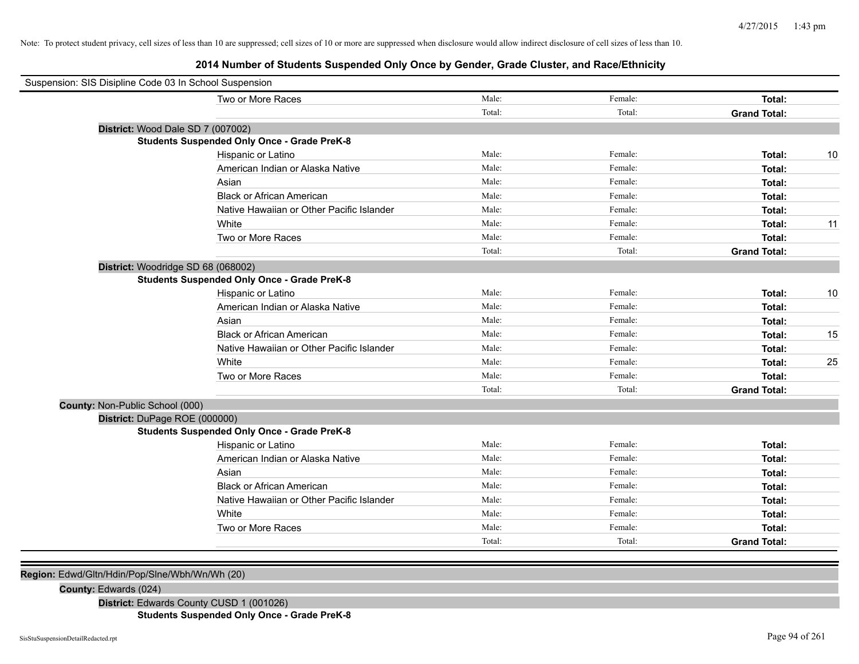# **2014 Number of Students Suspended Only Once by Gender, Grade Cluster, and Race/Ethnicity**

| Suspension: SIS Disipline Code 03 In School Suspension |                                                    |        |         |                     |    |
|--------------------------------------------------------|----------------------------------------------------|--------|---------|---------------------|----|
|                                                        | Two or More Races                                  | Male:  | Female: | Total:              |    |
|                                                        |                                                    | Total: | Total:  | <b>Grand Total:</b> |    |
| District: Wood Dale SD 7 (007002)                      |                                                    |        |         |                     |    |
|                                                        | <b>Students Suspended Only Once - Grade PreK-8</b> |        |         |                     |    |
|                                                        | Hispanic or Latino                                 | Male:  | Female: | Total:              | 10 |
|                                                        | American Indian or Alaska Native                   | Male:  | Female: | Total:              |    |
|                                                        | Asian                                              | Male:  | Female: | Total:              |    |
|                                                        | <b>Black or African American</b>                   | Male:  | Female: | Total:              |    |
|                                                        | Native Hawaiian or Other Pacific Islander          | Male:  | Female: | Total:              |    |
|                                                        | White                                              | Male:  | Female: | Total:              | 11 |
|                                                        | Two or More Races                                  | Male:  | Female: | Total:              |    |
|                                                        |                                                    | Total: | Total:  | <b>Grand Total:</b> |    |
| District: Woodridge SD 68 (068002)                     |                                                    |        |         |                     |    |
|                                                        | <b>Students Suspended Only Once - Grade PreK-8</b> |        |         |                     |    |
|                                                        | Hispanic or Latino                                 | Male:  | Female: | Total:              | 10 |
|                                                        | American Indian or Alaska Native                   | Male:  | Female: | Total:              |    |
|                                                        | Asian                                              | Male:  | Female: | Total:              |    |
|                                                        | <b>Black or African American</b>                   | Male:  | Female: | Total:              | 15 |
|                                                        | Native Hawaiian or Other Pacific Islander          | Male:  | Female: | Total:              |    |
|                                                        | White                                              | Male:  | Female: | Total:              | 25 |
|                                                        | Two or More Races                                  | Male:  | Female: | Total:              |    |
|                                                        |                                                    | Total: | Total:  | <b>Grand Total:</b> |    |
| County: Non-Public School (000)                        |                                                    |        |         |                     |    |
| District: DuPage ROE (000000)                          |                                                    |        |         |                     |    |
|                                                        | <b>Students Suspended Only Once - Grade PreK-8</b> |        |         |                     |    |
|                                                        | Hispanic or Latino                                 | Male:  | Female: | Total:              |    |
|                                                        | American Indian or Alaska Native                   | Male:  | Female: | Total:              |    |
|                                                        | Asian                                              | Male:  | Female: | Total:              |    |
|                                                        | <b>Black or African American</b>                   | Male:  | Female: | Total:              |    |
|                                                        | Native Hawaiian or Other Pacific Islander          | Male:  | Female: | Total:              |    |
|                                                        | White                                              | Male:  | Female: | Total:              |    |
|                                                        | Two or More Races                                  | Male:  | Female: | Total:              |    |
|                                                        |                                                    | Total: | Total:  | <b>Grand Total:</b> |    |
|                                                        |                                                    |        |         |                     |    |

**Region:** Edwd/Gltn/Hdin/Pop/Slne/Wbh/Wn/Wh (20)

**County:** Edwards (024)

**District:** Edwards County CUSD 1 (001026)

**Students Suspended Only Once - Grade PreK-8**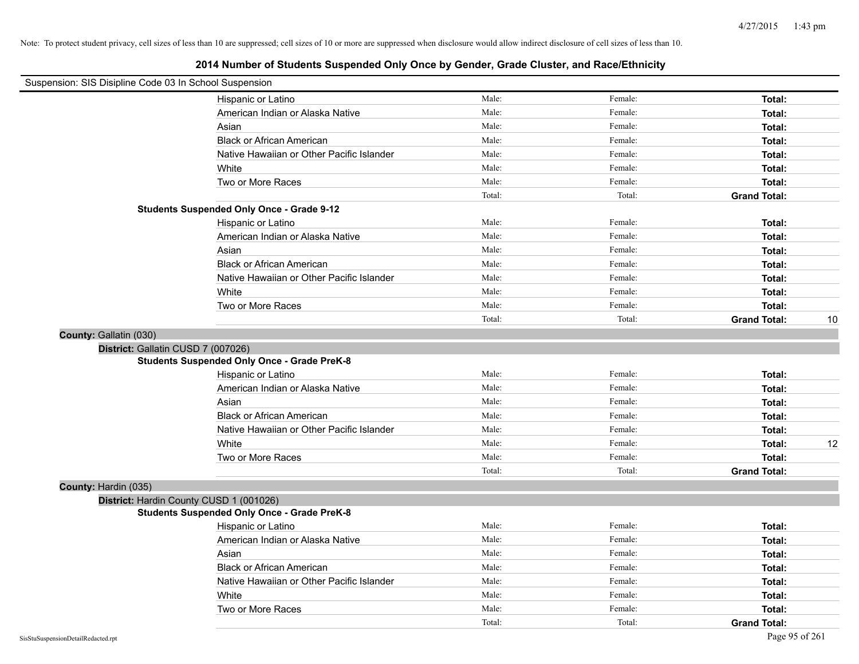| Suspension: SIS Disipline Code 03 In School Suspension |                                                    |        |         |                     |    |
|--------------------------------------------------------|----------------------------------------------------|--------|---------|---------------------|----|
|                                                        | Hispanic or Latino                                 | Male:  | Female: | Total:              |    |
|                                                        | American Indian or Alaska Native                   | Male:  | Female: | Total:              |    |
|                                                        | Asian                                              | Male:  | Female: | Total:              |    |
|                                                        | <b>Black or African American</b>                   | Male:  | Female: | Total:              |    |
|                                                        | Native Hawaiian or Other Pacific Islander          | Male:  | Female: | Total:              |    |
|                                                        | White                                              | Male:  | Female: | Total:              |    |
|                                                        | Two or More Races                                  | Male:  | Female: | Total:              |    |
|                                                        |                                                    | Total: | Total:  | <b>Grand Total:</b> |    |
|                                                        | <b>Students Suspended Only Once - Grade 9-12</b>   |        |         |                     |    |
|                                                        | Hispanic or Latino                                 | Male:  | Female: | Total:              |    |
|                                                        | American Indian or Alaska Native                   | Male:  | Female: | Total:              |    |
|                                                        | Asian                                              | Male:  | Female: | Total:              |    |
|                                                        | <b>Black or African American</b>                   | Male:  | Female: | Total:              |    |
|                                                        | Native Hawaiian or Other Pacific Islander          | Male:  | Female: | Total:              |    |
|                                                        | White                                              | Male:  | Female: | Total:              |    |
|                                                        | Two or More Races                                  | Male:  | Female: | Total:              |    |
|                                                        |                                                    | Total: | Total:  | <b>Grand Total:</b> | 10 |
| County: Gallatin (030)                                 |                                                    |        |         |                     |    |
| District: Gallatin CUSD 7 (007026)                     |                                                    |        |         |                     |    |
|                                                        | <b>Students Suspended Only Once - Grade PreK-8</b> |        |         |                     |    |
|                                                        | Hispanic or Latino                                 | Male:  | Female: | Total:              |    |
|                                                        | American Indian or Alaska Native                   | Male:  | Female: | Total:              |    |
|                                                        | Asian                                              | Male:  | Female: | Total:              |    |
|                                                        | <b>Black or African American</b>                   | Male:  | Female: | Total:              |    |
|                                                        | Native Hawaiian or Other Pacific Islander          | Male:  | Female: | Total:              |    |
|                                                        | White                                              | Male:  | Female: | Total:              | 12 |
|                                                        | Two or More Races                                  | Male:  | Female: | Total:              |    |
|                                                        |                                                    | Total: | Total:  | <b>Grand Total:</b> |    |
| County: Hardin (035)                                   |                                                    |        |         |                     |    |
|                                                        | District: Hardin County CUSD 1 (001026)            |        |         |                     |    |
|                                                        | <b>Students Suspended Only Once - Grade PreK-8</b> |        |         |                     |    |
|                                                        | Hispanic or Latino                                 | Male:  | Female: | Total:              |    |
|                                                        | American Indian or Alaska Native                   | Male:  | Female: | Total:              |    |
|                                                        | Asian                                              | Male:  | Female: | Total:              |    |
|                                                        | <b>Black or African American</b>                   | Male:  | Female: | Total:              |    |
|                                                        | Native Hawaiian or Other Pacific Islander          | Male:  | Female: | Total:              |    |
|                                                        | White                                              | Male:  | Female: | Total:              |    |
|                                                        | Two or More Races                                  | Male:  | Female: | Total:              |    |
|                                                        |                                                    | Total: | Total:  | <b>Grand Total:</b> |    |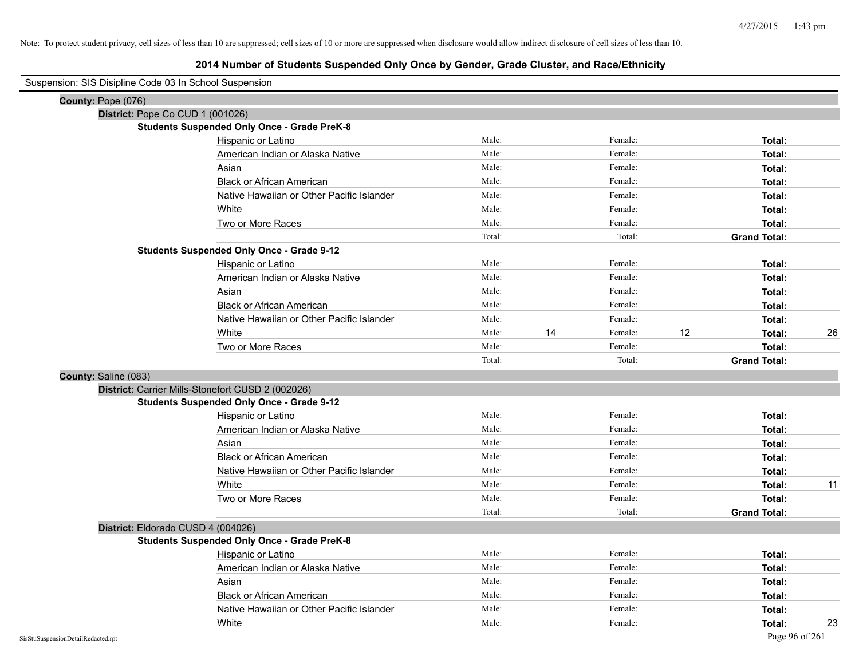# **2014 Number of Students Suspended Only Once by Gender, Grade Cluster, and Race/Ethnicity**

| Suspension: SIS Disipline Code 03 In School Suspension |                                                    |        |    |         |    |                     |    |
|--------------------------------------------------------|----------------------------------------------------|--------|----|---------|----|---------------------|----|
| County: Pope (076)                                     |                                                    |        |    |         |    |                     |    |
| District: Pope Co CUD 1 (001026)                       |                                                    |        |    |         |    |                     |    |
|                                                        | <b>Students Suspended Only Once - Grade PreK-8</b> |        |    |         |    |                     |    |
|                                                        | Hispanic or Latino                                 | Male:  |    | Female: |    | Total:              |    |
|                                                        | American Indian or Alaska Native                   | Male:  |    | Female: |    | Total:              |    |
|                                                        | Asian                                              | Male:  |    | Female: |    | Total:              |    |
|                                                        | <b>Black or African American</b>                   | Male:  |    | Female: |    | Total:              |    |
|                                                        | Native Hawaiian or Other Pacific Islander          | Male:  |    | Female: |    | Total:              |    |
|                                                        | White                                              | Male:  |    | Female: |    | Total:              |    |
|                                                        | Two or More Races                                  | Male:  |    | Female: |    | Total:              |    |
|                                                        |                                                    | Total: |    | Total:  |    | <b>Grand Total:</b> |    |
|                                                        | <b>Students Suspended Only Once - Grade 9-12</b>   |        |    |         |    |                     |    |
|                                                        | Hispanic or Latino                                 | Male:  |    | Female: |    | Total:              |    |
|                                                        | American Indian or Alaska Native                   | Male:  |    | Female: |    | Total:              |    |
|                                                        | Asian                                              | Male:  |    | Female: |    | Total:              |    |
|                                                        | <b>Black or African American</b>                   | Male:  |    | Female: |    | Total:              |    |
|                                                        | Native Hawaiian or Other Pacific Islander          | Male:  |    | Female: |    | Total:              |    |
|                                                        | White                                              | Male:  | 14 | Female: | 12 | Total:              | 26 |
|                                                        | Two or More Races                                  | Male:  |    | Female: |    | Total:              |    |
|                                                        |                                                    | Total: |    | Total:  |    | <b>Grand Total:</b> |    |
| County: Saline (083)                                   |                                                    |        |    |         |    |                     |    |
|                                                        | District: Carrier Mills-Stonefort CUSD 2 (002026)  |        |    |         |    |                     |    |
|                                                        | <b>Students Suspended Only Once - Grade 9-12</b>   |        |    |         |    |                     |    |
|                                                        | Hispanic or Latino                                 | Male:  |    | Female: |    | Total:              |    |
|                                                        | American Indian or Alaska Native                   | Male:  |    | Female: |    | Total:              |    |
|                                                        | Asian                                              | Male:  |    | Female: |    | Total:              |    |
|                                                        | <b>Black or African American</b>                   | Male:  |    | Female: |    | Total:              |    |
|                                                        | Native Hawaiian or Other Pacific Islander          | Male:  |    | Female: |    | Total:              |    |
|                                                        | White                                              | Male:  |    | Female: |    | Total:              | 11 |
|                                                        | Two or More Races                                  | Male:  |    | Female: |    | Total:              |    |
|                                                        |                                                    | Total: |    | Total:  |    | <b>Grand Total:</b> |    |
|                                                        | District: Eldorado CUSD 4 (004026)                 |        |    |         |    |                     |    |
|                                                        | <b>Students Suspended Only Once - Grade PreK-8</b> |        |    |         |    |                     |    |
|                                                        | Hispanic or Latino                                 | Male:  |    | Female: |    | Total:              |    |
|                                                        | American Indian or Alaska Native                   | Male:  |    | Female: |    | Total:              |    |
|                                                        | Asian                                              | Male:  |    | Female: |    | Total:              |    |
|                                                        | <b>Black or African American</b>                   | Male:  |    | Female: |    | Total:              |    |
|                                                        | Native Hawaiian or Other Pacific Islander          | Male:  |    | Female: |    | Total:              |    |
|                                                        | White                                              | Male:  |    | Female: |    | Total:              | 23 |

 $\overline{\phantom{0}}$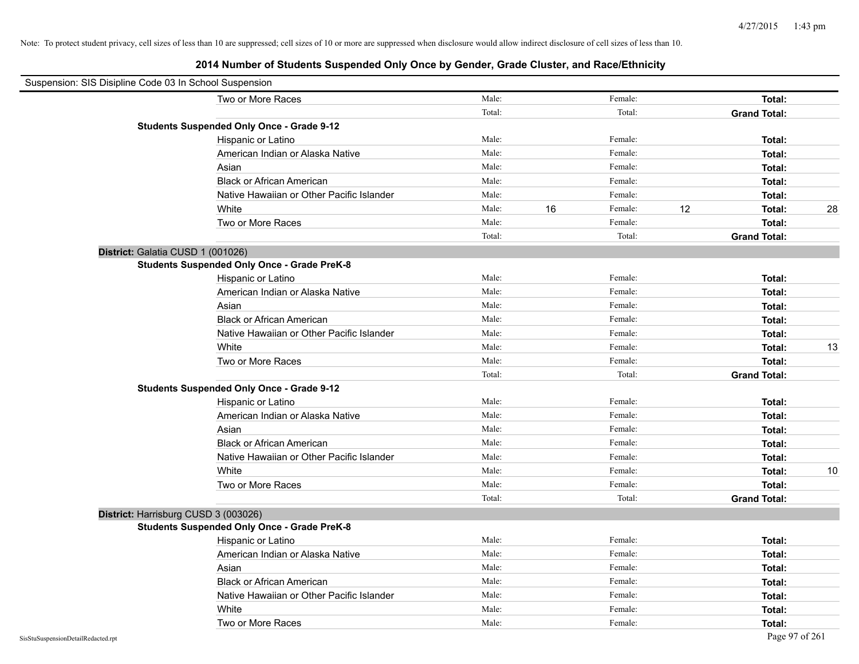| Suspension: SIS Disipline Code 03 In School Suspension |                                                    |        |    |         |    |                     |    |
|--------------------------------------------------------|----------------------------------------------------|--------|----|---------|----|---------------------|----|
|                                                        | Two or More Races                                  | Male:  |    | Female: |    | Total:              |    |
|                                                        |                                                    | Total: |    | Total:  |    | <b>Grand Total:</b> |    |
|                                                        | <b>Students Suspended Only Once - Grade 9-12</b>   |        |    |         |    |                     |    |
|                                                        | Hispanic or Latino                                 | Male:  |    | Female: |    | Total:              |    |
|                                                        | American Indian or Alaska Native                   | Male:  |    | Female: |    | Total:              |    |
|                                                        | Asian                                              | Male:  |    | Female: |    | Total:              |    |
|                                                        | <b>Black or African American</b>                   | Male:  |    | Female: |    | Total:              |    |
|                                                        | Native Hawaiian or Other Pacific Islander          | Male:  |    | Female: |    | Total:              |    |
|                                                        | White                                              | Male:  | 16 | Female: | 12 | Total:              | 28 |
|                                                        | Two or More Races                                  | Male:  |    | Female: |    | Total:              |    |
|                                                        |                                                    | Total: |    | Total:  |    | <b>Grand Total:</b> |    |
|                                                        | District: Galatia CUSD 1 (001026)                  |        |    |         |    |                     |    |
|                                                        | <b>Students Suspended Only Once - Grade PreK-8</b> |        |    |         |    |                     |    |
|                                                        | Hispanic or Latino                                 | Male:  |    | Female: |    | Total:              |    |
|                                                        | American Indian or Alaska Native                   | Male:  |    | Female: |    | Total:              |    |
|                                                        | Asian                                              | Male:  |    | Female: |    | Total:              |    |
|                                                        | <b>Black or African American</b>                   | Male:  |    | Female: |    | Total:              |    |
|                                                        | Native Hawaiian or Other Pacific Islander          | Male:  |    | Female: |    | Total:              |    |
|                                                        | White                                              | Male:  |    | Female: |    | Total:              | 13 |
|                                                        | Two or More Races                                  | Male:  |    | Female: |    | Total:              |    |
|                                                        |                                                    | Total: |    | Total:  |    | <b>Grand Total:</b> |    |
|                                                        | <b>Students Suspended Only Once - Grade 9-12</b>   |        |    |         |    |                     |    |
|                                                        | Hispanic or Latino                                 | Male:  |    | Female: |    | Total:              |    |
|                                                        | American Indian or Alaska Native                   | Male:  |    | Female: |    | Total:              |    |
|                                                        | Asian                                              | Male:  |    | Female: |    | Total:              |    |
|                                                        | <b>Black or African American</b>                   | Male:  |    | Female: |    | Total:              |    |
|                                                        | Native Hawaiian or Other Pacific Islander          | Male:  |    | Female: |    | Total:              |    |
|                                                        | White                                              | Male:  |    | Female: |    | Total:              | 10 |
|                                                        | Two or More Races                                  | Male:  |    | Female: |    | Total:              |    |
|                                                        |                                                    | Total: |    | Total:  |    | <b>Grand Total:</b> |    |
|                                                        | District: Harrisburg CUSD 3 (003026)               |        |    |         |    |                     |    |
|                                                        | <b>Students Suspended Only Once - Grade PreK-8</b> |        |    |         |    |                     |    |
|                                                        | Hispanic or Latino                                 | Male:  |    | Female: |    | Total:              |    |
|                                                        | American Indian or Alaska Native                   | Male:  |    | Female: |    | Total:              |    |
|                                                        | Asian                                              | Male:  |    | Female: |    | Total:              |    |
|                                                        | <b>Black or African American</b>                   | Male:  |    | Female: |    | Total:              |    |
|                                                        | Native Hawaiian or Other Pacific Islander          | Male:  |    | Female: |    | Total:              |    |
|                                                        | White                                              | Male:  |    | Female: |    | Total:              |    |
|                                                        | Two or More Races                                  | Male:  |    | Female: |    | Total:              |    |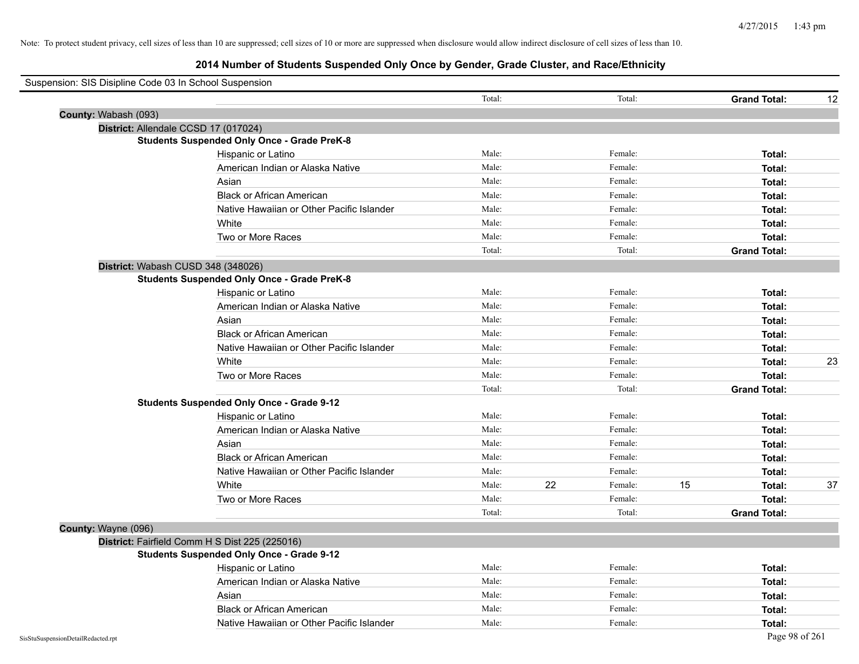| Suspension: SIS Disipline Code 03 In School Suspension |                                                    |        |    |         |    |                     |    |
|--------------------------------------------------------|----------------------------------------------------|--------|----|---------|----|---------------------|----|
|                                                        |                                                    | Total: |    | Total:  |    | <b>Grand Total:</b> | 12 |
| County: Wabash (093)                                   |                                                    |        |    |         |    |                     |    |
|                                                        | District: Allendale CCSD 17 (017024)               |        |    |         |    |                     |    |
|                                                        | <b>Students Suspended Only Once - Grade PreK-8</b> |        |    |         |    |                     |    |
|                                                        | Hispanic or Latino                                 | Male:  |    | Female: |    | Total:              |    |
|                                                        | American Indian or Alaska Native                   | Male:  |    | Female: |    | Total:              |    |
|                                                        | Asian                                              | Male:  |    | Female: |    | Total:              |    |
|                                                        | <b>Black or African American</b>                   | Male:  |    | Female: |    | Total:              |    |
|                                                        | Native Hawaiian or Other Pacific Islander          | Male:  |    | Female: |    | Total:              |    |
|                                                        | White                                              | Male:  |    | Female: |    | Total:              |    |
|                                                        | Two or More Races                                  | Male:  |    | Female: |    | Total:              |    |
|                                                        |                                                    | Total: |    | Total:  |    | <b>Grand Total:</b> |    |
|                                                        | District: Wabash CUSD 348 (348026)                 |        |    |         |    |                     |    |
|                                                        | <b>Students Suspended Only Once - Grade PreK-8</b> |        |    |         |    |                     |    |
|                                                        | Hispanic or Latino                                 | Male:  |    | Female: |    | Total:              |    |
|                                                        | American Indian or Alaska Native                   | Male:  |    | Female: |    | Total:              |    |
|                                                        | Asian                                              | Male:  |    | Female: |    | Total:              |    |
|                                                        | <b>Black or African American</b>                   | Male:  |    | Female: |    | Total:              |    |
|                                                        | Native Hawaiian or Other Pacific Islander          | Male:  |    | Female: |    | Total:              |    |
|                                                        | White                                              | Male:  |    | Female: |    | Total:              | 23 |
|                                                        | Two or More Races                                  | Male:  |    | Female: |    | Total:              |    |
|                                                        |                                                    | Total: |    | Total:  |    | <b>Grand Total:</b> |    |
|                                                        | <b>Students Suspended Only Once - Grade 9-12</b>   |        |    |         |    |                     |    |
|                                                        | Hispanic or Latino                                 | Male:  |    | Female: |    | Total:              |    |
|                                                        | American Indian or Alaska Native                   | Male:  |    | Female: |    | Total:              |    |
|                                                        | Asian                                              | Male:  |    | Female: |    | Total:              |    |
|                                                        | <b>Black or African American</b>                   | Male:  |    | Female: |    | Total:              |    |
|                                                        | Native Hawaiian or Other Pacific Islander          | Male:  |    | Female: |    | Total:              |    |
|                                                        | White                                              | Male:  | 22 | Female: | 15 | Total:              | 37 |
|                                                        | Two or More Races                                  | Male:  |    | Female: |    | Total:              |    |
|                                                        |                                                    | Total: |    | Total:  |    | <b>Grand Total:</b> |    |
| County: Wayne (096)                                    |                                                    |        |    |         |    |                     |    |
|                                                        | District: Fairfield Comm H S Dist 225 (225016)     |        |    |         |    |                     |    |
|                                                        | <b>Students Suspended Only Once - Grade 9-12</b>   |        |    |         |    |                     |    |
|                                                        | Hispanic or Latino                                 | Male:  |    | Female: |    | Total:              |    |
|                                                        | American Indian or Alaska Native                   | Male:  |    | Female: |    | Total:              |    |
|                                                        | Asian                                              | Male:  |    | Female: |    | Total:              |    |
|                                                        | <b>Black or African American</b>                   | Male:  |    | Female: |    | Total:              |    |
|                                                        | Native Hawaiian or Other Pacific Islander          | Male:  |    | Female: |    | Total:              |    |
| SisStuSuspensionDetailRedacted.rpt                     |                                                    |        |    |         |    | Page 98 of 261      |    |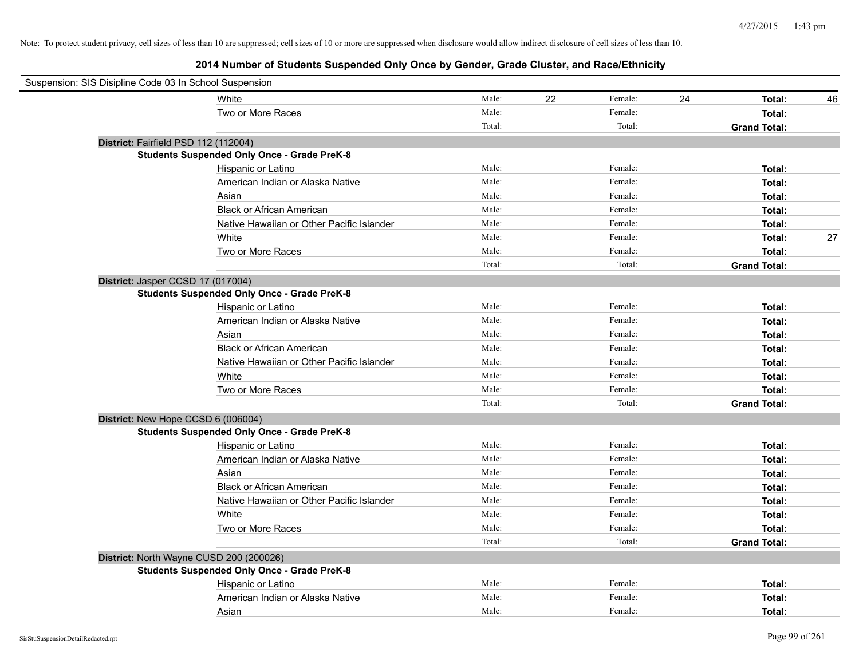| Suspension: SIS Disipline Code 03 In School Suspension |                                                    |        |    |         |    |                     |    |
|--------------------------------------------------------|----------------------------------------------------|--------|----|---------|----|---------------------|----|
|                                                        | White                                              | Male:  | 22 | Female: | 24 | Total:              | 46 |
|                                                        | Two or More Races                                  | Male:  |    | Female: |    | Total:              |    |
|                                                        |                                                    | Total: |    | Total:  |    | <b>Grand Total:</b> |    |
| District: Fairfield PSD 112 (112004)                   |                                                    |        |    |         |    |                     |    |
|                                                        | <b>Students Suspended Only Once - Grade PreK-8</b> |        |    |         |    |                     |    |
|                                                        | Hispanic or Latino                                 | Male:  |    | Female: |    | Total:              |    |
|                                                        | American Indian or Alaska Native                   | Male:  |    | Female: |    | Total:              |    |
|                                                        | Asian                                              | Male:  |    | Female: |    | Total:              |    |
|                                                        | <b>Black or African American</b>                   | Male:  |    | Female: |    | Total:              |    |
|                                                        | Native Hawaiian or Other Pacific Islander          | Male:  |    | Female: |    | Total:              |    |
|                                                        | White                                              | Male:  |    | Female: |    | Total:              | 27 |
|                                                        | Two or More Races                                  | Male:  |    | Female: |    | Total:              |    |
|                                                        |                                                    | Total: |    | Total:  |    | <b>Grand Total:</b> |    |
| District: Jasper CCSD 17 (017004)                      |                                                    |        |    |         |    |                     |    |
|                                                        | <b>Students Suspended Only Once - Grade PreK-8</b> |        |    |         |    |                     |    |
|                                                        | Hispanic or Latino                                 | Male:  |    | Female: |    | Total:              |    |
|                                                        | American Indian or Alaska Native                   | Male:  |    | Female: |    | Total:              |    |
|                                                        | Asian                                              | Male:  |    | Female: |    | Total:              |    |
|                                                        | <b>Black or African American</b>                   | Male:  |    | Female: |    | Total:              |    |
|                                                        | Native Hawaiian or Other Pacific Islander          | Male:  |    | Female: |    | Total:              |    |
|                                                        | White                                              | Male:  |    | Female: |    | Total:              |    |
|                                                        | Two or More Races                                  | Male:  |    | Female: |    | Total:              |    |
|                                                        |                                                    | Total: |    | Total:  |    | <b>Grand Total:</b> |    |
| District: New Hope CCSD 6 (006004)                     |                                                    |        |    |         |    |                     |    |
|                                                        | <b>Students Suspended Only Once - Grade PreK-8</b> |        |    |         |    |                     |    |
|                                                        | Hispanic or Latino                                 | Male:  |    | Female: |    | Total:              |    |
|                                                        | American Indian or Alaska Native                   | Male:  |    | Female: |    | Total:              |    |
|                                                        | Asian                                              | Male:  |    | Female: |    | Total:              |    |
|                                                        | <b>Black or African American</b>                   | Male:  |    | Female: |    | Total:              |    |
|                                                        | Native Hawaiian or Other Pacific Islander          | Male:  |    | Female: |    | Total:              |    |
|                                                        | White                                              | Male:  |    | Female: |    | Total:              |    |
|                                                        | Two or More Races                                  | Male:  |    | Female: |    | Total:              |    |
|                                                        |                                                    | Total: |    | Total:  |    | <b>Grand Total:</b> |    |
| District: North Wayne CUSD 200 (200026)                |                                                    |        |    |         |    |                     |    |
|                                                        | <b>Students Suspended Only Once - Grade PreK-8</b> |        |    |         |    |                     |    |
|                                                        | Hispanic or Latino                                 | Male:  |    | Female: |    | Total:              |    |
|                                                        | American Indian or Alaska Native                   | Male:  |    | Female: |    | Total:              |    |
|                                                        | Asian                                              | Male:  |    | Female: |    | Total:              |    |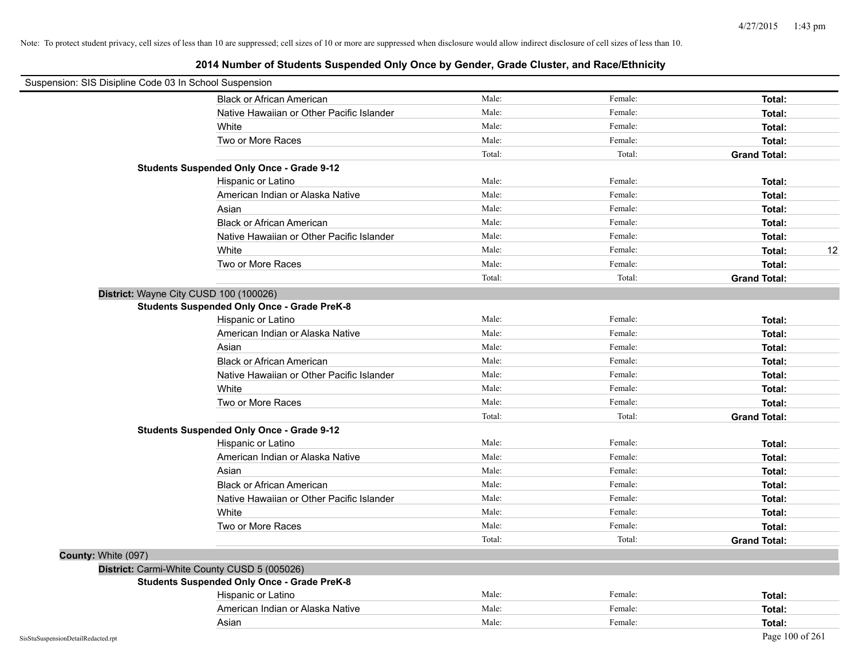| Suspension: SIS Disipline Code 03 In School Suspension |        |         |                     |
|--------------------------------------------------------|--------|---------|---------------------|
| <b>Black or African American</b>                       | Male:  | Female: | Total:              |
| Native Hawaiian or Other Pacific Islander              | Male:  | Female: | Total:              |
| White                                                  | Male:  | Female: | Total:              |
| Two or More Races                                      | Male:  | Female: | Total:              |
|                                                        | Total: | Total:  | <b>Grand Total:</b> |
| <b>Students Suspended Only Once - Grade 9-12</b>       |        |         |                     |
| Hispanic or Latino                                     | Male:  | Female: | Total:              |
| American Indian or Alaska Native                       | Male:  | Female: | Total:              |
| Asian                                                  | Male:  | Female: | Total:              |
| <b>Black or African American</b>                       | Male:  | Female: | Total:              |
| Native Hawaiian or Other Pacific Islander              | Male:  | Female: | Total:              |
| White                                                  | Male:  | Female: | 12<br>Total:        |
| Two or More Races                                      | Male:  | Female: | Total:              |
|                                                        | Total: | Total:  | <b>Grand Total:</b> |
| District: Wayne City CUSD 100 (100026)                 |        |         |                     |
| <b>Students Suspended Only Once - Grade PreK-8</b>     |        |         |                     |
| Hispanic or Latino                                     | Male:  | Female: | Total:              |
| American Indian or Alaska Native                       | Male:  | Female: | Total:              |
| Asian                                                  | Male:  | Female: | Total:              |
| <b>Black or African American</b>                       | Male:  | Female: | Total:              |
| Native Hawaiian or Other Pacific Islander              | Male:  | Female: | Total:              |
| White                                                  | Male:  | Female: | Total:              |
| Two or More Races                                      | Male:  | Female: | Total:              |
|                                                        | Total: | Total:  | <b>Grand Total:</b> |
| <b>Students Suspended Only Once - Grade 9-12</b>       |        |         |                     |
| Hispanic or Latino                                     | Male:  | Female: | Total:              |
| American Indian or Alaska Native                       | Male:  | Female: | Total:              |
| Asian                                                  | Male:  | Female: | Total:              |
| <b>Black or African American</b>                       | Male:  | Female: | Total:              |
| Native Hawaiian or Other Pacific Islander              | Male:  | Female: | Total:              |
| White                                                  | Male:  | Female: | Total:              |
| Two or More Races                                      | Male:  | Female: | Total:              |
|                                                        | Total: | Total:  | <b>Grand Total:</b> |
| County: White (097)                                    |        |         |                     |
| District: Carmi-White County CUSD 5 (005026)           |        |         |                     |
| <b>Students Suspended Only Once - Grade PreK-8</b>     |        |         |                     |
| Hispanic or Latino                                     | Male:  | Female: | Total:              |
| American Indian or Alaska Native                       | Male:  | Female: | Total:              |
| Asian                                                  | Male:  | Female: | Total:              |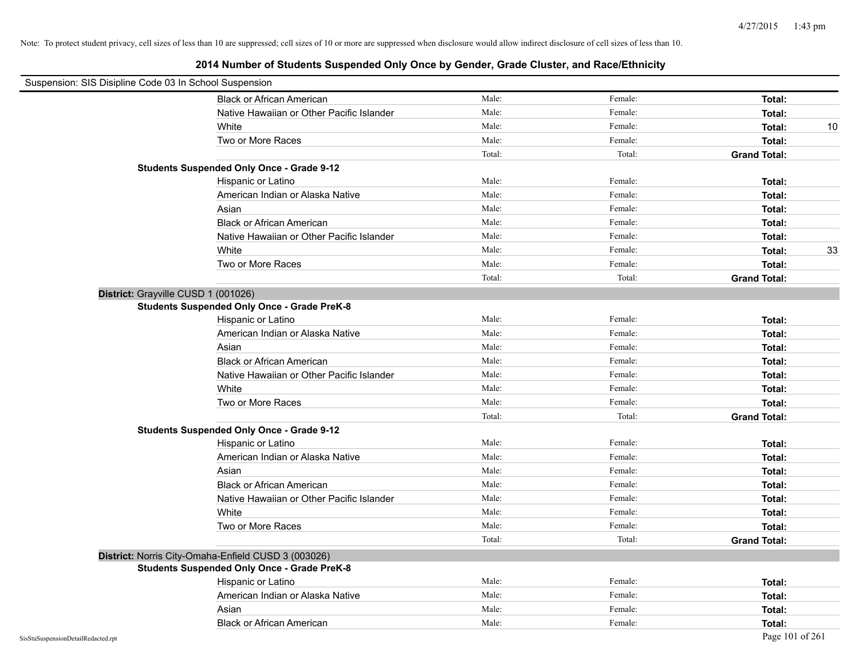| Suspension: SIS Disipline Code 03 In School Suspension |                                                     |        |         |                     |
|--------------------------------------------------------|-----------------------------------------------------|--------|---------|---------------------|
|                                                        | <b>Black or African American</b>                    | Male:  | Female: | Total:              |
|                                                        | Native Hawaiian or Other Pacific Islander           | Male:  | Female: | Total:              |
|                                                        | White                                               | Male:  | Female: | 10<br>Total:        |
|                                                        | Two or More Races                                   | Male:  | Female: | Total:              |
|                                                        |                                                     | Total: | Total:  | <b>Grand Total:</b> |
|                                                        | <b>Students Suspended Only Once - Grade 9-12</b>    |        |         |                     |
|                                                        | Hispanic or Latino                                  | Male:  | Female: | Total:              |
|                                                        | American Indian or Alaska Native                    | Male:  | Female: | Total:              |
|                                                        | Asian                                               | Male:  | Female: | Total:              |
|                                                        | <b>Black or African American</b>                    | Male:  | Female: | Total:              |
|                                                        | Native Hawaiian or Other Pacific Islander           | Male:  | Female: | Total:              |
|                                                        | White                                               | Male:  | Female: | 33<br>Total:        |
|                                                        | Two or More Races                                   | Male:  | Female: | Total:              |
|                                                        |                                                     | Total: | Total:  | <b>Grand Total:</b> |
| District: Grayville CUSD 1 (001026)                    |                                                     |        |         |                     |
|                                                        | <b>Students Suspended Only Once - Grade PreK-8</b>  |        |         |                     |
|                                                        | Hispanic or Latino                                  | Male:  | Female: | Total:              |
|                                                        | American Indian or Alaska Native                    | Male:  | Female: | Total:              |
|                                                        | Asian                                               | Male:  | Female: | Total:              |
|                                                        | <b>Black or African American</b>                    | Male:  | Female: | Total:              |
|                                                        | Native Hawaiian or Other Pacific Islander           | Male:  | Female: | Total:              |
|                                                        | White                                               | Male:  | Female: | Total:              |
|                                                        | Two or More Races                                   | Male:  | Female: | Total:              |
|                                                        |                                                     | Total: | Total:  | <b>Grand Total:</b> |
|                                                        | <b>Students Suspended Only Once - Grade 9-12</b>    |        |         |                     |
|                                                        | Hispanic or Latino                                  | Male:  | Female: | Total:              |
|                                                        | American Indian or Alaska Native                    | Male:  | Female: | Total:              |
|                                                        | Asian                                               | Male:  | Female: | Total:              |
|                                                        | <b>Black or African American</b>                    | Male:  | Female: | Total:              |
|                                                        | Native Hawaiian or Other Pacific Islander           | Male:  | Female: | Total:              |
|                                                        | White                                               | Male:  | Female: | Total:              |
|                                                        | Two or More Races                                   | Male:  | Female: | Total:              |
|                                                        |                                                     | Total: | Total:  | <b>Grand Total:</b> |
|                                                        | District: Norris City-Omaha-Enfield CUSD 3 (003026) |        |         |                     |
|                                                        | <b>Students Suspended Only Once - Grade PreK-8</b>  |        |         |                     |
|                                                        | Hispanic or Latino                                  | Male:  | Female: | Total:              |
|                                                        | American Indian or Alaska Native                    | Male:  | Female: | Total:              |
|                                                        | Asian                                               | Male:  | Female: | Total:              |
|                                                        | <b>Black or African American</b>                    | Male:  | Female: | Total:              |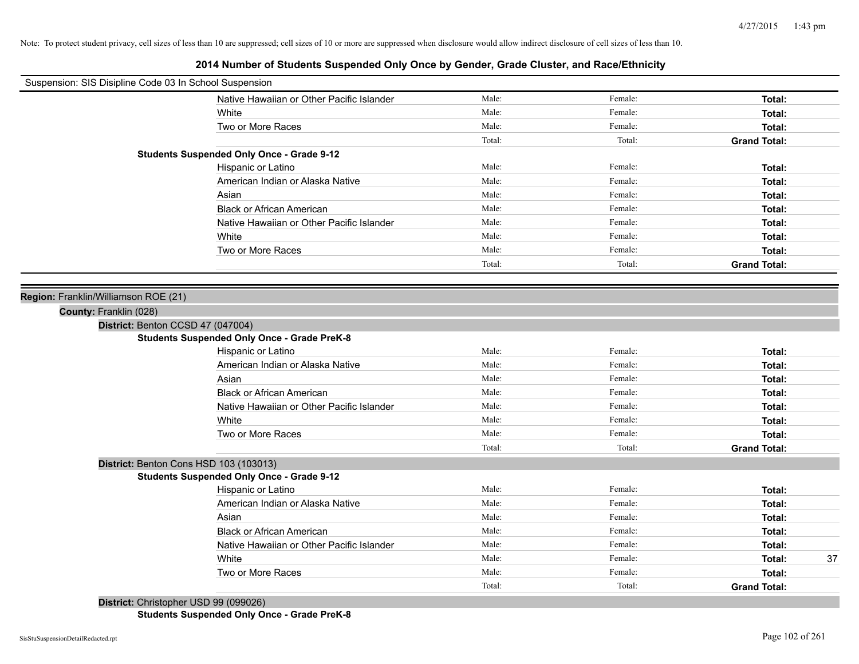| Suspension: SIS Disipline Code 03 In School Suspension |                                                    |        |         |                     |
|--------------------------------------------------------|----------------------------------------------------|--------|---------|---------------------|
|                                                        | Native Hawaiian or Other Pacific Islander          | Male:  | Female: | Total:              |
|                                                        | White                                              | Male:  | Female: | Total:              |
|                                                        | Two or More Races                                  | Male:  | Female: | Total:              |
|                                                        |                                                    | Total: | Total:  | <b>Grand Total:</b> |
|                                                        | <b>Students Suspended Only Once - Grade 9-12</b>   |        |         |                     |
|                                                        | Hispanic or Latino                                 | Male:  | Female: | Total:              |
|                                                        | American Indian or Alaska Native                   | Male:  | Female: | Total:              |
|                                                        | Asian                                              | Male:  | Female: | Total:              |
|                                                        | <b>Black or African American</b>                   | Male:  | Female: | Total:              |
|                                                        | Native Hawaiian or Other Pacific Islander          | Male:  | Female: | Total:              |
|                                                        | White                                              | Male:  | Female: | Total:              |
|                                                        | Two or More Races                                  | Male:  | Female: | Total:              |
|                                                        |                                                    | Total: | Total:  | <b>Grand Total:</b> |
|                                                        |                                                    |        |         |                     |
| Region: Franklin/Williamson ROE (21)                   |                                                    |        |         |                     |
| County: Franklin (028)                                 |                                                    |        |         |                     |
| District: Benton CCSD 47 (047004)                      |                                                    |        |         |                     |
|                                                        | <b>Students Suspended Only Once - Grade PreK-8</b> |        |         |                     |
|                                                        | Hispanic or Latino                                 | Male:  | Female: | Total:              |
|                                                        | American Indian or Alaska Native                   | Male:  | Female: | Total:              |
|                                                        | Asian                                              | Male:  | Female: | Total:              |
|                                                        | <b>Black or African American</b>                   | Male:  | Female: | Total:              |
|                                                        | Native Hawaiian or Other Pacific Islander          | Male:  | Female: | Total:              |
|                                                        | White                                              | Male:  | Female: | Total:              |
|                                                        | Two or More Races                                  | Male:  | Female: | Total:              |
|                                                        |                                                    | Total: | Total:  | <b>Grand Total:</b> |
| District: Benton Cons HSD 103 (103013)                 |                                                    |        |         |                     |
|                                                        | <b>Students Suspended Only Once - Grade 9-12</b>   |        |         |                     |
|                                                        | Hispanic or Latino                                 | Male:  | Female: | Total:              |
|                                                        | American Indian or Alaska Native                   | Male:  | Female: | Total:              |
|                                                        | Asian                                              | Male:  | Female: | Total:              |
|                                                        | <b>Black or African American</b>                   | Male:  | Female: | Total:              |
|                                                        | Native Hawaiian or Other Pacific Islander          | Male:  | Female: | Total:              |
|                                                        | White                                              | Male:  | Female: | 37<br>Total:        |
|                                                        | Two or More Races                                  | Male:  | Female: | Total:              |
|                                                        |                                                    | Total: | Total:  | <b>Grand Total:</b> |
| District: Christopher USD 99 (099026)                  |                                                    |        |         |                     |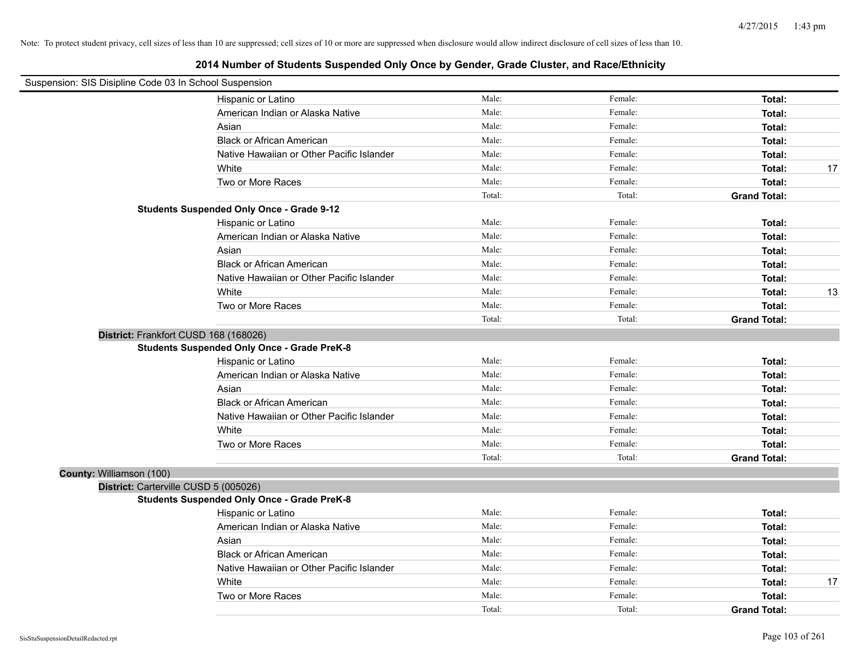| Suspension: SIS Disipline Code 03 In School Suspension |                                                                                             |        |         |                     |    |
|--------------------------------------------------------|---------------------------------------------------------------------------------------------|--------|---------|---------------------|----|
|                                                        | Hispanic or Latino                                                                          | Male:  | Female: | Total:              |    |
|                                                        | American Indian or Alaska Native                                                            | Male:  | Female: | Total:              |    |
|                                                        | Asian                                                                                       | Male:  | Female: | Total:              |    |
|                                                        | <b>Black or African American</b>                                                            | Male:  | Female: | Total:              |    |
|                                                        | Native Hawaiian or Other Pacific Islander                                                   | Male:  | Female: | Total:              |    |
|                                                        | White                                                                                       | Male:  | Female: | Total:              | 17 |
|                                                        | Two or More Races                                                                           | Male:  | Female: | Total:              |    |
|                                                        |                                                                                             | Total: | Total:  | <b>Grand Total:</b> |    |
|                                                        | <b>Students Suspended Only Once - Grade 9-12</b>                                            |        |         |                     |    |
|                                                        | Hispanic or Latino                                                                          | Male:  | Female: | Total:              |    |
|                                                        | American Indian or Alaska Native                                                            | Male:  | Female: | Total:              |    |
|                                                        | Asian                                                                                       | Male:  | Female: | Total:              |    |
|                                                        | <b>Black or African American</b>                                                            | Male:  | Female: | Total:              |    |
|                                                        | Native Hawaiian or Other Pacific Islander                                                   | Male:  | Female: | Total:              |    |
|                                                        | White                                                                                       | Male:  | Female: | Total:              | 13 |
|                                                        | Two or More Races                                                                           | Male:  | Female: | Total:              |    |
|                                                        |                                                                                             | Total: | Total:  | <b>Grand Total:</b> |    |
|                                                        | District: Frankfort CUSD 168 (168026)<br><b>Students Suspended Only Once - Grade PreK-8</b> |        |         |                     |    |
|                                                        | Hispanic or Latino                                                                          | Male:  | Female: | Total:              |    |
|                                                        | American Indian or Alaska Native                                                            | Male:  | Female: | Total:              |    |
|                                                        | Asian                                                                                       | Male:  | Female: | Total:              |    |
|                                                        | <b>Black or African American</b>                                                            | Male:  | Female: | Total:              |    |
|                                                        | Native Hawaiian or Other Pacific Islander                                                   | Male:  | Female: | Total:              |    |
|                                                        | White                                                                                       | Male:  | Female: | Total:              |    |
|                                                        | Two or More Races                                                                           | Male:  | Female: | Total:              |    |
|                                                        |                                                                                             | Total: | Total:  | <b>Grand Total:</b> |    |
| County: Williamson (100)                               |                                                                                             |        |         |                     |    |
|                                                        | District: Carterville CUSD 5 (005026)                                                       |        |         |                     |    |
|                                                        | <b>Students Suspended Only Once - Grade PreK-8</b>                                          |        |         |                     |    |
|                                                        | Hispanic or Latino                                                                          | Male:  | Female: | Total:              |    |
|                                                        | American Indian or Alaska Native                                                            | Male:  | Female: | Total:              |    |
|                                                        | Asian                                                                                       | Male:  | Female: | Total:              |    |
|                                                        | <b>Black or African American</b>                                                            | Male:  | Female: | Total:              |    |
|                                                        | Native Hawaiian or Other Pacific Islander                                                   | Male:  | Female: | Total:              |    |
|                                                        | White                                                                                       | Male:  | Female: | Total:              | 17 |
|                                                        | Two or More Races                                                                           | Male:  | Female: | Total:              |    |
|                                                        |                                                                                             | Total: | Total:  | <b>Grand Total:</b> |    |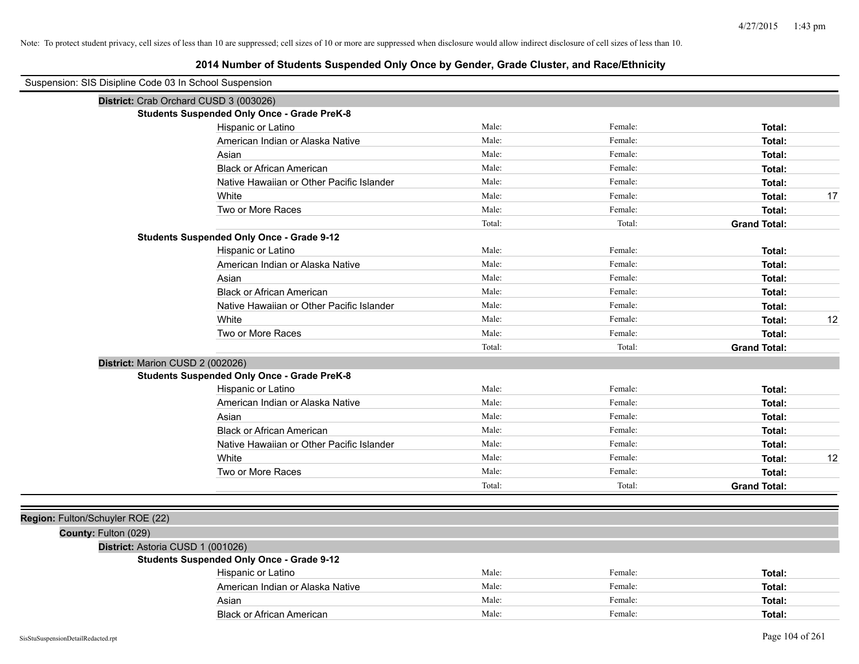| Suspension: SIS Disipline Code 03 In School Suspension |                                                    |        |         |                     |
|--------------------------------------------------------|----------------------------------------------------|--------|---------|---------------------|
|                                                        | District: Crab Orchard CUSD 3 (003026)             |        |         |                     |
|                                                        | <b>Students Suspended Only Once - Grade PreK-8</b> |        |         |                     |
|                                                        | Hispanic or Latino                                 | Male:  | Female: | Total:              |
|                                                        | American Indian or Alaska Native                   | Male:  | Female: | Total:              |
|                                                        | Asian                                              | Male:  | Female: | Total:              |
|                                                        | <b>Black or African American</b>                   | Male:  | Female: | Total:              |
|                                                        | Native Hawaiian or Other Pacific Islander          | Male:  | Female: | Total:              |
|                                                        | White                                              | Male:  | Female: | 17<br>Total:        |
|                                                        | Two or More Races                                  | Male:  | Female: | Total:              |
|                                                        |                                                    | Total: | Total:  | <b>Grand Total:</b> |
|                                                        | <b>Students Suspended Only Once - Grade 9-12</b>   |        |         |                     |
|                                                        | Hispanic or Latino                                 | Male:  | Female: | Total:              |
|                                                        | American Indian or Alaska Native                   | Male:  | Female: | Total:              |
|                                                        | Asian                                              | Male:  | Female: | Total:              |
|                                                        | <b>Black or African American</b>                   | Male:  | Female: | Total:              |
|                                                        | Native Hawaiian or Other Pacific Islander          | Male:  | Female: | Total:              |
|                                                        | White                                              | Male:  | Female: | 12<br>Total:        |
|                                                        | Two or More Races                                  | Male:  | Female: | Total:              |
|                                                        |                                                    | Total: | Total:  | <b>Grand Total:</b> |
| District: Marion CUSD 2 (002026)                       |                                                    |        |         |                     |
|                                                        | <b>Students Suspended Only Once - Grade PreK-8</b> |        |         |                     |
|                                                        | Hispanic or Latino                                 | Male:  | Female: | Total:              |
|                                                        | American Indian or Alaska Native                   | Male:  | Female: | Total:              |
|                                                        | Asian                                              | Male:  | Female: | Total:              |
|                                                        | <b>Black or African American</b>                   | Male:  | Female: | Total:              |
|                                                        | Native Hawaiian or Other Pacific Islander          | Male:  | Female: | Total:              |
|                                                        | White                                              | Male:  | Female: | 12<br>Total:        |
|                                                        | Two or More Races                                  | Male:  | Female: | Total:              |
|                                                        |                                                    | Total: | Total:  | <b>Grand Total:</b> |
|                                                        |                                                    |        |         |                     |
| Region: Fulton/Schuyler ROE (22)                       |                                                    |        |         |                     |
| County: Fulton (029)                                   |                                                    |        |         |                     |
| District: Astoria CUSD 1 (001026)                      |                                                    |        |         |                     |
|                                                        | <b>Students Suspended Only Once - Grade 9-12</b>   |        |         |                     |
|                                                        | Hispanic or Latino                                 | Male:  | Female: | Total:              |
|                                                        | American Indian or Alaska Native                   | Male:  | Female: | Total:              |
|                                                        | Asian                                              | Male:  | Female: | Total:              |
|                                                        | <b>Black or African American</b>                   | Male:  | Female: | Total:              |
|                                                        |                                                    |        |         |                     |
| SisStuSuspensionDetailRedacted.rpt                     |                                                    |        |         | Page 104 of 261     |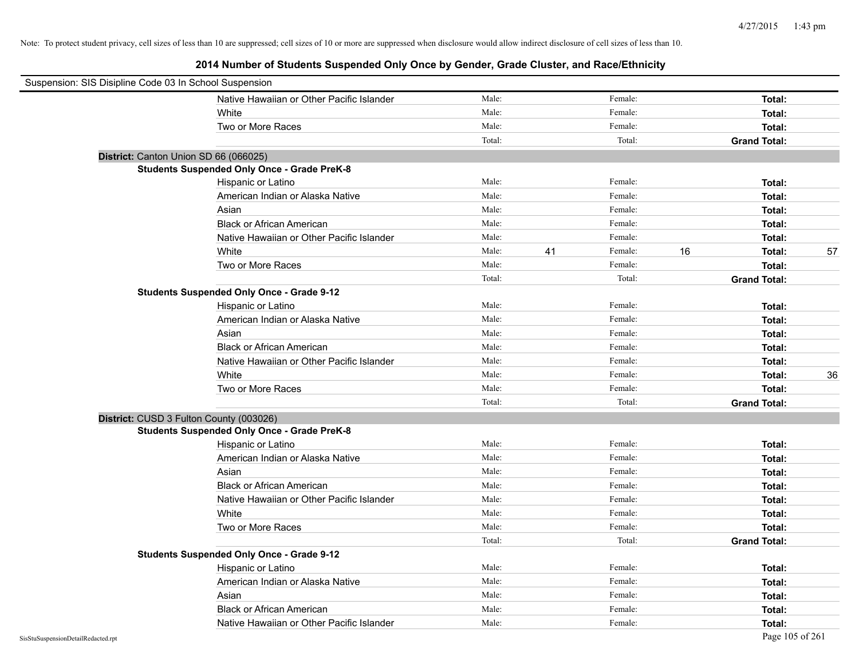| Suspension: SIS Disipline Code 03 In School Suspension |                                                    |        |    |         |    |                     |    |
|--------------------------------------------------------|----------------------------------------------------|--------|----|---------|----|---------------------|----|
|                                                        | Native Hawaiian or Other Pacific Islander          | Male:  |    | Female: |    | Total:              |    |
|                                                        | White                                              | Male:  |    | Female: |    | Total:              |    |
|                                                        | Two or More Races                                  | Male:  |    | Female: |    | Total:              |    |
|                                                        |                                                    | Total: |    | Total:  |    | <b>Grand Total:</b> |    |
|                                                        | District: Canton Union SD 66 (066025)              |        |    |         |    |                     |    |
|                                                        | <b>Students Suspended Only Once - Grade PreK-8</b> |        |    |         |    |                     |    |
|                                                        | Hispanic or Latino                                 | Male:  |    | Female: |    | Total:              |    |
|                                                        | American Indian or Alaska Native                   | Male:  |    | Female: |    | Total:              |    |
|                                                        | Asian                                              | Male:  |    | Female: |    | Total:              |    |
|                                                        | <b>Black or African American</b>                   | Male:  |    | Female: |    | Total:              |    |
|                                                        | Native Hawaiian or Other Pacific Islander          | Male:  |    | Female: |    | Total:              |    |
|                                                        | White                                              | Male:  | 41 | Female: | 16 | Total:              | 57 |
|                                                        | Two or More Races                                  | Male:  |    | Female: |    | Total:              |    |
|                                                        |                                                    | Total: |    | Total:  |    | <b>Grand Total:</b> |    |
|                                                        | <b>Students Suspended Only Once - Grade 9-12</b>   |        |    |         |    |                     |    |
|                                                        | Hispanic or Latino                                 | Male:  |    | Female: |    | Total:              |    |
|                                                        | American Indian or Alaska Native                   | Male:  |    | Female: |    | Total:              |    |
|                                                        | Asian                                              | Male:  |    | Female: |    | Total:              |    |
|                                                        | <b>Black or African American</b>                   | Male:  |    | Female: |    | Total:              |    |
|                                                        | Native Hawaiian or Other Pacific Islander          | Male:  |    | Female: |    | Total:              |    |
|                                                        | White                                              | Male:  |    | Female: |    | Total:              | 36 |
|                                                        | Two or More Races                                  | Male:  |    | Female: |    | Total:              |    |
|                                                        |                                                    | Total: |    | Total:  |    | <b>Grand Total:</b> |    |
|                                                        | District: CUSD 3 Fulton County (003026)            |        |    |         |    |                     |    |
|                                                        | <b>Students Suspended Only Once - Grade PreK-8</b> |        |    |         |    |                     |    |
|                                                        | Hispanic or Latino                                 | Male:  |    | Female: |    | Total:              |    |
|                                                        | American Indian or Alaska Native                   | Male:  |    | Female: |    | Total:              |    |
|                                                        | Asian                                              | Male:  |    | Female: |    | Total:              |    |
|                                                        | <b>Black or African American</b>                   | Male:  |    | Female: |    | Total:              |    |
|                                                        | Native Hawaiian or Other Pacific Islander          | Male:  |    | Female: |    | Total:              |    |
|                                                        | White                                              | Male:  |    | Female: |    | Total:              |    |
|                                                        | Two or More Races                                  | Male:  |    | Female: |    | Total:              |    |
|                                                        |                                                    | Total: |    | Total:  |    | <b>Grand Total:</b> |    |
|                                                        | <b>Students Suspended Only Once - Grade 9-12</b>   |        |    |         |    |                     |    |
|                                                        | Hispanic or Latino                                 | Male:  |    | Female: |    | Total:              |    |
|                                                        | American Indian or Alaska Native                   | Male:  |    | Female: |    | Total:              |    |
|                                                        | Asian                                              | Male:  |    | Female: |    | Total:              |    |
|                                                        | <b>Black or African American</b>                   | Male:  |    | Female: |    | Total:              |    |
|                                                        | Native Hawaiian or Other Pacific Islander          | Male:  |    | Female: |    | Total:              |    |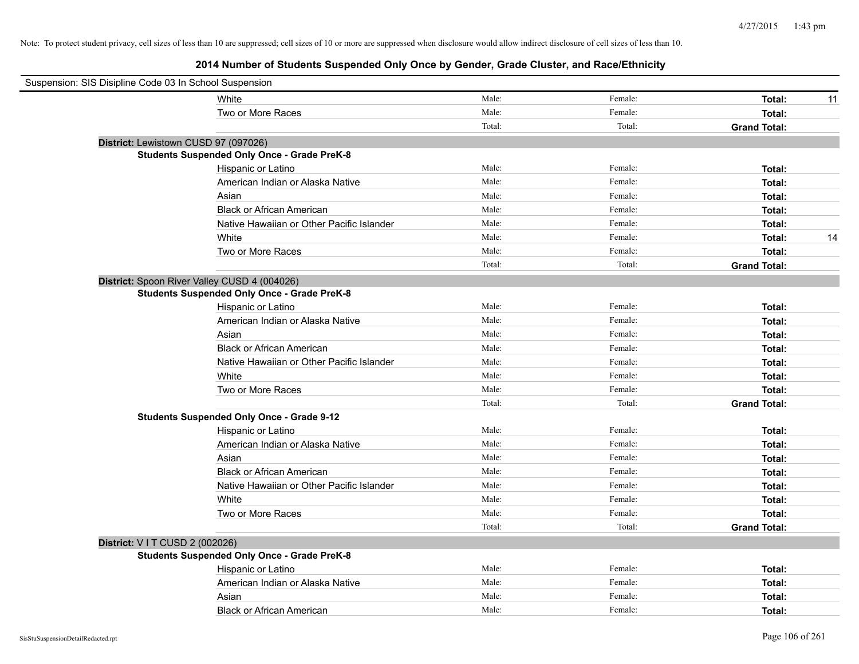| Suspension: SIS Disipline Code 03 In School Suspension |                                           |        |         |                     |    |
|--------------------------------------------------------|-------------------------------------------|--------|---------|---------------------|----|
| White                                                  |                                           | Male:  | Female: | Total:              | 11 |
| Two or More Races                                      |                                           | Male:  | Female: | Total:              |    |
|                                                        |                                           | Total: | Total:  | <b>Grand Total:</b> |    |
| District: Lewistown CUSD 97 (097026)                   |                                           |        |         |                     |    |
| <b>Students Suspended Only Once - Grade PreK-8</b>     |                                           |        |         |                     |    |
| Hispanic or Latino                                     |                                           | Male:  | Female: | Total:              |    |
|                                                        | American Indian or Alaska Native          | Male:  | Female: | Total:              |    |
| Asian                                                  |                                           | Male:  | Female: | Total:              |    |
|                                                        | <b>Black or African American</b>          | Male:  | Female: | Total:              |    |
|                                                        | Native Hawaiian or Other Pacific Islander | Male:  | Female: | Total:              |    |
| White                                                  |                                           | Male:  | Female: | Total:              | 14 |
| Two or More Races                                      |                                           | Male:  | Female: | Total:              |    |
|                                                        |                                           | Total: | Total:  | <b>Grand Total:</b> |    |
| District: Spoon River Valley CUSD 4 (004026)           |                                           |        |         |                     |    |
| <b>Students Suspended Only Once - Grade PreK-8</b>     |                                           |        |         |                     |    |
| Hispanic or Latino                                     |                                           | Male:  | Female: | Total:              |    |
|                                                        | American Indian or Alaska Native          | Male:  | Female: | Total:              |    |
| Asian                                                  |                                           | Male:  | Female: | Total:              |    |
|                                                        | <b>Black or African American</b>          | Male:  | Female: | Total:              |    |
|                                                        | Native Hawaiian or Other Pacific Islander | Male:  | Female: | Total:              |    |
| White                                                  |                                           | Male:  | Female: | Total:              |    |
| Two or More Races                                      |                                           | Male:  | Female: | Total:              |    |
|                                                        |                                           | Total: | Total:  | <b>Grand Total:</b> |    |
| <b>Students Suspended Only Once - Grade 9-12</b>       |                                           |        |         |                     |    |
| Hispanic or Latino                                     |                                           | Male:  | Female: | Total:              |    |
|                                                        | American Indian or Alaska Native          | Male:  | Female: | Total:              |    |
| Asian                                                  |                                           | Male:  | Female: | Total:              |    |
|                                                        | <b>Black or African American</b>          | Male:  | Female: | Total:              |    |
|                                                        | Native Hawaiian or Other Pacific Islander | Male:  | Female: | Total:              |    |
| White                                                  |                                           | Male:  | Female: | Total:              |    |
| Two or More Races                                      |                                           | Male:  | Female: | Total:              |    |
|                                                        |                                           | Total: | Total:  | <b>Grand Total:</b> |    |
| District: V I T CUSD 2 (002026)                        |                                           |        |         |                     |    |
| <b>Students Suspended Only Once - Grade PreK-8</b>     |                                           |        |         |                     |    |
| Hispanic or Latino                                     |                                           | Male:  | Female: | Total:              |    |
|                                                        | American Indian or Alaska Native          | Male:  | Female: | Total:              |    |
| Asian                                                  |                                           | Male:  | Female: | Total:              |    |
|                                                        | <b>Black or African American</b>          | Male:  | Female: | Total:              |    |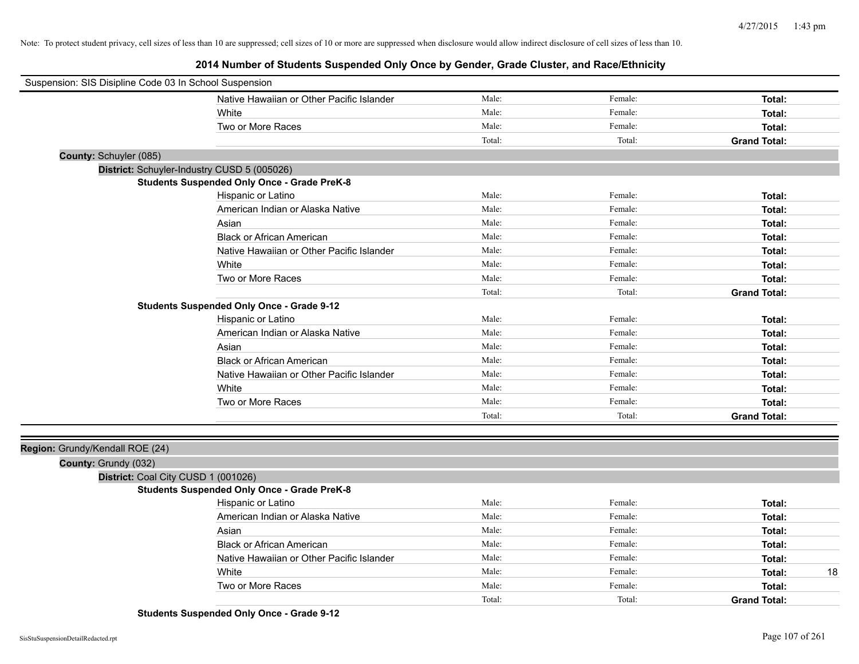**2014 Number of Students Suspended Only Once by Gender, Grade Cluster, and Race/Ethnicity**

| Suspension: SIS Disipline Code 03 In School Suspension |                                                    |        |         |                     |
|--------------------------------------------------------|----------------------------------------------------|--------|---------|---------------------|
|                                                        | Native Hawaiian or Other Pacific Islander          | Male:  | Female: | Total:              |
|                                                        | White                                              | Male:  | Female: | Total:              |
|                                                        | Two or More Races                                  | Male:  | Female: | Total:              |
|                                                        |                                                    | Total: | Total:  | <b>Grand Total:</b> |
| County: Schuyler (085)                                 |                                                    |        |         |                     |
|                                                        | District: Schuyler-Industry CUSD 5 (005026)        |        |         |                     |
|                                                        | <b>Students Suspended Only Once - Grade PreK-8</b> |        |         |                     |
|                                                        | Hispanic or Latino                                 | Male:  | Female: | Total:              |
|                                                        | American Indian or Alaska Native                   | Male:  | Female: | Total:              |
|                                                        | Asian                                              | Male:  | Female: | Total:              |
|                                                        | <b>Black or African American</b>                   | Male:  | Female: | Total:              |
|                                                        | Native Hawaiian or Other Pacific Islander          | Male:  | Female: | Total:              |
|                                                        | White                                              | Male:  | Female: | Total:              |
|                                                        | Two or More Races                                  | Male:  | Female: | Total:              |
|                                                        |                                                    | Total: | Total:  | <b>Grand Total:</b> |
|                                                        | <b>Students Suspended Only Once - Grade 9-12</b>   |        |         |                     |
|                                                        | Hispanic or Latino                                 | Male:  | Female: | Total:              |
|                                                        | American Indian or Alaska Native                   | Male:  | Female: | Total:              |
|                                                        | Asian                                              | Male:  | Female: | Total:              |
|                                                        | <b>Black or African American</b>                   | Male:  | Female: | Total:              |
|                                                        | Native Hawaiian or Other Pacific Islander          | Male:  | Female: | Total:              |
|                                                        | White                                              | Male:  | Female: | Total:              |
|                                                        | Two or More Races                                  | Male:  | Female: | Total:              |
|                                                        |                                                    | Total: | Total:  | <b>Grand Total:</b> |
|                                                        |                                                    |        |         |                     |
| Region: Grundy/Kendall ROE (24)                        |                                                    |        |         |                     |
| County: Grundy (032)                                   |                                                    |        |         |                     |
| District: Coal City CUSD 1 (001026)                    |                                                    |        |         |                     |
|                                                        | <b>Students Suspended Only Once - Grade PreK-8</b> |        |         |                     |
|                                                        | Hispanic or Latino                                 | Male:  | Female: | Total:              |
|                                                        | American Indian or Alaska Native                   | Male:  | Female: | Total:              |
|                                                        | Asian                                              | Male:  | Female: | Total:              |
|                                                        | <b>Black or African American</b>                   | Male:  | Female: | Total:              |
|                                                        | Native Hawaiian or Other Pacific Islander          | Male:  | Female: | Total:              |
|                                                        | White                                              | Male:  | Female: | 18<br>Total:        |
|                                                        | Two or More Races                                  | Male:  | Female: | Total:              |
|                                                        |                                                    | Total: | Total:  | <b>Grand Total:</b> |

**Students Suspended Only Once - Grade 9-12**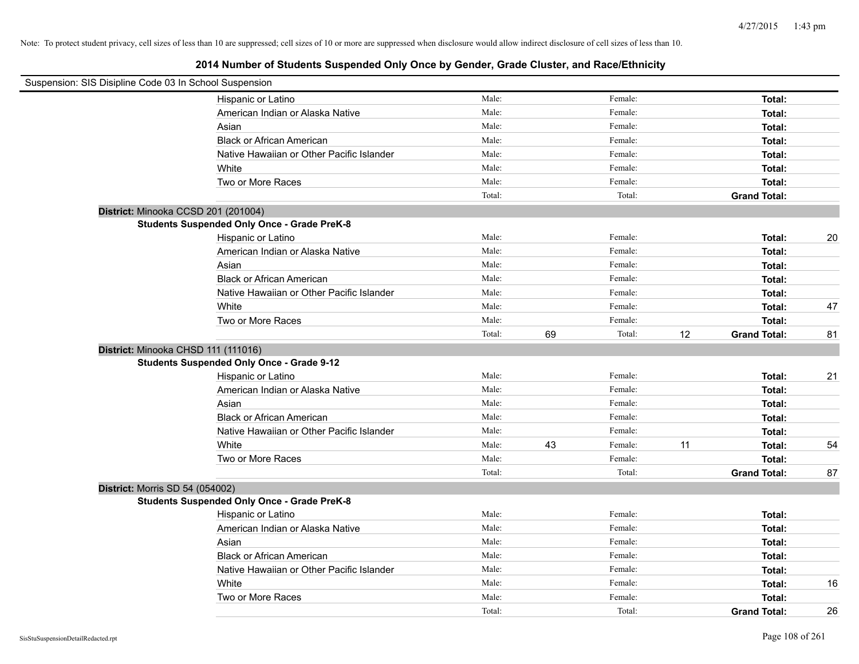| Suspension: SIS Disipline Code 03 In School Suspension |        |    |         |    |                     |    |
|--------------------------------------------------------|--------|----|---------|----|---------------------|----|
| Hispanic or Latino                                     | Male:  |    | Female: |    | Total:              |    |
| American Indian or Alaska Native                       | Male:  |    | Female: |    | Total:              |    |
| Asian                                                  | Male:  |    | Female: |    | Total:              |    |
| <b>Black or African American</b>                       | Male:  |    | Female: |    | Total:              |    |
| Native Hawaiian or Other Pacific Islander              | Male:  |    | Female: |    | Total:              |    |
| White                                                  | Male:  |    | Female: |    | Total:              |    |
| Two or More Races                                      | Male:  |    | Female: |    | Total:              |    |
|                                                        | Total: |    | Total:  |    | <b>Grand Total:</b> |    |
| District: Minooka CCSD 201 (201004)                    |        |    |         |    |                     |    |
| <b>Students Suspended Only Once - Grade PreK-8</b>     |        |    |         |    |                     |    |
| Hispanic or Latino                                     | Male:  |    | Female: |    | Total:              | 20 |
| American Indian or Alaska Native                       | Male:  |    | Female: |    | Total:              |    |
| Asian                                                  | Male:  |    | Female: |    | Total:              |    |
| <b>Black or African American</b>                       | Male:  |    | Female: |    | Total:              |    |
| Native Hawaiian or Other Pacific Islander              | Male:  |    | Female: |    | Total:              |    |
| White                                                  | Male:  |    | Female: |    | Total:              | 47 |
| Two or More Races                                      | Male:  |    | Female: |    | Total:              |    |
|                                                        | Total: | 69 | Total:  | 12 | <b>Grand Total:</b> | 81 |
| District: Minooka CHSD 111 (111016)                    |        |    |         |    |                     |    |
| <b>Students Suspended Only Once - Grade 9-12</b>       |        |    |         |    |                     |    |
| Hispanic or Latino                                     | Male:  |    | Female: |    | Total:              | 21 |
| American Indian or Alaska Native                       | Male:  |    | Female: |    | Total:              |    |
| Asian                                                  | Male:  |    | Female: |    | Total:              |    |
| <b>Black or African American</b>                       | Male:  |    | Female: |    | Total:              |    |
| Native Hawaiian or Other Pacific Islander              | Male:  |    | Female: |    | Total:              |    |
| White                                                  | Male:  | 43 | Female: | 11 | Total:              | 54 |
| Two or More Races                                      | Male:  |    | Female: |    | Total:              |    |
|                                                        | Total: |    | Total:  |    | <b>Grand Total:</b> | 87 |
| District: Morris SD 54 (054002)                        |        |    |         |    |                     |    |
| <b>Students Suspended Only Once - Grade PreK-8</b>     |        |    |         |    |                     |    |
| Hispanic or Latino                                     | Male:  |    | Female: |    | Total:              |    |
| American Indian or Alaska Native                       | Male:  |    | Female: |    | Total:              |    |
| Asian                                                  | Male:  |    | Female: |    | Total:              |    |
| <b>Black or African American</b>                       | Male:  |    | Female: |    | Total:              |    |
| Native Hawaiian or Other Pacific Islander              | Male:  |    | Female: |    | Total:              |    |
| White                                                  | Male:  |    | Female: |    | Total:              | 16 |
| Two or More Races                                      | Male:  |    | Female: |    | Total:              |    |
|                                                        | Total: |    | Total:  |    | <b>Grand Total:</b> | 26 |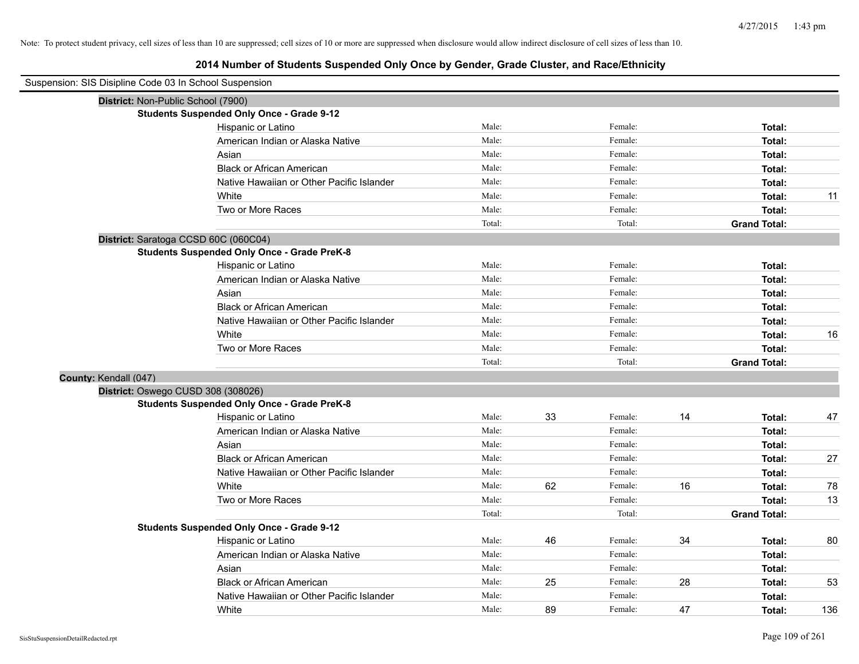## **2014 Number of Students Suspended Only Once by Gender, Grade Cluster, and Race/Ethnicity**

| Suspension: SIS Disipline Code 03 In School Suspension |                                                    |        |    |         |    |                     |     |
|--------------------------------------------------------|----------------------------------------------------|--------|----|---------|----|---------------------|-----|
|                                                        | District: Non-Public School (7900)                 |        |    |         |    |                     |     |
|                                                        | <b>Students Suspended Only Once - Grade 9-12</b>   |        |    |         |    |                     |     |
|                                                        | Hispanic or Latino                                 | Male:  |    | Female: |    | Total:              |     |
|                                                        | American Indian or Alaska Native                   | Male:  |    | Female: |    | Total:              |     |
|                                                        | Asian                                              | Male:  |    | Female: |    | Total:              |     |
|                                                        | <b>Black or African American</b>                   | Male:  |    | Female: |    | Total:              |     |
|                                                        | Native Hawaiian or Other Pacific Islander          | Male:  |    | Female: |    | Total:              |     |
|                                                        | White                                              | Male:  |    | Female: |    | Total:              | 11  |
|                                                        | Two or More Races                                  | Male:  |    | Female: |    | Total:              |     |
|                                                        |                                                    | Total: |    | Total:  |    | <b>Grand Total:</b> |     |
|                                                        | District: Saratoga CCSD 60C (060C04)               |        |    |         |    |                     |     |
|                                                        | <b>Students Suspended Only Once - Grade PreK-8</b> |        |    |         |    |                     |     |
|                                                        | Hispanic or Latino                                 | Male:  |    | Female: |    | Total:              |     |
|                                                        | American Indian or Alaska Native                   | Male:  |    | Female: |    | Total:              |     |
|                                                        | Asian                                              | Male:  |    | Female: |    | Total:              |     |
|                                                        | <b>Black or African American</b>                   | Male:  |    | Female: |    | Total:              |     |
|                                                        | Native Hawaiian or Other Pacific Islander          | Male:  |    | Female: |    | Total:              |     |
|                                                        | White                                              | Male:  |    | Female: |    | Total:              | 16  |
|                                                        | Two or More Races                                  | Male:  |    | Female: |    | Total:              |     |
|                                                        |                                                    | Total: |    | Total:  |    | <b>Grand Total:</b> |     |
| County: Kendall (047)                                  |                                                    |        |    |         |    |                     |     |
|                                                        | District: Oswego CUSD 308 (308026)                 |        |    |         |    |                     |     |
|                                                        | <b>Students Suspended Only Once - Grade PreK-8</b> |        |    |         |    |                     |     |
|                                                        | Hispanic or Latino                                 | Male:  | 33 | Female: | 14 | Total:              | 47  |
|                                                        | American Indian or Alaska Native                   | Male:  |    | Female: |    | Total:              |     |
|                                                        | Asian                                              | Male:  |    | Female: |    | Total:              |     |
|                                                        | <b>Black or African American</b>                   | Male:  |    | Female: |    | Total:              | 27  |
|                                                        | Native Hawaiian or Other Pacific Islander          | Male:  |    | Female: |    | Total:              |     |
|                                                        | White                                              | Male:  | 62 | Female: | 16 | Total:              | 78  |
|                                                        | Two or More Races                                  | Male:  |    | Female: |    | Total:              | 13  |
|                                                        |                                                    | Total: |    | Total:  |    | <b>Grand Total:</b> |     |
|                                                        | <b>Students Suspended Only Once - Grade 9-12</b>   |        |    |         |    |                     |     |
|                                                        | Hispanic or Latino                                 | Male:  | 46 | Female: | 34 | Total:              | 80  |
|                                                        | American Indian or Alaska Native                   | Male:  |    | Female: |    | Total:              |     |
|                                                        | Asian                                              | Male:  |    | Female: |    | Total:              |     |
|                                                        | <b>Black or African American</b>                   | Male:  | 25 | Female: | 28 | Total:              | 53  |
|                                                        | Native Hawaiian or Other Pacific Islander          | Male:  |    | Female: |    | Total:              |     |
|                                                        | White                                              | Male:  | 89 | Female: | 47 | Total:              | 136 |

 $\overline{\phantom{a}}$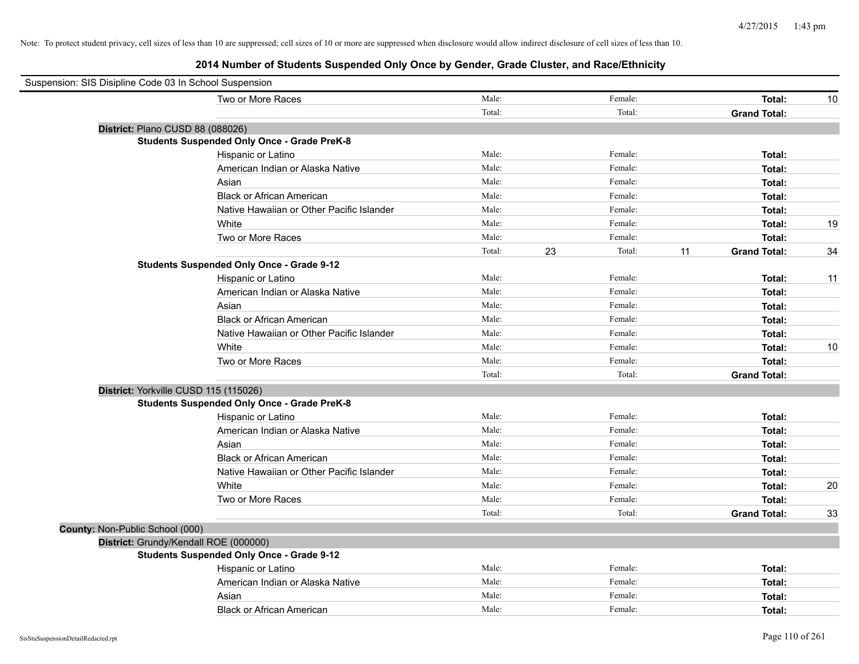| Suspension: SIS Disipline Code 03 In School Suspension |                                                    |        |    |         |    |                     |    |
|--------------------------------------------------------|----------------------------------------------------|--------|----|---------|----|---------------------|----|
|                                                        | Two or More Races                                  | Male:  |    | Female: |    | Total:              | 10 |
|                                                        |                                                    | Total: |    | Total:  |    | <b>Grand Total:</b> |    |
|                                                        | District: Plano CUSD 88 (088026)                   |        |    |         |    |                     |    |
|                                                        | <b>Students Suspended Only Once - Grade PreK-8</b> |        |    |         |    |                     |    |
|                                                        | Hispanic or Latino                                 | Male:  |    | Female: |    | Total:              |    |
|                                                        | American Indian or Alaska Native                   | Male:  |    | Female: |    | Total:              |    |
|                                                        | Asian                                              | Male:  |    | Female: |    | Total:              |    |
|                                                        | <b>Black or African American</b>                   | Male:  |    | Female: |    | Total:              |    |
|                                                        | Native Hawaiian or Other Pacific Islander          | Male:  |    | Female: |    | Total:              |    |
|                                                        | White                                              | Male:  |    | Female: |    | Total:              | 19 |
|                                                        | Two or More Races                                  | Male:  |    | Female: |    | Total:              |    |
|                                                        |                                                    | Total: | 23 | Total:  | 11 | <b>Grand Total:</b> | 34 |
|                                                        | <b>Students Suspended Only Once - Grade 9-12</b>   |        |    |         |    |                     |    |
|                                                        | Hispanic or Latino                                 | Male:  |    | Female: |    | Total:              | 11 |
|                                                        | American Indian or Alaska Native                   | Male:  |    | Female: |    | Total:              |    |
|                                                        | Asian                                              | Male:  |    | Female: |    | Total:              |    |
|                                                        | <b>Black or African American</b>                   | Male:  |    | Female: |    | Total:              |    |
|                                                        | Native Hawaiian or Other Pacific Islander          | Male:  |    | Female: |    | Total:              |    |
|                                                        | White                                              | Male:  |    | Female: |    | Total:              | 10 |
|                                                        | Two or More Races                                  | Male:  |    | Female: |    | Total:              |    |
|                                                        |                                                    | Total: |    | Total:  |    | <b>Grand Total:</b> |    |
|                                                        | District: Yorkville CUSD 115 (115026)              |        |    |         |    |                     |    |
|                                                        | <b>Students Suspended Only Once - Grade PreK-8</b> |        |    |         |    |                     |    |
|                                                        | Hispanic or Latino                                 | Male:  |    | Female: |    | Total:              |    |
|                                                        | American Indian or Alaska Native                   | Male:  |    | Female: |    | Total:              |    |
|                                                        | Asian                                              | Male:  |    | Female: |    | Total:              |    |
|                                                        | <b>Black or African American</b>                   | Male:  |    | Female: |    | Total:              |    |
|                                                        | Native Hawaiian or Other Pacific Islander          | Male:  |    | Female: |    | Total:              |    |
|                                                        | White                                              | Male:  |    | Female: |    | Total:              | 20 |
|                                                        | Two or More Races                                  | Male:  |    | Female: |    | Total:              |    |
|                                                        |                                                    | Total: |    | Total:  |    | <b>Grand Total:</b> | 33 |
| County: Non-Public School (000)                        |                                                    |        |    |         |    |                     |    |
|                                                        | District: Grundy/Kendall ROE (000000)              |        |    |         |    |                     |    |
|                                                        | <b>Students Suspended Only Once - Grade 9-12</b>   |        |    |         |    |                     |    |
|                                                        | Hispanic or Latino                                 | Male:  |    | Female: |    | Total:              |    |
|                                                        | American Indian or Alaska Native                   | Male:  |    | Female: |    | Total:              |    |
|                                                        | Asian                                              | Male:  |    | Female: |    | Total:              |    |
|                                                        | <b>Black or African American</b>                   | Male:  |    | Female: |    | Total:              |    |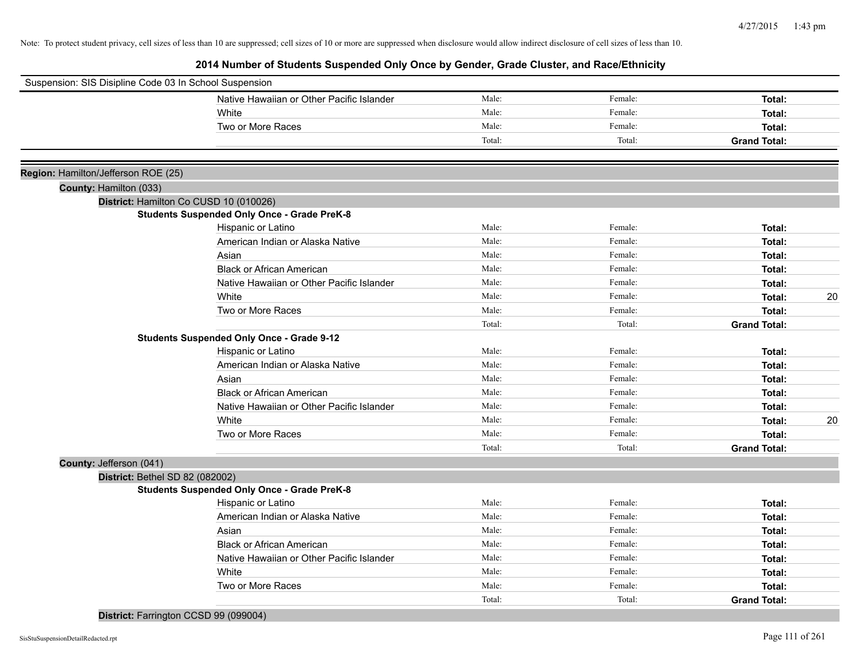**2014 Number of Students Suspended Only Once by Gender, Grade Cluster, and Race/Ethnicity**

| Suspension: SIS Disipline Code 03 In School Suspension |                                                    |        |         |                     |    |
|--------------------------------------------------------|----------------------------------------------------|--------|---------|---------------------|----|
|                                                        | Native Hawaiian or Other Pacific Islander          | Male:  | Female: | Total:              |    |
|                                                        | White                                              | Male:  | Female: | Total:              |    |
|                                                        | Two or More Races                                  | Male:  | Female: | Total:              |    |
|                                                        |                                                    | Total: | Total:  | <b>Grand Total:</b> |    |
|                                                        |                                                    |        |         |                     |    |
| Region: Hamilton/Jefferson ROE (25)                    |                                                    |        |         |                     |    |
| County: Hamilton (033)                                 |                                                    |        |         |                     |    |
|                                                        | District: Hamilton Co CUSD 10 (010026)             |        |         |                     |    |
|                                                        | <b>Students Suspended Only Once - Grade PreK-8</b> |        |         |                     |    |
|                                                        | Hispanic or Latino                                 | Male:  | Female: | Total:              |    |
|                                                        | American Indian or Alaska Native                   | Male:  | Female: | Total:              |    |
|                                                        | Asian                                              | Male:  | Female: | Total:              |    |
|                                                        | <b>Black or African American</b>                   | Male:  | Female: | Total:              |    |
|                                                        | Native Hawaiian or Other Pacific Islander          | Male:  | Female: | Total:              |    |
|                                                        | White                                              | Male:  | Female: | Total:              | 20 |
|                                                        | Two or More Races                                  | Male:  | Female: | Total:              |    |
|                                                        |                                                    | Total: | Total:  | <b>Grand Total:</b> |    |
|                                                        | <b>Students Suspended Only Once - Grade 9-12</b>   |        |         |                     |    |
|                                                        | Hispanic or Latino                                 | Male:  | Female: | Total:              |    |
|                                                        | American Indian or Alaska Native                   | Male:  | Female: | Total:              |    |
|                                                        | Asian                                              | Male:  | Female: | Total:              |    |
|                                                        | <b>Black or African American</b>                   | Male:  | Female: | Total:              |    |
|                                                        | Native Hawaiian or Other Pacific Islander          | Male:  | Female: | Total:              |    |
|                                                        | White                                              | Male:  | Female: | Total:              | 20 |
|                                                        | Two or More Races                                  | Male:  | Female: | Total:              |    |
|                                                        |                                                    | Total: | Total:  | <b>Grand Total:</b> |    |
| County: Jefferson (041)                                |                                                    |        |         |                     |    |
| District: Bethel SD 82 (082002)                        |                                                    |        |         |                     |    |
|                                                        | <b>Students Suspended Only Once - Grade PreK-8</b> |        |         |                     |    |
|                                                        | Hispanic or Latino                                 | Male:  | Female: | Total:              |    |
|                                                        | American Indian or Alaska Native                   | Male:  | Female: | Total:              |    |
|                                                        | Asian                                              | Male:  | Female: | Total:              |    |
|                                                        | <b>Black or African American</b>                   | Male:  | Female: | Total:              |    |
|                                                        | Native Hawaiian or Other Pacific Islander          | Male:  | Female: | Total:              |    |
|                                                        | White                                              | Male:  | Female: | Total:              |    |
|                                                        | Two or More Races                                  | Male:  | Female: | <b>Total:</b>       |    |
|                                                        |                                                    | Total: | Total:  | <b>Grand Total:</b> |    |

**District:** Farrington CCSD 99 (099004)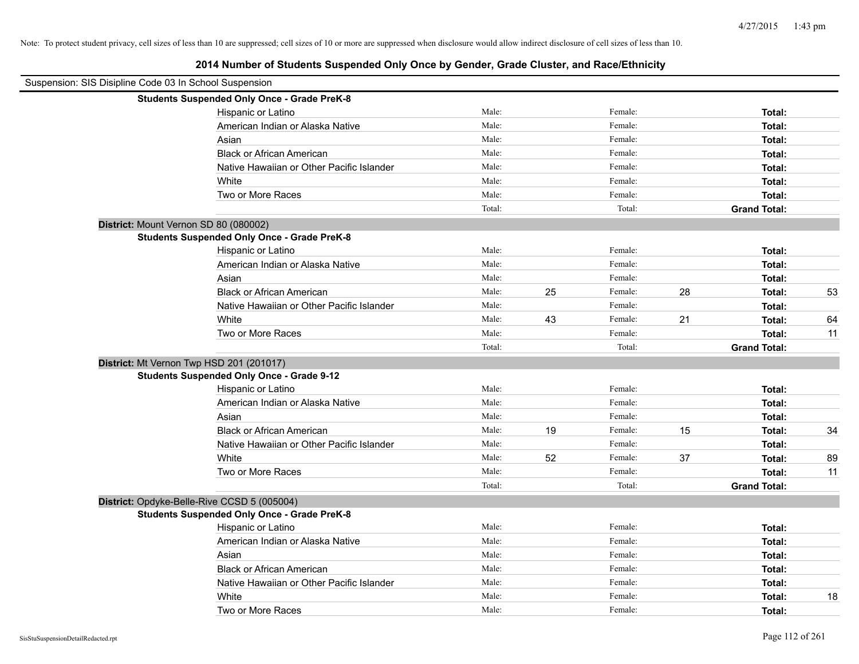| Suspension: SIS Disipline Code 03 In School Suspension |        |    |         |    |                     |    |
|--------------------------------------------------------|--------|----|---------|----|---------------------|----|
| <b>Students Suspended Only Once - Grade PreK-8</b>     |        |    |         |    |                     |    |
| Hispanic or Latino                                     | Male:  |    | Female: |    | Total:              |    |
| American Indian or Alaska Native                       | Male:  |    | Female: |    | Total:              |    |
| Asian                                                  | Male:  |    | Female: |    | Total:              |    |
| <b>Black or African American</b>                       | Male:  |    | Female: |    | Total:              |    |
| Native Hawaiian or Other Pacific Islander              | Male:  |    | Female: |    | Total:              |    |
| White                                                  | Male:  |    | Female: |    | Total:              |    |
| Two or More Races                                      | Male:  |    | Female: |    | Total:              |    |
|                                                        | Total: |    | Total:  |    | <b>Grand Total:</b> |    |
| District: Mount Vernon SD 80 (080002)                  |        |    |         |    |                     |    |
| <b>Students Suspended Only Once - Grade PreK-8</b>     |        |    |         |    |                     |    |
| Hispanic or Latino                                     | Male:  |    | Female: |    | Total:              |    |
| American Indian or Alaska Native                       | Male:  |    | Female: |    | Total:              |    |
| Asian                                                  | Male:  |    | Female: |    | Total:              |    |
| <b>Black or African American</b>                       | Male:  | 25 | Female: | 28 | Total:              | 53 |
| Native Hawaiian or Other Pacific Islander              | Male:  |    | Female: |    | Total:              |    |
| White                                                  | Male:  | 43 | Female: | 21 | Total:              | 64 |
| Two or More Races                                      | Male:  |    | Female: |    | Total:              | 11 |
|                                                        | Total: |    | Total:  |    | <b>Grand Total:</b> |    |
| District: Mt Vernon Twp HSD 201 (201017)               |        |    |         |    |                     |    |
| <b>Students Suspended Only Once - Grade 9-12</b>       |        |    |         |    |                     |    |
| Hispanic or Latino                                     | Male:  |    | Female: |    | Total:              |    |
| American Indian or Alaska Native                       | Male:  |    | Female: |    | Total:              |    |
| Asian                                                  | Male:  |    | Female: |    | Total:              |    |
| <b>Black or African American</b>                       | Male:  | 19 | Female: | 15 | Total:              | 34 |
| Native Hawaiian or Other Pacific Islander              | Male:  |    | Female: |    | Total:              |    |
| White                                                  | Male:  | 52 | Female: | 37 | Total:              | 89 |
| Two or More Races                                      | Male:  |    | Female: |    | Total:              | 11 |
|                                                        | Total: |    | Total:  |    | <b>Grand Total:</b> |    |
| District: Opdyke-Belle-Rive CCSD 5 (005004)            |        |    |         |    |                     |    |
| <b>Students Suspended Only Once - Grade PreK-8</b>     |        |    |         |    |                     |    |
| Hispanic or Latino                                     | Male:  |    | Female: |    | Total:              |    |
| American Indian or Alaska Native                       | Male:  |    | Female: |    | Total:              |    |
| Asian                                                  | Male:  |    | Female: |    | Total:              |    |
| <b>Black or African American</b>                       | Male:  |    | Female: |    | Total:              |    |
| Native Hawaiian or Other Pacific Islander              | Male:  |    | Female: |    | Total:              |    |
| White                                                  | Male:  |    | Female: |    | Total:              | 18 |
| Two or More Races                                      | Male:  |    | Female: |    | Total:              |    |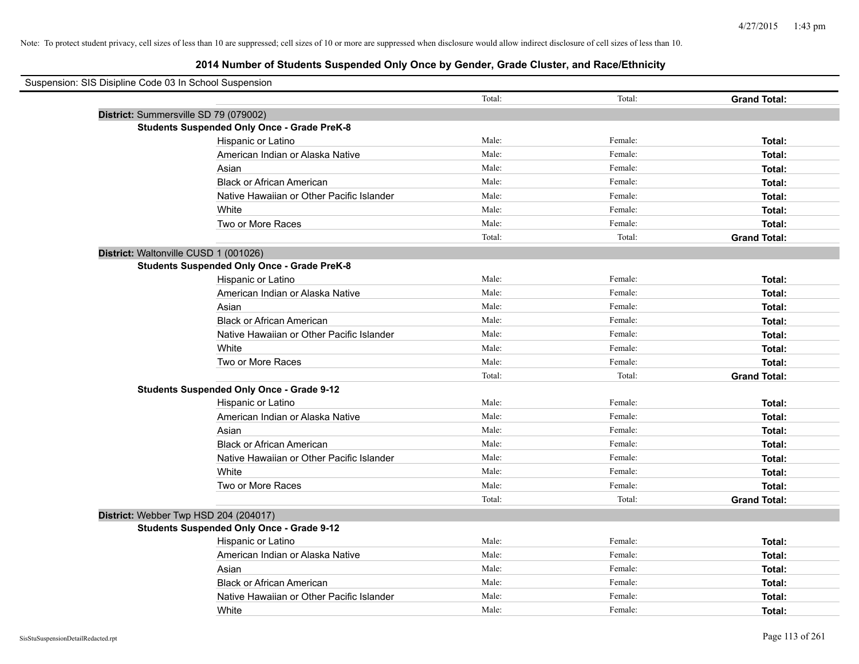## **2014 Number of Students Suspended Only Once by Gender, Grade Cluster, and Race/Ethnicity**

| Suspension: SIS Disipline Code 03 In School Suspension |                                                    |        |         |                     |
|--------------------------------------------------------|----------------------------------------------------|--------|---------|---------------------|
|                                                        |                                                    | Total: | Total:  | <b>Grand Total:</b> |
| District: Summersville SD 79 (079002)                  |                                                    |        |         |                     |
|                                                        | <b>Students Suspended Only Once - Grade PreK-8</b> |        |         |                     |
|                                                        | Hispanic or Latino                                 | Male:  | Female: | Total:              |
|                                                        | American Indian or Alaska Native                   | Male:  | Female: | Total:              |
|                                                        | Asian                                              | Male:  | Female: | Total:              |
|                                                        | <b>Black or African American</b>                   | Male:  | Female: | Total:              |
|                                                        | Native Hawaiian or Other Pacific Islander          | Male:  | Female: | Total:              |
|                                                        | White                                              | Male:  | Female: | Total:              |
|                                                        | Two or More Races                                  | Male:  | Female: | Total:              |
|                                                        |                                                    | Total: | Total:  | <b>Grand Total:</b> |
| District: Waltonville CUSD 1 (001026)                  |                                                    |        |         |                     |
|                                                        | <b>Students Suspended Only Once - Grade PreK-8</b> |        |         |                     |
|                                                        | Hispanic or Latino                                 | Male:  | Female: | Total:              |
|                                                        | American Indian or Alaska Native                   | Male:  | Female: | Total:              |
|                                                        | Asian                                              | Male:  | Female: | Total:              |
|                                                        | <b>Black or African American</b>                   | Male:  | Female: | Total:              |
|                                                        | Native Hawaiian or Other Pacific Islander          | Male:  | Female: | Total:              |
|                                                        | White                                              | Male:  | Female: | Total:              |
|                                                        | Two or More Races                                  | Male:  | Female: | Total:              |
|                                                        |                                                    | Total: | Total:  | <b>Grand Total:</b> |
|                                                        | <b>Students Suspended Only Once - Grade 9-12</b>   |        |         |                     |
|                                                        | Hispanic or Latino                                 | Male:  | Female: | Total:              |
|                                                        | American Indian or Alaska Native                   | Male:  | Female: | Total:              |
|                                                        | Asian                                              | Male:  | Female: | Total:              |
|                                                        | <b>Black or African American</b>                   | Male:  | Female: | Total:              |
|                                                        | Native Hawaiian or Other Pacific Islander          | Male:  | Female: | Total:              |
|                                                        | White                                              | Male:  | Female: | Total:              |
|                                                        | Two or More Races                                  | Male:  | Female: | Total:              |
|                                                        |                                                    | Total: | Total:  | <b>Grand Total:</b> |
| District: Webber Twp HSD 204 (204017)                  |                                                    |        |         |                     |
|                                                        | <b>Students Suspended Only Once - Grade 9-12</b>   |        |         |                     |
|                                                        | Hispanic or Latino                                 | Male:  | Female: | Total:              |
|                                                        | American Indian or Alaska Native                   | Male:  | Female: | Total:              |
|                                                        | Asian                                              | Male:  | Female: | Total:              |
|                                                        | <b>Black or African American</b>                   | Male:  | Female: | Total:              |
|                                                        | Native Hawaiian or Other Pacific Islander          | Male:  | Female: | Total:              |
|                                                        | White                                              | Male:  | Female: | Total:              |

 $\overline{\phantom{0}}$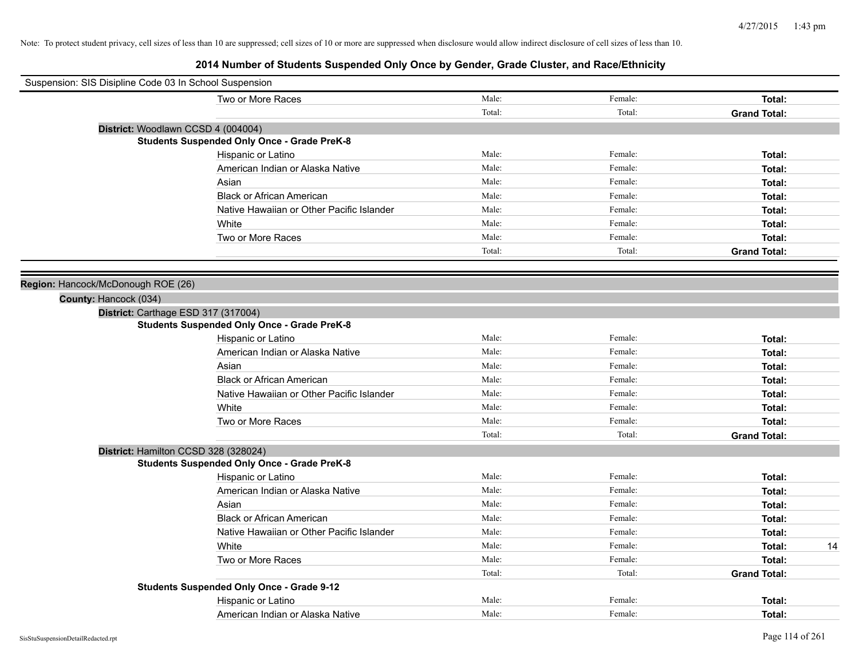| Suspension: SIS Disipline Code 03 In School Suspension |                                                    |        |         |                     |
|--------------------------------------------------------|----------------------------------------------------|--------|---------|---------------------|
|                                                        | Two or More Races                                  | Male:  | Female: | Total:              |
|                                                        |                                                    | Total: | Total:  | <b>Grand Total:</b> |
|                                                        | District: Woodlawn CCSD 4 (004004)                 |        |         |                     |
|                                                        | <b>Students Suspended Only Once - Grade PreK-8</b> |        |         |                     |
|                                                        | Hispanic or Latino                                 | Male:  | Female: | Total:              |
|                                                        | American Indian or Alaska Native                   | Male:  | Female: | Total:              |
|                                                        | Asian                                              | Male:  | Female: | Total:              |
|                                                        | <b>Black or African American</b>                   | Male:  | Female: | Total:              |
|                                                        | Native Hawaiian or Other Pacific Islander          | Male:  | Female: | Total:              |
|                                                        | White                                              | Male:  | Female: | Total:              |
|                                                        | Two or More Races                                  | Male:  | Female: | Total:              |
|                                                        |                                                    | Total: | Total:  | <b>Grand Total:</b> |
|                                                        |                                                    |        |         |                     |
| Region: Hancock/McDonough ROE (26)                     |                                                    |        |         |                     |
| County: Hancock (034)                                  |                                                    |        |         |                     |
|                                                        | District: Carthage ESD 317 (317004)                |        |         |                     |
|                                                        | <b>Students Suspended Only Once - Grade PreK-8</b> |        |         |                     |
|                                                        | Hispanic or Latino                                 | Male:  | Female: | Total:              |
|                                                        | American Indian or Alaska Native                   | Male:  | Female: | Total:              |
|                                                        | Asian                                              | Male:  | Female: | Total:              |
|                                                        | <b>Black or African American</b>                   | Male:  | Female: | Total:              |
|                                                        | Native Hawaiian or Other Pacific Islander          | Male:  | Female: | Total:              |
|                                                        | White                                              | Male:  | Female: | Total:              |
|                                                        | Two or More Races                                  | Male:  | Female: | Total:              |
|                                                        |                                                    | Total: | Total:  | <b>Grand Total:</b> |
|                                                        | District: Hamilton CCSD 328 (328024)               |        |         |                     |
|                                                        | <b>Students Suspended Only Once - Grade PreK-8</b> |        |         |                     |
|                                                        | Hispanic or Latino                                 | Male:  | Female: | Total:              |
|                                                        | American Indian or Alaska Native                   | Male:  | Female: | Total:              |
|                                                        | Asian                                              | Male:  | Female: | Total:              |
|                                                        | <b>Black or African American</b>                   | Male:  | Female: | Total:              |
|                                                        | Native Hawaiian or Other Pacific Islander          | Male:  | Female: | Total:              |
|                                                        | White                                              | Male:  | Female: | 14<br>Total:        |
|                                                        | Two or More Races                                  | Male:  | Female: | Total:              |
|                                                        |                                                    | Total: | Total:  | <b>Grand Total:</b> |
|                                                        | <b>Students Suspended Only Once - Grade 9-12</b>   |        |         |                     |
|                                                        | Hispanic or Latino                                 | Male:  | Female: | Total:              |
|                                                        | American Indian or Alaska Native                   | Male:  | Female: | Total:              |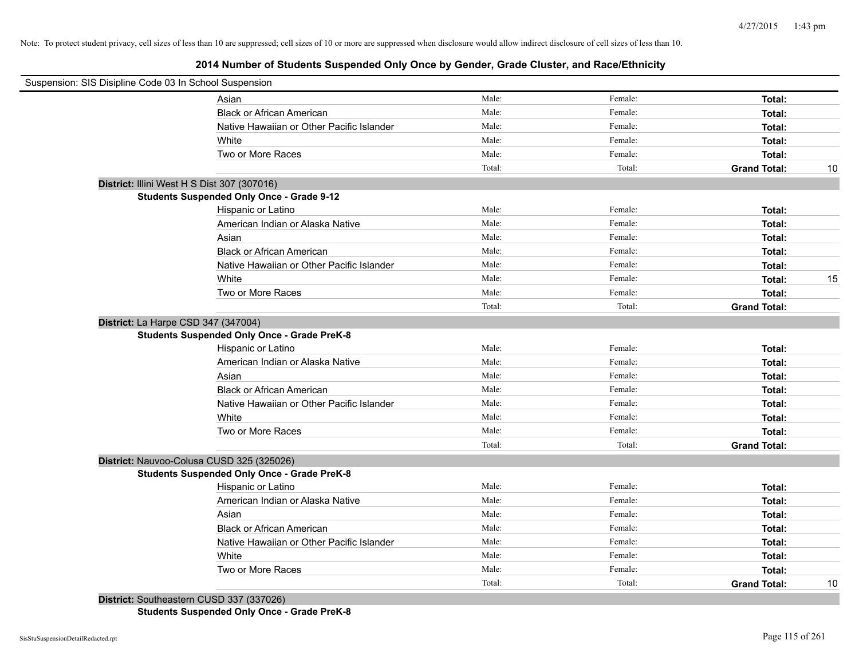## **2014 Number of Students Suspended Only Once by Gender, Grade Cluster, and Race/Ethnicity**

| Suspension: SIS Disipline Code 03 In School Suspension |                                                    |        |         |                     |    |
|--------------------------------------------------------|----------------------------------------------------|--------|---------|---------------------|----|
|                                                        | Asian                                              | Male:  | Female: | Total:              |    |
|                                                        | <b>Black or African American</b>                   | Male:  | Female: | Total:              |    |
|                                                        | Native Hawaiian or Other Pacific Islander          | Male:  | Female: | Total:              |    |
|                                                        | White                                              | Male:  | Female: | Total:              |    |
|                                                        | Two or More Races                                  | Male:  | Female: | Total:              |    |
|                                                        |                                                    | Total: | Total:  | <b>Grand Total:</b> | 10 |
|                                                        | District: Illini West H S Dist 307 (307016)        |        |         |                     |    |
|                                                        | <b>Students Suspended Only Once - Grade 9-12</b>   |        |         |                     |    |
|                                                        | Hispanic or Latino                                 | Male:  | Female: | Total:              |    |
|                                                        | American Indian or Alaska Native                   | Male:  | Female: | Total:              |    |
|                                                        | Asian                                              | Male:  | Female: | Total:              |    |
|                                                        | <b>Black or African American</b>                   | Male:  | Female: | Total:              |    |
|                                                        | Native Hawaiian or Other Pacific Islander          | Male:  | Female: | Total:              |    |
|                                                        | White                                              | Male:  | Female: | Total:              | 15 |
|                                                        | Two or More Races                                  | Male:  | Female: | Total:              |    |
|                                                        |                                                    | Total: | Total:  | <b>Grand Total:</b> |    |
| District: La Harpe CSD 347 (347004)                    |                                                    |        |         |                     |    |
|                                                        | <b>Students Suspended Only Once - Grade PreK-8</b> |        |         |                     |    |
|                                                        | Hispanic or Latino                                 | Male:  | Female: | Total:              |    |
|                                                        | American Indian or Alaska Native                   | Male:  | Female: | Total:              |    |
|                                                        | Asian                                              | Male:  | Female: | Total:              |    |
|                                                        | <b>Black or African American</b>                   | Male:  | Female: | Total:              |    |
|                                                        | Native Hawaiian or Other Pacific Islander          | Male:  | Female: | Total:              |    |
|                                                        | White                                              | Male:  | Female: | Total:              |    |
|                                                        | Two or More Races                                  | Male:  | Female: | Total:              |    |
|                                                        |                                                    | Total: | Total:  | <b>Grand Total:</b> |    |
|                                                        | District: Nauvoo-Colusa CUSD 325 (325026)          |        |         |                     |    |
|                                                        | <b>Students Suspended Only Once - Grade PreK-8</b> |        |         |                     |    |
|                                                        | Hispanic or Latino                                 | Male:  | Female: | Total:              |    |
|                                                        | American Indian or Alaska Native                   | Male:  | Female: | Total:              |    |
|                                                        | Asian                                              | Male:  | Female: | Total:              |    |
|                                                        | <b>Black or African American</b>                   | Male:  | Female: | Total:              |    |
|                                                        | Native Hawaiian or Other Pacific Islander          | Male:  | Female: | Total:              |    |
|                                                        | White                                              | Male:  | Female: | Total:              |    |
|                                                        | Two or More Races                                  | Male:  | Female: | Total:              |    |
|                                                        |                                                    | Total: | Total:  | <b>Grand Total:</b> | 10 |
|                                                        | District: Southeastern CUSD 337 (337026)           |        |         |                     |    |

**Students Suspended Only Once - Grade PreK-8**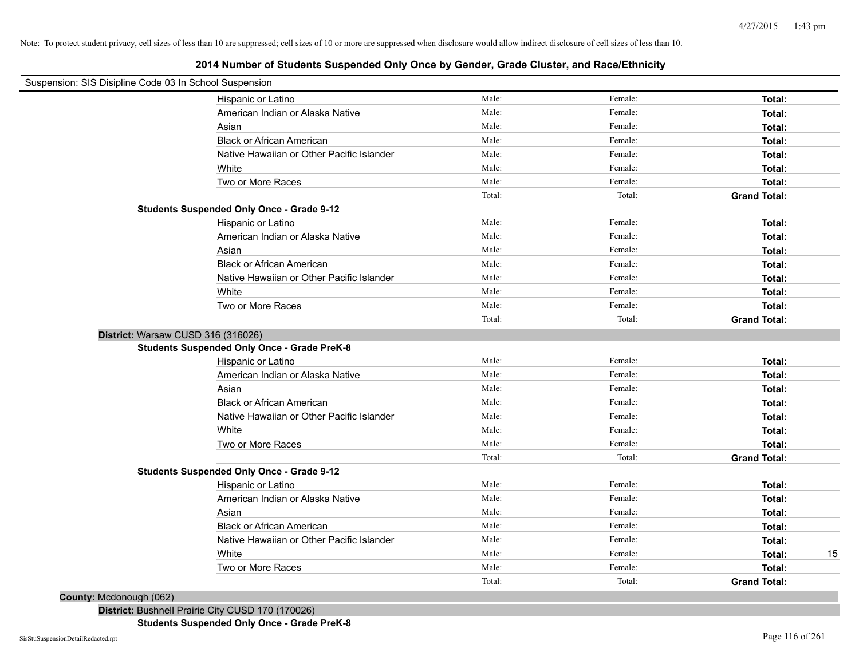## **2014 Number of Students Suspended Only Once by Gender, Grade Cluster, and Race/Ethnicity**

| Suspension: SIS Disipline Code 03 In School Suspension |                                                    |        |         |                     |    |
|--------------------------------------------------------|----------------------------------------------------|--------|---------|---------------------|----|
|                                                        | Hispanic or Latino                                 | Male:  | Female: | Total:              |    |
|                                                        | American Indian or Alaska Native                   | Male:  | Female: | Total:              |    |
|                                                        | Asian                                              | Male:  | Female: | Total:              |    |
|                                                        | <b>Black or African American</b>                   | Male:  | Female: | Total:              |    |
|                                                        | Native Hawaiian or Other Pacific Islander          | Male:  | Female: | Total:              |    |
|                                                        | White                                              | Male:  | Female: | Total:              |    |
|                                                        | Two or More Races                                  | Male:  | Female: | Total:              |    |
|                                                        |                                                    | Total: | Total:  | <b>Grand Total:</b> |    |
|                                                        | <b>Students Suspended Only Once - Grade 9-12</b>   |        |         |                     |    |
|                                                        | Hispanic or Latino                                 | Male:  | Female: | Total:              |    |
|                                                        | American Indian or Alaska Native                   | Male:  | Female: | Total:              |    |
|                                                        | Asian                                              | Male:  | Female: | Total:              |    |
|                                                        | <b>Black or African American</b>                   | Male:  | Female: | Total:              |    |
|                                                        | Native Hawaiian or Other Pacific Islander          | Male:  | Female: | Total:              |    |
|                                                        | White                                              | Male:  | Female: | Total:              |    |
|                                                        | Two or More Races                                  | Male:  | Female: | Total:              |    |
|                                                        |                                                    | Total: | Total:  | <b>Grand Total:</b> |    |
| District: Warsaw CUSD 316 (316026)                     |                                                    |        |         |                     |    |
|                                                        | <b>Students Suspended Only Once - Grade PreK-8</b> |        |         |                     |    |
|                                                        | Hispanic or Latino                                 | Male:  | Female: | Total:              |    |
|                                                        | American Indian or Alaska Native                   | Male:  | Female: | Total:              |    |
|                                                        | Asian                                              | Male:  | Female: | Total:              |    |
|                                                        | <b>Black or African American</b>                   | Male:  | Female: | Total:              |    |
|                                                        | Native Hawaiian or Other Pacific Islander          | Male:  | Female: | Total:              |    |
|                                                        | White                                              | Male:  | Female: | Total:              |    |
|                                                        | Two or More Races                                  | Male:  | Female: | Total:              |    |
|                                                        |                                                    | Total: | Total:  | <b>Grand Total:</b> |    |
|                                                        | <b>Students Suspended Only Once - Grade 9-12</b>   |        |         |                     |    |
|                                                        | Hispanic or Latino                                 | Male:  | Female: | Total:              |    |
|                                                        | American Indian or Alaska Native                   | Male:  | Female: | Total:              |    |
|                                                        | Asian                                              | Male:  | Female: | Total:              |    |
|                                                        | <b>Black or African American</b>                   | Male:  | Female: | Total:              |    |
|                                                        | Native Hawaiian or Other Pacific Islander          | Male:  | Female: | Total:              |    |
|                                                        | White                                              | Male:  | Female: | Total:              | 15 |
|                                                        | Two or More Races                                  | Male:  | Female: | Total:              |    |
|                                                        |                                                    | Total: | Total:  | <b>Grand Total:</b> |    |
| <b>County: Mcdonough (062)</b>                         |                                                    |        |         |                     |    |

**District:** Bushnell Prairie City CUSD 170 (170026)

**Students Suspended Only Once - Grade PreK-8**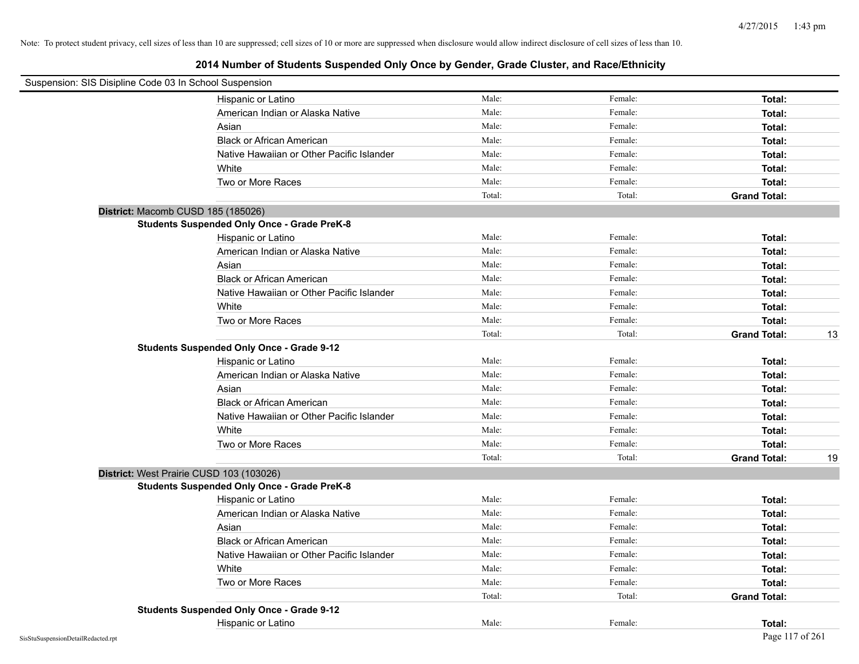| Suspension: SIS Disipline Code 03 In School Suspension |                                                    |        |         |                     |    |
|--------------------------------------------------------|----------------------------------------------------|--------|---------|---------------------|----|
|                                                        | Hispanic or Latino                                 | Male:  | Female: | Total:              |    |
|                                                        | American Indian or Alaska Native                   | Male:  | Female: | Total:              |    |
|                                                        | Asian                                              | Male:  | Female: | Total:              |    |
|                                                        | <b>Black or African American</b>                   | Male:  | Female: | Total:              |    |
|                                                        | Native Hawaiian or Other Pacific Islander          | Male:  | Female: | Total:              |    |
|                                                        | White                                              | Male:  | Female: | Total:              |    |
|                                                        | Two or More Races                                  | Male:  | Female: | Total:              |    |
|                                                        |                                                    | Total: | Total:  | <b>Grand Total:</b> |    |
|                                                        | District: Macomb CUSD 185 (185026)                 |        |         |                     |    |
|                                                        | <b>Students Suspended Only Once - Grade PreK-8</b> |        |         |                     |    |
|                                                        | Hispanic or Latino                                 | Male:  | Female: | Total:              |    |
|                                                        | American Indian or Alaska Native                   | Male:  | Female: | Total:              |    |
|                                                        | Asian                                              | Male:  | Female: | Total:              |    |
|                                                        | <b>Black or African American</b>                   | Male:  | Female: | Total:              |    |
|                                                        | Native Hawaiian or Other Pacific Islander          | Male:  | Female: | Total:              |    |
|                                                        | White                                              | Male:  | Female: | Total:              |    |
|                                                        | Two or More Races                                  | Male:  | Female: | Total:              |    |
|                                                        |                                                    | Total: | Total:  | <b>Grand Total:</b> | 13 |
|                                                        | <b>Students Suspended Only Once - Grade 9-12</b>   |        |         |                     |    |
|                                                        | Hispanic or Latino                                 | Male:  | Female: | Total:              |    |
|                                                        | American Indian or Alaska Native                   | Male:  | Female: | Total:              |    |
|                                                        | Asian                                              | Male:  | Female: | Total:              |    |
|                                                        | <b>Black or African American</b>                   | Male:  | Female: | Total:              |    |
|                                                        | Native Hawaiian or Other Pacific Islander          | Male:  | Female: | Total:              |    |
|                                                        | White                                              | Male:  | Female: | Total:              |    |
|                                                        | Two or More Races                                  | Male:  | Female: | Total:              |    |
|                                                        |                                                    | Total: | Total:  | <b>Grand Total:</b> | 19 |
|                                                        | District: West Prairie CUSD 103 (103026)           |        |         |                     |    |
|                                                        | <b>Students Suspended Only Once - Grade PreK-8</b> |        |         |                     |    |
|                                                        | Hispanic or Latino                                 | Male:  | Female: | Total:              |    |
|                                                        | American Indian or Alaska Native                   | Male:  | Female: | Total:              |    |
|                                                        | Asian                                              | Male:  | Female: | Total:              |    |
|                                                        | <b>Black or African American</b>                   | Male:  | Female: | Total:              |    |
|                                                        | Native Hawaiian or Other Pacific Islander          | Male:  | Female: | Total:              |    |
|                                                        | White                                              | Male:  | Female: | Total:              |    |
|                                                        | Two or More Races                                  | Male:  | Female: | Total:              |    |
|                                                        |                                                    | Total: | Total:  | <b>Grand Total:</b> |    |
|                                                        | <b>Students Suspended Only Once - Grade 9-12</b>   |        |         |                     |    |
|                                                        | Hispanic or Latino                                 | Male:  | Female: | Total:              |    |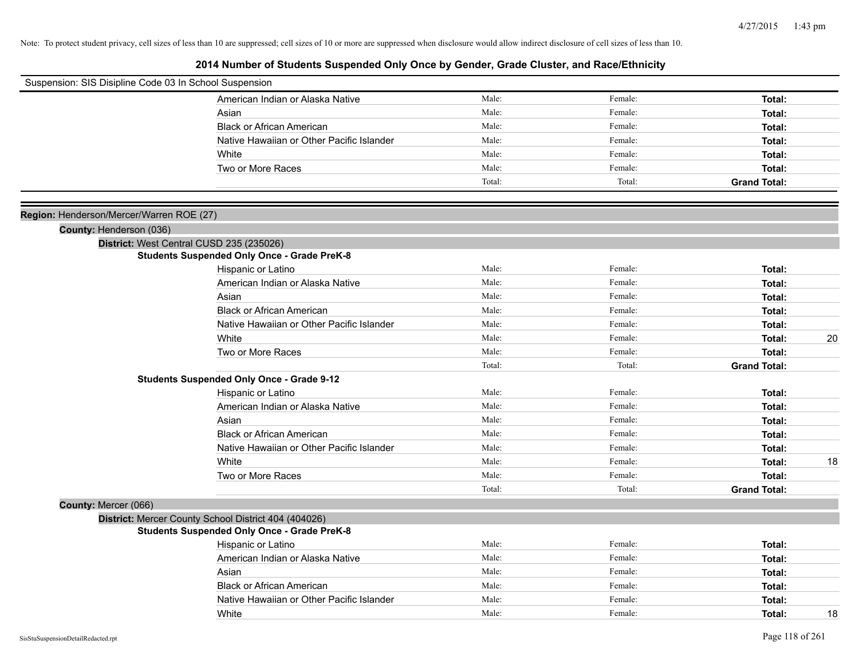| Suspension: SIS Disipline Code 03 In School Suspension |                                                      |        |         |                     |
|--------------------------------------------------------|------------------------------------------------------|--------|---------|---------------------|
|                                                        | American Indian or Alaska Native                     | Male:  | Female: | Total:              |
|                                                        | Asian                                                | Male:  | Female: | Total:              |
|                                                        | <b>Black or African American</b>                     | Male:  | Female: | Total:              |
|                                                        | Native Hawaiian or Other Pacific Islander            | Male:  | Female: | Total:              |
|                                                        | White                                                | Male:  | Female: | Total:              |
|                                                        | Two or More Races                                    | Male:  | Female: | Total:              |
|                                                        |                                                      | Total: | Total:  | <b>Grand Total:</b> |
|                                                        |                                                      |        |         |                     |
| Region: Henderson/Mercer/Warren ROE (27)               |                                                      |        |         |                     |
| County: Henderson (036)                                |                                                      |        |         |                     |
|                                                        | District: West Central CUSD 235 (235026)             |        |         |                     |
|                                                        | <b>Students Suspended Only Once - Grade PreK-8</b>   |        |         |                     |
|                                                        | Hispanic or Latino                                   | Male:  | Female: | Total:              |
|                                                        | American Indian or Alaska Native                     | Male:  | Female: | Total:              |
|                                                        | Asian                                                | Male:  | Female: | Total:              |
|                                                        | <b>Black or African American</b>                     | Male:  | Female: | Total:              |
|                                                        | Native Hawaiian or Other Pacific Islander            | Male:  | Female: | Total:              |
|                                                        | White                                                | Male:  | Female: | 20<br>Total:        |
|                                                        | Two or More Races                                    | Male:  | Female: | Total:              |
|                                                        |                                                      | Total: | Total:  | <b>Grand Total:</b> |
|                                                        | <b>Students Suspended Only Once - Grade 9-12</b>     |        |         |                     |
|                                                        | Hispanic or Latino                                   | Male:  | Female: | Total:              |
|                                                        | American Indian or Alaska Native                     | Male:  | Female: | Total:              |
|                                                        | Asian                                                | Male:  | Female: | Total:              |
|                                                        | <b>Black or African American</b>                     | Male:  | Female: | Total:              |
|                                                        | Native Hawaiian or Other Pacific Islander            | Male:  | Female: | Total:              |
|                                                        | White                                                | Male:  | Female: | 18<br>Total:        |
|                                                        | Two or More Races                                    | Male:  | Female: | Total:              |
|                                                        |                                                      | Total: | Total:  | <b>Grand Total:</b> |
| County: Mercer (066)                                   |                                                      |        |         |                     |
|                                                        | District: Mercer County School District 404 (404026) |        |         |                     |
|                                                        | <b>Students Suspended Only Once - Grade PreK-8</b>   |        |         |                     |
|                                                        | Hispanic or Latino                                   | Male:  | Female: | Total:              |
|                                                        | American Indian or Alaska Native                     | Male:  | Female: | Total:              |
|                                                        | Asian                                                | Male:  | Female: | Total:              |
|                                                        | <b>Black or African American</b>                     | Male:  | Female: | Total:              |
|                                                        | Native Hawaiian or Other Pacific Islander            | Male:  | Female: | Total:              |
|                                                        | White                                                | Male:  | Female: | 18<br>Total:        |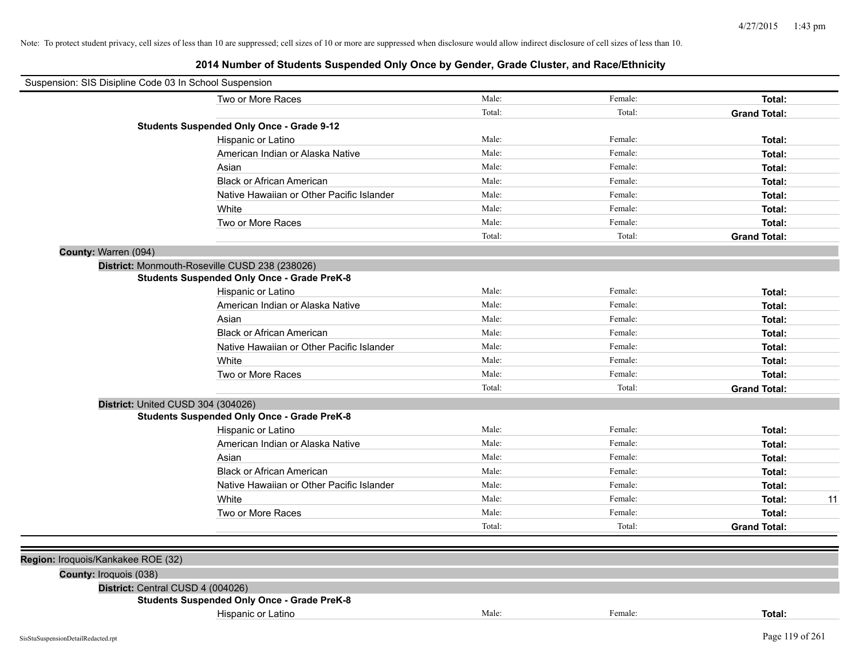| Two or More Races                                  |                                           | Male:  | Female: | Total:              |    |
|----------------------------------------------------|-------------------------------------------|--------|---------|---------------------|----|
|                                                    |                                           | Total: | Total:  | <b>Grand Total:</b> |    |
| <b>Students Suspended Only Once - Grade 9-12</b>   |                                           |        |         |                     |    |
| Hispanic or Latino                                 |                                           | Male:  | Female: | Total:              |    |
| American Indian or Alaska Native                   |                                           | Male:  | Female: | Total:              |    |
| Asian                                              |                                           | Male:  | Female: | Total:              |    |
| <b>Black or African American</b>                   |                                           | Male:  | Female: | Total:              |    |
|                                                    | Native Hawaiian or Other Pacific Islander | Male:  | Female: | Total:              |    |
| White                                              |                                           | Male:  | Female: | Total:              |    |
| Two or More Races                                  |                                           | Male:  | Female: | Total:              |    |
|                                                    |                                           | Total: | Total:  | <b>Grand Total:</b> |    |
| County: Warren (094)                               |                                           |        |         |                     |    |
| District: Monmouth-Roseville CUSD 238 (238026)     |                                           |        |         |                     |    |
| <b>Students Suspended Only Once - Grade PreK-8</b> |                                           |        |         |                     |    |
| Hispanic or Latino                                 |                                           | Male:  | Female: | Total:              |    |
| American Indian or Alaska Native                   |                                           | Male:  | Female: | Total:              |    |
| Asian                                              |                                           | Male:  | Female: | Total:              |    |
| <b>Black or African American</b>                   |                                           | Male:  | Female: | Total:              |    |
|                                                    | Native Hawaiian or Other Pacific Islander | Male:  | Female: | Total:              |    |
| White                                              |                                           | Male:  | Female: | Total:              |    |
| Two or More Races                                  |                                           | Male:  | Female: | Total:              |    |
|                                                    |                                           | Total: | Total:  | <b>Grand Total:</b> |    |
| District: United CUSD 304 (304026)                 |                                           |        |         |                     |    |
| <b>Students Suspended Only Once - Grade PreK-8</b> |                                           |        |         |                     |    |
| Hispanic or Latino                                 |                                           | Male:  | Female: | Total:              |    |
| American Indian or Alaska Native                   |                                           | Male:  | Female: | Total:              |    |
| Asian                                              |                                           | Male:  | Female: | Total:              |    |
| <b>Black or African American</b>                   |                                           | Male:  | Female: | Total:              |    |
|                                                    | Native Hawaiian or Other Pacific Islander | Male:  | Female: | Total:              |    |
| White                                              |                                           | Male:  | Female: | Total:              | 11 |
| Two or More Races                                  |                                           | Male:  | Female: | Total:              |    |
|                                                    |                                           | Total: | Total:  | <b>Grand Total:</b> |    |
|                                                    |                                           |        |         |                     |    |
| Region: Iroquois/Kankakee ROE (32)                 |                                           |        |         |                     |    |
| County: Iroquois (038)                             |                                           |        |         |                     |    |
| District: Central CUSD 4 (004026)                  |                                           |        |         |                     |    |
| <b>Students Suspended Only Once - Grade PreK-8</b> |                                           |        |         |                     |    |
| Hispanic or Latino                                 |                                           | Male:  | Female: | Total:              |    |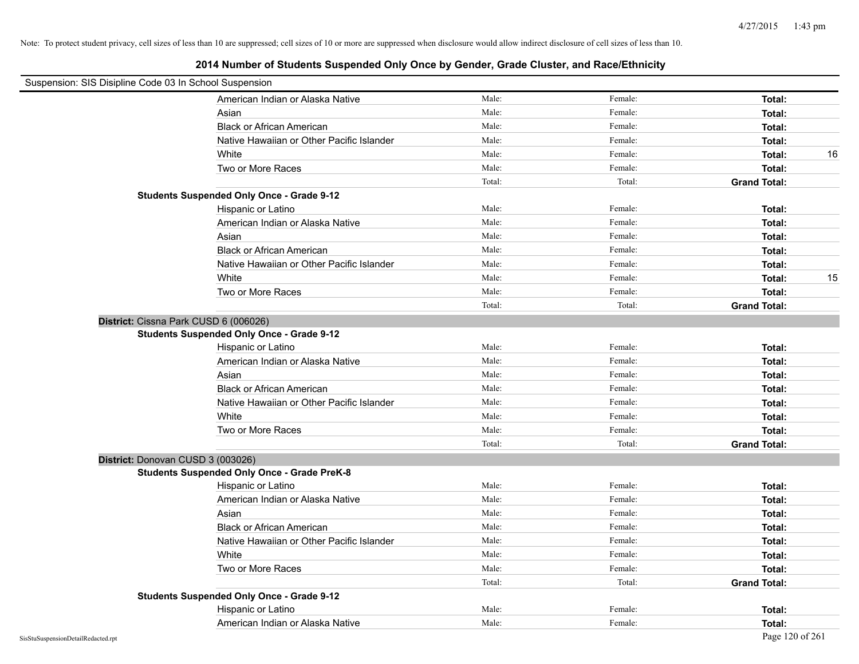| Suspension: SIS Disipline Code 03 In School Suspension |                                                    |        |         |                     |    |
|--------------------------------------------------------|----------------------------------------------------|--------|---------|---------------------|----|
|                                                        | American Indian or Alaska Native                   | Male:  | Female: | Total:              |    |
|                                                        | Asian                                              | Male:  | Female: | Total:              |    |
|                                                        | <b>Black or African American</b>                   | Male:  | Female: | Total:              |    |
|                                                        | Native Hawaiian or Other Pacific Islander          | Male:  | Female: | Total:              |    |
|                                                        | White                                              | Male:  | Female: | Total:              | 16 |
|                                                        | Two or More Races                                  | Male:  | Female: | Total:              |    |
|                                                        |                                                    | Total: | Total:  | <b>Grand Total:</b> |    |
|                                                        | <b>Students Suspended Only Once - Grade 9-12</b>   |        |         |                     |    |
|                                                        | Hispanic or Latino                                 | Male:  | Female: | Total:              |    |
|                                                        | American Indian or Alaska Native                   | Male:  | Female: | Total:              |    |
|                                                        | Asian                                              | Male:  | Female: | Total:              |    |
|                                                        | <b>Black or African American</b>                   | Male:  | Female: | Total:              |    |
|                                                        | Native Hawaiian or Other Pacific Islander          | Male:  | Female: | Total:              |    |
|                                                        | White                                              | Male:  | Female: | Total:              | 15 |
|                                                        | Two or More Races                                  | Male:  | Female: | Total:              |    |
|                                                        |                                                    | Total: | Total:  | <b>Grand Total:</b> |    |
| District: Cissna Park CUSD 6 (006026)                  |                                                    |        |         |                     |    |
|                                                        | <b>Students Suspended Only Once - Grade 9-12</b>   |        |         |                     |    |
|                                                        | Hispanic or Latino                                 | Male:  | Female: | Total:              |    |
|                                                        | American Indian or Alaska Native                   | Male:  | Female: | Total:              |    |
|                                                        | Asian                                              | Male:  | Female: | Total:              |    |
|                                                        | <b>Black or African American</b>                   | Male:  | Female: | Total:              |    |
|                                                        | Native Hawaiian or Other Pacific Islander          | Male:  | Female: | Total:              |    |
|                                                        | White                                              | Male:  | Female: | Total:              |    |
|                                                        | Two or More Races                                  | Male:  | Female: | Total:              |    |
|                                                        |                                                    | Total: | Total:  | <b>Grand Total:</b> |    |
| District: Donovan CUSD 3 (003026)                      |                                                    |        |         |                     |    |
|                                                        | <b>Students Suspended Only Once - Grade PreK-8</b> |        |         |                     |    |
|                                                        | Hispanic or Latino                                 | Male:  | Female: | Total:              |    |
|                                                        | American Indian or Alaska Native                   | Male:  | Female: | Total:              |    |
|                                                        | Asian                                              | Male:  | Female: | Total:              |    |
|                                                        | <b>Black or African American</b>                   | Male:  | Female: | Total:              |    |
|                                                        | Native Hawaiian or Other Pacific Islander          | Male:  | Female: | Total:              |    |
|                                                        | White                                              | Male:  | Female: | Total:              |    |
|                                                        | Two or More Races                                  | Male:  | Female: | Total:              |    |
|                                                        |                                                    | Total: | Total:  | <b>Grand Total:</b> |    |
|                                                        | <b>Students Suspended Only Once - Grade 9-12</b>   |        |         |                     |    |
|                                                        | Hispanic or Latino                                 | Male:  | Female: | Total:              |    |
|                                                        | American Indian or Alaska Native                   | Male:  | Female: | Total:              |    |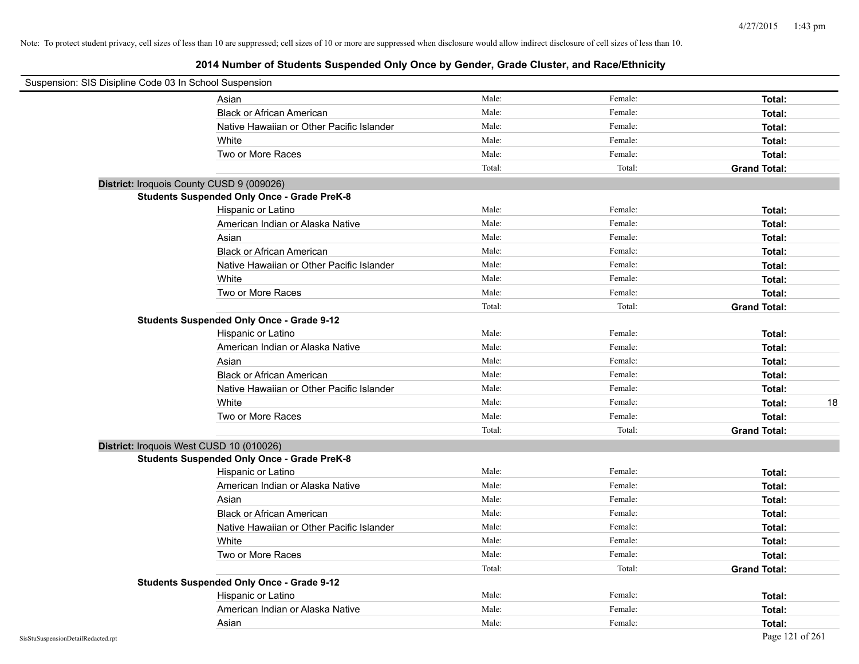| Suspension: SIS Disipline Code 03 In School Suspension |                                           |        |         |                     |
|--------------------------------------------------------|-------------------------------------------|--------|---------|---------------------|
| Asian                                                  |                                           | Male:  | Female: | Total:              |
|                                                        | <b>Black or African American</b>          | Male:  | Female: | Total:              |
|                                                        | Native Hawaiian or Other Pacific Islander | Male:  | Female: | Total:              |
| White                                                  |                                           | Male:  | Female: | Total:              |
|                                                        | Two or More Races                         | Male:  | Female: | Total:              |
|                                                        |                                           | Total: | Total:  | <b>Grand Total:</b> |
| District: Iroquois County CUSD 9 (009026)              |                                           |        |         |                     |
| <b>Students Suspended Only Once - Grade PreK-8</b>     |                                           |        |         |                     |
|                                                        | Hispanic or Latino                        | Male:  | Female: | Total:              |
|                                                        | American Indian or Alaska Native          | Male:  | Female: | Total:              |
| Asian                                                  |                                           | Male:  | Female: | Total:              |
|                                                        | <b>Black or African American</b>          | Male:  | Female: | Total:              |
|                                                        | Native Hawaiian or Other Pacific Islander | Male:  | Female: | Total:              |
| White                                                  |                                           | Male:  | Female: | Total:              |
|                                                        | Two or More Races                         | Male:  | Female: | Total:              |
|                                                        |                                           | Total: | Total:  | <b>Grand Total:</b> |
| <b>Students Suspended Only Once - Grade 9-12</b>       |                                           |        |         |                     |
|                                                        | Hispanic or Latino                        | Male:  | Female: | Total:              |
|                                                        | American Indian or Alaska Native          | Male:  | Female: | Total:              |
| Asian                                                  |                                           | Male:  | Female: | Total:              |
|                                                        | <b>Black or African American</b>          | Male:  | Female: | Total:              |
|                                                        | Native Hawaiian or Other Pacific Islander | Male:  | Female: | Total:              |
| White                                                  |                                           | Male:  | Female: | 18<br>Total:        |
|                                                        | Two or More Races                         | Male:  | Female: | Total:              |
|                                                        |                                           | Total: | Total:  | <b>Grand Total:</b> |
| District: Iroquois West CUSD 10 (010026)               |                                           |        |         |                     |
| <b>Students Suspended Only Once - Grade PreK-8</b>     |                                           |        |         |                     |
|                                                        | Hispanic or Latino                        | Male:  | Female: | Total:              |
|                                                        | American Indian or Alaska Native          | Male:  | Female: | Total:              |
| Asian                                                  |                                           | Male:  | Female: | Total:              |
|                                                        | <b>Black or African American</b>          | Male:  | Female: | Total:              |
|                                                        | Native Hawaiian or Other Pacific Islander | Male:  | Female: | Total:              |
| White                                                  |                                           | Male:  | Female: | Total:              |
|                                                        | Two or More Races                         | Male:  | Female: | Total:              |
|                                                        |                                           | Total: | Total:  | <b>Grand Total:</b> |
| <b>Students Suspended Only Once - Grade 9-12</b>       |                                           |        |         |                     |
|                                                        | Hispanic or Latino                        | Male:  | Female: | Total:              |
|                                                        | American Indian or Alaska Native          | Male:  | Female: | Total:              |
| Asian                                                  |                                           | Male:  | Female: | Total:              |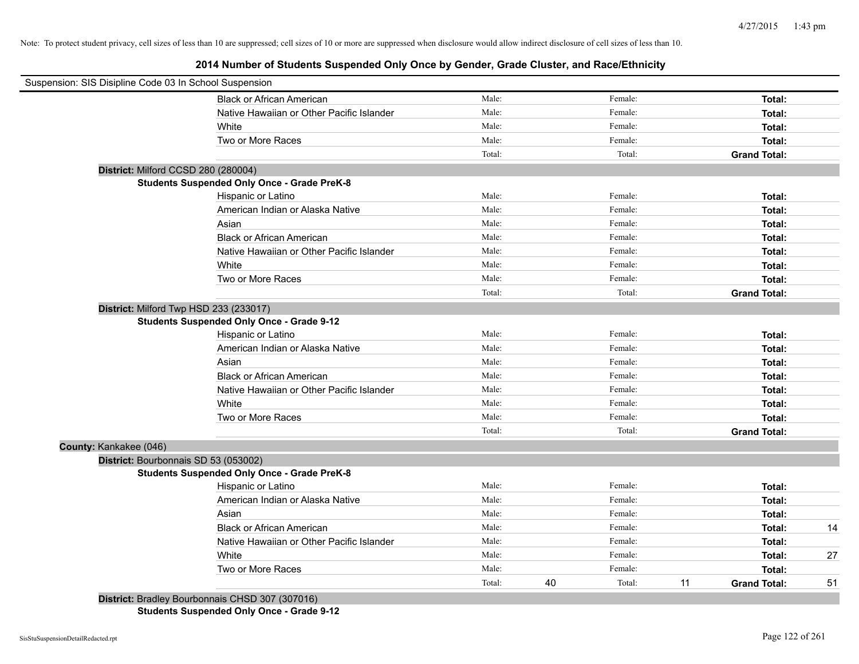## **2014 Number of Students Suspended Only Once by Gender, Grade Cluster, and Race/Ethnicity**

|                        | Suspension: SIS Disipline Code 03 In School Suspension                                                                                                                                                                                                                                                                                                                                           |        |    |         |    |                     |    |
|------------------------|--------------------------------------------------------------------------------------------------------------------------------------------------------------------------------------------------------------------------------------------------------------------------------------------------------------------------------------------------------------------------------------------------|--------|----|---------|----|---------------------|----|
|                        | <b>Black or African American</b>                                                                                                                                                                                                                                                                                                                                                                 | Male:  |    | Female: |    | Total:              |    |
|                        | Native Hawaiian or Other Pacific Islander                                                                                                                                                                                                                                                                                                                                                        | Male:  |    | Female: |    | Total:              |    |
|                        | White                                                                                                                                                                                                                                                                                                                                                                                            | Male:  |    | Female: |    | Total:              |    |
|                        | Two or More Races                                                                                                                                                                                                                                                                                                                                                                                | Male:  |    | Female: |    | Total:              |    |
|                        |                                                                                                                                                                                                                                                                                                                                                                                                  | Total: |    | Total:  |    | <b>Grand Total:</b> |    |
|                        | District: Milford CCSD 280 (280004)                                                                                                                                                                                                                                                                                                                                                              |        |    |         |    |                     |    |
|                        | <b>Students Suspended Only Once - Grade PreK-8</b>                                                                                                                                                                                                                                                                                                                                               |        |    |         |    |                     |    |
|                        | Hispanic or Latino                                                                                                                                                                                                                                                                                                                                                                               | Male:  |    | Female: |    | Total:              |    |
|                        | American Indian or Alaska Native                                                                                                                                                                                                                                                                                                                                                                 | Male:  |    | Female: |    | Total:              |    |
|                        | Asian                                                                                                                                                                                                                                                                                                                                                                                            | Male:  |    | Female: |    | Total:              |    |
|                        | <b>Black or African American</b>                                                                                                                                                                                                                                                                                                                                                                 | Male:  |    | Female: |    | Total:              |    |
|                        | Native Hawaiian or Other Pacific Islander                                                                                                                                                                                                                                                                                                                                                        | Male:  |    | Female: |    | Total:              |    |
|                        | White                                                                                                                                                                                                                                                                                                                                                                                            | Male:  |    | Female: |    | Total:              |    |
|                        | Two or More Races                                                                                                                                                                                                                                                                                                                                                                                | Male:  |    | Female: |    | Total:              |    |
|                        |                                                                                                                                                                                                                                                                                                                                                                                                  | Total: |    | Total:  |    | <b>Grand Total:</b> |    |
|                        | District: Milford Twp HSD 233 (233017)                                                                                                                                                                                                                                                                                                                                                           |        |    |         |    |                     |    |
|                        | <b>Students Suspended Only Once - Grade 9-12</b>                                                                                                                                                                                                                                                                                                                                                 |        |    |         |    |                     |    |
|                        | Hispanic or Latino                                                                                                                                                                                                                                                                                                                                                                               | Male:  |    | Female: |    | Total:              |    |
|                        | American Indian or Alaska Native                                                                                                                                                                                                                                                                                                                                                                 | Male:  |    | Female: |    | Total:              |    |
|                        | Asian                                                                                                                                                                                                                                                                                                                                                                                            | Male:  |    | Female: |    | Total:              |    |
|                        | <b>Black or African American</b>                                                                                                                                                                                                                                                                                                                                                                 | Male:  |    | Female: |    | Total:              |    |
|                        | Native Hawaiian or Other Pacific Islander                                                                                                                                                                                                                                                                                                                                                        | Male:  |    | Female: |    | Total:              |    |
|                        | White                                                                                                                                                                                                                                                                                                                                                                                            | Male:  |    | Female: |    | Total:              |    |
|                        | Two or More Races                                                                                                                                                                                                                                                                                                                                                                                | Male:  |    | Female: |    | Total:              |    |
|                        |                                                                                                                                                                                                                                                                                                                                                                                                  | Total: |    | Total:  |    | <b>Grand Total:</b> |    |
| County: Kankakee (046) |                                                                                                                                                                                                                                                                                                                                                                                                  |        |    |         |    |                     |    |
|                        | District: Bourbonnais SD 53 (053002)                                                                                                                                                                                                                                                                                                                                                             |        |    |         |    |                     |    |
|                        | <b>Students Suspended Only Once - Grade PreK-8</b>                                                                                                                                                                                                                                                                                                                                               |        |    |         |    |                     |    |
|                        | Hispanic or Latino                                                                                                                                                                                                                                                                                                                                                                               | Male:  |    | Female: |    | Total:              |    |
|                        | American Indian or Alaska Native                                                                                                                                                                                                                                                                                                                                                                 | Male:  |    | Female: |    | Total:              |    |
|                        | Asian                                                                                                                                                                                                                                                                                                                                                                                            | Male:  |    | Female: |    | Total:              |    |
|                        | <b>Black or African American</b>                                                                                                                                                                                                                                                                                                                                                                 | Male:  |    | Female: |    | Total:              | 14 |
|                        | Native Hawaiian or Other Pacific Islander                                                                                                                                                                                                                                                                                                                                                        | Male:  |    | Female: |    | Total:              |    |
|                        | White                                                                                                                                                                                                                                                                                                                                                                                            | Male:  |    | Female: |    | Total:              | 27 |
|                        | Two or More Races                                                                                                                                                                                                                                                                                                                                                                                | Male:  |    | Female: |    | Total:              |    |
|                        |                                                                                                                                                                                                                                                                                                                                                                                                  | Total: | 40 | Total:  | 11 | <b>Grand Total:</b> | 51 |
|                        | ________<br>$\overline{a}$ $\overline{a}$ $\overline{a}$ $\overline{a}$ $\overline{a}$ $\overline{a}$ $\overline{a}$ $\overline{a}$ $\overline{a}$ $\overline{a}$ $\overline{a}$ $\overline{a}$ $\overline{a}$ $\overline{a}$ $\overline{a}$ $\overline{a}$ $\overline{a}$ $\overline{a}$ $\overline{a}$ $\overline{a}$ $\overline{a}$ $\overline{a}$ $\overline{a}$ $\overline{a}$ $\overline{$ |        |    |         |    |                     |    |

**District:** Bradley Bourbonnais CHSD 307 (307016)

**Students Suspended Only Once - Grade 9-12**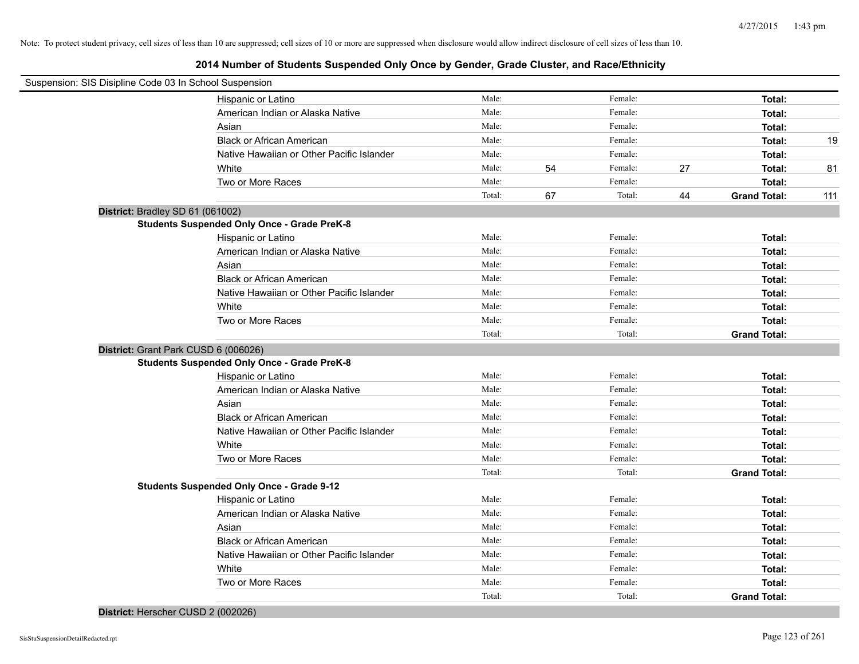## **2014 Number of Students Suspended Only Once by Gender, Grade Cluster, and Race/Ethnicity**

| Suspension: SIS Disipline Code 03 In School Suspension |                                                    |        |    |         |    |                     |     |
|--------------------------------------------------------|----------------------------------------------------|--------|----|---------|----|---------------------|-----|
|                                                        | Hispanic or Latino                                 | Male:  |    | Female: |    | Total:              |     |
|                                                        | American Indian or Alaska Native                   | Male:  |    | Female: |    | Total:              |     |
|                                                        | Asian                                              | Male:  |    | Female: |    | Total:              |     |
|                                                        | <b>Black or African American</b>                   | Male:  |    | Female: |    | Total:              | 19  |
|                                                        | Native Hawaiian or Other Pacific Islander          | Male:  |    | Female: |    | Total:              |     |
|                                                        | White                                              | Male:  | 54 | Female: | 27 | Total:              | 81  |
|                                                        | Two or More Races                                  | Male:  |    | Female: |    | Total:              |     |
|                                                        |                                                    | Total: | 67 | Total:  | 44 | <b>Grand Total:</b> | 111 |
| District: Bradley SD 61 (061002)                       |                                                    |        |    |         |    |                     |     |
|                                                        | <b>Students Suspended Only Once - Grade PreK-8</b> |        |    |         |    |                     |     |
|                                                        | Hispanic or Latino                                 | Male:  |    | Female: |    | Total:              |     |
|                                                        | American Indian or Alaska Native                   | Male:  |    | Female: |    | Total:              |     |
|                                                        | Asian                                              | Male:  |    | Female: |    | Total:              |     |
|                                                        | <b>Black or African American</b>                   | Male:  |    | Female: |    | Total:              |     |
|                                                        | Native Hawaiian or Other Pacific Islander          | Male:  |    | Female: |    | Total:              |     |
|                                                        | White                                              | Male:  |    | Female: |    | Total:              |     |
|                                                        | Two or More Races                                  | Male:  |    | Female: |    | Total:              |     |
|                                                        |                                                    | Total: |    | Total:  |    | <b>Grand Total:</b> |     |
| District: Grant Park CUSD 6 (006026)                   |                                                    |        |    |         |    |                     |     |
|                                                        | <b>Students Suspended Only Once - Grade PreK-8</b> |        |    |         |    |                     |     |
|                                                        | Hispanic or Latino                                 | Male:  |    | Female: |    | Total:              |     |
|                                                        | American Indian or Alaska Native                   | Male:  |    | Female: |    | Total:              |     |
|                                                        | Asian                                              | Male:  |    | Female: |    | Total:              |     |
|                                                        | <b>Black or African American</b>                   | Male:  |    | Female: |    | Total:              |     |
|                                                        | Native Hawaiian or Other Pacific Islander          | Male:  |    | Female: |    | Total:              |     |
|                                                        | White                                              | Male:  |    | Female: |    | Total:              |     |
|                                                        | Two or More Races                                  | Male:  |    | Female: |    | Total:              |     |
|                                                        |                                                    | Total: |    | Total:  |    | <b>Grand Total:</b> |     |
|                                                        | <b>Students Suspended Only Once - Grade 9-12</b>   |        |    |         |    |                     |     |
|                                                        | Hispanic or Latino                                 | Male:  |    | Female: |    | Total:              |     |
|                                                        | American Indian or Alaska Native                   | Male:  |    | Female: |    | Total:              |     |
|                                                        | Asian                                              | Male:  |    | Female: |    | Total:              |     |
|                                                        | <b>Black or African American</b>                   | Male:  |    | Female: |    | Total:              |     |
|                                                        | Native Hawaiian or Other Pacific Islander          | Male:  |    | Female: |    | Total:              |     |
|                                                        | White                                              | Male:  |    | Female: |    | Total:              |     |
|                                                        | Two or More Races                                  | Male:  |    | Female: |    | Total:              |     |
|                                                        |                                                    | Total: |    | Total:  |    | <b>Grand Total:</b> |     |

**District:** Herscher CUSD 2 (002026)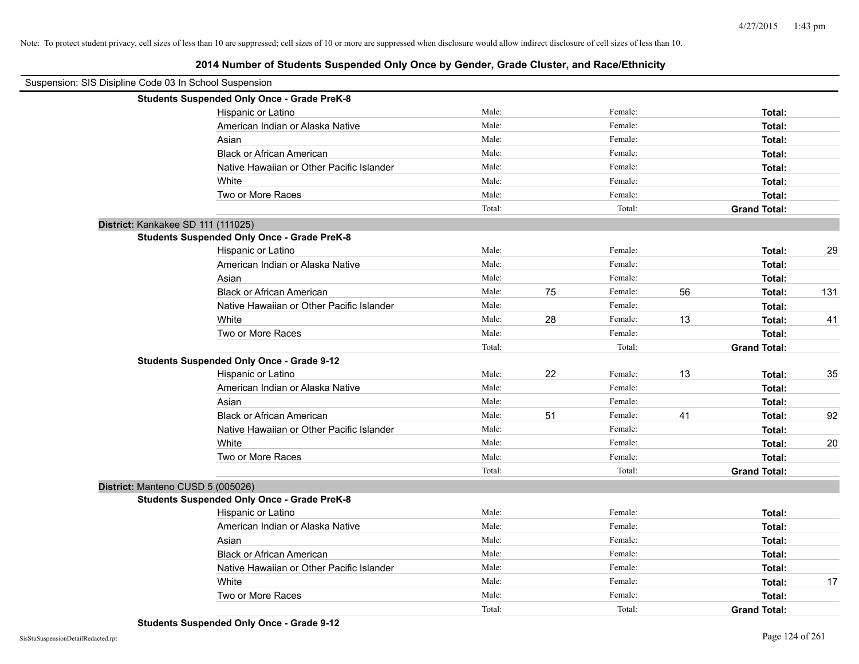| Suspension: SIS Disipline Code 03 In School Suspension |                                                    |        |    |         |    |                     |     |
|--------------------------------------------------------|----------------------------------------------------|--------|----|---------|----|---------------------|-----|
|                                                        | <b>Students Suspended Only Once - Grade PreK-8</b> |        |    |         |    |                     |     |
|                                                        | Hispanic or Latino                                 | Male:  |    | Female: |    | Total:              |     |
|                                                        | American Indian or Alaska Native                   | Male:  |    | Female: |    | Total:              |     |
|                                                        | Asian                                              | Male:  |    | Female: |    | Total:              |     |
|                                                        | <b>Black or African American</b>                   | Male:  |    | Female: |    | Total:              |     |
|                                                        | Native Hawaiian or Other Pacific Islander          | Male:  |    | Female: |    | Total:              |     |
|                                                        | White                                              | Male:  |    | Female: |    | Total:              |     |
|                                                        | Two or More Races                                  | Male:  |    | Female: |    | Total:              |     |
|                                                        |                                                    | Total: |    | Total:  |    | <b>Grand Total:</b> |     |
| District: Kankakee SD 111 (111025)                     |                                                    |        |    |         |    |                     |     |
|                                                        | <b>Students Suspended Only Once - Grade PreK-8</b> |        |    |         |    |                     |     |
|                                                        | Hispanic or Latino                                 | Male:  |    | Female: |    | Total:              | 29  |
|                                                        | American Indian or Alaska Native                   | Male:  |    | Female: |    | Total:              |     |
|                                                        | Asian                                              | Male:  |    | Female: |    | Total:              |     |
|                                                        | <b>Black or African American</b>                   | Male:  | 75 | Female: | 56 | Total:              | 131 |
|                                                        | Native Hawaiian or Other Pacific Islander          | Male:  |    | Female: |    | Total:              |     |
|                                                        | White                                              | Male:  | 28 | Female: | 13 | Total:              | 41  |
|                                                        | Two or More Races                                  | Male:  |    | Female: |    | Total:              |     |
|                                                        |                                                    | Total: |    | Total:  |    | <b>Grand Total:</b> |     |
|                                                        | <b>Students Suspended Only Once - Grade 9-12</b>   |        |    |         |    |                     |     |
|                                                        | Hispanic or Latino                                 | Male:  | 22 | Female: | 13 | Total:              | 35  |
|                                                        | American Indian or Alaska Native                   | Male:  |    | Female: |    | Total:              |     |
|                                                        | Asian                                              | Male:  |    | Female: |    | Total:              |     |
|                                                        | <b>Black or African American</b>                   | Male:  | 51 | Female: | 41 | Total:              | 92  |
|                                                        | Native Hawaiian or Other Pacific Islander          | Male:  |    | Female: |    | Total:              |     |
|                                                        | White                                              | Male:  |    | Female: |    | Total:              | 20  |
|                                                        | Two or More Races                                  | Male:  |    | Female: |    | Total:              |     |
|                                                        |                                                    | Total: |    | Total:  |    | <b>Grand Total:</b> |     |
| District: Manteno CUSD 5 (005026)                      |                                                    |        |    |         |    |                     |     |
|                                                        | <b>Students Suspended Only Once - Grade PreK-8</b> |        |    |         |    |                     |     |
|                                                        | Hispanic or Latino                                 | Male:  |    | Female: |    | Total:              |     |
|                                                        | American Indian or Alaska Native                   | Male:  |    | Female: |    | Total:              |     |
|                                                        | Asian                                              | Male:  |    | Female: |    | Total:              |     |
|                                                        | <b>Black or African American</b>                   | Male:  |    | Female: |    | Total:              |     |
|                                                        | Native Hawaiian or Other Pacific Islander          | Male:  |    | Female: |    | Total:              |     |
|                                                        | White                                              | Male:  |    | Female: |    | Total:              | 17  |
|                                                        | Two or More Races                                  | Male:  |    | Female: |    | Total:              |     |
|                                                        |                                                    | Total: |    | Total:  |    | <b>Grand Total:</b> |     |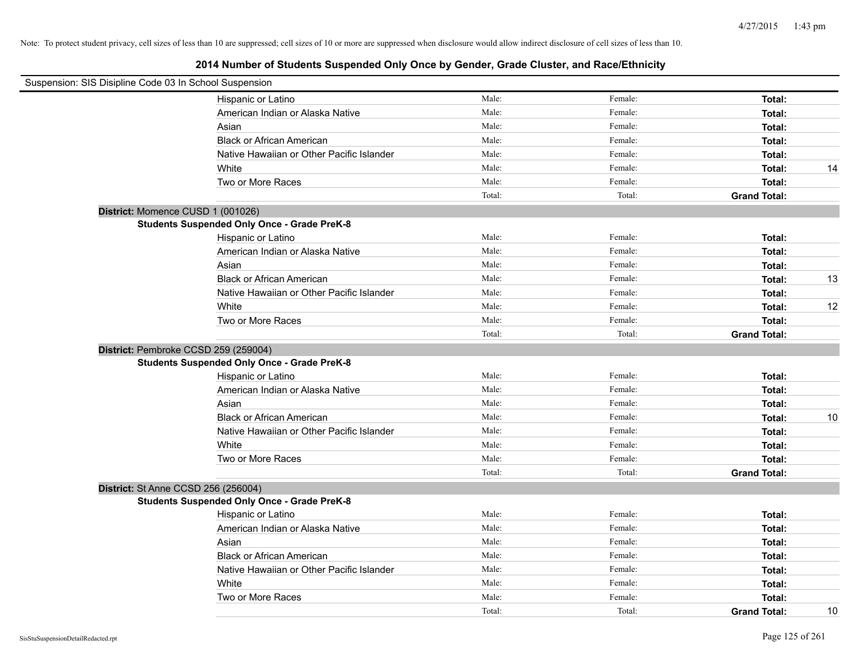| Suspension: SIS Disipline Code 03 In School Suspension |                                                    |        |         |                     |    |
|--------------------------------------------------------|----------------------------------------------------|--------|---------|---------------------|----|
|                                                        | Hispanic or Latino                                 | Male:  | Female: | Total:              |    |
|                                                        | American Indian or Alaska Native                   | Male:  | Female: | Total:              |    |
|                                                        | Asian                                              | Male:  | Female: | Total:              |    |
|                                                        | <b>Black or African American</b>                   | Male:  | Female: | Total:              |    |
|                                                        | Native Hawaiian or Other Pacific Islander          | Male:  | Female: | Total:              |    |
|                                                        | White                                              | Male:  | Female: | Total:              | 14 |
|                                                        | Two or More Races                                  | Male:  | Female: | Total:              |    |
|                                                        |                                                    | Total: | Total:  | <b>Grand Total:</b> |    |
| District: Momence CUSD 1 (001026)                      |                                                    |        |         |                     |    |
|                                                        | <b>Students Suspended Only Once - Grade PreK-8</b> |        |         |                     |    |
|                                                        | Hispanic or Latino                                 | Male:  | Female: | Total:              |    |
|                                                        | American Indian or Alaska Native                   | Male:  | Female: | Total:              |    |
|                                                        | Asian                                              | Male:  | Female: | Total:              |    |
|                                                        | <b>Black or African American</b>                   | Male:  | Female: | Total:              | 13 |
|                                                        | Native Hawaiian or Other Pacific Islander          | Male:  | Female: | Total:              |    |
|                                                        | White                                              | Male:  | Female: | Total:              | 12 |
|                                                        | Two or More Races                                  | Male:  | Female: | Total:              |    |
|                                                        |                                                    | Total: | Total:  | <b>Grand Total:</b> |    |
| District: Pembroke CCSD 259 (259004)                   |                                                    |        |         |                     |    |
|                                                        | <b>Students Suspended Only Once - Grade PreK-8</b> |        |         |                     |    |
|                                                        | Hispanic or Latino                                 | Male:  | Female: | Total:              |    |
|                                                        | American Indian or Alaska Native                   | Male:  | Female: | Total:              |    |
|                                                        | Asian                                              | Male:  | Female: | Total:              |    |
|                                                        | <b>Black or African American</b>                   | Male:  | Female: | Total:              | 10 |
|                                                        | Native Hawaiian or Other Pacific Islander          | Male:  | Female: | Total:              |    |
|                                                        | White                                              | Male:  | Female: | Total:              |    |
|                                                        | Two or More Races                                  | Male:  | Female: | Total:              |    |
|                                                        |                                                    | Total: | Total:  | <b>Grand Total:</b> |    |
| District: St Anne CCSD 256 (256004)                    |                                                    |        |         |                     |    |
|                                                        | <b>Students Suspended Only Once - Grade PreK-8</b> |        |         |                     |    |
|                                                        | Hispanic or Latino                                 | Male:  | Female: | Total:              |    |
|                                                        | American Indian or Alaska Native                   | Male:  | Female: | Total:              |    |
|                                                        | Asian                                              | Male:  | Female: | Total:              |    |
|                                                        | <b>Black or African American</b>                   | Male:  | Female: | Total:              |    |
|                                                        | Native Hawaiian or Other Pacific Islander          | Male:  | Female: | Total:              |    |
|                                                        | White                                              | Male:  | Female: | Total:              |    |
|                                                        | Two or More Races                                  | Male:  | Female: | Total:              |    |
|                                                        |                                                    | Total: | Total:  | <b>Grand Total:</b> | 10 |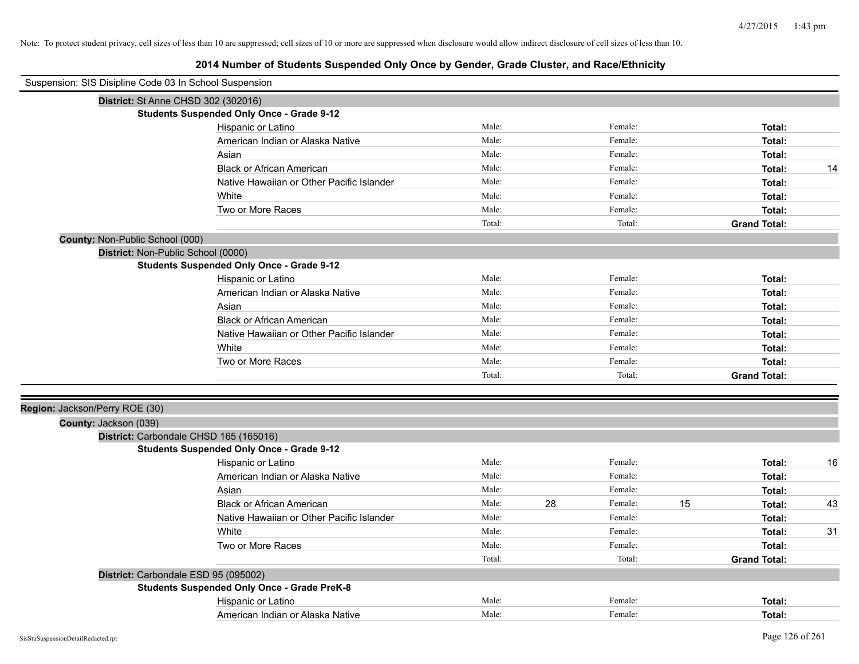| Suspension: SIS Disipline Code 03 In School Suspension |                                                    |        |    |         |    |                     |    |
|--------------------------------------------------------|----------------------------------------------------|--------|----|---------|----|---------------------|----|
| District: St Anne CHSD 302 (302016)                    |                                                    |        |    |         |    |                     |    |
|                                                        | <b>Students Suspended Only Once - Grade 9-12</b>   |        |    |         |    |                     |    |
|                                                        | Hispanic or Latino                                 | Male:  |    | Female: |    | Total:              |    |
|                                                        | American Indian or Alaska Native                   | Male:  |    | Female: |    | Total:              |    |
|                                                        | Asian                                              | Male:  |    | Female: |    | Total:              |    |
|                                                        | <b>Black or African American</b>                   | Male:  |    | Female: |    | Total:              | 14 |
|                                                        | Native Hawaiian or Other Pacific Islander          | Male:  |    | Female: |    | Total:              |    |
|                                                        | White                                              | Male:  |    | Female: |    | Total:              |    |
|                                                        | Two or More Races                                  | Male:  |    | Female: |    | Total:              |    |
|                                                        |                                                    | Total: |    | Total:  |    | <b>Grand Total:</b> |    |
| County: Non-Public School (000)                        |                                                    |        |    |         |    |                     |    |
| District: Non-Public School (0000)                     |                                                    |        |    |         |    |                     |    |
|                                                        | <b>Students Suspended Only Once - Grade 9-12</b>   |        |    |         |    |                     |    |
|                                                        | Hispanic or Latino                                 | Male:  |    | Female: |    | Total:              |    |
|                                                        | American Indian or Alaska Native                   | Male:  |    | Female: |    | Total:              |    |
|                                                        | Asian                                              | Male:  |    | Female: |    | Total:              |    |
|                                                        | <b>Black or African American</b>                   | Male:  |    | Female: |    | Total:              |    |
|                                                        | Native Hawaiian or Other Pacific Islander          | Male:  |    | Female: |    | Total:              |    |
|                                                        | White                                              | Male:  |    | Female: |    | Total:              |    |
|                                                        | Two or More Races                                  | Male:  |    | Female: |    | Total:              |    |
|                                                        |                                                    | Total: |    | Total:  |    | <b>Grand Total:</b> |    |
| Region: Jackson/Perry ROE (30)                         |                                                    |        |    |         |    |                     |    |
| County: Jackson (039)                                  |                                                    |        |    |         |    |                     |    |
|                                                        | District: Carbondale CHSD 165 (165016)             |        |    |         |    |                     |    |
|                                                        | <b>Students Suspended Only Once - Grade 9-12</b>   |        |    |         |    |                     |    |
|                                                        | Hispanic or Latino                                 | Male:  |    | Female: |    | Total:              | 16 |
|                                                        | American Indian or Alaska Native                   | Male:  |    | Female: |    | Total:              |    |
|                                                        | Asian                                              | Male:  |    | Female: |    | Total:              |    |
|                                                        | <b>Black or African American</b>                   | Male:  | 28 | Female: | 15 | Total:              | 43 |
|                                                        | Native Hawaiian or Other Pacific Islander          | Male:  |    | Female: |    | Total:              |    |
|                                                        | White                                              | Male:  |    | Female: |    | Total:              | 31 |
|                                                        | Two or More Races                                  | Male:  |    | Female: |    | Total:              |    |
|                                                        |                                                    | Total: |    | Total:  |    | <b>Grand Total:</b> |    |
| District: Carbondale ESD 95 (095002)                   |                                                    |        |    |         |    |                     |    |
|                                                        | <b>Students Suspended Only Once - Grade PreK-8</b> |        |    |         |    |                     |    |
|                                                        | Hispanic or Latino                                 | Male:  |    | Female: |    | Total:              |    |
|                                                        | American Indian or Alaska Native                   | Male:  |    | Female: |    | Total:              |    |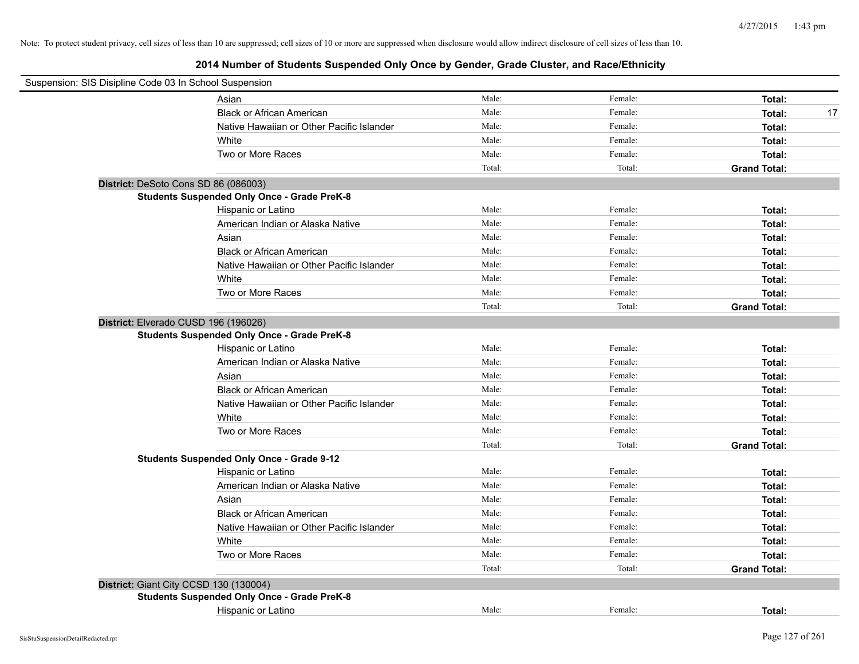| Suspension: SIS Disipline Code 03 In School Suspension |                                                    |        |         |                     |
|--------------------------------------------------------|----------------------------------------------------|--------|---------|---------------------|
|                                                        | Asian                                              | Male:  | Female: | Total:              |
|                                                        | <b>Black or African American</b>                   | Male:  | Female: | 17<br>Total:        |
|                                                        | Native Hawaiian or Other Pacific Islander          | Male:  | Female: | Total:              |
|                                                        | White                                              | Male:  | Female: | Total:              |
|                                                        | Two or More Races                                  | Male:  | Female: | Total:              |
|                                                        |                                                    | Total: | Total:  | <b>Grand Total:</b> |
| District: DeSoto Cons SD 86 (086003)                   |                                                    |        |         |                     |
|                                                        | <b>Students Suspended Only Once - Grade PreK-8</b> |        |         |                     |
|                                                        | Hispanic or Latino                                 | Male:  | Female: | Total:              |
|                                                        | American Indian or Alaska Native                   | Male:  | Female: | Total:              |
|                                                        | Asian                                              | Male:  | Female: | Total:              |
|                                                        | <b>Black or African American</b>                   | Male:  | Female: | Total:              |
|                                                        | Native Hawaiian or Other Pacific Islander          | Male:  | Female: | Total:              |
|                                                        | White                                              | Male:  | Female: | Total:              |
|                                                        | Two or More Races                                  | Male:  | Female: | Total:              |
|                                                        |                                                    | Total: | Total:  | <b>Grand Total:</b> |
| District: Elverado CUSD 196 (196026)                   |                                                    |        |         |                     |
|                                                        | <b>Students Suspended Only Once - Grade PreK-8</b> |        |         |                     |
|                                                        | Hispanic or Latino                                 | Male:  | Female: | Total:              |
|                                                        | American Indian or Alaska Native                   | Male:  | Female: | Total:              |
|                                                        | Asian                                              | Male:  | Female: | Total:              |
|                                                        | <b>Black or African American</b>                   | Male:  | Female: | Total:              |
|                                                        | Native Hawaiian or Other Pacific Islander          | Male:  | Female: | Total:              |
|                                                        | White                                              | Male:  | Female: | Total:              |
|                                                        | Two or More Races                                  | Male:  | Female: | Total:              |
|                                                        |                                                    | Total: | Total:  | <b>Grand Total:</b> |
|                                                        | <b>Students Suspended Only Once - Grade 9-12</b>   |        |         |                     |
|                                                        | Hispanic or Latino                                 | Male:  | Female: | Total:              |
|                                                        | American Indian or Alaska Native                   | Male:  | Female: | Total:              |
|                                                        | Asian                                              | Male:  | Female: | Total:              |
|                                                        | <b>Black or African American</b>                   | Male:  | Female: | Total:              |
|                                                        | Native Hawaiian or Other Pacific Islander          | Male:  | Female: | Total:              |
|                                                        | White                                              | Male:  | Female: | Total:              |
|                                                        | Two or More Races                                  | Male:  | Female: | Total:              |
|                                                        |                                                    | Total: | Total:  | <b>Grand Total:</b> |
|                                                        | District: Giant City CCSD 130 (130004)             |        |         |                     |
|                                                        | <b>Students Suspended Only Once - Grade PreK-8</b> |        |         |                     |
|                                                        | Hispanic or Latino                                 | Male:  | Female: | Total:              |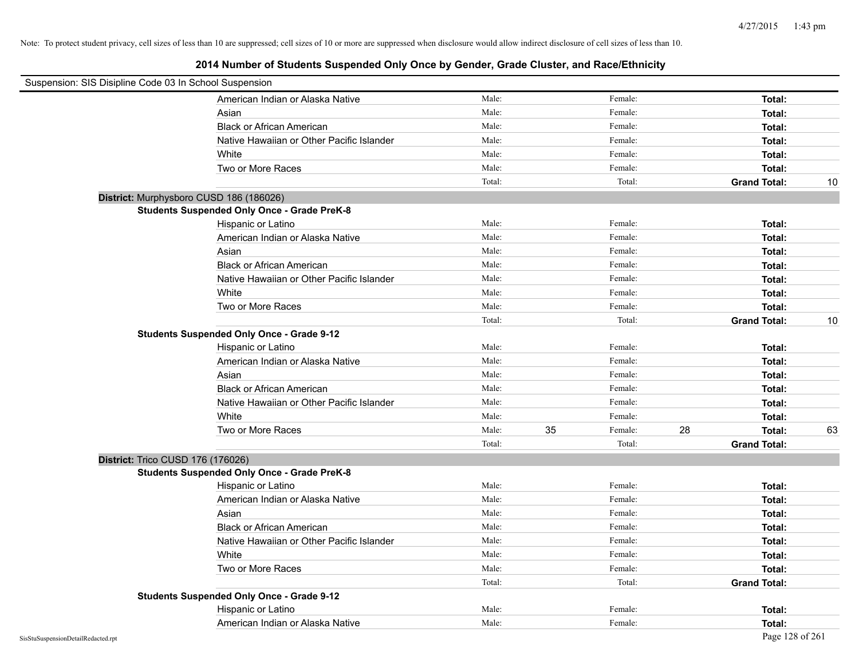| Suspension: SIS Disipline Code 03 In School Suspension |                                                    |        |               |                     |    |
|--------------------------------------------------------|----------------------------------------------------|--------|---------------|---------------------|----|
|                                                        | American Indian or Alaska Native                   | Male:  | Female:       | Total:              |    |
|                                                        | Asian                                              | Male:  | Female:       | Total:              |    |
|                                                        | <b>Black or African American</b>                   | Male:  | Female:       | Total:              |    |
|                                                        | Native Hawaiian or Other Pacific Islander          | Male:  | Female:       | Total:              |    |
|                                                        | White                                              | Male:  | Female:       | Total:              |    |
|                                                        | Two or More Races                                  | Male:  | Female:       | Total:              |    |
|                                                        |                                                    | Total: | Total:        | <b>Grand Total:</b> | 10 |
| District: Murphysboro CUSD 186 (186026)                |                                                    |        |               |                     |    |
|                                                        | <b>Students Suspended Only Once - Grade PreK-8</b> |        |               |                     |    |
|                                                        | Hispanic or Latino                                 | Male:  | Female:       | Total:              |    |
|                                                        | American Indian or Alaska Native                   | Male:  | Female:       | Total:              |    |
|                                                        | Asian                                              | Male:  | Female:       | Total:              |    |
|                                                        | <b>Black or African American</b>                   | Male:  | Female:       | Total:              |    |
|                                                        | Native Hawaiian or Other Pacific Islander          | Male:  | Female:       | Total:              |    |
|                                                        | White                                              | Male:  | Female:       | Total:              |    |
|                                                        | Two or More Races                                  | Male:  | Female:       | Total:              |    |
|                                                        |                                                    | Total: | Total:        | <b>Grand Total:</b> | 10 |
|                                                        | <b>Students Suspended Only Once - Grade 9-12</b>   |        |               |                     |    |
|                                                        | Hispanic or Latino                                 | Male:  | Female:       | Total:              |    |
|                                                        | American Indian or Alaska Native                   | Male:  | Female:       | Total:              |    |
|                                                        | Asian                                              | Male:  | Female:       | Total:              |    |
|                                                        | <b>Black or African American</b>                   | Male:  | Female:       | Total:              |    |
|                                                        | Native Hawaiian or Other Pacific Islander          | Male:  | Female:       | Total:              |    |
|                                                        | White                                              | Male:  | Female:       | Total:              |    |
|                                                        | Two or More Races                                  | Male:  | 35<br>Female: | 28<br>Total:        | 63 |
|                                                        |                                                    | Total: | Total:        | <b>Grand Total:</b> |    |
| District: Trico CUSD 176 (176026)                      |                                                    |        |               |                     |    |
|                                                        | <b>Students Suspended Only Once - Grade PreK-8</b> |        |               |                     |    |
|                                                        | Hispanic or Latino                                 | Male:  | Female:       | Total:              |    |
|                                                        | American Indian or Alaska Native                   | Male:  | Female:       | Total:              |    |
|                                                        | Asian                                              | Male:  | Female:       | Total:              |    |
|                                                        | <b>Black or African American</b>                   | Male:  | Female:       | Total:              |    |
|                                                        | Native Hawaiian or Other Pacific Islander          | Male:  | Female:       | Total:              |    |
|                                                        | White                                              | Male:  | Female:       | Total:              |    |
|                                                        | Two or More Races                                  | Male:  | Female:       | Total:              |    |
|                                                        |                                                    | Total: | Total:        | <b>Grand Total:</b> |    |
|                                                        | <b>Students Suspended Only Once - Grade 9-12</b>   |        |               |                     |    |
|                                                        | Hispanic or Latino                                 | Male:  | Female:       | Total:              |    |
|                                                        | American Indian or Alaska Native                   | Male:  | Female:       | Total:              |    |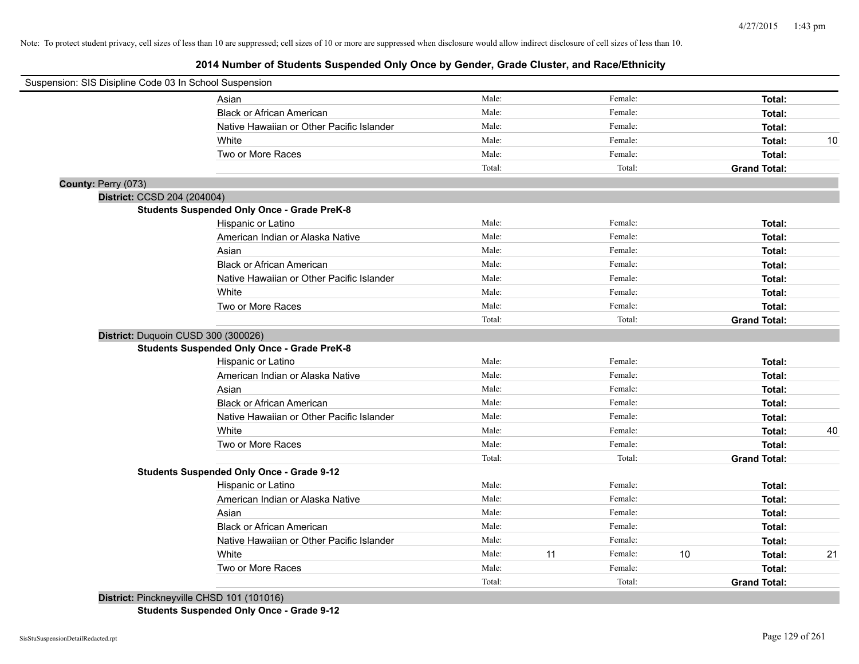## **2014 Number of Students Suspended Only Once by Gender, Grade Cluster, and Race/Ethnicity**

| Suspension: SIS Disipline Code 03 In School Suspension |                                                    |        |    |         |    |                     |    |
|--------------------------------------------------------|----------------------------------------------------|--------|----|---------|----|---------------------|----|
|                                                        | Asian                                              | Male:  |    | Female: |    | Total:              |    |
|                                                        | <b>Black or African American</b>                   | Male:  |    | Female: |    | Total:              |    |
|                                                        | Native Hawaiian or Other Pacific Islander          | Male:  |    | Female: |    | Total:              |    |
|                                                        | White                                              | Male:  |    | Female: |    | Total:              | 10 |
|                                                        | Two or More Races                                  | Male:  |    | Female: |    | Total:              |    |
|                                                        |                                                    | Total: |    | Total:  |    | <b>Grand Total:</b> |    |
| County: Perry (073)                                    |                                                    |        |    |         |    |                     |    |
| District: CCSD 204 (204004)                            |                                                    |        |    |         |    |                     |    |
|                                                        | <b>Students Suspended Only Once - Grade PreK-8</b> |        |    |         |    |                     |    |
|                                                        | Hispanic or Latino                                 | Male:  |    | Female: |    | Total:              |    |
|                                                        | American Indian or Alaska Native                   | Male:  |    | Female: |    | Total:              |    |
|                                                        | Asian                                              | Male:  |    | Female: |    | Total:              |    |
|                                                        | <b>Black or African American</b>                   | Male:  |    | Female: |    | Total:              |    |
|                                                        | Native Hawaiian or Other Pacific Islander          | Male:  |    | Female: |    | Total:              |    |
|                                                        | White                                              | Male:  |    | Female: |    | Total:              |    |
|                                                        | Two or More Races                                  | Male:  |    | Female: |    | Total:              |    |
|                                                        |                                                    | Total: |    | Total:  |    | <b>Grand Total:</b> |    |
|                                                        | District: Duquoin CUSD 300 (300026)                |        |    |         |    |                     |    |
|                                                        | <b>Students Suspended Only Once - Grade PreK-8</b> |        |    |         |    |                     |    |
|                                                        | Hispanic or Latino                                 | Male:  |    | Female: |    | Total:              |    |
|                                                        | American Indian or Alaska Native                   | Male:  |    | Female: |    | Total:              |    |
|                                                        | Asian                                              | Male:  |    | Female: |    | Total:              |    |
|                                                        | <b>Black or African American</b>                   | Male:  |    | Female: |    | Total:              |    |
|                                                        | Native Hawaiian or Other Pacific Islander          | Male:  |    | Female: |    | Total:              |    |
|                                                        | White                                              | Male:  |    | Female: |    | Total:              | 40 |
|                                                        | Two or More Races                                  | Male:  |    | Female: |    | Total:              |    |
|                                                        |                                                    | Total: |    | Total:  |    | <b>Grand Total:</b> |    |
|                                                        | <b>Students Suspended Only Once - Grade 9-12</b>   |        |    |         |    |                     |    |
|                                                        | Hispanic or Latino                                 | Male:  |    | Female: |    | Total:              |    |
|                                                        | American Indian or Alaska Native                   | Male:  |    | Female: |    | Total:              |    |
|                                                        | Asian                                              | Male:  |    | Female: |    | Total:              |    |
|                                                        | <b>Black or African American</b>                   | Male:  |    | Female: |    | Total:              |    |
|                                                        | Native Hawaiian or Other Pacific Islander          | Male:  |    | Female: |    | Total:              |    |
|                                                        | White                                              | Male:  | 11 | Female: | 10 | Total:              | 21 |
|                                                        | Two or More Races                                  | Male:  |    | Female: |    | Total:              |    |
|                                                        |                                                    | Total: |    | Total:  |    | <b>Grand Total:</b> |    |

**District:** Pinckneyville CHSD 101 (101016)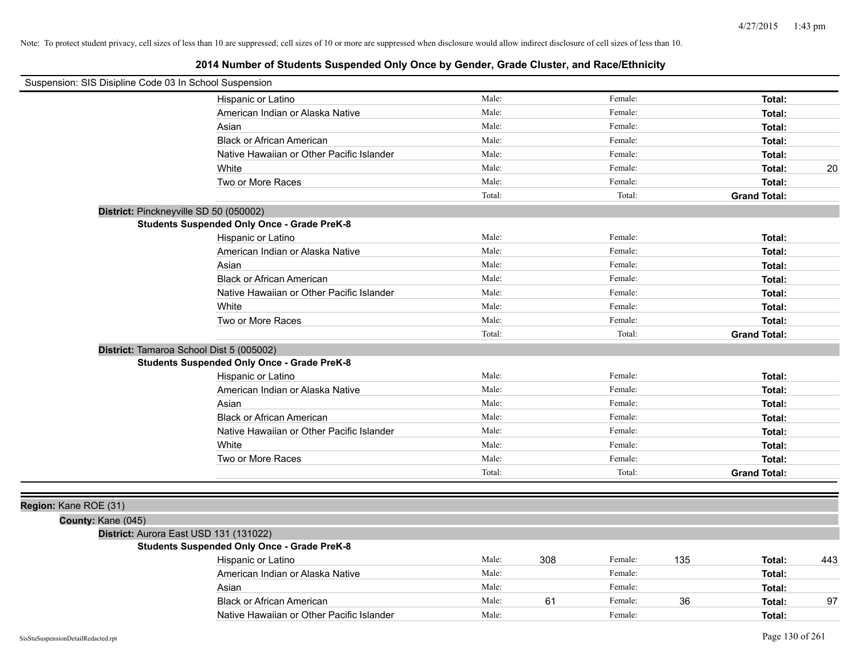| Suspension: SIS Disipline Code 03 In School Suspension |                                                    |        |     |         |     |                     |     |
|--------------------------------------------------------|----------------------------------------------------|--------|-----|---------|-----|---------------------|-----|
|                                                        | Hispanic or Latino                                 | Male:  |     | Female: |     | Total:              |     |
|                                                        | American Indian or Alaska Native                   | Male:  |     | Female: |     | Total:              |     |
|                                                        | Asian                                              | Male:  |     | Female: |     | Total:              |     |
|                                                        | <b>Black or African American</b>                   | Male:  |     | Female: |     | Total:              |     |
|                                                        | Native Hawaiian or Other Pacific Islander          | Male:  |     | Female: |     | Total:              |     |
|                                                        | White                                              | Male:  |     | Female: |     | Total:              | 20  |
|                                                        | Two or More Races                                  | Male:  |     | Female: |     | Total:              |     |
|                                                        |                                                    | Total: |     | Total:  |     | <b>Grand Total:</b> |     |
| District: Pinckneyville SD 50 (050002)                 |                                                    |        |     |         |     |                     |     |
|                                                        | <b>Students Suspended Only Once - Grade PreK-8</b> |        |     |         |     |                     |     |
|                                                        | Hispanic or Latino                                 | Male:  |     | Female: |     | Total:              |     |
|                                                        | American Indian or Alaska Native                   | Male:  |     | Female: |     | Total:              |     |
|                                                        | Asian                                              | Male:  |     | Female: |     | Total:              |     |
|                                                        | <b>Black or African American</b>                   | Male:  |     | Female: |     | Total:              |     |
|                                                        | Native Hawaiian or Other Pacific Islander          | Male:  |     | Female: |     | Total:              |     |
|                                                        | White                                              | Male:  |     | Female: |     | Total:              |     |
|                                                        | Two or More Races                                  | Male:  |     | Female: |     | Total:              |     |
|                                                        |                                                    | Total: |     | Total:  |     | <b>Grand Total:</b> |     |
| District: Tamaroa School Dist 5 (005002)               |                                                    |        |     |         |     |                     |     |
|                                                        | <b>Students Suspended Only Once - Grade PreK-8</b> |        |     |         |     |                     |     |
|                                                        | Hispanic or Latino                                 | Male:  |     | Female: |     | Total:              |     |
|                                                        | American Indian or Alaska Native                   | Male:  |     | Female: |     | Total:              |     |
|                                                        | Asian                                              | Male:  |     | Female: |     | Total:              |     |
|                                                        | <b>Black or African American</b>                   | Male:  |     | Female: |     | Total:              |     |
|                                                        | Native Hawaiian or Other Pacific Islander          | Male:  |     | Female: |     | Total:              |     |
|                                                        | White                                              | Male:  |     | Female: |     | Total:              |     |
|                                                        | Two or More Races                                  | Male:  |     | Female: |     | Total:              |     |
|                                                        |                                                    | Total: |     | Total:  |     | <b>Grand Total:</b> |     |
|                                                        |                                                    |        |     |         |     |                     |     |
| Region: Kane ROE (31)                                  |                                                    |        |     |         |     |                     |     |
| County: Kane (045)                                     |                                                    |        |     |         |     |                     |     |
| District: Aurora East USD 131 (131022)                 |                                                    |        |     |         |     |                     |     |
|                                                        | <b>Students Suspended Only Once - Grade PreK-8</b> |        |     |         |     |                     |     |
|                                                        | Hispanic or Latino                                 | Male:  | 308 | Female: | 135 | Total:              | 443 |
|                                                        | American Indian or Alaska Native                   | Male:  |     | Female: |     | Total:              |     |
|                                                        | Asian                                              | Male:  |     | Female: |     | Total:              |     |
|                                                        | <b>Black or African American</b>                   | Male:  | 61  | Female: | 36  | Total:              | 97  |
|                                                        | Native Hawaiian or Other Pacific Islander          | Male:  |     | Female: |     | Total:              |     |
|                                                        |                                                    |        |     |         |     |                     |     |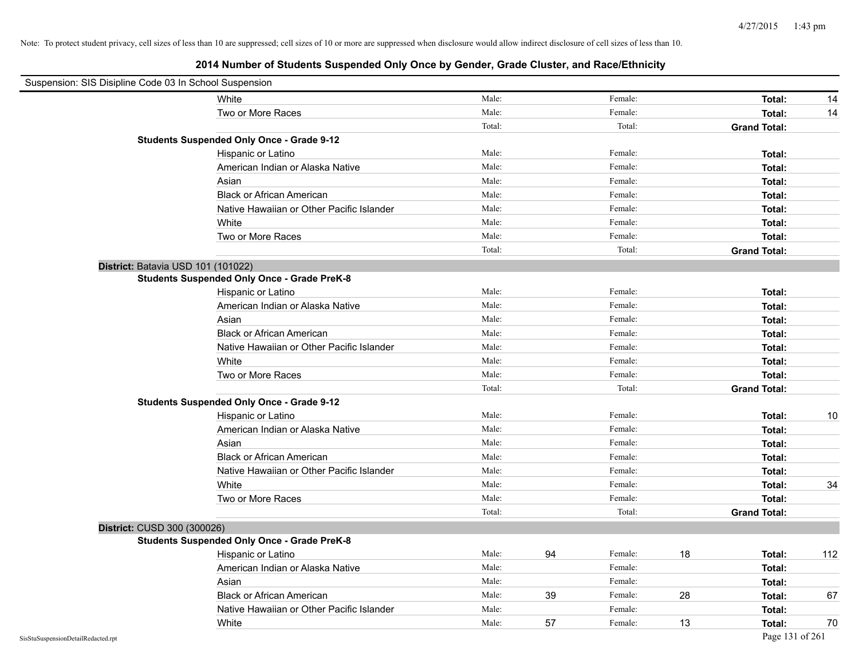| Suspension: SIS Disipline Code 03 In School Suspension |                                                    |        |    |         |    |                     |     |
|--------------------------------------------------------|----------------------------------------------------|--------|----|---------|----|---------------------|-----|
|                                                        | White                                              | Male:  |    | Female: |    | Total:              | 14  |
|                                                        | Two or More Races                                  | Male:  |    | Female: |    | Total:              | 14  |
|                                                        |                                                    | Total: |    | Total:  |    | <b>Grand Total:</b> |     |
|                                                        | <b>Students Suspended Only Once - Grade 9-12</b>   |        |    |         |    |                     |     |
|                                                        | Hispanic or Latino                                 | Male:  |    | Female: |    | Total:              |     |
|                                                        | American Indian or Alaska Native                   | Male:  |    | Female: |    | Total:              |     |
|                                                        | Asian                                              | Male:  |    | Female: |    | Total:              |     |
|                                                        | <b>Black or African American</b>                   | Male:  |    | Female: |    | Total:              |     |
|                                                        | Native Hawaiian or Other Pacific Islander          | Male:  |    | Female: |    | Total:              |     |
|                                                        | White                                              | Male:  |    | Female: |    | Total:              |     |
|                                                        | Two or More Races                                  | Male:  |    | Female: |    | Total:              |     |
|                                                        |                                                    | Total: |    | Total:  |    | <b>Grand Total:</b> |     |
| District: Batavia USD 101 (101022)                     |                                                    |        |    |         |    |                     |     |
|                                                        | <b>Students Suspended Only Once - Grade PreK-8</b> |        |    |         |    |                     |     |
|                                                        | Hispanic or Latino                                 | Male:  |    | Female: |    | Total:              |     |
|                                                        | American Indian or Alaska Native                   | Male:  |    | Female: |    | Total:              |     |
|                                                        | Asian                                              | Male:  |    | Female: |    | Total:              |     |
|                                                        | <b>Black or African American</b>                   | Male:  |    | Female: |    | Total:              |     |
|                                                        | Native Hawaiian or Other Pacific Islander          | Male:  |    | Female: |    | Total:              |     |
|                                                        | White                                              | Male:  |    | Female: |    | Total:              |     |
|                                                        | Two or More Races                                  | Male:  |    | Female: |    | Total:              |     |
|                                                        |                                                    | Total: |    | Total:  |    | <b>Grand Total:</b> |     |
|                                                        | <b>Students Suspended Only Once - Grade 9-12</b>   |        |    |         |    |                     |     |
|                                                        | Hispanic or Latino                                 | Male:  |    | Female: |    | Total:              | 10  |
|                                                        | American Indian or Alaska Native                   | Male:  |    | Female: |    | Total:              |     |
|                                                        | Asian                                              | Male:  |    | Female: |    | Total:              |     |
|                                                        | <b>Black or African American</b>                   | Male:  |    | Female: |    | Total:              |     |
|                                                        | Native Hawaiian or Other Pacific Islander          | Male:  |    | Female: |    | Total:              |     |
|                                                        | White                                              | Male:  |    | Female: |    | Total:              | 34  |
|                                                        | Two or More Races                                  | Male:  |    | Female: |    | Total:              |     |
|                                                        |                                                    | Total: |    | Total:  |    | <b>Grand Total:</b> |     |
| District: CUSD 300 (300026)                            |                                                    |        |    |         |    |                     |     |
|                                                        | <b>Students Suspended Only Once - Grade PreK-8</b> |        |    |         |    |                     |     |
|                                                        | Hispanic or Latino                                 | Male:  | 94 | Female: | 18 | Total:              | 112 |
|                                                        | American Indian or Alaska Native                   | Male:  |    | Female: |    | Total:              |     |
|                                                        | Asian                                              | Male:  |    | Female: |    | Total:              |     |
|                                                        | <b>Black or African American</b>                   | Male:  | 39 | Female: | 28 | Total:              | 67  |
|                                                        | Native Hawaiian or Other Pacific Islander          | Male:  |    | Female: |    | Total:              |     |
|                                                        | White                                              | Male:  | 57 | Female: | 13 | Total:              | 70  |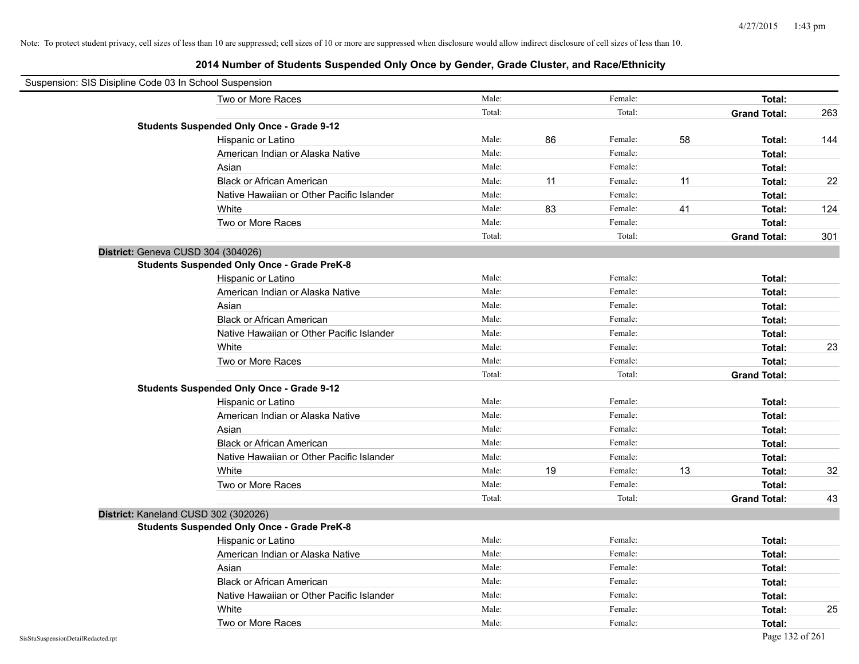| Suspension: SIS Disipline Code 03 In School Suspension |                                                    |        |    |         |    |                     |     |
|--------------------------------------------------------|----------------------------------------------------|--------|----|---------|----|---------------------|-----|
|                                                        | Two or More Races                                  | Male:  |    | Female: |    | Total:              |     |
|                                                        |                                                    | Total: |    | Total:  |    | <b>Grand Total:</b> | 263 |
|                                                        | <b>Students Suspended Only Once - Grade 9-12</b>   |        |    |         |    |                     |     |
|                                                        | Hispanic or Latino                                 | Male:  | 86 | Female: | 58 | Total:              | 144 |
|                                                        | American Indian or Alaska Native                   | Male:  |    | Female: |    | Total:              |     |
|                                                        | Asian                                              | Male:  |    | Female: |    | Total:              |     |
|                                                        | <b>Black or African American</b>                   | Male:  | 11 | Female: | 11 | Total:              | 22  |
|                                                        | Native Hawaiian or Other Pacific Islander          | Male:  |    | Female: |    | Total:              |     |
|                                                        | White                                              | Male:  | 83 | Female: | 41 | Total:              | 124 |
|                                                        | Two or More Races                                  | Male:  |    | Female: |    | Total:              |     |
|                                                        |                                                    | Total: |    | Total:  |    | <b>Grand Total:</b> | 301 |
|                                                        | District: Geneva CUSD 304 (304026)                 |        |    |         |    |                     |     |
|                                                        | <b>Students Suspended Only Once - Grade PreK-8</b> |        |    |         |    |                     |     |
|                                                        | Hispanic or Latino                                 | Male:  |    | Female: |    | Total:              |     |
|                                                        | American Indian or Alaska Native                   | Male:  |    | Female: |    | Total:              |     |
|                                                        | Asian                                              | Male:  |    | Female: |    | Total:              |     |
|                                                        | <b>Black or African American</b>                   | Male:  |    | Female: |    | Total:              |     |
|                                                        | Native Hawaiian or Other Pacific Islander          | Male:  |    | Female: |    | Total:              |     |
|                                                        | White                                              | Male:  |    | Female: |    | Total:              | 23  |
|                                                        | Two or More Races                                  | Male:  |    | Female: |    | Total:              |     |
|                                                        |                                                    | Total: |    | Total:  |    | <b>Grand Total:</b> |     |
|                                                        | <b>Students Suspended Only Once - Grade 9-12</b>   |        |    |         |    |                     |     |
|                                                        | Hispanic or Latino                                 | Male:  |    | Female: |    | Total:              |     |
|                                                        | American Indian or Alaska Native                   | Male:  |    | Female: |    | Total:              |     |
|                                                        | Asian                                              | Male:  |    | Female: |    | Total:              |     |
|                                                        | <b>Black or African American</b>                   | Male:  |    | Female: |    | Total:              |     |
|                                                        | Native Hawaiian or Other Pacific Islander          | Male:  |    | Female: |    | Total:              |     |
|                                                        | White                                              | Male:  | 19 | Female: | 13 | Total:              | 32  |
|                                                        | Two or More Races                                  | Male:  |    | Female: |    | Total:              |     |
|                                                        |                                                    | Total: |    | Total:  |    | <b>Grand Total:</b> | 43  |
|                                                        | District: Kaneland CUSD 302 (302026)               |        |    |         |    |                     |     |
|                                                        | <b>Students Suspended Only Once - Grade PreK-8</b> |        |    |         |    |                     |     |
|                                                        | Hispanic or Latino                                 | Male:  |    | Female: |    | Total:              |     |
|                                                        | American Indian or Alaska Native                   | Male:  |    | Female: |    | Total:              |     |
|                                                        | Asian                                              | Male:  |    | Female: |    | Total:              |     |
|                                                        | <b>Black or African American</b>                   | Male:  |    | Female: |    | Total:              |     |
|                                                        | Native Hawaiian or Other Pacific Islander          | Male:  |    | Female: |    | Total:              |     |
|                                                        | White                                              | Male:  |    | Female: |    | Total:              | 25  |
|                                                        | Two or More Races                                  | Male:  |    | Female: |    | Total:              |     |
| SisStuSuspensionDetailRedacted.rpt                     |                                                    |        |    |         |    | Page 132 of 261     |     |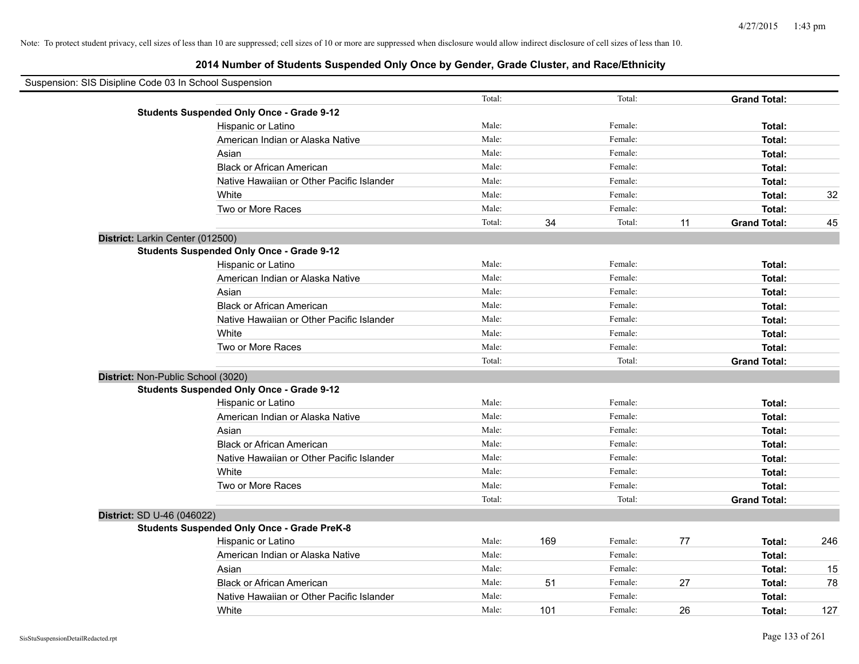| Suspension: SIS Disipline Code 03 In School Suspension |        |     |         |    |                     |     |
|--------------------------------------------------------|--------|-----|---------|----|---------------------|-----|
|                                                        | Total: |     | Total:  |    | <b>Grand Total:</b> |     |
| <b>Students Suspended Only Once - Grade 9-12</b>       |        |     |         |    |                     |     |
| Hispanic or Latino                                     | Male:  |     | Female: |    | Total:              |     |
| American Indian or Alaska Native                       | Male:  |     | Female: |    | Total:              |     |
| Asian                                                  | Male:  |     | Female: |    | Total:              |     |
| <b>Black or African American</b>                       | Male:  |     | Female: |    | Total:              |     |
| Native Hawaiian or Other Pacific Islander              | Male:  |     | Female: |    | Total:              |     |
| White                                                  | Male:  |     | Female: |    | Total:              | 32  |
| Two or More Races                                      | Male:  |     | Female: |    | Total:              |     |
|                                                        | Total: | 34  | Total:  | 11 | <b>Grand Total:</b> | 45  |
| District: Larkin Center (012500)                       |        |     |         |    |                     |     |
| <b>Students Suspended Only Once - Grade 9-12</b>       |        |     |         |    |                     |     |
| Hispanic or Latino                                     | Male:  |     | Female: |    | Total:              |     |
| American Indian or Alaska Native                       | Male:  |     | Female: |    | Total:              |     |
| Asian                                                  | Male:  |     | Female: |    | Total:              |     |
| <b>Black or African American</b>                       | Male:  |     | Female: |    | Total:              |     |
| Native Hawaiian or Other Pacific Islander              | Male:  |     | Female: |    | Total:              |     |
| White                                                  | Male:  |     | Female: |    | Total:              |     |
| Two or More Races                                      | Male:  |     | Female: |    | Total:              |     |
|                                                        | Total: |     | Total:  |    | <b>Grand Total:</b> |     |
| District: Non-Public School (3020)                     |        |     |         |    |                     |     |
| <b>Students Suspended Only Once - Grade 9-12</b>       |        |     |         |    |                     |     |
| Hispanic or Latino                                     | Male:  |     | Female: |    | Total:              |     |
| American Indian or Alaska Native                       | Male:  |     | Female: |    | Total:              |     |
| Asian                                                  | Male:  |     | Female: |    | Total:              |     |
| <b>Black or African American</b>                       | Male:  |     | Female: |    | Total:              |     |
| Native Hawaiian or Other Pacific Islander              | Male:  |     | Female: |    | Total:              |     |
| White                                                  | Male:  |     | Female: |    | Total:              |     |
| Two or More Races                                      | Male:  |     | Female: |    | Total:              |     |
|                                                        | Total: |     | Total:  |    | <b>Grand Total:</b> |     |
| District: SD U-46 (046022)                             |        |     |         |    |                     |     |
| <b>Students Suspended Only Once - Grade PreK-8</b>     |        |     |         |    |                     |     |
| Hispanic or Latino                                     | Male:  | 169 | Female: | 77 | Total:              | 246 |
| American Indian or Alaska Native                       | Male:  |     | Female: |    | Total:              |     |
| Asian                                                  | Male:  |     | Female: |    | Total:              | 15  |
| <b>Black or African American</b>                       | Male:  | 51  | Female: | 27 | Total:              | 78  |
| Native Hawaiian or Other Pacific Islander              | Male:  |     | Female: |    | Total:              |     |
| White                                                  | Male:  | 101 | Female: | 26 | Total:              | 127 |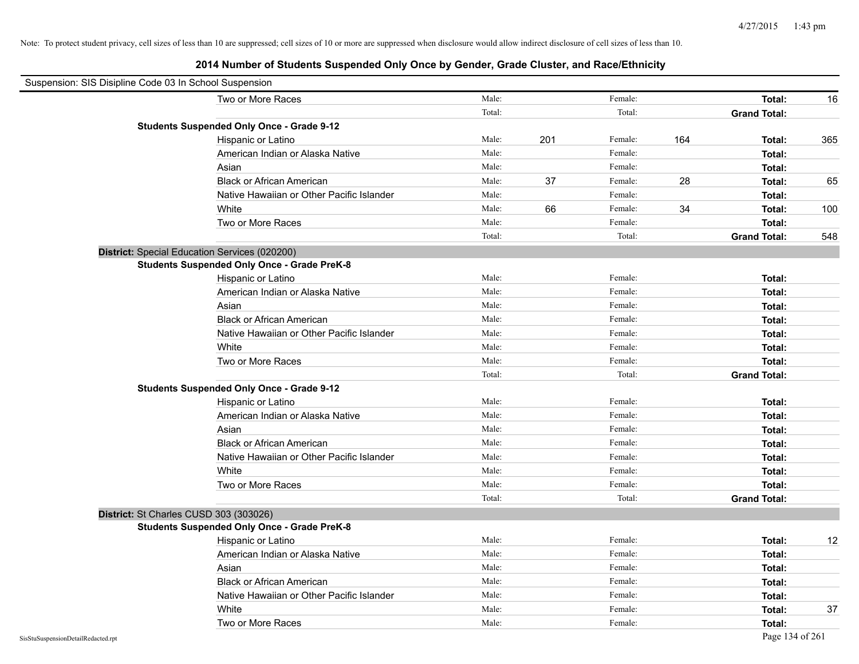| Suspension: SIS Disipline Code 03 In School Suspension |                                                    |        |     |         |     |                     |     |
|--------------------------------------------------------|----------------------------------------------------|--------|-----|---------|-----|---------------------|-----|
|                                                        | Two or More Races                                  | Male:  |     | Female: |     | Total:              | 16  |
|                                                        |                                                    | Total: |     | Total:  |     | <b>Grand Total:</b> |     |
|                                                        | <b>Students Suspended Only Once - Grade 9-12</b>   |        |     |         |     |                     |     |
|                                                        | Hispanic or Latino                                 | Male:  | 201 | Female: | 164 | Total:              | 365 |
|                                                        | American Indian or Alaska Native                   | Male:  |     | Female: |     | Total:              |     |
|                                                        | Asian                                              | Male:  |     | Female: |     | Total:              |     |
|                                                        | <b>Black or African American</b>                   | Male:  | 37  | Female: | 28  | Total:              | 65  |
|                                                        | Native Hawaiian or Other Pacific Islander          | Male:  |     | Female: |     | Total:              |     |
|                                                        | White                                              | Male:  | 66  | Female: | 34  | Total:              | 100 |
|                                                        | Two or More Races                                  | Male:  |     | Female: |     | Total:              |     |
|                                                        |                                                    | Total: |     | Total:  |     | <b>Grand Total:</b> | 548 |
|                                                        | District: Special Education Services (020200)      |        |     |         |     |                     |     |
|                                                        | <b>Students Suspended Only Once - Grade PreK-8</b> |        |     |         |     |                     |     |
|                                                        | Hispanic or Latino                                 | Male:  |     | Female: |     | Total:              |     |
|                                                        | American Indian or Alaska Native                   | Male:  |     | Female: |     | Total:              |     |
|                                                        | Asian                                              | Male:  |     | Female: |     | Total:              |     |
|                                                        | <b>Black or African American</b>                   | Male:  |     | Female: |     | Total:              |     |
|                                                        | Native Hawaiian or Other Pacific Islander          | Male:  |     | Female: |     | Total:              |     |
|                                                        | White                                              | Male:  |     | Female: |     | Total:              |     |
|                                                        | Two or More Races                                  | Male:  |     | Female: |     | Total:              |     |
|                                                        |                                                    | Total: |     | Total:  |     | <b>Grand Total:</b> |     |
|                                                        | <b>Students Suspended Only Once - Grade 9-12</b>   |        |     |         |     |                     |     |
|                                                        | Hispanic or Latino                                 | Male:  |     | Female: |     | Total:              |     |
|                                                        | American Indian or Alaska Native                   | Male:  |     | Female: |     | Total:              |     |
|                                                        | Asian                                              | Male:  |     | Female: |     | Total:              |     |
|                                                        | <b>Black or African American</b>                   | Male:  |     | Female: |     | Total:              |     |
|                                                        | Native Hawaiian or Other Pacific Islander          | Male:  |     | Female: |     | Total:              |     |
|                                                        | White                                              | Male:  |     | Female: |     | Total:              |     |
|                                                        | Two or More Races                                  | Male:  |     | Female: |     | Total:              |     |
|                                                        |                                                    | Total: |     | Total:  |     | <b>Grand Total:</b> |     |
|                                                        | District: St Charles CUSD 303 (303026)             |        |     |         |     |                     |     |
|                                                        | <b>Students Suspended Only Once - Grade PreK-8</b> |        |     |         |     |                     |     |
|                                                        | Hispanic or Latino                                 | Male:  |     | Female: |     | Total:              | 12  |
|                                                        | American Indian or Alaska Native                   | Male:  |     | Female: |     | Total:              |     |
|                                                        | Asian                                              | Male:  |     | Female: |     | Total:              |     |
|                                                        | <b>Black or African American</b>                   | Male:  |     | Female: |     | Total:              |     |
|                                                        | Native Hawaiian or Other Pacific Islander          | Male:  |     | Female: |     | Total:              |     |
|                                                        | White                                              | Male:  |     | Female: |     | Total:              | 37  |
|                                                        | Two or More Races                                  | Male:  |     | Female: |     | Total:              |     |
| SisStuSuspensionDetailRedacted.rpt                     |                                                    |        |     |         |     | Page 134 of 261     |     |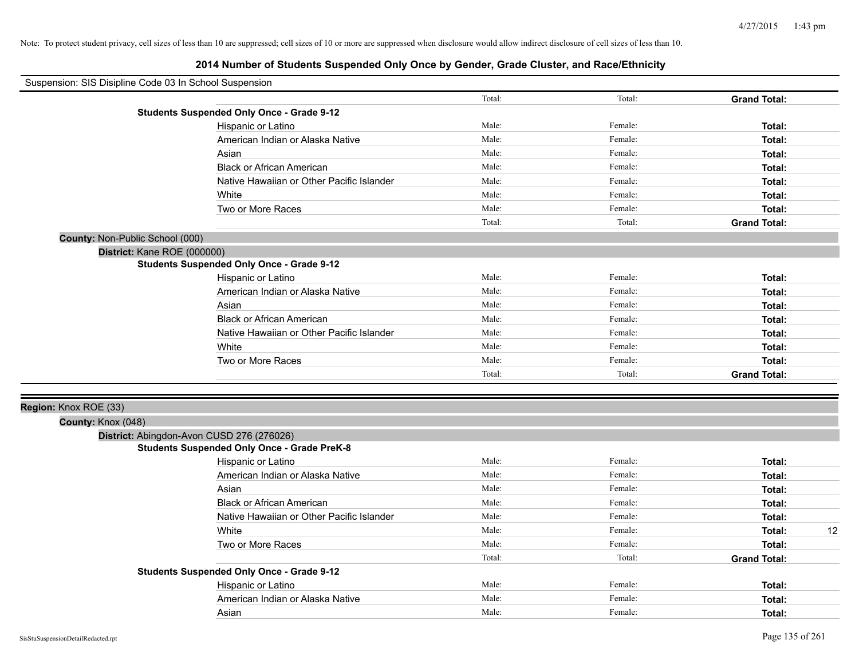| Suspension: SIS Disipline Code 03 In School Suspension |                                                    |        |         |                     |
|--------------------------------------------------------|----------------------------------------------------|--------|---------|---------------------|
|                                                        |                                                    | Total: | Total:  | <b>Grand Total:</b> |
|                                                        | <b>Students Suspended Only Once - Grade 9-12</b>   |        |         |                     |
|                                                        | Hispanic or Latino                                 | Male:  | Female: | Total:              |
|                                                        | American Indian or Alaska Native                   | Male:  | Female: | Total:              |
|                                                        | Asian                                              | Male:  | Female: | Total:              |
|                                                        | <b>Black or African American</b>                   | Male:  | Female: | Total:              |
|                                                        | Native Hawaiian or Other Pacific Islander          | Male:  | Female: | Total:              |
|                                                        | White                                              | Male:  | Female: | Total:              |
|                                                        | Two or More Races                                  | Male:  | Female: | Total:              |
|                                                        |                                                    | Total: | Total:  | <b>Grand Total:</b> |
| County: Non-Public School (000)                        |                                                    |        |         |                     |
| District: Kane ROE (000000)                            |                                                    |        |         |                     |
|                                                        | <b>Students Suspended Only Once - Grade 9-12</b>   |        |         |                     |
|                                                        | Hispanic or Latino                                 | Male:  | Female: | Total:              |
|                                                        | American Indian or Alaska Native                   | Male:  | Female: | Total:              |
|                                                        | Asian                                              | Male:  | Female: | Total:              |
|                                                        | <b>Black or African American</b>                   | Male:  | Female: | Total:              |
|                                                        | Native Hawaiian or Other Pacific Islander          | Male:  | Female: | Total:              |
|                                                        | White                                              | Male:  | Female: | Total:              |
|                                                        | Two or More Races                                  | Male:  | Female: | Total:              |
|                                                        |                                                    | Total: | Total:  | <b>Grand Total:</b> |
|                                                        |                                                    |        |         |                     |
| Region: Knox ROE (33)                                  |                                                    |        |         |                     |
| County: Knox (048)                                     |                                                    |        |         |                     |
|                                                        | District: Abingdon-Avon CUSD 276 (276026)          |        |         |                     |
|                                                        | <b>Students Suspended Only Once - Grade PreK-8</b> |        |         |                     |
|                                                        | Hispanic or Latino                                 | Male:  | Female: | Total:              |
|                                                        | American Indian or Alaska Native                   | Male:  | Female: | Total:              |
|                                                        | Asian                                              | Male:  | Female: | Total:              |
|                                                        | <b>Black or African American</b>                   | Male:  | Female: | Total:              |
|                                                        | Native Hawaiian or Other Pacific Islander          | Male:  | Female: | Total:              |
|                                                        | White                                              | Male:  | Female: | 12<br>Total:        |
|                                                        | Two or More Races                                  | Male:  | Female: | Total:              |
|                                                        |                                                    | Total: | Total:  | <b>Grand Total:</b> |
|                                                        | <b>Students Suspended Only Once - Grade 9-12</b>   |        |         |                     |
|                                                        | Hispanic or Latino                                 | Male:  | Female: | Total:              |
|                                                        | American Indian or Alaska Native                   | Male:  | Female: | Total:              |
|                                                        | Asian                                              | Male:  | Female: | Total:              |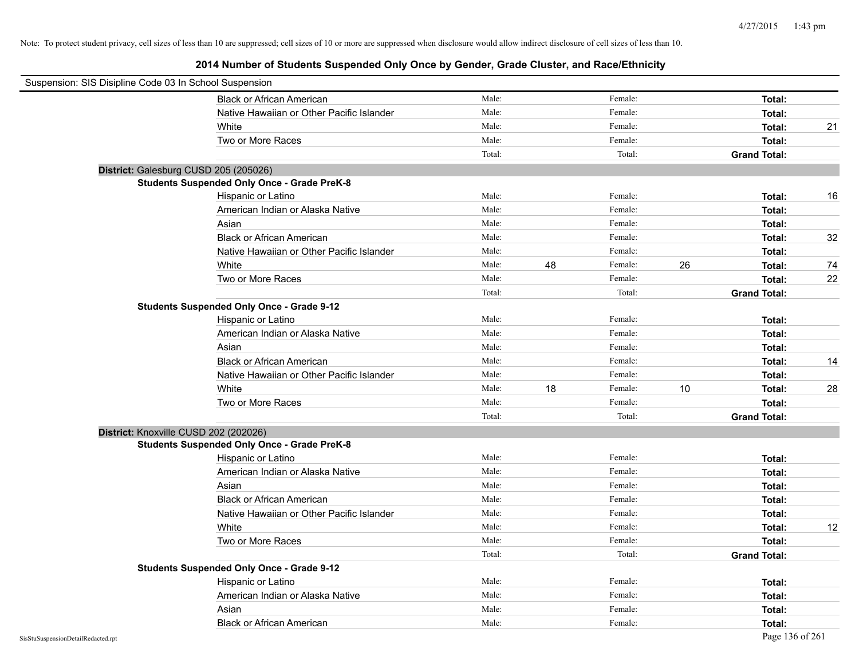| Suspension: SIS Disipline Code 03 In School Suspension |        |    |         |    |                     |    |
|--------------------------------------------------------|--------|----|---------|----|---------------------|----|
| <b>Black or African American</b>                       | Male:  |    | Female: |    | Total:              |    |
| Native Hawaiian or Other Pacific Islander              | Male:  |    | Female: |    | Total:              |    |
| White                                                  | Male:  |    | Female: |    | Total:              | 21 |
| Two or More Races                                      | Male:  |    | Female: |    | Total:              |    |
|                                                        | Total: |    | Total:  |    | <b>Grand Total:</b> |    |
| District: Galesburg CUSD 205 (205026)                  |        |    |         |    |                     |    |
| <b>Students Suspended Only Once - Grade PreK-8</b>     |        |    |         |    |                     |    |
| Hispanic or Latino                                     | Male:  |    | Female: |    | Total:              | 16 |
| American Indian or Alaska Native                       | Male:  |    | Female: |    | Total:              |    |
| Asian                                                  | Male:  |    | Female: |    | Total:              |    |
| <b>Black or African American</b>                       | Male:  |    | Female: |    | Total:              | 32 |
| Native Hawaiian or Other Pacific Islander              | Male:  |    | Female: |    | Total:              |    |
| White                                                  | Male:  | 48 | Female: | 26 | Total:              | 74 |
| Two or More Races                                      | Male:  |    | Female: |    | Total:              | 22 |
|                                                        | Total: |    | Total:  |    | <b>Grand Total:</b> |    |
| <b>Students Suspended Only Once - Grade 9-12</b>       |        |    |         |    |                     |    |
| Hispanic or Latino                                     | Male:  |    | Female: |    | Total:              |    |
| American Indian or Alaska Native                       | Male:  |    | Female: |    | Total:              |    |
| Asian                                                  | Male:  |    | Female: |    | Total:              |    |
| <b>Black or African American</b>                       | Male:  |    | Female: |    | Total:              | 14 |
| Native Hawaiian or Other Pacific Islander              | Male:  |    | Female: |    | Total:              |    |
| White                                                  | Male:  | 18 | Female: | 10 | Total:              | 28 |
| Two or More Races                                      | Male:  |    | Female: |    | Total:              |    |
|                                                        | Total: |    | Total:  |    | <b>Grand Total:</b> |    |
| District: Knoxville CUSD 202 (202026)                  |        |    |         |    |                     |    |
| <b>Students Suspended Only Once - Grade PreK-8</b>     |        |    |         |    |                     |    |
| Hispanic or Latino                                     | Male:  |    | Female: |    | Total:              |    |
| American Indian or Alaska Native                       | Male:  |    | Female: |    | Total:              |    |
| Asian                                                  | Male:  |    | Female: |    | Total:              |    |
| <b>Black or African American</b>                       | Male:  |    | Female: |    | Total:              |    |
| Native Hawaiian or Other Pacific Islander              | Male:  |    | Female: |    | Total:              |    |
| White                                                  | Male:  |    | Female: |    | Total:              | 12 |
| Two or More Races                                      | Male:  |    | Female: |    | Total:              |    |
|                                                        | Total: |    | Total:  |    | <b>Grand Total:</b> |    |
| <b>Students Suspended Only Once - Grade 9-12</b>       |        |    |         |    |                     |    |
| Hispanic or Latino                                     | Male:  |    | Female: |    | Total:              |    |
| American Indian or Alaska Native                       | Male:  |    | Female: |    | Total:              |    |
| Asian                                                  | Male:  |    | Female: |    | Total:              |    |
| <b>Black or African American</b>                       | Male:  |    | Female: |    | Total:              |    |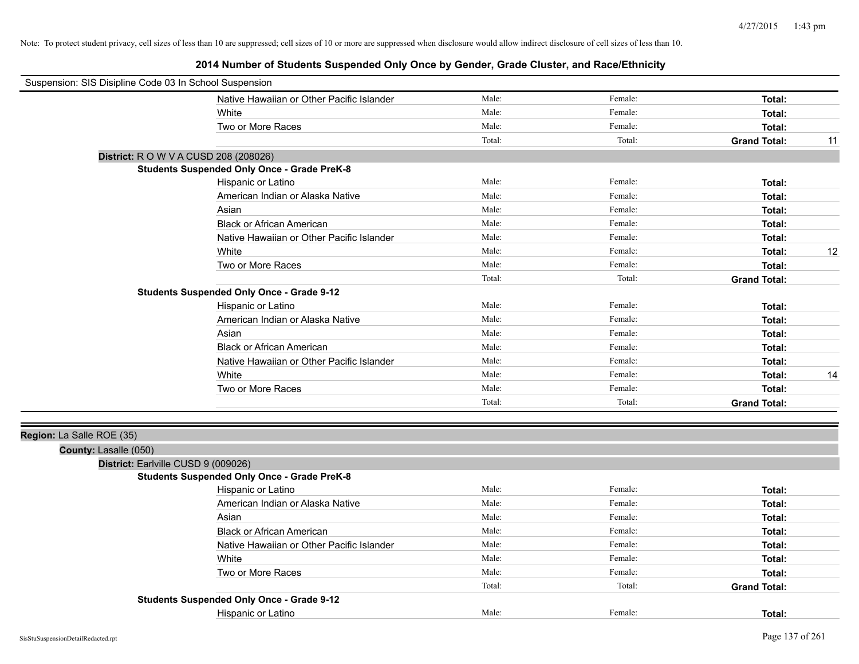| Suspension: SIS Disipline Code 03 In School Suspension |                                                    |        |         |                     |    |
|--------------------------------------------------------|----------------------------------------------------|--------|---------|---------------------|----|
|                                                        | Native Hawaiian or Other Pacific Islander          | Male:  | Female: | Total:              |    |
|                                                        | White                                              | Male:  | Female: | Total:              |    |
|                                                        | Two or More Races                                  | Male:  | Female: | Total:              |    |
|                                                        |                                                    | Total: | Total:  | <b>Grand Total:</b> | 11 |
|                                                        | District: R O W V A CUSD 208 (208026)              |        |         |                     |    |
|                                                        | <b>Students Suspended Only Once - Grade PreK-8</b> |        |         |                     |    |
|                                                        | Hispanic or Latino                                 | Male:  | Female: | Total:              |    |
|                                                        | American Indian or Alaska Native                   | Male:  | Female: | Total:              |    |
|                                                        | Asian                                              | Male:  | Female: | Total:              |    |
|                                                        | <b>Black or African American</b>                   | Male:  | Female: | Total:              |    |
|                                                        | Native Hawaiian or Other Pacific Islander          | Male:  | Female: | Total:              |    |
|                                                        | White                                              | Male:  | Female: | Total:              | 12 |
|                                                        | Two or More Races                                  | Male:  | Female: | Total:              |    |
|                                                        |                                                    | Total: | Total:  | <b>Grand Total:</b> |    |
|                                                        | <b>Students Suspended Only Once - Grade 9-12</b>   |        |         |                     |    |
|                                                        | Hispanic or Latino                                 | Male:  | Female: | Total:              |    |
|                                                        | American Indian or Alaska Native                   | Male:  | Female: | Total:              |    |
|                                                        | Asian                                              | Male:  | Female: | Total:              |    |
|                                                        | <b>Black or African American</b>                   | Male:  | Female: | Total:              |    |
|                                                        | Native Hawaiian or Other Pacific Islander          | Male:  | Female: | Total:              |    |
|                                                        | White                                              | Male:  | Female: | Total:              | 14 |
|                                                        | Two or More Races                                  | Male:  | Female: | Total:              |    |
|                                                        |                                                    | Total: | Total:  | <b>Grand Total:</b> |    |
| Region: La Salle ROE (35)<br>County: Lasalle (050)     |                                                    |        |         |                     |    |
| District: Earlville CUSD 9 (009026)                    |                                                    |        |         |                     |    |
|                                                        | <b>Students Suspended Only Once - Grade PreK-8</b> |        |         |                     |    |
|                                                        | Hispanic or Latino                                 | Male:  | Female: | Total:              |    |
|                                                        | American Indian or Alaska Native                   | Male:  | Female: | Total:              |    |
|                                                        | Asian                                              | Male:  | Female: | Total:              |    |
|                                                        | <b>Black or African American</b>                   | Male:  | Female: | Total:              |    |
|                                                        | Native Hawaiian or Other Pacific Islander          | Male:  | Female: | Total:              |    |
|                                                        | White                                              | Male:  | Female: | Total:              |    |
|                                                        | Two or More Races                                  | Male:  | Female: | Total:              |    |
|                                                        |                                                    | Total: | Total:  | <b>Grand Total:</b> |    |
|                                                        | <b>Students Suspended Only Once - Grade 9-12</b>   |        |         |                     |    |
|                                                        | Hispanic or Latino                                 | Male:  | Female: | Total:              |    |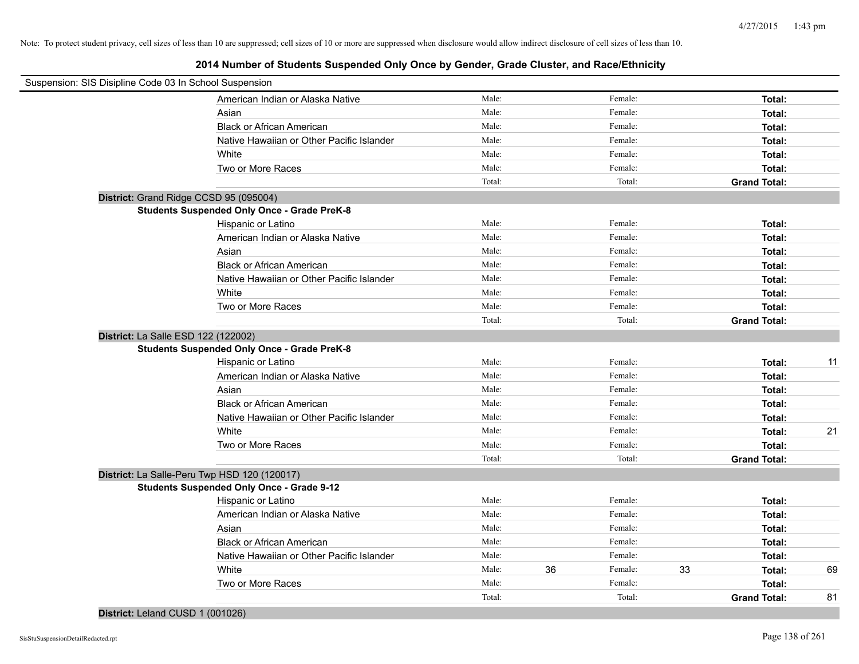## **2014 Number of Students Suspended Only Once by Gender, Grade Cluster, and Race/Ethnicity**

| Suspension: SIS Disipline Code 03 In School Suspension |                                                    |        |               |                     |    |
|--------------------------------------------------------|----------------------------------------------------|--------|---------------|---------------------|----|
|                                                        | American Indian or Alaska Native                   | Male:  | Female:       | Total:              |    |
|                                                        | Asian                                              | Male:  | Female:       | Total:              |    |
|                                                        | <b>Black or African American</b>                   | Male:  | Female:       | Total:              |    |
|                                                        | Native Hawaiian or Other Pacific Islander          | Male:  | Female:       | Total:              |    |
|                                                        | White                                              | Male:  | Female:       | Total:              |    |
|                                                        | Two or More Races                                  | Male:  | Female:       | Total:              |    |
|                                                        |                                                    | Total: | Total:        | <b>Grand Total:</b> |    |
| District: Grand Ridge CCSD 95 (095004)                 |                                                    |        |               |                     |    |
|                                                        | <b>Students Suspended Only Once - Grade PreK-8</b> |        |               |                     |    |
|                                                        | Hispanic or Latino                                 | Male:  | Female:       | Total:              |    |
|                                                        | American Indian or Alaska Native                   | Male:  | Female:       | Total:              |    |
|                                                        | Asian                                              | Male:  | Female:       | Total:              |    |
|                                                        | <b>Black or African American</b>                   | Male:  | Female:       | Total:              |    |
|                                                        | Native Hawaiian or Other Pacific Islander          | Male:  | Female:       | Total:              |    |
|                                                        | White                                              | Male:  | Female:       | Total:              |    |
|                                                        | Two or More Races                                  | Male:  | Female:       | Total:              |    |
|                                                        |                                                    | Total: | Total:        | <b>Grand Total:</b> |    |
| District: La Salle ESD 122 (122002)                    |                                                    |        |               |                     |    |
|                                                        | <b>Students Suspended Only Once - Grade PreK-8</b> |        |               |                     |    |
|                                                        | Hispanic or Latino                                 | Male:  | Female:       | Total:              | 11 |
|                                                        | American Indian or Alaska Native                   | Male:  | Female:       | Total:              |    |
|                                                        | Asian                                              | Male:  | Female:       | Total:              |    |
|                                                        | <b>Black or African American</b>                   | Male:  | Female:       | Total:              |    |
|                                                        | Native Hawaiian or Other Pacific Islander          | Male:  | Female:       | Total:              |    |
|                                                        | White                                              | Male:  | Female:       | Total:              | 21 |
|                                                        | Two or More Races                                  | Male:  | Female:       | Total:              |    |
|                                                        |                                                    | Total: | Total:        | <b>Grand Total:</b> |    |
|                                                        | District: La Salle-Peru Twp HSD 120 (120017)       |        |               |                     |    |
|                                                        | <b>Students Suspended Only Once - Grade 9-12</b>   |        |               |                     |    |
|                                                        | Hispanic or Latino                                 | Male:  | Female:       | Total:              |    |
|                                                        | American Indian or Alaska Native                   | Male:  | Female:       | Total:              |    |
|                                                        | Asian                                              | Male:  | Female:       | Total:              |    |
|                                                        | <b>Black or African American</b>                   | Male:  | Female:       | Total:              |    |
|                                                        | Native Hawaiian or Other Pacific Islander          | Male:  | Female:       | Total:              |    |
|                                                        | White                                              | Male:  | 36<br>Female: | 33<br>Total:        | 69 |
|                                                        | Two or More Races                                  | Male:  | Female:       | Total:              |    |
|                                                        |                                                    | Total: | Total:        | <b>Grand Total:</b> | 81 |
|                                                        |                                                    |        |               |                     |    |

# **District:** Leland CUSD 1 (001026)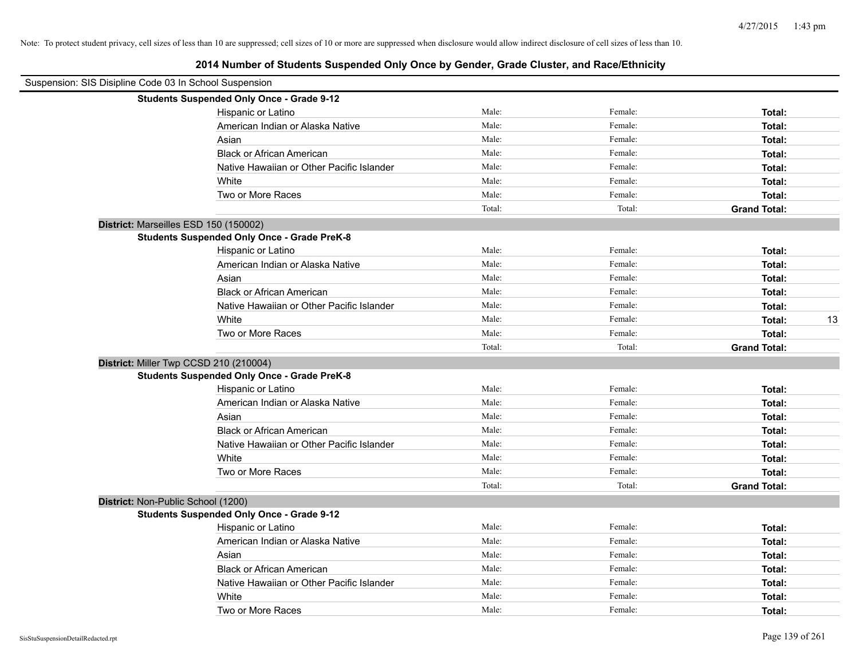| Suspension: SIS Disipline Code 03 In School Suspension |        |         |                     |
|--------------------------------------------------------|--------|---------|---------------------|
| <b>Students Suspended Only Once - Grade 9-12</b>       |        |         |                     |
| Hispanic or Latino                                     | Male:  | Female: | Total:              |
| American Indian or Alaska Native                       | Male:  | Female: | Total:              |
| Asian                                                  | Male:  | Female: | Total:              |
| <b>Black or African American</b>                       | Male:  | Female: | Total:              |
| Native Hawaiian or Other Pacific Islander              | Male:  | Female: | Total:              |
| White                                                  | Male:  | Female: | Total:              |
| Two or More Races                                      | Male:  | Female: | Total:              |
|                                                        | Total: | Total:  | <b>Grand Total:</b> |
| District: Marseilles ESD 150 (150002)                  |        |         |                     |
| <b>Students Suspended Only Once - Grade PreK-8</b>     |        |         |                     |
| Hispanic or Latino                                     | Male:  | Female: | Total:              |
| American Indian or Alaska Native                       | Male:  | Female: | Total:              |
| Asian                                                  | Male:  | Female: | Total:              |
| <b>Black or African American</b>                       | Male:  | Female: | Total:              |
| Native Hawaiian or Other Pacific Islander              | Male:  | Female: | Total:              |
| White                                                  | Male:  | Female: | 13<br>Total:        |
| Two or More Races                                      | Male:  | Female: | Total:              |
|                                                        | Total: | Total:  | <b>Grand Total:</b> |
| District: Miller Twp CCSD 210 (210004)                 |        |         |                     |
| <b>Students Suspended Only Once - Grade PreK-8</b>     |        |         |                     |
| Hispanic or Latino                                     | Male:  | Female: | Total:              |
| American Indian or Alaska Native                       | Male:  | Female: | Total:              |
| Asian                                                  | Male:  | Female: | Total:              |
| <b>Black or African American</b>                       | Male:  | Female: | Total:              |
| Native Hawaiian or Other Pacific Islander              | Male:  | Female: | Total:              |
| White                                                  | Male:  | Female: | Total:              |
| Two or More Races                                      | Male:  | Female: | Total:              |
|                                                        | Total: | Total:  | <b>Grand Total:</b> |
| District: Non-Public School (1200)                     |        |         |                     |
| <b>Students Suspended Only Once - Grade 9-12</b>       |        |         |                     |
| Hispanic or Latino                                     | Male:  | Female: | Total:              |
| American Indian or Alaska Native                       | Male:  | Female: | Total:              |
| Asian                                                  | Male:  | Female: | Total:              |
| <b>Black or African American</b>                       | Male:  | Female: | Total:              |
| Native Hawaiian or Other Pacific Islander              | Male:  | Female: | Total:              |
| White                                                  | Male:  | Female: | Total:              |
| Two or More Races                                      | Male:  | Female: | Total:              |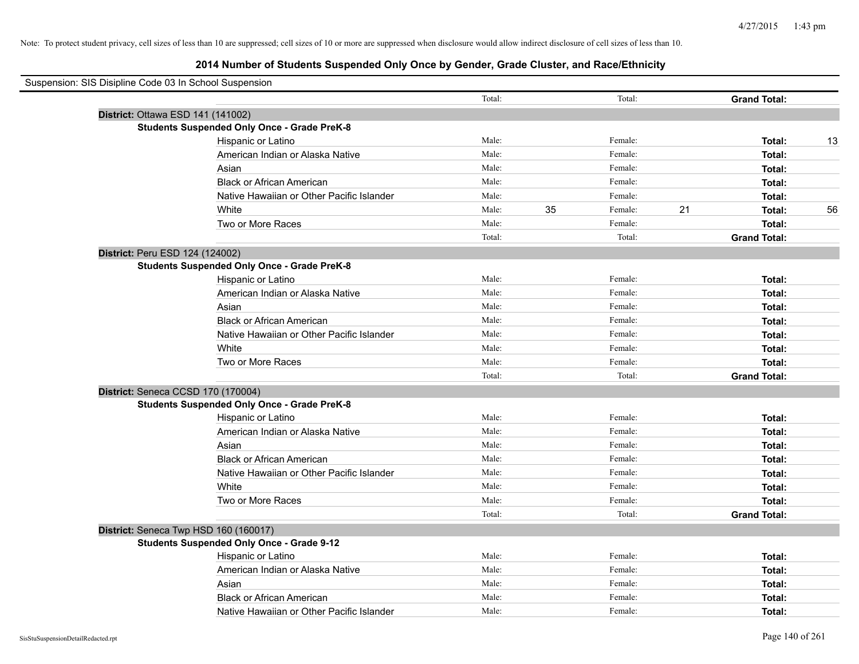| Suspension: SIS Disipline Code 03 In School Suspension |        |    |         |    |                     |    |
|--------------------------------------------------------|--------|----|---------|----|---------------------|----|
|                                                        | Total: |    | Total:  |    | <b>Grand Total:</b> |    |
| District: Ottawa ESD 141 (141002)                      |        |    |         |    |                     |    |
| <b>Students Suspended Only Once - Grade PreK-8</b>     |        |    |         |    |                     |    |
| Hispanic or Latino                                     | Male:  |    | Female: |    | Total:              | 13 |
| American Indian or Alaska Native                       | Male:  |    | Female: |    | Total:              |    |
| Asian                                                  | Male:  |    | Female: |    | Total:              |    |
| <b>Black or African American</b>                       | Male:  |    | Female: |    | Total:              |    |
| Native Hawaiian or Other Pacific Islander              | Male:  |    | Female: |    | Total:              |    |
| White                                                  | Male:  | 35 | Female: | 21 | Total:              | 56 |
| Two or More Races                                      | Male:  |    | Female: |    | Total:              |    |
|                                                        | Total: |    | Total:  |    | <b>Grand Total:</b> |    |
| District: Peru ESD 124 (124002)                        |        |    |         |    |                     |    |
| <b>Students Suspended Only Once - Grade PreK-8</b>     |        |    |         |    |                     |    |
| Hispanic or Latino                                     | Male:  |    | Female: |    | Total:              |    |
| American Indian or Alaska Native                       | Male:  |    | Female: |    | Total:              |    |
| Asian                                                  | Male:  |    | Female: |    | Total:              |    |
| <b>Black or African American</b>                       | Male:  |    | Female: |    | Total:              |    |
| Native Hawaiian or Other Pacific Islander              | Male:  |    | Female: |    | Total:              |    |
| White                                                  | Male:  |    | Female: |    | Total:              |    |
| Two or More Races                                      | Male:  |    | Female: |    | Total:              |    |
|                                                        | Total: |    | Total:  |    | <b>Grand Total:</b> |    |
| District: Seneca CCSD 170 (170004)                     |        |    |         |    |                     |    |
| <b>Students Suspended Only Once - Grade PreK-8</b>     |        |    |         |    |                     |    |
| Hispanic or Latino                                     | Male:  |    | Female: |    | Total:              |    |
| American Indian or Alaska Native                       | Male:  |    | Female: |    | Total:              |    |
| Asian                                                  | Male:  |    | Female: |    | Total:              |    |
| <b>Black or African American</b>                       | Male:  |    | Female: |    | Total:              |    |
| Native Hawaiian or Other Pacific Islander              | Male:  |    | Female: |    | Total:              |    |
| White                                                  | Male:  |    | Female: |    | Total:              |    |
| Two or More Races                                      | Male:  |    | Female: |    | Total:              |    |
|                                                        | Total: |    | Total:  |    | <b>Grand Total:</b> |    |
| District: Seneca Twp HSD 160 (160017)                  |        |    |         |    |                     |    |
| <b>Students Suspended Only Once - Grade 9-12</b>       |        |    |         |    |                     |    |
| Hispanic or Latino                                     | Male:  |    | Female: |    | Total:              |    |
| American Indian or Alaska Native                       | Male:  |    | Female: |    | Total:              |    |
| Asian                                                  | Male:  |    | Female: |    | Total:              |    |
| <b>Black or African American</b>                       | Male:  |    | Female: |    | Total:              |    |
| Native Hawaiian or Other Pacific Islander              | Male:  |    | Female: |    | Total:              |    |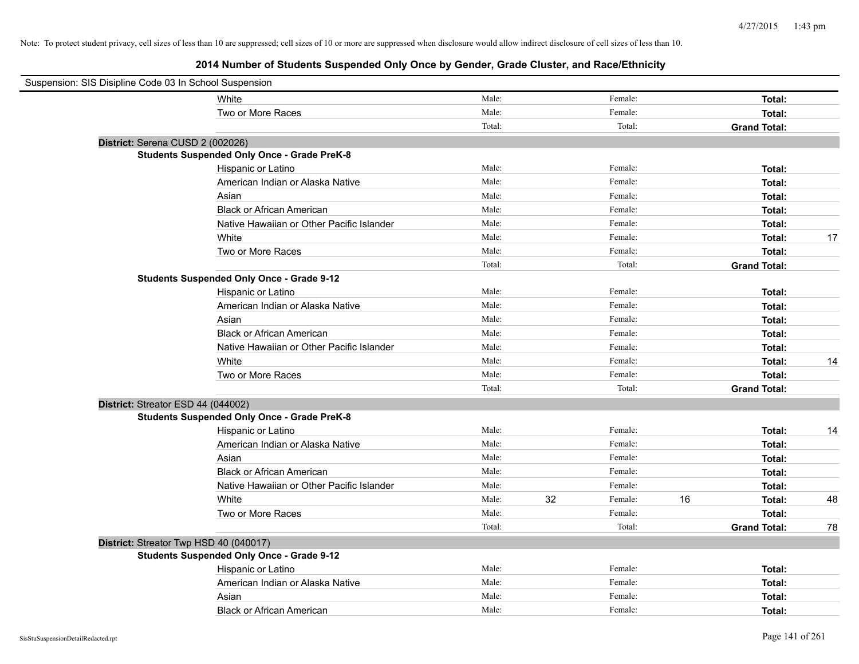| Suspension: SIS Disipline Code 03 In School Suspension |                                                    |        |    |         |    |                     |    |
|--------------------------------------------------------|----------------------------------------------------|--------|----|---------|----|---------------------|----|
|                                                        | White                                              | Male:  |    | Female: |    | Total:              |    |
|                                                        | Two or More Races                                  | Male:  |    | Female: |    | Total:              |    |
|                                                        |                                                    | Total: |    | Total:  |    | <b>Grand Total:</b> |    |
| District: Serena CUSD 2 (002026)                       |                                                    |        |    |         |    |                     |    |
|                                                        | <b>Students Suspended Only Once - Grade PreK-8</b> |        |    |         |    |                     |    |
|                                                        | Hispanic or Latino                                 | Male:  |    | Female: |    | Total:              |    |
|                                                        | American Indian or Alaska Native                   | Male:  |    | Female: |    | Total:              |    |
|                                                        | Asian                                              | Male:  |    | Female: |    | Total:              |    |
|                                                        | <b>Black or African American</b>                   | Male:  |    | Female: |    | Total:              |    |
|                                                        | Native Hawaiian or Other Pacific Islander          | Male:  |    | Female: |    | Total:              |    |
|                                                        | White                                              | Male:  |    | Female: |    | Total:              | 17 |
|                                                        | Two or More Races                                  | Male:  |    | Female: |    | Total:              |    |
|                                                        |                                                    | Total: |    | Total:  |    | <b>Grand Total:</b> |    |
|                                                        | <b>Students Suspended Only Once - Grade 9-12</b>   |        |    |         |    |                     |    |
|                                                        | Hispanic or Latino                                 | Male:  |    | Female: |    | Total:              |    |
|                                                        | American Indian or Alaska Native                   | Male:  |    | Female: |    | Total:              |    |
|                                                        | Asian                                              | Male:  |    | Female: |    | Total:              |    |
|                                                        | <b>Black or African American</b>                   | Male:  |    | Female: |    | Total:              |    |
|                                                        | Native Hawaiian or Other Pacific Islander          | Male:  |    | Female: |    | Total:              |    |
|                                                        | White                                              | Male:  |    | Female: |    | Total:              | 14 |
|                                                        | Two or More Races                                  | Male:  |    | Female: |    | Total:              |    |
|                                                        |                                                    | Total: |    | Total:  |    | <b>Grand Total:</b> |    |
| District: Streator ESD 44 (044002)                     |                                                    |        |    |         |    |                     |    |
|                                                        | <b>Students Suspended Only Once - Grade PreK-8</b> |        |    |         |    |                     |    |
|                                                        | Hispanic or Latino                                 | Male:  |    | Female: |    | Total:              | 14 |
|                                                        | American Indian or Alaska Native                   | Male:  |    | Female: |    | Total:              |    |
|                                                        | Asian                                              | Male:  |    | Female: |    | Total:              |    |
|                                                        | <b>Black or African American</b>                   | Male:  |    | Female: |    | Total:              |    |
|                                                        | Native Hawaiian or Other Pacific Islander          | Male:  |    | Female: |    | Total:              |    |
|                                                        | White                                              | Male:  | 32 | Female: | 16 | Total:              | 48 |
|                                                        | Two or More Races                                  | Male:  |    | Female: |    | Total:              |    |
|                                                        |                                                    | Total: |    | Total:  |    | <b>Grand Total:</b> | 78 |
| District: Streator Twp HSD 40 (040017)                 |                                                    |        |    |         |    |                     |    |
|                                                        | <b>Students Suspended Only Once - Grade 9-12</b>   |        |    |         |    |                     |    |
|                                                        | Hispanic or Latino                                 | Male:  |    | Female: |    | Total:              |    |
|                                                        | American Indian or Alaska Native                   | Male:  |    | Female: |    | Total:              |    |
|                                                        | Asian                                              | Male:  |    | Female: |    | Total:              |    |
|                                                        | <b>Black or African American</b>                   | Male:  |    | Female: |    | Total:              |    |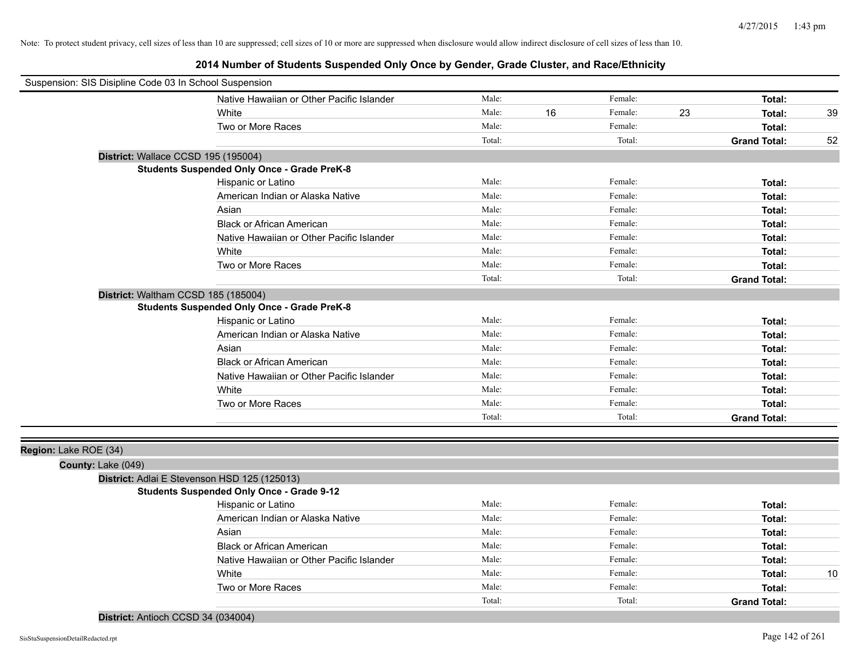| Suspension: SIS Disipline Code 03 In School Suspension |                                                    |        |    |         |    |                     |    |
|--------------------------------------------------------|----------------------------------------------------|--------|----|---------|----|---------------------|----|
|                                                        | Native Hawaiian or Other Pacific Islander          | Male:  |    | Female: |    | Total:              |    |
|                                                        | White                                              | Male:  | 16 | Female: | 23 | Total:              | 39 |
|                                                        | Two or More Races                                  | Male:  |    | Female: |    | Total:              |    |
|                                                        |                                                    | Total: |    | Total:  |    | <b>Grand Total:</b> | 52 |
|                                                        | District: Wallace CCSD 195 (195004)                |        |    |         |    |                     |    |
|                                                        | <b>Students Suspended Only Once - Grade PreK-8</b> |        |    |         |    |                     |    |
|                                                        | Hispanic or Latino                                 | Male:  |    | Female: |    | Total:              |    |
|                                                        | American Indian or Alaska Native                   | Male:  |    | Female: |    | Total:              |    |
|                                                        | Asian                                              | Male:  |    | Female: |    | Total:              |    |
|                                                        | <b>Black or African American</b>                   | Male:  |    | Female: |    | Total:              |    |
|                                                        | Native Hawaiian or Other Pacific Islander          | Male:  |    | Female: |    | Total:              |    |
|                                                        | White                                              | Male:  |    | Female: |    | Total:              |    |
|                                                        | Two or More Races                                  | Male:  |    | Female: |    | Total:              |    |
|                                                        |                                                    | Total: |    | Total:  |    | <b>Grand Total:</b> |    |
|                                                        | District: Waltham CCSD 185 (185004)                |        |    |         |    |                     |    |
|                                                        | <b>Students Suspended Only Once - Grade PreK-8</b> |        |    |         |    |                     |    |
|                                                        | Hispanic or Latino                                 | Male:  |    | Female: |    | Total:              |    |
|                                                        | American Indian or Alaska Native                   | Male:  |    | Female: |    | Total:              |    |
|                                                        | Asian                                              | Male:  |    | Female: |    | Total:              |    |
|                                                        | <b>Black or African American</b>                   | Male:  |    | Female: |    | Total:              |    |
|                                                        | Native Hawaiian or Other Pacific Islander          | Male:  |    | Female: |    | Total:              |    |
|                                                        | White                                              | Male:  |    | Female: |    | Total:              |    |
|                                                        | Two or More Races                                  | Male:  |    | Female: |    | Total:              |    |
|                                                        |                                                    | Total: |    | Total:  |    | <b>Grand Total:</b> |    |
|                                                        |                                                    |        |    |         |    |                     |    |
| Region: Lake ROE (34)                                  |                                                    |        |    |         |    |                     |    |
| County: Lake (049)                                     |                                                    |        |    |         |    |                     |    |
|                                                        | District: Adlai E Stevenson HSD 125 (125013)       |        |    |         |    |                     |    |
|                                                        | <b>Students Suspended Only Once - Grade 9-12</b>   |        |    |         |    |                     |    |
|                                                        | Hispanic or Latino                                 | Male:  |    | Female: |    | Total:              |    |
|                                                        | American Indian or Alaska Native                   | Male:  |    | Female: |    | Total:              |    |
|                                                        | Asian                                              | Male:  |    | Female: |    | Total:              |    |
|                                                        | <b>Black or African American</b>                   | Male:  |    | Female: |    | Total:              |    |
|                                                        | Native Hawaiian or Other Pacific Islander          | Male:  |    | Female: |    | Total:              |    |
|                                                        | White                                              | Male:  |    | Female: |    | Total:              | 10 |
|                                                        | Two or More Races                                  | Male:  |    | Female: |    | Total:              |    |
|                                                        |                                                    | Total: |    | Total:  |    | <b>Grand Total:</b> |    |
| District: Antioch CCSD 34 (034004)                     |                                                    |        |    |         |    |                     |    |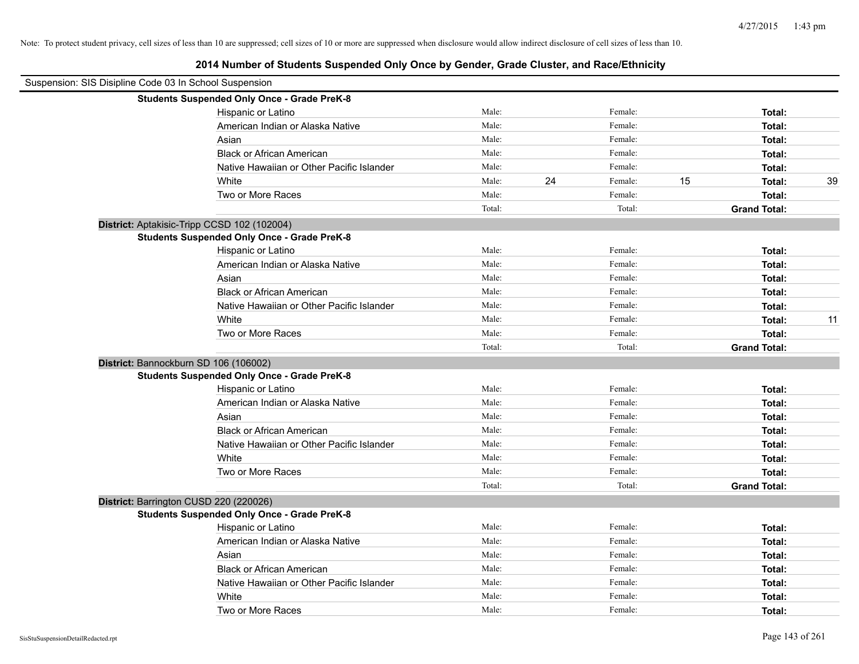| Suspension: SIS Disipline Code 03 In School Suspension |                                                    |        |    |         |    |                     |    |
|--------------------------------------------------------|----------------------------------------------------|--------|----|---------|----|---------------------|----|
|                                                        | <b>Students Suspended Only Once - Grade PreK-8</b> |        |    |         |    |                     |    |
|                                                        | Hispanic or Latino                                 | Male:  |    | Female: |    | Total:              |    |
|                                                        | American Indian or Alaska Native                   | Male:  |    | Female: |    | Total:              |    |
|                                                        | Asian                                              | Male:  |    | Female: |    | Total:              |    |
|                                                        | <b>Black or African American</b>                   | Male:  |    | Female: |    | Total:              |    |
|                                                        | Native Hawaiian or Other Pacific Islander          | Male:  |    | Female: |    | Total:              |    |
|                                                        | White                                              | Male:  | 24 | Female: | 15 | Total:              | 39 |
|                                                        | Two or More Races                                  | Male:  |    | Female: |    | Total:              |    |
|                                                        |                                                    | Total: |    | Total:  |    | <b>Grand Total:</b> |    |
|                                                        | District: Aptakisic-Tripp CCSD 102 (102004)        |        |    |         |    |                     |    |
|                                                        | <b>Students Suspended Only Once - Grade PreK-8</b> |        |    |         |    |                     |    |
|                                                        | Hispanic or Latino                                 | Male:  |    | Female: |    | Total:              |    |
|                                                        | American Indian or Alaska Native                   | Male:  |    | Female: |    | Total:              |    |
|                                                        | Asian                                              | Male:  |    | Female: |    | Total:              |    |
|                                                        | <b>Black or African American</b>                   | Male:  |    | Female: |    | Total:              |    |
|                                                        | Native Hawaiian or Other Pacific Islander          | Male:  |    | Female: |    | Total:              |    |
|                                                        | White                                              | Male:  |    | Female: |    | Total:              | 11 |
|                                                        | Two or More Races                                  | Male:  |    | Female: |    | Total:              |    |
|                                                        |                                                    | Total: |    | Total:  |    | <b>Grand Total:</b> |    |
|                                                        | District: Bannockburn SD 106 (106002)              |        |    |         |    |                     |    |
|                                                        | <b>Students Suspended Only Once - Grade PreK-8</b> |        |    |         |    |                     |    |
|                                                        | Hispanic or Latino                                 | Male:  |    | Female: |    | Total:              |    |
|                                                        | American Indian or Alaska Native                   | Male:  |    | Female: |    | Total:              |    |
|                                                        | Asian                                              | Male:  |    | Female: |    | Total:              |    |
|                                                        | <b>Black or African American</b>                   | Male:  |    | Female: |    | Total:              |    |
|                                                        | Native Hawaiian or Other Pacific Islander          | Male:  |    | Female: |    | Total:              |    |
|                                                        | White                                              | Male:  |    | Female: |    | Total:              |    |
|                                                        | Two or More Races                                  | Male:  |    | Female: |    | Total:              |    |
|                                                        |                                                    | Total: |    | Total:  |    | <b>Grand Total:</b> |    |
|                                                        | District: Barrington CUSD 220 (220026)             |        |    |         |    |                     |    |
|                                                        | <b>Students Suspended Only Once - Grade PreK-8</b> |        |    |         |    |                     |    |
|                                                        | Hispanic or Latino                                 | Male:  |    | Female: |    | Total:              |    |
|                                                        | American Indian or Alaska Native                   | Male:  |    | Female: |    | Total:              |    |
|                                                        | Asian                                              | Male:  |    | Female: |    | Total:              |    |
|                                                        | <b>Black or African American</b>                   | Male:  |    | Female: |    | Total:              |    |
|                                                        | Native Hawaiian or Other Pacific Islander          | Male:  |    | Female: |    | Total:              |    |
|                                                        | White                                              | Male:  |    | Female: |    | Total:              |    |
|                                                        | Two or More Races                                  | Male:  |    | Female: |    | Total:              |    |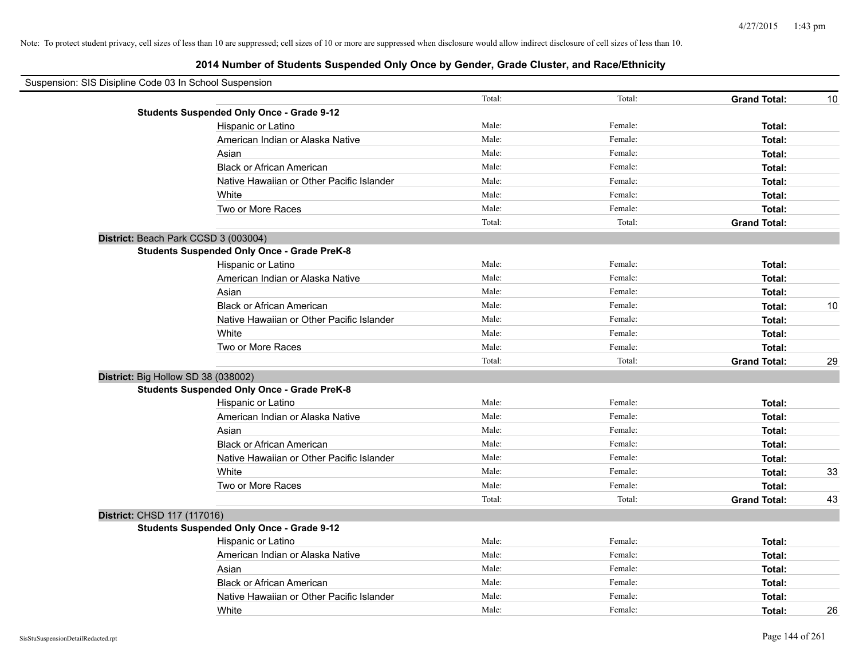| Suspension: SIS Disipline Code 03 In School Suspension |                                                    |        |         |                     |    |
|--------------------------------------------------------|----------------------------------------------------|--------|---------|---------------------|----|
|                                                        |                                                    | Total: | Total:  | <b>Grand Total:</b> | 10 |
|                                                        | <b>Students Suspended Only Once - Grade 9-12</b>   |        |         |                     |    |
|                                                        | Hispanic or Latino                                 | Male:  | Female: | Total:              |    |
|                                                        | American Indian or Alaska Native                   | Male:  | Female: | Total:              |    |
|                                                        | Asian                                              | Male:  | Female: | Total:              |    |
|                                                        | <b>Black or African American</b>                   | Male:  | Female: | Total:              |    |
|                                                        | Native Hawaiian or Other Pacific Islander          | Male:  | Female: | Total:              |    |
|                                                        | White                                              | Male:  | Female: | Total:              |    |
|                                                        | Two or More Races                                  | Male:  | Female: | Total:              |    |
|                                                        |                                                    | Total: | Total:  | <b>Grand Total:</b> |    |
|                                                        | District: Beach Park CCSD 3 (003004)               |        |         |                     |    |
|                                                        | <b>Students Suspended Only Once - Grade PreK-8</b> |        |         |                     |    |
|                                                        | Hispanic or Latino                                 | Male:  | Female: | Total:              |    |
|                                                        | American Indian or Alaska Native                   | Male:  | Female: | Total:              |    |
|                                                        | Asian                                              | Male:  | Female: | Total:              |    |
|                                                        | <b>Black or African American</b>                   | Male:  | Female: | Total:              | 10 |
|                                                        | Native Hawaiian or Other Pacific Islander          | Male:  | Female: | Total:              |    |
|                                                        | White                                              | Male:  | Female: | Total:              |    |
|                                                        | Two or More Races                                  | Male:  | Female: | Total:              |    |
|                                                        |                                                    | Total: | Total:  | <b>Grand Total:</b> | 29 |
| District: Big Hollow SD 38 (038002)                    |                                                    |        |         |                     |    |
|                                                        | <b>Students Suspended Only Once - Grade PreK-8</b> |        |         |                     |    |
|                                                        | Hispanic or Latino                                 | Male:  | Female: | Total:              |    |
|                                                        | American Indian or Alaska Native                   | Male:  | Female: | Total:              |    |
|                                                        | Asian                                              | Male:  | Female: | Total:              |    |
|                                                        | <b>Black or African American</b>                   | Male:  | Female: | Total:              |    |
|                                                        | Native Hawaiian or Other Pacific Islander          | Male:  | Female: | Total:              |    |
|                                                        | White                                              | Male:  | Female: | Total:              | 33 |
|                                                        | Two or More Races                                  | Male:  | Female: | Total:              |    |
|                                                        |                                                    | Total: | Total:  | <b>Grand Total:</b> | 43 |
| District: CHSD 117 (117016)                            |                                                    |        |         |                     |    |
|                                                        | <b>Students Suspended Only Once - Grade 9-12</b>   |        |         |                     |    |
|                                                        | Hispanic or Latino                                 | Male:  | Female: | Total:              |    |
|                                                        | American Indian or Alaska Native                   | Male:  | Female: | Total:              |    |
|                                                        | Asian                                              | Male:  | Female: | Total:              |    |
|                                                        | <b>Black or African American</b>                   | Male:  | Female: | Total:              |    |
|                                                        | Native Hawaiian or Other Pacific Islander          | Male:  | Female: | Total:              |    |
|                                                        | White                                              | Male:  | Female: | Total:              | 26 |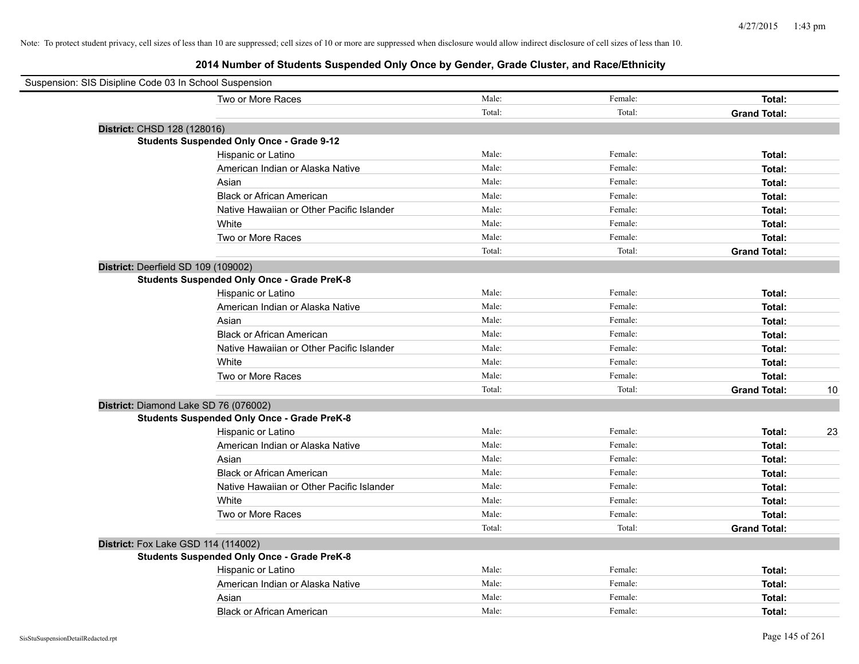| Suspension: SIS Disipline Code 03 In School Suspension |                                                    |        |         |                     |    |
|--------------------------------------------------------|----------------------------------------------------|--------|---------|---------------------|----|
|                                                        | Two or More Races                                  | Male:  | Female: | Total:              |    |
|                                                        |                                                    | Total: | Total:  | <b>Grand Total:</b> |    |
| District: CHSD 128 (128016)                            |                                                    |        |         |                     |    |
|                                                        | <b>Students Suspended Only Once - Grade 9-12</b>   |        |         |                     |    |
|                                                        | Hispanic or Latino                                 | Male:  | Female: | Total:              |    |
|                                                        | American Indian or Alaska Native                   | Male:  | Female: | Total:              |    |
|                                                        | Asian                                              | Male:  | Female: | Total:              |    |
|                                                        | <b>Black or African American</b>                   | Male:  | Female: | Total:              |    |
|                                                        | Native Hawaiian or Other Pacific Islander          | Male:  | Female: | Total:              |    |
|                                                        | White                                              | Male:  | Female: | Total:              |    |
|                                                        | Two or More Races                                  | Male:  | Female: | Total:              |    |
|                                                        |                                                    | Total: | Total:  | <b>Grand Total:</b> |    |
| District: Deerfield SD 109 (109002)                    |                                                    |        |         |                     |    |
|                                                        | <b>Students Suspended Only Once - Grade PreK-8</b> |        |         |                     |    |
|                                                        | Hispanic or Latino                                 | Male:  | Female: | Total:              |    |
|                                                        | American Indian or Alaska Native                   | Male:  | Female: | Total:              |    |
|                                                        | Asian                                              | Male:  | Female: | Total:              |    |
|                                                        | <b>Black or African American</b>                   | Male:  | Female: | Total:              |    |
|                                                        | Native Hawaiian or Other Pacific Islander          | Male:  | Female: | Total:              |    |
|                                                        | White                                              | Male:  | Female: | Total:              |    |
|                                                        | Two or More Races                                  | Male:  | Female: | Total:              |    |
|                                                        |                                                    | Total: | Total:  | <b>Grand Total:</b> | 10 |
| District: Diamond Lake SD 76 (076002)                  |                                                    |        |         |                     |    |
|                                                        | <b>Students Suspended Only Once - Grade PreK-8</b> |        |         |                     |    |
|                                                        | Hispanic or Latino                                 | Male:  | Female: | Total:              | 23 |
|                                                        | American Indian or Alaska Native                   | Male:  | Female: | Total:              |    |
|                                                        | Asian                                              | Male:  | Female: | Total:              |    |
|                                                        | <b>Black or African American</b>                   | Male:  | Female: | Total:              |    |
|                                                        | Native Hawaiian or Other Pacific Islander          | Male:  | Female: | Total:              |    |
|                                                        | White                                              | Male:  | Female: | Total:              |    |
|                                                        | Two or More Races                                  | Male:  | Female: | Total:              |    |
|                                                        |                                                    | Total: | Total:  | <b>Grand Total:</b> |    |
| District: Fox Lake GSD 114 (114002)                    |                                                    |        |         |                     |    |
|                                                        | <b>Students Suspended Only Once - Grade PreK-8</b> |        |         |                     |    |
|                                                        | Hispanic or Latino                                 | Male:  | Female: | Total:              |    |
|                                                        | American Indian or Alaska Native                   | Male:  | Female: | Total:              |    |
|                                                        | Asian                                              | Male:  | Female: | Total:              |    |
|                                                        | <b>Black or African American</b>                   | Male:  | Female: | Total:              |    |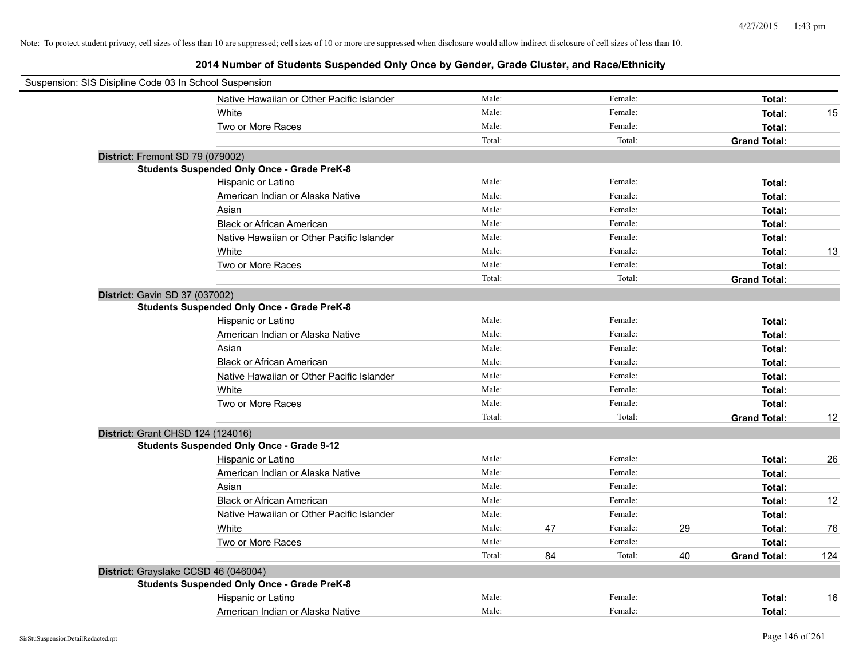|                                | Suspension: SIS Disipline Code 03 In School Suspension |        |    |         |    |                     |     |
|--------------------------------|--------------------------------------------------------|--------|----|---------|----|---------------------|-----|
|                                | Native Hawaiian or Other Pacific Islander              | Male:  |    | Female: |    | Total:              |     |
|                                | White                                                  | Male:  |    | Female: |    | Total:              | 15  |
|                                | Two or More Races                                      | Male:  |    | Female: |    | Total:              |     |
|                                |                                                        | Total: |    | Total:  |    | <b>Grand Total:</b> |     |
|                                | District: Fremont SD 79 (079002)                       |        |    |         |    |                     |     |
|                                | <b>Students Suspended Only Once - Grade PreK-8</b>     |        |    |         |    |                     |     |
|                                | Hispanic or Latino                                     | Male:  |    | Female: |    | Total:              |     |
|                                | American Indian or Alaska Native                       | Male:  |    | Female: |    | Total:              |     |
|                                | Asian                                                  | Male:  |    | Female: |    | Total:              |     |
|                                | <b>Black or African American</b>                       | Male:  |    | Female: |    | Total:              |     |
|                                | Native Hawaiian or Other Pacific Islander              | Male:  |    | Female: |    | Total:              |     |
|                                | White                                                  | Male:  |    | Female: |    | Total:              | 13  |
|                                | Two or More Races                                      | Male:  |    | Female: |    | Total:              |     |
|                                |                                                        | Total: |    | Total:  |    | <b>Grand Total:</b> |     |
| District: Gavin SD 37 (037002) |                                                        |        |    |         |    |                     |     |
|                                | <b>Students Suspended Only Once - Grade PreK-8</b>     |        |    |         |    |                     |     |
|                                | Hispanic or Latino                                     | Male:  |    | Female: |    | Total:              |     |
|                                | American Indian or Alaska Native                       | Male:  |    | Female: |    | Total:              |     |
|                                | Asian                                                  | Male:  |    | Female: |    | Total:              |     |
|                                | <b>Black or African American</b>                       | Male:  |    | Female: |    | Total:              |     |
|                                | Native Hawaiian or Other Pacific Islander              | Male:  |    | Female: |    | Total:              |     |
|                                | White                                                  | Male:  |    | Female: |    | Total:              |     |
|                                | Two or More Races                                      | Male:  |    | Female: |    | Total:              |     |
|                                |                                                        | Total: |    | Total:  |    | <b>Grand Total:</b> | 12  |
|                                | District: Grant CHSD 124 (124016)                      |        |    |         |    |                     |     |
|                                | <b>Students Suspended Only Once - Grade 9-12</b>       |        |    |         |    |                     |     |
|                                | Hispanic or Latino                                     | Male:  |    | Female: |    | Total:              | 26  |
|                                | American Indian or Alaska Native                       | Male:  |    | Female: |    | Total:              |     |
|                                | Asian                                                  | Male:  |    | Female: |    | Total:              |     |
|                                | <b>Black or African American</b>                       | Male:  |    | Female: |    | Total:              | 12  |
|                                | Native Hawaiian or Other Pacific Islander              | Male:  |    | Female: |    | Total:              |     |
|                                | White                                                  | Male:  | 47 | Female: | 29 | Total:              | 76  |
|                                | Two or More Races                                      | Male:  |    | Female: |    | Total:              |     |
|                                |                                                        | Total: | 84 | Total:  | 40 | <b>Grand Total:</b> | 124 |
|                                | District: Grayslake CCSD 46 (046004)                   |        |    |         |    |                     |     |
|                                | <b>Students Suspended Only Once - Grade PreK-8</b>     |        |    |         |    |                     |     |
|                                | Hispanic or Latino                                     | Male:  |    | Female: |    | Total:              | 16  |
|                                | American Indian or Alaska Native                       | Male:  |    | Female: |    | Total:              |     |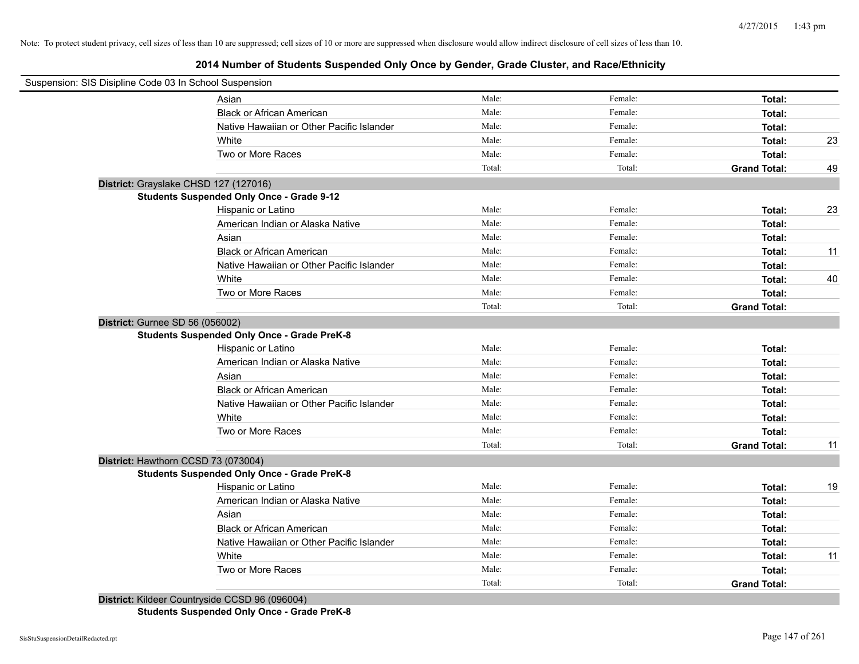# **2014 Number of Students Suspended Only Once by Gender, Grade Cluster, and Race/Ethnicity**

| Suspension: SIS Disipline Code 03 In School Suspension |                                                    |        |         |                     |    |
|--------------------------------------------------------|----------------------------------------------------|--------|---------|---------------------|----|
|                                                        | Asian                                              | Male:  | Female: | Total:              |    |
|                                                        | <b>Black or African American</b>                   | Male:  | Female: | Total:              |    |
|                                                        | Native Hawaiian or Other Pacific Islander          | Male:  | Female: | Total:              |    |
|                                                        | White                                              | Male:  | Female: | Total:              | 23 |
|                                                        | Two or More Races                                  | Male:  | Female: | Total:              |    |
|                                                        |                                                    | Total: | Total:  | <b>Grand Total:</b> | 49 |
| District: Grayslake CHSD 127 (127016)                  |                                                    |        |         |                     |    |
|                                                        | <b>Students Suspended Only Once - Grade 9-12</b>   |        |         |                     |    |
|                                                        | Hispanic or Latino                                 | Male:  | Female: | Total:              | 23 |
|                                                        | American Indian or Alaska Native                   | Male:  | Female: | Total:              |    |
|                                                        | Asian                                              | Male:  | Female: | Total:              |    |
|                                                        | <b>Black or African American</b>                   | Male:  | Female: | Total:              | 11 |
|                                                        | Native Hawaiian or Other Pacific Islander          | Male:  | Female: | Total:              |    |
|                                                        | White                                              | Male:  | Female: | Total:              | 40 |
|                                                        | Two or More Races                                  | Male:  | Female: | Total:              |    |
|                                                        |                                                    | Total: | Total:  | <b>Grand Total:</b> |    |
| District: Gurnee SD 56 (056002)                        |                                                    |        |         |                     |    |
|                                                        | <b>Students Suspended Only Once - Grade PreK-8</b> |        |         |                     |    |
|                                                        | Hispanic or Latino                                 | Male:  | Female: | Total:              |    |
|                                                        | American Indian or Alaska Native                   | Male:  | Female: | Total:              |    |
|                                                        | Asian                                              | Male:  | Female: | Total:              |    |
|                                                        | <b>Black or African American</b>                   | Male:  | Female: | Total:              |    |
|                                                        | Native Hawaiian or Other Pacific Islander          | Male:  | Female: | Total:              |    |
|                                                        | White                                              | Male:  | Female: | Total:              |    |
|                                                        | Two or More Races                                  | Male:  | Female: | Total:              |    |
|                                                        |                                                    | Total: | Total:  | <b>Grand Total:</b> | 11 |
| District: Hawthorn CCSD 73 (073004)                    |                                                    |        |         |                     |    |
|                                                        | <b>Students Suspended Only Once - Grade PreK-8</b> |        |         |                     |    |
|                                                        | Hispanic or Latino                                 | Male:  | Female: | Total:              | 19 |
|                                                        | American Indian or Alaska Native                   | Male:  | Female: | Total:              |    |
|                                                        | Asian                                              | Male:  | Female: | Total:              |    |
|                                                        | <b>Black or African American</b>                   | Male:  | Female: | Total:              |    |
|                                                        | Native Hawaiian or Other Pacific Islander          | Male:  | Female: | Total:              |    |
|                                                        | White                                              | Male:  | Female: | Total:              | 11 |
|                                                        | Two or More Races                                  | Male:  | Female: | Total:              |    |
|                                                        |                                                    | Total: |         | <b>Grand Total:</b> |    |

**Students Suspended Only Once - Grade PreK-8**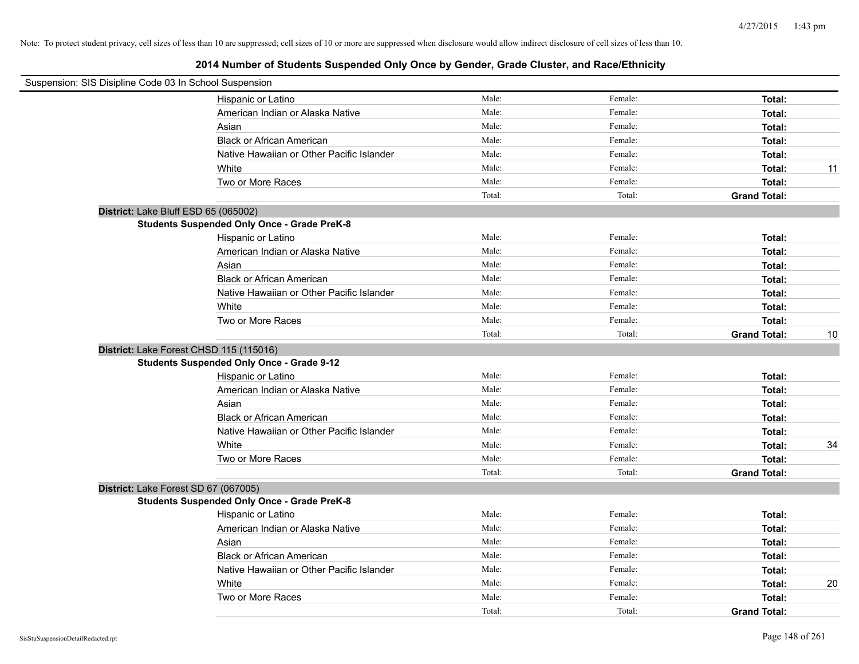| Suspension: SIS Disipline Code 03 In School Suspension |                                                    |        |         |                     |    |
|--------------------------------------------------------|----------------------------------------------------|--------|---------|---------------------|----|
|                                                        | Hispanic or Latino                                 | Male:  | Female: | Total:              |    |
|                                                        | American Indian or Alaska Native                   | Male:  | Female: | Total:              |    |
|                                                        | Asian                                              | Male:  | Female: | Total:              |    |
|                                                        | <b>Black or African American</b>                   | Male:  | Female: | Total:              |    |
|                                                        | Native Hawaiian or Other Pacific Islander          | Male:  | Female: | Total:              |    |
|                                                        | White                                              | Male:  | Female: | Total:              | 11 |
|                                                        | Two or More Races                                  | Male:  | Female: | Total:              |    |
|                                                        |                                                    | Total: | Total:  | <b>Grand Total:</b> |    |
|                                                        | District: Lake Bluff ESD 65 (065002)               |        |         |                     |    |
|                                                        | <b>Students Suspended Only Once - Grade PreK-8</b> |        |         |                     |    |
|                                                        | Hispanic or Latino                                 | Male:  | Female: | Total:              |    |
|                                                        | American Indian or Alaska Native                   | Male:  | Female: | Total:              |    |
|                                                        | Asian                                              | Male:  | Female: | Total:              |    |
|                                                        | <b>Black or African American</b>                   | Male:  | Female: | Total:              |    |
|                                                        | Native Hawaiian or Other Pacific Islander          | Male:  | Female: | Total:              |    |
|                                                        | White                                              | Male:  | Female: | Total:              |    |
|                                                        | Two or More Races                                  | Male:  | Female: | Total:              |    |
|                                                        |                                                    | Total: | Total:  | <b>Grand Total:</b> | 10 |
|                                                        | District: Lake Forest CHSD 115 (115016)            |        |         |                     |    |
|                                                        | <b>Students Suspended Only Once - Grade 9-12</b>   |        |         |                     |    |
|                                                        | Hispanic or Latino                                 | Male:  | Female: | Total:              |    |
|                                                        | American Indian or Alaska Native                   | Male:  | Female: | Total:              |    |
|                                                        | Asian                                              | Male:  | Female: | Total:              |    |
|                                                        | <b>Black or African American</b>                   | Male:  | Female: | Total:              |    |
|                                                        | Native Hawaiian or Other Pacific Islander          | Male:  | Female: | Total:              |    |
|                                                        | White                                              | Male:  | Female: | Total:              | 34 |
|                                                        | Two or More Races                                  | Male:  | Female: | Total:              |    |
|                                                        |                                                    | Total: | Total:  | <b>Grand Total:</b> |    |
|                                                        | District: Lake Forest SD 67 (067005)               |        |         |                     |    |
|                                                        | <b>Students Suspended Only Once - Grade PreK-8</b> |        |         |                     |    |
|                                                        | Hispanic or Latino                                 | Male:  | Female: | Total:              |    |
|                                                        | American Indian or Alaska Native                   | Male:  | Female: | Total:              |    |
|                                                        | Asian                                              | Male:  | Female: | Total:              |    |
|                                                        | <b>Black or African American</b>                   | Male:  | Female: | Total:              |    |
|                                                        | Native Hawaiian or Other Pacific Islander          | Male:  | Female: | Total:              |    |
|                                                        | White                                              | Male:  | Female: | Total:              | 20 |
|                                                        | Two or More Races                                  | Male:  | Female: | Total:              |    |
|                                                        |                                                    | Total: | Total:  | <b>Grand Total:</b> |    |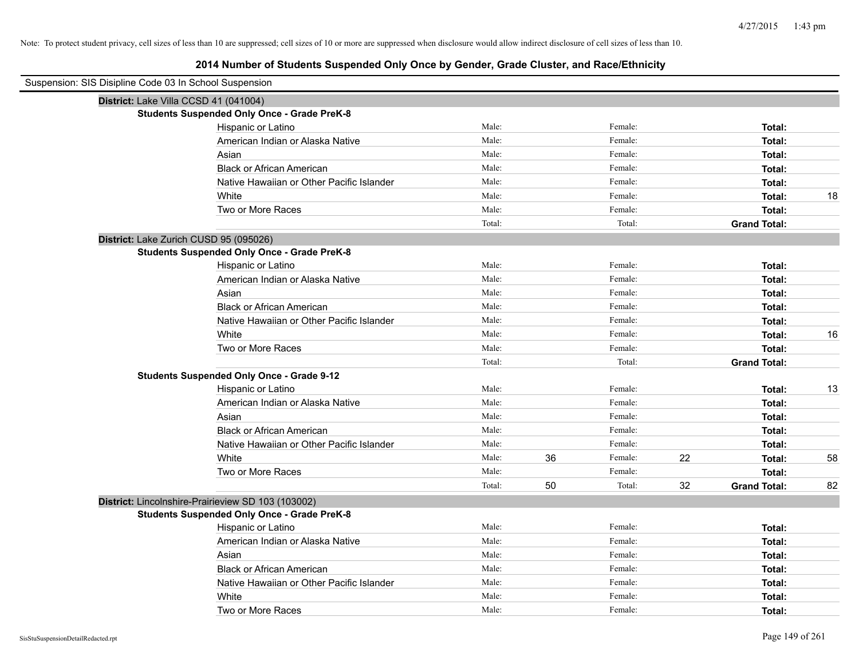| Suspension: SIS Disipline Code 03 In School Suspension |                                                    |        |    |         |    |                     |    |
|--------------------------------------------------------|----------------------------------------------------|--------|----|---------|----|---------------------|----|
| District: Lake Villa CCSD 41 (041004)                  |                                                    |        |    |         |    |                     |    |
|                                                        | <b>Students Suspended Only Once - Grade PreK-8</b> |        |    |         |    |                     |    |
|                                                        | Hispanic or Latino                                 | Male:  |    | Female: |    | Total:              |    |
|                                                        | American Indian or Alaska Native                   | Male:  |    | Female: |    | Total:              |    |
|                                                        | Asian                                              | Male:  |    | Female: |    | Total:              |    |
|                                                        | <b>Black or African American</b>                   | Male:  |    | Female: |    | Total:              |    |
|                                                        | Native Hawaiian or Other Pacific Islander          | Male:  |    | Female: |    | Total:              |    |
|                                                        | White                                              | Male:  |    | Female: |    | Total:              | 18 |
|                                                        | Two or More Races                                  | Male:  |    | Female: |    | Total:              |    |
|                                                        |                                                    | Total: |    | Total:  |    | <b>Grand Total:</b> |    |
| District: Lake Zurich CUSD 95 (095026)                 |                                                    |        |    |         |    |                     |    |
|                                                        | <b>Students Suspended Only Once - Grade PreK-8</b> |        |    |         |    |                     |    |
|                                                        | Hispanic or Latino                                 | Male:  |    | Female: |    | Total:              |    |
|                                                        | American Indian or Alaska Native                   | Male:  |    | Female: |    | Total:              |    |
|                                                        | Asian                                              | Male:  |    | Female: |    | Total:              |    |
|                                                        | <b>Black or African American</b>                   | Male:  |    | Female: |    | Total:              |    |
|                                                        | Native Hawaiian or Other Pacific Islander          | Male:  |    | Female: |    | Total:              |    |
|                                                        | White                                              | Male:  |    | Female: |    | Total:              | 16 |
|                                                        | Two or More Races                                  | Male:  |    | Female: |    | Total:              |    |
|                                                        |                                                    | Total: |    | Total:  |    | <b>Grand Total:</b> |    |
|                                                        | <b>Students Suspended Only Once - Grade 9-12</b>   |        |    |         |    |                     |    |
|                                                        | Hispanic or Latino                                 | Male:  |    | Female: |    | Total:              | 13 |
|                                                        | American Indian or Alaska Native                   | Male:  |    | Female: |    | Total:              |    |
|                                                        | Asian                                              | Male:  |    | Female: |    | Total:              |    |
|                                                        | <b>Black or African American</b>                   | Male:  |    | Female: |    | Total:              |    |
|                                                        | Native Hawaiian or Other Pacific Islander          | Male:  |    | Female: |    | Total:              |    |
|                                                        | White                                              | Male:  | 36 | Female: | 22 | Total:              | 58 |
|                                                        | Two or More Races                                  | Male:  |    | Female: |    | Total:              |    |
|                                                        |                                                    | Total: | 50 | Total:  | 32 | <b>Grand Total:</b> | 82 |
| District: Lincolnshire-Prairieview SD 103 (103002)     |                                                    |        |    |         |    |                     |    |
|                                                        | <b>Students Suspended Only Once - Grade PreK-8</b> |        |    |         |    |                     |    |
|                                                        | Hispanic or Latino                                 | Male:  |    | Female: |    | Total:              |    |
|                                                        | American Indian or Alaska Native                   | Male:  |    | Female: |    | Total:              |    |
|                                                        | Asian                                              | Male:  |    | Female: |    | Total:              |    |
|                                                        | <b>Black or African American</b>                   | Male:  |    | Female: |    | Total:              |    |
|                                                        | Native Hawaiian or Other Pacific Islander          | Male:  |    | Female: |    | Total:              |    |
|                                                        | White                                              | Male:  |    | Female: |    | Total:              |    |
|                                                        | Two or More Races                                  | Male:  |    | Female: |    | Total:              |    |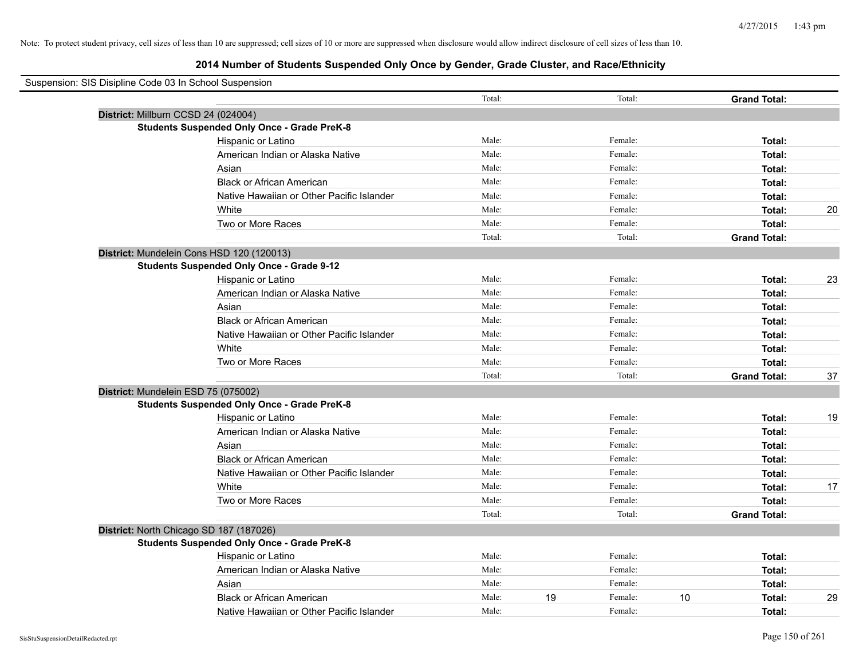| Suspension: SIS Disipline Code 03 In School Suspension |                                                    |        |    |         |                     |    |
|--------------------------------------------------------|----------------------------------------------------|--------|----|---------|---------------------|----|
|                                                        |                                                    | Total: |    | Total:  | <b>Grand Total:</b> |    |
|                                                        | District: Millburn CCSD 24 (024004)                |        |    |         |                     |    |
|                                                        | <b>Students Suspended Only Once - Grade PreK-8</b> |        |    |         |                     |    |
|                                                        | Hispanic or Latino                                 | Male:  |    | Female: | Total:              |    |
|                                                        | American Indian or Alaska Native                   | Male:  |    | Female: | Total:              |    |
|                                                        | Asian                                              | Male:  |    | Female: | Total:              |    |
|                                                        | <b>Black or African American</b>                   | Male:  |    | Female: | Total:              |    |
|                                                        | Native Hawaiian or Other Pacific Islander          | Male:  |    | Female: | Total:              |    |
|                                                        | White                                              | Male:  |    | Female: | Total:              | 20 |
|                                                        | Two or More Races                                  | Male:  |    | Female: | Total:              |    |
|                                                        |                                                    | Total: |    | Total:  | <b>Grand Total:</b> |    |
|                                                        | District: Mundelein Cons HSD 120 (120013)          |        |    |         |                     |    |
|                                                        | <b>Students Suspended Only Once - Grade 9-12</b>   |        |    |         |                     |    |
|                                                        | Hispanic or Latino                                 | Male:  |    | Female: | Total:              | 23 |
|                                                        | American Indian or Alaska Native                   | Male:  |    | Female: | Total:              |    |
|                                                        | Asian                                              | Male:  |    | Female: | Total:              |    |
|                                                        | <b>Black or African American</b>                   | Male:  |    | Female: | Total:              |    |
|                                                        | Native Hawaiian or Other Pacific Islander          | Male:  |    | Female: | Total:              |    |
|                                                        | White                                              | Male:  |    | Female: | Total:              |    |
|                                                        | Two or More Races                                  | Male:  |    | Female: | Total:              |    |
|                                                        |                                                    | Total: |    | Total:  | <b>Grand Total:</b> | 37 |
|                                                        | District: Mundelein ESD 75 (075002)                |        |    |         |                     |    |
|                                                        | <b>Students Suspended Only Once - Grade PreK-8</b> |        |    |         |                     |    |
|                                                        | Hispanic or Latino                                 | Male:  |    | Female: | Total:              | 19 |
|                                                        | American Indian or Alaska Native                   | Male:  |    | Female: | Total:              |    |
|                                                        | Asian                                              | Male:  |    | Female: | Total:              |    |
|                                                        | <b>Black or African American</b>                   | Male:  |    | Female: | Total:              |    |
|                                                        | Native Hawaiian or Other Pacific Islander          | Male:  |    | Female: | Total:              |    |
|                                                        | White                                              | Male:  |    | Female: | Total:              | 17 |
|                                                        | Two or More Races                                  | Male:  |    | Female: | Total:              |    |
|                                                        |                                                    | Total: |    | Total:  | <b>Grand Total:</b> |    |
|                                                        | District: North Chicago SD 187 (187026)            |        |    |         |                     |    |
|                                                        | <b>Students Suspended Only Once - Grade PreK-8</b> |        |    |         |                     |    |
|                                                        | Hispanic or Latino                                 | Male:  |    | Female: | Total:              |    |
|                                                        | American Indian or Alaska Native                   | Male:  |    | Female: | Total:              |    |
|                                                        | Asian                                              | Male:  |    | Female: | Total:              |    |
|                                                        | <b>Black or African American</b>                   | Male:  | 19 | Female: | 10<br>Total:        | 29 |
|                                                        | Native Hawaiian or Other Pacific Islander          | Male:  |    | Female: | Total:              |    |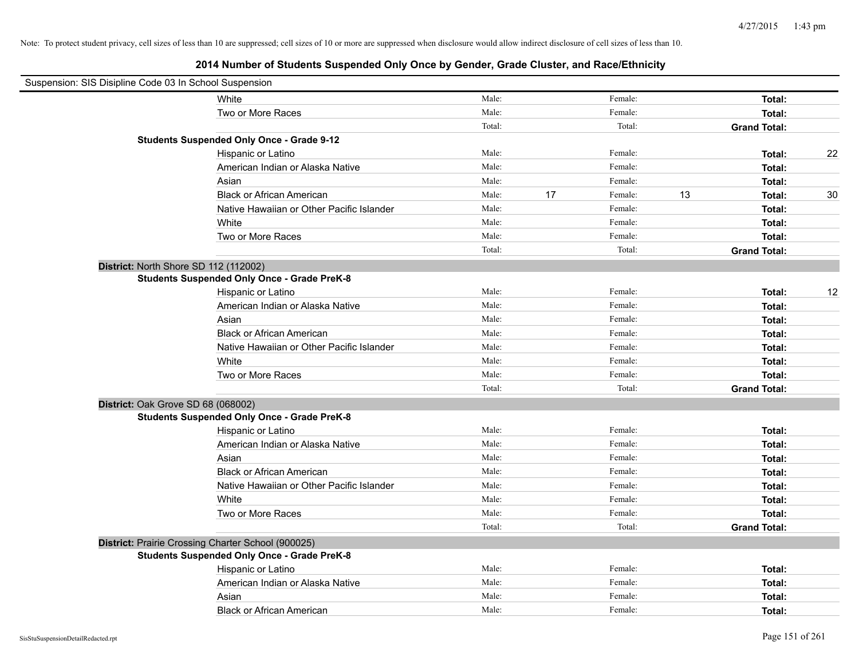| Suspension: SIS Disipline Code 03 In School Suspension |                                                    |        |    |         |    |                     |    |
|--------------------------------------------------------|----------------------------------------------------|--------|----|---------|----|---------------------|----|
|                                                        | White                                              | Male:  |    | Female: |    | Total:              |    |
|                                                        | Two or More Races                                  | Male:  |    | Female: |    | Total:              |    |
|                                                        |                                                    | Total: |    | Total:  |    | <b>Grand Total:</b> |    |
|                                                        | <b>Students Suspended Only Once - Grade 9-12</b>   |        |    |         |    |                     |    |
|                                                        | Hispanic or Latino                                 | Male:  |    | Female: |    | Total:              | 22 |
|                                                        | American Indian or Alaska Native                   | Male:  |    | Female: |    | Total:              |    |
|                                                        | Asian                                              | Male:  |    | Female: |    | Total:              |    |
|                                                        | <b>Black or African American</b>                   | Male:  | 17 | Female: | 13 | Total:              | 30 |
|                                                        | Native Hawaiian or Other Pacific Islander          | Male:  |    | Female: |    | Total:              |    |
|                                                        | White                                              | Male:  |    | Female: |    | Total:              |    |
|                                                        | Two or More Races                                  | Male:  |    | Female: |    | Total:              |    |
|                                                        |                                                    | Total: |    | Total:  |    | <b>Grand Total:</b> |    |
|                                                        | District: North Shore SD 112 (112002)              |        |    |         |    |                     |    |
|                                                        | <b>Students Suspended Only Once - Grade PreK-8</b> |        |    |         |    |                     |    |
|                                                        | Hispanic or Latino                                 | Male:  |    | Female: |    | Total:              | 12 |
|                                                        | American Indian or Alaska Native                   | Male:  |    | Female: |    | Total:              |    |
|                                                        | Asian                                              | Male:  |    | Female: |    | Total:              |    |
|                                                        | <b>Black or African American</b>                   | Male:  |    | Female: |    | Total:              |    |
|                                                        | Native Hawaiian or Other Pacific Islander          | Male:  |    | Female: |    | Total:              |    |
|                                                        | White                                              | Male:  |    | Female: |    | Total:              |    |
|                                                        | Two or More Races                                  | Male:  |    | Female: |    | Total:              |    |
|                                                        |                                                    | Total: |    | Total:  |    | <b>Grand Total:</b> |    |
|                                                        | District: Oak Grove SD 68 (068002)                 |        |    |         |    |                     |    |
|                                                        | <b>Students Suspended Only Once - Grade PreK-8</b> |        |    |         |    |                     |    |
|                                                        | Hispanic or Latino                                 | Male:  |    | Female: |    | Total:              |    |
|                                                        | American Indian or Alaska Native                   | Male:  |    | Female: |    | Total:              |    |
|                                                        | Asian                                              | Male:  |    | Female: |    | Total:              |    |
|                                                        | <b>Black or African American</b>                   | Male:  |    | Female: |    | Total:              |    |
|                                                        | Native Hawaiian or Other Pacific Islander          | Male:  |    | Female: |    | Total:              |    |
|                                                        | White                                              | Male:  |    | Female: |    | Total:              |    |
|                                                        | Two or More Races                                  | Male:  |    | Female: |    | Total:              |    |
|                                                        |                                                    | Total: |    | Total:  |    | <b>Grand Total:</b> |    |
|                                                        | District: Prairie Crossing Charter School (900025) |        |    |         |    |                     |    |
|                                                        | <b>Students Suspended Only Once - Grade PreK-8</b> |        |    |         |    |                     |    |
|                                                        | Hispanic or Latino                                 | Male:  |    | Female: |    | Total:              |    |
|                                                        | American Indian or Alaska Native                   | Male:  |    | Female: |    | Total:              |    |
|                                                        | Asian                                              | Male:  |    | Female: |    | Total:              |    |
|                                                        | <b>Black or African American</b>                   | Male:  |    | Female: |    | Total:              |    |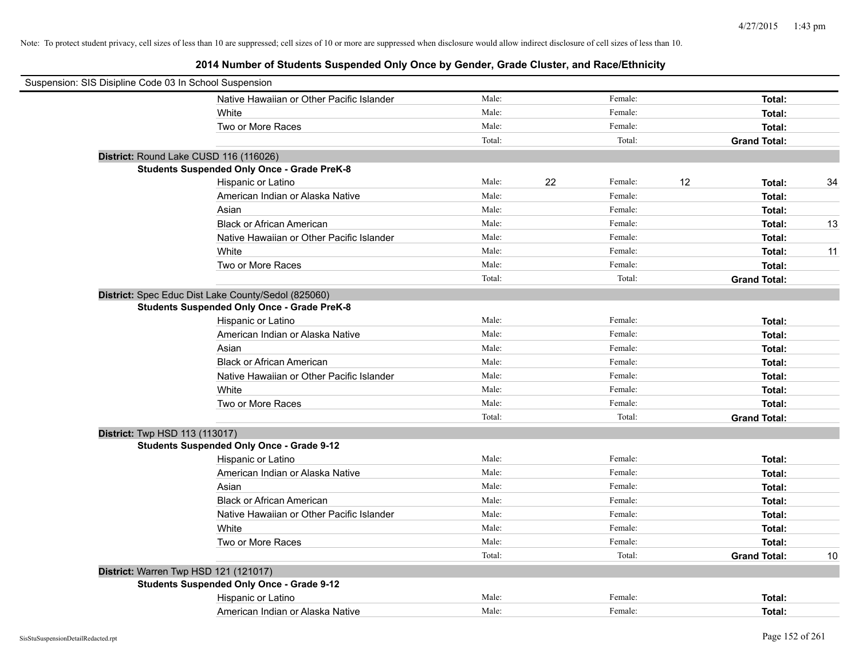| Suspension: SIS Disipline Code 03 In School Suspension |                                                     |        |    |         |    |                     |    |
|--------------------------------------------------------|-----------------------------------------------------|--------|----|---------|----|---------------------|----|
|                                                        | Native Hawaiian or Other Pacific Islander           | Male:  |    | Female: |    | Total:              |    |
|                                                        | White                                               | Male:  |    | Female: |    | Total:              |    |
|                                                        | Two or More Races                                   | Male:  |    | Female: |    | Total:              |    |
|                                                        |                                                     | Total: |    | Total:  |    | <b>Grand Total:</b> |    |
|                                                        | District: Round Lake CUSD 116 (116026)              |        |    |         |    |                     |    |
|                                                        | <b>Students Suspended Only Once - Grade PreK-8</b>  |        |    |         |    |                     |    |
|                                                        | Hispanic or Latino                                  | Male:  | 22 | Female: | 12 | Total:              | 34 |
|                                                        | American Indian or Alaska Native                    | Male:  |    | Female: |    | Total:              |    |
|                                                        | Asian                                               | Male:  |    | Female: |    | Total:              |    |
|                                                        | <b>Black or African American</b>                    | Male:  |    | Female: |    | Total:              | 13 |
|                                                        | Native Hawaiian or Other Pacific Islander           | Male:  |    | Female: |    | Total:              |    |
|                                                        | White                                               | Male:  |    | Female: |    | Total:              | 11 |
|                                                        | Two or More Races                                   | Male:  |    | Female: |    | Total:              |    |
|                                                        |                                                     | Total: |    | Total:  |    | <b>Grand Total:</b> |    |
|                                                        | District: Spec Educ Dist Lake County/Sedol (825060) |        |    |         |    |                     |    |
|                                                        | <b>Students Suspended Only Once - Grade PreK-8</b>  |        |    |         |    |                     |    |
|                                                        | Hispanic or Latino                                  | Male:  |    | Female: |    | Total:              |    |
|                                                        | American Indian or Alaska Native                    | Male:  |    | Female: |    | Total:              |    |
|                                                        | Asian                                               | Male:  |    | Female: |    | Total:              |    |
|                                                        | <b>Black or African American</b>                    | Male:  |    | Female: |    | Total:              |    |
|                                                        | Native Hawaiian or Other Pacific Islander           | Male:  |    | Female: |    | Total:              |    |
|                                                        | White                                               | Male:  |    | Female: |    | Total:              |    |
|                                                        | Two or More Races                                   | Male:  |    | Female: |    | Total:              |    |
|                                                        |                                                     | Total: |    | Total:  |    | <b>Grand Total:</b> |    |
| <b>District: Twp HSD 113 (113017)</b>                  |                                                     |        |    |         |    |                     |    |
|                                                        | <b>Students Suspended Only Once - Grade 9-12</b>    |        |    |         |    |                     |    |
|                                                        | Hispanic or Latino                                  | Male:  |    | Female: |    | Total:              |    |
|                                                        | American Indian or Alaska Native                    | Male:  |    | Female: |    | Total:              |    |
|                                                        | Asian                                               | Male:  |    | Female: |    | Total:              |    |
|                                                        | <b>Black or African American</b>                    | Male:  |    | Female: |    | Total:              |    |
|                                                        | Native Hawaiian or Other Pacific Islander           | Male:  |    | Female: |    | Total:              |    |
|                                                        | White                                               | Male:  |    | Female: |    | Total:              |    |
|                                                        | Two or More Races                                   | Male:  |    | Female: |    | Total:              |    |
|                                                        |                                                     | Total: |    | Total:  |    | <b>Grand Total:</b> | 10 |
|                                                        | District: Warren Twp HSD 121 (121017)               |        |    |         |    |                     |    |
|                                                        | <b>Students Suspended Only Once - Grade 9-12</b>    |        |    |         |    |                     |    |
|                                                        | Hispanic or Latino                                  | Male:  |    | Female: |    | Total:              |    |
|                                                        | American Indian or Alaska Native                    | Male:  |    | Female: |    | Total:              |    |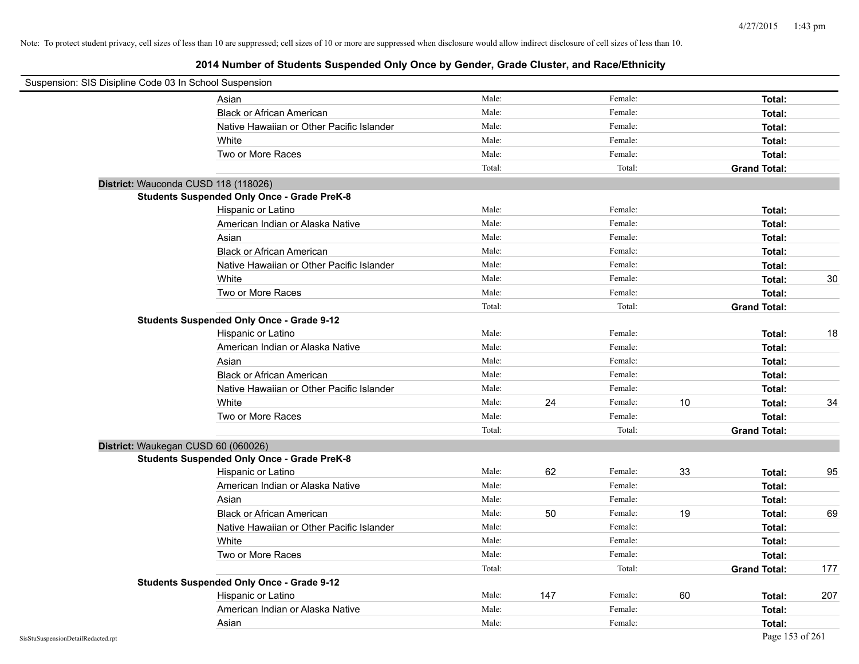| Suspension: SIS Disipline Code 03 In School Suspension |                                                    |        |     |         |    |                     |     |
|--------------------------------------------------------|----------------------------------------------------|--------|-----|---------|----|---------------------|-----|
| Asian                                                  |                                                    | Male:  |     | Female: |    | Total:              |     |
|                                                        | <b>Black or African American</b>                   | Male:  |     | Female: |    | Total:              |     |
|                                                        | Native Hawaiian or Other Pacific Islander          | Male:  |     | Female: |    | Total:              |     |
| White                                                  |                                                    | Male:  |     | Female: |    | Total:              |     |
|                                                        | Two or More Races                                  | Male:  |     | Female: |    | Total:              |     |
|                                                        |                                                    | Total: |     | Total:  |    | <b>Grand Total:</b> |     |
| District: Wauconda CUSD 118 (118026)                   |                                                    |        |     |         |    |                     |     |
|                                                        | <b>Students Suspended Only Once - Grade PreK-8</b> |        |     |         |    |                     |     |
|                                                        | Hispanic or Latino                                 | Male:  |     | Female: |    | Total:              |     |
|                                                        | American Indian or Alaska Native                   | Male:  |     | Female: |    | Total:              |     |
| Asian                                                  |                                                    | Male:  |     | Female: |    | Total:              |     |
|                                                        | <b>Black or African American</b>                   | Male:  |     | Female: |    | Total:              |     |
|                                                        | Native Hawaiian or Other Pacific Islander          | Male:  |     | Female: |    | Total:              |     |
| White                                                  |                                                    | Male:  |     | Female: |    | Total:              | 30  |
|                                                        | Two or More Races                                  | Male:  |     | Female: |    | Total:              |     |
|                                                        |                                                    | Total: |     | Total:  |    | <b>Grand Total:</b> |     |
|                                                        | <b>Students Suspended Only Once - Grade 9-12</b>   |        |     |         |    |                     |     |
|                                                        | Hispanic or Latino                                 | Male:  |     | Female: |    | Total:              | 18  |
|                                                        | American Indian or Alaska Native                   | Male:  |     | Female: |    | Total:              |     |
| Asian                                                  |                                                    | Male:  |     | Female: |    | Total:              |     |
|                                                        | <b>Black or African American</b>                   | Male:  |     | Female: |    | Total:              |     |
|                                                        | Native Hawaiian or Other Pacific Islander          | Male:  |     | Female: |    | Total:              |     |
| White                                                  |                                                    | Male:  | 24  | Female: | 10 | Total:              | 34  |
|                                                        | Two or More Races                                  | Male:  |     | Female: |    | Total:              |     |
|                                                        |                                                    | Total: |     | Total:  |    | <b>Grand Total:</b> |     |
| District: Waukegan CUSD 60 (060026)                    |                                                    |        |     |         |    |                     |     |
|                                                        | <b>Students Suspended Only Once - Grade PreK-8</b> |        |     |         |    |                     |     |
|                                                        | Hispanic or Latino                                 | Male:  | 62  | Female: | 33 | Total:              | 95  |
|                                                        | American Indian or Alaska Native                   | Male:  |     | Female: |    | Total:              |     |
| Asian                                                  |                                                    | Male:  |     | Female: |    | Total:              |     |
|                                                        | <b>Black or African American</b>                   | Male:  | 50  | Female: | 19 | Total:              | 69  |
|                                                        | Native Hawaiian or Other Pacific Islander          | Male:  |     | Female: |    | Total:              |     |
| White                                                  |                                                    | Male:  |     | Female: |    | Total:              |     |
|                                                        | Two or More Races                                  | Male:  |     | Female: |    | Total:              |     |
|                                                        |                                                    | Total: |     | Total:  |    | <b>Grand Total:</b> | 177 |
|                                                        | <b>Students Suspended Only Once - Grade 9-12</b>   |        |     |         |    |                     |     |
|                                                        | Hispanic or Latino                                 | Male:  | 147 | Female: | 60 | Total:              | 207 |
|                                                        | American Indian or Alaska Native                   | Male:  |     | Female: |    | Total:              |     |
| Asian                                                  |                                                    | Male:  |     | Female: |    | Total:              |     |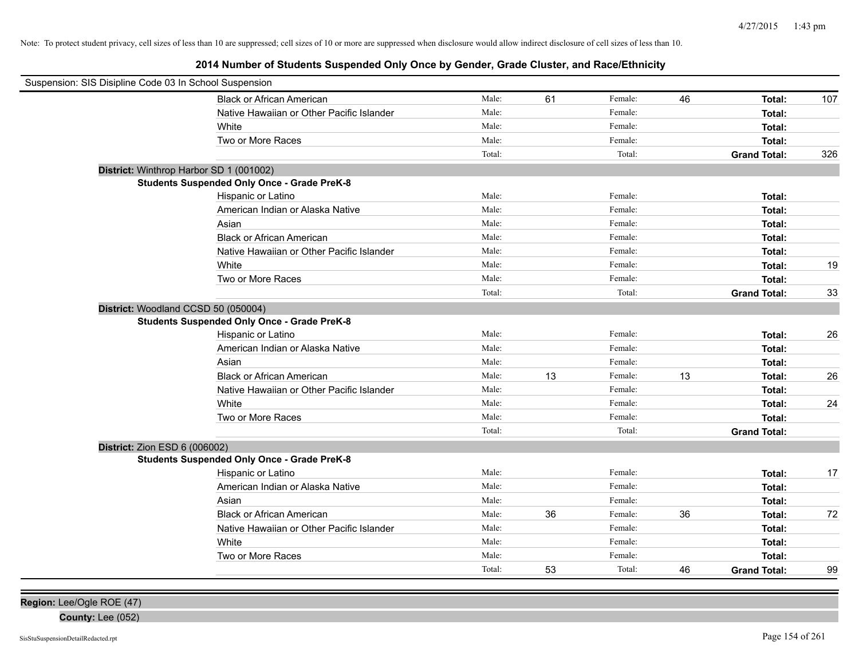# **2014 Number of Students Suspended Only Once by Gender, Grade Cluster, and Race/Ethnicity**

| Suspension: SIS Disipline Code 03 In School Suspension |                                                    |        |    |         |    |                     |     |
|--------------------------------------------------------|----------------------------------------------------|--------|----|---------|----|---------------------|-----|
|                                                        | Black or African American                          | Male:  | 61 | Female: | 46 | Total:              | 107 |
|                                                        | Native Hawaiian or Other Pacific Islander          | Male:  |    | Female: |    | Total:              |     |
|                                                        | White                                              | Male:  |    | Female: |    | Total:              |     |
|                                                        | Two or More Races                                  | Male:  |    | Female: |    | Total:              |     |
|                                                        |                                                    | Total: |    | Total:  |    | <b>Grand Total:</b> | 326 |
| District: Winthrop Harbor SD 1 (001002)                |                                                    |        |    |         |    |                     |     |
|                                                        | <b>Students Suspended Only Once - Grade PreK-8</b> |        |    |         |    |                     |     |
|                                                        | Hispanic or Latino                                 | Male:  |    | Female: |    | Total:              |     |
|                                                        | American Indian or Alaska Native                   | Male:  |    | Female: |    | Total:              |     |
|                                                        | Asian                                              | Male:  |    | Female: |    | Total:              |     |
|                                                        | <b>Black or African American</b>                   | Male:  |    | Female: |    | Total:              |     |
|                                                        | Native Hawaiian or Other Pacific Islander          | Male:  |    | Female: |    | Total:              |     |
|                                                        | White                                              | Male:  |    | Female: |    | Total:              | 19  |
|                                                        | Two or More Races                                  | Male:  |    | Female: |    | Total:              |     |
|                                                        |                                                    | Total: |    | Total:  |    | <b>Grand Total:</b> | 33  |
| District: Woodland CCSD 50 (050004)                    |                                                    |        |    |         |    |                     |     |
|                                                        | <b>Students Suspended Only Once - Grade PreK-8</b> |        |    |         |    |                     |     |
|                                                        | Hispanic or Latino                                 | Male:  |    | Female: |    | Total:              | 26  |
|                                                        | American Indian or Alaska Native                   | Male:  |    | Female: |    | Total:              |     |
|                                                        | Asian                                              | Male:  |    | Female: |    | Total:              |     |
|                                                        | <b>Black or African American</b>                   | Male:  | 13 | Female: | 13 | Total:              | 26  |
|                                                        | Native Hawaiian or Other Pacific Islander          | Male:  |    | Female: |    | Total:              |     |
|                                                        | White                                              | Male:  |    | Female: |    | Total:              | 24  |
|                                                        | Two or More Races                                  | Male:  |    | Female: |    | Total:              |     |
|                                                        |                                                    | Total: |    | Total:  |    | <b>Grand Total:</b> |     |
| District: Zion ESD 6 (006002)                          |                                                    |        |    |         |    |                     |     |
|                                                        | <b>Students Suspended Only Once - Grade PreK-8</b> |        |    |         |    |                     |     |
|                                                        | Hispanic or Latino                                 | Male:  |    | Female: |    | Total:              | 17  |
|                                                        | American Indian or Alaska Native                   | Male:  |    | Female: |    | Total:              |     |
|                                                        | Asian                                              | Male:  |    | Female: |    | Total:              |     |
|                                                        | <b>Black or African American</b>                   | Male:  | 36 | Female: | 36 | Total:              | 72  |
|                                                        | Native Hawaiian or Other Pacific Islander          | Male:  |    | Female: |    | Total:              |     |
|                                                        | White                                              | Male:  |    | Female: |    | Total:              |     |
|                                                        | Two or More Races                                  | Male:  |    | Female: |    | Total:              |     |
|                                                        |                                                    | Total: | 53 | Total:  | 46 | <b>Grand Total:</b> | 99  |

**Region:** Lee/Ogle ROE (47)

**County:** Lee (052)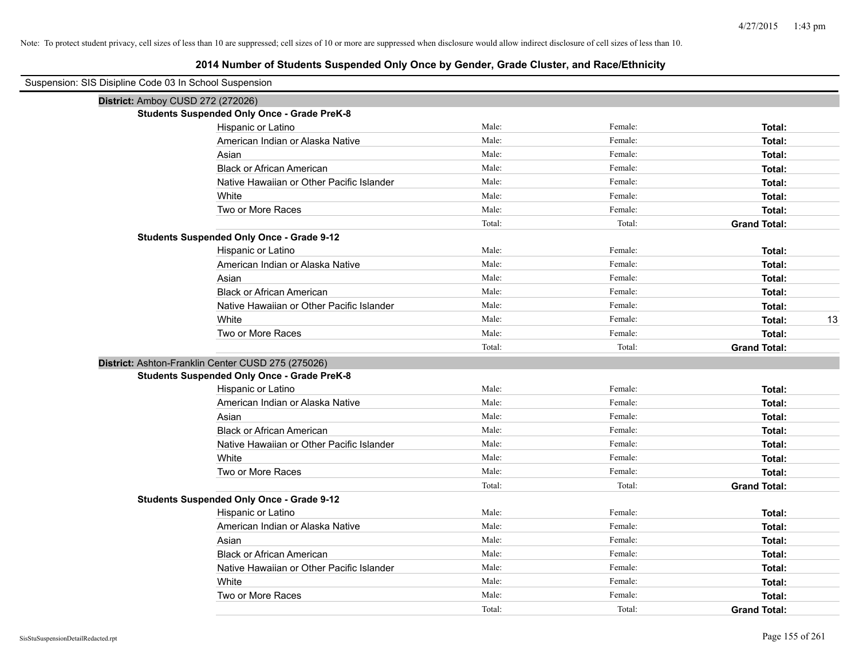| Suspension: SIS Disipline Code 03 In School Suspension |        |         |                     |
|--------------------------------------------------------|--------|---------|---------------------|
| District: Amboy CUSD 272 (272026)                      |        |         |                     |
| <b>Students Suspended Only Once - Grade PreK-8</b>     |        |         |                     |
| Hispanic or Latino                                     | Male:  | Female: | Total:              |
| American Indian or Alaska Native                       | Male:  | Female: | Total:              |
| Asian                                                  | Male:  | Female: | Total:              |
| <b>Black or African American</b>                       | Male:  | Female: | Total:              |
| Native Hawaiian or Other Pacific Islander              | Male:  | Female: | Total:              |
| White                                                  | Male:  | Female: | Total:              |
| Two or More Races                                      | Male:  | Female: | Total:              |
|                                                        | Total: | Total:  | <b>Grand Total:</b> |
| <b>Students Suspended Only Once - Grade 9-12</b>       |        |         |                     |
| Hispanic or Latino                                     | Male:  | Female: | Total:              |
| American Indian or Alaska Native                       | Male:  | Female: | Total:              |
| Asian                                                  | Male:  | Female: | Total:              |
| <b>Black or African American</b>                       | Male:  | Female: | Total:              |
| Native Hawaiian or Other Pacific Islander              | Male:  | Female: | Total:              |
| White                                                  | Male:  | Female: | 13<br>Total:        |
| Two or More Races                                      | Male:  | Female: | Total:              |
|                                                        | Total: | Total:  | <b>Grand Total:</b> |
| District: Ashton-Franklin Center CUSD 275 (275026)     |        |         |                     |
| <b>Students Suspended Only Once - Grade PreK-8</b>     |        |         |                     |
| Hispanic or Latino                                     | Male:  | Female: | Total:              |
| American Indian or Alaska Native                       | Male:  | Female: | Total:              |
| Asian                                                  | Male:  | Female: | Total:              |
| <b>Black or African American</b>                       | Male:  | Female: | Total:              |
| Native Hawaiian or Other Pacific Islander              | Male:  | Female: | Total:              |
| White                                                  | Male:  | Female: | Total:              |
| Two or More Races                                      | Male:  | Female: | Total:              |
|                                                        | Total: | Total:  | <b>Grand Total:</b> |
| <b>Students Suspended Only Once - Grade 9-12</b>       |        |         |                     |
| Hispanic or Latino                                     | Male:  | Female: | Total:              |
| American Indian or Alaska Native                       | Male:  | Female: | Total:              |
| Asian                                                  | Male:  | Female: | Total:              |
| <b>Black or African American</b>                       | Male:  | Female: | Total:              |
| Native Hawaiian or Other Pacific Islander              | Male:  | Female: | Total:              |
| White                                                  | Male:  | Female: | Total:              |
| Two or More Races                                      | Male:  | Female: | Total:              |
|                                                        | Total: | Total:  | <b>Grand Total:</b> |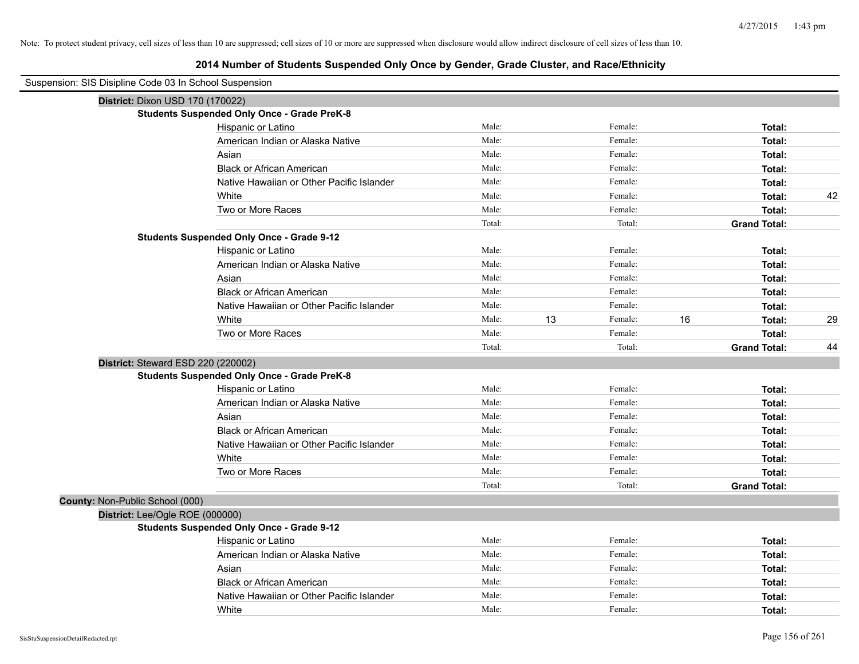| Suspension: SIS Disipline Code 03 In School Suspension |                                                    |        |    |         |    |                     |    |
|--------------------------------------------------------|----------------------------------------------------|--------|----|---------|----|---------------------|----|
| District: Dixon USD 170 (170022)                       |                                                    |        |    |         |    |                     |    |
|                                                        | <b>Students Suspended Only Once - Grade PreK-8</b> |        |    |         |    |                     |    |
|                                                        | Hispanic or Latino                                 | Male:  |    | Female: |    | Total:              |    |
|                                                        | American Indian or Alaska Native                   | Male:  |    | Female: |    | Total:              |    |
|                                                        | Asian                                              | Male:  |    | Female: |    | Total:              |    |
|                                                        | <b>Black or African American</b>                   | Male:  |    | Female: |    | Total:              |    |
|                                                        | Native Hawaiian or Other Pacific Islander          | Male:  |    | Female: |    | Total:              |    |
|                                                        | White                                              | Male:  |    | Female: |    | Total:              | 42 |
|                                                        | Two or More Races                                  | Male:  |    | Female: |    | Total:              |    |
|                                                        |                                                    | Total: |    | Total:  |    | <b>Grand Total:</b> |    |
|                                                        | <b>Students Suspended Only Once - Grade 9-12</b>   |        |    |         |    |                     |    |
|                                                        | Hispanic or Latino                                 | Male:  |    | Female: |    | Total:              |    |
|                                                        | American Indian or Alaska Native                   | Male:  |    | Female: |    | Total:              |    |
|                                                        | Asian                                              | Male:  |    | Female: |    | Total:              |    |
|                                                        | <b>Black or African American</b>                   | Male:  |    | Female: |    | Total:              |    |
|                                                        | Native Hawaiian or Other Pacific Islander          | Male:  |    | Female: |    | Total:              |    |
|                                                        | White                                              | Male:  | 13 | Female: | 16 | Total:              | 29 |
|                                                        | Two or More Races                                  | Male:  |    | Female: |    | Total:              |    |
|                                                        |                                                    | Total: |    | Total:  |    | <b>Grand Total:</b> | 44 |
| District: Steward ESD 220 (220002)                     |                                                    |        |    |         |    |                     |    |
|                                                        | <b>Students Suspended Only Once - Grade PreK-8</b> |        |    |         |    |                     |    |
|                                                        | Hispanic or Latino                                 | Male:  |    | Female: |    | Total:              |    |
|                                                        | American Indian or Alaska Native                   | Male:  |    | Female: |    | Total:              |    |
|                                                        | Asian                                              | Male:  |    | Female: |    | Total:              |    |
|                                                        | <b>Black or African American</b>                   | Male:  |    | Female: |    | Total:              |    |
|                                                        | Native Hawaiian or Other Pacific Islander          | Male:  |    | Female: |    | Total:              |    |
|                                                        | White                                              | Male:  |    | Female: |    | Total:              |    |
|                                                        | Two or More Races                                  | Male:  |    | Female: |    | Total:              |    |
|                                                        |                                                    | Total: |    | Total:  |    | <b>Grand Total:</b> |    |
| County: Non-Public School (000)                        |                                                    |        |    |         |    |                     |    |
| District: Lee/Ogle ROE (000000)                        |                                                    |        |    |         |    |                     |    |
|                                                        | <b>Students Suspended Only Once - Grade 9-12</b>   |        |    |         |    |                     |    |
|                                                        | Hispanic or Latino                                 | Male:  |    | Female: |    | Total:              |    |
|                                                        | American Indian or Alaska Native                   | Male:  |    | Female: |    | Total:              |    |
|                                                        | Asian                                              | Male:  |    | Female: |    | Total:              |    |
|                                                        | <b>Black or African American</b>                   | Male:  |    | Female: |    | Total:              |    |
|                                                        | Native Hawaiian or Other Pacific Islander          | Male:  |    | Female: |    | Total:              |    |
|                                                        | White                                              | Male:  |    | Female: |    | Total:              |    |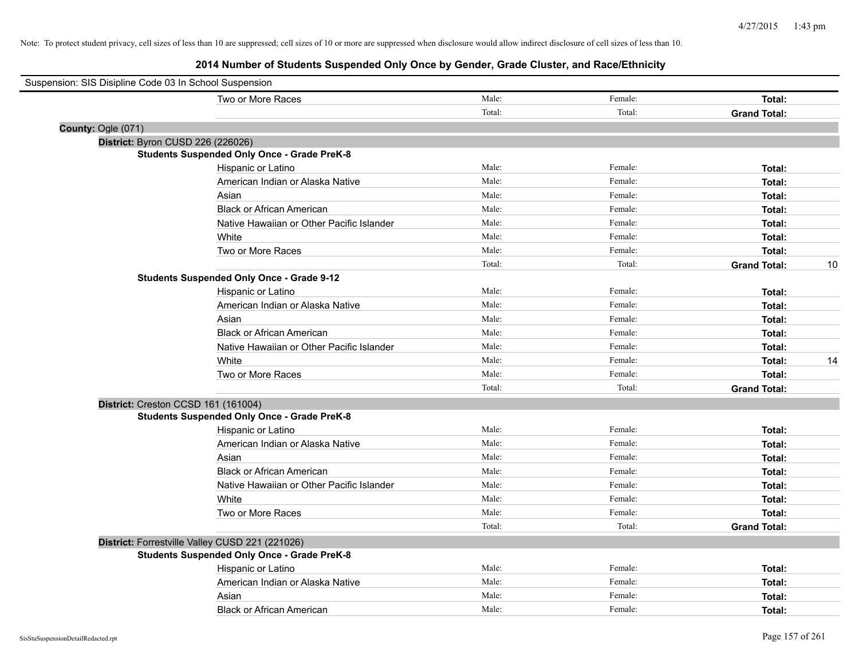| Suspension: SIS Disipline Code 03 In School Suspension |                                                    |        |         |                     |    |
|--------------------------------------------------------|----------------------------------------------------|--------|---------|---------------------|----|
|                                                        | Two or More Races                                  | Male:  | Female: | Total:              |    |
|                                                        |                                                    | Total: | Total:  | <b>Grand Total:</b> |    |
| County: Ogle (071)                                     |                                                    |        |         |                     |    |
| District: Byron CUSD 226 (226026)                      |                                                    |        |         |                     |    |
|                                                        | <b>Students Suspended Only Once - Grade PreK-8</b> |        |         |                     |    |
|                                                        | Hispanic or Latino                                 | Male:  | Female: | Total:              |    |
|                                                        | American Indian or Alaska Native                   | Male:  | Female: | Total:              |    |
|                                                        | Asian                                              | Male:  | Female: | Total:              |    |
|                                                        | <b>Black or African American</b>                   | Male:  | Female: | Total:              |    |
|                                                        | Native Hawaiian or Other Pacific Islander          | Male:  | Female: | Total:              |    |
|                                                        | White                                              | Male:  | Female: | Total:              |    |
|                                                        | Two or More Races                                  | Male:  | Female: | Total:              |    |
|                                                        |                                                    | Total: | Total:  | <b>Grand Total:</b> | 10 |
|                                                        | <b>Students Suspended Only Once - Grade 9-12</b>   |        |         |                     |    |
|                                                        | Hispanic or Latino                                 | Male:  | Female: | Total:              |    |
|                                                        | American Indian or Alaska Native                   | Male:  | Female: | Total:              |    |
|                                                        | Asian                                              | Male:  | Female: | Total:              |    |
|                                                        | <b>Black or African American</b>                   | Male:  | Female: | Total:              |    |
|                                                        | Native Hawaiian or Other Pacific Islander          | Male:  | Female: | Total:              |    |
|                                                        | White                                              | Male:  | Female: | Total:              | 14 |
|                                                        | Two or More Races                                  | Male:  | Female: | Total:              |    |
|                                                        |                                                    | Total: | Total:  | <b>Grand Total:</b> |    |
| District: Creston CCSD 161 (161004)                    |                                                    |        |         |                     |    |
|                                                        | <b>Students Suspended Only Once - Grade PreK-8</b> |        |         |                     |    |
|                                                        | Hispanic or Latino                                 | Male:  | Female: | Total:              |    |
|                                                        | American Indian or Alaska Native                   | Male:  | Female: | Total:              |    |
|                                                        | Asian                                              | Male:  | Female: | Total:              |    |
|                                                        | <b>Black or African American</b>                   | Male:  | Female: | Total:              |    |
|                                                        | Native Hawaiian or Other Pacific Islander          | Male:  | Female: | Total:              |    |
|                                                        | White                                              | Male:  | Female: | Total:              |    |
|                                                        | Two or More Races                                  | Male:  | Female: | Total:              |    |
|                                                        |                                                    | Total: | Total:  | <b>Grand Total:</b> |    |
|                                                        | District: Forrestville Valley CUSD 221 (221026)    |        |         |                     |    |
|                                                        | <b>Students Suspended Only Once - Grade PreK-8</b> |        |         |                     |    |
|                                                        | Hispanic or Latino                                 | Male:  | Female: | Total:              |    |
|                                                        | American Indian or Alaska Native                   | Male:  | Female: | Total:              |    |
|                                                        | Asian                                              | Male:  | Female: | Total:              |    |
|                                                        | <b>Black or African American</b>                   | Male:  | Female: | Total:              |    |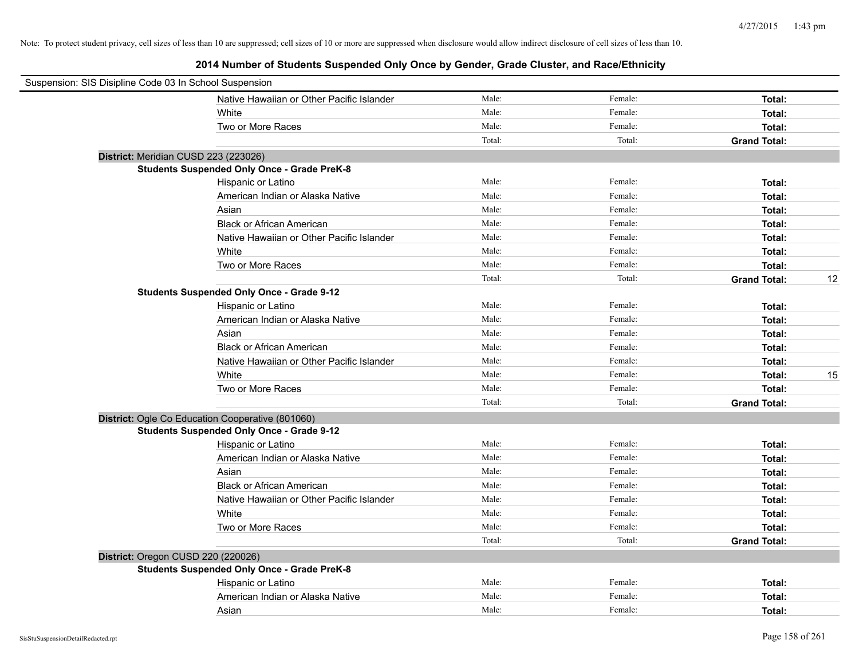| Suspension: SIS Disipline Code 03 In School Suspension |        |         |                           |
|--------------------------------------------------------|--------|---------|---------------------------|
| Native Hawaiian or Other Pacific Islander              | Male:  | Female: | Total:                    |
| White                                                  | Male:  | Female: | Total:                    |
| Two or More Races                                      | Male:  | Female: | Total:                    |
|                                                        | Total: | Total:  | <b>Grand Total:</b>       |
| District: Meridian CUSD 223 (223026)                   |        |         |                           |
| <b>Students Suspended Only Once - Grade PreK-8</b>     |        |         |                           |
| Hispanic or Latino                                     | Male:  | Female: | Total:                    |
| American Indian or Alaska Native                       | Male:  | Female: | Total:                    |
| Asian                                                  | Male:  | Female: | Total:                    |
| <b>Black or African American</b>                       | Male:  | Female: | Total:                    |
| Native Hawaiian or Other Pacific Islander              | Male:  | Female: | Total:                    |
| White                                                  | Male:  | Female: | Total:                    |
| Two or More Races                                      | Male:  | Female: | Total:                    |
|                                                        | Total: | Total:  | 12<br><b>Grand Total:</b> |
| <b>Students Suspended Only Once - Grade 9-12</b>       |        |         |                           |
| Hispanic or Latino                                     | Male:  | Female: | Total:                    |
| American Indian or Alaska Native                       | Male:  | Female: | Total:                    |
| Asian                                                  | Male:  | Female: | Total:                    |
| <b>Black or African American</b>                       | Male:  | Female: | Total:                    |
| Native Hawaiian or Other Pacific Islander              | Male:  | Female: | Total:                    |
| White                                                  | Male:  | Female: | 15<br>Total:              |
| Two or More Races                                      | Male:  | Female: | Total:                    |
|                                                        | Total: | Total:  | <b>Grand Total:</b>       |
| District: Ogle Co Education Cooperative (801060)       |        |         |                           |
| <b>Students Suspended Only Once - Grade 9-12</b>       |        |         |                           |
| Hispanic or Latino                                     | Male:  | Female: | Total:                    |
| American Indian or Alaska Native                       | Male:  | Female: | Total:                    |
| Asian                                                  | Male:  | Female: | Total:                    |
| <b>Black or African American</b>                       | Male:  | Female: | Total:                    |
| Native Hawaiian or Other Pacific Islander              | Male:  | Female: | Total:                    |
| White                                                  | Male:  | Female: | Total:                    |
| Two or More Races                                      | Male:  | Female: | Total:                    |
|                                                        | Total: | Total:  | <b>Grand Total:</b>       |
| District: Oregon CUSD 220 (220026)                     |        |         |                           |
| <b>Students Suspended Only Once - Grade PreK-8</b>     |        |         |                           |
| Hispanic or Latino                                     | Male:  | Female: | Total:                    |
| American Indian or Alaska Native                       | Male:  | Female: | Total:                    |
| Asian                                                  | Male:  | Female: | Total:                    |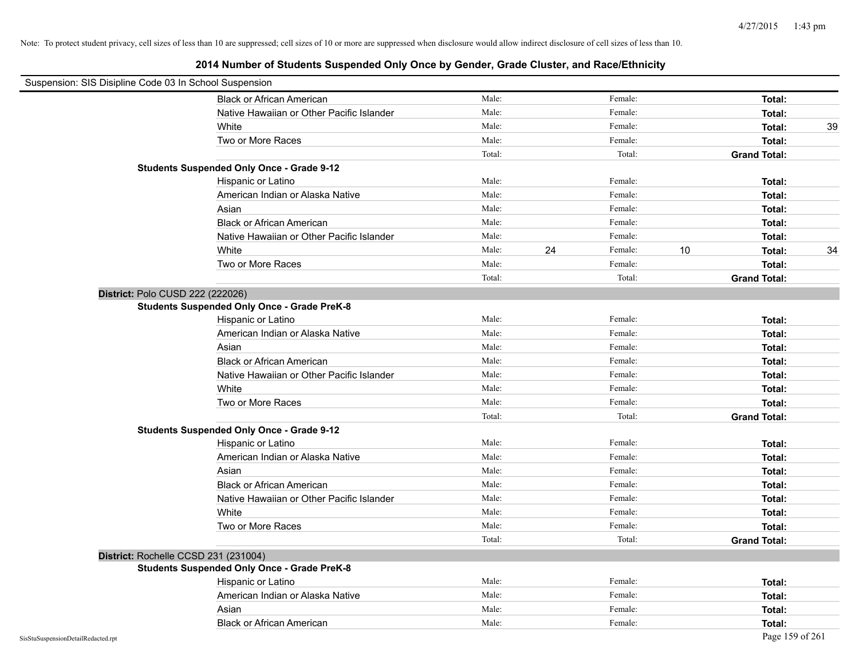| Suspension: SIS Disipline Code 03 In School Suspension |                                                    |        |    |         |    |                     |    |
|--------------------------------------------------------|----------------------------------------------------|--------|----|---------|----|---------------------|----|
|                                                        | <b>Black or African American</b>                   | Male:  |    | Female: |    | Total:              |    |
|                                                        | Native Hawaiian or Other Pacific Islander          | Male:  |    | Female: |    | Total:              |    |
|                                                        | White                                              | Male:  |    | Female: |    | Total:              | 39 |
|                                                        | Two or More Races                                  | Male:  |    | Female: |    | Total:              |    |
|                                                        |                                                    | Total: |    | Total:  |    | <b>Grand Total:</b> |    |
|                                                        | <b>Students Suspended Only Once - Grade 9-12</b>   |        |    |         |    |                     |    |
|                                                        | Hispanic or Latino                                 | Male:  |    | Female: |    | Total:              |    |
|                                                        | American Indian or Alaska Native                   | Male:  |    | Female: |    | Total:              |    |
|                                                        | Asian                                              | Male:  |    | Female: |    | Total:              |    |
|                                                        | <b>Black or African American</b>                   | Male:  |    | Female: |    | Total:              |    |
|                                                        | Native Hawaiian or Other Pacific Islander          | Male:  |    | Female: |    | Total:              |    |
|                                                        | White                                              | Male:  | 24 | Female: | 10 | Total:              | 34 |
|                                                        | Two or More Races                                  | Male:  |    | Female: |    | Total:              |    |
|                                                        |                                                    | Total: |    | Total:  |    | <b>Grand Total:</b> |    |
| District: Polo CUSD 222 (222026)                       |                                                    |        |    |         |    |                     |    |
|                                                        | <b>Students Suspended Only Once - Grade PreK-8</b> |        |    |         |    |                     |    |
|                                                        | Hispanic or Latino                                 | Male:  |    | Female: |    | Total:              |    |
|                                                        | American Indian or Alaska Native                   | Male:  |    | Female: |    | Total:              |    |
|                                                        | Asian                                              | Male:  |    | Female: |    | Total:              |    |
|                                                        | <b>Black or African American</b>                   | Male:  |    | Female: |    | Total:              |    |
|                                                        | Native Hawaiian or Other Pacific Islander          | Male:  |    | Female: |    | Total:              |    |
|                                                        | White                                              | Male:  |    | Female: |    | Total:              |    |
|                                                        | Two or More Races                                  | Male:  |    | Female: |    | Total:              |    |
|                                                        |                                                    | Total: |    | Total:  |    | <b>Grand Total:</b> |    |
|                                                        | <b>Students Suspended Only Once - Grade 9-12</b>   |        |    |         |    |                     |    |
|                                                        | Hispanic or Latino                                 | Male:  |    | Female: |    | Total:              |    |
|                                                        | American Indian or Alaska Native                   | Male:  |    | Female: |    | Total:              |    |
|                                                        | Asian                                              | Male:  |    | Female: |    | Total:              |    |
|                                                        | <b>Black or African American</b>                   | Male:  |    | Female: |    | Total:              |    |
|                                                        | Native Hawaiian or Other Pacific Islander          | Male:  |    | Female: |    | Total:              |    |
|                                                        | White                                              | Male:  |    | Female: |    | Total:              |    |
|                                                        | Two or More Races                                  | Male:  |    | Female: |    | Total:              |    |
|                                                        |                                                    | Total: |    | Total:  |    | <b>Grand Total:</b> |    |
| District: Rochelle CCSD 231 (231004)                   |                                                    |        |    |         |    |                     |    |
|                                                        | <b>Students Suspended Only Once - Grade PreK-8</b> |        |    |         |    |                     |    |
|                                                        | Hispanic or Latino                                 | Male:  |    | Female: |    | Total:              |    |
|                                                        | American Indian or Alaska Native                   | Male:  |    | Female: |    | Total:              |    |
|                                                        | Asian                                              | Male:  |    | Female: |    | Total:              |    |
|                                                        | <b>Black or African American</b>                   | Male:  |    | Female: |    | Total:              |    |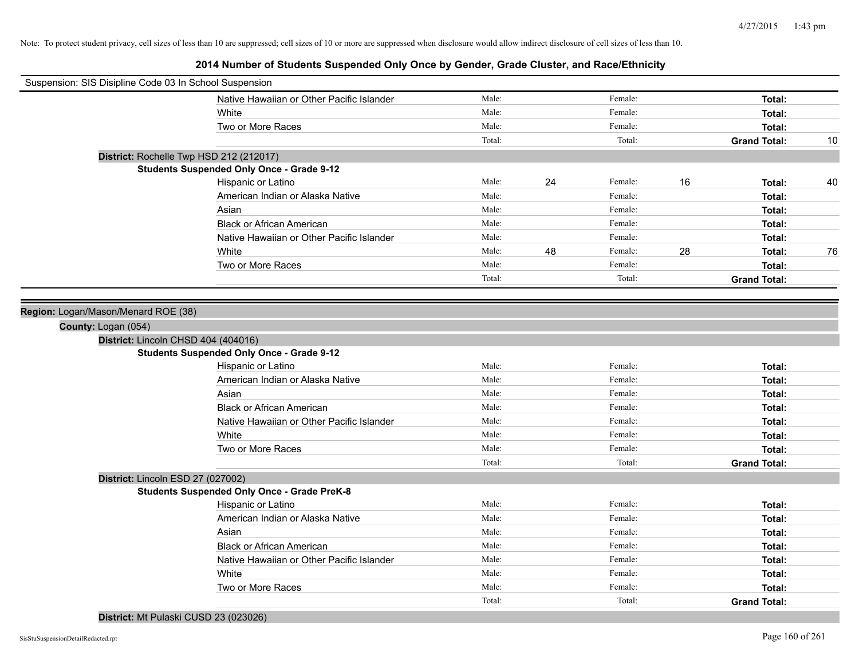| Suspension: SIS Disipline Code 03 In School Suspension |        |    |         |    |                     |    |
|--------------------------------------------------------|--------|----|---------|----|---------------------|----|
| Native Hawaiian or Other Pacific Islander              | Male:  |    | Female: |    | Total:              |    |
| White                                                  | Male:  |    | Female: |    | Total:              |    |
| Two or More Races                                      | Male:  |    | Female: |    | Total:              |    |
|                                                        | Total: |    | Total:  |    | <b>Grand Total:</b> | 10 |
| District: Rochelle Twp HSD 212 (212017)                |        |    |         |    |                     |    |
| <b>Students Suspended Only Once - Grade 9-12</b>       |        |    |         |    |                     |    |
| Hispanic or Latino                                     | Male:  | 24 | Female: | 16 | Total:              | 40 |
| American Indian or Alaska Native                       | Male:  |    | Female: |    | Total:              |    |
| Asian                                                  | Male:  |    | Female: |    | Total:              |    |
| <b>Black or African American</b>                       | Male:  |    | Female: |    | Total:              |    |
| Native Hawaiian or Other Pacific Islander              | Male:  |    | Female: |    | Total:              |    |
| White                                                  | Male:  | 48 | Female: | 28 | Total:              | 76 |
| Two or More Races                                      | Male:  |    | Female: |    | Total:              |    |
|                                                        | Total: |    | Total:  |    | <b>Grand Total:</b> |    |
|                                                        |        |    |         |    |                     |    |
| Region: Logan/Mason/Menard ROE (38)                    |        |    |         |    |                     |    |
| County: Logan (054)                                    |        |    |         |    |                     |    |
| District: Lincoln CHSD 404 (404016)                    |        |    |         |    |                     |    |
| <b>Students Suspended Only Once - Grade 9-12</b>       |        |    |         |    |                     |    |
| Hispanic or Latino                                     | Male:  |    | Female: |    | Total:              |    |
| American Indian or Alaska Native                       | Male:  |    | Female: |    | Total:              |    |
| Asian                                                  | Male:  |    | Female: |    | Total:              |    |
| <b>Black or African American</b>                       | Male:  |    | Female: |    | Total:              |    |
| Native Hawaiian or Other Pacific Islander              | Male:  |    | Female: |    | Total:              |    |
| White                                                  | Male:  |    | Female: |    | Total:              |    |
| Two or More Races                                      | Male:  |    | Female: |    | Total:              |    |
|                                                        | Total: |    | Total:  |    | <b>Grand Total:</b> |    |
| District: Lincoln ESD 27 (027002)                      |        |    |         |    |                     |    |
| <b>Students Suspended Only Once - Grade PreK-8</b>     |        |    |         |    |                     |    |
| Hispanic or Latino                                     | Male:  |    | Female: |    | Total:              |    |
| American Indian or Alaska Native                       | Male:  |    | Female: |    | Total:              |    |
| Asian                                                  | Male:  |    | Female: |    | Total:              |    |
| <b>Black or African American</b>                       | Male:  |    | Female: |    | Total:              |    |
| Native Hawaiian or Other Pacific Islander              | Male:  |    | Female: |    | Total:              |    |
| White                                                  | Male:  |    | Female: |    | Total:              |    |
| Two or More Races                                      | Male:  |    | Female: |    | Total:              |    |
|                                                        | Total: |    | Total:  |    | <b>Grand Total:</b> |    |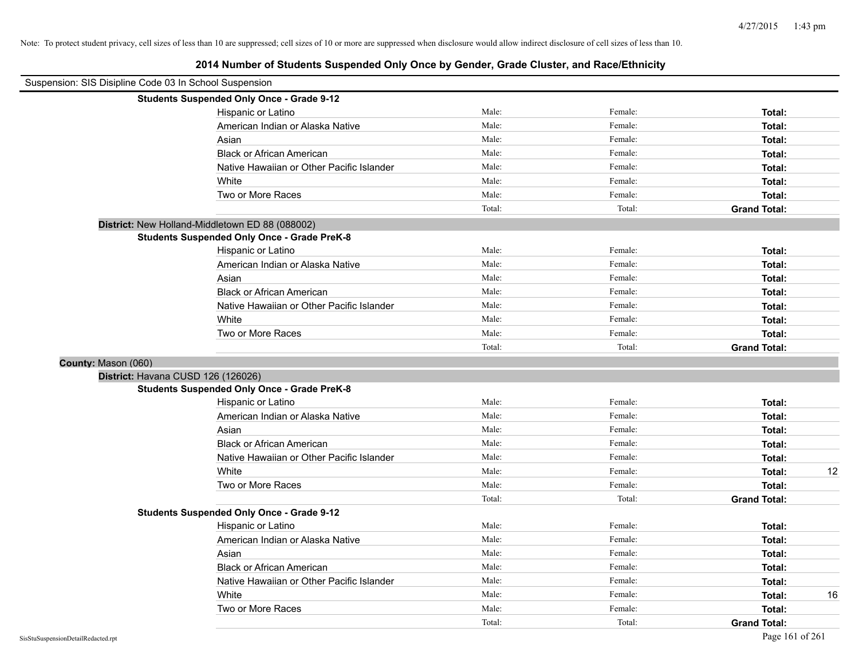| Suspension: SIS Disipline Code 03 In School Suspension |                                                    |        |         |                     |
|--------------------------------------------------------|----------------------------------------------------|--------|---------|---------------------|
|                                                        | <b>Students Suspended Only Once - Grade 9-12</b>   |        |         |                     |
|                                                        | Hispanic or Latino                                 | Male:  | Female: | Total:              |
|                                                        | American Indian or Alaska Native                   | Male:  | Female: | Total:              |
|                                                        | Asian                                              | Male:  | Female: | Total:              |
|                                                        | <b>Black or African American</b>                   | Male:  | Female: | Total:              |
|                                                        | Native Hawaiian or Other Pacific Islander          | Male:  | Female: | Total:              |
|                                                        | White                                              | Male:  | Female: | Total:              |
|                                                        | Two or More Races                                  | Male:  | Female: | Total:              |
|                                                        |                                                    | Total: | Total:  | <b>Grand Total:</b> |
| District: New Holland-Middletown ED 88 (088002)        |                                                    |        |         |                     |
|                                                        | <b>Students Suspended Only Once - Grade PreK-8</b> |        |         |                     |
|                                                        | Hispanic or Latino                                 | Male:  | Female: | Total:              |
|                                                        | American Indian or Alaska Native                   | Male:  | Female: | Total:              |
|                                                        | Asian                                              | Male:  | Female: | Total:              |
|                                                        | <b>Black or African American</b>                   | Male:  | Female: | Total:              |
|                                                        | Native Hawaiian or Other Pacific Islander          | Male:  | Female: | Total:              |
|                                                        | White                                              | Male:  | Female: | Total:              |
|                                                        | Two or More Races                                  | Male:  | Female: | Total:              |
|                                                        |                                                    | Total: | Total:  | <b>Grand Total:</b> |
| County: Mason (060)                                    |                                                    |        |         |                     |
| District: Havana CUSD 126 (126026)                     |                                                    |        |         |                     |
|                                                        | <b>Students Suspended Only Once - Grade PreK-8</b> |        |         |                     |
|                                                        | Hispanic or Latino                                 | Male:  | Female: | Total:              |
|                                                        | American Indian or Alaska Native                   | Male:  | Female: | Total:              |
|                                                        | Asian                                              | Male:  | Female: | Total:              |
|                                                        | <b>Black or African American</b>                   | Male:  | Female: | Total:              |
|                                                        | Native Hawaiian or Other Pacific Islander          | Male:  | Female: | Total:              |
|                                                        | White                                              | Male:  | Female: | 12<br>Total:        |
|                                                        | Two or More Races                                  | Male:  | Female: | Total:              |
|                                                        |                                                    | Total: | Total:  | <b>Grand Total:</b> |
|                                                        | <b>Students Suspended Only Once - Grade 9-12</b>   |        |         |                     |
|                                                        | Hispanic or Latino                                 | Male:  | Female: | Total:              |
|                                                        | American Indian or Alaska Native                   | Male:  | Female: | Total:              |
|                                                        | Asian                                              | Male:  | Female: | Total:              |
|                                                        | <b>Black or African American</b>                   | Male:  | Female: | Total:              |
|                                                        | Native Hawaiian or Other Pacific Islander          | Male:  | Female: | Total:              |
|                                                        | White                                              | Male:  | Female: | 16<br>Total:        |
|                                                        | Two or More Races                                  | Male:  | Female: | Total:              |
|                                                        |                                                    | Total: | Total:  | <b>Grand Total:</b> |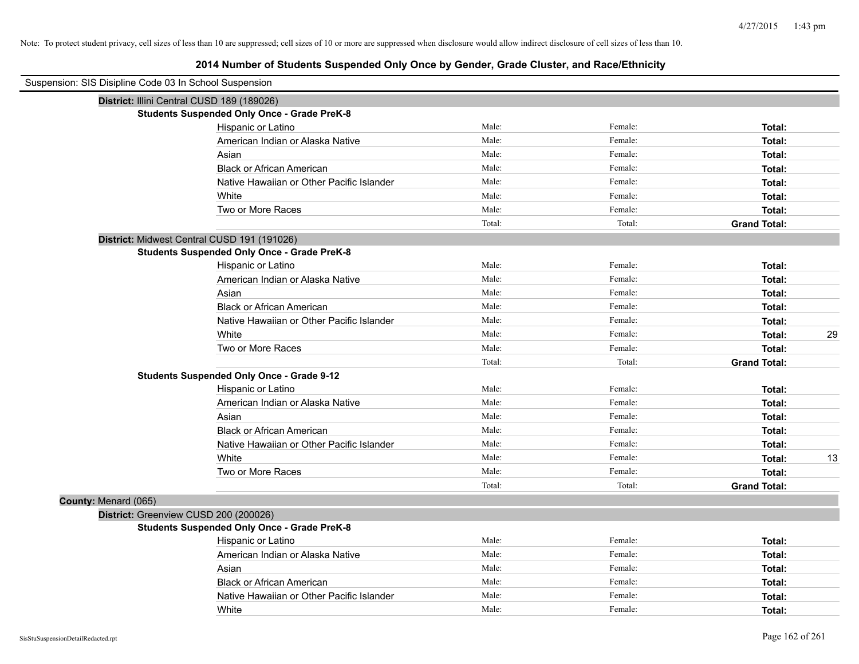| Suspension: SIS Disipline Code 03 In School Suspension |                                                    |        |         |                     |
|--------------------------------------------------------|----------------------------------------------------|--------|---------|---------------------|
| District: Illini Central CUSD 189 (189026)             |                                                    |        |         |                     |
|                                                        | <b>Students Suspended Only Once - Grade PreK-8</b> |        |         |                     |
|                                                        | Hispanic or Latino                                 | Male:  | Female: | Total:              |
|                                                        | American Indian or Alaska Native                   | Male:  | Female: | Total:              |
|                                                        | Asian                                              | Male:  | Female: | Total:              |
|                                                        | <b>Black or African American</b>                   | Male:  | Female: | Total:              |
|                                                        | Native Hawaiian or Other Pacific Islander          | Male:  | Female: | Total:              |
|                                                        | White                                              | Male:  | Female: | Total:              |
|                                                        | Two or More Races                                  | Male:  | Female: | Total:              |
|                                                        |                                                    | Total: | Total:  | <b>Grand Total:</b> |
|                                                        | District: Midwest Central CUSD 191 (191026)        |        |         |                     |
|                                                        | <b>Students Suspended Only Once - Grade PreK-8</b> |        |         |                     |
|                                                        | Hispanic or Latino                                 | Male:  | Female: | Total:              |
|                                                        | American Indian or Alaska Native                   | Male:  | Female: | Total:              |
|                                                        | Asian                                              | Male:  | Female: | Total:              |
|                                                        | <b>Black or African American</b>                   | Male:  | Female: | Total:              |
|                                                        | Native Hawaiian or Other Pacific Islander          | Male:  | Female: | Total:              |
|                                                        | White                                              | Male:  | Female: | 29<br>Total:        |
|                                                        | Two or More Races                                  | Male:  | Female: | Total:              |
|                                                        |                                                    | Total: | Total:  | <b>Grand Total:</b> |
|                                                        | <b>Students Suspended Only Once - Grade 9-12</b>   |        |         |                     |
|                                                        | Hispanic or Latino                                 | Male:  | Female: | Total:              |
|                                                        | American Indian or Alaska Native                   | Male:  | Female: | Total:              |
|                                                        | Asian                                              | Male:  | Female: | Total:              |
|                                                        | <b>Black or African American</b>                   | Male:  | Female: | Total:              |
|                                                        | Native Hawaiian or Other Pacific Islander          | Male:  | Female: | Total:              |
|                                                        | White                                              | Male:  | Female: | 13<br>Total:        |
|                                                        | Two or More Races                                  | Male:  | Female: | Total:              |
|                                                        |                                                    | Total: | Total:  | <b>Grand Total:</b> |
| County: Menard (065)                                   |                                                    |        |         |                     |
| District: Greenview CUSD 200 (200026)                  |                                                    |        |         |                     |
|                                                        | <b>Students Suspended Only Once - Grade PreK-8</b> |        |         |                     |
|                                                        | Hispanic or Latino                                 | Male:  | Female: | Total:              |
|                                                        | American Indian or Alaska Native                   | Male:  | Female: | Total:              |
|                                                        | Asian                                              | Male:  | Female: | Total:              |
|                                                        | <b>Black or African American</b>                   | Male:  | Female: | Total:              |
|                                                        | Native Hawaiian or Other Pacific Islander          | Male:  | Female: | Total:              |
|                                                        | White                                              | Male:  | Female: | Total:              |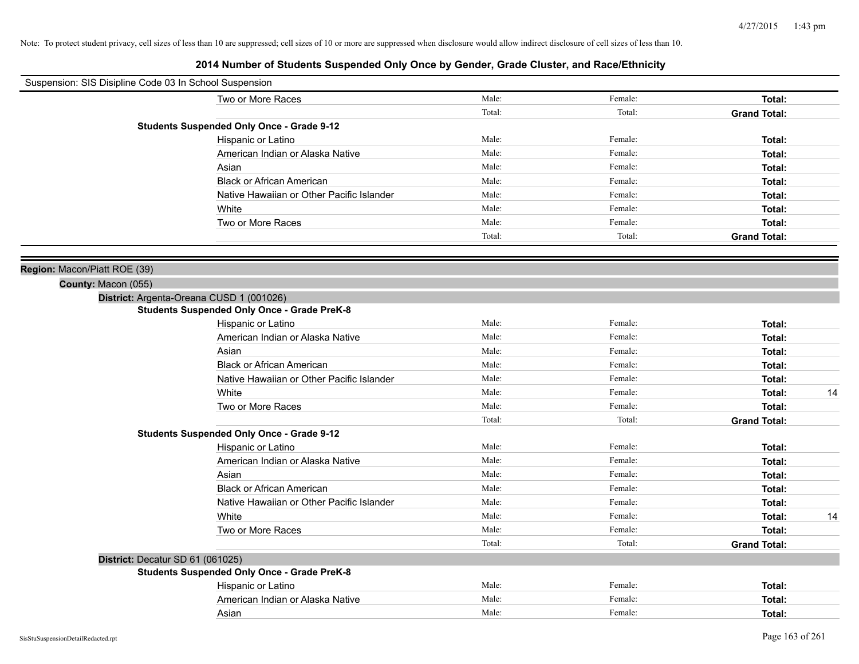| Suspension: SIS Disipline Code 03 In School Suspension |                                                    |        |         |                     |
|--------------------------------------------------------|----------------------------------------------------|--------|---------|---------------------|
|                                                        | Two or More Races                                  | Male:  | Female: | Total:              |
|                                                        |                                                    | Total: | Total:  | <b>Grand Total:</b> |
|                                                        | <b>Students Suspended Only Once - Grade 9-12</b>   |        |         |                     |
|                                                        | Hispanic or Latino                                 | Male:  | Female: | Total:              |
|                                                        | American Indian or Alaska Native                   | Male:  | Female: | Total:              |
|                                                        | Asian                                              | Male:  | Female: | Total:              |
|                                                        | <b>Black or African American</b>                   | Male:  | Female: | Total:              |
|                                                        | Native Hawaiian or Other Pacific Islander          | Male:  | Female: | Total:              |
|                                                        | White                                              | Male:  | Female: | Total:              |
|                                                        | Two or More Races                                  | Male:  | Female: | Total:              |
|                                                        |                                                    | Total: | Total:  | <b>Grand Total:</b> |
|                                                        |                                                    |        |         |                     |
| Region: Macon/Piatt ROE (39)                           |                                                    |        |         |                     |
| County: Macon (055)                                    |                                                    |        |         |                     |
|                                                        | District: Argenta-Oreana CUSD 1 (001026)           |        |         |                     |
|                                                        | <b>Students Suspended Only Once - Grade PreK-8</b> |        |         |                     |
|                                                        | Hispanic or Latino                                 | Male:  | Female: | Total:              |
|                                                        | American Indian or Alaska Native                   | Male:  | Female: | Total:              |
|                                                        | Asian                                              | Male:  | Female: | Total:              |
|                                                        | <b>Black or African American</b>                   | Male:  | Female: | Total:              |
|                                                        | Native Hawaiian or Other Pacific Islander          | Male:  | Female: | Total:              |
|                                                        | White                                              | Male:  | Female: | 14<br>Total:        |
|                                                        | Two or More Races                                  | Male:  | Female: | Total:              |
|                                                        |                                                    | Total: | Total:  | <b>Grand Total:</b> |
|                                                        | <b>Students Suspended Only Once - Grade 9-12</b>   |        |         |                     |
|                                                        | Hispanic or Latino                                 | Male:  | Female: | Total:              |
|                                                        | American Indian or Alaska Native                   | Male:  | Female: | Total:              |
|                                                        | Asian                                              | Male:  | Female: | Total:              |
|                                                        | <b>Black or African American</b>                   | Male:  | Female: | Total:              |
|                                                        | Native Hawaiian or Other Pacific Islander          | Male:  | Female: | Total:              |
|                                                        | White                                              | Male:  | Female: | Total:<br>14        |
|                                                        | Two or More Races                                  | Male:  | Female: | Total:              |
|                                                        |                                                    | Total: | Total:  | <b>Grand Total:</b> |
|                                                        | District: Decatur SD 61 (061025)                   |        |         |                     |
|                                                        | <b>Students Suspended Only Once - Grade PreK-8</b> |        |         |                     |
|                                                        | Hispanic or Latino                                 | Male:  | Female: | Total:              |
|                                                        | American Indian or Alaska Native                   | Male:  | Female: | Total:              |
|                                                        | Asian                                              | Male:  | Female: | Total:              |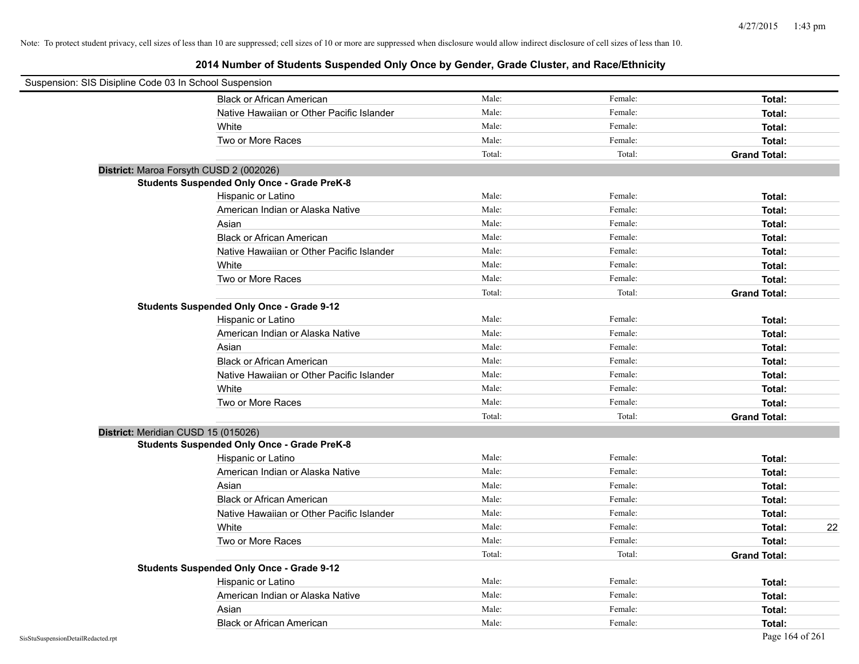| Suspension: SIS Disipline Code 03 In School Suspension |                                                    |        |         |                     |
|--------------------------------------------------------|----------------------------------------------------|--------|---------|---------------------|
|                                                        | <b>Black or African American</b>                   | Male:  | Female: | Total:              |
|                                                        | Native Hawaiian or Other Pacific Islander          | Male:  | Female: | Total:              |
|                                                        | White                                              | Male:  | Female: | Total:              |
|                                                        | Two or More Races                                  | Male:  | Female: | Total:              |
|                                                        |                                                    | Total: | Total:  | <b>Grand Total:</b> |
|                                                        | District: Maroa Forsyth CUSD 2 (002026)            |        |         |                     |
|                                                        | <b>Students Suspended Only Once - Grade PreK-8</b> |        |         |                     |
|                                                        | Hispanic or Latino                                 | Male:  | Female: | Total:              |
|                                                        | American Indian or Alaska Native                   | Male:  | Female: | Total:              |
|                                                        | Asian                                              | Male:  | Female: | Total:              |
|                                                        | <b>Black or African American</b>                   | Male:  | Female: | Total:              |
|                                                        | Native Hawaiian or Other Pacific Islander          | Male:  | Female: | Total:              |
|                                                        | White                                              | Male:  | Female: | Total:              |
|                                                        | Two or More Races                                  | Male:  | Female: | Total:              |
|                                                        |                                                    | Total: | Total:  | <b>Grand Total:</b> |
|                                                        | <b>Students Suspended Only Once - Grade 9-12</b>   |        |         |                     |
|                                                        | Hispanic or Latino                                 | Male:  | Female: | Total:              |
|                                                        | American Indian or Alaska Native                   | Male:  | Female: | Total:              |
|                                                        | Asian                                              | Male:  | Female: | Total:              |
|                                                        | <b>Black or African American</b>                   | Male:  | Female: | Total:              |
|                                                        | Native Hawaiian or Other Pacific Islander          | Male:  | Female: | Total:              |
|                                                        | White                                              | Male:  | Female: | Total:              |
|                                                        | Two or More Races                                  | Male:  | Female: | Total:              |
|                                                        |                                                    | Total: | Total:  | <b>Grand Total:</b> |
|                                                        | District: Meridian CUSD 15 (015026)                |        |         |                     |
|                                                        | <b>Students Suspended Only Once - Grade PreK-8</b> |        |         |                     |
|                                                        | Hispanic or Latino                                 | Male:  | Female: | Total:              |
|                                                        | American Indian or Alaska Native                   | Male:  | Female: | Total:              |
|                                                        | Asian                                              | Male:  | Female: | Total:              |
|                                                        | <b>Black or African American</b>                   | Male:  | Female: | Total:              |
|                                                        | Native Hawaiian or Other Pacific Islander          | Male:  | Female: | Total:              |
|                                                        | White                                              | Male:  | Female: | Total:<br>22        |
|                                                        | Two or More Races                                  | Male:  | Female: | Total:              |
|                                                        |                                                    | Total: | Total:  | <b>Grand Total:</b> |
|                                                        | <b>Students Suspended Only Once - Grade 9-12</b>   |        |         |                     |
|                                                        | Hispanic or Latino                                 | Male:  | Female: | Total:              |
|                                                        | American Indian or Alaska Native                   | Male:  | Female: | Total:              |
|                                                        | Asian                                              | Male:  | Female: | Total:              |
|                                                        | <b>Black or African American</b>                   | Male:  | Female: | Total:              |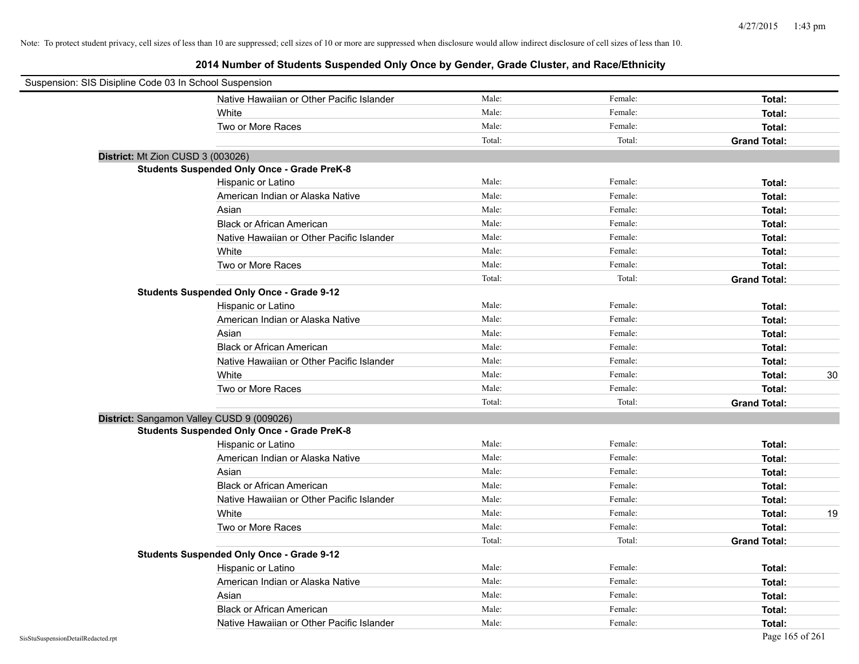| Suspension: SIS Disipline Code 03 In School Suspension |                                                    |        |         |                     |
|--------------------------------------------------------|----------------------------------------------------|--------|---------|---------------------|
|                                                        | Native Hawaiian or Other Pacific Islander          | Male:  | Female: | Total:              |
|                                                        | White                                              | Male:  | Female: | Total:              |
|                                                        | Two or More Races                                  | Male:  | Female: | Total:              |
|                                                        |                                                    | Total: | Total:  | <b>Grand Total:</b> |
|                                                        | District: Mt Zion CUSD 3 (003026)                  |        |         |                     |
|                                                        | <b>Students Suspended Only Once - Grade PreK-8</b> |        |         |                     |
|                                                        | Hispanic or Latino                                 | Male:  | Female: | Total:              |
|                                                        | American Indian or Alaska Native                   | Male:  | Female: | Total:              |
|                                                        | Asian                                              | Male:  | Female: | Total:              |
|                                                        | <b>Black or African American</b>                   | Male:  | Female: | Total:              |
|                                                        | Native Hawaiian or Other Pacific Islander          | Male:  | Female: | Total:              |
|                                                        | White                                              | Male:  | Female: | Total:              |
|                                                        | Two or More Races                                  | Male:  | Female: | Total:              |
|                                                        |                                                    | Total: | Total:  | <b>Grand Total:</b> |
|                                                        | <b>Students Suspended Only Once - Grade 9-12</b>   |        |         |                     |
|                                                        | Hispanic or Latino                                 | Male:  | Female: | Total:              |
|                                                        | American Indian or Alaska Native                   | Male:  | Female: | Total:              |
|                                                        | Asian                                              | Male:  | Female: | Total:              |
|                                                        | <b>Black or African American</b>                   | Male:  | Female: | Total:              |
|                                                        | Native Hawaiian or Other Pacific Islander          | Male:  | Female: | Total:              |
|                                                        | White                                              | Male:  | Female: | 30<br>Total:        |
|                                                        | Two or More Races                                  | Male:  | Female: | Total:              |
|                                                        |                                                    | Total: | Total:  | <b>Grand Total:</b> |
|                                                        | District: Sangamon Valley CUSD 9 (009026)          |        |         |                     |
|                                                        | <b>Students Suspended Only Once - Grade PreK-8</b> |        |         |                     |
|                                                        | Hispanic or Latino                                 | Male:  | Female: | Total:              |
|                                                        | American Indian or Alaska Native                   | Male:  | Female: | Total:              |
|                                                        | Asian                                              | Male:  | Female: | Total:              |
|                                                        | <b>Black or African American</b>                   | Male:  | Female: | Total:              |
|                                                        | Native Hawaiian or Other Pacific Islander          | Male:  | Female: | Total:              |
|                                                        | White                                              | Male:  | Female: | Total:<br>19        |
|                                                        | Two or More Races                                  | Male:  | Female: | Total:              |
|                                                        |                                                    | Total: | Total:  | <b>Grand Total:</b> |
|                                                        | <b>Students Suspended Only Once - Grade 9-12</b>   |        |         |                     |
|                                                        | Hispanic or Latino                                 | Male:  | Female: | Total:              |
|                                                        | American Indian or Alaska Native                   | Male:  | Female: | Total:              |
|                                                        | Asian                                              | Male:  | Female: | Total:              |
|                                                        | <b>Black or African American</b>                   | Male:  | Female: | Total:              |
|                                                        | Native Hawaiian or Other Pacific Islander          | Male:  | Female: | Total:              |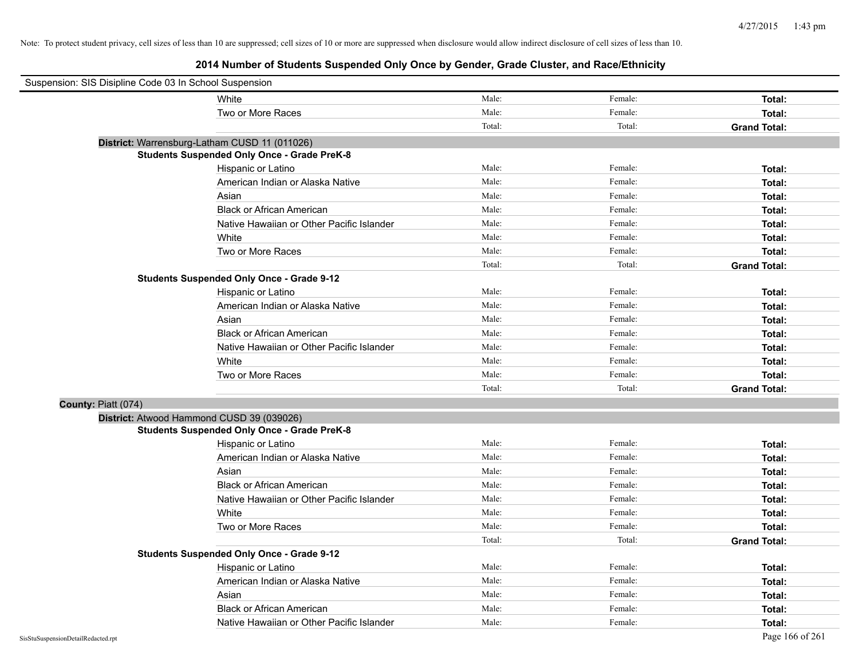| Suspension: SIS Disipline Code 03 In School Suspension |                                                    |        |         |                     |
|--------------------------------------------------------|----------------------------------------------------|--------|---------|---------------------|
|                                                        | White                                              | Male:  | Female: | Total:              |
|                                                        | Two or More Races                                  | Male:  | Female: | Total:              |
|                                                        |                                                    | Total: | Total:  | <b>Grand Total:</b> |
|                                                        | District: Warrensburg-Latham CUSD 11 (011026)      |        |         |                     |
|                                                        | <b>Students Suspended Only Once - Grade PreK-8</b> |        |         |                     |
|                                                        | Hispanic or Latino                                 | Male:  | Female: | Total:              |
|                                                        | American Indian or Alaska Native                   | Male:  | Female: | Total:              |
|                                                        | Asian                                              | Male:  | Female: | Total:              |
|                                                        | <b>Black or African American</b>                   | Male:  | Female: | Total:              |
|                                                        | Native Hawaiian or Other Pacific Islander          | Male:  | Female: | Total:              |
|                                                        | White                                              | Male:  | Female: | Total:              |
|                                                        | Two or More Races                                  | Male:  | Female: | Total:              |
|                                                        |                                                    | Total: | Total:  | <b>Grand Total:</b> |
|                                                        | <b>Students Suspended Only Once - Grade 9-12</b>   |        |         |                     |
|                                                        | Hispanic or Latino                                 | Male:  | Female: | Total:              |
|                                                        | American Indian or Alaska Native                   | Male:  | Female: | Total:              |
|                                                        | Asian                                              | Male:  | Female: | Total:              |
|                                                        | <b>Black or African American</b>                   | Male:  | Female: | Total:              |
|                                                        | Native Hawaiian or Other Pacific Islander          | Male:  | Female: | Total:              |
|                                                        | White                                              | Male:  | Female: | Total:              |
|                                                        | Two or More Races                                  | Male:  | Female: | Total:              |
|                                                        |                                                    | Total: | Total:  | <b>Grand Total:</b> |
| County: Piatt (074)                                    |                                                    |        |         |                     |
|                                                        | District: Atwood Hammond CUSD 39 (039026)          |        |         |                     |
|                                                        | <b>Students Suspended Only Once - Grade PreK-8</b> |        |         |                     |
|                                                        | Hispanic or Latino                                 | Male:  | Female: | Total:              |
|                                                        | American Indian or Alaska Native                   | Male:  | Female: | Total:              |
|                                                        | Asian                                              | Male:  | Female: | Total:              |
|                                                        | <b>Black or African American</b>                   | Male:  | Female: | Total:              |
|                                                        | Native Hawaiian or Other Pacific Islander          | Male:  | Female: | Total:              |
|                                                        | White                                              | Male:  | Female: | Total:              |
|                                                        | Two or More Races                                  | Male:  | Female: | Total:              |
|                                                        |                                                    | Total: | Total:  | <b>Grand Total:</b> |
|                                                        | <b>Students Suspended Only Once - Grade 9-12</b>   |        |         |                     |
|                                                        | Hispanic or Latino                                 | Male:  | Female: | Total:              |
|                                                        | American Indian or Alaska Native                   | Male:  | Female: | Total:              |
|                                                        | Asian                                              | Male:  | Female: | Total:              |
|                                                        | <b>Black or African American</b>                   | Male:  | Female: | Total:              |
|                                                        | Native Hawaiian or Other Pacific Islander          | Male:  | Female: | Total:              |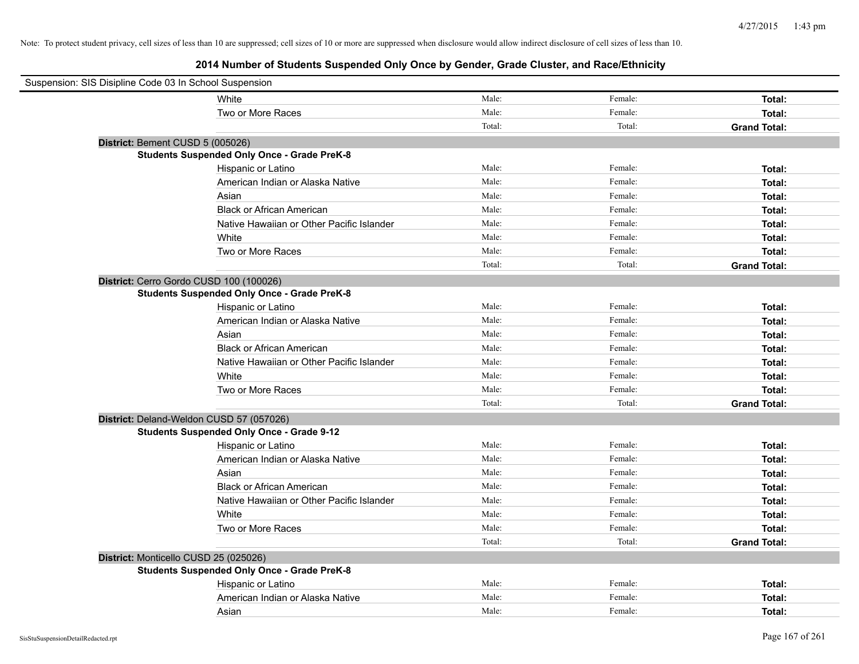| Suspension: SIS Disipline Code 03 In School Suspension |                                                    |        |         |                     |
|--------------------------------------------------------|----------------------------------------------------|--------|---------|---------------------|
|                                                        | White                                              | Male:  | Female: | Total:              |
|                                                        | Two or More Races                                  | Male:  | Female: | Total:              |
|                                                        |                                                    | Total: | Total:  | <b>Grand Total:</b> |
| District: Bement CUSD 5 (005026)                       |                                                    |        |         |                     |
|                                                        | <b>Students Suspended Only Once - Grade PreK-8</b> |        |         |                     |
|                                                        | Hispanic or Latino                                 | Male:  | Female: | Total:              |
|                                                        | American Indian or Alaska Native                   | Male:  | Female: | Total:              |
|                                                        | Asian                                              | Male:  | Female: | Total:              |
|                                                        | <b>Black or African American</b>                   | Male:  | Female: | Total:              |
|                                                        | Native Hawaiian or Other Pacific Islander          | Male:  | Female: | Total:              |
|                                                        | White                                              | Male:  | Female: | Total:              |
|                                                        | Two or More Races                                  | Male:  | Female: | Total:              |
|                                                        |                                                    | Total: | Total:  | <b>Grand Total:</b> |
| District: Cerro Gordo CUSD 100 (100026)                |                                                    |        |         |                     |
|                                                        | <b>Students Suspended Only Once - Grade PreK-8</b> |        |         |                     |
|                                                        | Hispanic or Latino                                 | Male:  | Female: | Total:              |
|                                                        | American Indian or Alaska Native                   | Male:  | Female: | Total:              |
|                                                        | Asian                                              | Male:  | Female: | Total:              |
|                                                        | <b>Black or African American</b>                   | Male:  | Female: | Total:              |
|                                                        | Native Hawaiian or Other Pacific Islander          | Male:  | Female: | Total:              |
|                                                        | White                                              | Male:  | Female: | Total:              |
|                                                        | Two or More Races                                  | Male:  | Female: | Total:              |
|                                                        |                                                    | Total: | Total:  | <b>Grand Total:</b> |
| District: Deland-Weldon CUSD 57 (057026)               |                                                    |        |         |                     |
|                                                        | <b>Students Suspended Only Once - Grade 9-12</b>   |        |         |                     |
|                                                        | Hispanic or Latino                                 | Male:  | Female: | Total:              |
|                                                        | American Indian or Alaska Native                   | Male:  | Female: | Total:              |
|                                                        | Asian                                              | Male:  | Female: | Total:              |
|                                                        | <b>Black or African American</b>                   | Male:  | Female: | Total:              |
|                                                        | Native Hawaiian or Other Pacific Islander          | Male:  | Female: | Total:              |
|                                                        | White                                              | Male:  | Female: | Total:              |
|                                                        | Two or More Races                                  | Male:  | Female: | Total:              |
|                                                        |                                                    | Total: | Total:  | <b>Grand Total:</b> |
| District: Monticello CUSD 25 (025026)                  |                                                    |        |         |                     |
|                                                        | <b>Students Suspended Only Once - Grade PreK-8</b> |        |         |                     |
|                                                        | Hispanic or Latino                                 | Male:  | Female: | Total:              |
|                                                        | American Indian or Alaska Native                   | Male:  | Female: | Total:              |
|                                                        | Asian                                              | Male:  | Female: | Total:              |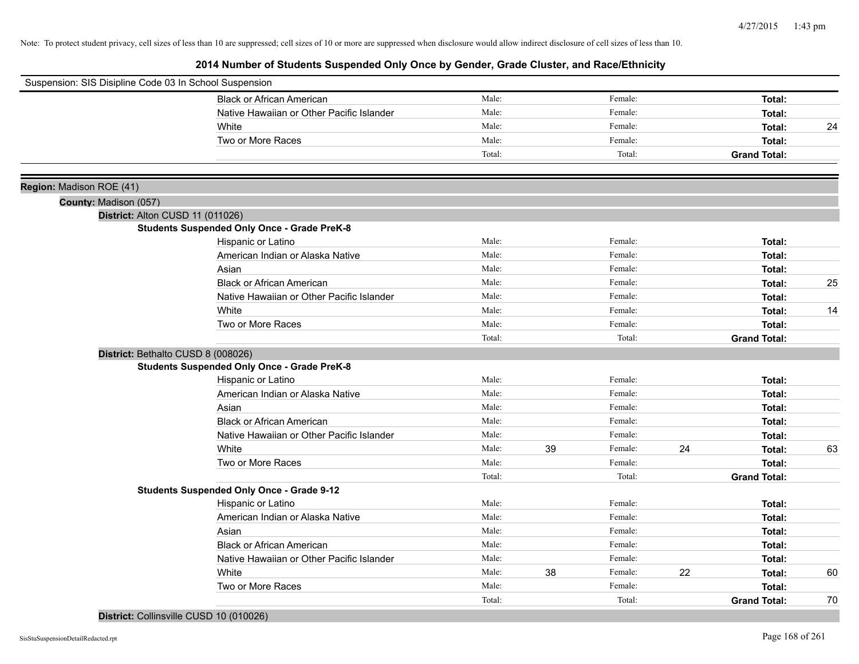# **2014 Number of Students Suspended Only Once by Gender, Grade Cluster, and Race/Ethnicity**

| Suspension: SIS Disipline Code 03 In School Suspension |                                                    |        |    |         |    |                     |    |
|--------------------------------------------------------|----------------------------------------------------|--------|----|---------|----|---------------------|----|
|                                                        | <b>Black or African American</b>                   | Male:  |    | Female: |    | Total:              |    |
|                                                        | Native Hawaiian or Other Pacific Islander          | Male:  |    | Female: |    | Total:              |    |
|                                                        | White                                              | Male:  |    | Female: |    | Total:              | 24 |
|                                                        | Two or More Races                                  | Male:  |    | Female: |    | Total:              |    |
|                                                        |                                                    | Total: |    | Total:  |    | <b>Grand Total:</b> |    |
| Region: Madison ROE (41)                               |                                                    |        |    |         |    |                     |    |
| County: Madison (057)                                  |                                                    |        |    |         |    |                     |    |
| District: Alton CUSD 11 (011026)                       |                                                    |        |    |         |    |                     |    |
|                                                        | <b>Students Suspended Only Once - Grade PreK-8</b> |        |    |         |    |                     |    |
|                                                        | Hispanic or Latino                                 | Male:  |    | Female: |    | Total:              |    |
|                                                        | American Indian or Alaska Native                   | Male:  |    | Female: |    | Total:              |    |
|                                                        | Asian                                              | Male:  |    | Female: |    | Total:              |    |
|                                                        | <b>Black or African American</b>                   | Male:  |    | Female: |    | Total:              | 25 |
|                                                        | Native Hawaiian or Other Pacific Islander          | Male:  |    | Female: |    | Total:              |    |
|                                                        | White                                              | Male:  |    | Female: |    | Total:              | 14 |
|                                                        | Two or More Races                                  | Male:  |    | Female: |    | Total:              |    |
|                                                        |                                                    | Total: |    | Total:  |    | <b>Grand Total:</b> |    |
|                                                        | District: Bethalto CUSD 8 (008026)                 |        |    |         |    |                     |    |
|                                                        | <b>Students Suspended Only Once - Grade PreK-8</b> |        |    |         |    |                     |    |
|                                                        | Hispanic or Latino                                 | Male:  |    | Female: |    | Total:              |    |
|                                                        | American Indian or Alaska Native                   | Male:  |    | Female: |    | Total:              |    |
|                                                        | Asian                                              | Male:  |    | Female: |    | Total:              |    |
|                                                        | <b>Black or African American</b>                   | Male:  |    | Female: |    | Total:              |    |
|                                                        | Native Hawaiian or Other Pacific Islander          | Male:  |    | Female: |    | Total:              |    |
|                                                        | White                                              | Male:  | 39 | Female: | 24 | Total:              | 63 |
|                                                        | Two or More Races                                  | Male:  |    | Female: |    | Total:              |    |
|                                                        |                                                    | Total: |    | Total:  |    | <b>Grand Total:</b> |    |
|                                                        | <b>Students Suspended Only Once - Grade 9-12</b>   |        |    |         |    |                     |    |
|                                                        | Hispanic or Latino                                 | Male:  |    | Female: |    | Total:              |    |
|                                                        | American Indian or Alaska Native                   | Male:  |    | Female: |    | Total:              |    |
|                                                        | Asian                                              | Male:  |    | Female: |    | Total:              |    |
|                                                        | <b>Black or African American</b>                   | Male:  |    | Female: |    | Total:              |    |
|                                                        | Native Hawaiian or Other Pacific Islander          | Male:  |    | Female: |    | Total:              |    |
|                                                        | White                                              | Male:  | 38 | Female: | 22 | Total:              | 60 |
|                                                        | Two or More Races                                  | Male:  |    | Female: |    | Total:              |    |
|                                                        |                                                    | Total: |    | Total:  |    | <b>Grand Total:</b> | 70 |

**District:** Collinsville CUSD 10 (010026)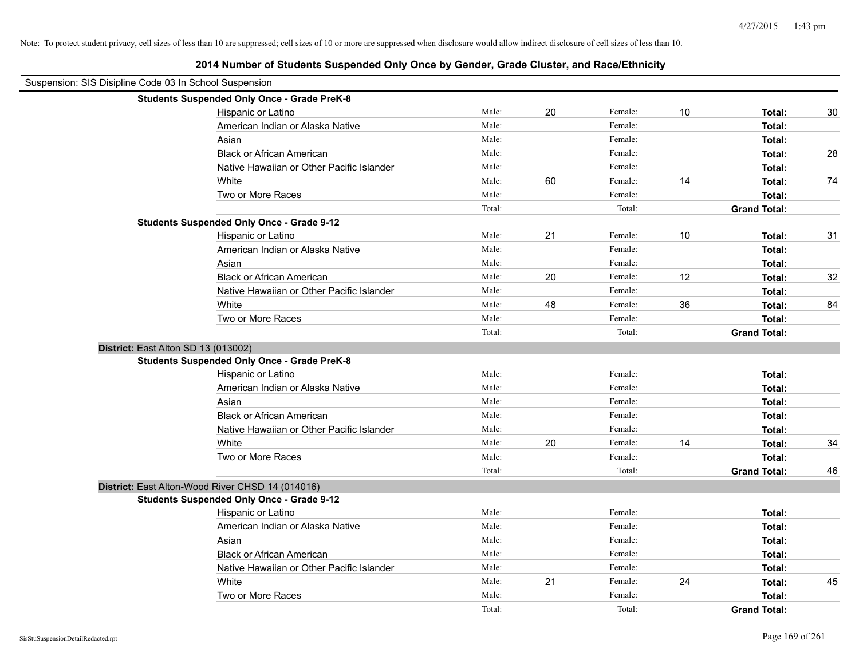|                                                        | 2014 Number of Students Suspended Only Once by Gender, Grade Cluster, and Race/Ethnicity |        |    |         |    |                     |    |
|--------------------------------------------------------|------------------------------------------------------------------------------------------|--------|----|---------|----|---------------------|----|
| Suspension: SIS Disipline Code 03 In School Suspension |                                                                                          |        |    |         |    |                     |    |
|                                                        | <b>Students Suspended Only Once - Grade PreK-8</b>                                       |        |    |         |    |                     |    |
|                                                        | Hispanic or Latino                                                                       | Male:  | 20 | Female: | 10 | Total:              | 30 |
|                                                        | American Indian or Alaska Native                                                         | Male:  |    | Female: |    | Total:              |    |
|                                                        | Asian                                                                                    | Male:  |    | Female: |    | Total:              |    |
|                                                        | <b>Black or African American</b>                                                         | Male:  |    | Female: |    | Total:              | 28 |
|                                                        | Native Hawaiian or Other Pacific Islander                                                | Male:  |    | Female: |    | Total:              |    |
|                                                        | White                                                                                    | Male:  | 60 | Female: | 14 | Total:              | 74 |
|                                                        | Two or More Races                                                                        | Male:  |    | Female: |    | Total:              |    |
|                                                        |                                                                                          | Total: |    | Total:  |    | <b>Grand Total:</b> |    |
|                                                        | <b>Students Suspended Only Once - Grade 9-12</b>                                         |        |    |         |    |                     |    |
|                                                        | Hispanic or Latino                                                                       | Male:  | 21 | Female: | 10 | Total:              | 31 |
|                                                        | American Indian or Alaska Native                                                         | Male:  |    | Female: |    | Total:              |    |
|                                                        | Asian                                                                                    | Male:  |    | Female: |    | Total:              |    |
|                                                        | <b>Black or African American</b>                                                         | Male:  | 20 | Female: | 12 | Total:              | 32 |
|                                                        | Native Hawaiian or Other Pacific Islander                                                | Male:  |    | Female: |    | Total:              |    |
|                                                        | White                                                                                    | Male:  | 48 | Female: | 36 | Total:              | 84 |
|                                                        | Two or More Races                                                                        | Male:  |    | Female: |    | Total:              |    |
|                                                        |                                                                                          | Total: |    | Total:  |    | <b>Grand Total:</b> |    |
|                                                        | District: East Alton SD 13 (013002)                                                      |        |    |         |    |                     |    |
|                                                        | <b>Students Suspended Only Once - Grade PreK-8</b>                                       |        |    |         |    |                     |    |
|                                                        | Hispanic or Latino                                                                       | Male:  |    | Female: |    | Total:              |    |
|                                                        | American Indian or Alaska Native                                                         | Male:  |    | Female: |    | Total:              |    |
|                                                        | Asian                                                                                    | Male:  |    | Female: |    | Total:              |    |
|                                                        | <b>Black or African American</b>                                                         | Male:  |    | Female: |    | Total:              |    |
|                                                        | Native Hawaiian or Other Pacific Islander                                                | Male:  |    | Female: |    | Total:              |    |
|                                                        | White                                                                                    | Male:  | 20 | Female: | 14 | Total:              | 34 |
|                                                        | Two or More Races                                                                        | Male:  |    | Female: |    | Total:              |    |
|                                                        |                                                                                          | Total: |    | Total:  |    | <b>Grand Total:</b> | 46 |
|                                                        | District: East Alton-Wood River CHSD 14 (014016)                                         |        |    |         |    |                     |    |
|                                                        | <b>Students Suspended Only Once - Grade 9-12</b>                                         |        |    |         |    |                     |    |
|                                                        | Hispanic or Latino                                                                       | Male:  |    | Female: |    | Total:              |    |
|                                                        | American Indian or Alaska Native                                                         | Male:  |    | Female: |    | Total:              |    |
|                                                        | Asian                                                                                    | Male:  |    | Female: |    | Total:              |    |
|                                                        | <b>Black or African American</b>                                                         | Male:  |    | Female: |    | Total:              |    |
|                                                        | Native Hawaiian or Other Pacific Islander                                                | Male:  |    | Female: |    | Total:              |    |
|                                                        | White                                                                                    | Male:  | 21 | Female: | 24 | Total:              | 45 |
|                                                        | Two or More Races                                                                        | Male:  |    | Female: |    | Total:              |    |
|                                                        |                                                                                          | Total: |    | Total:  |    | <b>Grand Total:</b> |    |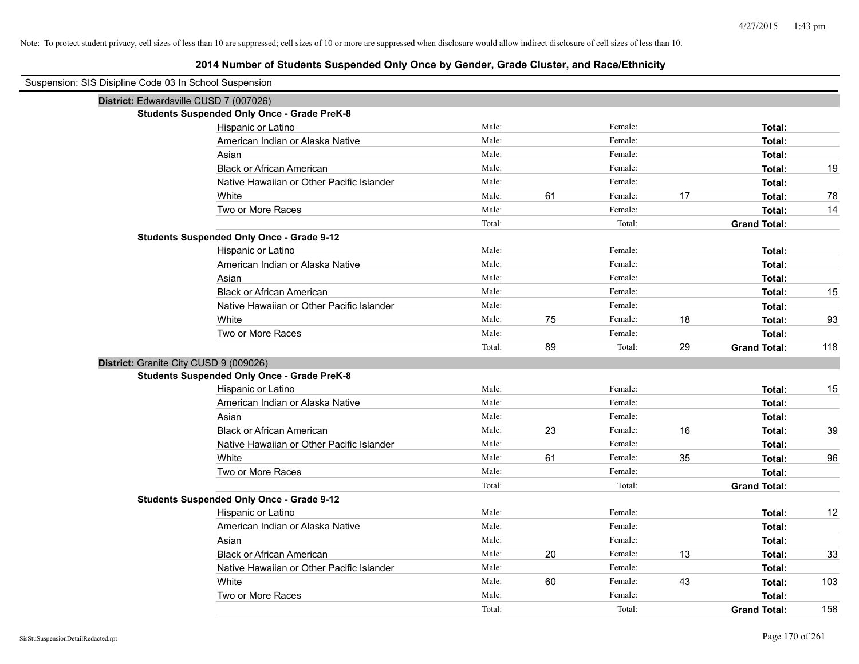| Suspension: SIS Disipline Code 03 In School Suspension |                                                    |        |    |         |    |                     |     |
|--------------------------------------------------------|----------------------------------------------------|--------|----|---------|----|---------------------|-----|
| District: Edwardsville CUSD 7 (007026)                 |                                                    |        |    |         |    |                     |     |
|                                                        | <b>Students Suspended Only Once - Grade PreK-8</b> |        |    |         |    |                     |     |
|                                                        | Hispanic or Latino                                 | Male:  |    | Female: |    | Total:              |     |
|                                                        | American Indian or Alaska Native                   | Male:  |    | Female: |    | Total:              |     |
|                                                        | Asian                                              | Male:  |    | Female: |    | Total:              |     |
|                                                        | <b>Black or African American</b>                   | Male:  |    | Female: |    | Total:              | 19  |
|                                                        | Native Hawaiian or Other Pacific Islander          | Male:  |    | Female: |    | Total:              |     |
|                                                        | White                                              | Male:  | 61 | Female: | 17 | Total:              | 78  |
|                                                        | Two or More Races                                  | Male:  |    | Female: |    | Total:              | 14  |
|                                                        |                                                    | Total: |    | Total:  |    | <b>Grand Total:</b> |     |
|                                                        | <b>Students Suspended Only Once - Grade 9-12</b>   |        |    |         |    |                     |     |
|                                                        | Hispanic or Latino                                 | Male:  |    | Female: |    | Total:              |     |
|                                                        | American Indian or Alaska Native                   | Male:  |    | Female: |    | Total:              |     |
|                                                        | Asian                                              | Male:  |    | Female: |    | Total:              |     |
|                                                        | <b>Black or African American</b>                   | Male:  |    | Female: |    | Total:              | 15  |
|                                                        | Native Hawaiian or Other Pacific Islander          | Male:  |    | Female: |    | Total:              |     |
|                                                        | White                                              | Male:  | 75 | Female: | 18 | Total:              | 93  |
|                                                        | Two or More Races                                  | Male:  |    | Female: |    | Total:              |     |
|                                                        |                                                    | Total: | 89 | Total:  | 29 | <b>Grand Total:</b> | 118 |
| District: Granite City CUSD 9 (009026)                 |                                                    |        |    |         |    |                     |     |
|                                                        | <b>Students Suspended Only Once - Grade PreK-8</b> |        |    |         |    |                     |     |
|                                                        | Hispanic or Latino                                 | Male:  |    | Female: |    | Total:              | 15  |
|                                                        | American Indian or Alaska Native                   | Male:  |    | Female: |    | Total:              |     |
|                                                        | Asian                                              | Male:  |    | Female: |    | Total:              |     |
|                                                        | <b>Black or African American</b>                   | Male:  | 23 | Female: | 16 | Total:              | 39  |
|                                                        | Native Hawaiian or Other Pacific Islander          | Male:  |    | Female: |    | Total:              |     |
|                                                        | White                                              | Male:  | 61 | Female: | 35 | Total:              | 96  |
|                                                        | Two or More Races                                  | Male:  |    | Female: |    | Total:              |     |
|                                                        |                                                    | Total: |    | Total:  |    | <b>Grand Total:</b> |     |
|                                                        | <b>Students Suspended Only Once - Grade 9-12</b>   |        |    |         |    |                     |     |
|                                                        | Hispanic or Latino                                 | Male:  |    | Female: |    | Total:              | 12  |
|                                                        | American Indian or Alaska Native                   | Male:  |    | Female: |    | Total:              |     |
|                                                        | Asian                                              | Male:  |    | Female: |    | Total:              |     |
|                                                        | <b>Black or African American</b>                   | Male:  | 20 | Female: | 13 | Total:              | 33  |
|                                                        | Native Hawaiian or Other Pacific Islander          | Male:  |    | Female: |    | Total:              |     |
|                                                        | White                                              | Male:  | 60 | Female: | 43 | Total:              | 103 |
|                                                        | Two or More Races                                  | Male:  |    | Female: |    | Total:              |     |
|                                                        |                                                    | Total: |    | Total:  |    | <b>Grand Total:</b> | 158 |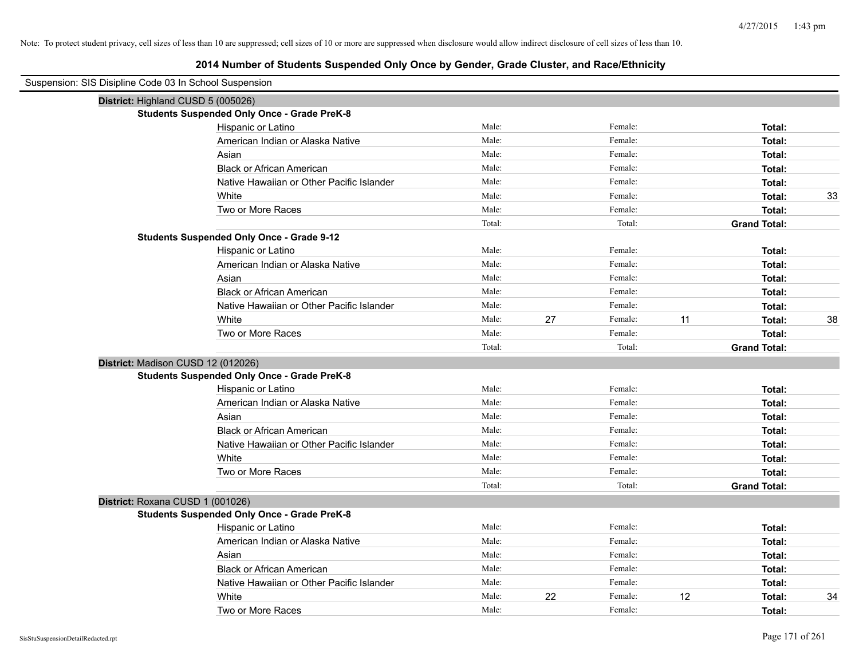| Suspension: SIS Disipline Code 03 In School Suspension |                                                    |        |    |         |    |                     |    |
|--------------------------------------------------------|----------------------------------------------------|--------|----|---------|----|---------------------|----|
| District: Highland CUSD 5 (005026)                     |                                                    |        |    |         |    |                     |    |
|                                                        | <b>Students Suspended Only Once - Grade PreK-8</b> |        |    |         |    |                     |    |
|                                                        | Hispanic or Latino                                 | Male:  |    | Female: |    | Total:              |    |
|                                                        | American Indian or Alaska Native                   | Male:  |    | Female: |    | Total:              |    |
|                                                        | Asian                                              | Male:  |    | Female: |    | Total:              |    |
|                                                        | <b>Black or African American</b>                   | Male:  |    | Female: |    | Total:              |    |
|                                                        | Native Hawaiian or Other Pacific Islander          | Male:  |    | Female: |    | Total:              |    |
|                                                        | White                                              | Male:  |    | Female: |    | Total:              | 33 |
|                                                        | Two or More Races                                  | Male:  |    | Female: |    | Total:              |    |
|                                                        |                                                    | Total: |    | Total:  |    | <b>Grand Total:</b> |    |
|                                                        | <b>Students Suspended Only Once - Grade 9-12</b>   |        |    |         |    |                     |    |
|                                                        | Hispanic or Latino                                 | Male:  |    | Female: |    | Total:              |    |
|                                                        | American Indian or Alaska Native                   | Male:  |    | Female: |    | Total:              |    |
|                                                        | Asian                                              | Male:  |    | Female: |    | Total:              |    |
|                                                        | <b>Black or African American</b>                   | Male:  |    | Female: |    | Total:              |    |
|                                                        | Native Hawaiian or Other Pacific Islander          | Male:  |    | Female: |    | Total:              |    |
|                                                        | White                                              | Male:  | 27 | Female: | 11 | Total:              | 38 |
|                                                        | Two or More Races                                  | Male:  |    | Female: |    | Total:              |    |
|                                                        |                                                    | Total: |    | Total:  |    | <b>Grand Total:</b> |    |
| District: Madison CUSD 12 (012026)                     |                                                    |        |    |         |    |                     |    |
|                                                        | <b>Students Suspended Only Once - Grade PreK-8</b> |        |    |         |    |                     |    |
|                                                        | Hispanic or Latino                                 | Male:  |    | Female: |    | Total:              |    |
|                                                        | American Indian or Alaska Native                   | Male:  |    | Female: |    | Total:              |    |
|                                                        | Asian                                              | Male:  |    | Female: |    | Total:              |    |
|                                                        | <b>Black or African American</b>                   | Male:  |    | Female: |    | Total:              |    |
|                                                        | Native Hawaiian or Other Pacific Islander          | Male:  |    | Female: |    | Total:              |    |
|                                                        | White                                              | Male:  |    | Female: |    | Total:              |    |
|                                                        | Two or More Races                                  | Male:  |    | Female: |    | Total:              |    |
|                                                        |                                                    | Total: |    | Total:  |    | <b>Grand Total:</b> |    |
| District: Roxana CUSD 1 (001026)                       |                                                    |        |    |         |    |                     |    |
|                                                        | <b>Students Suspended Only Once - Grade PreK-8</b> |        |    |         |    |                     |    |
|                                                        | Hispanic or Latino                                 | Male:  |    | Female: |    | Total:              |    |
|                                                        | American Indian or Alaska Native                   | Male:  |    | Female: |    | Total:              |    |
|                                                        | Asian                                              | Male:  |    | Female: |    | Total:              |    |
|                                                        | <b>Black or African American</b>                   | Male:  |    | Female: |    | Total:              |    |
|                                                        | Native Hawaiian or Other Pacific Islander          | Male:  |    | Female: |    | Total:              |    |
|                                                        | White                                              | Male:  | 22 | Female: | 12 | Total:              | 34 |
|                                                        | Two or More Races                                  | Male:  |    | Female: |    | Total:              |    |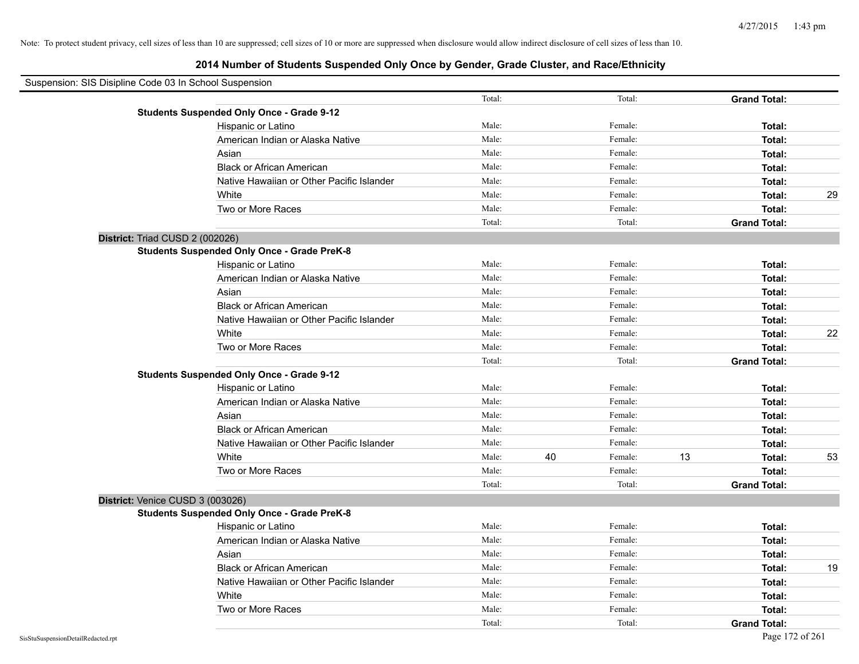| Suspension: SIS Disipline Code 03 In School Suspension |                                                    |        |               |    |                     |    |
|--------------------------------------------------------|----------------------------------------------------|--------|---------------|----|---------------------|----|
|                                                        |                                                    | Total: | Total:        |    | <b>Grand Total:</b> |    |
|                                                        | <b>Students Suspended Only Once - Grade 9-12</b>   |        |               |    |                     |    |
|                                                        | Hispanic or Latino                                 | Male:  | Female:       |    | Total:              |    |
|                                                        | American Indian or Alaska Native                   | Male:  | Female:       |    | Total:              |    |
|                                                        | Asian                                              | Male:  | Female:       |    | Total:              |    |
|                                                        | <b>Black or African American</b>                   | Male:  | Female:       |    | Total:              |    |
|                                                        | Native Hawaiian or Other Pacific Islander          | Male:  | Female:       |    | Total:              |    |
|                                                        | White                                              | Male:  | Female:       |    | Total:              | 29 |
|                                                        | Two or More Races                                  | Male:  | Female:       |    | Total:              |    |
|                                                        |                                                    | Total: | Total:        |    | <b>Grand Total:</b> |    |
| District: Triad CUSD 2 (002026)                        |                                                    |        |               |    |                     |    |
|                                                        | <b>Students Suspended Only Once - Grade PreK-8</b> |        |               |    |                     |    |
|                                                        | Hispanic or Latino                                 | Male:  | Female:       |    | Total:              |    |
|                                                        | American Indian or Alaska Native                   | Male:  | Female:       |    | Total:              |    |
|                                                        | Asian                                              | Male:  | Female:       |    | Total:              |    |
|                                                        | <b>Black or African American</b>                   | Male:  | Female:       |    | Total:              |    |
|                                                        | Native Hawaiian or Other Pacific Islander          | Male:  | Female:       |    | Total:              |    |
|                                                        | White                                              | Male:  | Female:       |    | Total:              | 22 |
|                                                        | Two or More Races                                  | Male:  | Female:       |    | Total:              |    |
|                                                        |                                                    | Total: | Total:        |    | <b>Grand Total:</b> |    |
|                                                        | <b>Students Suspended Only Once - Grade 9-12</b>   |        |               |    |                     |    |
|                                                        | Hispanic or Latino                                 | Male:  | Female:       |    | Total:              |    |
|                                                        | American Indian or Alaska Native                   | Male:  | Female:       |    | Total:              |    |
|                                                        | Asian                                              | Male:  | Female:       |    | Total:              |    |
|                                                        | <b>Black or African American</b>                   | Male:  | Female:       |    | Total:              |    |
|                                                        | Native Hawaiian or Other Pacific Islander          | Male:  | Female:       |    | Total:              |    |
|                                                        | White                                              | Male:  | 40<br>Female: | 13 | Total:              | 53 |
|                                                        | Two or More Races                                  | Male:  | Female:       |    | Total:              |    |
|                                                        |                                                    | Total: | Total:        |    | <b>Grand Total:</b> |    |
| District: Venice CUSD 3 (003026)                       |                                                    |        |               |    |                     |    |
|                                                        | <b>Students Suspended Only Once - Grade PreK-8</b> |        |               |    |                     |    |
|                                                        | Hispanic or Latino                                 | Male:  | Female:       |    | Total:              |    |
|                                                        | American Indian or Alaska Native                   | Male:  | Female:       |    | Total:              |    |
|                                                        | Asian                                              | Male:  | Female:       |    | Total:              |    |
|                                                        | <b>Black or African American</b>                   | Male:  | Female:       |    | Total:              | 19 |
|                                                        | Native Hawaiian or Other Pacific Islander          | Male:  | Female:       |    | Total:              |    |
|                                                        | White                                              | Male:  | Female:       |    | Total:              |    |
|                                                        | Two or More Races                                  | Male:  | Female:       |    | Total:              |    |
|                                                        |                                                    | Total: | Total:        |    | <b>Grand Total:</b> |    |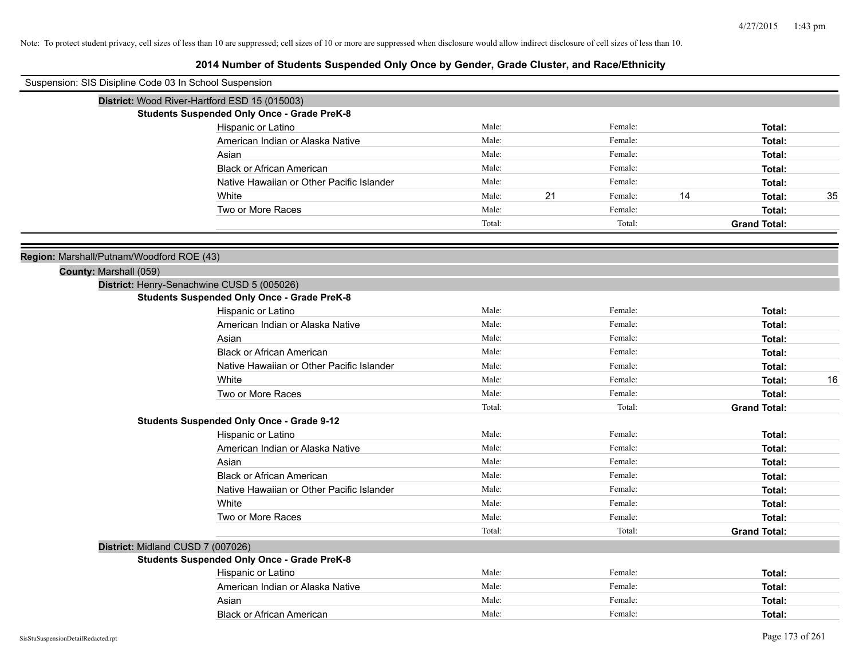| Suspension: SIS Disipline Code 03 In School Suspension |                                                    |        |    |         |    |                     |    |
|--------------------------------------------------------|----------------------------------------------------|--------|----|---------|----|---------------------|----|
|                                                        | District: Wood River-Hartford ESD 15 (015003)      |        |    |         |    |                     |    |
|                                                        | <b>Students Suspended Only Once - Grade PreK-8</b> |        |    |         |    |                     |    |
|                                                        | Hispanic or Latino                                 | Male:  |    | Female: |    | Total:              |    |
|                                                        | American Indian or Alaska Native                   | Male:  |    | Female: |    | Total:              |    |
|                                                        | Asian                                              | Male:  |    | Female: |    | Total:              |    |
|                                                        | <b>Black or African American</b>                   | Male:  |    | Female: |    | Total:              |    |
|                                                        | Native Hawaiian or Other Pacific Islander          | Male:  |    | Female: |    | Total:              |    |
|                                                        | White                                              | Male:  | 21 | Female: | 14 | Total:              | 35 |
|                                                        | Two or More Races                                  | Male:  |    | Female: |    | Total:              |    |
|                                                        |                                                    | Total: |    | Total:  |    | <b>Grand Total:</b> |    |
| Region: Marshall/Putnam/Woodford ROE (43)              |                                                    |        |    |         |    |                     |    |
| County: Marshall (059)                                 |                                                    |        |    |         |    |                     |    |
|                                                        | District: Henry-Senachwine CUSD 5 (005026)         |        |    |         |    |                     |    |
|                                                        | <b>Students Suspended Only Once - Grade PreK-8</b> |        |    |         |    |                     |    |
|                                                        | Hispanic or Latino                                 | Male:  |    | Female: |    | Total:              |    |
|                                                        | American Indian or Alaska Native                   | Male:  |    | Female: |    | Total:              |    |
|                                                        | Asian                                              | Male:  |    | Female: |    | Total:              |    |
|                                                        | <b>Black or African American</b>                   | Male:  |    | Female: |    | Total:              |    |
|                                                        | Native Hawaiian or Other Pacific Islander          | Male:  |    | Female: |    | Total:              |    |
|                                                        | White                                              | Male:  |    | Female: |    | Total:              | 16 |
|                                                        | Two or More Races                                  | Male:  |    | Female: |    | Total:              |    |
|                                                        |                                                    | Total: |    | Total:  |    | <b>Grand Total:</b> |    |
|                                                        | <b>Students Suspended Only Once - Grade 9-12</b>   |        |    |         |    |                     |    |
|                                                        | Hispanic or Latino                                 | Male:  |    | Female: |    | Total:              |    |
|                                                        | American Indian or Alaska Native                   | Male:  |    | Female: |    | Total:              |    |
|                                                        | Asian                                              | Male:  |    | Female: |    | Total:              |    |
|                                                        | <b>Black or African American</b>                   | Male:  |    | Female: |    | Total:              |    |
|                                                        | Native Hawaiian or Other Pacific Islander          | Male:  |    | Female: |    | Total:              |    |
|                                                        | White                                              | Male:  |    | Female: |    | Total:              |    |
|                                                        | Two or More Races                                  | Male:  |    | Female: |    | Total:              |    |
|                                                        |                                                    | Total: |    | Total:  |    | <b>Grand Total:</b> |    |
|                                                        | District: Midland CUSD 7 (007026)                  |        |    |         |    |                     |    |
|                                                        | <b>Students Suspended Only Once - Grade PreK-8</b> |        |    |         |    |                     |    |
|                                                        | Hispanic or Latino                                 | Male:  |    | Female: |    | Total:              |    |
|                                                        | American Indian or Alaska Native                   | Male:  |    | Female: |    | Total:              |    |
|                                                        | Asian                                              | Male:  |    | Female: |    | Total:              |    |
|                                                        | <b>Black or African American</b>                   | Male:  |    | Female: |    | Total:              |    |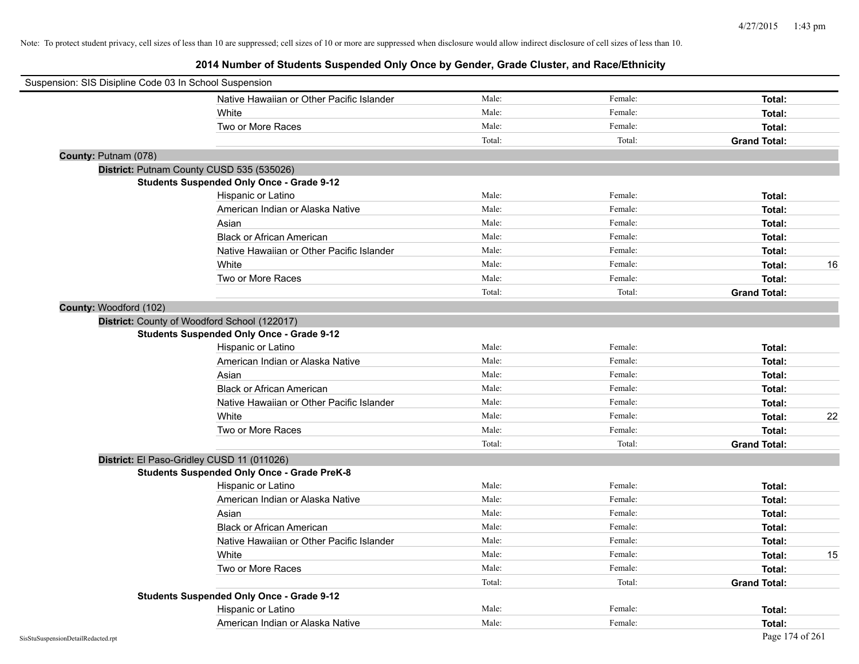| Suspension: SIS Disipline Code 03 In School Suspension |                                                    |        |         |                     |    |
|--------------------------------------------------------|----------------------------------------------------|--------|---------|---------------------|----|
|                                                        | Native Hawaiian or Other Pacific Islander          | Male:  | Female: | Total:              |    |
|                                                        | White                                              | Male:  | Female: | Total:              |    |
|                                                        | Two or More Races                                  | Male:  | Female: | Total:              |    |
|                                                        |                                                    | Total: | Total:  | <b>Grand Total:</b> |    |
| County: Putnam (078)                                   |                                                    |        |         |                     |    |
|                                                        | District: Putnam County CUSD 535 (535026)          |        |         |                     |    |
|                                                        | <b>Students Suspended Only Once - Grade 9-12</b>   |        |         |                     |    |
|                                                        | Hispanic or Latino                                 | Male:  | Female: | Total:              |    |
|                                                        | American Indian or Alaska Native                   | Male:  | Female: | Total:              |    |
|                                                        | Asian                                              | Male:  | Female: | Total:              |    |
|                                                        | <b>Black or African American</b>                   | Male:  | Female: | Total:              |    |
|                                                        | Native Hawaiian or Other Pacific Islander          | Male:  | Female: | Total:              |    |
|                                                        | White                                              | Male:  | Female: | Total:              | 16 |
|                                                        | Two or More Races                                  | Male:  | Female: | Total:              |    |
|                                                        |                                                    | Total: | Total:  | <b>Grand Total:</b> |    |
| County: Woodford (102)                                 |                                                    |        |         |                     |    |
|                                                        | District: County of Woodford School (122017)       |        |         |                     |    |
|                                                        | <b>Students Suspended Only Once - Grade 9-12</b>   |        |         |                     |    |
|                                                        | Hispanic or Latino                                 | Male:  | Female: | Total:              |    |
|                                                        | American Indian or Alaska Native                   | Male:  | Female: | Total:              |    |
|                                                        | Asian                                              | Male:  | Female: | Total:              |    |
|                                                        | <b>Black or African American</b>                   | Male:  | Female: | Total:              |    |
|                                                        | Native Hawaiian or Other Pacific Islander          | Male:  | Female: | Total:              |    |
|                                                        | White                                              | Male:  | Female: | Total:              | 22 |
|                                                        | Two or More Races                                  | Male:  | Female: | Total:              |    |
|                                                        |                                                    | Total: | Total:  | <b>Grand Total:</b> |    |
|                                                        | District: El Paso-Gridley CUSD 11 (011026)         |        |         |                     |    |
|                                                        | <b>Students Suspended Only Once - Grade PreK-8</b> |        |         |                     |    |
|                                                        | Hispanic or Latino                                 | Male:  | Female: | Total:              |    |
|                                                        | American Indian or Alaska Native                   | Male:  | Female: | Total:              |    |
|                                                        | Asian                                              | Male:  | Female: | Total:              |    |
|                                                        | <b>Black or African American</b>                   | Male:  | Female: | Total:              |    |
|                                                        | Native Hawaiian or Other Pacific Islander          | Male:  | Female: | Total:              |    |
|                                                        | White                                              | Male:  | Female: | Total:              | 15 |
|                                                        | Two or More Races                                  | Male:  | Female: | Total:              |    |
|                                                        |                                                    | Total: | Total:  | <b>Grand Total:</b> |    |
|                                                        | <b>Students Suspended Only Once - Grade 9-12</b>   |        |         |                     |    |
|                                                        | Hispanic or Latino                                 | Male:  | Female: | Total:              |    |
|                                                        | American Indian or Alaska Native                   | Male:  | Female: | Total:              |    |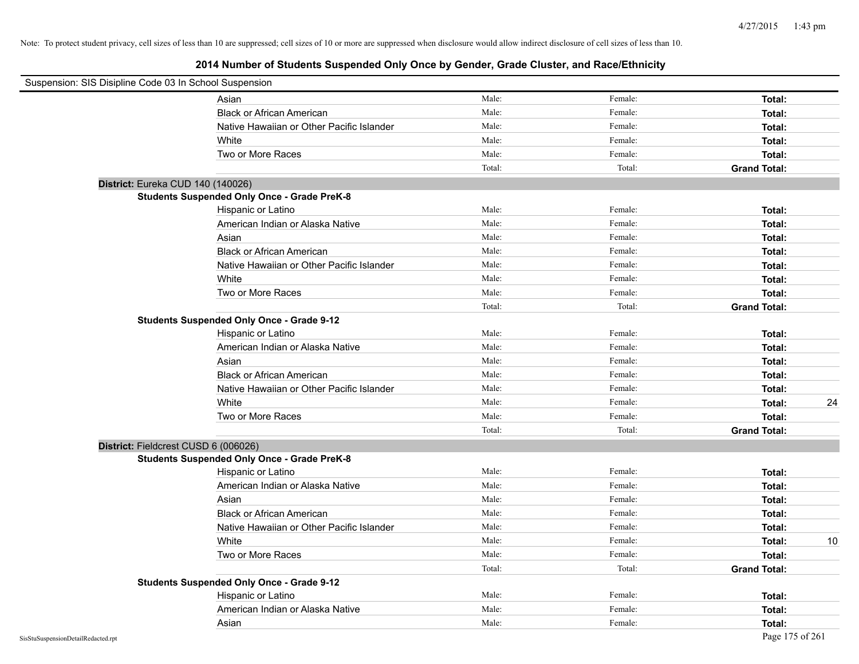| Suspension: SIS Disipline Code 03 In School Suspension |                                                    |        |         |                     |
|--------------------------------------------------------|----------------------------------------------------|--------|---------|---------------------|
|                                                        | Asian                                              | Male:  | Female: | Total:              |
|                                                        | <b>Black or African American</b>                   | Male:  | Female: | Total:              |
|                                                        | Native Hawaiian or Other Pacific Islander          | Male:  | Female: | Total:              |
|                                                        | White                                              | Male:  | Female: | Total:              |
|                                                        | Two or More Races                                  | Male:  | Female: | Total:              |
|                                                        |                                                    | Total: | Total:  | <b>Grand Total:</b> |
|                                                        | District: Eureka CUD 140 (140026)                  |        |         |                     |
|                                                        | <b>Students Suspended Only Once - Grade PreK-8</b> |        |         |                     |
|                                                        | Hispanic or Latino                                 | Male:  | Female: | Total:              |
|                                                        | American Indian or Alaska Native                   | Male:  | Female: | Total:              |
|                                                        | Asian                                              | Male:  | Female: | Total:              |
|                                                        | <b>Black or African American</b>                   | Male:  | Female: | Total:              |
|                                                        | Native Hawaiian or Other Pacific Islander          | Male:  | Female: | Total:              |
|                                                        | White                                              | Male:  | Female: | Total:              |
|                                                        | Two or More Races                                  | Male:  | Female: | Total:              |
|                                                        |                                                    | Total: | Total:  | <b>Grand Total:</b> |
|                                                        | <b>Students Suspended Only Once - Grade 9-12</b>   |        |         |                     |
|                                                        | Hispanic or Latino                                 | Male:  | Female: | Total:              |
|                                                        | American Indian or Alaska Native                   | Male:  | Female: | Total:              |
|                                                        | Asian                                              | Male:  | Female: | Total:              |
|                                                        | <b>Black or African American</b>                   | Male:  | Female: | Total:              |
|                                                        | Native Hawaiian or Other Pacific Islander          | Male:  | Female: | Total:              |
|                                                        | White                                              | Male:  | Female: | 24<br>Total:        |
|                                                        | Two or More Races                                  | Male:  | Female: | Total:              |
|                                                        |                                                    | Total: | Total:  | <b>Grand Total:</b> |
|                                                        | District: Fieldcrest CUSD 6 (006026)               |        |         |                     |
|                                                        | <b>Students Suspended Only Once - Grade PreK-8</b> |        |         |                     |
|                                                        | Hispanic or Latino                                 | Male:  | Female: | Total:              |
|                                                        | American Indian or Alaska Native                   | Male:  | Female: | Total:              |
|                                                        | Asian                                              | Male:  | Female: | Total:              |
|                                                        | <b>Black or African American</b>                   | Male:  | Female: | Total:              |
|                                                        | Native Hawaiian or Other Pacific Islander          | Male:  | Female: | Total:              |
|                                                        | White                                              | Male:  | Female: | Total:<br>10        |
|                                                        | Two or More Races                                  | Male:  | Female: | Total:              |
|                                                        |                                                    | Total: | Total:  | <b>Grand Total:</b> |
|                                                        | <b>Students Suspended Only Once - Grade 9-12</b>   |        |         |                     |
|                                                        | Hispanic or Latino                                 | Male:  | Female: | Total:              |
|                                                        | American Indian or Alaska Native                   | Male:  | Female: | Total:              |
|                                                        | Asian                                              | Male:  | Female: | Total:              |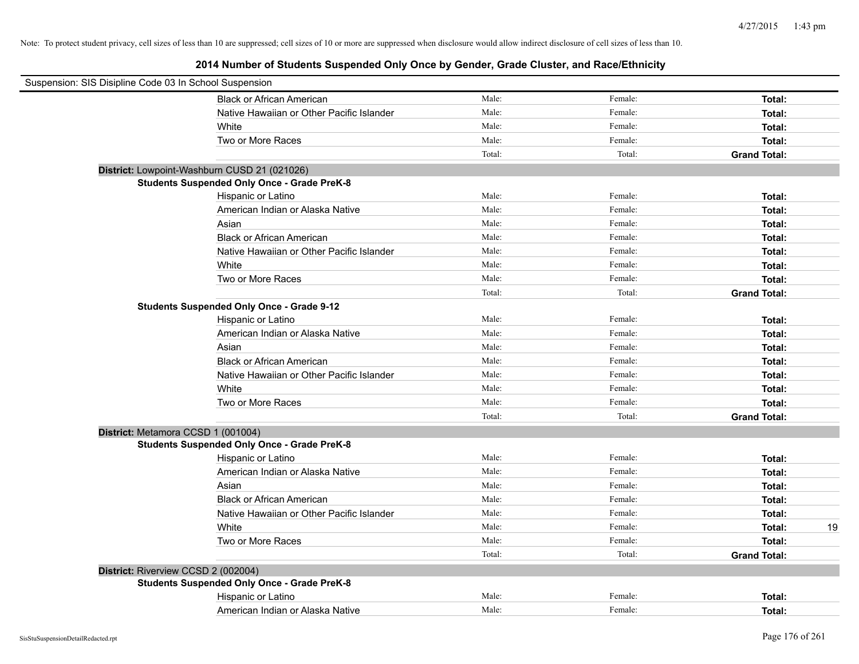| Suspension: SIS Disipline Code 03 In School Suspension |        |         |                     |    |
|--------------------------------------------------------|--------|---------|---------------------|----|
| <b>Black or African American</b>                       | Male:  | Female: | Total:              |    |
| Native Hawaiian or Other Pacific Islander              | Male:  | Female: | Total:              |    |
| White                                                  | Male:  | Female: | Total:              |    |
| Two or More Races                                      | Male:  | Female: | Total:              |    |
|                                                        | Total: | Total:  | <b>Grand Total:</b> |    |
| District: Lowpoint-Washburn CUSD 21 (021026)           |        |         |                     |    |
| <b>Students Suspended Only Once - Grade PreK-8</b>     |        |         |                     |    |
| Hispanic or Latino                                     | Male:  | Female: | Total:              |    |
| American Indian or Alaska Native                       | Male:  | Female: | Total:              |    |
| Asian                                                  | Male:  | Female: | Total:              |    |
| <b>Black or African American</b>                       | Male:  | Female: | Total:              |    |
| Native Hawaiian or Other Pacific Islander              | Male:  | Female: | Total:              |    |
| White                                                  | Male:  | Female: | Total:              |    |
| Two or More Races                                      | Male:  | Female: | Total:              |    |
|                                                        | Total: | Total:  | <b>Grand Total:</b> |    |
| <b>Students Suspended Only Once - Grade 9-12</b>       |        |         |                     |    |
| Hispanic or Latino                                     | Male:  | Female: | Total:              |    |
| American Indian or Alaska Native                       | Male:  | Female: | Total:              |    |
| Asian                                                  | Male:  | Female: | Total:              |    |
| <b>Black or African American</b>                       | Male:  | Female: | Total:              |    |
| Native Hawaiian or Other Pacific Islander              | Male:  | Female: | Total:              |    |
| White                                                  | Male:  | Female: | Total:              |    |
| Two or More Races                                      | Male:  | Female: | Total:              |    |
|                                                        | Total: | Total:  | <b>Grand Total:</b> |    |
| District: Metamora CCSD 1 (001004)                     |        |         |                     |    |
| <b>Students Suspended Only Once - Grade PreK-8</b>     |        |         |                     |    |
| Hispanic or Latino                                     | Male:  | Female: | Total:              |    |
| American Indian or Alaska Native                       | Male:  | Female: | Total:              |    |
| Asian                                                  | Male:  | Female: | Total:              |    |
| <b>Black or African American</b>                       | Male:  | Female: | Total:              |    |
| Native Hawaiian or Other Pacific Islander              | Male:  | Female: | Total:              |    |
| White                                                  | Male:  | Female: | Total:              | 19 |
| Two or More Races                                      | Male:  | Female: | Total:              |    |
|                                                        | Total: | Total:  | <b>Grand Total:</b> |    |
| District: Riverview CCSD 2 (002004)                    |        |         |                     |    |
| <b>Students Suspended Only Once - Grade PreK-8</b>     |        |         |                     |    |
| Hispanic or Latino                                     | Male:  | Female: | Total:              |    |
| American Indian or Alaska Native                       | Male:  | Female: | Total:              |    |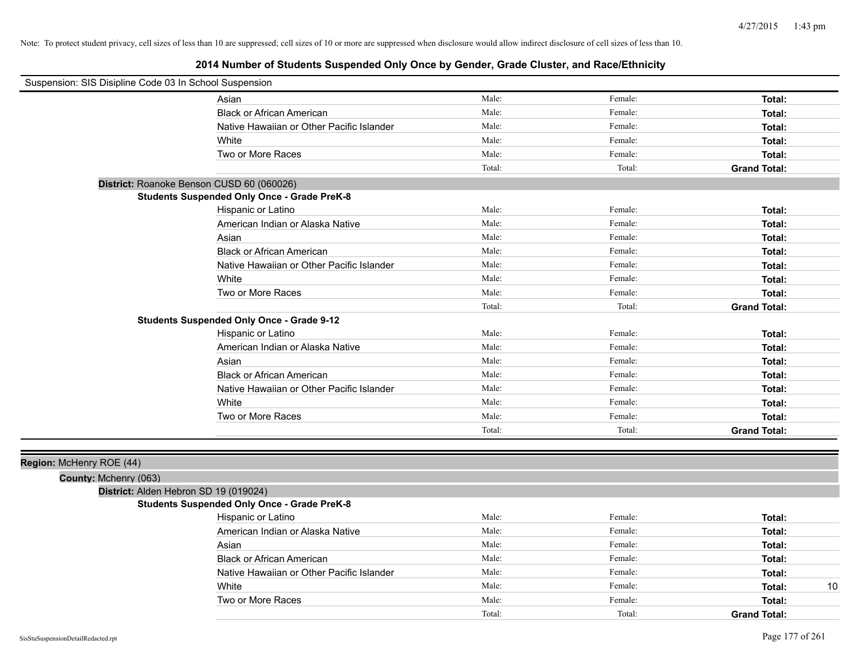| Suspension: SIS Disipline Code 03 In School Suspension |                                                    |        |         |                     |
|--------------------------------------------------------|----------------------------------------------------|--------|---------|---------------------|
|                                                        | Asian                                              | Male:  | Female: | Total:              |
|                                                        | <b>Black or African American</b>                   | Male:  | Female: | Total:              |
|                                                        | Native Hawaiian or Other Pacific Islander          | Male:  | Female: | Total:              |
|                                                        | White                                              | Male:  | Female: | Total:              |
|                                                        | Two or More Races                                  | Male:  | Female: | Total:              |
|                                                        |                                                    | Total: | Total:  | <b>Grand Total:</b> |
|                                                        | District: Roanoke Benson CUSD 60 (060026)          |        |         |                     |
|                                                        | <b>Students Suspended Only Once - Grade PreK-8</b> |        |         |                     |
|                                                        | Hispanic or Latino                                 | Male:  | Female: | Total:              |
|                                                        | American Indian or Alaska Native                   | Male:  | Female: | Total:              |
|                                                        | Asian                                              | Male:  | Female: | Total:              |
|                                                        | <b>Black or African American</b>                   | Male:  | Female: | Total:              |
|                                                        | Native Hawaiian or Other Pacific Islander          | Male:  | Female: | Total:              |
|                                                        | White                                              | Male:  | Female: | Total:              |
|                                                        | Two or More Races                                  | Male:  | Female: | Total:              |
|                                                        |                                                    | Total: | Total:  | <b>Grand Total:</b> |
|                                                        | <b>Students Suspended Only Once - Grade 9-12</b>   |        |         |                     |
|                                                        | Hispanic or Latino                                 | Male:  | Female: | Total:              |
|                                                        | American Indian or Alaska Native                   | Male:  | Female: | Total:              |
|                                                        | Asian                                              | Male:  | Female: | Total:              |
|                                                        | <b>Black or African American</b>                   | Male:  | Female: | Total:              |
|                                                        | Native Hawaiian or Other Pacific Islander          | Male:  | Female: | Total:              |
|                                                        | White                                              | Male:  | Female: | Total:              |
|                                                        | Two or More Races                                  | Male:  | Female: | Total:              |
|                                                        |                                                    | Total: | Total:  | <b>Grand Total:</b> |
|                                                        |                                                    |        |         |                     |
| Region: McHenry ROE (44)                               |                                                    |        |         |                     |
| County: Mchenry (063)                                  |                                                    |        |         |                     |
| District: Alden Hebron SD 19 (019024)                  |                                                    |        |         |                     |
|                                                        | <b>Students Suspended Only Once - Grade PreK-8</b> |        |         |                     |
|                                                        | Hispanic or Latino                                 | Male:  | Female: | Total:              |
|                                                        | American Indian or Alaska Native                   | Male:  | Female: | Total:              |
|                                                        | Asian                                              | Male:  | Female: | Total:              |
|                                                        | <b>Black or African American</b>                   | Male:  | Female: | Total:              |
|                                                        | Native Hawaiian or Other Pacific Islander          | Male:  | Female: | Total:              |
|                                                        | White                                              | Male:  | Female: | 10<br>Total:        |
|                                                        | Two or More Races                                  | Male:  | Female: | Total:              |
|                                                        |                                                    | Total: | Total:  | <b>Grand Total:</b> |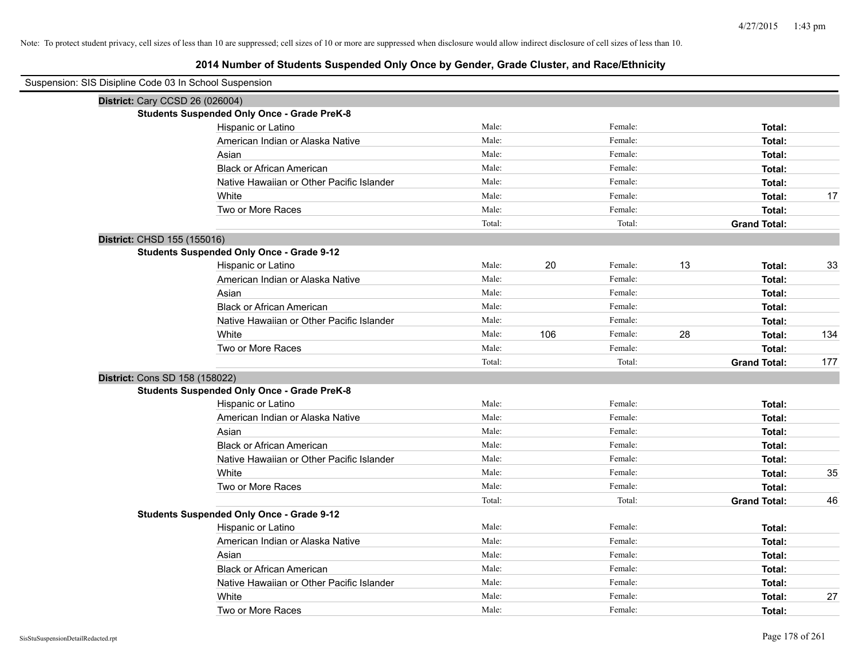# **2014 Number of Students Suspended Only Once by Gender, Grade Cluster, and Race/Ethnicity**

| Suspension: SIS Disipline Code 03 In School Suspension |                                                    |        |     |         |    |                     |     |
|--------------------------------------------------------|----------------------------------------------------|--------|-----|---------|----|---------------------|-----|
| District: Cary CCSD 26 (026004)                        |                                                    |        |     |         |    |                     |     |
|                                                        | <b>Students Suspended Only Once - Grade PreK-8</b> |        |     |         |    |                     |     |
|                                                        | Hispanic or Latino                                 | Male:  |     | Female: |    | Total:              |     |
|                                                        | American Indian or Alaska Native                   | Male:  |     | Female: |    | Total:              |     |
|                                                        | Asian                                              | Male:  |     | Female: |    | Total:              |     |
|                                                        | <b>Black or African American</b>                   | Male:  |     | Female: |    | Total:              |     |
|                                                        | Native Hawaiian or Other Pacific Islander          | Male:  |     | Female: |    | Total:              |     |
|                                                        | White                                              | Male:  |     | Female: |    | Total:              | 17  |
|                                                        | Two or More Races                                  | Male:  |     | Female: |    | Total:              |     |
|                                                        |                                                    | Total: |     | Total:  |    | <b>Grand Total:</b> |     |
| District: CHSD 155 (155016)                            |                                                    |        |     |         |    |                     |     |
|                                                        | <b>Students Suspended Only Once - Grade 9-12</b>   |        |     |         |    |                     |     |
|                                                        | Hispanic or Latino                                 | Male:  | 20  | Female: | 13 | Total:              | 33  |
|                                                        | American Indian or Alaska Native                   | Male:  |     | Female: |    | Total:              |     |
|                                                        | Asian                                              | Male:  |     | Female: |    | Total:              |     |
|                                                        | <b>Black or African American</b>                   | Male:  |     | Female: |    | Total:              |     |
|                                                        | Native Hawaiian or Other Pacific Islander          | Male:  |     | Female: |    | Total:              |     |
|                                                        | White                                              | Male:  | 106 | Female: | 28 | Total:              | 134 |
|                                                        | Two or More Races                                  | Male:  |     | Female: |    | Total:              |     |
|                                                        |                                                    | Total: |     | Total:  |    | <b>Grand Total:</b> | 177 |
| District: Cons SD 158 (158022)                         |                                                    |        |     |         |    |                     |     |
|                                                        | <b>Students Suspended Only Once - Grade PreK-8</b> |        |     |         |    |                     |     |
|                                                        | Hispanic or Latino                                 | Male:  |     | Female: |    | Total:              |     |
|                                                        | American Indian or Alaska Native                   | Male:  |     | Female: |    | Total:              |     |
|                                                        | Asian                                              | Male:  |     | Female: |    | Total:              |     |
|                                                        | <b>Black or African American</b>                   | Male:  |     | Female: |    | Total:              |     |
|                                                        | Native Hawaiian or Other Pacific Islander          | Male:  |     | Female: |    | Total:              |     |
|                                                        | White                                              | Male:  |     | Female: |    | Total:              | 35  |
|                                                        | Two or More Races                                  | Male:  |     | Female: |    | Total:              |     |
|                                                        |                                                    | Total: |     | Total:  |    | <b>Grand Total:</b> | 46  |
|                                                        | <b>Students Suspended Only Once - Grade 9-12</b>   |        |     |         |    |                     |     |
|                                                        | Hispanic or Latino                                 | Male:  |     | Female: |    | Total:              |     |
|                                                        | American Indian or Alaska Native                   | Male:  |     | Female: |    | Total:              |     |
|                                                        | Asian                                              | Male:  |     | Female: |    | Total:              |     |
|                                                        | <b>Black or African American</b>                   | Male:  |     | Female: |    | Total:              |     |
|                                                        | Native Hawaiian or Other Pacific Islander          | Male:  |     | Female: |    | Total:              |     |
|                                                        | White                                              | Male:  |     | Female: |    | Total:              | 27  |
|                                                        | Two or More Races                                  | Male:  |     | Female: |    | Total:              |     |

 $\overline{\phantom{0}}$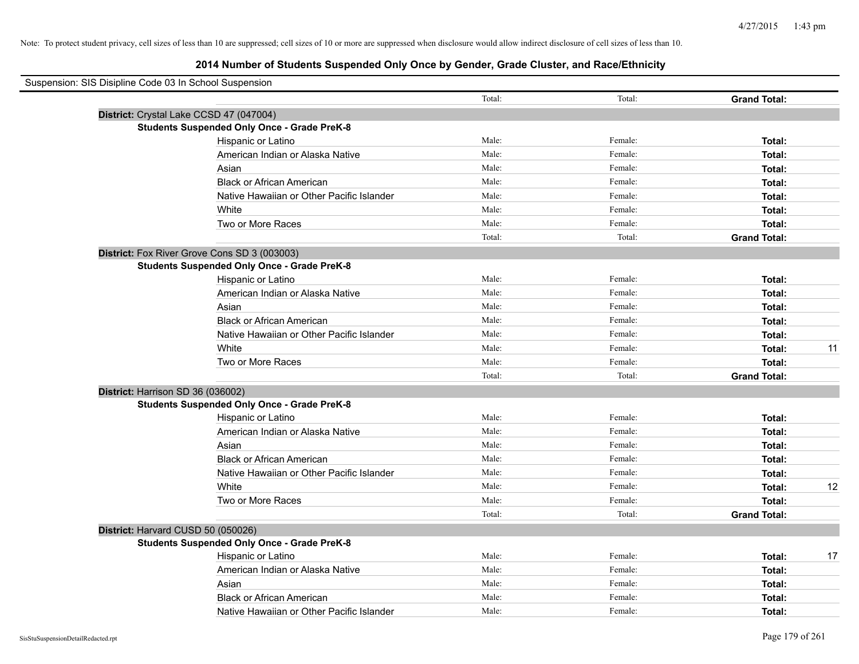| Suspension: SIS Disipline Code 03 In School Suspension |                                                    |        |         |                     |    |
|--------------------------------------------------------|----------------------------------------------------|--------|---------|---------------------|----|
|                                                        |                                                    | Total: | Total:  | <b>Grand Total:</b> |    |
|                                                        | District: Crystal Lake CCSD 47 (047004)            |        |         |                     |    |
|                                                        | <b>Students Suspended Only Once - Grade PreK-8</b> |        |         |                     |    |
|                                                        | Hispanic or Latino                                 | Male:  | Female: | Total:              |    |
|                                                        | American Indian or Alaska Native                   | Male:  | Female: | Total:              |    |
|                                                        | Asian                                              | Male:  | Female: | Total:              |    |
|                                                        | <b>Black or African American</b>                   | Male:  | Female: | Total:              |    |
|                                                        | Native Hawaiian or Other Pacific Islander          | Male:  | Female: | Total:              |    |
|                                                        | White                                              | Male:  | Female: | Total:              |    |
|                                                        | Two or More Races                                  | Male:  | Female: | Total:              |    |
|                                                        |                                                    | Total: | Total:  | <b>Grand Total:</b> |    |
|                                                        | District: Fox River Grove Cons SD 3 (003003)       |        |         |                     |    |
|                                                        | <b>Students Suspended Only Once - Grade PreK-8</b> |        |         |                     |    |
|                                                        | Hispanic or Latino                                 | Male:  | Female: | Total:              |    |
|                                                        | American Indian or Alaska Native                   | Male:  | Female: | Total:              |    |
|                                                        | Asian                                              | Male:  | Female: | Total:              |    |
|                                                        | <b>Black or African American</b>                   | Male:  | Female: | Total:              |    |
|                                                        | Native Hawaiian or Other Pacific Islander          | Male:  | Female: | Total:              |    |
|                                                        | White                                              | Male:  | Female: | Total:              | 11 |
|                                                        | Two or More Races                                  | Male:  | Female: | Total:              |    |
|                                                        |                                                    | Total: | Total:  | <b>Grand Total:</b> |    |
| District: Harrison SD 36 (036002)                      |                                                    |        |         |                     |    |
|                                                        | <b>Students Suspended Only Once - Grade PreK-8</b> |        |         |                     |    |
|                                                        | Hispanic or Latino                                 | Male:  | Female: | Total:              |    |
|                                                        | American Indian or Alaska Native                   | Male:  | Female: | Total:              |    |
|                                                        | Asian                                              | Male:  | Female: | Total:              |    |
|                                                        | <b>Black or African American</b>                   | Male:  | Female: | Total:              |    |
|                                                        | Native Hawaiian or Other Pacific Islander          | Male:  | Female: | Total:              |    |
|                                                        | White                                              | Male:  | Female: | Total:              | 12 |
|                                                        | Two or More Races                                  | Male:  | Female: | Total:              |    |
|                                                        |                                                    | Total: | Total:  | <b>Grand Total:</b> |    |
|                                                        | District: Harvard CUSD 50 (050026)                 |        |         |                     |    |
|                                                        | <b>Students Suspended Only Once - Grade PreK-8</b> |        |         |                     |    |
|                                                        | Hispanic or Latino                                 | Male:  | Female: | Total:              | 17 |
|                                                        | American Indian or Alaska Native                   | Male:  | Female: | Total:              |    |
|                                                        | Asian                                              | Male:  | Female: | Total:              |    |
|                                                        | <b>Black or African American</b>                   | Male:  | Female: | Total:              |    |
|                                                        | Native Hawaiian or Other Pacific Islander          | Male:  | Female: | Total:              |    |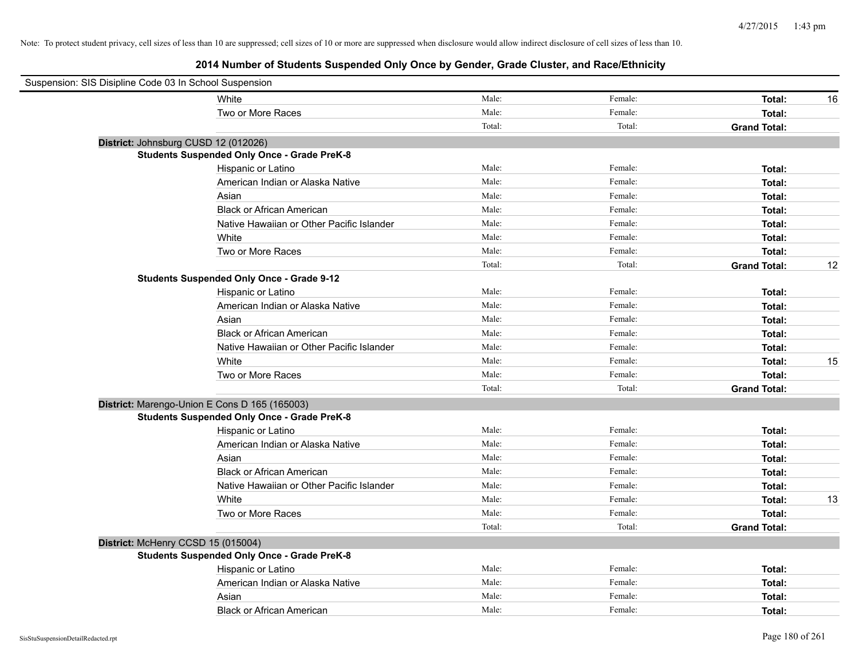| Suspension: SIS Disipline Code 03 In School Suspension |                                                    |        |         |                     |    |
|--------------------------------------------------------|----------------------------------------------------|--------|---------|---------------------|----|
|                                                        | White                                              | Male:  | Female: | Total:              | 16 |
|                                                        | Two or More Races                                  | Male:  | Female: | Total:              |    |
|                                                        |                                                    | Total: | Total:  | <b>Grand Total:</b> |    |
| District: Johnsburg CUSD 12 (012026)                   |                                                    |        |         |                     |    |
|                                                        | <b>Students Suspended Only Once - Grade PreK-8</b> |        |         |                     |    |
|                                                        | Hispanic or Latino                                 | Male:  | Female: | Total:              |    |
|                                                        | American Indian or Alaska Native                   | Male:  | Female: | Total:              |    |
|                                                        | Asian                                              | Male:  | Female: | Total:              |    |
|                                                        | <b>Black or African American</b>                   | Male:  | Female: | Total:              |    |
|                                                        | Native Hawaiian or Other Pacific Islander          | Male:  | Female: | Total:              |    |
|                                                        | White                                              | Male:  | Female: | Total:              |    |
|                                                        | Two or More Races                                  | Male:  | Female: | Total:              |    |
|                                                        |                                                    | Total: | Total:  | <b>Grand Total:</b> | 12 |
|                                                        | <b>Students Suspended Only Once - Grade 9-12</b>   |        |         |                     |    |
|                                                        | Hispanic or Latino                                 | Male:  | Female: | Total:              |    |
|                                                        | American Indian or Alaska Native                   | Male:  | Female: | Total:              |    |
|                                                        | Asian                                              | Male:  | Female: | Total:              |    |
|                                                        | <b>Black or African American</b>                   | Male:  | Female: | Total:              |    |
|                                                        | Native Hawaiian or Other Pacific Islander          | Male:  | Female: | Total:              |    |
|                                                        | White                                              | Male:  | Female: | Total:              | 15 |
|                                                        | Two or More Races                                  | Male:  | Female: | Total:              |    |
|                                                        |                                                    | Total: | Total:  | <b>Grand Total:</b> |    |
|                                                        | District: Marengo-Union E Cons D 165 (165003)      |        |         |                     |    |
|                                                        | <b>Students Suspended Only Once - Grade PreK-8</b> |        |         |                     |    |
|                                                        | Hispanic or Latino                                 | Male:  | Female: | Total:              |    |
|                                                        | American Indian or Alaska Native                   | Male:  | Female: | Total:              |    |
|                                                        | Asian                                              | Male:  | Female: | Total:              |    |
|                                                        | <b>Black or African American</b>                   | Male:  | Female: | Total:              |    |
|                                                        | Native Hawaiian or Other Pacific Islander          | Male:  | Female: | Total:              |    |
|                                                        | White                                              | Male:  | Female: | Total:              | 13 |
|                                                        | Two or More Races                                  | Male:  | Female: | Total:              |    |
|                                                        |                                                    | Total: | Total:  | <b>Grand Total:</b> |    |
| District: McHenry CCSD 15 (015004)                     |                                                    |        |         |                     |    |
|                                                        | <b>Students Suspended Only Once - Grade PreK-8</b> |        |         |                     |    |
|                                                        | Hispanic or Latino                                 | Male:  | Female: | Total:              |    |
|                                                        | American Indian or Alaska Native                   | Male:  | Female: | Total:              |    |
|                                                        | Asian                                              | Male:  | Female: | Total:              |    |
|                                                        | <b>Black or African American</b>                   | Male:  | Female: | Total:              |    |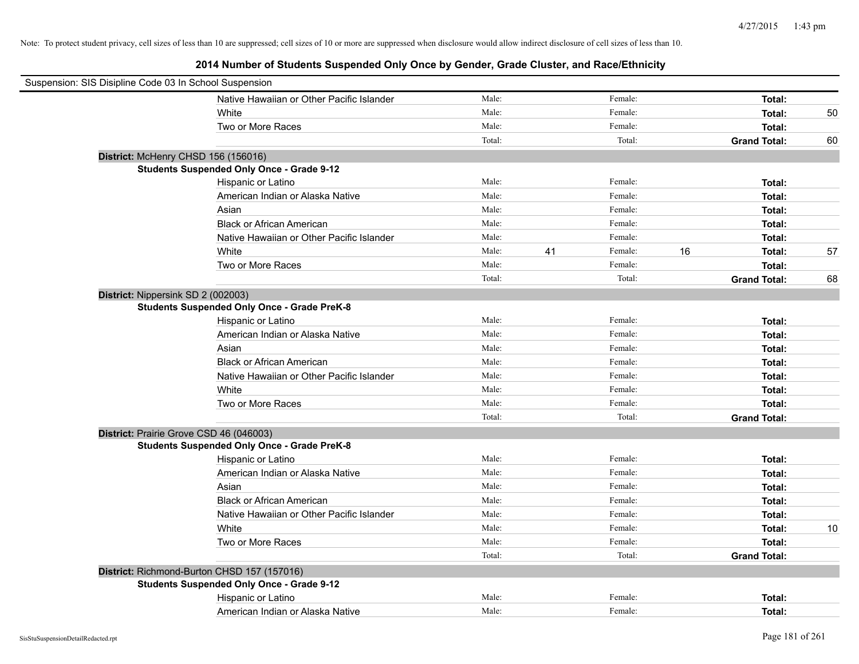| Suspension: SIS Disipline Code 03 In School Suspension |                                                    |        |    |         |    |                     |    |
|--------------------------------------------------------|----------------------------------------------------|--------|----|---------|----|---------------------|----|
|                                                        | Native Hawaiian or Other Pacific Islander          | Male:  |    | Female: |    | Total:              |    |
|                                                        | White                                              | Male:  |    | Female: |    | Total:              | 50 |
|                                                        | Two or More Races                                  | Male:  |    | Female: |    | Total:              |    |
|                                                        |                                                    | Total: |    | Total:  |    | <b>Grand Total:</b> | 60 |
|                                                        | District: McHenry CHSD 156 (156016)                |        |    |         |    |                     |    |
|                                                        | <b>Students Suspended Only Once - Grade 9-12</b>   |        |    |         |    |                     |    |
|                                                        | Hispanic or Latino                                 | Male:  |    | Female: |    | Total:              |    |
|                                                        | American Indian or Alaska Native                   | Male:  |    | Female: |    | Total:              |    |
|                                                        | Asian                                              | Male:  |    | Female: |    | Total:              |    |
|                                                        | <b>Black or African American</b>                   | Male:  |    | Female: |    | Total:              |    |
|                                                        | Native Hawaiian or Other Pacific Islander          | Male:  |    | Female: |    | Total:              |    |
|                                                        | White                                              | Male:  | 41 | Female: | 16 | Total:              | 57 |
|                                                        | Two or More Races                                  | Male:  |    | Female: |    | Total:              |    |
|                                                        |                                                    | Total: |    | Total:  |    | <b>Grand Total:</b> | 68 |
| District: Nippersink SD 2 (002003)                     |                                                    |        |    |         |    |                     |    |
|                                                        | <b>Students Suspended Only Once - Grade PreK-8</b> |        |    |         |    |                     |    |
|                                                        | Hispanic or Latino                                 | Male:  |    | Female: |    | Total:              |    |
|                                                        | American Indian or Alaska Native                   | Male:  |    | Female: |    | Total:              |    |
|                                                        | Asian                                              | Male:  |    | Female: |    | Total:              |    |
|                                                        | <b>Black or African American</b>                   | Male:  |    | Female: |    | Total:              |    |
|                                                        | Native Hawaiian or Other Pacific Islander          | Male:  |    | Female: |    | Total:              |    |
|                                                        | White                                              | Male:  |    | Female: |    | Total:              |    |
|                                                        | Two or More Races                                  | Male:  |    | Female: |    | Total:              |    |
|                                                        |                                                    | Total: |    | Total:  |    | <b>Grand Total:</b> |    |
|                                                        | District: Prairie Grove CSD 46 (046003)            |        |    |         |    |                     |    |
|                                                        | <b>Students Suspended Only Once - Grade PreK-8</b> |        |    |         |    |                     |    |
|                                                        | Hispanic or Latino                                 | Male:  |    | Female: |    | Total:              |    |
|                                                        | American Indian or Alaska Native                   | Male:  |    | Female: |    | Total:              |    |
|                                                        | Asian                                              | Male:  |    | Female: |    | Total:              |    |
|                                                        | <b>Black or African American</b>                   | Male:  |    | Female: |    | Total:              |    |
|                                                        | Native Hawaiian or Other Pacific Islander          | Male:  |    | Female: |    | Total:              |    |
|                                                        | White                                              | Male:  |    | Female: |    | Total:              | 10 |
|                                                        | Two or More Races                                  | Male:  |    | Female: |    | Total:              |    |
|                                                        |                                                    | Total: |    | Total:  |    | <b>Grand Total:</b> |    |
|                                                        | District: Richmond-Burton CHSD 157 (157016)        |        |    |         |    |                     |    |
|                                                        | <b>Students Suspended Only Once - Grade 9-12</b>   |        |    |         |    |                     |    |
|                                                        | Hispanic or Latino                                 | Male:  |    | Female: |    | Total:              |    |
|                                                        | American Indian or Alaska Native                   | Male:  |    | Female: |    | Total:              |    |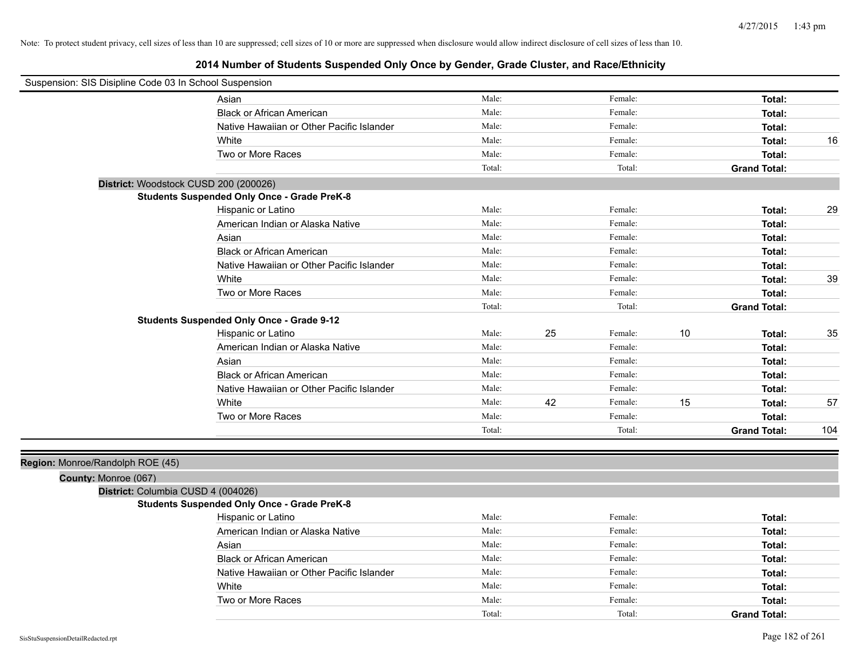| Suspension: SIS Disipline Code 03 In School Suspension |                                                    |        |    |         |    |                     |     |
|--------------------------------------------------------|----------------------------------------------------|--------|----|---------|----|---------------------|-----|
|                                                        | Asian                                              | Male:  |    | Female: |    | Total:              |     |
|                                                        | <b>Black or African American</b>                   | Male:  |    | Female: |    | Total:              |     |
|                                                        | Native Hawaiian or Other Pacific Islander          | Male:  |    | Female: |    | Total:              |     |
|                                                        | White                                              | Male:  |    | Female: |    | Total:              | 16  |
|                                                        | Two or More Races                                  | Male:  |    | Female: |    | Total:              |     |
|                                                        |                                                    | Total: |    | Total:  |    | <b>Grand Total:</b> |     |
| District: Woodstock CUSD 200 (200026)                  |                                                    |        |    |         |    |                     |     |
|                                                        | <b>Students Suspended Only Once - Grade PreK-8</b> |        |    |         |    |                     |     |
|                                                        | Hispanic or Latino                                 | Male:  |    | Female: |    | Total:              | 29  |
|                                                        | American Indian or Alaska Native                   | Male:  |    | Female: |    | Total:              |     |
|                                                        | Asian                                              | Male:  |    | Female: |    | Total:              |     |
|                                                        | <b>Black or African American</b>                   | Male:  |    | Female: |    | Total:              |     |
|                                                        | Native Hawaiian or Other Pacific Islander          | Male:  |    | Female: |    | Total:              |     |
|                                                        | White                                              | Male:  |    | Female: |    | Total:              | 39  |
|                                                        | Two or More Races                                  | Male:  |    | Female: |    | Total:              |     |
|                                                        |                                                    | Total: |    | Total:  |    | <b>Grand Total:</b> |     |
|                                                        | <b>Students Suspended Only Once - Grade 9-12</b>   |        |    |         |    |                     |     |
|                                                        | Hispanic or Latino                                 | Male:  | 25 | Female: | 10 | Total:              | 35  |
|                                                        | American Indian or Alaska Native                   | Male:  |    | Female: |    | Total:              |     |
|                                                        | Asian                                              | Male:  |    | Female: |    | Total:              |     |
|                                                        | <b>Black or African American</b>                   | Male:  |    | Female: |    | Total:              |     |
|                                                        | Native Hawaiian or Other Pacific Islander          | Male:  |    | Female: |    | Total:              |     |
|                                                        | White                                              | Male:  | 42 | Female: | 15 | Total:              | 57  |
|                                                        | Two or More Races                                  | Male:  |    | Female: |    | Total:              |     |
|                                                        |                                                    | Total: |    | Total:  |    | <b>Grand Total:</b> | 104 |
|                                                        |                                                    |        |    |         |    |                     |     |
| Region: Monroe/Randolph ROE (45)                       |                                                    |        |    |         |    |                     |     |
| County: Monroe (067)                                   |                                                    |        |    |         |    |                     |     |
| District: Columbia CUSD 4 (004026)                     |                                                    |        |    |         |    |                     |     |
|                                                        | <b>Students Suspended Only Once - Grade PreK-8</b> |        |    |         |    |                     |     |
|                                                        | Hispanic or Latino                                 | Male:  |    | Female: |    | Total:              |     |
|                                                        | American Indian or Alaska Native                   | Male:  |    | Female: |    | Total:              |     |
|                                                        | Asian                                              | Male:  |    | Female: |    | Total:              |     |
|                                                        | <b>Black or African American</b>                   | Male:  |    | Female: |    | Total:              |     |
|                                                        | Native Hawaiian or Other Pacific Islander          | Male:  |    | Female: |    | Total:              |     |
|                                                        | White                                              | Male:  |    | Female: |    | Total:              |     |
|                                                        | Two or More Races                                  | Male:  |    | Female: |    | Total:              |     |
|                                                        |                                                    | Total: |    | Total:  |    | <b>Grand Total:</b> |     |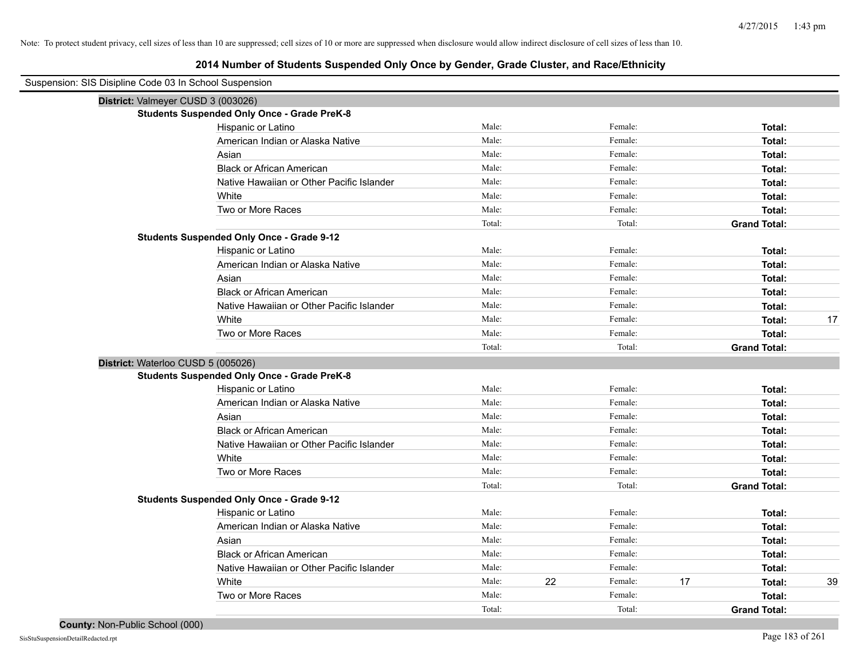| Suspension: SIS Disipline Code 03 In School Suspension |                                                    |        |    |         |    |                     |    |
|--------------------------------------------------------|----------------------------------------------------|--------|----|---------|----|---------------------|----|
| District: Valmeyer CUSD 3 (003026)                     |                                                    |        |    |         |    |                     |    |
|                                                        | <b>Students Suspended Only Once - Grade PreK-8</b> |        |    |         |    |                     |    |
|                                                        | Hispanic or Latino                                 | Male:  |    | Female: |    | Total:              |    |
|                                                        | American Indian or Alaska Native                   | Male:  |    | Female: |    | Total:              |    |
|                                                        | Asian                                              | Male:  |    | Female: |    | Total:              |    |
|                                                        | <b>Black or African American</b>                   | Male:  |    | Female: |    | Total:              |    |
|                                                        | Native Hawaiian or Other Pacific Islander          | Male:  |    | Female: |    | Total:              |    |
|                                                        | White                                              | Male:  |    | Female: |    | Total:              |    |
|                                                        | Two or More Races                                  | Male:  |    | Female: |    | Total:              |    |
|                                                        |                                                    | Total: |    | Total:  |    | <b>Grand Total:</b> |    |
|                                                        | <b>Students Suspended Only Once - Grade 9-12</b>   |        |    |         |    |                     |    |
|                                                        | Hispanic or Latino                                 | Male:  |    | Female: |    | Total:              |    |
|                                                        | American Indian or Alaska Native                   | Male:  |    | Female: |    | Total:              |    |
|                                                        | Asian                                              | Male:  |    | Female: |    | Total:              |    |
|                                                        | <b>Black or African American</b>                   | Male:  |    | Female: |    | Total:              |    |
|                                                        | Native Hawaiian or Other Pacific Islander          | Male:  |    | Female: |    | Total:              |    |
|                                                        | White                                              | Male:  |    | Female: |    | Total:              | 17 |
|                                                        | Two or More Races                                  | Male:  |    | Female: |    | Total:              |    |
|                                                        |                                                    | Total: |    | Total:  |    | <b>Grand Total:</b> |    |
| District: Waterloo CUSD 5 (005026)                     |                                                    |        |    |         |    |                     |    |
|                                                        | <b>Students Suspended Only Once - Grade PreK-8</b> |        |    |         |    |                     |    |
|                                                        | Hispanic or Latino                                 | Male:  |    | Female: |    | Total:              |    |
|                                                        | American Indian or Alaska Native                   | Male:  |    | Female: |    | Total:              |    |
|                                                        | Asian                                              | Male:  |    | Female: |    | Total:              |    |
|                                                        | <b>Black or African American</b>                   | Male:  |    | Female: |    | Total:              |    |
|                                                        | Native Hawaiian or Other Pacific Islander          | Male:  |    | Female: |    | Total:              |    |
|                                                        | White                                              | Male:  |    | Female: |    | Total:              |    |
|                                                        | Two or More Races                                  | Male:  |    | Female: |    | Total:              |    |
|                                                        |                                                    | Total: |    | Total:  |    | <b>Grand Total:</b> |    |
|                                                        | <b>Students Suspended Only Once - Grade 9-12</b>   |        |    |         |    |                     |    |
|                                                        | Hispanic or Latino                                 | Male:  |    | Female: |    | Total:              |    |
|                                                        | American Indian or Alaska Native                   | Male:  |    | Female: |    | Total:              |    |
|                                                        | Asian                                              | Male:  |    | Female: |    | Total:              |    |
|                                                        | <b>Black or African American</b>                   | Male:  |    | Female: |    | Total:              |    |
|                                                        | Native Hawaiian or Other Pacific Islander          | Male:  |    | Female: |    | Total:              |    |
|                                                        | White                                              | Male:  | 22 | Female: | 17 | Total:              | 39 |
|                                                        | Two or More Races                                  | Male:  |    | Female: |    | Total:              |    |
|                                                        |                                                    | Total: |    | Total:  |    | <b>Grand Total:</b> |    |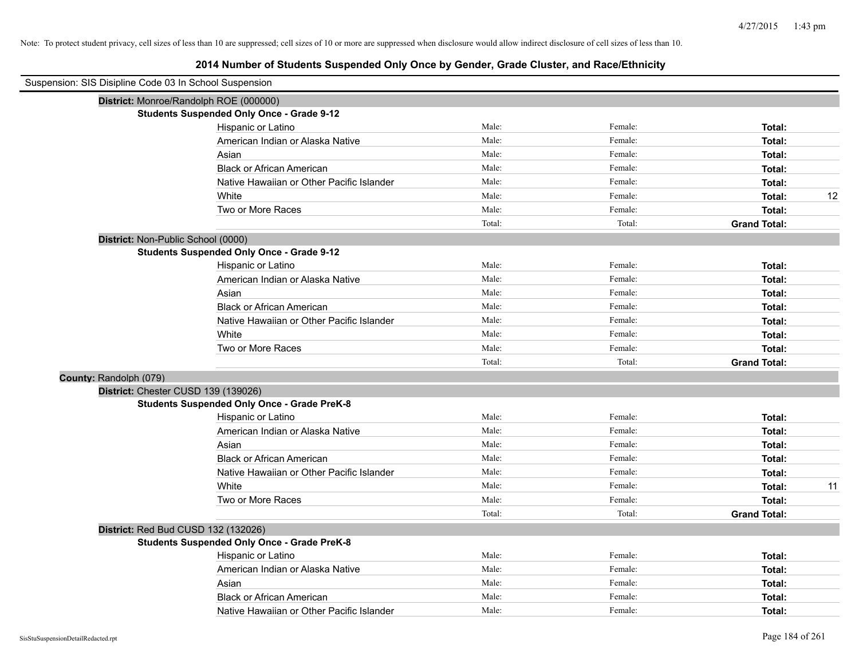|                        | Suspension: SIS Disipline Code 03 In School Suspension |        |         |                     |
|------------------------|--------------------------------------------------------|--------|---------|---------------------|
|                        | District: Monroe/Randolph ROE (000000)                 |        |         |                     |
|                        | <b>Students Suspended Only Once - Grade 9-12</b>       |        |         |                     |
|                        | Hispanic or Latino                                     | Male:  | Female: | Total:              |
|                        | American Indian or Alaska Native                       | Male:  | Female: | Total:              |
|                        | Asian                                                  | Male:  | Female: | Total:              |
|                        | <b>Black or African American</b>                       | Male:  | Female: | Total:              |
|                        | Native Hawaiian or Other Pacific Islander              | Male:  | Female: | Total:              |
|                        | White                                                  | Male:  | Female: | 12<br>Total:        |
|                        | Two or More Races                                      | Male:  | Female: | Total:              |
|                        |                                                        | Total: | Total:  | <b>Grand Total:</b> |
|                        | District: Non-Public School (0000)                     |        |         |                     |
|                        | <b>Students Suspended Only Once - Grade 9-12</b>       |        |         |                     |
|                        | Hispanic or Latino                                     | Male:  | Female: | Total:              |
|                        | American Indian or Alaska Native                       | Male:  | Female: | Total:              |
|                        | Asian                                                  | Male:  | Female: | Total:              |
|                        | <b>Black or African American</b>                       | Male:  | Female: | Total:              |
|                        | Native Hawaiian or Other Pacific Islander              | Male:  | Female: | Total:              |
|                        | White                                                  | Male:  | Female: | Total:              |
|                        | Two or More Races                                      | Male:  | Female: | Total:              |
|                        |                                                        | Total: | Total:  | <b>Grand Total:</b> |
| County: Randolph (079) |                                                        |        |         |                     |
|                        | District: Chester CUSD 139 (139026)                    |        |         |                     |
|                        | <b>Students Suspended Only Once - Grade PreK-8</b>     |        |         |                     |
|                        | Hispanic or Latino                                     | Male:  | Female: | Total:              |
|                        | American Indian or Alaska Native                       | Male:  | Female: | Total:              |
|                        | Asian                                                  | Male:  | Female: | Total:              |
|                        | <b>Black or African American</b>                       | Male:  | Female: | Total:              |
|                        | Native Hawaiian or Other Pacific Islander              | Male:  | Female: | Total:              |
|                        | White                                                  | Male:  | Female: | 11<br>Total:        |
|                        | Two or More Races                                      | Male:  | Female: | Total:              |
|                        |                                                        | Total: | Total:  | <b>Grand Total:</b> |
|                        | District: Red Bud CUSD 132 (132026)                    |        |         |                     |
|                        | <b>Students Suspended Only Once - Grade PreK-8</b>     |        |         |                     |
|                        | Hispanic or Latino                                     | Male:  | Female: | Total:              |
|                        | American Indian or Alaska Native                       | Male:  | Female: | Total:              |
|                        | Asian                                                  | Male:  | Female: | Total:              |
|                        | <b>Black or African American</b>                       | Male:  | Female: | Total:              |
|                        | Native Hawaiian or Other Pacific Islander              | Male:  | Female: | Total:              |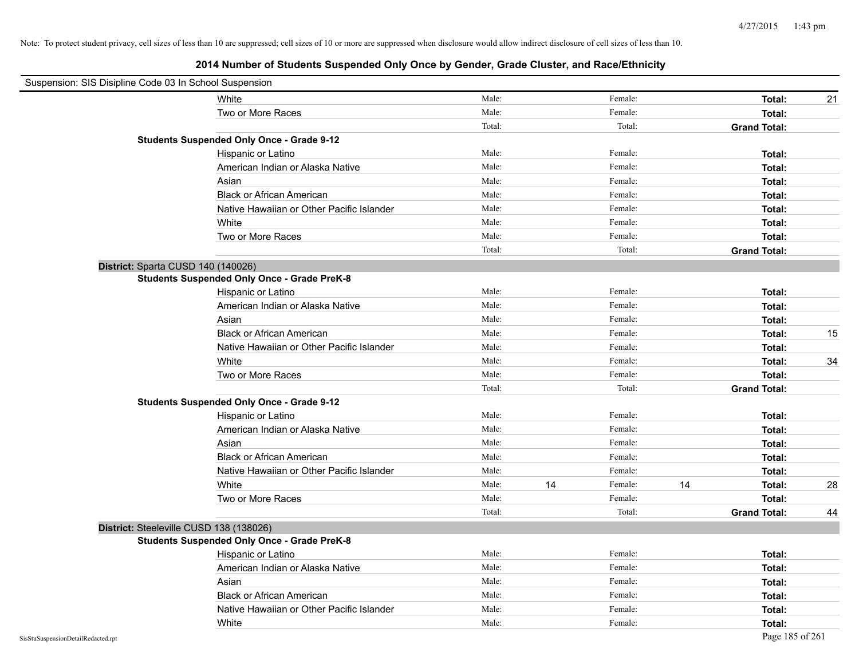| Suspension: SIS Disipline Code 03 In School Suspension |                                                    |        |    |         |    |                     |    |
|--------------------------------------------------------|----------------------------------------------------|--------|----|---------|----|---------------------|----|
|                                                        | White                                              | Male:  |    | Female: |    | Total:              | 21 |
|                                                        | Two or More Races                                  | Male:  |    | Female: |    | Total:              |    |
|                                                        |                                                    | Total: |    | Total:  |    | <b>Grand Total:</b> |    |
|                                                        | <b>Students Suspended Only Once - Grade 9-12</b>   |        |    |         |    |                     |    |
|                                                        | Hispanic or Latino                                 | Male:  |    | Female: |    | Total:              |    |
|                                                        | American Indian or Alaska Native                   | Male:  |    | Female: |    | Total:              |    |
|                                                        | Asian                                              | Male:  |    | Female: |    | Total:              |    |
|                                                        | <b>Black or African American</b>                   | Male:  |    | Female: |    | Total:              |    |
|                                                        | Native Hawaiian or Other Pacific Islander          | Male:  |    | Female: |    | Total:              |    |
|                                                        | White                                              | Male:  |    | Female: |    | Total:              |    |
|                                                        | Two or More Races                                  | Male:  |    | Female: |    | Total:              |    |
|                                                        |                                                    | Total: |    | Total:  |    | <b>Grand Total:</b> |    |
|                                                        | District: Sparta CUSD 140 (140026)                 |        |    |         |    |                     |    |
|                                                        | <b>Students Suspended Only Once - Grade PreK-8</b> |        |    |         |    |                     |    |
|                                                        | Hispanic or Latino                                 | Male:  |    | Female: |    | Total:              |    |
|                                                        | American Indian or Alaska Native                   | Male:  |    | Female: |    | Total:              |    |
|                                                        | Asian                                              | Male:  |    | Female: |    | Total:              |    |
|                                                        | <b>Black or African American</b>                   | Male:  |    | Female: |    | Total:              | 15 |
|                                                        | Native Hawaiian or Other Pacific Islander          | Male:  |    | Female: |    | Total:              |    |
|                                                        | White                                              | Male:  |    | Female: |    | Total:              | 34 |
|                                                        | Two or More Races                                  | Male:  |    | Female: |    | Total:              |    |
|                                                        |                                                    | Total: |    | Total:  |    | <b>Grand Total:</b> |    |
|                                                        | <b>Students Suspended Only Once - Grade 9-12</b>   |        |    |         |    |                     |    |
|                                                        | Hispanic or Latino                                 | Male:  |    | Female: |    | Total:              |    |
|                                                        | American Indian or Alaska Native                   | Male:  |    | Female: |    | Total:              |    |
|                                                        | Asian                                              | Male:  |    | Female: |    | Total:              |    |
|                                                        | <b>Black or African American</b>                   | Male:  |    | Female: |    | Total:              |    |
|                                                        | Native Hawaiian or Other Pacific Islander          | Male:  |    | Female: |    | Total:              |    |
|                                                        | White                                              | Male:  | 14 | Female: | 14 | Total:              | 28 |
|                                                        | Two or More Races                                  | Male:  |    | Female: |    | Total:              |    |
|                                                        |                                                    | Total: |    | Total:  |    | <b>Grand Total:</b> | 44 |
|                                                        | District: Steeleville CUSD 138 (138026)            |        |    |         |    |                     |    |
|                                                        | <b>Students Suspended Only Once - Grade PreK-8</b> |        |    |         |    |                     |    |
|                                                        | Hispanic or Latino                                 | Male:  |    | Female: |    | Total:              |    |
|                                                        | American Indian or Alaska Native                   | Male:  |    | Female: |    | Total:              |    |
|                                                        | Asian                                              | Male:  |    | Female: |    | Total:              |    |
|                                                        | <b>Black or African American</b>                   | Male:  |    | Female: |    | Total:              |    |
|                                                        | Native Hawaiian or Other Pacific Islander          | Male:  |    | Female: |    | Total:              |    |
|                                                        | White                                              | Male:  |    | Female: |    | Total:              |    |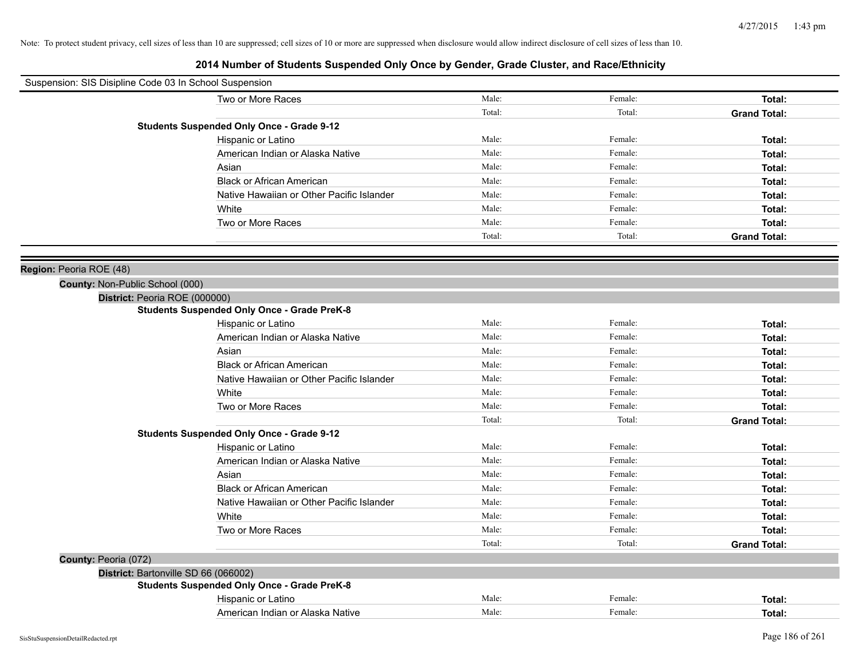| Suspension: SIS Disipline Code 03 In School Suspension |                                                    |        |         |                     |
|--------------------------------------------------------|----------------------------------------------------|--------|---------|---------------------|
|                                                        | Two or More Races                                  | Male:  | Female: | Total:              |
|                                                        |                                                    | Total: | Total:  | <b>Grand Total:</b> |
|                                                        | <b>Students Suspended Only Once - Grade 9-12</b>   |        |         |                     |
|                                                        | Hispanic or Latino                                 | Male:  | Female: | Total:              |
|                                                        | American Indian or Alaska Native                   | Male:  | Female: | Total:              |
|                                                        | Asian                                              | Male:  | Female: | Total:              |
|                                                        | <b>Black or African American</b>                   | Male:  | Female: | Total:              |
|                                                        | Native Hawaiian or Other Pacific Islander          | Male:  | Female: | Total:              |
|                                                        | White                                              | Male:  | Female: | Total:              |
|                                                        | Two or More Races                                  | Male:  | Female: | Total:              |
|                                                        |                                                    | Total: | Total:  | <b>Grand Total:</b> |
|                                                        |                                                    |        |         |                     |
| Region: Peoria ROE (48)                                |                                                    |        |         |                     |
| County: Non-Public School (000)                        |                                                    |        |         |                     |
| District: Peoria ROE (000000)                          |                                                    |        |         |                     |
|                                                        | <b>Students Suspended Only Once - Grade PreK-8</b> |        |         |                     |
|                                                        | Hispanic or Latino                                 | Male:  | Female: | Total:              |
|                                                        | American Indian or Alaska Native                   | Male:  | Female: | Total:              |
|                                                        | Asian                                              | Male:  | Female: | Total:              |
|                                                        | <b>Black or African American</b>                   | Male:  | Female: | Total:              |
|                                                        | Native Hawaiian or Other Pacific Islander          | Male:  | Female: | Total:              |
|                                                        | White                                              | Male:  | Female: | Total:              |
|                                                        | Two or More Races                                  | Male:  | Female: | Total:              |
|                                                        |                                                    | Total: | Total:  | <b>Grand Total:</b> |
|                                                        | <b>Students Suspended Only Once - Grade 9-12</b>   |        |         |                     |
|                                                        | Hispanic or Latino                                 | Male:  | Female: | Total:              |
|                                                        | American Indian or Alaska Native                   | Male:  | Female: | Total:              |
|                                                        | Asian                                              | Male:  | Female: | Total:              |
|                                                        | <b>Black or African American</b>                   | Male:  | Female: | Total:              |
|                                                        | Native Hawaiian or Other Pacific Islander          | Male:  | Female: | Total:              |
|                                                        | White                                              | Male:  | Female: | Total:              |
|                                                        | Two or More Races                                  | Male:  | Female: | Total:              |
|                                                        |                                                    | Total: | Total:  | <b>Grand Total:</b> |
| County: Peoria (072)                                   |                                                    |        |         |                     |
| District: Bartonville SD 66 (066002)                   |                                                    |        |         |                     |
|                                                        | <b>Students Suspended Only Once - Grade PreK-8</b> |        |         |                     |
|                                                        | Hispanic or Latino                                 | Male:  | Female: | Total:              |
|                                                        | American Indian or Alaska Native                   | Male:  | Female: | Total:              |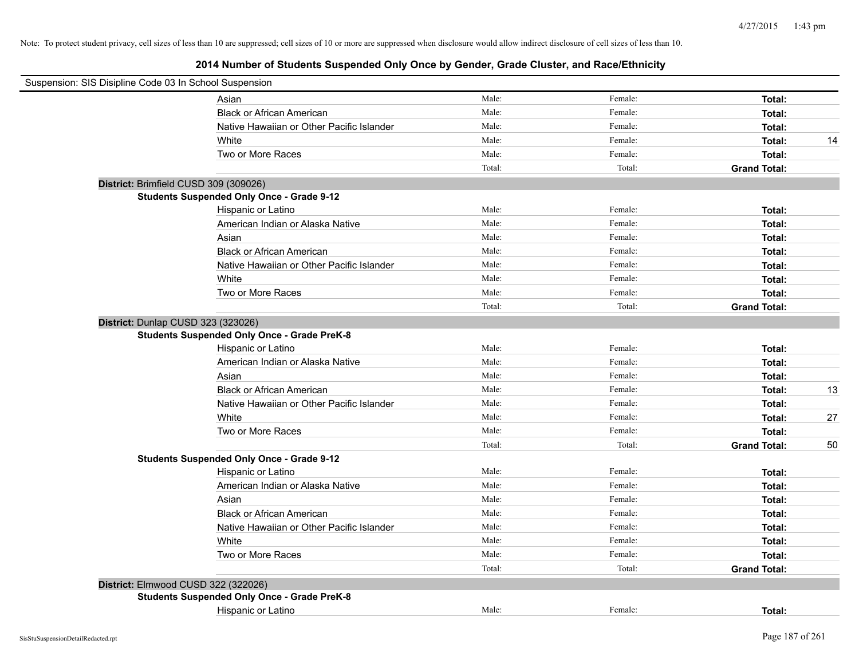| Suspension: SIS Disipline Code 03 In School Suspension |                                                    |        |         |                     |    |
|--------------------------------------------------------|----------------------------------------------------|--------|---------|---------------------|----|
|                                                        | Asian                                              | Male:  | Female: | Total:              |    |
|                                                        | <b>Black or African American</b>                   | Male:  | Female: | Total:              |    |
|                                                        | Native Hawaiian or Other Pacific Islander          | Male:  | Female: | Total:              |    |
|                                                        | White                                              | Male:  | Female: | Total:              | 14 |
|                                                        | Two or More Races                                  | Male:  | Female: | Total:              |    |
|                                                        |                                                    | Total: | Total:  | <b>Grand Total:</b> |    |
|                                                        | District: Brimfield CUSD 309 (309026)              |        |         |                     |    |
|                                                        | <b>Students Suspended Only Once - Grade 9-12</b>   |        |         |                     |    |
|                                                        | Hispanic or Latino                                 | Male:  | Female: | Total:              |    |
|                                                        | American Indian or Alaska Native                   | Male:  | Female: | Total:              |    |
|                                                        | Asian                                              | Male:  | Female: | Total:              |    |
|                                                        | <b>Black or African American</b>                   | Male:  | Female: | Total:              |    |
|                                                        | Native Hawaiian or Other Pacific Islander          | Male:  | Female: | Total:              |    |
|                                                        | White                                              | Male:  | Female: | Total:              |    |
|                                                        | Two or More Races                                  | Male:  | Female: | Total:              |    |
|                                                        |                                                    | Total: | Total:  | <b>Grand Total:</b> |    |
| District: Dunlap CUSD 323 (323026)                     |                                                    |        |         |                     |    |
|                                                        | <b>Students Suspended Only Once - Grade PreK-8</b> |        |         |                     |    |
|                                                        | Hispanic or Latino                                 | Male:  | Female: | Total:              |    |
|                                                        | American Indian or Alaska Native                   | Male:  | Female: | Total:              |    |
|                                                        | Asian                                              | Male:  | Female: | Total:              |    |
|                                                        | <b>Black or African American</b>                   | Male:  | Female: | Total:              | 13 |
|                                                        | Native Hawaiian or Other Pacific Islander          | Male:  | Female: | Total:              |    |
|                                                        | White                                              | Male:  | Female: | Total:              | 27 |
|                                                        | Two or More Races                                  | Male:  | Female: | Total:              |    |
|                                                        |                                                    | Total: | Total:  | <b>Grand Total:</b> | 50 |
|                                                        | <b>Students Suspended Only Once - Grade 9-12</b>   |        |         |                     |    |
|                                                        | Hispanic or Latino                                 | Male:  | Female: | Total:              |    |
|                                                        | American Indian or Alaska Native                   | Male:  | Female: | Total:              |    |
|                                                        | Asian                                              | Male:  | Female: | Total:              |    |
|                                                        | <b>Black or African American</b>                   | Male:  | Female: | Total:              |    |
|                                                        | Native Hawaiian or Other Pacific Islander          | Male:  | Female: | Total:              |    |
|                                                        | White                                              | Male:  | Female: | Total:              |    |
|                                                        | Two or More Races                                  | Male:  | Female: | Total:              |    |
|                                                        |                                                    | Total: | Total:  | <b>Grand Total:</b> |    |
|                                                        | District: Elmwood CUSD 322 (322026)                |        |         |                     |    |
|                                                        | <b>Students Suspended Only Once - Grade PreK-8</b> |        |         |                     |    |
|                                                        | Hispanic or Latino                                 | Male:  | Female: | Total:              |    |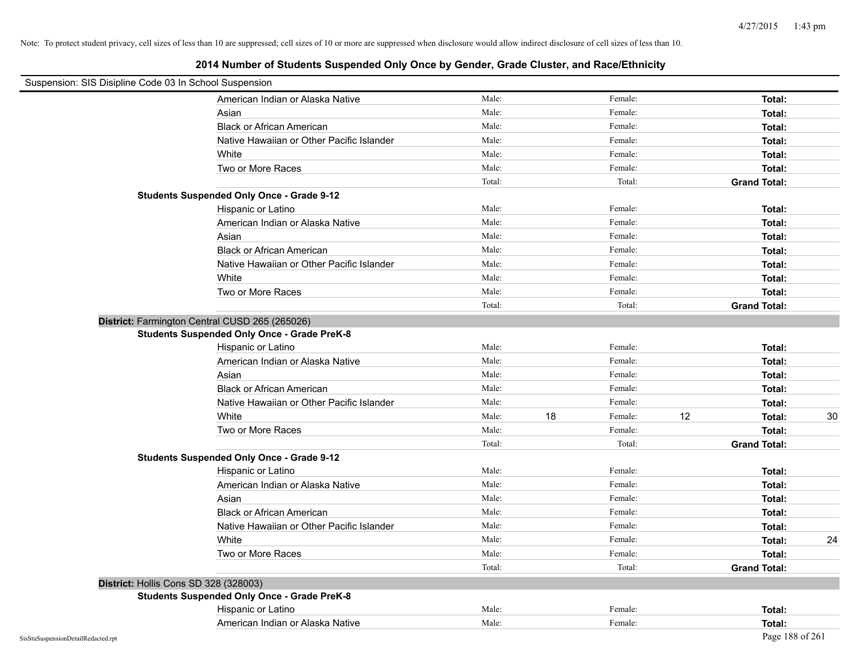| Suspension: SIS Disipline Code 03 In School Suspension |                                                    |        |    |         |    |                     |    |
|--------------------------------------------------------|----------------------------------------------------|--------|----|---------|----|---------------------|----|
|                                                        | American Indian or Alaska Native                   | Male:  |    | Female: |    | Total:              |    |
|                                                        | Asian                                              | Male:  |    | Female: |    | Total:              |    |
|                                                        | <b>Black or African American</b>                   | Male:  |    | Female: |    | Total:              |    |
|                                                        | Native Hawaiian or Other Pacific Islander          | Male:  |    | Female: |    | Total:              |    |
|                                                        | White                                              | Male:  |    | Female: |    | Total:              |    |
|                                                        | Two or More Races                                  | Male:  |    | Female: |    | Total:              |    |
|                                                        |                                                    | Total: |    | Total:  |    | <b>Grand Total:</b> |    |
|                                                        | <b>Students Suspended Only Once - Grade 9-12</b>   |        |    |         |    |                     |    |
|                                                        | Hispanic or Latino                                 | Male:  |    | Female: |    | Total:              |    |
|                                                        | American Indian or Alaska Native                   | Male:  |    | Female: |    | Total:              |    |
|                                                        | Asian                                              | Male:  |    | Female: |    | Total:              |    |
|                                                        | <b>Black or African American</b>                   | Male:  |    | Female: |    | Total:              |    |
|                                                        | Native Hawaiian or Other Pacific Islander          | Male:  |    | Female: |    | Total:              |    |
|                                                        | White                                              | Male:  |    | Female: |    | Total:              |    |
|                                                        | Two or More Races                                  | Male:  |    | Female: |    | Total:              |    |
|                                                        |                                                    | Total: |    | Total:  |    | <b>Grand Total:</b> |    |
|                                                        | District: Farmington Central CUSD 265 (265026)     |        |    |         |    |                     |    |
|                                                        | <b>Students Suspended Only Once - Grade PreK-8</b> |        |    |         |    |                     |    |
|                                                        | Hispanic or Latino                                 | Male:  |    | Female: |    | Total:              |    |
|                                                        | American Indian or Alaska Native                   | Male:  |    | Female: |    | Total:              |    |
|                                                        | Asian                                              | Male:  |    | Female: |    | Total:              |    |
|                                                        | <b>Black or African American</b>                   | Male:  |    | Female: |    | Total:              |    |
|                                                        | Native Hawaiian or Other Pacific Islander          | Male:  |    | Female: |    | Total:              |    |
|                                                        | White                                              | Male:  | 18 | Female: | 12 | Total:              | 30 |
|                                                        | Two or More Races                                  | Male:  |    | Female: |    | Total:              |    |
|                                                        |                                                    | Total: |    | Total:  |    | <b>Grand Total:</b> |    |
|                                                        | <b>Students Suspended Only Once - Grade 9-12</b>   |        |    |         |    |                     |    |
|                                                        | Hispanic or Latino                                 | Male:  |    | Female: |    | Total:              |    |
|                                                        | American Indian or Alaska Native                   | Male:  |    | Female: |    | Total:              |    |
|                                                        | Asian                                              | Male:  |    | Female: |    | Total:              |    |
|                                                        | <b>Black or African American</b>                   | Male:  |    | Female: |    | Total:              |    |
|                                                        | Native Hawaiian or Other Pacific Islander          | Male:  |    | Female: |    | Total:              |    |
|                                                        | White                                              | Male:  |    | Female: |    | Total:              | 24 |
|                                                        | Two or More Races                                  | Male:  |    | Female: |    | Total:              |    |
|                                                        |                                                    | Total: |    | Total:  |    | <b>Grand Total:</b> |    |
|                                                        | District: Hollis Cons SD 328 (328003)              |        |    |         |    |                     |    |
|                                                        | <b>Students Suspended Only Once - Grade PreK-8</b> |        |    |         |    |                     |    |
|                                                        | Hispanic or Latino                                 | Male:  |    | Female: |    | Total:              |    |
|                                                        | American Indian or Alaska Native                   | Male:  |    | Female: |    | Total:              |    |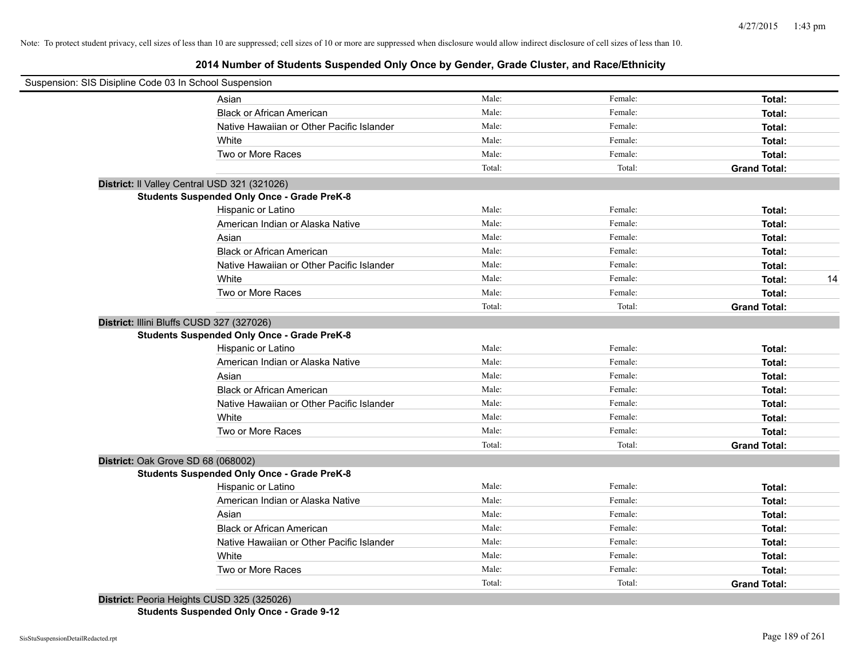# **2014 Number of Students Suspended Only Once by Gender, Grade Cluster, and Race/Ethnicity**

| Suspension: SIS Disipline Code 03 In School Suspension |                                                    |        |         |                     |    |
|--------------------------------------------------------|----------------------------------------------------|--------|---------|---------------------|----|
|                                                        | Asian                                              | Male:  | Female: | Total:              |    |
|                                                        | <b>Black or African American</b>                   | Male:  | Female: | Total:              |    |
|                                                        | Native Hawaiian or Other Pacific Islander          | Male:  | Female: | Total:              |    |
|                                                        | White                                              | Male:  | Female: | Total:              |    |
|                                                        | Two or More Races                                  | Male:  | Female: | Total:              |    |
|                                                        |                                                    | Total: | Total:  | <b>Grand Total:</b> |    |
|                                                        | District: Il Valley Central USD 321 (321026)       |        |         |                     |    |
|                                                        | <b>Students Suspended Only Once - Grade PreK-8</b> |        |         |                     |    |
|                                                        | Hispanic or Latino                                 | Male:  | Female: | Total:              |    |
|                                                        | American Indian or Alaska Native                   | Male:  | Female: | Total:              |    |
|                                                        | Asian                                              | Male:  | Female: | Total:              |    |
|                                                        | <b>Black or African American</b>                   | Male:  | Female: | Total:              |    |
|                                                        | Native Hawaiian or Other Pacific Islander          | Male:  | Female: | Total:              |    |
|                                                        | White                                              | Male:  | Female: | Total:              | 14 |
|                                                        | Two or More Races                                  | Male:  | Female: | Total:              |    |
|                                                        |                                                    | Total: | Total:  | <b>Grand Total:</b> |    |
| District: Illini Bluffs CUSD 327 (327026)              |                                                    |        |         |                     |    |
|                                                        | <b>Students Suspended Only Once - Grade PreK-8</b> |        |         |                     |    |
|                                                        | Hispanic or Latino                                 | Male:  | Female: | Total:              |    |
|                                                        | American Indian or Alaska Native                   | Male:  | Female: | Total:              |    |
|                                                        | Asian                                              | Male:  | Female: | Total:              |    |
|                                                        | <b>Black or African American</b>                   | Male:  | Female: | Total:              |    |
|                                                        | Native Hawaiian or Other Pacific Islander          | Male:  | Female: | Total:              |    |
|                                                        | White                                              | Male:  | Female: | Total:              |    |
|                                                        | Two or More Races                                  | Male:  | Female: | Total:              |    |
|                                                        |                                                    | Total: | Total:  | <b>Grand Total:</b> |    |
| District: Oak Grove SD 68 (068002)                     |                                                    |        |         |                     |    |
|                                                        | <b>Students Suspended Only Once - Grade PreK-8</b> |        |         |                     |    |
|                                                        | Hispanic or Latino                                 | Male:  | Female: | Total:              |    |
|                                                        | American Indian or Alaska Native                   | Male:  | Female: | Total:              |    |
|                                                        | Asian                                              | Male:  | Female: | Total:              |    |
|                                                        | <b>Black or African American</b>                   | Male:  | Female: | Total:              |    |
|                                                        | Native Hawaiian or Other Pacific Islander          | Male:  | Female: | Total:              |    |
|                                                        | White                                              | Male:  | Female: | Total:              |    |
|                                                        | Two or More Races                                  | Male:  | Female: | Total:              |    |
|                                                        |                                                    | Total: | Total:  | <b>Grand Total:</b> |    |

**District:** Peoria Heights CUSD 325 (325026)

**Students Suspended Only Once - Grade 9-12**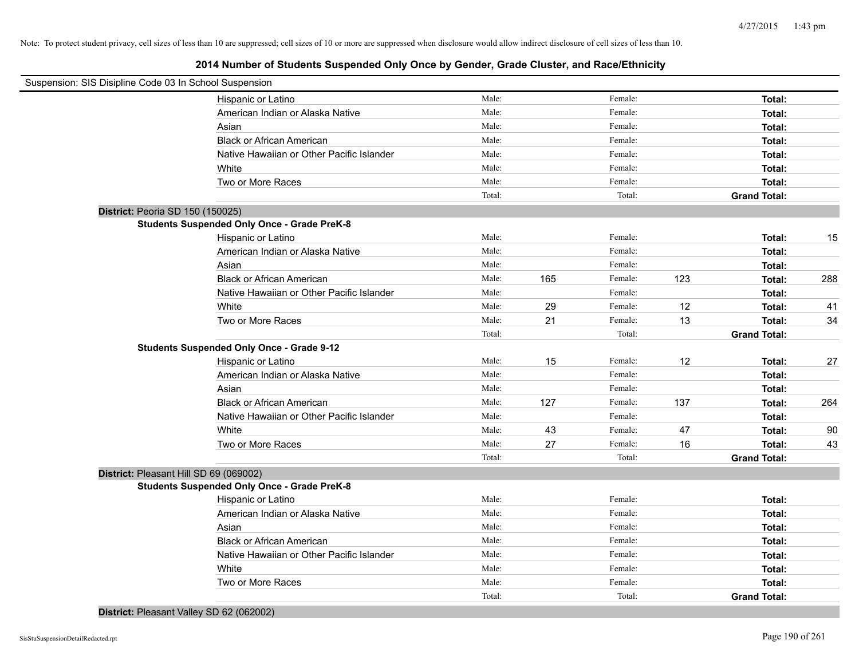| Suspension: SIS Disipline Code 03 In School Suspension |                                                    |        |     |         |     |                     |     |
|--------------------------------------------------------|----------------------------------------------------|--------|-----|---------|-----|---------------------|-----|
|                                                        | Hispanic or Latino                                 | Male:  |     | Female: |     | Total:              |     |
|                                                        | American Indian or Alaska Native                   | Male:  |     | Female: |     | Total:              |     |
|                                                        | Asian                                              | Male:  |     | Female: |     | Total:              |     |
|                                                        | <b>Black or African American</b>                   | Male:  |     | Female: |     | Total:              |     |
|                                                        | Native Hawaiian or Other Pacific Islander          | Male:  |     | Female: |     | Total:              |     |
|                                                        | White                                              | Male:  |     | Female: |     | Total:              |     |
|                                                        | Two or More Races                                  | Male:  |     | Female: |     | Total:              |     |
|                                                        |                                                    | Total: |     | Total:  |     | <b>Grand Total:</b> |     |
| District: Peoria SD 150 (150025)                       |                                                    |        |     |         |     |                     |     |
|                                                        | <b>Students Suspended Only Once - Grade PreK-8</b> |        |     |         |     |                     |     |
|                                                        | Hispanic or Latino                                 | Male:  |     | Female: |     | Total:              | 15  |
|                                                        | American Indian or Alaska Native                   | Male:  |     | Female: |     | Total:              |     |
|                                                        | Asian                                              | Male:  |     | Female: |     | Total:              |     |
|                                                        | <b>Black or African American</b>                   | Male:  | 165 | Female: | 123 | Total:              | 288 |
|                                                        | Native Hawaiian or Other Pacific Islander          | Male:  |     | Female: |     | Total:              |     |
|                                                        | White                                              | Male:  | 29  | Female: | 12  | Total:              | 41  |
|                                                        | Two or More Races                                  | Male:  | 21  | Female: | 13  | Total:              | 34  |
|                                                        |                                                    | Total: |     | Total:  |     | <b>Grand Total:</b> |     |
|                                                        | <b>Students Suspended Only Once - Grade 9-12</b>   |        |     |         |     |                     |     |
|                                                        | Hispanic or Latino                                 | Male:  | 15  | Female: | 12  | Total:              | 27  |
|                                                        | American Indian or Alaska Native                   | Male:  |     | Female: |     | Total:              |     |
|                                                        | Asian                                              | Male:  |     | Female: |     | Total:              |     |
|                                                        | <b>Black or African American</b>                   | Male:  | 127 | Female: | 137 | Total:              | 264 |
|                                                        | Native Hawaiian or Other Pacific Islander          | Male:  |     | Female: |     | Total:              |     |
|                                                        | White                                              | Male:  | 43  | Female: | 47  | Total:              | 90  |
|                                                        | Two or More Races                                  | Male:  | 27  | Female: | 16  | Total:              | 43  |
|                                                        |                                                    | Total: |     | Total:  |     | <b>Grand Total:</b> |     |
| District: Pleasant Hill SD 69 (069002)                 |                                                    |        |     |         |     |                     |     |
|                                                        | <b>Students Suspended Only Once - Grade PreK-8</b> |        |     |         |     |                     |     |
|                                                        | Hispanic or Latino                                 | Male:  |     | Female: |     | Total:              |     |
|                                                        | American Indian or Alaska Native                   | Male:  |     | Female: |     | Total:              |     |
|                                                        | Asian                                              | Male:  |     | Female: |     | Total:              |     |
|                                                        | <b>Black or African American</b>                   | Male:  |     | Female: |     | Total:              |     |
|                                                        | Native Hawaiian or Other Pacific Islander          | Male:  |     | Female: |     | Total:              |     |
|                                                        | White                                              | Male:  |     | Female: |     | Total:              |     |
|                                                        | Two or More Races                                  | Male:  |     | Female: |     | Total:              |     |
|                                                        |                                                    | Total: |     | Total:  |     | <b>Grand Total:</b> |     |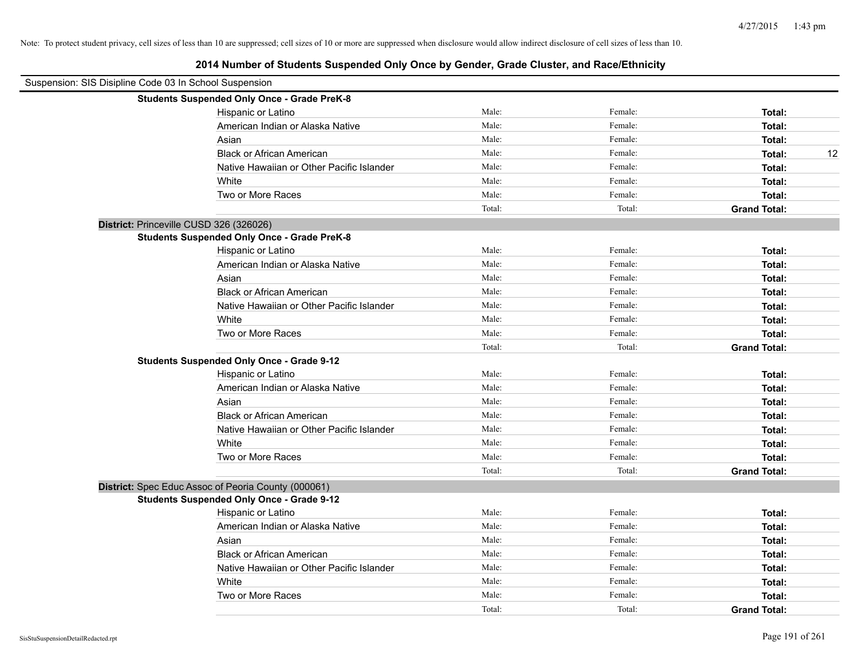| Suspension: SIS Disipline Code 03 In School Suspension |                                                     |        |         |                     |
|--------------------------------------------------------|-----------------------------------------------------|--------|---------|---------------------|
|                                                        | <b>Students Suspended Only Once - Grade PreK-8</b>  |        |         |                     |
|                                                        | Hispanic or Latino                                  | Male:  | Female: | Total:              |
|                                                        | American Indian or Alaska Native                    | Male:  | Female: | Total:              |
|                                                        | Asian                                               | Male:  | Female: | Total:              |
|                                                        | <b>Black or African American</b>                    | Male:  | Female: | 12<br>Total:        |
|                                                        | Native Hawaiian or Other Pacific Islander           | Male:  | Female: | Total:              |
|                                                        | White                                               | Male:  | Female: | Total:              |
|                                                        | Two or More Races                                   | Male:  | Female: | Total:              |
|                                                        |                                                     | Total: | Total:  | <b>Grand Total:</b> |
| District: Princeville CUSD 326 (326026)                |                                                     |        |         |                     |
|                                                        | <b>Students Suspended Only Once - Grade PreK-8</b>  |        |         |                     |
|                                                        | Hispanic or Latino                                  | Male:  | Female: | Total:              |
|                                                        | American Indian or Alaska Native                    | Male:  | Female: | Total:              |
|                                                        | Asian                                               | Male:  | Female: | Total:              |
|                                                        | <b>Black or African American</b>                    | Male:  | Female: | Total:              |
|                                                        | Native Hawaiian or Other Pacific Islander           | Male:  | Female: | Total:              |
|                                                        | White                                               | Male:  | Female: | Total:              |
|                                                        | Two or More Races                                   | Male:  | Female: | Total:              |
|                                                        |                                                     | Total: | Total:  | <b>Grand Total:</b> |
|                                                        | <b>Students Suspended Only Once - Grade 9-12</b>    |        |         |                     |
|                                                        | Hispanic or Latino                                  | Male:  | Female: | Total:              |
|                                                        | American Indian or Alaska Native                    | Male:  | Female: | Total:              |
|                                                        | Asian                                               | Male:  | Female: | Total:              |
|                                                        | <b>Black or African American</b>                    | Male:  | Female: | Total:              |
|                                                        | Native Hawaiian or Other Pacific Islander           | Male:  | Female: | Total:              |
|                                                        | White                                               | Male:  | Female: | Total:              |
|                                                        | Two or More Races                                   | Male:  | Female: | Total:              |
|                                                        |                                                     | Total: | Total:  | <b>Grand Total:</b> |
|                                                        | District: Spec Educ Assoc of Peoria County (000061) |        |         |                     |
|                                                        | <b>Students Suspended Only Once - Grade 9-12</b>    |        |         |                     |
|                                                        | Hispanic or Latino                                  | Male:  | Female: | Total:              |
|                                                        | American Indian or Alaska Native                    | Male:  | Female: | Total:              |
|                                                        | Asian                                               | Male:  | Female: | Total:              |
|                                                        | <b>Black or African American</b>                    | Male:  | Female: | Total:              |
|                                                        | Native Hawaiian or Other Pacific Islander           | Male:  | Female: | Total:              |
|                                                        | White                                               | Male:  | Female: | Total:              |
|                                                        | Two or More Races                                   | Male:  | Female: | Total:              |
|                                                        |                                                     | Total: | Total:  | <b>Grand Total:</b> |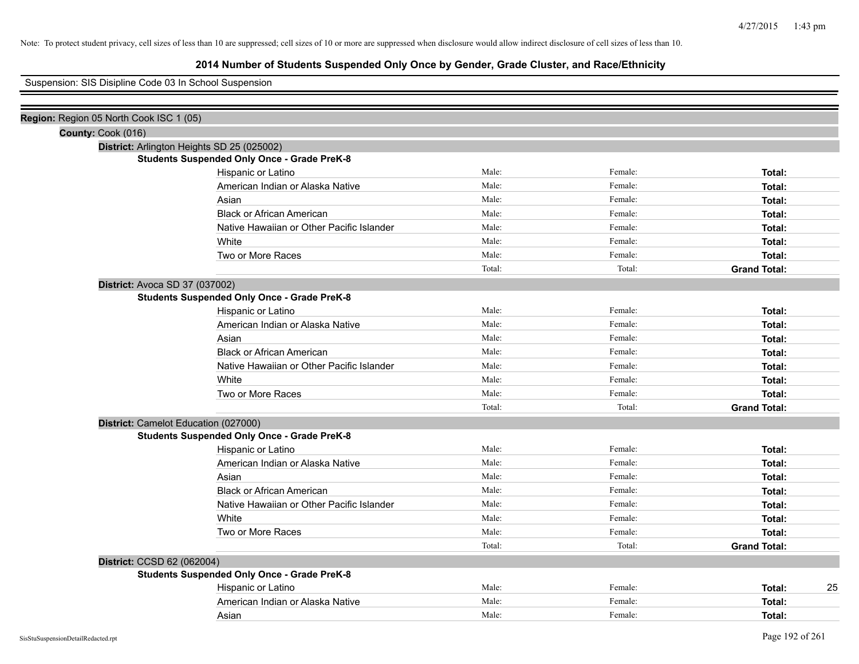# **2014 Number of Students Suspended Only Once by Gender, Grade Cluster, and Race/Ethnicity**

Suspension: SIS Disipline Code 03 In School Suspension

| Region: Region 05 North Cook ISC 1 (05) |                                                    |        |         |                     |
|-----------------------------------------|----------------------------------------------------|--------|---------|---------------------|
| County: Cook (016)                      |                                                    |        |         |                     |
|                                         | District: Arlington Heights SD 25 (025002)         |        |         |                     |
|                                         | <b>Students Suspended Only Once - Grade PreK-8</b> |        |         |                     |
|                                         | Hispanic or Latino                                 | Male:  | Female: | Total:              |
|                                         | American Indian or Alaska Native                   | Male:  | Female: | Total:              |
|                                         | Asian                                              | Male:  | Female: | Total:              |
|                                         | <b>Black or African American</b>                   | Male:  | Female: | Total:              |
|                                         | Native Hawaiian or Other Pacific Islander          | Male:  | Female: | Total:              |
|                                         | White                                              | Male:  | Female: | Total:              |
|                                         | Two or More Races                                  | Male:  | Female: | Total:              |
|                                         |                                                    | Total: | Total:  | <b>Grand Total:</b> |
| District: Avoca SD 37 (037002)          |                                                    |        |         |                     |
|                                         | <b>Students Suspended Only Once - Grade PreK-8</b> |        |         |                     |
|                                         | Hispanic or Latino                                 | Male:  | Female: | Total:              |
|                                         | American Indian or Alaska Native                   | Male:  | Female: | Total:              |
|                                         | Asian                                              | Male:  | Female: | Total:              |
|                                         | <b>Black or African American</b>                   | Male:  | Female: | Total:              |
|                                         | Native Hawaiian or Other Pacific Islander          | Male:  | Female: | Total:              |
|                                         | White                                              | Male:  | Female: | Total:              |
|                                         | Two or More Races                                  | Male:  | Female: | Total:              |
|                                         |                                                    | Total: | Total:  | <b>Grand Total:</b> |
|                                         | District: Camelot Education (027000)               |        |         |                     |
|                                         | <b>Students Suspended Only Once - Grade PreK-8</b> |        |         |                     |
|                                         | Hispanic or Latino                                 | Male:  | Female: | Total:              |
|                                         | American Indian or Alaska Native                   | Male:  | Female: | Total:              |
|                                         | Asian                                              | Male:  | Female: | Total:              |
|                                         | <b>Black or African American</b>                   | Male:  | Female: | Total:              |
|                                         | Native Hawaiian or Other Pacific Islander          | Male:  | Female: | Total:              |
|                                         | White                                              | Male:  | Female: | Total:              |
|                                         | Two or More Races                                  | Male:  | Female: | Total:              |
|                                         |                                                    | Total: | Total:  | <b>Grand Total:</b> |
| District: CCSD 62 (062004)              |                                                    |        |         |                     |
|                                         | <b>Students Suspended Only Once - Grade PreK-8</b> |        |         |                     |
|                                         | Hispanic or Latino                                 | Male:  | Female: | 25<br>Total:        |
|                                         | American Indian or Alaska Native                   | Male:  | Female: | Total:              |
|                                         | Asian                                              | Male:  | Female: | Total:              |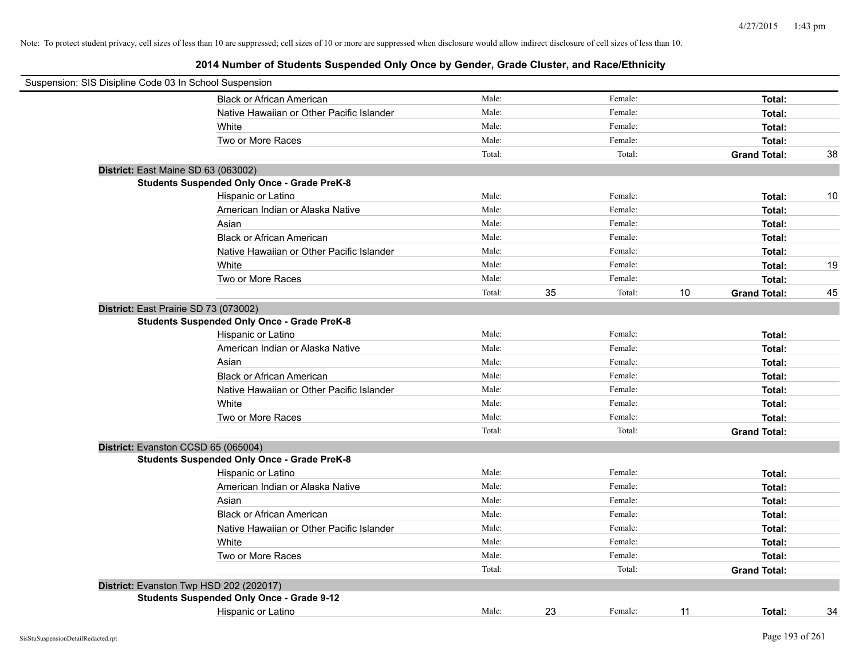| Suspension: SIS Disipline Code 03 In School Suspension |        |    |         |    |                     |    |
|--------------------------------------------------------|--------|----|---------|----|---------------------|----|
| <b>Black or African American</b>                       | Male:  |    | Female: |    | Total:              |    |
| Native Hawaiian or Other Pacific Islander              | Male:  |    | Female: |    | Total:              |    |
| White                                                  | Male:  |    | Female: |    | Total:              |    |
| Two or More Races                                      | Male:  |    | Female: |    | Total:              |    |
|                                                        | Total: |    | Total:  |    | <b>Grand Total:</b> | 38 |
| District: East Maine SD 63 (063002)                    |        |    |         |    |                     |    |
| <b>Students Suspended Only Once - Grade PreK-8</b>     |        |    |         |    |                     |    |
| Hispanic or Latino                                     | Male:  |    | Female: |    | Total:              | 10 |
| American Indian or Alaska Native                       | Male:  |    | Female: |    | Total:              |    |
| Asian                                                  | Male:  |    | Female: |    | Total:              |    |
| <b>Black or African American</b>                       | Male:  |    | Female: |    | Total:              |    |
| Native Hawaiian or Other Pacific Islander              | Male:  |    | Female: |    | Total:              |    |
| White                                                  | Male:  |    | Female: |    | Total:              | 19 |
| Two or More Races                                      | Male:  |    | Female: |    | Total:              |    |
|                                                        | Total: | 35 | Total:  | 10 | <b>Grand Total:</b> | 45 |
| District: East Prairie SD 73 (073002)                  |        |    |         |    |                     |    |
| <b>Students Suspended Only Once - Grade PreK-8</b>     |        |    |         |    |                     |    |
| Hispanic or Latino                                     | Male:  |    | Female: |    | Total:              |    |
| American Indian or Alaska Native                       | Male:  |    | Female: |    | Total:              |    |
| Asian                                                  | Male:  |    | Female: |    | Total:              |    |
| <b>Black or African American</b>                       | Male:  |    | Female: |    | Total:              |    |
| Native Hawaiian or Other Pacific Islander              | Male:  |    | Female: |    | Total:              |    |
| White                                                  | Male:  |    | Female: |    | Total:              |    |
| Two or More Races                                      | Male:  |    | Female: |    | Total:              |    |
|                                                        | Total: |    | Total:  |    | <b>Grand Total:</b> |    |
| District: Evanston CCSD 65 (065004)                    |        |    |         |    |                     |    |
| <b>Students Suspended Only Once - Grade PreK-8</b>     |        |    |         |    |                     |    |
| Hispanic or Latino                                     | Male:  |    | Female: |    | Total:              |    |
| American Indian or Alaska Native                       | Male:  |    | Female: |    | Total:              |    |
| Asian                                                  | Male:  |    | Female: |    | Total:              |    |
| <b>Black or African American</b>                       | Male:  |    | Female: |    | Total:              |    |
| Native Hawaiian or Other Pacific Islander              | Male:  |    | Female: |    | Total:              |    |
| White                                                  | Male:  |    | Female: |    | Total:              |    |
| Two or More Races                                      | Male:  |    | Female: |    | Total:              |    |
|                                                        | Total: |    | Total:  |    | <b>Grand Total:</b> |    |
| District: Evanston Twp HSD 202 (202017)                |        |    |         |    |                     |    |
| <b>Students Suspended Only Once - Grade 9-12</b>       |        |    |         |    |                     |    |
| Hispanic or Latino                                     | Male:  | 23 | Female: | 11 | Total:              | 34 |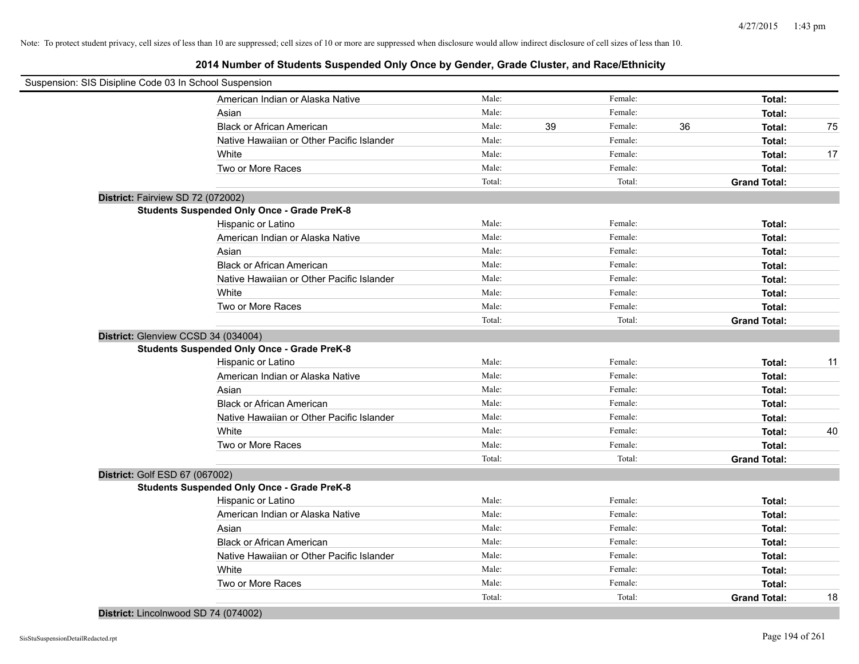# **2014 Number of Students Suspended Only Once by Gender, Grade Cluster, and Race/Ethnicity**

| Suspension: SIS Disipline Code 03 In School Suspension |        |    |         |    |                     |    |
|--------------------------------------------------------|--------|----|---------|----|---------------------|----|
| American Indian or Alaska Native                       | Male:  |    | Female: |    | Total:              |    |
| Asian                                                  | Male:  |    | Female: |    | Total:              |    |
| <b>Black or African American</b>                       | Male:  | 39 | Female: | 36 | Total:              | 75 |
| Native Hawaiian or Other Pacific Islander              | Male:  |    | Female: |    | Total:              |    |
| White                                                  | Male:  |    | Female: |    | Total:              | 17 |
| Two or More Races                                      | Male:  |    | Female: |    | Total:              |    |
|                                                        | Total: |    | Total:  |    | <b>Grand Total:</b> |    |
| District: Fairview SD 72 (072002)                      |        |    |         |    |                     |    |
| <b>Students Suspended Only Once - Grade PreK-8</b>     |        |    |         |    |                     |    |
| Hispanic or Latino                                     | Male:  |    | Female: |    | Total:              |    |
| American Indian or Alaska Native                       | Male:  |    | Female: |    | Total:              |    |
| Asian                                                  | Male:  |    | Female: |    | Total:              |    |
| <b>Black or African American</b>                       | Male:  |    | Female: |    | Total:              |    |
| Native Hawaiian or Other Pacific Islander              | Male:  |    | Female: |    | Total:              |    |
| White                                                  | Male:  |    | Female: |    | Total:              |    |
| Two or More Races                                      | Male:  |    | Female: |    | Total:              |    |
|                                                        | Total: |    | Total:  |    | <b>Grand Total:</b> |    |
| District: Glenview CCSD 34 (034004)                    |        |    |         |    |                     |    |
| <b>Students Suspended Only Once - Grade PreK-8</b>     |        |    |         |    |                     |    |
| Hispanic or Latino                                     | Male:  |    | Female: |    | Total:              | 11 |
| American Indian or Alaska Native                       | Male:  |    | Female: |    | Total:              |    |
| Asian                                                  | Male:  |    | Female: |    | Total:              |    |
| <b>Black or African American</b>                       | Male:  |    | Female: |    | Total:              |    |
| Native Hawaiian or Other Pacific Islander              | Male:  |    | Female: |    | Total:              |    |
| White                                                  | Male:  |    | Female: |    | Total:              | 40 |
| Two or More Races                                      | Male:  |    | Female: |    | Total:              |    |
|                                                        | Total: |    | Total:  |    | <b>Grand Total:</b> |    |
| District: Golf ESD 67 (067002)                         |        |    |         |    |                     |    |
| <b>Students Suspended Only Once - Grade PreK-8</b>     |        |    |         |    |                     |    |
| Hispanic or Latino                                     | Male:  |    | Female: |    | Total:              |    |
| American Indian or Alaska Native                       | Male:  |    | Female: |    | Total:              |    |
| Asian                                                  | Male:  |    | Female: |    | Total:              |    |
| <b>Black or African American</b>                       | Male:  |    | Female: |    | Total:              |    |
| Native Hawaiian or Other Pacific Islander              | Male:  |    | Female: |    | Total:              |    |
| White                                                  | Male:  |    | Female: |    | Total:              |    |
| Two or More Races                                      | Male:  |    | Female: |    | Total:              |    |
|                                                        | Total: |    | Total:  |    | <b>Grand Total:</b> | 18 |

**District:** Lincolnwood SD 74 (074002)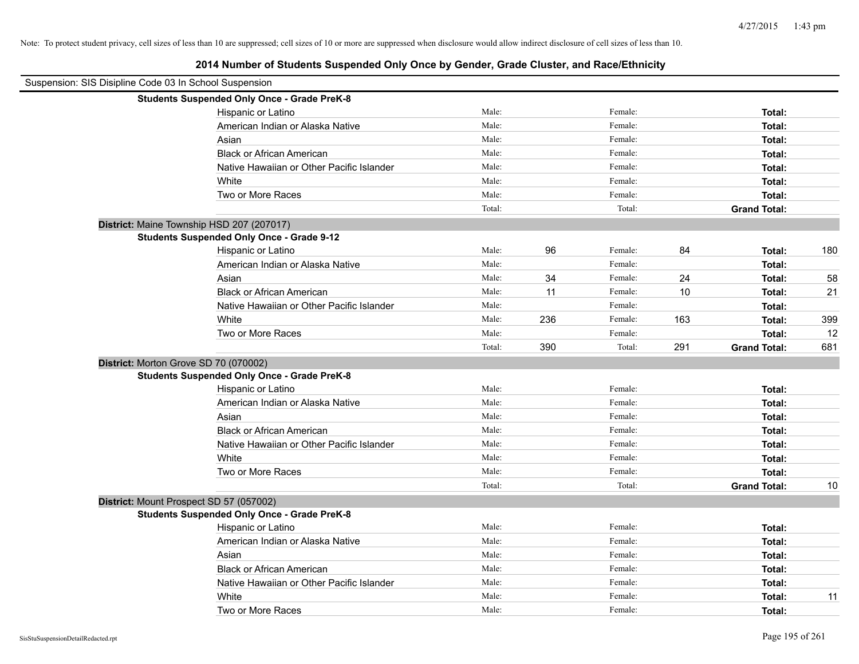| Suspension: SIS Disipline Code 03 In School Suspension |        |     |         |     |                     |     |
|--------------------------------------------------------|--------|-----|---------|-----|---------------------|-----|
| <b>Students Suspended Only Once - Grade PreK-8</b>     |        |     |         |     |                     |     |
| Hispanic or Latino                                     | Male:  |     | Female: |     | Total:              |     |
| American Indian or Alaska Native                       | Male:  |     | Female: |     | Total:              |     |
| Asian                                                  | Male:  |     | Female: |     | Total:              |     |
| <b>Black or African American</b>                       | Male:  |     | Female: |     | Total:              |     |
| Native Hawaiian or Other Pacific Islander              | Male:  |     | Female: |     | Total:              |     |
| White                                                  | Male:  |     | Female: |     | Total:              |     |
| Two or More Races                                      | Male:  |     | Female: |     | Total:              |     |
|                                                        | Total: |     | Total:  |     | <b>Grand Total:</b> |     |
| District: Maine Township HSD 207 (207017)              |        |     |         |     |                     |     |
| <b>Students Suspended Only Once - Grade 9-12</b>       |        |     |         |     |                     |     |
| Hispanic or Latino                                     | Male:  | 96  | Female: | 84  | Total:              | 180 |
| American Indian or Alaska Native                       | Male:  |     | Female: |     | Total:              |     |
| Asian                                                  | Male:  | 34  | Female: | 24  | Total:              | 58  |
| <b>Black or African American</b>                       | Male:  | 11  | Female: | 10  | Total:              | 21  |
| Native Hawaiian or Other Pacific Islander              | Male:  |     | Female: |     | Total:              |     |
| White                                                  | Male:  | 236 | Female: | 163 | Total:              | 399 |
| Two or More Races                                      | Male:  |     | Female: |     | Total:              | 12  |
|                                                        | Total: | 390 | Total:  | 291 | <b>Grand Total:</b> | 681 |
| District: Morton Grove SD 70 (070002)                  |        |     |         |     |                     |     |
| <b>Students Suspended Only Once - Grade PreK-8</b>     |        |     |         |     |                     |     |
| Hispanic or Latino                                     | Male:  |     | Female: |     | Total:              |     |
| American Indian or Alaska Native                       | Male:  |     | Female: |     | Total:              |     |
| Asian                                                  | Male:  |     | Female: |     | Total:              |     |
| <b>Black or African American</b>                       | Male:  |     | Female: |     | Total:              |     |
| Native Hawaiian or Other Pacific Islander              | Male:  |     | Female: |     | Total:              |     |
| White                                                  | Male:  |     | Female: |     | Total:              |     |
| Two or More Races                                      | Male:  |     | Female: |     | Total:              |     |
|                                                        | Total: |     | Total:  |     | <b>Grand Total:</b> | 10  |
| District: Mount Prospect SD 57 (057002)                |        |     |         |     |                     |     |
| <b>Students Suspended Only Once - Grade PreK-8</b>     |        |     |         |     |                     |     |
| Hispanic or Latino                                     | Male:  |     | Female: |     | Total:              |     |
| American Indian or Alaska Native                       | Male:  |     | Female: |     | Total:              |     |
| Asian                                                  | Male:  |     | Female: |     | Total:              |     |
| <b>Black or African American</b>                       | Male:  |     | Female: |     | Total:              |     |
| Native Hawaiian or Other Pacific Islander              | Male:  |     | Female: |     | Total:              |     |
| White                                                  | Male:  |     | Female: |     | Total:              | 11  |
| Two or More Races                                      | Male:  |     | Female: |     | Total:              |     |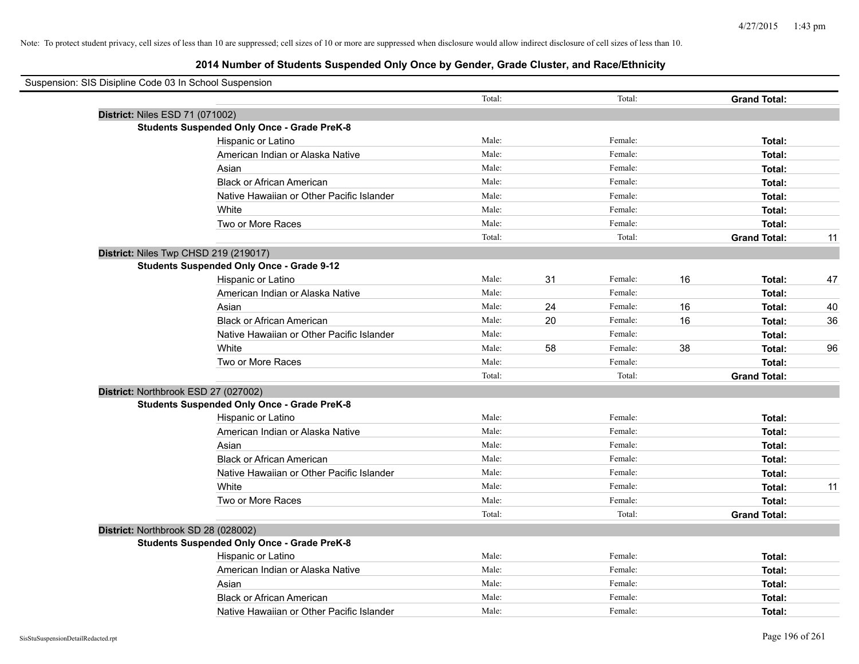| Suspension: SIS Disipline Code 03 In School Suspension |        |    |         |    |                     |    |
|--------------------------------------------------------|--------|----|---------|----|---------------------|----|
|                                                        | Total: |    | Total:  |    | <b>Grand Total:</b> |    |
| District: Niles ESD 71 (071002)                        |        |    |         |    |                     |    |
| <b>Students Suspended Only Once - Grade PreK-8</b>     |        |    |         |    |                     |    |
| Hispanic or Latino                                     | Male:  |    | Female: |    | Total:              |    |
| American Indian or Alaska Native                       | Male:  |    | Female: |    | Total:              |    |
| Asian                                                  | Male:  |    | Female: |    | Total:              |    |
| <b>Black or African American</b>                       | Male:  |    | Female: |    | Total:              |    |
| Native Hawaiian or Other Pacific Islander              | Male:  |    | Female: |    | Total:              |    |
| White                                                  | Male:  |    | Female: |    | Total:              |    |
| Two or More Races                                      | Male:  |    | Female: |    | Total:              |    |
|                                                        | Total: |    | Total:  |    | <b>Grand Total:</b> | 11 |
| District: Niles Twp CHSD 219 (219017)                  |        |    |         |    |                     |    |
| <b>Students Suspended Only Once - Grade 9-12</b>       |        |    |         |    |                     |    |
| Hispanic or Latino                                     | Male:  | 31 | Female: | 16 | Total:              | 47 |
| American Indian or Alaska Native                       | Male:  |    | Female: |    | Total:              |    |
| Asian                                                  | Male:  | 24 | Female: | 16 | Total:              | 40 |
| <b>Black or African American</b>                       | Male:  | 20 | Female: | 16 | Total:              | 36 |
| Native Hawaiian or Other Pacific Islander              | Male:  |    | Female: |    | Total:              |    |
| White                                                  | Male:  | 58 | Female: | 38 | Total:              | 96 |
| Two or More Races                                      | Male:  |    | Female: |    | Total:              |    |
|                                                        | Total: |    | Total:  |    | <b>Grand Total:</b> |    |
| District: Northbrook ESD 27 (027002)                   |        |    |         |    |                     |    |
| <b>Students Suspended Only Once - Grade PreK-8</b>     |        |    |         |    |                     |    |
| Hispanic or Latino                                     | Male:  |    | Female: |    | Total:              |    |
| American Indian or Alaska Native                       | Male:  |    | Female: |    | Total:              |    |
| Asian                                                  | Male:  |    | Female: |    | Total:              |    |
| <b>Black or African American</b>                       | Male:  |    | Female: |    | Total:              |    |
| Native Hawaiian or Other Pacific Islander              | Male:  |    | Female: |    | Total:              |    |
| White                                                  | Male:  |    | Female: |    | Total:              | 11 |
| Two or More Races                                      | Male:  |    | Female: |    | Total:              |    |
|                                                        | Total: |    | Total:  |    | <b>Grand Total:</b> |    |
| District: Northbrook SD 28 (028002)                    |        |    |         |    |                     |    |
| <b>Students Suspended Only Once - Grade PreK-8</b>     |        |    |         |    |                     |    |
| Hispanic or Latino                                     | Male:  |    | Female: |    | Total:              |    |
| American Indian or Alaska Native                       | Male:  |    | Female: |    | Total:              |    |
| Asian                                                  | Male:  |    | Female: |    | Total:              |    |
| <b>Black or African American</b>                       | Male:  |    | Female: |    | Total:              |    |
| Native Hawaiian or Other Pacific Islander              | Male:  |    | Female: |    | Total:              |    |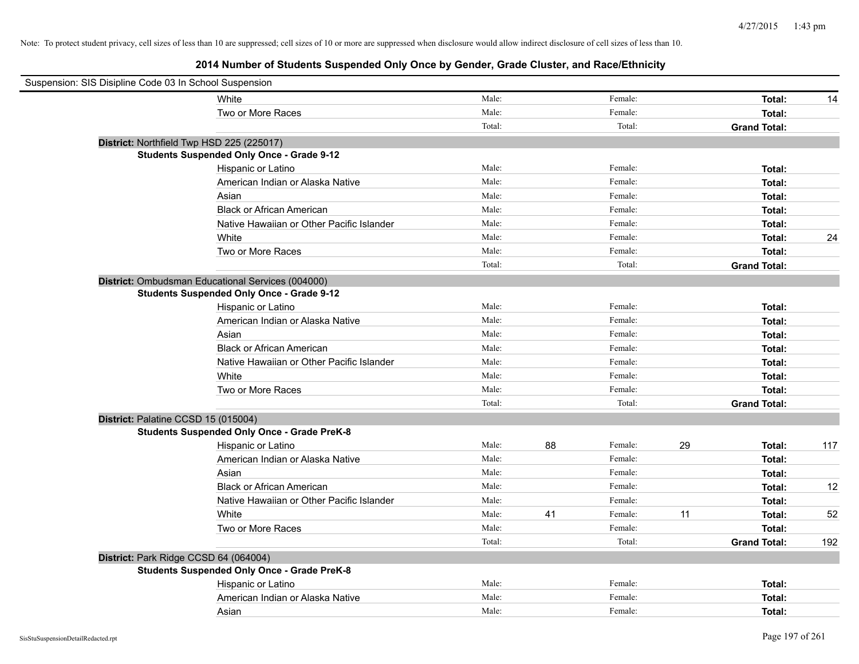| Suspension: SIS Disipline Code 03 In School Suspension |                                                    |        |    |         |    |                     |     |
|--------------------------------------------------------|----------------------------------------------------|--------|----|---------|----|---------------------|-----|
|                                                        | White                                              | Male:  |    | Female: |    | Total:              | 14  |
|                                                        | Two or More Races                                  | Male:  |    | Female: |    | Total:              |     |
|                                                        |                                                    | Total: |    | Total:  |    | <b>Grand Total:</b> |     |
| District: Northfield Twp HSD 225 (225017)              |                                                    |        |    |         |    |                     |     |
|                                                        | <b>Students Suspended Only Once - Grade 9-12</b>   |        |    |         |    |                     |     |
|                                                        | Hispanic or Latino                                 | Male:  |    | Female: |    | Total:              |     |
|                                                        | American Indian or Alaska Native                   | Male:  |    | Female: |    | Total:              |     |
|                                                        | Asian                                              | Male:  |    | Female: |    | Total:              |     |
|                                                        | <b>Black or African American</b>                   | Male:  |    | Female: |    | Total:              |     |
|                                                        | Native Hawaiian or Other Pacific Islander          | Male:  |    | Female: |    | Total:              |     |
|                                                        | White                                              | Male:  |    | Female: |    | Total:              | 24  |
|                                                        | Two or More Races                                  | Male:  |    | Female: |    | Total:              |     |
|                                                        |                                                    | Total: |    | Total:  |    | <b>Grand Total:</b> |     |
|                                                        | District: Ombudsman Educational Services (004000)  |        |    |         |    |                     |     |
|                                                        | <b>Students Suspended Only Once - Grade 9-12</b>   |        |    |         |    |                     |     |
|                                                        | Hispanic or Latino                                 | Male:  |    | Female: |    | Total:              |     |
|                                                        | American Indian or Alaska Native                   | Male:  |    | Female: |    | Total:              |     |
|                                                        | Asian                                              | Male:  |    | Female: |    | Total:              |     |
|                                                        | <b>Black or African American</b>                   | Male:  |    | Female: |    | Total:              |     |
|                                                        | Native Hawaiian or Other Pacific Islander          | Male:  |    | Female: |    | Total:              |     |
|                                                        | White                                              | Male:  |    | Female: |    | Total:              |     |
|                                                        | Two or More Races                                  | Male:  |    | Female: |    | Total:              |     |
|                                                        |                                                    | Total: |    | Total:  |    | <b>Grand Total:</b> |     |
| District: Palatine CCSD 15 (015004)                    |                                                    |        |    |         |    |                     |     |
|                                                        | <b>Students Suspended Only Once - Grade PreK-8</b> |        |    |         |    |                     |     |
|                                                        | Hispanic or Latino                                 | Male:  | 88 | Female: | 29 | Total:              | 117 |
|                                                        | American Indian or Alaska Native                   | Male:  |    | Female: |    | Total:              |     |
|                                                        | Asian                                              | Male:  |    | Female: |    | Total:              |     |
|                                                        | <b>Black or African American</b>                   | Male:  |    | Female: |    | Total:              | 12  |
|                                                        | Native Hawaiian or Other Pacific Islander          | Male:  |    | Female: |    | Total:              |     |
|                                                        | White                                              | Male:  | 41 | Female: | 11 | Total:              | 52  |
|                                                        | Two or More Races                                  | Male:  |    | Female: |    | Total:              |     |
|                                                        |                                                    | Total: |    | Total:  |    | <b>Grand Total:</b> | 192 |
| District: Park Ridge CCSD 64 (064004)                  |                                                    |        |    |         |    |                     |     |
|                                                        | <b>Students Suspended Only Once - Grade PreK-8</b> |        |    |         |    |                     |     |
|                                                        | Hispanic or Latino                                 | Male:  |    | Female: |    | Total:              |     |
|                                                        | American Indian or Alaska Native                   | Male:  |    | Female: |    | Total:              |     |
|                                                        | Asian                                              | Male:  |    | Female: |    | Total:              |     |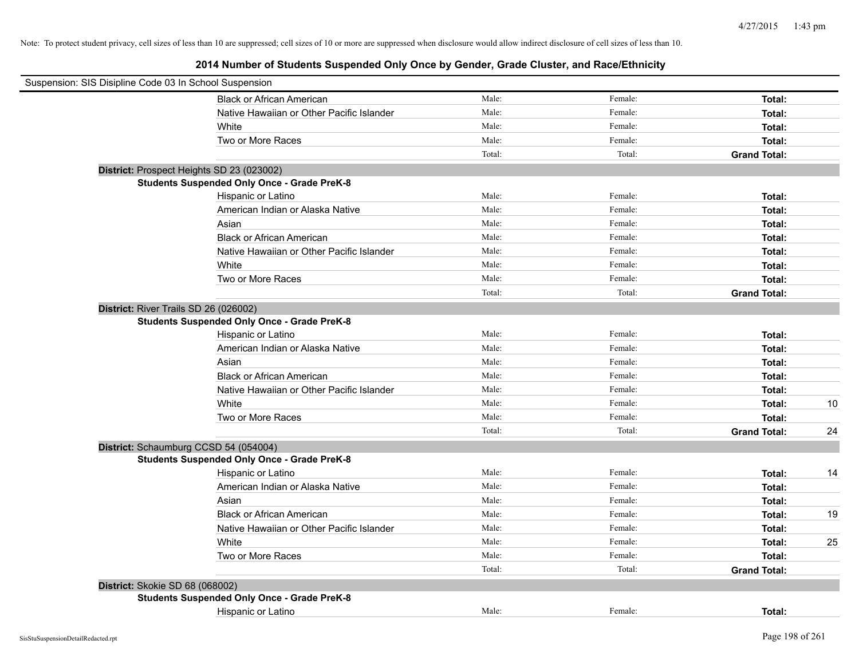|                                 | Suspension: SIS Disipline Code 03 In School Suspension |        |         |                     |    |
|---------------------------------|--------------------------------------------------------|--------|---------|---------------------|----|
|                                 | <b>Black or African American</b>                       | Male:  | Female: | Total:              |    |
|                                 | Native Hawaiian or Other Pacific Islander              | Male:  | Female: | Total:              |    |
|                                 | White                                                  | Male:  | Female: | Total:              |    |
|                                 | Two or More Races                                      | Male:  | Female: | Total:              |    |
|                                 |                                                        | Total: | Total:  | <b>Grand Total:</b> |    |
|                                 | District: Prospect Heights SD 23 (023002)              |        |         |                     |    |
|                                 | <b>Students Suspended Only Once - Grade PreK-8</b>     |        |         |                     |    |
|                                 | Hispanic or Latino                                     | Male:  | Female: | Total:              |    |
|                                 | American Indian or Alaska Native                       | Male:  | Female: | Total:              |    |
|                                 | Asian                                                  | Male:  | Female: | Total:              |    |
|                                 | <b>Black or African American</b>                       | Male:  | Female: | Total:              |    |
|                                 | Native Hawaiian or Other Pacific Islander              | Male:  | Female: | Total:              |    |
|                                 | White                                                  | Male:  | Female: | Total:              |    |
|                                 | Two or More Races                                      | Male:  | Female: | Total:              |    |
|                                 |                                                        | Total: | Total:  | <b>Grand Total:</b> |    |
|                                 | District: River Trails SD 26 (026002)                  |        |         |                     |    |
|                                 | <b>Students Suspended Only Once - Grade PreK-8</b>     |        |         |                     |    |
|                                 | Hispanic or Latino                                     | Male:  | Female: | Total:              |    |
|                                 | American Indian or Alaska Native                       | Male:  | Female: | Total:              |    |
|                                 | Asian                                                  | Male:  | Female: | Total:              |    |
|                                 | <b>Black or African American</b>                       | Male:  | Female: | Total:              |    |
|                                 | Native Hawaiian or Other Pacific Islander              | Male:  | Female: | Total:              |    |
|                                 | White                                                  | Male:  | Female: | Total:              | 10 |
|                                 | Two or More Races                                      | Male:  | Female: | Total:              |    |
|                                 |                                                        | Total: | Total:  | <b>Grand Total:</b> | 24 |
|                                 | District: Schaumburg CCSD 54 (054004)                  |        |         |                     |    |
|                                 | <b>Students Suspended Only Once - Grade PreK-8</b>     |        |         |                     |    |
|                                 | Hispanic or Latino                                     | Male:  | Female: | Total:              | 14 |
|                                 | American Indian or Alaska Native                       | Male:  | Female: | Total:              |    |
|                                 | Asian                                                  | Male:  | Female: | Total:              |    |
|                                 | <b>Black or African American</b>                       | Male:  | Female: | Total:              | 19 |
|                                 | Native Hawaiian or Other Pacific Islander              | Male:  | Female: | Total:              |    |
|                                 | White                                                  | Male:  | Female: | Total:              | 25 |
|                                 | Two or More Races                                      | Male:  | Female: | Total:              |    |
|                                 |                                                        | Total: | Total:  | <b>Grand Total:</b> |    |
| District: Skokie SD 68 (068002) |                                                        |        |         |                     |    |
|                                 | <b>Students Suspended Only Once - Grade PreK-8</b>     |        |         |                     |    |
|                                 | Hispanic or Latino                                     | Male:  | Female: | Total:              |    |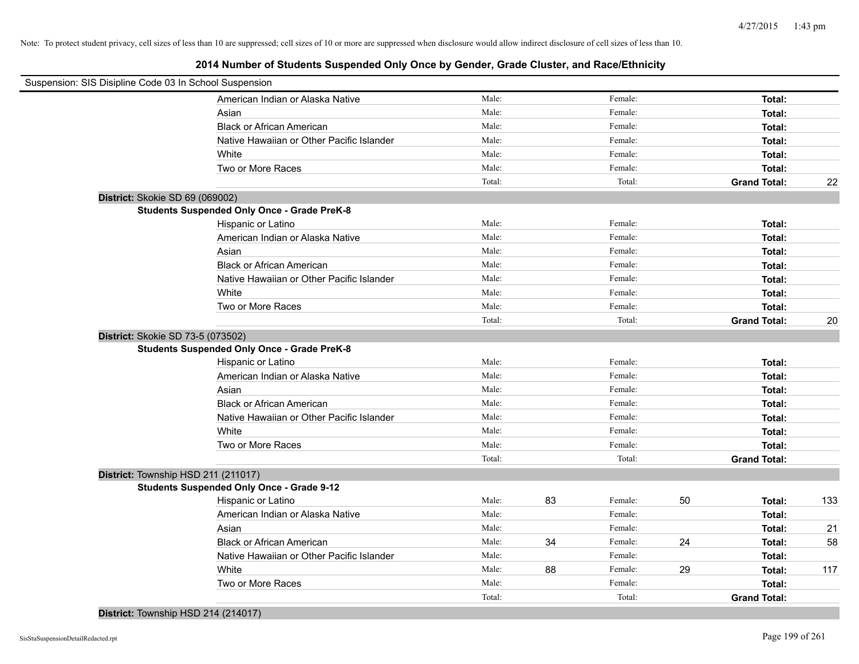| Suspension: SIS Disipline Code 03 In School Suspension |                                                    |        |    |         |    |                     |     |
|--------------------------------------------------------|----------------------------------------------------|--------|----|---------|----|---------------------|-----|
|                                                        | American Indian or Alaska Native                   | Male:  |    | Female: |    | Total:              |     |
|                                                        | Asian                                              | Male:  |    | Female: |    | Total:              |     |
|                                                        | <b>Black or African American</b>                   | Male:  |    | Female: |    | Total:              |     |
|                                                        | Native Hawaiian or Other Pacific Islander          | Male:  |    | Female: |    | Total:              |     |
|                                                        | White                                              | Male:  |    | Female: |    | Total:              |     |
|                                                        | Two or More Races                                  | Male:  |    | Female: |    | Total:              |     |
|                                                        |                                                    | Total: |    | Total:  |    | <b>Grand Total:</b> | 22  |
| District: Skokie SD 69 (069002)                        |                                                    |        |    |         |    |                     |     |
|                                                        | <b>Students Suspended Only Once - Grade PreK-8</b> |        |    |         |    |                     |     |
|                                                        | Hispanic or Latino                                 | Male:  |    | Female: |    | Total:              |     |
|                                                        | American Indian or Alaska Native                   | Male:  |    | Female: |    | Total:              |     |
|                                                        | Asian                                              | Male:  |    | Female: |    | Total:              |     |
|                                                        | <b>Black or African American</b>                   | Male:  |    | Female: |    | Total:              |     |
|                                                        | Native Hawaiian or Other Pacific Islander          | Male:  |    | Female: |    | Total:              |     |
|                                                        | White                                              | Male:  |    | Female: |    | Total:              |     |
|                                                        | Two or More Races                                  | Male:  |    | Female: |    | Total:              |     |
|                                                        |                                                    | Total: |    | Total:  |    | <b>Grand Total:</b> | 20  |
| District: Skokie SD 73-5 (073502)                      |                                                    |        |    |         |    |                     |     |
|                                                        | <b>Students Suspended Only Once - Grade PreK-8</b> |        |    |         |    |                     |     |
|                                                        | Hispanic or Latino                                 | Male:  |    | Female: |    | Total:              |     |
|                                                        | American Indian or Alaska Native                   | Male:  |    | Female: |    | Total:              |     |
|                                                        | Asian                                              | Male:  |    | Female: |    | Total:              |     |
|                                                        | <b>Black or African American</b>                   | Male:  |    | Female: |    | Total:              |     |
|                                                        | Native Hawaiian or Other Pacific Islander          | Male:  |    | Female: |    | Total:              |     |
|                                                        | White                                              | Male:  |    | Female: |    | Total:              |     |
|                                                        | Two or More Races                                  | Male:  |    | Female: |    | Total:              |     |
|                                                        |                                                    | Total: |    | Total:  |    | <b>Grand Total:</b> |     |
| District: Township HSD 211 (211017)                    |                                                    |        |    |         |    |                     |     |
|                                                        | <b>Students Suspended Only Once - Grade 9-12</b>   |        |    |         |    |                     |     |
|                                                        | Hispanic or Latino                                 | Male:  | 83 | Female: | 50 | Total:              | 133 |
|                                                        | American Indian or Alaska Native                   | Male:  |    | Female: |    | Total:              |     |
|                                                        | Asian                                              | Male:  |    | Female: |    | Total:              | 21  |
|                                                        | <b>Black or African American</b>                   | Male:  | 34 | Female: | 24 | Total:              | 58  |
|                                                        | Native Hawaiian or Other Pacific Islander          | Male:  |    | Female: |    | Total:              |     |
|                                                        | White                                              | Male:  | 88 | Female: | 29 | Total:              | 117 |
|                                                        | Two or More Races                                  | Male:  |    | Female: |    | Total:              |     |
|                                                        |                                                    | Total: |    | Total:  |    | <b>Grand Total:</b> |     |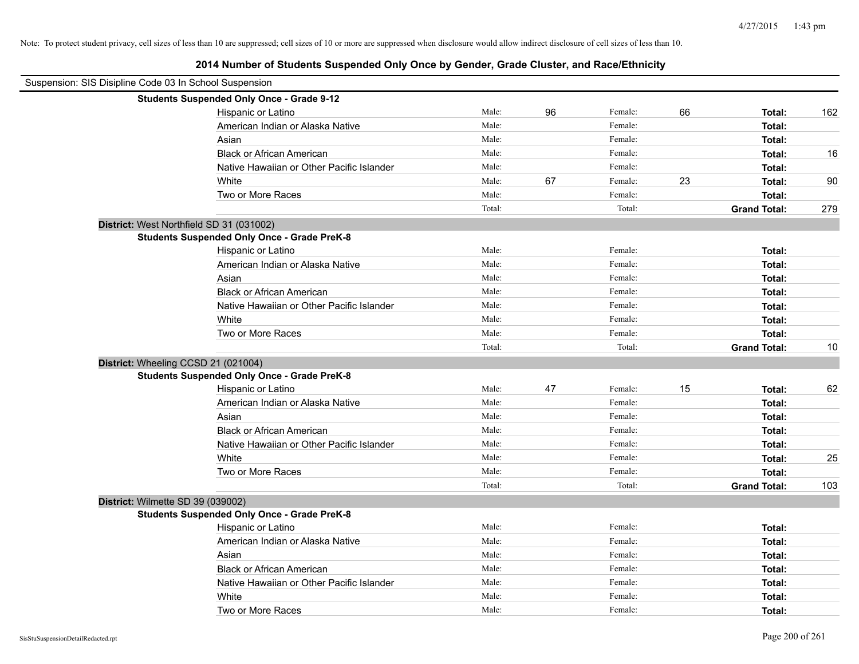| Suspension: SIS Disipline Code 03 In School Suspension |                                                    |        |    |         |    |                     |     |
|--------------------------------------------------------|----------------------------------------------------|--------|----|---------|----|---------------------|-----|
|                                                        | <b>Students Suspended Only Once - Grade 9-12</b>   |        |    |         |    |                     |     |
|                                                        | Hispanic or Latino                                 | Male:  | 96 | Female: | 66 | Total:              | 162 |
|                                                        | American Indian or Alaska Native                   | Male:  |    | Female: |    | Total:              |     |
|                                                        | Asian                                              | Male:  |    | Female: |    | Total:              |     |
|                                                        | <b>Black or African American</b>                   | Male:  |    | Female: |    | Total:              | 16  |
|                                                        | Native Hawaiian or Other Pacific Islander          | Male:  |    | Female: |    | Total:              |     |
|                                                        | White                                              | Male:  | 67 | Female: | 23 | Total:              | 90  |
|                                                        | Two or More Races                                  | Male:  |    | Female: |    | Total:              |     |
|                                                        |                                                    | Total: |    | Total:  |    | <b>Grand Total:</b> | 279 |
| District: West Northfield SD 31 (031002)               |                                                    |        |    |         |    |                     |     |
|                                                        | <b>Students Suspended Only Once - Grade PreK-8</b> |        |    |         |    |                     |     |
|                                                        | Hispanic or Latino                                 | Male:  |    | Female: |    | Total:              |     |
|                                                        | American Indian or Alaska Native                   | Male:  |    | Female: |    | Total:              |     |
|                                                        | Asian                                              | Male:  |    | Female: |    | Total:              |     |
|                                                        | <b>Black or African American</b>                   | Male:  |    | Female: |    | Total:              |     |
|                                                        | Native Hawaiian or Other Pacific Islander          | Male:  |    | Female: |    | Total:              |     |
|                                                        | White                                              | Male:  |    | Female: |    | Total:              |     |
|                                                        | Two or More Races                                  | Male:  |    | Female: |    | Total:              |     |
|                                                        |                                                    | Total: |    | Total:  |    | <b>Grand Total:</b> | 10  |
| District: Wheeling CCSD 21 (021004)                    |                                                    |        |    |         |    |                     |     |
|                                                        | <b>Students Suspended Only Once - Grade PreK-8</b> |        |    |         |    |                     |     |
|                                                        | Hispanic or Latino                                 | Male:  | 47 | Female: | 15 | Total:              | 62  |
|                                                        | American Indian or Alaska Native                   | Male:  |    | Female: |    | Total:              |     |
|                                                        | Asian                                              | Male:  |    | Female: |    | Total:              |     |
|                                                        | <b>Black or African American</b>                   | Male:  |    | Female: |    | Total:              |     |
|                                                        | Native Hawaiian or Other Pacific Islander          | Male:  |    | Female: |    | Total:              |     |
|                                                        | White                                              | Male:  |    | Female: |    | Total:              | 25  |
|                                                        | Two or More Races                                  | Male:  |    | Female: |    | Total:              |     |
|                                                        |                                                    | Total: |    | Total:  |    | <b>Grand Total:</b> | 103 |
| District: Wilmette SD 39 (039002)                      |                                                    |        |    |         |    |                     |     |
|                                                        | <b>Students Suspended Only Once - Grade PreK-8</b> |        |    |         |    |                     |     |
|                                                        | Hispanic or Latino                                 | Male:  |    | Female: |    | Total:              |     |
|                                                        | American Indian or Alaska Native                   | Male:  |    | Female: |    | Total:              |     |
|                                                        | Asian                                              | Male:  |    | Female: |    | Total:              |     |
|                                                        | <b>Black or African American</b>                   | Male:  |    | Female: |    | Total:              |     |
|                                                        | Native Hawaiian or Other Pacific Islander          | Male:  |    | Female: |    | Total:              |     |
|                                                        | White                                              | Male:  |    | Female: |    | Total:              |     |
|                                                        | Two or More Races                                  | Male:  |    | Female: |    | Total:              |     |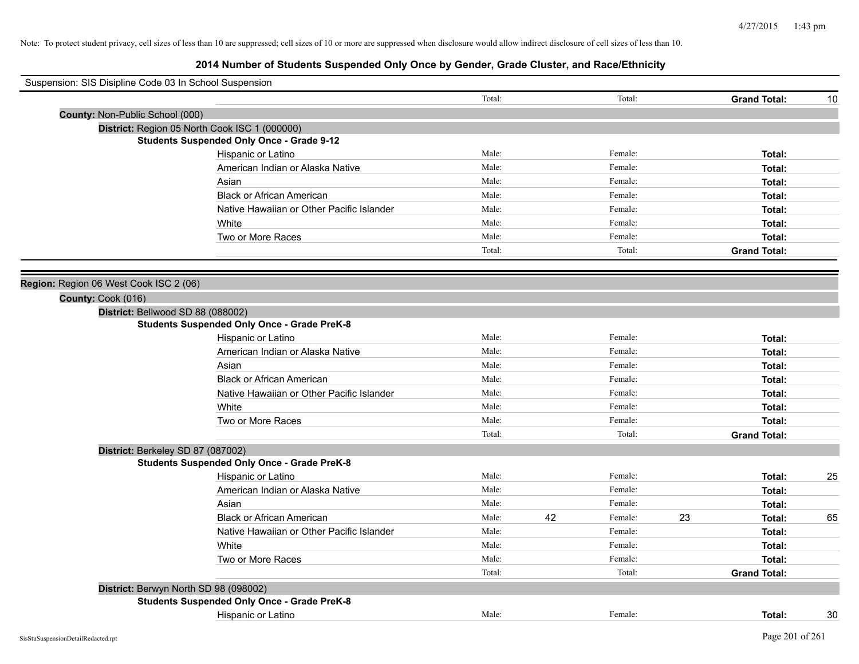| Suspension: SIS Disipline Code 03 In School Suspension |                                                    |        |    |         |    |                     |    |
|--------------------------------------------------------|----------------------------------------------------|--------|----|---------|----|---------------------|----|
|                                                        |                                                    | Total: |    | Total:  |    | <b>Grand Total:</b> | 10 |
| County: Non-Public School (000)                        |                                                    |        |    |         |    |                     |    |
|                                                        | District: Region 05 North Cook ISC 1 (000000)      |        |    |         |    |                     |    |
|                                                        | <b>Students Suspended Only Once - Grade 9-12</b>   |        |    |         |    |                     |    |
|                                                        | Hispanic or Latino                                 | Male:  |    | Female: |    | Total:              |    |
|                                                        | American Indian or Alaska Native                   | Male:  |    | Female: |    | Total:              |    |
|                                                        | Asian                                              | Male:  |    | Female: |    | Total:              |    |
|                                                        | <b>Black or African American</b>                   | Male:  |    | Female: |    | Total:              |    |
|                                                        | Native Hawaiian or Other Pacific Islander          | Male:  |    | Female: |    | Total:              |    |
|                                                        | White                                              | Male:  |    | Female: |    | Total:              |    |
|                                                        | Two or More Races                                  | Male:  |    | Female: |    | Total:              |    |
|                                                        |                                                    | Total: |    | Total:  |    | <b>Grand Total:</b> |    |
|                                                        |                                                    |        |    |         |    |                     |    |
| Region: Region 06 West Cook ISC 2 (06)                 |                                                    |        |    |         |    |                     |    |
| County: Cook (016)                                     |                                                    |        |    |         |    |                     |    |
|                                                        | District: Bellwood SD 88 (088002)                  |        |    |         |    |                     |    |
|                                                        | <b>Students Suspended Only Once - Grade PreK-8</b> |        |    |         |    |                     |    |
|                                                        | Hispanic or Latino                                 | Male:  |    | Female: |    | Total:              |    |
|                                                        | American Indian or Alaska Native                   | Male:  |    | Female: |    | Total:              |    |
|                                                        | Asian                                              | Male:  |    | Female: |    | Total:              |    |
|                                                        | <b>Black or African American</b>                   | Male:  |    | Female: |    | Total:              |    |
|                                                        | Native Hawaiian or Other Pacific Islander          | Male:  |    | Female: |    | Total:              |    |
|                                                        | White                                              | Male:  |    | Female: |    | Total:              |    |
|                                                        | Two or More Races                                  | Male:  |    | Female: |    | Total:              |    |
|                                                        |                                                    | Total: |    | Total:  |    | <b>Grand Total:</b> |    |
|                                                        | District: Berkeley SD 87 (087002)                  |        |    |         |    |                     |    |
|                                                        | <b>Students Suspended Only Once - Grade PreK-8</b> |        |    |         |    |                     |    |
|                                                        | Hispanic or Latino                                 | Male:  |    | Female: |    | Total:              | 25 |
|                                                        | American Indian or Alaska Native                   | Male:  |    | Female: |    | Total:              |    |
|                                                        | Asian                                              | Male:  |    | Female: |    | Total:              |    |
|                                                        | <b>Black or African American</b>                   | Male:  | 42 | Female: | 23 | Total:              | 65 |
|                                                        | Native Hawaiian or Other Pacific Islander          | Male:  |    | Female: |    | Total:              |    |
|                                                        | White                                              | Male:  |    | Female: |    | Total:              |    |
|                                                        | Two or More Races                                  | Male:  |    | Female: |    | Total:              |    |
|                                                        |                                                    | Total: |    | Total:  |    | <b>Grand Total:</b> |    |
|                                                        | District: Berwyn North SD 98 (098002)              |        |    |         |    |                     |    |
|                                                        | <b>Students Suspended Only Once - Grade PreK-8</b> |        |    |         |    |                     |    |
|                                                        | Hispanic or Latino                                 | Male:  |    | Female: |    | Total:              | 30 |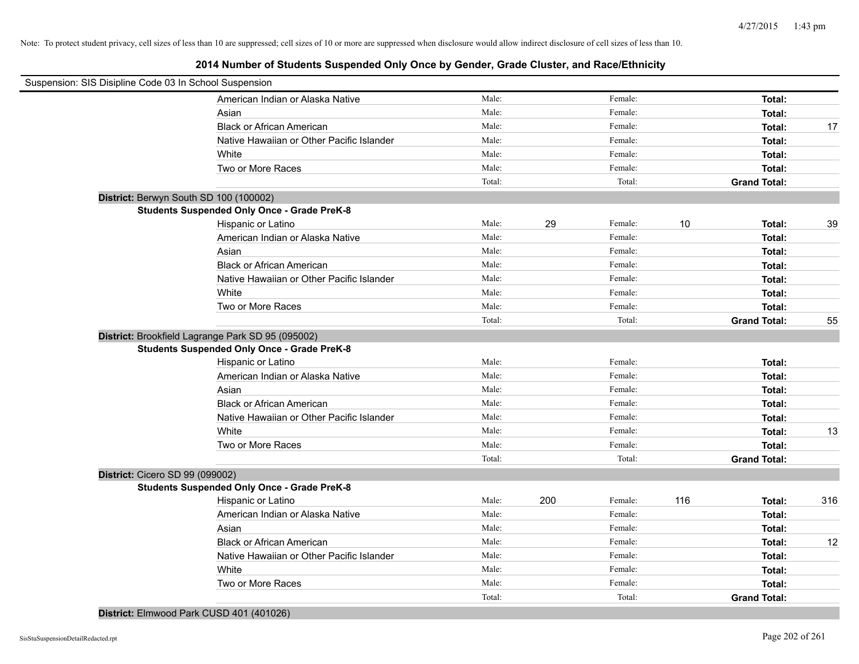| Suspension: SIS Disipline Code 03 In School Suspension |                                                    |        |     |         |     |                     |     |
|--------------------------------------------------------|----------------------------------------------------|--------|-----|---------|-----|---------------------|-----|
|                                                        | American Indian or Alaska Native                   | Male:  |     | Female: |     | Total:              |     |
|                                                        | Asian                                              | Male:  |     | Female: |     | Total:              |     |
|                                                        | <b>Black or African American</b>                   | Male:  |     | Female: |     | Total:              | 17  |
|                                                        | Native Hawaiian or Other Pacific Islander          | Male:  |     | Female: |     | Total:              |     |
|                                                        | White                                              | Male:  |     | Female: |     | Total:              |     |
|                                                        | Two or More Races                                  | Male:  |     | Female: |     | Total:              |     |
|                                                        |                                                    | Total: |     | Total:  |     | <b>Grand Total:</b> |     |
| District: Berwyn South SD 100 (100002)                 |                                                    |        |     |         |     |                     |     |
|                                                        | <b>Students Suspended Only Once - Grade PreK-8</b> |        |     |         |     |                     |     |
|                                                        | Hispanic or Latino                                 | Male:  | 29  | Female: | 10  | Total:              | 39  |
|                                                        | American Indian or Alaska Native                   | Male:  |     | Female: |     | Total:              |     |
|                                                        | Asian                                              | Male:  |     | Female: |     | Total:              |     |
|                                                        | <b>Black or African American</b>                   | Male:  |     | Female: |     | Total:              |     |
|                                                        | Native Hawaiian or Other Pacific Islander          | Male:  |     | Female: |     | Total:              |     |
|                                                        | White                                              | Male:  |     | Female: |     | Total:              |     |
|                                                        | Two or More Races                                  | Male:  |     | Female: |     | Total:              |     |
|                                                        |                                                    | Total: |     | Total:  |     | <b>Grand Total:</b> | 55  |
| District: Brookfield Lagrange Park SD 95 (095002)      |                                                    |        |     |         |     |                     |     |
|                                                        | <b>Students Suspended Only Once - Grade PreK-8</b> |        |     |         |     |                     |     |
|                                                        | Hispanic or Latino                                 | Male:  |     | Female: |     | Total:              |     |
|                                                        | American Indian or Alaska Native                   | Male:  |     | Female: |     | Total:              |     |
|                                                        | Asian                                              | Male:  |     | Female: |     | Total:              |     |
|                                                        | <b>Black or African American</b>                   | Male:  |     | Female: |     | Total:              |     |
|                                                        | Native Hawaiian or Other Pacific Islander          | Male:  |     | Female: |     | Total:              |     |
|                                                        | White                                              | Male:  |     | Female: |     | Total:              | 13  |
|                                                        | Two or More Races                                  | Male:  |     | Female: |     | Total:              |     |
|                                                        |                                                    | Total: |     | Total:  |     | <b>Grand Total:</b> |     |
| District: Cicero SD 99 (099002)                        |                                                    |        |     |         |     |                     |     |
|                                                        | <b>Students Suspended Only Once - Grade PreK-8</b> |        |     |         |     |                     |     |
|                                                        | Hispanic or Latino                                 | Male:  | 200 | Female: | 116 | Total:              | 316 |
|                                                        | American Indian or Alaska Native                   | Male:  |     | Female: |     | Total:              |     |
|                                                        | Asian                                              | Male:  |     | Female: |     | Total:              |     |
|                                                        | <b>Black or African American</b>                   | Male:  |     | Female: |     | Total:              | 12  |
|                                                        | Native Hawaiian or Other Pacific Islander          | Male:  |     | Female: |     | Total:              |     |
|                                                        | White                                              | Male:  |     | Female: |     | Total:              |     |
|                                                        | Two or More Races                                  | Male:  |     | Female: |     | Total:              |     |
|                                                        |                                                    | Total: |     | Total:  |     | <b>Grand Total:</b> |     |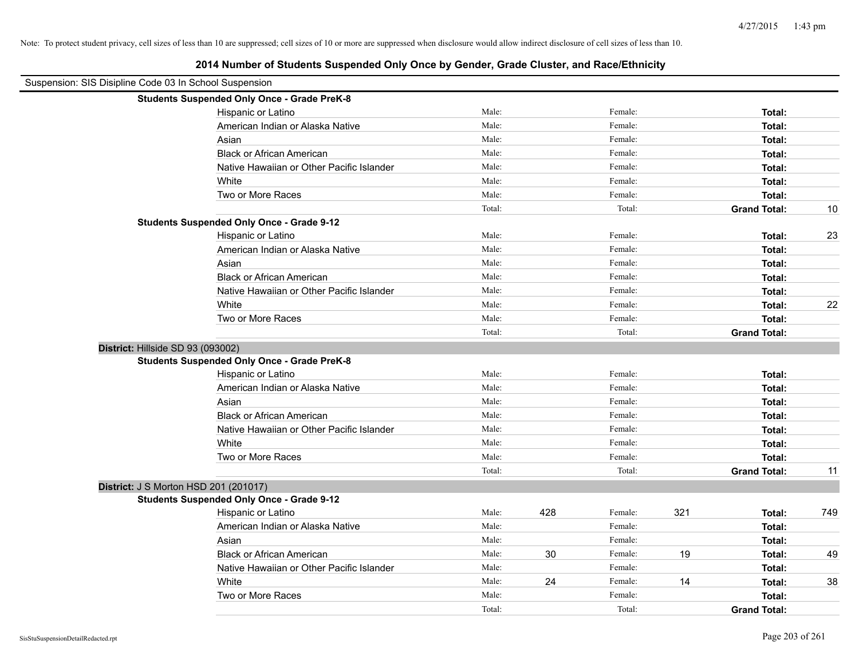| Suspension: SIS Disipline Code 03 In School Suspension | La in National Officiality Ouspetition Office Dy October, Orace Oldster, and NaterLumbity |        |     |         |     |                     |     |
|--------------------------------------------------------|-------------------------------------------------------------------------------------------|--------|-----|---------|-----|---------------------|-----|
|                                                        | <b>Students Suspended Only Once - Grade PreK-8</b>                                        |        |     |         |     |                     |     |
|                                                        | Hispanic or Latino                                                                        | Male:  |     | Female: |     | Total:              |     |
|                                                        | American Indian or Alaska Native                                                          | Male:  |     | Female: |     | Total:              |     |
|                                                        | Asian                                                                                     | Male:  |     | Female: |     | Total:              |     |
|                                                        | <b>Black or African American</b>                                                          | Male:  |     | Female: |     | Total:              |     |
|                                                        | Native Hawaiian or Other Pacific Islander                                                 | Male:  |     | Female: |     | Total:              |     |
|                                                        | White                                                                                     | Male:  |     | Female: |     | Total:              |     |
|                                                        | Two or More Races                                                                         | Male:  |     | Female: |     | Total:              |     |
|                                                        |                                                                                           | Total: |     | Total:  |     | <b>Grand Total:</b> | 10  |
|                                                        | <b>Students Suspended Only Once - Grade 9-12</b>                                          |        |     |         |     |                     |     |
|                                                        | Hispanic or Latino                                                                        | Male:  |     | Female: |     | Total:              | 23  |
|                                                        | American Indian or Alaska Native                                                          | Male:  |     | Female: |     | Total:              |     |
|                                                        | Asian                                                                                     | Male:  |     | Female: |     | Total:              |     |
|                                                        | <b>Black or African American</b>                                                          | Male:  |     | Female: |     | Total:              |     |
|                                                        | Native Hawaiian or Other Pacific Islander                                                 | Male:  |     | Female: |     | Total:              |     |
|                                                        | White                                                                                     | Male:  |     | Female: |     | Total:              | 22  |
|                                                        | Two or More Races                                                                         | Male:  |     | Female: |     | Total:              |     |
|                                                        |                                                                                           | Total: |     | Total:  |     | <b>Grand Total:</b> |     |
|                                                        | District: Hillside SD 93 (093002)                                                         |        |     |         |     |                     |     |
|                                                        | <b>Students Suspended Only Once - Grade PreK-8</b>                                        |        |     |         |     |                     |     |
|                                                        | Hispanic or Latino                                                                        | Male:  |     | Female: |     | Total:              |     |
|                                                        | American Indian or Alaska Native                                                          | Male:  |     | Female: |     | Total:              |     |
|                                                        | Asian                                                                                     | Male:  |     | Female: |     | Total:              |     |
|                                                        | <b>Black or African American</b>                                                          | Male:  |     | Female: |     | Total:              |     |
|                                                        | Native Hawaiian or Other Pacific Islander                                                 | Male:  |     | Female: |     | Total:              |     |
|                                                        | White                                                                                     | Male:  |     | Female: |     | Total:              |     |
|                                                        | Two or More Races                                                                         | Male:  |     | Female: |     | Total:              |     |
|                                                        |                                                                                           | Total: |     | Total:  |     | <b>Grand Total:</b> | 11  |
|                                                        | District: J S Morton HSD 201 (201017)                                                     |        |     |         |     |                     |     |
|                                                        | <b>Students Suspended Only Once - Grade 9-12</b>                                          |        |     |         |     |                     |     |
|                                                        | Hispanic or Latino                                                                        | Male:  | 428 | Female: | 321 | Total:              | 749 |
|                                                        | American Indian or Alaska Native                                                          | Male:  |     | Female: |     | Total:              |     |
|                                                        | Asian                                                                                     | Male:  |     | Female: |     | Total:              |     |
|                                                        | <b>Black or African American</b>                                                          | Male:  | 30  | Female: | 19  | Total:              | 49  |
|                                                        | Native Hawaiian or Other Pacific Islander                                                 | Male:  |     | Female: |     | Total:              |     |
|                                                        | White                                                                                     | Male:  | 24  | Female: | 14  | Total:              | 38  |
|                                                        | Two or More Races                                                                         | Male:  |     | Female: |     | Total:              |     |
|                                                        |                                                                                           | Total: |     | Total:  |     | <b>Grand Total:</b> |     |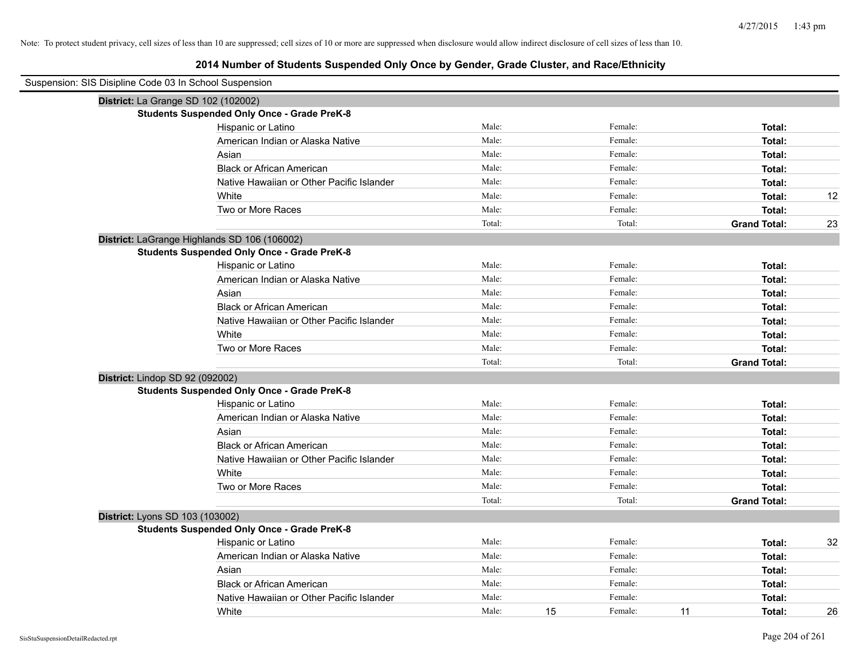# **2014 Number of Students Suspended Only Once by Gender, Grade Cluster, and Race/Ethnicity**

| Suspension: SIS Disipline Code 03 In School Suspension |        |    |         |    |                     |    |
|--------------------------------------------------------|--------|----|---------|----|---------------------|----|
| District: La Grange SD 102 (102002)                    |        |    |         |    |                     |    |
| <b>Students Suspended Only Once - Grade PreK-8</b>     |        |    |         |    |                     |    |
| Hispanic or Latino                                     | Male:  |    | Female: |    | Total:              |    |
| American Indian or Alaska Native                       | Male:  |    | Female: |    | Total:              |    |
| Asian                                                  | Male:  |    | Female: |    | Total:              |    |
| <b>Black or African American</b>                       | Male:  |    | Female: |    | Total:              |    |
| Native Hawaiian or Other Pacific Islander              | Male:  |    | Female: |    | Total:              |    |
| White                                                  | Male:  |    | Female: |    | Total:              | 12 |
| Two or More Races                                      | Male:  |    | Female: |    | Total:              |    |
|                                                        | Total: |    | Total:  |    | <b>Grand Total:</b> | 23 |
| District: LaGrange Highlands SD 106 (106002)           |        |    |         |    |                     |    |
| <b>Students Suspended Only Once - Grade PreK-8</b>     |        |    |         |    |                     |    |
| Hispanic or Latino                                     | Male:  |    | Female: |    | Total:              |    |
| American Indian or Alaska Native                       | Male:  |    | Female: |    | Total:              |    |
| Asian                                                  | Male:  |    | Female: |    | Total:              |    |
| <b>Black or African American</b>                       | Male:  |    | Female: |    | Total:              |    |
| Native Hawaiian or Other Pacific Islander              | Male:  |    | Female: |    | Total:              |    |
| White                                                  | Male:  |    | Female: |    | Total:              |    |
| Two or More Races                                      | Male:  |    | Female: |    | Total:              |    |
|                                                        | Total: |    | Total:  |    | <b>Grand Total:</b> |    |
| District: Lindop SD 92 (092002)                        |        |    |         |    |                     |    |
| <b>Students Suspended Only Once - Grade PreK-8</b>     |        |    |         |    |                     |    |
| Hispanic or Latino                                     | Male:  |    | Female: |    | Total:              |    |
| American Indian or Alaska Native                       | Male:  |    | Female: |    | Total:              |    |
| Asian                                                  | Male:  |    | Female: |    | Total:              |    |
| <b>Black or African American</b>                       | Male:  |    | Female: |    | Total:              |    |
| Native Hawaiian or Other Pacific Islander              | Male:  |    | Female: |    | Total:              |    |
| White                                                  | Male:  |    | Female: |    | Total:              |    |
| Two or More Races                                      | Male:  |    | Female: |    | Total:              |    |
|                                                        | Total: |    | Total:  |    | <b>Grand Total:</b> |    |
| District: Lyons SD 103 (103002)                        |        |    |         |    |                     |    |
| <b>Students Suspended Only Once - Grade PreK-8</b>     |        |    |         |    |                     |    |
| Hispanic or Latino                                     | Male:  |    | Female: |    | Total:              | 32 |
| American Indian or Alaska Native                       | Male:  |    | Female: |    | Total:              |    |
| Asian                                                  | Male:  |    | Female: |    | Total:              |    |
| <b>Black or African American</b>                       | Male:  |    | Female: |    | Total:              |    |
| Native Hawaiian or Other Pacific Islander              | Male:  |    | Female: |    | Total:              |    |
| White                                                  | Male:  | 15 | Female: | 11 | Total:              | 26 |

 $\blacksquare$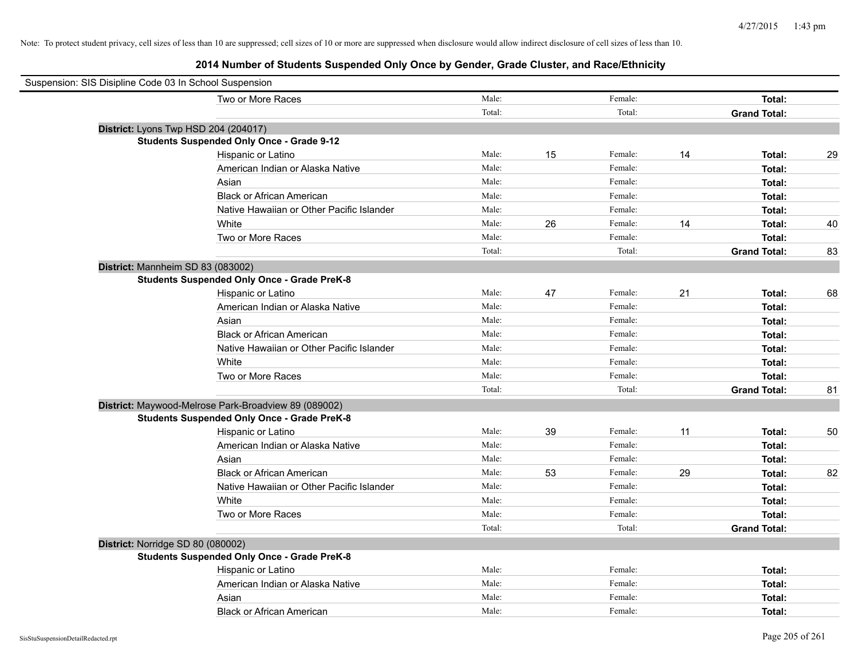| Suspension: SIS Disipline Code 03 In School Suspension |        |    |         |    |                     |    |
|--------------------------------------------------------|--------|----|---------|----|---------------------|----|
| Two or More Races                                      | Male:  |    | Female: |    | Total:              |    |
|                                                        | Total: |    | Total:  |    | <b>Grand Total:</b> |    |
| District: Lyons Twp HSD 204 (204017)                   |        |    |         |    |                     |    |
| <b>Students Suspended Only Once - Grade 9-12</b>       |        |    |         |    |                     |    |
| Hispanic or Latino                                     | Male:  | 15 | Female: | 14 | Total:              | 29 |
| American Indian or Alaska Native                       | Male:  |    | Female: |    | Total:              |    |
| Asian                                                  | Male:  |    | Female: |    | Total:              |    |
| <b>Black or African American</b>                       | Male:  |    | Female: |    | Total:              |    |
| Native Hawaiian or Other Pacific Islander              | Male:  |    | Female: |    | Total:              |    |
| White                                                  | Male:  | 26 | Female: | 14 | Total:              | 40 |
| Two or More Races                                      | Male:  |    | Female: |    | Total:              |    |
|                                                        | Total: |    | Total:  |    | <b>Grand Total:</b> | 83 |
| District: Mannheim SD 83 (083002)                      |        |    |         |    |                     |    |
| <b>Students Suspended Only Once - Grade PreK-8</b>     |        |    |         |    |                     |    |
| Hispanic or Latino                                     | Male:  | 47 | Female: | 21 | Total:              | 68 |
| American Indian or Alaska Native                       | Male:  |    | Female: |    | Total:              |    |
| Asian                                                  | Male:  |    | Female: |    | Total:              |    |
| <b>Black or African American</b>                       | Male:  |    | Female: |    | Total:              |    |
| Native Hawaiian or Other Pacific Islander              | Male:  |    | Female: |    | Total:              |    |
| White                                                  | Male:  |    | Female: |    | Total:              |    |
| Two or More Races                                      | Male:  |    | Female: |    | Total:              |    |
|                                                        | Total: |    | Total:  |    | <b>Grand Total:</b> | 81 |
| District: Maywood-Melrose Park-Broadview 89 (089002)   |        |    |         |    |                     |    |
| <b>Students Suspended Only Once - Grade PreK-8</b>     |        |    |         |    |                     |    |
| Hispanic or Latino                                     | Male:  | 39 | Female: | 11 | Total:              | 50 |
| American Indian or Alaska Native                       | Male:  |    | Female: |    | Total:              |    |
| Asian                                                  | Male:  |    | Female: |    | Total:              |    |
| <b>Black or African American</b>                       | Male:  | 53 | Female: | 29 | Total:              | 82 |
| Native Hawaiian or Other Pacific Islander              | Male:  |    | Female: |    | Total:              |    |
| White                                                  | Male:  |    | Female: |    | Total:              |    |
| Two or More Races                                      | Male:  |    | Female: |    | Total:              |    |
|                                                        | Total: |    | Total:  |    | <b>Grand Total:</b> |    |
| District: Norridge SD 80 (080002)                      |        |    |         |    |                     |    |
| <b>Students Suspended Only Once - Grade PreK-8</b>     |        |    |         |    |                     |    |
| Hispanic or Latino                                     | Male:  |    | Female: |    | Total:              |    |
| American Indian or Alaska Native                       | Male:  |    | Female: |    | Total:              |    |
| Asian                                                  | Male:  |    | Female: |    | Total:              |    |
| <b>Black or African American</b>                       | Male:  |    | Female: |    | Total:              |    |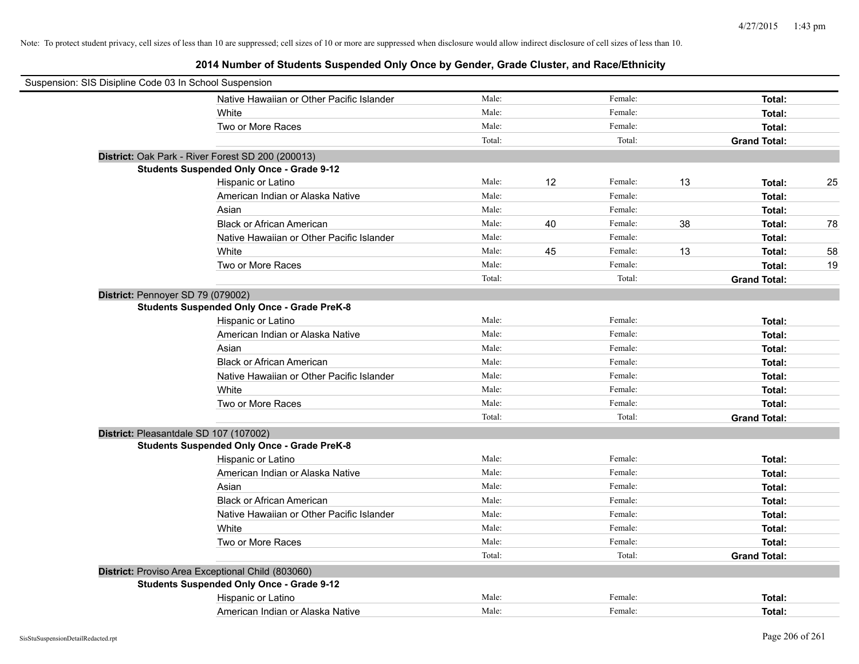| Suspension: SIS Disipline Code 03 In School Suspension |                                                    |        |    |         |    |                     |    |
|--------------------------------------------------------|----------------------------------------------------|--------|----|---------|----|---------------------|----|
|                                                        | Native Hawaiian or Other Pacific Islander          | Male:  |    | Female: |    | Total:              |    |
|                                                        | White                                              | Male:  |    | Female: |    | Total:              |    |
|                                                        | Two or More Races                                  | Male:  |    | Female: |    | Total:              |    |
|                                                        |                                                    | Total: |    | Total:  |    | <b>Grand Total:</b> |    |
|                                                        | District: Oak Park - River Forest SD 200 (200013)  |        |    |         |    |                     |    |
|                                                        | <b>Students Suspended Only Once - Grade 9-12</b>   |        |    |         |    |                     |    |
|                                                        | Hispanic or Latino                                 | Male:  | 12 | Female: | 13 | Total:              | 25 |
|                                                        | American Indian or Alaska Native                   | Male:  |    | Female: |    | Total:              |    |
|                                                        | Asian                                              | Male:  |    | Female: |    | Total:              |    |
|                                                        | <b>Black or African American</b>                   | Male:  | 40 | Female: | 38 | Total:              | 78 |
|                                                        | Native Hawaiian or Other Pacific Islander          | Male:  |    | Female: |    | Total:              |    |
|                                                        | White                                              | Male:  | 45 | Female: | 13 | Total:              | 58 |
|                                                        | Two or More Races                                  | Male:  |    | Female: |    | Total:              | 19 |
|                                                        |                                                    | Total: |    | Total:  |    | <b>Grand Total:</b> |    |
| District: Pennoyer SD 79 (079002)                      |                                                    |        |    |         |    |                     |    |
|                                                        | <b>Students Suspended Only Once - Grade PreK-8</b> |        |    |         |    |                     |    |
|                                                        | Hispanic or Latino                                 | Male:  |    | Female: |    | Total:              |    |
|                                                        | American Indian or Alaska Native                   | Male:  |    | Female: |    | Total:              |    |
|                                                        | Asian                                              | Male:  |    | Female: |    | Total:              |    |
|                                                        | <b>Black or African American</b>                   | Male:  |    | Female: |    | Total:              |    |
|                                                        | Native Hawaiian or Other Pacific Islander          | Male:  |    | Female: |    | Total:              |    |
|                                                        | White                                              | Male:  |    | Female: |    | Total:              |    |
|                                                        | Two or More Races                                  | Male:  |    | Female: |    | Total:              |    |
|                                                        |                                                    | Total: |    | Total:  |    | <b>Grand Total:</b> |    |
|                                                        | District: Pleasantdale SD 107 (107002)             |        |    |         |    |                     |    |
|                                                        | <b>Students Suspended Only Once - Grade PreK-8</b> |        |    |         |    |                     |    |
|                                                        | Hispanic or Latino                                 | Male:  |    | Female: |    | Total:              |    |
|                                                        | American Indian or Alaska Native                   | Male:  |    | Female: |    | Total:              |    |
|                                                        | Asian                                              | Male:  |    | Female: |    | Total:              |    |
|                                                        | <b>Black or African American</b>                   | Male:  |    | Female: |    | Total:              |    |
|                                                        | Native Hawaiian or Other Pacific Islander          | Male:  |    | Female: |    | Total:              |    |
|                                                        | White                                              | Male:  |    | Female: |    | Total:              |    |
|                                                        | Two or More Races                                  | Male:  |    | Female: |    | Total:              |    |
|                                                        |                                                    | Total: |    | Total:  |    | <b>Grand Total:</b> |    |
|                                                        | District: Proviso Area Exceptional Child (803060)  |        |    |         |    |                     |    |
|                                                        | <b>Students Suspended Only Once - Grade 9-12</b>   |        |    |         |    |                     |    |
|                                                        | Hispanic or Latino                                 | Male:  |    | Female: |    | Total:              |    |
|                                                        | American Indian or Alaska Native                   | Male:  |    | Female: |    | Total:              |    |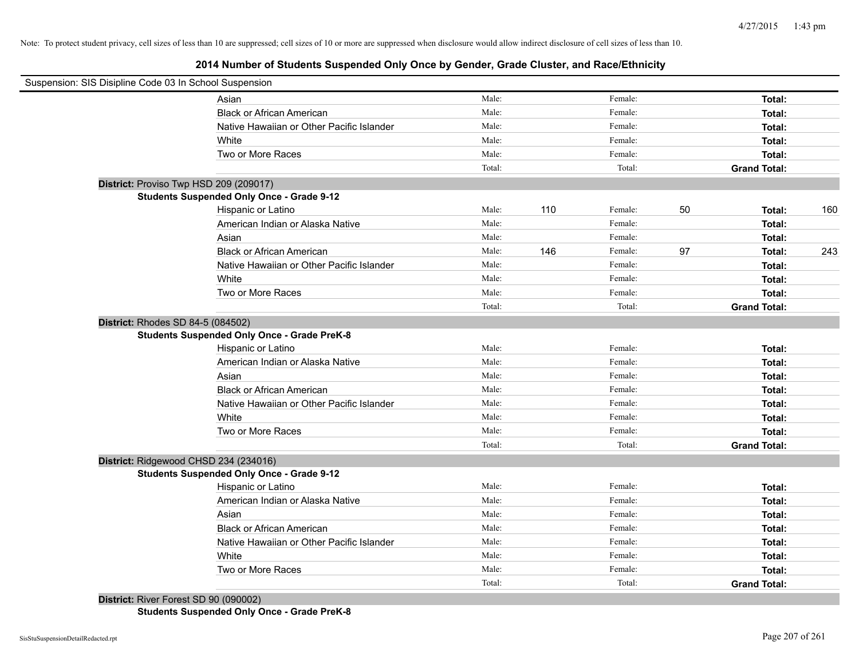| Suspension: SIS Disipline Code 03 In School Suspension |                                                    |        |     |         |    |                     |     |
|--------------------------------------------------------|----------------------------------------------------|--------|-----|---------|----|---------------------|-----|
|                                                        | Asian                                              | Male:  |     | Female: |    | Total:              |     |
|                                                        | <b>Black or African American</b>                   | Male:  |     | Female: |    | Total:              |     |
|                                                        | Native Hawaiian or Other Pacific Islander          | Male:  |     | Female: |    | Total:              |     |
|                                                        | White                                              | Male:  |     | Female: |    | Total:              |     |
|                                                        | Two or More Races                                  | Male:  |     | Female: |    | Total:              |     |
|                                                        |                                                    | Total: |     | Total:  |    | <b>Grand Total:</b> |     |
| District: Proviso Twp HSD 209 (209017)                 |                                                    |        |     |         |    |                     |     |
|                                                        | <b>Students Suspended Only Once - Grade 9-12</b>   |        |     |         |    |                     |     |
|                                                        | Hispanic or Latino                                 | Male:  | 110 | Female: | 50 | Total:              | 160 |
|                                                        | American Indian or Alaska Native                   | Male:  |     | Female: |    | Total:              |     |
|                                                        | Asian                                              | Male:  |     | Female: |    | Total:              |     |
|                                                        | <b>Black or African American</b>                   | Male:  | 146 | Female: | 97 | Total:              | 243 |
|                                                        | Native Hawaiian or Other Pacific Islander          | Male:  |     | Female: |    | Total:              |     |
|                                                        | White                                              | Male:  |     | Female: |    | Total:              |     |
|                                                        | Two or More Races                                  | Male:  |     | Female: |    | Total:              |     |
|                                                        |                                                    | Total: |     | Total:  |    | <b>Grand Total:</b> |     |
| District: Rhodes SD 84-5 (084502)                      |                                                    |        |     |         |    |                     |     |
|                                                        | <b>Students Suspended Only Once - Grade PreK-8</b> |        |     |         |    |                     |     |
|                                                        | Hispanic or Latino                                 | Male:  |     | Female: |    | Total:              |     |
|                                                        | American Indian or Alaska Native                   | Male:  |     | Female: |    | Total:              |     |
|                                                        | Asian                                              | Male:  |     | Female: |    | Total:              |     |
|                                                        | <b>Black or African American</b>                   | Male:  |     | Female: |    | Total:              |     |
|                                                        | Native Hawaiian or Other Pacific Islander          | Male:  |     | Female: |    | Total:              |     |
|                                                        | White                                              | Male:  |     | Female: |    | Total:              |     |
|                                                        | Two or More Races                                  | Male:  |     | Female: |    | Total:              |     |
|                                                        |                                                    | Total: |     | Total:  |    | <b>Grand Total:</b> |     |
| District: Ridgewood CHSD 234 (234016)                  |                                                    |        |     |         |    |                     |     |
|                                                        | <b>Students Suspended Only Once - Grade 9-12</b>   |        |     |         |    |                     |     |
|                                                        | Hispanic or Latino                                 | Male:  |     | Female: |    | Total:              |     |
|                                                        | American Indian or Alaska Native                   | Male:  |     | Female: |    | Total:              |     |
|                                                        | Asian                                              | Male:  |     | Female: |    | Total:              |     |
|                                                        | <b>Black or African American</b>                   | Male:  |     | Female: |    | Total:              |     |
|                                                        | Native Hawaiian or Other Pacific Islander          | Male:  |     | Female: |    | Total:              |     |
|                                                        | White                                              | Male:  |     | Female: |    | Total:              |     |
|                                                        | Two or More Races                                  | Male:  |     | Female: |    | Total:              |     |
|                                                        |                                                    | Total: |     | Total:  |    | <b>Grand Total:</b> |     |
| District: River Forest SD 90 (090002)                  |                                                    |        |     |         |    |                     |     |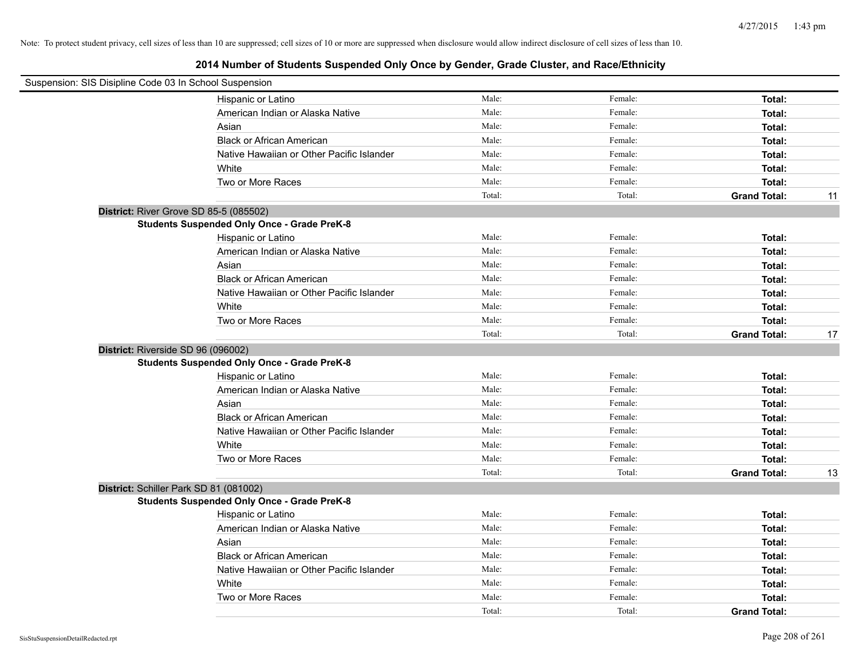| Suspension: SIS Disipline Code 03 In School Suspension |                                                    |        |         |                     |    |
|--------------------------------------------------------|----------------------------------------------------|--------|---------|---------------------|----|
|                                                        | Hispanic or Latino                                 | Male:  | Female: | Total:              |    |
|                                                        | American Indian or Alaska Native                   | Male:  | Female: | Total:              |    |
|                                                        | Asian                                              | Male:  | Female: | Total:              |    |
|                                                        | <b>Black or African American</b>                   | Male:  | Female: | Total:              |    |
|                                                        | Native Hawaiian or Other Pacific Islander          | Male:  | Female: | Total:              |    |
|                                                        | White                                              | Male:  | Female: | Total:              |    |
|                                                        | Two or More Races                                  | Male:  | Female: | Total:              |    |
|                                                        |                                                    | Total: | Total:  | <b>Grand Total:</b> | 11 |
|                                                        | District: River Grove SD 85-5 (085502)             |        |         |                     |    |
|                                                        | <b>Students Suspended Only Once - Grade PreK-8</b> |        |         |                     |    |
|                                                        | Hispanic or Latino                                 | Male:  | Female: | Total:              |    |
|                                                        | American Indian or Alaska Native                   | Male:  | Female: | Total:              |    |
|                                                        | Asian                                              | Male:  | Female: | Total:              |    |
|                                                        | <b>Black or African American</b>                   | Male:  | Female: | Total:              |    |
|                                                        | Native Hawaiian or Other Pacific Islander          | Male:  | Female: | Total:              |    |
|                                                        | White                                              | Male:  | Female: | Total:              |    |
|                                                        | Two or More Races                                  | Male:  | Female: | Total:              |    |
|                                                        |                                                    | Total: | Total:  | <b>Grand Total:</b> | 17 |
| District: Riverside SD 96 (096002)                     |                                                    |        |         |                     |    |
|                                                        | <b>Students Suspended Only Once - Grade PreK-8</b> |        |         |                     |    |
|                                                        | Hispanic or Latino                                 | Male:  | Female: | Total:              |    |
|                                                        | American Indian or Alaska Native                   | Male:  | Female: | Total:              |    |
|                                                        | Asian                                              | Male:  | Female: | Total:              |    |
|                                                        | <b>Black or African American</b>                   | Male:  | Female: | Total:              |    |
|                                                        | Native Hawaiian or Other Pacific Islander          | Male:  | Female: | Total:              |    |
|                                                        | White                                              | Male:  | Female: | Total:              |    |
|                                                        | Two or More Races                                  | Male:  | Female: | Total:              |    |
|                                                        |                                                    | Total: | Total:  | <b>Grand Total:</b> | 13 |
|                                                        | District: Schiller Park SD 81 (081002)             |        |         |                     |    |
|                                                        | <b>Students Suspended Only Once - Grade PreK-8</b> |        |         |                     |    |
|                                                        | Hispanic or Latino                                 | Male:  | Female: | Total:              |    |
|                                                        | American Indian or Alaska Native                   | Male:  | Female: | Total:              |    |
|                                                        | Asian                                              | Male:  | Female: | Total:              |    |
|                                                        | <b>Black or African American</b>                   | Male:  | Female: | Total:              |    |
|                                                        | Native Hawaiian or Other Pacific Islander          | Male:  | Female: | Total:              |    |
|                                                        | White                                              | Male:  | Female: | Total:              |    |
|                                                        | Two or More Races                                  | Male:  | Female: | Total:              |    |
|                                                        |                                                    | Total: | Total:  | <b>Grand Total:</b> |    |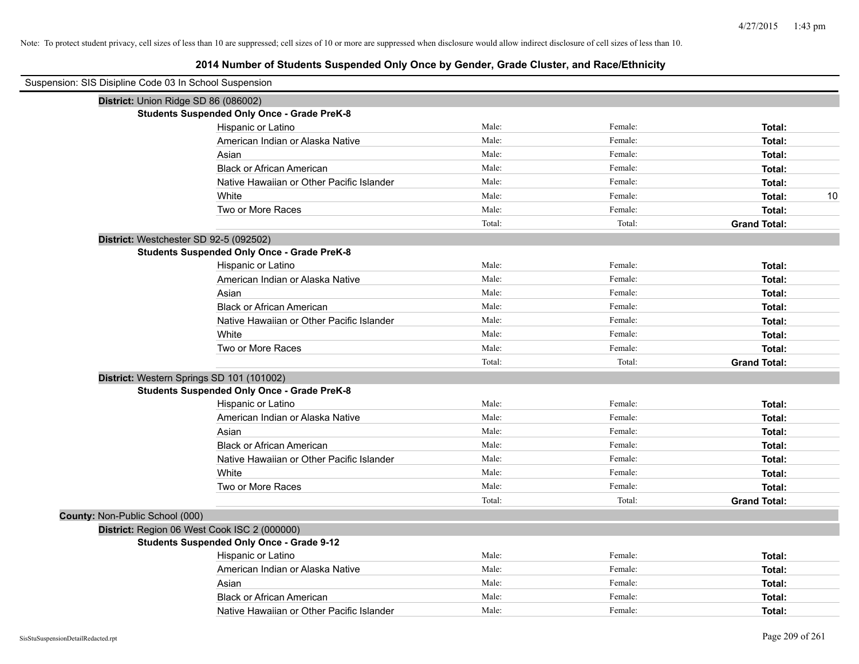| Suspension: SIS Disipline Code 03 In School Suspension |                                                    |        |         |                     |
|--------------------------------------------------------|----------------------------------------------------|--------|---------|---------------------|
|                                                        | District: Union Ridge SD 86 (086002)               |        |         |                     |
|                                                        | <b>Students Suspended Only Once - Grade PreK-8</b> |        |         |                     |
|                                                        | Hispanic or Latino                                 | Male:  | Female: | Total:              |
|                                                        | American Indian or Alaska Native                   | Male:  | Female: | Total:              |
|                                                        | Asian                                              | Male:  | Female: | Total:              |
|                                                        | <b>Black or African American</b>                   | Male:  | Female: | Total:              |
|                                                        | Native Hawaiian or Other Pacific Islander          | Male:  | Female: | Total:              |
|                                                        | White                                              | Male:  | Female: | 10<br>Total:        |
|                                                        | Two or More Races                                  | Male:  | Female: | Total:              |
|                                                        |                                                    | Total: | Total:  | <b>Grand Total:</b> |
|                                                        | District: Westchester SD 92-5 (092502)             |        |         |                     |
|                                                        | <b>Students Suspended Only Once - Grade PreK-8</b> |        |         |                     |
|                                                        | Hispanic or Latino                                 | Male:  | Female: | Total:              |
|                                                        | American Indian or Alaska Native                   | Male:  | Female: | Total:              |
|                                                        | Asian                                              | Male:  | Female: | Total:              |
|                                                        | <b>Black or African American</b>                   | Male:  | Female: | Total:              |
|                                                        | Native Hawaiian or Other Pacific Islander          | Male:  | Female: | Total:              |
|                                                        | White                                              | Male:  | Female: | Total:              |
|                                                        | Two or More Races                                  | Male:  | Female: | Total:              |
|                                                        |                                                    | Total: | Total:  | <b>Grand Total:</b> |
|                                                        | District: Western Springs SD 101 (101002)          |        |         |                     |
|                                                        | <b>Students Suspended Only Once - Grade PreK-8</b> |        |         |                     |
|                                                        | Hispanic or Latino                                 | Male:  | Female: | Total:              |
|                                                        | American Indian or Alaska Native                   | Male:  | Female: | Total:              |
|                                                        | Asian                                              | Male:  | Female: | Total:              |
|                                                        | <b>Black or African American</b>                   | Male:  | Female: | Total:              |
|                                                        | Native Hawaiian or Other Pacific Islander          | Male:  | Female: | Total:              |
|                                                        | White                                              | Male:  | Female: | Total:              |
|                                                        | Two or More Races                                  | Male:  | Female: | Total:              |
|                                                        |                                                    | Total: | Total:  | <b>Grand Total:</b> |
| County: Non-Public School (000)                        |                                                    |        |         |                     |
|                                                        | District: Region 06 West Cook ISC 2 (000000)       |        |         |                     |
|                                                        | <b>Students Suspended Only Once - Grade 9-12</b>   |        |         |                     |
|                                                        | Hispanic or Latino                                 | Male:  | Female: | Total:              |
|                                                        | American Indian or Alaska Native                   | Male:  | Female: | Total:              |
|                                                        | Asian                                              | Male:  | Female: | Total:              |
|                                                        | <b>Black or African American</b>                   | Male:  | Female: | Total:              |
|                                                        | Native Hawaiian or Other Pacific Islander          | Male:  | Female: | Total:              |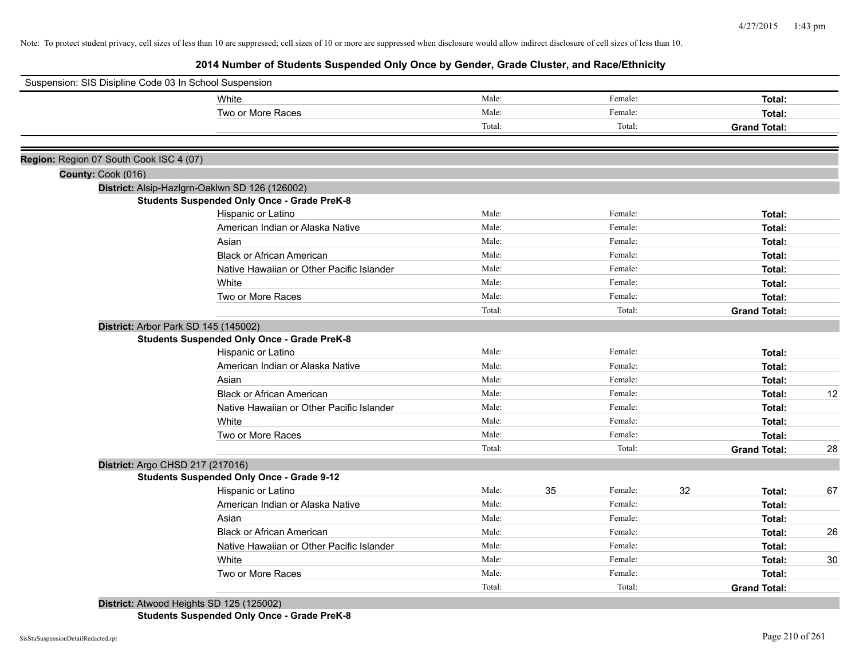**2014 Number of Students Suspended Only Once by Gender, Grade Cluster, and Race/Ethnicity**

| Suspension: SIS Disipline Code 03 In School Suspension |                                                    |        |    |         |    |                     |    |
|--------------------------------------------------------|----------------------------------------------------|--------|----|---------|----|---------------------|----|
|                                                        | White                                              | Male:  |    | Female: |    | Total:              |    |
|                                                        | Two or More Races                                  | Male:  |    | Female: |    | Total:              |    |
|                                                        |                                                    | Total: |    | Total:  |    | <b>Grand Total:</b> |    |
| Region: Region 07 South Cook ISC 4 (07)                |                                                    |        |    |         |    |                     |    |
| County: Cook (016)                                     |                                                    |        |    |         |    |                     |    |
|                                                        | District: Alsip-Hazlgrn-Oaklwn SD 126 (126002)     |        |    |         |    |                     |    |
|                                                        | <b>Students Suspended Only Once - Grade PreK-8</b> |        |    |         |    |                     |    |
|                                                        | Hispanic or Latino                                 | Male:  |    | Female: |    | Total:              |    |
|                                                        | American Indian or Alaska Native                   | Male:  |    | Female: |    | Total:              |    |
|                                                        | Asian                                              | Male:  |    | Female: |    | Total:              |    |
|                                                        | <b>Black or African American</b>                   | Male:  |    | Female: |    | Total:              |    |
|                                                        | Native Hawaiian or Other Pacific Islander          | Male:  |    | Female: |    | Total:              |    |
|                                                        | White                                              | Male:  |    | Female: |    | Total:              |    |
|                                                        | Two or More Races                                  | Male:  |    | Female: |    | Total:              |    |
|                                                        |                                                    | Total: |    | Total:  |    | <b>Grand Total:</b> |    |
| District: Arbor Park SD 145 (145002)                   |                                                    |        |    |         |    |                     |    |
|                                                        | <b>Students Suspended Only Once - Grade PreK-8</b> |        |    |         |    |                     |    |
|                                                        | Hispanic or Latino                                 | Male:  |    | Female: |    | Total:              |    |
|                                                        | American Indian or Alaska Native                   | Male:  |    | Female: |    | Total:              |    |
|                                                        | Asian                                              | Male:  |    | Female: |    | Total:              |    |
|                                                        | <b>Black or African American</b>                   | Male:  |    | Female: |    | Total:              | 12 |
|                                                        | Native Hawaiian or Other Pacific Islander          | Male:  |    | Female: |    | Total:              |    |
|                                                        | White                                              | Male:  |    | Female: |    | Total:              |    |
|                                                        | Two or More Races                                  | Male:  |    | Female: |    | Total:              |    |
|                                                        |                                                    | Total: |    | Total:  |    | <b>Grand Total:</b> | 28 |
| District: Argo CHSD 217 (217016)                       |                                                    |        |    |         |    |                     |    |
|                                                        | <b>Students Suspended Only Once - Grade 9-12</b>   |        |    |         |    |                     |    |
|                                                        | Hispanic or Latino                                 | Male:  | 35 | Female: | 32 | Total:              | 67 |
|                                                        | American Indian or Alaska Native                   | Male:  |    | Female: |    | Total:              |    |
|                                                        | Asian                                              | Male:  |    | Female: |    | Total:              |    |
|                                                        | <b>Black or African American</b>                   | Male:  |    | Female: |    | Total:              | 26 |
|                                                        | Native Hawaiian or Other Pacific Islander          | Male:  |    | Female: |    | Total:              |    |
|                                                        | White                                              | Male:  |    | Female: |    | Total:              | 30 |
|                                                        | Two or More Races                                  | Male:  |    | Female: |    | Total:              |    |
|                                                        |                                                    | Total: |    | Total:  |    | <b>Grand Total:</b> |    |

**Students Suspended Only Once - Grade PreK-8**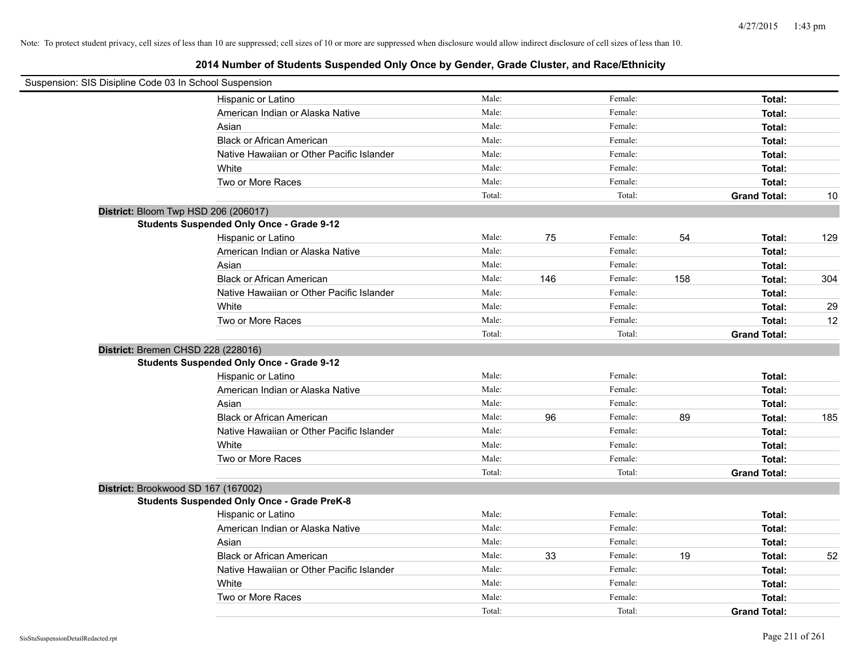| Suspension: SIS Disipline Code 03 In School Suspension |                                                    |        |     |         |     |                     |     |
|--------------------------------------------------------|----------------------------------------------------|--------|-----|---------|-----|---------------------|-----|
|                                                        | Hispanic or Latino                                 | Male:  |     | Female: |     | Total:              |     |
|                                                        | American Indian or Alaska Native                   | Male:  |     | Female: |     | Total:              |     |
|                                                        | Asian                                              | Male:  |     | Female: |     | Total:              |     |
|                                                        | <b>Black or African American</b>                   | Male:  |     | Female: |     | Total:              |     |
|                                                        | Native Hawaiian or Other Pacific Islander          | Male:  |     | Female: |     | Total:              |     |
|                                                        | White                                              | Male:  |     | Female: |     | Total:              |     |
|                                                        | Two or More Races                                  | Male:  |     | Female: |     | Total:              |     |
|                                                        |                                                    | Total: |     | Total:  |     | <b>Grand Total:</b> | 10  |
| District: Bloom Twp HSD 206 (206017)                   |                                                    |        |     |         |     |                     |     |
|                                                        | <b>Students Suspended Only Once - Grade 9-12</b>   |        |     |         |     |                     |     |
|                                                        | Hispanic or Latino                                 | Male:  | 75  | Female: | 54  | Total:              | 129 |
|                                                        | American Indian or Alaska Native                   | Male:  |     | Female: |     | Total:              |     |
|                                                        | Asian                                              | Male:  |     | Female: |     | Total:              |     |
|                                                        | <b>Black or African American</b>                   | Male:  | 146 | Female: | 158 | Total:              | 304 |
|                                                        | Native Hawaiian or Other Pacific Islander          | Male:  |     | Female: |     | Total:              |     |
|                                                        | White                                              | Male:  |     | Female: |     | Total:              | 29  |
|                                                        | Two or More Races                                  | Male:  |     | Female: |     | Total:              | 12  |
|                                                        |                                                    | Total: |     | Total:  |     | <b>Grand Total:</b> |     |
| District: Bremen CHSD 228 (228016)                     |                                                    |        |     |         |     |                     |     |
|                                                        | <b>Students Suspended Only Once - Grade 9-12</b>   |        |     |         |     |                     |     |
|                                                        | Hispanic or Latino                                 | Male:  |     | Female: |     | Total:              |     |
|                                                        | American Indian or Alaska Native                   | Male:  |     | Female: |     | Total:              |     |
|                                                        | Asian                                              | Male:  |     | Female: |     | Total:              |     |
|                                                        | <b>Black or African American</b>                   | Male:  | 96  | Female: | 89  | Total:              | 185 |
|                                                        | Native Hawaiian or Other Pacific Islander          | Male:  |     | Female: |     | Total:              |     |
|                                                        | White                                              | Male:  |     | Female: |     | Total:              |     |
|                                                        | Two or More Races                                  | Male:  |     | Female: |     | Total:              |     |
|                                                        |                                                    | Total: |     | Total:  |     | <b>Grand Total:</b> |     |
| District: Brookwood SD 167 (167002)                    |                                                    |        |     |         |     |                     |     |
|                                                        | <b>Students Suspended Only Once - Grade PreK-8</b> |        |     |         |     |                     |     |
|                                                        | Hispanic or Latino                                 | Male:  |     | Female: |     | Total:              |     |
|                                                        | American Indian or Alaska Native                   | Male:  |     | Female: |     | Total:              |     |
|                                                        | Asian                                              | Male:  |     | Female: |     | Total:              |     |
|                                                        | <b>Black or African American</b>                   | Male:  | 33  | Female: | 19  | Total:              | 52  |
|                                                        | Native Hawaiian or Other Pacific Islander          | Male:  |     | Female: |     | Total:              |     |
|                                                        | White                                              | Male:  |     | Female: |     | Total:              |     |
|                                                        | Two or More Races                                  | Male:  |     | Female: |     | Total:              |     |
|                                                        |                                                    | Total: |     | Total:  |     | <b>Grand Total:</b> |     |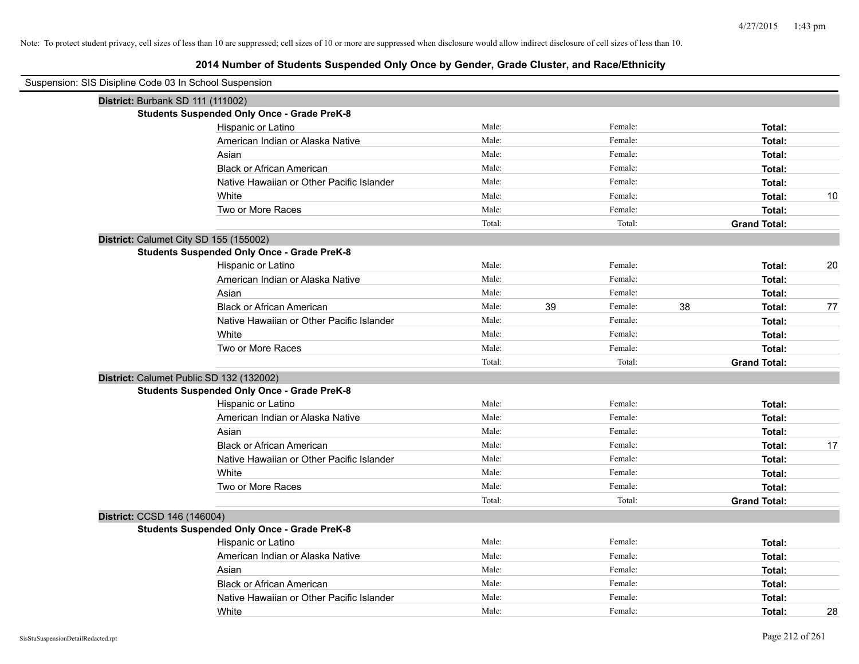| Suspension: SIS Disipline Code 03 In School Suspension |                                                    |        |    |         |    |                     |    |
|--------------------------------------------------------|----------------------------------------------------|--------|----|---------|----|---------------------|----|
| District: Burbank SD 111 (111002)                      |                                                    |        |    |         |    |                     |    |
|                                                        | <b>Students Suspended Only Once - Grade PreK-8</b> |        |    |         |    |                     |    |
|                                                        | Hispanic or Latino                                 | Male:  |    | Female: |    | Total:              |    |
|                                                        | American Indian or Alaska Native                   | Male:  |    | Female: |    | Total:              |    |
|                                                        | Asian                                              | Male:  |    | Female: |    | Total:              |    |
|                                                        | <b>Black or African American</b>                   | Male:  |    | Female: |    | Total:              |    |
|                                                        | Native Hawaiian or Other Pacific Islander          | Male:  |    | Female: |    | Total:              |    |
|                                                        | White                                              | Male:  |    | Female: |    | Total:              | 10 |
|                                                        | Two or More Races                                  | Male:  |    | Female: |    | Total:              |    |
|                                                        |                                                    | Total: |    | Total:  |    | <b>Grand Total:</b> |    |
| District: Calumet City SD 155 (155002)                 |                                                    |        |    |         |    |                     |    |
|                                                        | <b>Students Suspended Only Once - Grade PreK-8</b> |        |    |         |    |                     |    |
|                                                        | Hispanic or Latino                                 | Male:  |    | Female: |    | Total:              | 20 |
|                                                        | American Indian or Alaska Native                   | Male:  |    | Female: |    | Total:              |    |
|                                                        | Asian                                              | Male:  |    | Female: |    | Total:              |    |
|                                                        | <b>Black or African American</b>                   | Male:  | 39 | Female: | 38 | Total:              | 77 |
|                                                        | Native Hawaiian or Other Pacific Islander          | Male:  |    | Female: |    | Total:              |    |
|                                                        | White                                              | Male:  |    | Female: |    | Total:              |    |
|                                                        | Two or More Races                                  | Male:  |    | Female: |    | Total:              |    |
|                                                        |                                                    | Total: |    | Total:  |    | <b>Grand Total:</b> |    |
| District: Calumet Public SD 132 (132002)               |                                                    |        |    |         |    |                     |    |
|                                                        | <b>Students Suspended Only Once - Grade PreK-8</b> |        |    |         |    |                     |    |
|                                                        | Hispanic or Latino                                 | Male:  |    | Female: |    | Total:              |    |
|                                                        | American Indian or Alaska Native                   | Male:  |    | Female: |    | Total:              |    |
|                                                        | Asian                                              | Male:  |    | Female: |    | Total:              |    |
|                                                        | <b>Black or African American</b>                   | Male:  |    | Female: |    | Total:              | 17 |
|                                                        | Native Hawaiian or Other Pacific Islander          | Male:  |    | Female: |    | Total:              |    |
|                                                        | White                                              | Male:  |    | Female: |    | Total:              |    |
|                                                        | Two or More Races                                  | Male:  |    | Female: |    | Total:              |    |
|                                                        |                                                    | Total: |    | Total:  |    | <b>Grand Total:</b> |    |
| District: CCSD 146 (146004)                            |                                                    |        |    |         |    |                     |    |
|                                                        | <b>Students Suspended Only Once - Grade PreK-8</b> |        |    |         |    |                     |    |
|                                                        | Hispanic or Latino                                 | Male:  |    | Female: |    | Total:              |    |
|                                                        | American Indian or Alaska Native                   | Male:  |    | Female: |    | Total:              |    |
|                                                        | Asian                                              | Male:  |    | Female: |    | Total:              |    |
|                                                        | <b>Black or African American</b>                   | Male:  |    | Female: |    | Total:              |    |
|                                                        | Native Hawaiian or Other Pacific Islander          | Male:  |    | Female: |    | Total:              |    |
|                                                        | White                                              | Male:  |    | Female: |    | Total:              | 28 |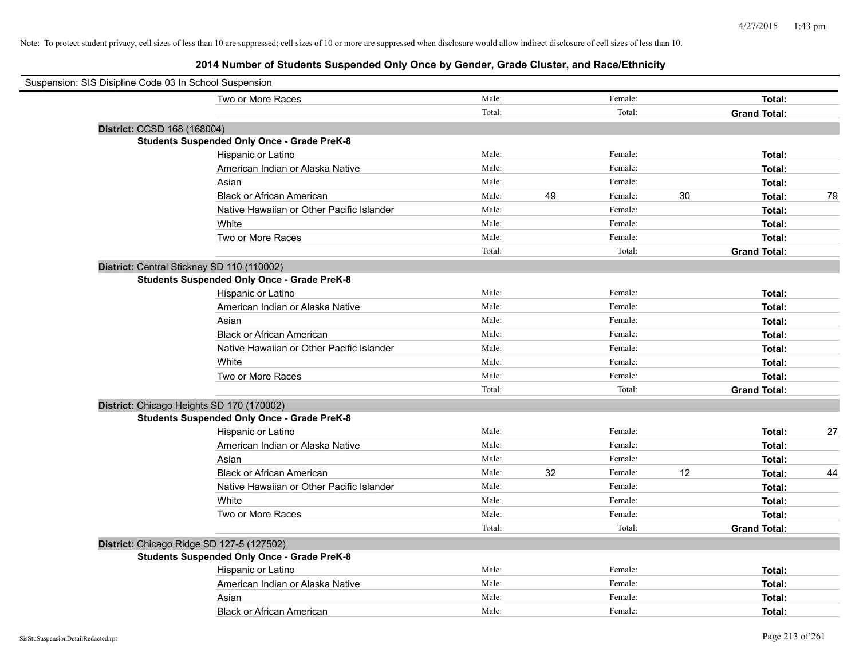| Suspension: SIS Disipline Code 03 In School Suspension |                                                    |        |    |         |    |                     |    |
|--------------------------------------------------------|----------------------------------------------------|--------|----|---------|----|---------------------|----|
|                                                        | Two or More Races                                  | Male:  |    | Female: |    | Total:              |    |
|                                                        |                                                    | Total: |    | Total:  |    | <b>Grand Total:</b> |    |
| District: CCSD 168 (168004)                            |                                                    |        |    |         |    |                     |    |
|                                                        | <b>Students Suspended Only Once - Grade PreK-8</b> |        |    |         |    |                     |    |
|                                                        | Hispanic or Latino                                 | Male:  |    | Female: |    | Total:              |    |
|                                                        | American Indian or Alaska Native                   | Male:  |    | Female: |    | Total:              |    |
|                                                        | Asian                                              | Male:  |    | Female: |    | Total:              |    |
|                                                        | <b>Black or African American</b>                   | Male:  | 49 | Female: | 30 | Total:              | 79 |
|                                                        | Native Hawaiian or Other Pacific Islander          | Male:  |    | Female: |    | Total:              |    |
|                                                        | White                                              | Male:  |    | Female: |    | Total:              |    |
|                                                        | Two or More Races                                  | Male:  |    | Female: |    | Total:              |    |
|                                                        |                                                    | Total: |    | Total:  |    | <b>Grand Total:</b> |    |
| District: Central Stickney SD 110 (110002)             |                                                    |        |    |         |    |                     |    |
|                                                        | <b>Students Suspended Only Once - Grade PreK-8</b> |        |    |         |    |                     |    |
|                                                        | Hispanic or Latino                                 | Male:  |    | Female: |    | Total:              |    |
|                                                        | American Indian or Alaska Native                   | Male:  |    | Female: |    | Total:              |    |
|                                                        | Asian                                              | Male:  |    | Female: |    | Total:              |    |
|                                                        | <b>Black or African American</b>                   | Male:  |    | Female: |    | Total:              |    |
|                                                        | Native Hawaiian or Other Pacific Islander          | Male:  |    | Female: |    | Total:              |    |
|                                                        | White                                              | Male:  |    | Female: |    | Total:              |    |
|                                                        | Two or More Races                                  | Male:  |    | Female: |    | Total:              |    |
|                                                        |                                                    | Total: |    | Total:  |    | <b>Grand Total:</b> |    |
| District: Chicago Heights SD 170 (170002)              |                                                    |        |    |         |    |                     |    |
|                                                        | <b>Students Suspended Only Once - Grade PreK-8</b> |        |    |         |    |                     |    |
|                                                        | Hispanic or Latino                                 | Male:  |    | Female: |    | Total:              | 27 |
|                                                        | American Indian or Alaska Native                   | Male:  |    | Female: |    | Total:              |    |
|                                                        | Asian                                              | Male:  |    | Female: |    | Total:              |    |
|                                                        | <b>Black or African American</b>                   | Male:  | 32 | Female: | 12 | Total:              | 44 |
|                                                        | Native Hawaiian or Other Pacific Islander          | Male:  |    | Female: |    | Total:              |    |
|                                                        | White                                              | Male:  |    | Female: |    | Total:              |    |
|                                                        | Two or More Races                                  | Male:  |    | Female: |    | Total:              |    |
|                                                        |                                                    | Total: |    | Total:  |    | <b>Grand Total:</b> |    |
| District: Chicago Ridge SD 127-5 (127502)              |                                                    |        |    |         |    |                     |    |
|                                                        | <b>Students Suspended Only Once - Grade PreK-8</b> |        |    |         |    |                     |    |
|                                                        | Hispanic or Latino                                 | Male:  |    | Female: |    | Total:              |    |
|                                                        | American Indian or Alaska Native                   | Male:  |    | Female: |    | Total:              |    |
|                                                        | Asian                                              | Male:  |    | Female: |    | Total:              |    |
|                                                        | <b>Black or African American</b>                   | Male:  |    | Female: |    | Total:              |    |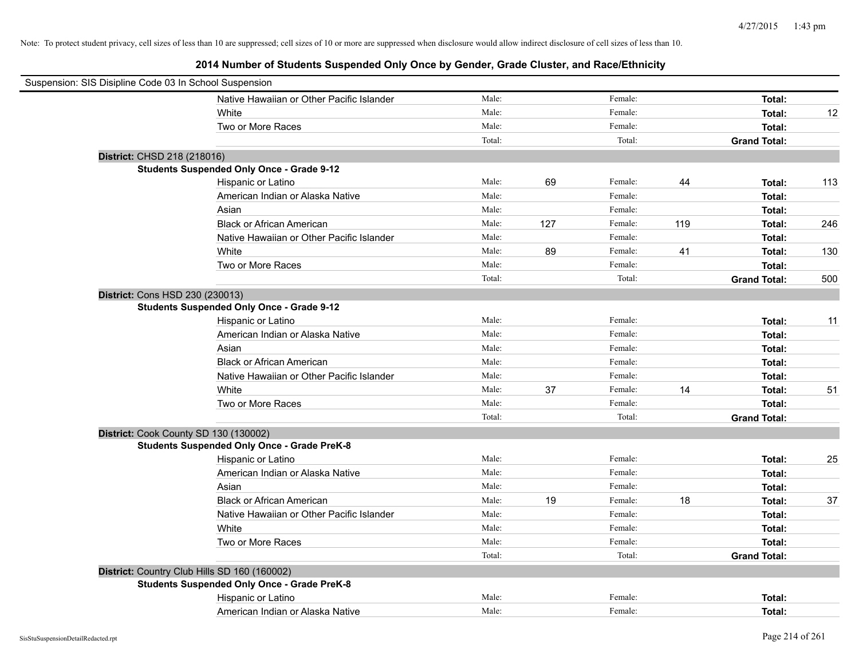| Suspension: SIS Disipline Code 03 In School Suspension |                                                    |        |     |         |     |                     |     |
|--------------------------------------------------------|----------------------------------------------------|--------|-----|---------|-----|---------------------|-----|
|                                                        | Native Hawaiian or Other Pacific Islander          | Male:  |     | Female: |     | Total:              |     |
|                                                        | White                                              | Male:  |     | Female: |     | Total:              | 12  |
|                                                        | Two or More Races                                  | Male:  |     | Female: |     | Total:              |     |
|                                                        |                                                    | Total: |     | Total:  |     | <b>Grand Total:</b> |     |
| District: CHSD 218 (218016)                            |                                                    |        |     |         |     |                     |     |
|                                                        | <b>Students Suspended Only Once - Grade 9-12</b>   |        |     |         |     |                     |     |
|                                                        | Hispanic or Latino                                 | Male:  | 69  | Female: | 44  | Total:              | 113 |
|                                                        | American Indian or Alaska Native                   | Male:  |     | Female: |     | Total:              |     |
|                                                        | Asian                                              | Male:  |     | Female: |     | Total:              |     |
|                                                        | <b>Black or African American</b>                   | Male:  | 127 | Female: | 119 | Total:              | 246 |
|                                                        | Native Hawaiian or Other Pacific Islander          | Male:  |     | Female: |     | Total:              |     |
|                                                        | White                                              | Male:  | 89  | Female: | 41  | Total:              | 130 |
|                                                        | Two or More Races                                  | Male:  |     | Female: |     | Total:              |     |
|                                                        |                                                    | Total: |     | Total:  |     | <b>Grand Total:</b> | 500 |
| District: Cons HSD 230 (230013)                        |                                                    |        |     |         |     |                     |     |
|                                                        | <b>Students Suspended Only Once - Grade 9-12</b>   |        |     |         |     |                     |     |
|                                                        | Hispanic or Latino                                 | Male:  |     | Female: |     | Total:              | 11  |
|                                                        | American Indian or Alaska Native                   | Male:  |     | Female: |     | Total:              |     |
|                                                        | Asian                                              | Male:  |     | Female: |     | Total:              |     |
|                                                        | <b>Black or African American</b>                   | Male:  |     | Female: |     | Total:              |     |
|                                                        | Native Hawaiian or Other Pacific Islander          | Male:  |     | Female: |     | Total:              |     |
|                                                        | White                                              | Male:  | 37  | Female: | 14  | Total:              | 51  |
|                                                        | Two or More Races                                  | Male:  |     | Female: |     | Total:              |     |
|                                                        |                                                    | Total: |     | Total:  |     | <b>Grand Total:</b> |     |
|                                                        | District: Cook County SD 130 (130002)              |        |     |         |     |                     |     |
|                                                        | <b>Students Suspended Only Once - Grade PreK-8</b> |        |     |         |     |                     |     |
|                                                        | Hispanic or Latino                                 | Male:  |     | Female: |     | Total:              | 25  |
|                                                        | American Indian or Alaska Native                   | Male:  |     | Female: |     | Total:              |     |
|                                                        | Asian                                              | Male:  |     | Female: |     | Total:              |     |
|                                                        | <b>Black or African American</b>                   | Male:  | 19  | Female: | 18  | Total:              | 37  |
|                                                        | Native Hawaiian or Other Pacific Islander          | Male:  |     | Female: |     | Total:              |     |
|                                                        | White                                              | Male:  |     | Female: |     | Total:              |     |
|                                                        | Two or More Races                                  | Male:  |     | Female: |     | Total:              |     |
|                                                        |                                                    | Total: |     | Total:  |     | <b>Grand Total:</b> |     |
|                                                        | District: Country Club Hills SD 160 (160002)       |        |     |         |     |                     |     |
|                                                        | <b>Students Suspended Only Once - Grade PreK-8</b> |        |     |         |     |                     |     |
|                                                        | Hispanic or Latino                                 | Male:  |     | Female: |     | Total:              |     |
|                                                        | American Indian or Alaska Native                   | Male:  |     | Female: |     | Total:              |     |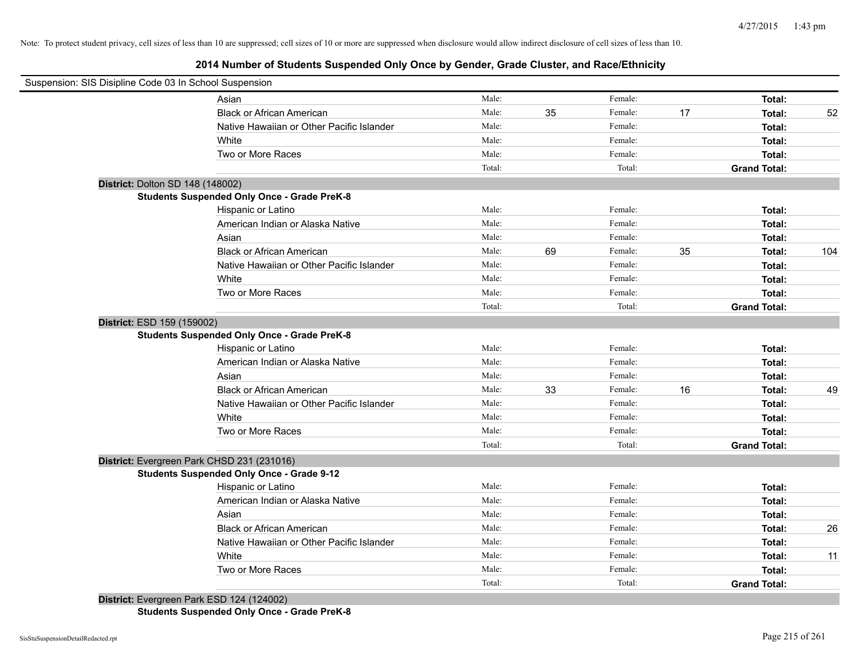# **2014 Number of Students Suspended Only Once by Gender, Grade Cluster, and Race/Ethnicity**

|                                  | Suspension: SIS Disipline Code 03 In School Suspension |        |    |         |    |                     |     |
|----------------------------------|--------------------------------------------------------|--------|----|---------|----|---------------------|-----|
|                                  | Asian                                                  | Male:  |    | Female: |    | Total:              |     |
|                                  | <b>Black or African American</b>                       | Male:  | 35 | Female: | 17 | Total:              | 52  |
|                                  | Native Hawaiian or Other Pacific Islander              | Male:  |    | Female: |    | Total:              |     |
|                                  | White                                                  | Male:  |    | Female: |    | Total:              |     |
|                                  | Two or More Races                                      | Male:  |    | Female: |    | Total:              |     |
|                                  |                                                        | Total: |    | Total:  |    | <b>Grand Total:</b> |     |
| District: Dolton SD 148 (148002) |                                                        |        |    |         |    |                     |     |
|                                  | <b>Students Suspended Only Once - Grade PreK-8</b>     |        |    |         |    |                     |     |
|                                  | Hispanic or Latino                                     | Male:  |    | Female: |    | Total:              |     |
|                                  | American Indian or Alaska Native                       | Male:  |    | Female: |    | Total:              |     |
|                                  | Asian                                                  | Male:  |    | Female: |    | Total:              |     |
|                                  | <b>Black or African American</b>                       | Male:  | 69 | Female: | 35 | Total:              | 104 |
|                                  | Native Hawaiian or Other Pacific Islander              | Male:  |    | Female: |    | Total:              |     |
|                                  | White                                                  | Male:  |    | Female: |    | Total:              |     |
|                                  | Two or More Races                                      | Male:  |    | Female: |    | Total:              |     |
|                                  |                                                        | Total: |    | Total:  |    | <b>Grand Total:</b> |     |
| District: ESD 159 (159002)       |                                                        |        |    |         |    |                     |     |
|                                  | <b>Students Suspended Only Once - Grade PreK-8</b>     |        |    |         |    |                     |     |
|                                  | Hispanic or Latino                                     | Male:  |    | Female: |    | Total:              |     |
|                                  | American Indian or Alaska Native                       | Male:  |    | Female: |    | Total:              |     |
|                                  | Asian                                                  | Male:  |    | Female: |    | Total:              |     |
|                                  | <b>Black or African American</b>                       | Male:  | 33 | Female: | 16 | Total:              | 49  |
|                                  | Native Hawaiian or Other Pacific Islander              | Male:  |    | Female: |    | Total:              |     |
|                                  | White                                                  | Male:  |    | Female: |    | Total:              |     |
|                                  | Two or More Races                                      | Male:  |    | Female: |    | Total:              |     |
|                                  |                                                        | Total: |    | Total:  |    | <b>Grand Total:</b> |     |
|                                  | District: Evergreen Park CHSD 231 (231016)             |        |    |         |    |                     |     |
|                                  | <b>Students Suspended Only Once - Grade 9-12</b>       |        |    |         |    |                     |     |
|                                  | Hispanic or Latino                                     | Male:  |    | Female: |    | Total:              |     |
|                                  | American Indian or Alaska Native                       | Male:  |    | Female: |    | Total:              |     |
|                                  | Asian                                                  | Male:  |    | Female: |    | Total:              |     |
|                                  | <b>Black or African American</b>                       | Male:  |    | Female: |    | Total:              | 26  |
|                                  | Native Hawaiian or Other Pacific Islander              | Male:  |    | Female: |    | Total:              |     |
|                                  | White                                                  | Male:  |    | Female: |    | Total:              | 11  |
|                                  | Two or More Races                                      | Male:  |    | Female: |    | Total:              |     |
|                                  |                                                        | Total: |    | Total:  |    | <b>Grand Total:</b> |     |
|                                  | District: Evergreen Park ESD 124 (124002)              |        |    |         |    |                     |     |

**Students Suspended Only Once - Grade PreK-8**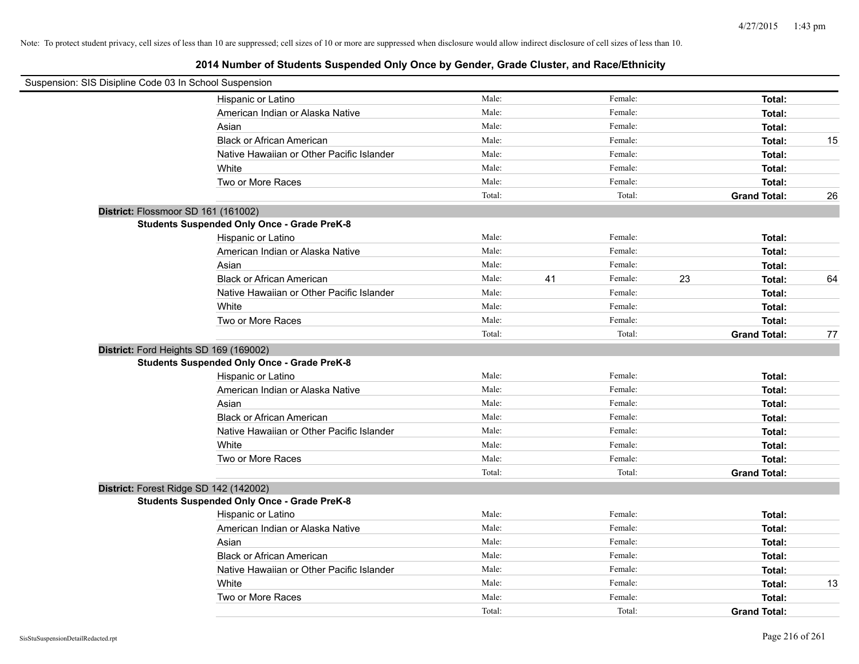| Suspension: SIS Disipline Code 03 In School Suspension |                                                    |        |    |         |    |                     |    |
|--------------------------------------------------------|----------------------------------------------------|--------|----|---------|----|---------------------|----|
|                                                        | Hispanic or Latino                                 | Male:  |    | Female: |    | Total:              |    |
|                                                        | American Indian or Alaska Native                   | Male:  |    | Female: |    | Total:              |    |
|                                                        | Asian                                              | Male:  |    | Female: |    | Total:              |    |
|                                                        | <b>Black or African American</b>                   | Male:  |    | Female: |    | Total:              | 15 |
|                                                        | Native Hawaiian or Other Pacific Islander          | Male:  |    | Female: |    | Total:              |    |
|                                                        | White                                              | Male:  |    | Female: |    | Total:              |    |
|                                                        | Two or More Races                                  | Male:  |    | Female: |    | Total:              |    |
|                                                        |                                                    | Total: |    | Total:  |    | <b>Grand Total:</b> | 26 |
| District: Flossmoor SD 161 (161002)                    |                                                    |        |    |         |    |                     |    |
|                                                        | <b>Students Suspended Only Once - Grade PreK-8</b> |        |    |         |    |                     |    |
|                                                        | Hispanic or Latino                                 | Male:  |    | Female: |    | Total:              |    |
|                                                        | American Indian or Alaska Native                   | Male:  |    | Female: |    | Total:              |    |
|                                                        | Asian                                              | Male:  |    | Female: |    | Total:              |    |
|                                                        | <b>Black or African American</b>                   | Male:  | 41 | Female: | 23 | Total:              | 64 |
|                                                        | Native Hawaiian or Other Pacific Islander          | Male:  |    | Female: |    | Total:              |    |
|                                                        | White                                              | Male:  |    | Female: |    | Total:              |    |
|                                                        | Two or More Races                                  | Male:  |    | Female: |    | Total:              |    |
|                                                        |                                                    | Total: |    | Total:  |    | <b>Grand Total:</b> | 77 |
| District: Ford Heights SD 169 (169002)                 |                                                    |        |    |         |    |                     |    |
|                                                        | <b>Students Suspended Only Once - Grade PreK-8</b> |        |    |         |    |                     |    |
|                                                        | Hispanic or Latino                                 | Male:  |    | Female: |    | Total:              |    |
|                                                        | American Indian or Alaska Native                   | Male:  |    | Female: |    | Total:              |    |
|                                                        | Asian                                              | Male:  |    | Female: |    | Total:              |    |
|                                                        | <b>Black or African American</b>                   | Male:  |    | Female: |    | Total:              |    |
|                                                        | Native Hawaiian or Other Pacific Islander          | Male:  |    | Female: |    | Total:              |    |
|                                                        | White                                              | Male:  |    | Female: |    | Total:              |    |
|                                                        | Two or More Races                                  | Male:  |    | Female: |    | Total:              |    |
|                                                        |                                                    | Total: |    | Total:  |    | <b>Grand Total:</b> |    |
| District: Forest Ridge SD 142 (142002)                 |                                                    |        |    |         |    |                     |    |
|                                                        | <b>Students Suspended Only Once - Grade PreK-8</b> |        |    |         |    |                     |    |
|                                                        | Hispanic or Latino                                 | Male:  |    | Female: |    | Total:              |    |
|                                                        | American Indian or Alaska Native                   | Male:  |    | Female: |    | Total:              |    |
|                                                        | Asian                                              | Male:  |    | Female: |    | Total:              |    |
|                                                        | <b>Black or African American</b>                   | Male:  |    | Female: |    | Total:              |    |
|                                                        | Native Hawaiian or Other Pacific Islander          | Male:  |    | Female: |    | Total:              |    |
|                                                        | White                                              | Male:  |    | Female: |    | Total:              | 13 |
|                                                        | Two or More Races                                  | Male:  |    | Female: |    | Total:              |    |
|                                                        |                                                    | Total: |    | Total:  |    | <b>Grand Total:</b> |    |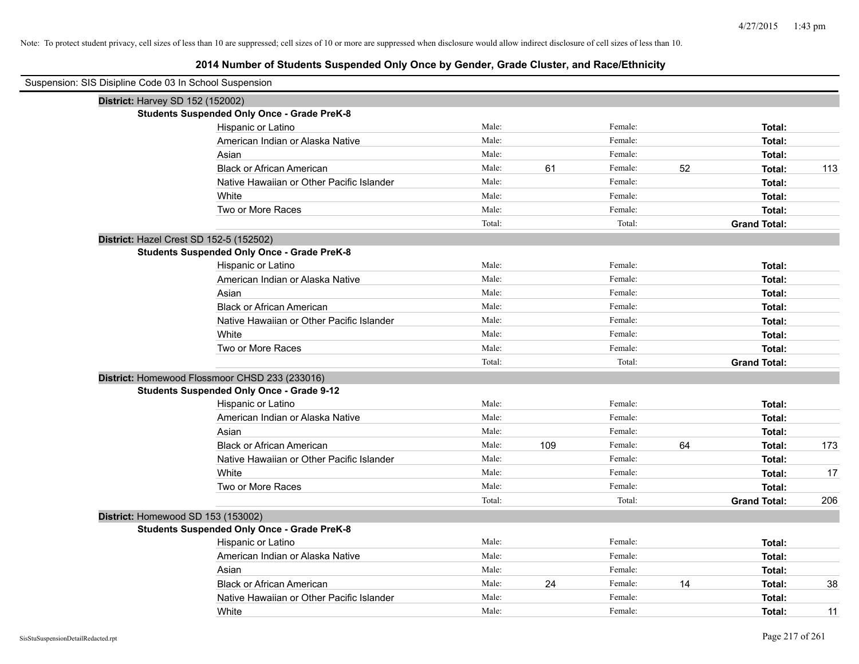| Suspension: SIS Disipline Code 03 In School Suspension |                                                    |        |     |         |    |                     |     |
|--------------------------------------------------------|----------------------------------------------------|--------|-----|---------|----|---------------------|-----|
| District: Harvey SD 152 (152002)                       |                                                    |        |     |         |    |                     |     |
|                                                        | <b>Students Suspended Only Once - Grade PreK-8</b> |        |     |         |    |                     |     |
|                                                        | Hispanic or Latino                                 | Male:  |     | Female: |    | Total:              |     |
|                                                        | American Indian or Alaska Native                   | Male:  |     | Female: |    | Total:              |     |
|                                                        | Asian                                              | Male:  |     | Female: |    | Total:              |     |
|                                                        | <b>Black or African American</b>                   | Male:  | 61  | Female: | 52 | Total:              | 113 |
|                                                        | Native Hawaiian or Other Pacific Islander          | Male:  |     | Female: |    | Total:              |     |
|                                                        | White                                              | Male:  |     | Female: |    | Total:              |     |
|                                                        | Two or More Races                                  | Male:  |     | Female: |    | Total:              |     |
|                                                        |                                                    | Total: |     | Total:  |    | <b>Grand Total:</b> |     |
| District: Hazel Crest SD 152-5 (152502)                |                                                    |        |     |         |    |                     |     |
|                                                        | <b>Students Suspended Only Once - Grade PreK-8</b> |        |     |         |    |                     |     |
|                                                        | Hispanic or Latino                                 | Male:  |     | Female: |    | Total:              |     |
|                                                        | American Indian or Alaska Native                   | Male:  |     | Female: |    | Total:              |     |
|                                                        | Asian                                              | Male:  |     | Female: |    | Total:              |     |
|                                                        | <b>Black or African American</b>                   | Male:  |     | Female: |    | Total:              |     |
|                                                        | Native Hawaiian or Other Pacific Islander          | Male:  |     | Female: |    | Total:              |     |
|                                                        | White                                              | Male:  |     | Female: |    | Total:              |     |
|                                                        | Two or More Races                                  | Male:  |     | Female: |    | Total:              |     |
|                                                        |                                                    | Total: |     | Total:  |    | <b>Grand Total:</b> |     |
|                                                        | District: Homewood Flossmoor CHSD 233 (233016)     |        |     |         |    |                     |     |
|                                                        | <b>Students Suspended Only Once - Grade 9-12</b>   |        |     |         |    |                     |     |
|                                                        | Hispanic or Latino                                 | Male:  |     | Female: |    | Total:              |     |
|                                                        | American Indian or Alaska Native                   | Male:  |     | Female: |    | Total:              |     |
|                                                        | Asian                                              | Male:  |     | Female: |    | Total:              |     |
|                                                        | <b>Black or African American</b>                   | Male:  | 109 | Female: | 64 | Total:              | 173 |
|                                                        | Native Hawaiian or Other Pacific Islander          | Male:  |     | Female: |    | Total:              |     |
|                                                        | White                                              | Male:  |     | Female: |    | Total:              | 17  |
|                                                        | Two or More Races                                  | Male:  |     | Female: |    | Total:              |     |
|                                                        |                                                    | Total: |     | Total:  |    | <b>Grand Total:</b> | 206 |
| District: Homewood SD 153 (153002)                     |                                                    |        |     |         |    |                     |     |
|                                                        | <b>Students Suspended Only Once - Grade PreK-8</b> |        |     |         |    |                     |     |
|                                                        | Hispanic or Latino                                 | Male:  |     | Female: |    | Total:              |     |
|                                                        | American Indian or Alaska Native                   | Male:  |     | Female: |    | Total:              |     |
|                                                        | Asian                                              | Male:  |     | Female: |    | Total:              |     |
|                                                        | <b>Black or African American</b>                   | Male:  | 24  | Female: | 14 | Total:              | 38  |
|                                                        | Native Hawaiian or Other Pacific Islander          | Male:  |     | Female: |    | Total:              |     |
|                                                        | White                                              | Male:  |     | Female: |    | Total:              | 11  |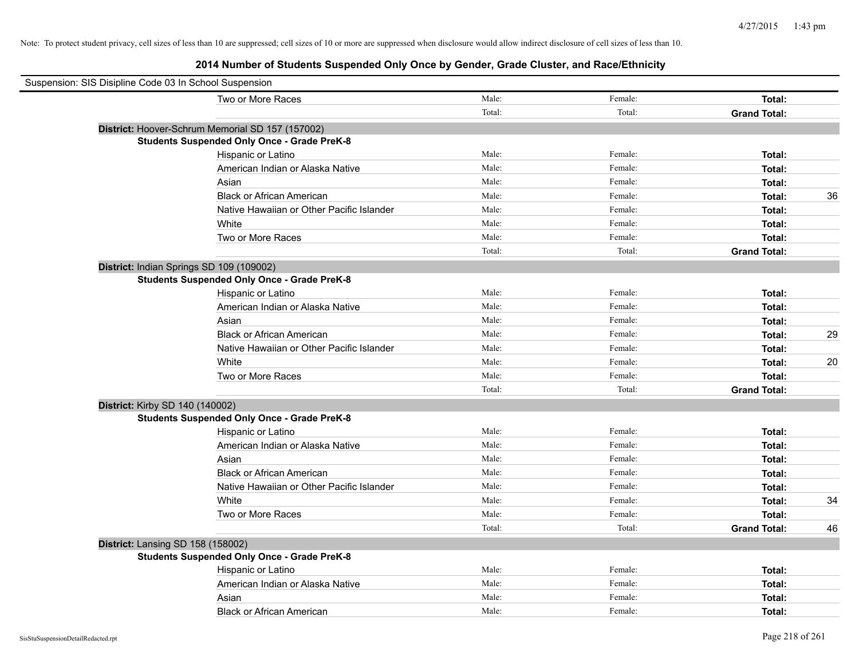| Suspension: SIS Disipline Code 03 In School Suspension |        |         |                     |    |
|--------------------------------------------------------|--------|---------|---------------------|----|
| Two or More Races                                      | Male:  | Female: | Total:              |    |
|                                                        | Total: | Total:  | <b>Grand Total:</b> |    |
| District: Hoover-Schrum Memorial SD 157 (157002)       |        |         |                     |    |
| <b>Students Suspended Only Once - Grade PreK-8</b>     |        |         |                     |    |
| Hispanic or Latino                                     | Male:  | Female: | Total:              |    |
| American Indian or Alaska Native                       | Male:  | Female: | Total:              |    |
| Asian                                                  | Male:  | Female: | Total:              |    |
| <b>Black or African American</b>                       | Male:  | Female: | Total:              | 36 |
| Native Hawaiian or Other Pacific Islander              | Male:  | Female: | Total:              |    |
| White                                                  | Male:  | Female: | Total:              |    |
| Two or More Races                                      | Male:  | Female: | Total:              |    |
|                                                        | Total: | Total:  | <b>Grand Total:</b> |    |
| District: Indian Springs SD 109 (109002)               |        |         |                     |    |
| <b>Students Suspended Only Once - Grade PreK-8</b>     |        |         |                     |    |
| Hispanic or Latino                                     | Male:  | Female: | Total:              |    |
| American Indian or Alaska Native                       | Male:  | Female: | Total:              |    |
| Asian                                                  | Male:  | Female: | Total:              |    |
| <b>Black or African American</b>                       | Male:  | Female: | Total:              | 29 |
| Native Hawaiian or Other Pacific Islander              | Male:  | Female: | Total:              |    |
| White                                                  | Male:  | Female: | Total:              | 20 |
| Two or More Races                                      | Male:  | Female: | Total:              |    |
|                                                        | Total: | Total:  | <b>Grand Total:</b> |    |
| District: Kirby SD 140 (140002)                        |        |         |                     |    |
| <b>Students Suspended Only Once - Grade PreK-8</b>     |        |         |                     |    |
| Hispanic or Latino                                     | Male:  | Female: | Total:              |    |
| American Indian or Alaska Native                       | Male:  | Female: | Total:              |    |
| Asian                                                  | Male:  | Female: | Total:              |    |
| <b>Black or African American</b>                       | Male:  | Female: | Total:              |    |
| Native Hawaiian or Other Pacific Islander              | Male:  | Female: | Total:              |    |
| White                                                  | Male:  | Female: | Total:              | 34 |
| Two or More Races                                      | Male:  | Female: | Total:              |    |
|                                                        | Total: | Total:  | <b>Grand Total:</b> | 46 |
| District: Lansing SD 158 (158002)                      |        |         |                     |    |
| <b>Students Suspended Only Once - Grade PreK-8</b>     |        |         |                     |    |
| Hispanic or Latino                                     | Male:  | Female: | Total:              |    |
| American Indian or Alaska Native                       | Male:  | Female: | Total:              |    |
| Asian                                                  | Male:  | Female: | Total:              |    |
| <b>Black or African American</b>                       | Male:  | Female: | Total:              |    |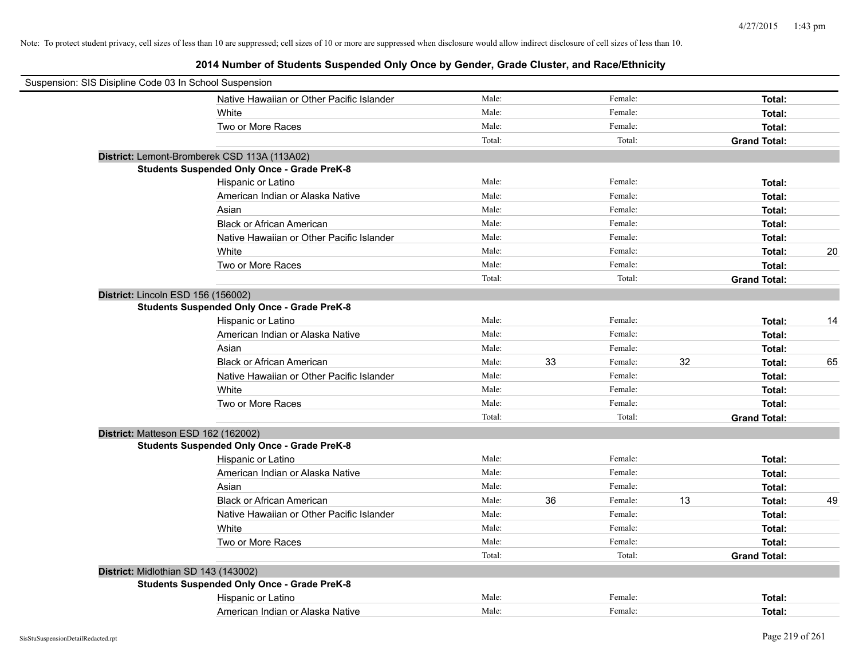| Suspension: SIS Disipline Code 03 In School Suspension |                                                    |        |    |         |    |                     |    |
|--------------------------------------------------------|----------------------------------------------------|--------|----|---------|----|---------------------|----|
|                                                        | Native Hawaiian or Other Pacific Islander          | Male:  |    | Female: |    | Total:              |    |
|                                                        | White                                              | Male:  |    | Female: |    | Total:              |    |
|                                                        | Two or More Races                                  | Male:  |    | Female: |    | Total:              |    |
|                                                        |                                                    | Total: |    | Total:  |    | <b>Grand Total:</b> |    |
|                                                        | District: Lemont-Bromberek CSD 113A (113A02)       |        |    |         |    |                     |    |
|                                                        | <b>Students Suspended Only Once - Grade PreK-8</b> |        |    |         |    |                     |    |
|                                                        | Hispanic or Latino                                 | Male:  |    | Female: |    | Total:              |    |
|                                                        | American Indian or Alaska Native                   | Male:  |    | Female: |    | Total:              |    |
|                                                        | Asian                                              | Male:  |    | Female: |    | Total:              |    |
|                                                        | <b>Black or African American</b>                   | Male:  |    | Female: |    | Total:              |    |
|                                                        | Native Hawaiian or Other Pacific Islander          | Male:  |    | Female: |    | Total:              |    |
|                                                        | White                                              | Male:  |    | Female: |    | Total:              | 20 |
|                                                        | Two or More Races                                  | Male:  |    | Female: |    | Total:              |    |
|                                                        |                                                    | Total: |    | Total:  |    | <b>Grand Total:</b> |    |
|                                                        | District: Lincoln ESD 156 (156002)                 |        |    |         |    |                     |    |
|                                                        | <b>Students Suspended Only Once - Grade PreK-8</b> |        |    |         |    |                     |    |
|                                                        | Hispanic or Latino                                 | Male:  |    | Female: |    | Total:              | 14 |
|                                                        | American Indian or Alaska Native                   | Male:  |    | Female: |    | Total:              |    |
|                                                        | Asian                                              | Male:  |    | Female: |    | Total:              |    |
|                                                        | <b>Black or African American</b>                   | Male:  | 33 | Female: | 32 | Total:              | 65 |
|                                                        | Native Hawaiian or Other Pacific Islander          | Male:  |    | Female: |    | Total:              |    |
|                                                        | White                                              | Male:  |    | Female: |    | Total:              |    |
|                                                        | Two or More Races                                  | Male:  |    | Female: |    | Total:              |    |
|                                                        |                                                    | Total: |    | Total:  |    | <b>Grand Total:</b> |    |
|                                                        | District: Matteson ESD 162 (162002)                |        |    |         |    |                     |    |
|                                                        | <b>Students Suspended Only Once - Grade PreK-8</b> |        |    |         |    |                     |    |
|                                                        | Hispanic or Latino                                 | Male:  |    | Female: |    | Total:              |    |
|                                                        | American Indian or Alaska Native                   | Male:  |    | Female: |    | Total:              |    |
|                                                        | Asian                                              | Male:  |    | Female: |    | Total:              |    |
|                                                        | <b>Black or African American</b>                   | Male:  | 36 | Female: | 13 | Total:              | 49 |
|                                                        | Native Hawaiian or Other Pacific Islander          | Male:  |    | Female: |    | Total:              |    |
|                                                        | White                                              | Male:  |    | Female: |    | Total:              |    |
|                                                        | Two or More Races                                  | Male:  |    | Female: |    | Total:              |    |
|                                                        |                                                    | Total: |    | Total:  |    | <b>Grand Total:</b> |    |
|                                                        | District: Midlothian SD 143 (143002)               |        |    |         |    |                     |    |
|                                                        | <b>Students Suspended Only Once - Grade PreK-8</b> |        |    |         |    |                     |    |
|                                                        | Hispanic or Latino                                 | Male:  |    | Female: |    | Total:              |    |
|                                                        | American Indian or Alaska Native                   | Male:  |    | Female: |    | Total:              |    |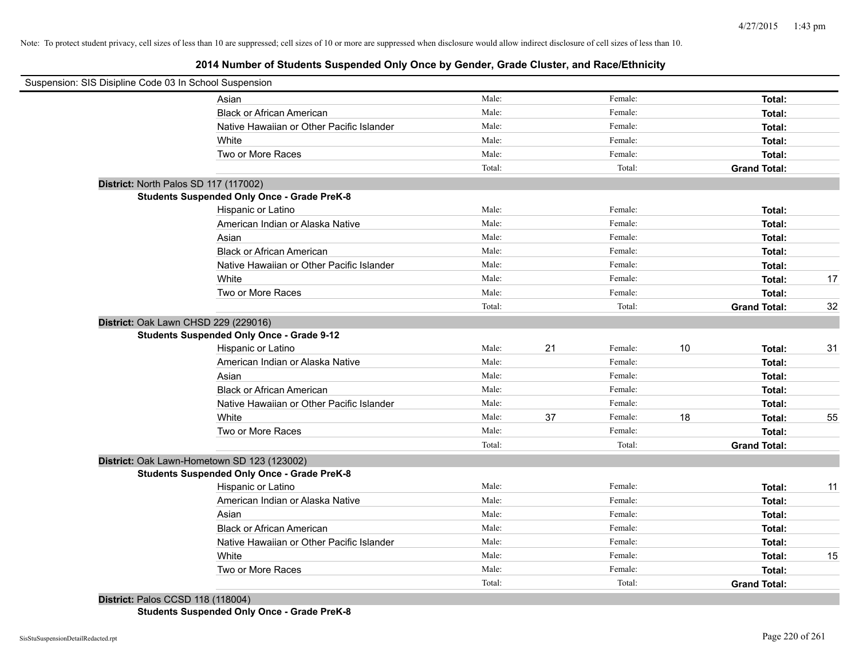# **2014 Number of Students Suspended Only Once by Gender, Grade Cluster, and Race/Ethnicity**

| Suspension: SIS Disipline Code 03 In School Suspension |                                                    |        |    |         |    |                     |    |
|--------------------------------------------------------|----------------------------------------------------|--------|----|---------|----|---------------------|----|
|                                                        | Asian                                              | Male:  |    | Female: |    | Total:              |    |
|                                                        | <b>Black or African American</b>                   | Male:  |    | Female: |    | Total:              |    |
|                                                        | Native Hawaiian or Other Pacific Islander          | Male:  |    | Female: |    | Total:              |    |
|                                                        | White                                              | Male:  |    | Female: |    | Total:              |    |
|                                                        | Two or More Races                                  | Male:  |    | Female: |    | Total:              |    |
|                                                        |                                                    | Total: |    | Total:  |    | <b>Grand Total:</b> |    |
| District: North Palos SD 117 (117002)                  |                                                    |        |    |         |    |                     |    |
|                                                        | <b>Students Suspended Only Once - Grade PreK-8</b> |        |    |         |    |                     |    |
|                                                        | Hispanic or Latino                                 | Male:  |    | Female: |    | Total:              |    |
|                                                        | American Indian or Alaska Native                   | Male:  |    | Female: |    | Total:              |    |
|                                                        | Asian                                              | Male:  |    | Female: |    | Total:              |    |
|                                                        | <b>Black or African American</b>                   | Male:  |    | Female: |    | Total:              |    |
|                                                        | Native Hawaiian or Other Pacific Islander          | Male:  |    | Female: |    | Total:              |    |
|                                                        | White                                              | Male:  |    | Female: |    | Total:              | 17 |
|                                                        | Two or More Races                                  | Male:  |    | Female: |    | Total:              |    |
|                                                        |                                                    | Total: |    | Total:  |    | <b>Grand Total:</b> | 32 |
| District: Oak Lawn CHSD 229 (229016)                   |                                                    |        |    |         |    |                     |    |
|                                                        | <b>Students Suspended Only Once - Grade 9-12</b>   |        |    |         |    |                     |    |
|                                                        | Hispanic or Latino                                 | Male:  | 21 | Female: | 10 | Total:              | 31 |
|                                                        | American Indian or Alaska Native                   | Male:  |    | Female: |    | Total:              |    |
|                                                        | Asian                                              | Male:  |    | Female: |    | Total:              |    |
|                                                        | <b>Black or African American</b>                   | Male:  |    | Female: |    | Total:              |    |
|                                                        | Native Hawaiian or Other Pacific Islander          | Male:  |    | Female: |    | Total:              |    |
|                                                        | White                                              | Male:  | 37 | Female: | 18 | Total:              | 55 |
|                                                        | Two or More Races                                  | Male:  |    | Female: |    | Total:              |    |
|                                                        |                                                    | Total: |    | Total:  |    | <b>Grand Total:</b> |    |
|                                                        | District: Oak Lawn-Hometown SD 123 (123002)        |        |    |         |    |                     |    |
|                                                        | <b>Students Suspended Only Once - Grade PreK-8</b> |        |    |         |    |                     |    |
|                                                        | Hispanic or Latino                                 | Male:  |    | Female: |    | Total:              | 11 |
|                                                        | American Indian or Alaska Native                   | Male:  |    | Female: |    | Total:              |    |
|                                                        | Asian                                              | Male:  |    | Female: |    | Total:              |    |
|                                                        | <b>Black or African American</b>                   | Male:  |    | Female: |    | Total:              |    |
|                                                        | Native Hawaiian or Other Pacific Islander          | Male:  |    | Female: |    | Total:              |    |
|                                                        | White                                              | Male:  |    | Female: |    | Total:              | 15 |
|                                                        | Two or More Races                                  | Male:  |    | Female: |    | Total:              |    |
|                                                        |                                                    | Total: |    | Total:  |    | <b>Grand Total:</b> |    |
| <b>District: Palos CCSD 118 (118004)</b>               |                                                    |        |    |         |    |                     |    |

**Students Suspended Only Once - Grade PreK-8**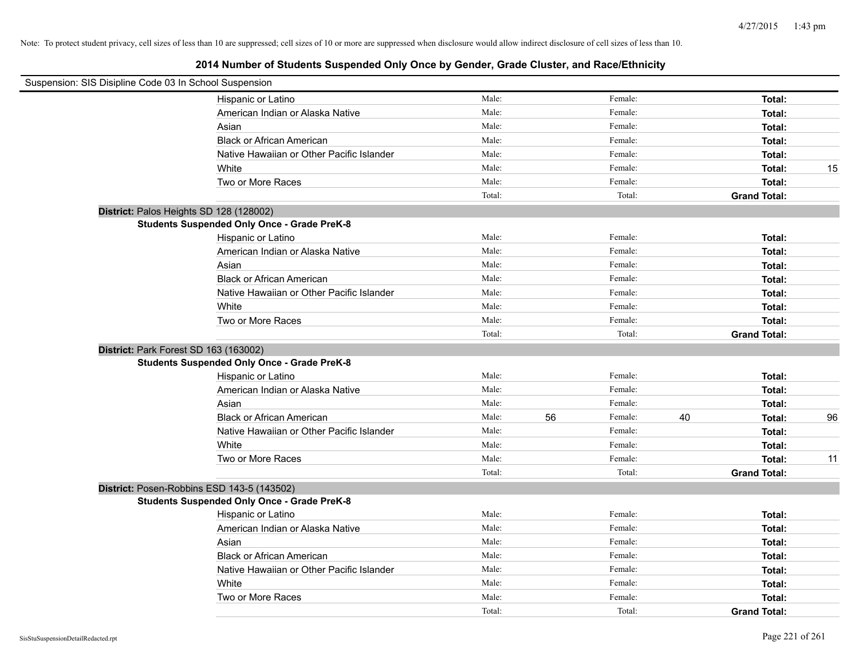| Suspension: SIS Disipline Code 03 In School Suspension |                                                    |        |    |         |    |                     |    |
|--------------------------------------------------------|----------------------------------------------------|--------|----|---------|----|---------------------|----|
|                                                        | Hispanic or Latino                                 | Male:  |    | Female: |    | Total:              |    |
|                                                        | American Indian or Alaska Native                   | Male:  |    | Female: |    | Total:              |    |
|                                                        | Asian                                              | Male:  |    | Female: |    | Total:              |    |
|                                                        | <b>Black or African American</b>                   | Male:  |    | Female: |    | Total:              |    |
|                                                        | Native Hawaiian or Other Pacific Islander          | Male:  |    | Female: |    | Total:              |    |
|                                                        | White                                              | Male:  |    | Female: |    | Total:              | 15 |
|                                                        | Two or More Races                                  | Male:  |    | Female: |    | Total:              |    |
|                                                        |                                                    | Total: |    | Total:  |    | <b>Grand Total:</b> |    |
| District: Palos Heights SD 128 (128002)                |                                                    |        |    |         |    |                     |    |
|                                                        | <b>Students Suspended Only Once - Grade PreK-8</b> |        |    |         |    |                     |    |
|                                                        | Hispanic or Latino                                 | Male:  |    | Female: |    | Total:              |    |
|                                                        | American Indian or Alaska Native                   | Male:  |    | Female: |    | Total:              |    |
|                                                        | Asian                                              | Male:  |    | Female: |    | Total:              |    |
|                                                        | <b>Black or African American</b>                   | Male:  |    | Female: |    | Total:              |    |
|                                                        | Native Hawaiian or Other Pacific Islander          | Male:  |    | Female: |    | Total:              |    |
|                                                        | White                                              | Male:  |    | Female: |    | Total:              |    |
|                                                        | Two or More Races                                  | Male:  |    | Female: |    | Total:              |    |
|                                                        |                                                    | Total: |    | Total:  |    | <b>Grand Total:</b> |    |
| District: Park Forest SD 163 (163002)                  |                                                    |        |    |         |    |                     |    |
|                                                        | <b>Students Suspended Only Once - Grade PreK-8</b> |        |    |         |    |                     |    |
|                                                        | Hispanic or Latino                                 | Male:  |    | Female: |    | Total:              |    |
|                                                        | American Indian or Alaska Native                   | Male:  |    | Female: |    | Total:              |    |
|                                                        | Asian                                              | Male:  |    | Female: |    | Total:              |    |
|                                                        | <b>Black or African American</b>                   | Male:  | 56 | Female: | 40 | Total:              | 96 |
|                                                        | Native Hawaiian or Other Pacific Islander          | Male:  |    | Female: |    | Total:              |    |
|                                                        | White                                              | Male:  |    | Female: |    | Total:              |    |
|                                                        | Two or More Races                                  | Male:  |    | Female: |    | Total:              | 11 |
|                                                        |                                                    | Total: |    | Total:  |    | <b>Grand Total:</b> |    |
| District: Posen-Robbins ESD 143-5 (143502)             |                                                    |        |    |         |    |                     |    |
|                                                        | <b>Students Suspended Only Once - Grade PreK-8</b> |        |    |         |    |                     |    |
|                                                        | Hispanic or Latino                                 | Male:  |    | Female: |    | Total:              |    |
|                                                        | American Indian or Alaska Native                   | Male:  |    | Female: |    | Total:              |    |
|                                                        | Asian                                              | Male:  |    | Female: |    | Total:              |    |
|                                                        | <b>Black or African American</b>                   | Male:  |    | Female: |    | Total:              |    |
|                                                        | Native Hawaiian or Other Pacific Islander          | Male:  |    | Female: |    | Total:              |    |
|                                                        | White                                              | Male:  |    | Female: |    | Total:              |    |
|                                                        | Two or More Races                                  | Male:  |    | Female: |    | Total:              |    |
|                                                        |                                                    | Total: |    | Total:  |    | <b>Grand Total:</b> |    |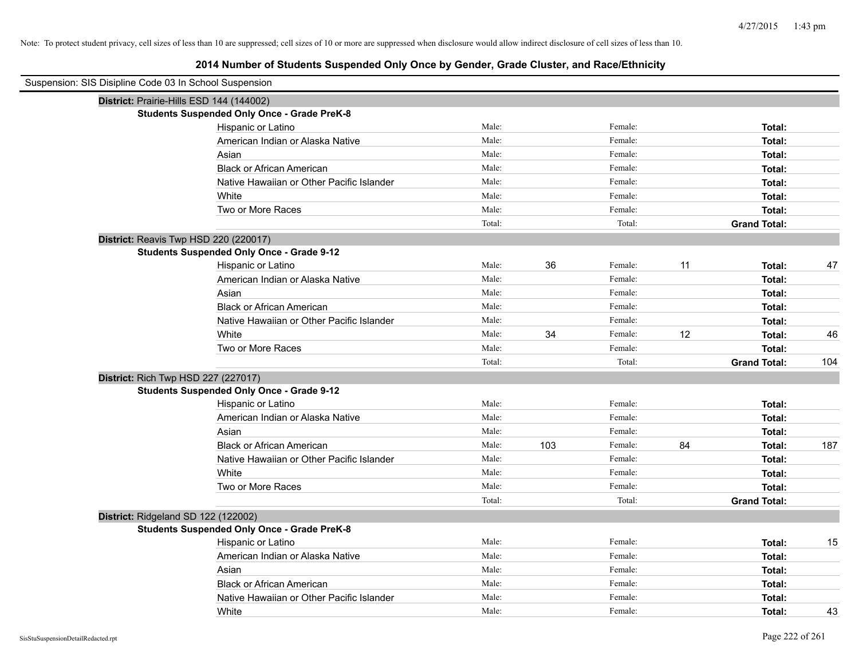# **2014 Number of Students Suspended Only Once by Gender, Grade Cluster, and Race/Ethnicity**

| Suspension: SIS Disipline Code 03 In School Suspension |                                                    |        |     |         |    |                     |     |
|--------------------------------------------------------|----------------------------------------------------|--------|-----|---------|----|---------------------|-----|
|                                                        | District: Prairie-Hills ESD 144 (144002)           |        |     |         |    |                     |     |
|                                                        | <b>Students Suspended Only Once - Grade PreK-8</b> |        |     |         |    |                     |     |
|                                                        | Hispanic or Latino                                 | Male:  |     | Female: |    | Total:              |     |
|                                                        | American Indian or Alaska Native                   | Male:  |     | Female: |    | Total:              |     |
|                                                        | Asian                                              | Male:  |     | Female: |    | Total:              |     |
|                                                        | <b>Black or African American</b>                   | Male:  |     | Female: |    | Total:              |     |
|                                                        | Native Hawaiian or Other Pacific Islander          | Male:  |     | Female: |    | Total:              |     |
|                                                        | White                                              | Male:  |     | Female: |    | Total:              |     |
|                                                        | Two or More Races                                  | Male:  |     | Female: |    | Total:              |     |
|                                                        |                                                    | Total: |     | Total:  |    | <b>Grand Total:</b> |     |
|                                                        | District: Reavis Twp HSD 220 (220017)              |        |     |         |    |                     |     |
|                                                        | <b>Students Suspended Only Once - Grade 9-12</b>   |        |     |         |    |                     |     |
|                                                        | Hispanic or Latino                                 | Male:  | 36  | Female: | 11 | Total:              | 47  |
|                                                        | American Indian or Alaska Native                   | Male:  |     | Female: |    | Total:              |     |
|                                                        | Asian                                              | Male:  |     | Female: |    | Total:              |     |
|                                                        | <b>Black or African American</b>                   | Male:  |     | Female: |    | Total:              |     |
|                                                        | Native Hawaiian or Other Pacific Islander          | Male:  |     | Female: |    | Total:              |     |
|                                                        | White                                              | Male:  | 34  | Female: | 12 | Total:              | 46  |
|                                                        | Two or More Races                                  | Male:  |     | Female: |    | Total:              |     |
|                                                        |                                                    | Total: |     | Total:  |    | <b>Grand Total:</b> | 104 |
| District: Rich Twp HSD 227 (227017)                    |                                                    |        |     |         |    |                     |     |
|                                                        | <b>Students Suspended Only Once - Grade 9-12</b>   |        |     |         |    |                     |     |
|                                                        | Hispanic or Latino                                 | Male:  |     | Female: |    | Total:              |     |
|                                                        | American Indian or Alaska Native                   | Male:  |     | Female: |    | Total:              |     |
|                                                        | Asian                                              | Male:  |     | Female: |    | Total:              |     |
|                                                        | <b>Black or African American</b>                   | Male:  | 103 | Female: | 84 | Total:              | 187 |
|                                                        | Native Hawaiian or Other Pacific Islander          | Male:  |     | Female: |    | Total:              |     |
|                                                        | White                                              | Male:  |     | Female: |    | Total:              |     |
|                                                        | Two or More Races                                  | Male:  |     | Female: |    | Total:              |     |
|                                                        |                                                    | Total: |     | Total:  |    | <b>Grand Total:</b> |     |
| District: Ridgeland SD 122 (122002)                    |                                                    |        |     |         |    |                     |     |
|                                                        | <b>Students Suspended Only Once - Grade PreK-8</b> |        |     |         |    |                     |     |
|                                                        | Hispanic or Latino                                 | Male:  |     | Female: |    | Total:              | 15  |
|                                                        | American Indian or Alaska Native                   | Male:  |     | Female: |    | Total:              |     |
|                                                        | Asian                                              | Male:  |     | Female: |    | Total:              |     |
|                                                        | <b>Black or African American</b>                   | Male:  |     | Female: |    | Total:              |     |
|                                                        | Native Hawaiian or Other Pacific Islander          | Male:  |     | Female: |    | Total:              |     |
|                                                        | White                                              | Male:  |     | Female: |    | Total:              | 43  |

 $\overline{\phantom{0}}$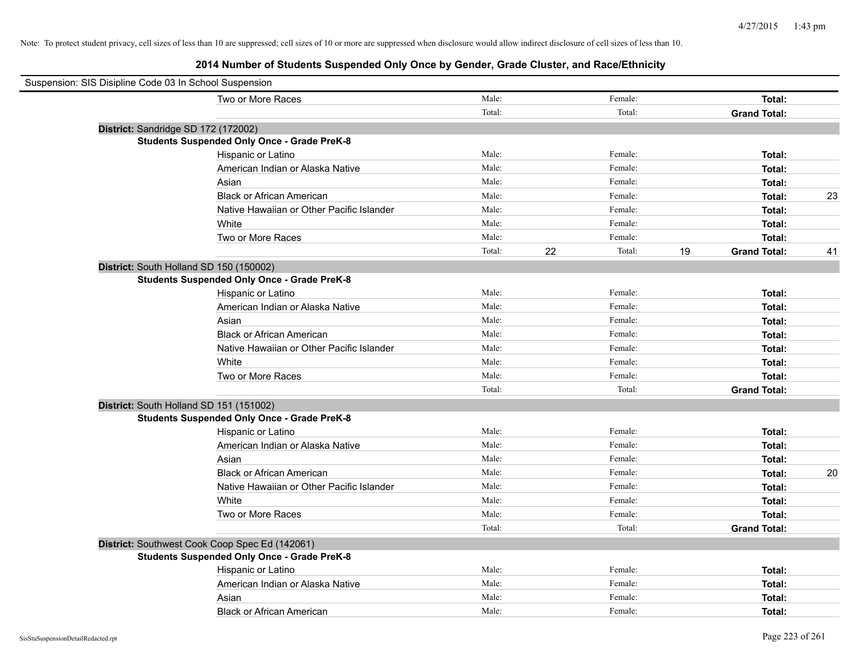| Suspension: SIS Disipline Code 03 In School Suspension |                                                    |        |    |         |    |                     |    |
|--------------------------------------------------------|----------------------------------------------------|--------|----|---------|----|---------------------|----|
|                                                        | Two or More Races                                  | Male:  |    | Female: |    | Total:              |    |
|                                                        |                                                    | Total: |    | Total:  |    | <b>Grand Total:</b> |    |
|                                                        | District: Sandridge SD 172 (172002)                |        |    |         |    |                     |    |
|                                                        | <b>Students Suspended Only Once - Grade PreK-8</b> |        |    |         |    |                     |    |
|                                                        | Hispanic or Latino                                 | Male:  |    | Female: |    | Total:              |    |
|                                                        | American Indian or Alaska Native                   | Male:  |    | Female: |    | Total:              |    |
|                                                        | Asian                                              | Male:  |    | Female: |    | Total:              |    |
|                                                        | <b>Black or African American</b>                   | Male:  |    | Female: |    | Total:              | 23 |
|                                                        | Native Hawaiian or Other Pacific Islander          | Male:  |    | Female: |    | Total:              |    |
|                                                        | White                                              | Male:  |    | Female: |    | Total:              |    |
|                                                        | Two or More Races                                  | Male:  |    | Female: |    | Total:              |    |
|                                                        |                                                    | Total: | 22 | Total:  | 19 | <b>Grand Total:</b> | 41 |
|                                                        | District: South Holland SD 150 (150002)            |        |    |         |    |                     |    |
|                                                        | <b>Students Suspended Only Once - Grade PreK-8</b> |        |    |         |    |                     |    |
|                                                        | Hispanic or Latino                                 | Male:  |    | Female: |    | Total:              |    |
|                                                        | American Indian or Alaska Native                   | Male:  |    | Female: |    | Total:              |    |
|                                                        | Asian                                              | Male:  |    | Female: |    | Total:              |    |
|                                                        | <b>Black or African American</b>                   | Male:  |    | Female: |    | Total:              |    |
|                                                        | Native Hawaiian or Other Pacific Islander          | Male:  |    | Female: |    | Total:              |    |
|                                                        | White                                              | Male:  |    | Female: |    | Total:              |    |
|                                                        | Two or More Races                                  | Male:  |    | Female: |    | Total:              |    |
|                                                        |                                                    | Total: |    | Total:  |    | <b>Grand Total:</b> |    |
|                                                        | District: South Holland SD 151 (151002)            |        |    |         |    |                     |    |
|                                                        | <b>Students Suspended Only Once - Grade PreK-8</b> |        |    |         |    |                     |    |
|                                                        | Hispanic or Latino                                 | Male:  |    | Female: |    | Total:              |    |
|                                                        | American Indian or Alaska Native                   | Male:  |    | Female: |    | Total:              |    |
|                                                        | Asian                                              | Male:  |    | Female: |    | Total:              |    |
|                                                        | <b>Black or African American</b>                   | Male:  |    | Female: |    | Total:              | 20 |
|                                                        | Native Hawaiian or Other Pacific Islander          | Male:  |    | Female: |    | Total:              |    |
|                                                        | White                                              | Male:  |    | Female: |    | Total:              |    |
|                                                        | Two or More Races                                  | Male:  |    | Female: |    | Total:              |    |
|                                                        |                                                    | Total: |    | Total:  |    | <b>Grand Total:</b> |    |
|                                                        | District: Southwest Cook Coop Spec Ed (142061)     |        |    |         |    |                     |    |
|                                                        | <b>Students Suspended Only Once - Grade PreK-8</b> |        |    |         |    |                     |    |
|                                                        | Hispanic or Latino                                 | Male:  |    | Female: |    | Total:              |    |
|                                                        | American Indian or Alaska Native                   | Male:  |    | Female: |    | Total:              |    |
|                                                        | Asian                                              | Male:  |    | Female: |    | Total:              |    |
|                                                        | <b>Black or African American</b>                   | Male:  |    | Female: |    | Total:              |    |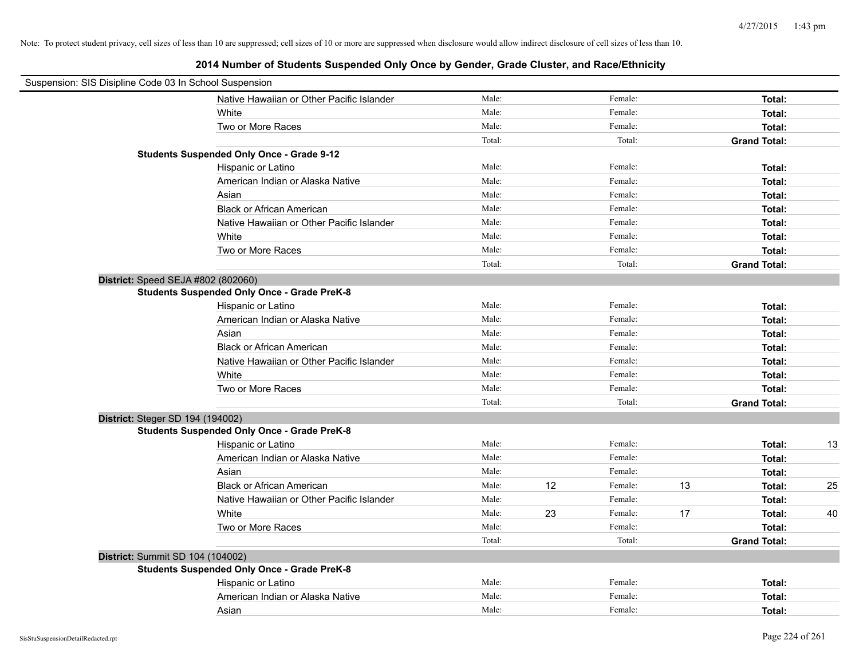| Suspension: SIS Disipline Code 03 In School Suspension |        |    |         |    |                     |    |
|--------------------------------------------------------|--------|----|---------|----|---------------------|----|
| Native Hawaiian or Other Pacific Islander              | Male:  |    | Female: |    | Total:              |    |
| White                                                  | Male:  |    | Female: |    | Total:              |    |
| Two or More Races                                      | Male:  |    | Female: |    | Total:              |    |
|                                                        | Total: |    | Total:  |    | <b>Grand Total:</b> |    |
| <b>Students Suspended Only Once - Grade 9-12</b>       |        |    |         |    |                     |    |
| Hispanic or Latino                                     | Male:  |    | Female: |    | Total:              |    |
| American Indian or Alaska Native                       | Male:  |    | Female: |    | Total:              |    |
| Asian                                                  | Male:  |    | Female: |    | Total:              |    |
| <b>Black or African American</b>                       | Male:  |    | Female: |    | Total:              |    |
| Native Hawaiian or Other Pacific Islander              | Male:  |    | Female: |    | Total:              |    |
| White                                                  | Male:  |    | Female: |    | Total:              |    |
| Two or More Races                                      | Male:  |    | Female: |    | Total:              |    |
|                                                        | Total: |    | Total:  |    | <b>Grand Total:</b> |    |
| District: Speed SEJA #802 (802060)                     |        |    |         |    |                     |    |
| <b>Students Suspended Only Once - Grade PreK-8</b>     |        |    |         |    |                     |    |
| Hispanic or Latino                                     | Male:  |    | Female: |    | Total:              |    |
| American Indian or Alaska Native                       | Male:  |    | Female: |    | Total:              |    |
| Asian                                                  | Male:  |    | Female: |    | Total:              |    |
| <b>Black or African American</b>                       | Male:  |    | Female: |    | Total:              |    |
| Native Hawaiian or Other Pacific Islander              | Male:  |    | Female: |    | Total:              |    |
| White                                                  | Male:  |    | Female: |    | Total:              |    |
| Two or More Races                                      | Male:  |    | Female: |    | Total:              |    |
|                                                        | Total: |    | Total:  |    | <b>Grand Total:</b> |    |
| District: Steger SD 194 (194002)                       |        |    |         |    |                     |    |
| <b>Students Suspended Only Once - Grade PreK-8</b>     |        |    |         |    |                     |    |
| Hispanic or Latino                                     | Male:  |    | Female: |    | Total:              | 13 |
| American Indian or Alaska Native                       | Male:  |    | Female: |    | Total:              |    |
| Asian                                                  | Male:  |    | Female: |    | Total:              |    |
| <b>Black or African American</b>                       | Male:  | 12 | Female: | 13 | Total:              | 25 |
| Native Hawaiian or Other Pacific Islander              | Male:  |    | Female: |    | Total:              |    |
| White                                                  | Male:  | 23 | Female: | 17 | Total:              | 40 |
| Two or More Races                                      | Male:  |    | Female: |    | Total:              |    |
|                                                        | Total: |    | Total:  |    | <b>Grand Total:</b> |    |
| District: Summit SD 104 (104002)                       |        |    |         |    |                     |    |
| <b>Students Suspended Only Once - Grade PreK-8</b>     |        |    |         |    |                     |    |
| Hispanic or Latino                                     | Male:  |    | Female: |    | Total:              |    |
| American Indian or Alaska Native                       | Male:  |    | Female: |    | Total:              |    |
| Asian                                                  | Male:  |    | Female: |    | Total:              |    |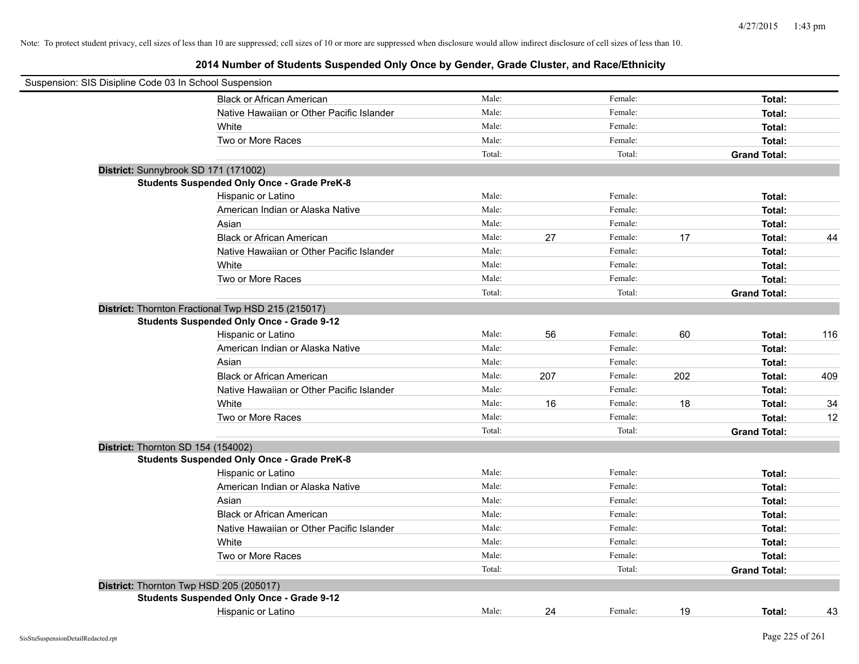| Suspension: SIS Disipline Code 03 In School Suspension |                                                    |        |     |         |     |                     |     |
|--------------------------------------------------------|----------------------------------------------------|--------|-----|---------|-----|---------------------|-----|
|                                                        | Black or African American                          | Male:  |     | Female: |     | Total:              |     |
|                                                        | Native Hawaiian or Other Pacific Islander          | Male:  |     | Female: |     | Total:              |     |
|                                                        | White                                              | Male:  |     | Female: |     | Total:              |     |
|                                                        | Two or More Races                                  | Male:  |     | Female: |     | <b>Total:</b>       |     |
|                                                        |                                                    | Total: |     | Total:  |     | <b>Grand Total:</b> |     |
|                                                        | District: Sunnybrook SD 171 (171002)               |        |     |         |     |                     |     |
|                                                        | <b>Students Suspended Only Once - Grade PreK-8</b> |        |     |         |     |                     |     |
|                                                        | Hispanic or Latino                                 | Male:  |     | Female: |     | Total:              |     |
|                                                        | American Indian or Alaska Native                   | Male:  |     | Female: |     | Total:              |     |
|                                                        | Asian                                              | Male:  |     | Female: |     | Total:              |     |
|                                                        | <b>Black or African American</b>                   | Male:  | 27  | Female: | 17  | Total:              | 44  |
|                                                        | Native Hawaiian or Other Pacific Islander          | Male:  |     | Female: |     | Total:              |     |
|                                                        | White                                              | Male:  |     | Female: |     | Total:              |     |
|                                                        | Two or More Races                                  | Male:  |     | Female: |     | Total:              |     |
|                                                        |                                                    | Total: |     | Total:  |     | <b>Grand Total:</b> |     |
|                                                        | District: Thornton Fractional Twp HSD 215 (215017) |        |     |         |     |                     |     |
|                                                        | <b>Students Suspended Only Once - Grade 9-12</b>   |        |     |         |     |                     |     |
|                                                        | Hispanic or Latino                                 | Male:  | 56  | Female: | 60  | Total:              | 116 |
|                                                        | American Indian or Alaska Native                   | Male:  |     | Female: |     | Total:              |     |
|                                                        | Asian                                              | Male:  |     | Female: |     | Total:              |     |
|                                                        | <b>Black or African American</b>                   | Male:  | 207 | Female: | 202 | Total:              | 409 |
|                                                        | Native Hawaiian or Other Pacific Islander          | Male:  |     | Female: |     | Total:              |     |
|                                                        | White                                              | Male:  | 16  | Female: | 18  | Total:              | 34  |
|                                                        | Two or More Races                                  | Male:  |     | Female: |     | Total:              | 12  |
|                                                        |                                                    | Total: |     | Total:  |     | <b>Grand Total:</b> |     |
| District: Thornton SD 154 (154002)                     |                                                    |        |     |         |     |                     |     |
|                                                        | <b>Students Suspended Only Once - Grade PreK-8</b> |        |     |         |     |                     |     |
|                                                        | Hispanic or Latino                                 | Male:  |     | Female: |     | Total:              |     |
|                                                        | American Indian or Alaska Native                   | Male:  |     | Female: |     | Total:              |     |
|                                                        | Asian                                              | Male:  |     | Female: |     | Total:              |     |
|                                                        | <b>Black or African American</b>                   | Male:  |     | Female: |     | Total:              |     |
|                                                        | Native Hawaiian or Other Pacific Islander          | Male:  |     | Female: |     | Total:              |     |
|                                                        | White                                              | Male:  |     | Female: |     | Total:              |     |
|                                                        | Two or More Races                                  | Male:  |     | Female: |     | Total:              |     |
|                                                        |                                                    | Total: |     | Total:  |     | <b>Grand Total:</b> |     |
|                                                        | District: Thornton Twp HSD 205 (205017)            |        |     |         |     |                     |     |
|                                                        | <b>Students Suspended Only Once - Grade 9-12</b>   |        |     |         |     |                     |     |
|                                                        | Hispanic or Latino                                 | Male:  | 24  | Female: | 19  | Total:              | 43  |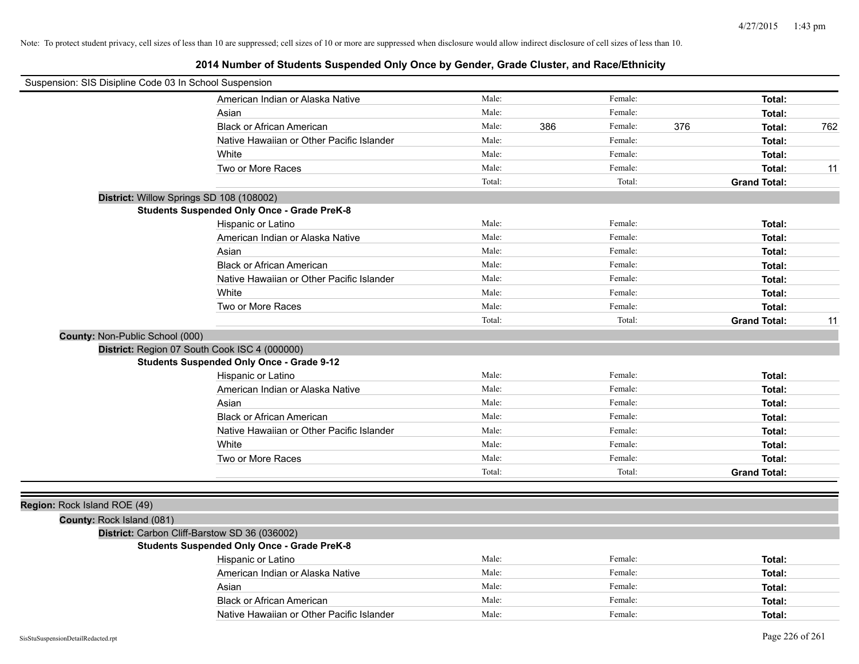| Suspension: SIS Disipline Code 03 In School Suspension |                                                    |        |     |         |     |                     |     |
|--------------------------------------------------------|----------------------------------------------------|--------|-----|---------|-----|---------------------|-----|
|                                                        | American Indian or Alaska Native                   | Male:  |     | Female: |     | Total:              |     |
|                                                        | Asian                                              | Male:  |     | Female: |     | Total:              |     |
|                                                        | <b>Black or African American</b>                   | Male:  | 386 | Female: | 376 | Total:              | 762 |
|                                                        | Native Hawaiian or Other Pacific Islander          | Male:  |     | Female: |     | Total:              |     |
|                                                        | White                                              | Male:  |     | Female: |     | Total:              |     |
|                                                        | Two or More Races                                  | Male:  |     | Female: |     | Total:              | 11  |
|                                                        |                                                    | Total: |     | Total:  |     | <b>Grand Total:</b> |     |
| District: Willow Springs SD 108 (108002)               |                                                    |        |     |         |     |                     |     |
|                                                        | <b>Students Suspended Only Once - Grade PreK-8</b> |        |     |         |     |                     |     |
|                                                        | Hispanic or Latino                                 | Male:  |     | Female: |     | Total:              |     |
|                                                        | American Indian or Alaska Native                   | Male:  |     | Female: |     | Total:              |     |
|                                                        | Asian                                              | Male:  |     | Female: |     | Total:              |     |
|                                                        | <b>Black or African American</b>                   | Male:  |     | Female: |     | Total:              |     |
|                                                        | Native Hawaiian or Other Pacific Islander          | Male:  |     | Female: |     | Total:              |     |
|                                                        | White                                              | Male:  |     | Female: |     | Total:              |     |
|                                                        | Two or More Races                                  | Male:  |     | Female: |     | Total:              |     |
|                                                        |                                                    | Total: |     | Total:  |     | <b>Grand Total:</b> | 11  |
| <b>County: Non-Public School (000)</b>                 |                                                    |        |     |         |     |                     |     |
| District: Region 07 South Cook ISC 4 (000000)          |                                                    |        |     |         |     |                     |     |
|                                                        | <b>Students Suspended Only Once - Grade 9-12</b>   |        |     |         |     |                     |     |
|                                                        | Hispanic or Latino                                 | Male:  |     | Female: |     | Total:              |     |
|                                                        | American Indian or Alaska Native                   | Male:  |     | Female: |     | Total:              |     |
|                                                        | Asian                                              | Male:  |     | Female: |     | Total:              |     |
|                                                        | <b>Black or African American</b>                   | Male:  |     | Female: |     | Total:              |     |
|                                                        | Native Hawaiian or Other Pacific Islander          | Male:  |     | Female: |     | Total:              |     |
|                                                        | White                                              | Male:  |     | Female: |     | Total:              |     |
|                                                        | Two or More Races                                  | Male:  |     | Female: |     | Total:              |     |
|                                                        |                                                    | Total: |     | Total:  |     | <b>Grand Total:</b> |     |
|                                                        |                                                    |        |     |         |     |                     |     |
| Region: Rock Island ROE (49)                           |                                                    |        |     |         |     |                     |     |
| County: Rock Island (081)                              |                                                    |        |     |         |     |                     |     |
| District: Carbon Cliff-Barstow SD 36 (036002)          |                                                    |        |     |         |     |                     |     |
|                                                        | <b>Students Suspended Only Once - Grade PreK-8</b> |        |     |         |     |                     |     |
|                                                        | Hispanic or Latino                                 | Male:  |     | Female: |     | Total:              |     |
|                                                        | American Indian or Alaska Native                   | Male:  |     | Female: |     | Total:              |     |
|                                                        | Asian                                              | Male:  |     | Female: |     | Total:              |     |
|                                                        | <b>Black or African American</b>                   | Male:  |     | Female: |     | Total:              |     |
|                                                        | Native Hawaiian or Other Pacific Islander          | Male:  |     | Female: |     | Total:              |     |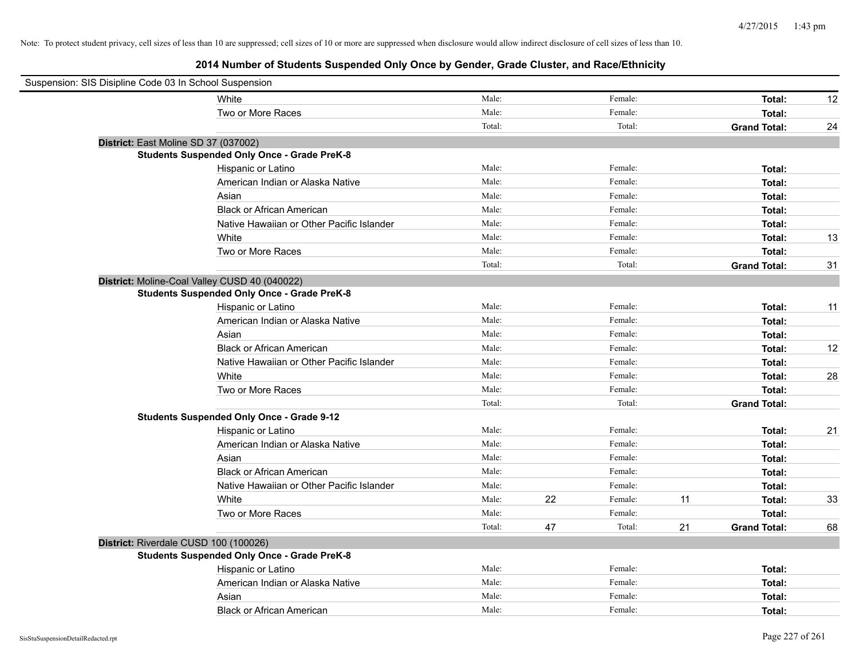| Suspension: SIS Disipline Code 03 In School Suspension |                                                    |        |    |         |    |                     |    |
|--------------------------------------------------------|----------------------------------------------------|--------|----|---------|----|---------------------|----|
|                                                        | White                                              | Male:  |    | Female: |    | Total:              | 12 |
|                                                        | Two or More Races                                  | Male:  |    | Female: |    | Total:              |    |
|                                                        |                                                    | Total: |    | Total:  |    | <b>Grand Total:</b> | 24 |
| District: East Moline SD 37 (037002)                   |                                                    |        |    |         |    |                     |    |
|                                                        | <b>Students Suspended Only Once - Grade PreK-8</b> |        |    |         |    |                     |    |
|                                                        | Hispanic or Latino                                 | Male:  |    | Female: |    | Total:              |    |
|                                                        | American Indian or Alaska Native                   | Male:  |    | Female: |    | Total:              |    |
|                                                        | Asian                                              | Male:  |    | Female: |    | Total:              |    |
|                                                        | <b>Black or African American</b>                   | Male:  |    | Female: |    | Total:              |    |
|                                                        | Native Hawaiian or Other Pacific Islander          | Male:  |    | Female: |    | Total:              |    |
|                                                        | White                                              | Male:  |    | Female: |    | Total:              | 13 |
|                                                        | Two or More Races                                  | Male:  |    | Female: |    | Total:              |    |
|                                                        |                                                    | Total: |    | Total:  |    | <b>Grand Total:</b> | 31 |
|                                                        | District: Moline-Coal Valley CUSD 40 (040022)      |        |    |         |    |                     |    |
|                                                        | <b>Students Suspended Only Once - Grade PreK-8</b> |        |    |         |    |                     |    |
|                                                        | Hispanic or Latino                                 | Male:  |    | Female: |    | Total:              | 11 |
|                                                        | American Indian or Alaska Native                   | Male:  |    | Female: |    | Total:              |    |
|                                                        | Asian                                              | Male:  |    | Female: |    | Total:              |    |
|                                                        | <b>Black or African American</b>                   | Male:  |    | Female: |    | Total:              | 12 |
|                                                        | Native Hawaiian or Other Pacific Islander          | Male:  |    | Female: |    | Total:              |    |
|                                                        | White                                              | Male:  |    | Female: |    | Total:              | 28 |
|                                                        | Two or More Races                                  | Male:  |    | Female: |    | Total:              |    |
|                                                        |                                                    | Total: |    | Total:  |    | <b>Grand Total:</b> |    |
|                                                        | <b>Students Suspended Only Once - Grade 9-12</b>   |        |    |         |    |                     |    |
|                                                        | Hispanic or Latino                                 | Male:  |    | Female: |    | Total:              | 21 |
|                                                        | American Indian or Alaska Native                   | Male:  |    | Female: |    | Total:              |    |
|                                                        | Asian                                              | Male:  |    | Female: |    | Total:              |    |
|                                                        | <b>Black or African American</b>                   | Male:  |    | Female: |    | Total:              |    |
|                                                        | Native Hawaiian or Other Pacific Islander          | Male:  |    | Female: |    | Total:              |    |
|                                                        | White                                              | Male:  | 22 | Female: | 11 | Total:              | 33 |
|                                                        | Two or More Races                                  | Male:  |    | Female: |    | Total:              |    |
|                                                        |                                                    | Total: | 47 | Total:  | 21 | <b>Grand Total:</b> | 68 |
| District: Riverdale CUSD 100 (100026)                  |                                                    |        |    |         |    |                     |    |
|                                                        | <b>Students Suspended Only Once - Grade PreK-8</b> |        |    |         |    |                     |    |
|                                                        | Hispanic or Latino                                 | Male:  |    | Female: |    | Total:              |    |
|                                                        | American Indian or Alaska Native                   | Male:  |    | Female: |    | Total:              |    |
|                                                        | Asian                                              | Male:  |    | Female: |    | Total:              |    |
|                                                        | <b>Black or African American</b>                   | Male:  |    | Female: |    | Total:              |    |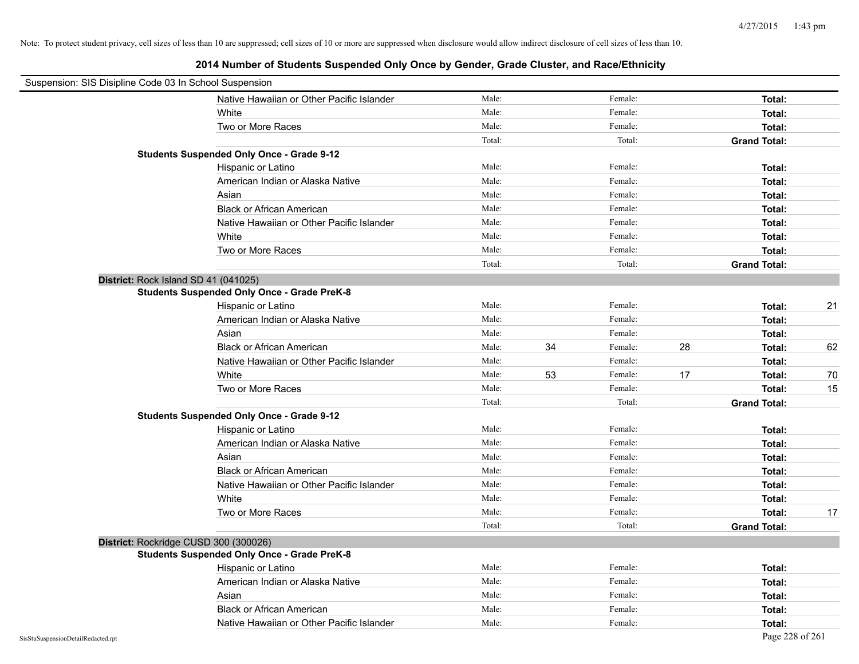| Suspension: SIS Disipline Code 03 In School Suspension |                                                    |        |    |         |    |                     |    |
|--------------------------------------------------------|----------------------------------------------------|--------|----|---------|----|---------------------|----|
|                                                        | Native Hawaiian or Other Pacific Islander          | Male:  |    | Female: |    | Total:              |    |
|                                                        | White                                              | Male:  |    | Female: |    | Total:              |    |
|                                                        | Two or More Races                                  | Male:  |    | Female: |    | Total:              |    |
|                                                        |                                                    | Total: |    | Total:  |    | <b>Grand Total:</b> |    |
|                                                        | <b>Students Suspended Only Once - Grade 9-12</b>   |        |    |         |    |                     |    |
|                                                        | Hispanic or Latino                                 | Male:  |    | Female: |    | Total:              |    |
|                                                        | American Indian or Alaska Native                   | Male:  |    | Female: |    | Total:              |    |
|                                                        | Asian                                              | Male:  |    | Female: |    | Total:              |    |
|                                                        | <b>Black or African American</b>                   | Male:  |    | Female: |    | Total:              |    |
|                                                        | Native Hawaiian or Other Pacific Islander          | Male:  |    | Female: |    | Total:              |    |
|                                                        | White                                              | Male:  |    | Female: |    | Total:              |    |
|                                                        | Two or More Races                                  | Male:  |    | Female: |    | Total:              |    |
|                                                        |                                                    | Total: |    | Total:  |    | <b>Grand Total:</b> |    |
|                                                        | District: Rock Island SD 41 (041025)               |        |    |         |    |                     |    |
|                                                        | <b>Students Suspended Only Once - Grade PreK-8</b> |        |    |         |    |                     |    |
|                                                        | Hispanic or Latino                                 | Male:  |    | Female: |    | Total:              | 21 |
|                                                        | American Indian or Alaska Native                   | Male:  |    | Female: |    | Total:              |    |
|                                                        | Asian                                              | Male:  |    | Female: |    | Total:              |    |
|                                                        | <b>Black or African American</b>                   | Male:  | 34 | Female: | 28 | Total:              | 62 |
|                                                        | Native Hawaiian or Other Pacific Islander          | Male:  |    | Female: |    | Total:              |    |
|                                                        | White                                              | Male:  | 53 | Female: | 17 | Total:              | 70 |
|                                                        | Two or More Races                                  | Male:  |    | Female: |    | Total:              | 15 |
|                                                        |                                                    | Total: |    | Total:  |    | <b>Grand Total:</b> |    |
|                                                        | <b>Students Suspended Only Once - Grade 9-12</b>   |        |    |         |    |                     |    |
|                                                        | Hispanic or Latino                                 | Male:  |    | Female: |    | Total:              |    |
|                                                        | American Indian or Alaska Native                   | Male:  |    | Female: |    | Total:              |    |
|                                                        | Asian                                              | Male:  |    | Female: |    | Total:              |    |
|                                                        | <b>Black or African American</b>                   | Male:  |    | Female: |    | Total:              |    |
|                                                        | Native Hawaiian or Other Pacific Islander          | Male:  |    | Female: |    | Total:              |    |
|                                                        | White                                              | Male:  |    | Female: |    | Total:              |    |
|                                                        | Two or More Races                                  | Male:  |    | Female: |    | Total:              | 17 |
|                                                        |                                                    | Total: |    | Total:  |    | <b>Grand Total:</b> |    |
|                                                        | District: Rockridge CUSD 300 (300026)              |        |    |         |    |                     |    |
|                                                        | <b>Students Suspended Only Once - Grade PreK-8</b> |        |    |         |    |                     |    |
|                                                        | Hispanic or Latino                                 | Male:  |    | Female: |    | Total:              |    |
|                                                        | American Indian or Alaska Native                   | Male:  |    | Female: |    | Total:              |    |
|                                                        | Asian                                              | Male:  |    | Female: |    | Total:              |    |
|                                                        | <b>Black or African American</b>                   | Male:  |    | Female: |    | Total:              |    |
|                                                        | Native Hawaiian or Other Pacific Islander          | Male:  |    | Female: |    | Total:              |    |
| SisStuSuspensionDetailRedacted.rpt                     |                                                    |        |    |         |    | Page 228 of 261     |    |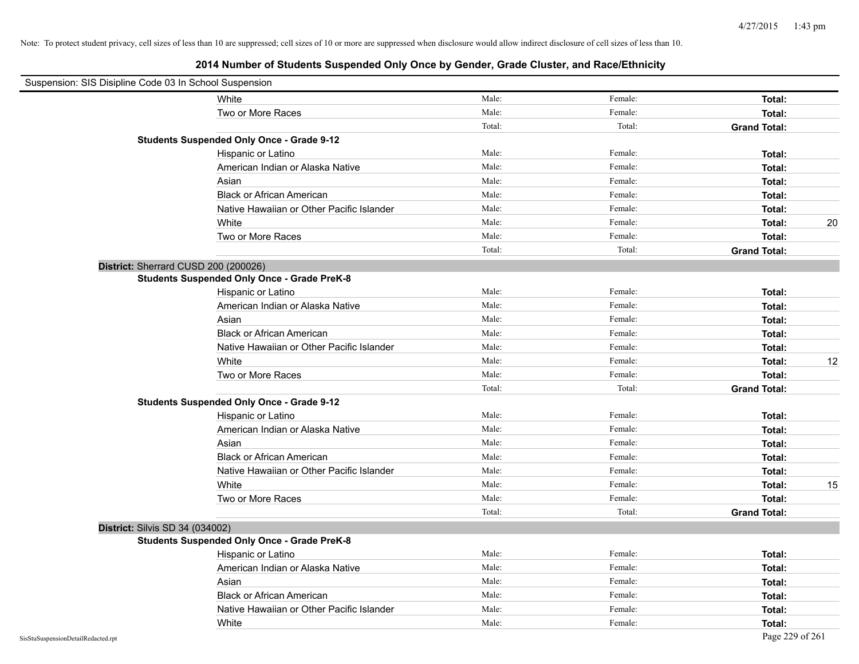| Suspension: SIS Disipline Code 03 In School Suspension |        |         |                     |
|--------------------------------------------------------|--------|---------|---------------------|
| White                                                  | Male:  | Female: | Total:              |
| Two or More Races                                      | Male:  | Female: | Total:              |
|                                                        | Total: | Total:  | <b>Grand Total:</b> |
| <b>Students Suspended Only Once - Grade 9-12</b>       |        |         |                     |
| Hispanic or Latino                                     | Male:  | Female: | Total:              |
| American Indian or Alaska Native                       | Male:  | Female: | Total:              |
| Asian                                                  | Male:  | Female: | Total:              |
| <b>Black or African American</b>                       | Male:  | Female: | Total:              |
| Native Hawaiian or Other Pacific Islander              | Male:  | Female: | Total:              |
| White                                                  | Male:  | Female: | Total:<br>20        |
| Two or More Races                                      | Male:  | Female: | Total:              |
|                                                        | Total: | Total:  | <b>Grand Total:</b> |
| District: Sherrard CUSD 200 (200026)                   |        |         |                     |
| <b>Students Suspended Only Once - Grade PreK-8</b>     |        |         |                     |
| Hispanic or Latino                                     | Male:  | Female: | Total:              |
| American Indian or Alaska Native                       | Male:  | Female: | Total:              |
| Asian                                                  | Male:  | Female: | Total:              |
| <b>Black or African American</b>                       | Male:  | Female: | Total:              |
| Native Hawaiian or Other Pacific Islander              | Male:  | Female: | Total:              |
| White                                                  | Male:  | Female: | 12<br>Total:        |
| Two or More Races                                      | Male:  | Female: | Total:              |
|                                                        | Total: | Total:  | <b>Grand Total:</b> |
| <b>Students Suspended Only Once - Grade 9-12</b>       |        |         |                     |
| Hispanic or Latino                                     | Male:  | Female: | Total:              |
| American Indian or Alaska Native                       | Male:  | Female: | Total:              |
| Asian                                                  | Male:  | Female: | Total:              |
| <b>Black or African American</b>                       | Male:  | Female: | Total:              |
| Native Hawaiian or Other Pacific Islander              | Male:  | Female: | Total:              |
| White                                                  | Male:  | Female: | 15<br>Total:        |
| Two or More Races                                      | Male:  | Female: | Total:              |
|                                                        | Total: | Total:  | <b>Grand Total:</b> |
| District: Silvis SD 34 (034002)                        |        |         |                     |
| <b>Students Suspended Only Once - Grade PreK-8</b>     |        |         |                     |
| Hispanic or Latino                                     | Male:  | Female: | Total:              |
| American Indian or Alaska Native                       | Male:  | Female: | Total:              |
| Asian                                                  | Male:  | Female: | Total:              |
| <b>Black or African American</b>                       | Male:  | Female: | Total:              |
| Native Hawaiian or Other Pacific Islander              | Male:  | Female: | Total:              |
| White                                                  | Male:  | Female: | Total:              |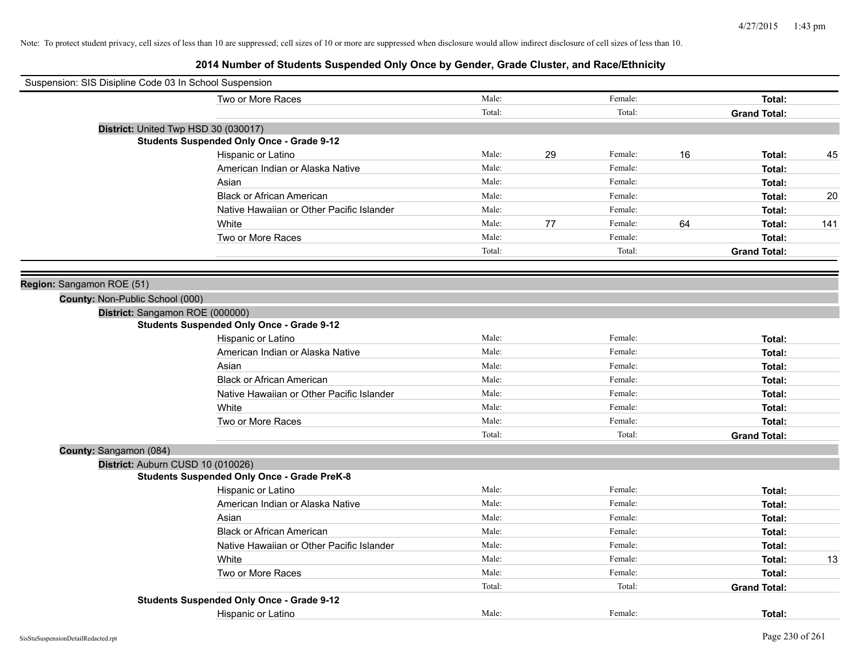|                           | Suspension: SIS Disipline Code 03 In School Suspension |        |    |         |    |                     |     |
|---------------------------|--------------------------------------------------------|--------|----|---------|----|---------------------|-----|
|                           | Two or More Races                                      | Male:  |    | Female: |    | Total:              |     |
|                           |                                                        | Total: |    | Total:  |    | <b>Grand Total:</b> |     |
|                           | District: United Twp HSD 30 (030017)                   |        |    |         |    |                     |     |
|                           | <b>Students Suspended Only Once - Grade 9-12</b>       |        |    |         |    |                     |     |
|                           | Hispanic or Latino                                     | Male:  | 29 | Female: | 16 | Total:              | 45  |
|                           | American Indian or Alaska Native                       | Male:  |    | Female: |    | Total:              |     |
|                           | Asian                                                  | Male:  |    | Female: |    | Total:              |     |
|                           | <b>Black or African American</b>                       | Male:  |    | Female: |    | Total:              | 20  |
|                           | Native Hawaiian or Other Pacific Islander              | Male:  |    | Female: |    | Total:              |     |
|                           | White                                                  | Male:  | 77 | Female: | 64 | Total:              | 141 |
|                           | Two or More Races                                      | Male:  |    | Female: |    | Total:              |     |
|                           |                                                        | Total: |    | Total:  |    | <b>Grand Total:</b> |     |
|                           |                                                        |        |    |         |    |                     |     |
| Region: Sangamon ROE (51) |                                                        |        |    |         |    |                     |     |
|                           | County: Non-Public School (000)                        |        |    |         |    |                     |     |
|                           | District: Sangamon ROE (000000)                        |        |    |         |    |                     |     |
|                           | <b>Students Suspended Only Once - Grade 9-12</b>       |        |    |         |    |                     |     |
|                           | Hispanic or Latino                                     | Male:  |    | Female: |    | Total:              |     |
|                           | American Indian or Alaska Native                       | Male:  |    | Female: |    | Total:              |     |
|                           | Asian                                                  | Male:  |    | Female: |    | Total:              |     |
|                           | <b>Black or African American</b>                       | Male:  |    | Female: |    | Total:              |     |
|                           | Native Hawaiian or Other Pacific Islander              | Male:  |    | Female: |    | Total:              |     |
|                           | White                                                  | Male:  |    | Female: |    | Total:              |     |
|                           | Two or More Races                                      | Male:  |    | Female: |    | Total:              |     |
|                           |                                                        | Total: |    | Total:  |    | <b>Grand Total:</b> |     |
| County: Sangamon (084)    |                                                        |        |    |         |    |                     |     |
|                           | District: Auburn CUSD 10 (010026)                      |        |    |         |    |                     |     |
|                           | <b>Students Suspended Only Once - Grade PreK-8</b>     |        |    | Female: |    |                     |     |
|                           | Hispanic or Latino                                     | Male:  |    | Female: |    | Total:              |     |
|                           | American Indian or Alaska Native                       | Male:  |    |         |    | Total:              |     |
|                           | Asian                                                  | Male:  |    | Female: |    | Total:              |     |
|                           | <b>Black or African American</b>                       | Male:  |    | Female: |    | Total:              |     |
|                           | Native Hawaiian or Other Pacific Islander              | Male:  |    | Female: |    | Total:              |     |
|                           | White                                                  | Male:  |    | Female: |    | Total:              | 13  |
|                           | Two or More Races                                      | Male:  |    | Female: |    | Total:              |     |
|                           |                                                        | Total: |    | Total:  |    | <b>Grand Total:</b> |     |
|                           | <b>Students Suspended Only Once - Grade 9-12</b>       |        |    |         |    |                     |     |
|                           | Hispanic or Latino                                     | Male:  |    | Female: |    | Total:              |     |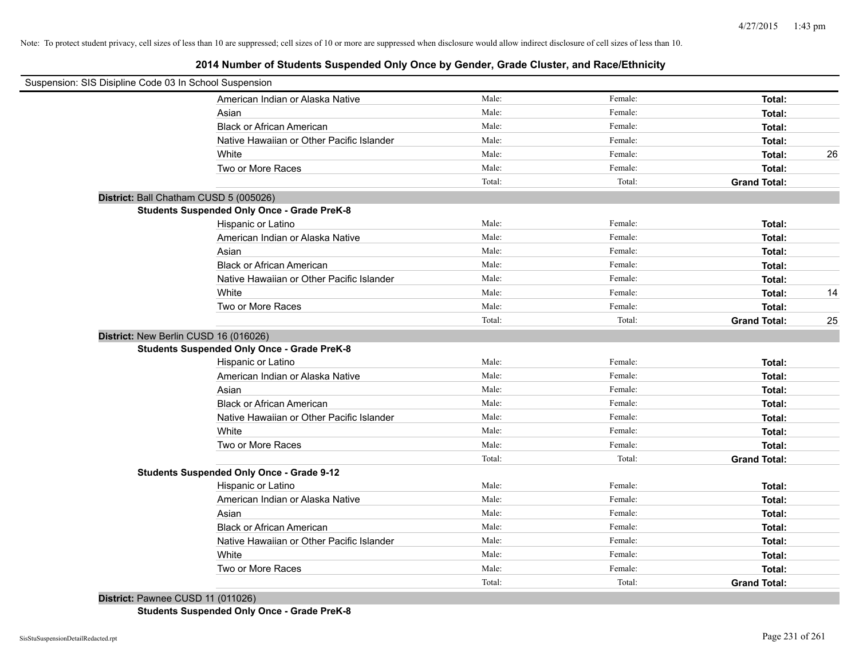| Suspension: SIS Disipline Code 03 In School Suspension |        |         |                     |    |
|--------------------------------------------------------|--------|---------|---------------------|----|
| American Indian or Alaska Native                       | Male:  | Female: | Total:              |    |
| Asian                                                  | Male:  | Female: | Total:              |    |
| <b>Black or African American</b>                       | Male:  | Female: | Total:              |    |
| Native Hawaiian or Other Pacific Islander              | Male:  | Female: | Total:              |    |
| White                                                  | Male:  | Female: | Total:              | 26 |
| Two or More Races                                      | Male:  | Female: | Total:              |    |
|                                                        | Total: | Total:  | <b>Grand Total:</b> |    |
| District: Ball Chatham CUSD 5 (005026)                 |        |         |                     |    |
| <b>Students Suspended Only Once - Grade PreK-8</b>     |        |         |                     |    |
| Hispanic or Latino                                     | Male:  | Female: | Total:              |    |
| American Indian or Alaska Native                       | Male:  | Female: | Total:              |    |
| Asian                                                  | Male:  | Female: | Total:              |    |
| <b>Black or African American</b>                       | Male:  | Female: | Total:              |    |
| Native Hawaiian or Other Pacific Islander              | Male:  | Female: | Total:              |    |
| White                                                  | Male:  | Female: | Total:              | 14 |
| Two or More Races                                      | Male:  | Female: | Total:              |    |
|                                                        | Total: | Total:  | <b>Grand Total:</b> | 25 |
| District: New Berlin CUSD 16 (016026)                  |        |         |                     |    |
| <b>Students Suspended Only Once - Grade PreK-8</b>     |        |         |                     |    |
| Hispanic or Latino                                     | Male:  | Female: | Total:              |    |
| American Indian or Alaska Native                       | Male:  | Female: | Total:              |    |
| Asian                                                  | Male:  | Female: | Total:              |    |
| <b>Black or African American</b>                       | Male:  | Female: | Total:              |    |
| Native Hawaiian or Other Pacific Islander              | Male:  | Female: | Total:              |    |
| White                                                  | Male:  | Female: | Total:              |    |
| Two or More Races                                      | Male:  | Female: | Total:              |    |
|                                                        | Total: | Total:  | <b>Grand Total:</b> |    |
| <b>Students Suspended Only Once - Grade 9-12</b>       |        |         |                     |    |
| Hispanic or Latino                                     | Male:  | Female: | Total:              |    |
| American Indian or Alaska Native                       | Male:  | Female: | Total:              |    |
| Asian                                                  | Male:  | Female: | Total:              |    |
| <b>Black or African American</b>                       | Male:  | Female: | Total:              |    |
| Native Hawaiian or Other Pacific Islander              | Male:  | Female: | Total:              |    |
| White                                                  | Male:  | Female: | Total:              |    |
| Two or More Races                                      | Male:  | Female: | Total:              |    |
|                                                        | Total: | Total:  | <b>Grand Total:</b> |    |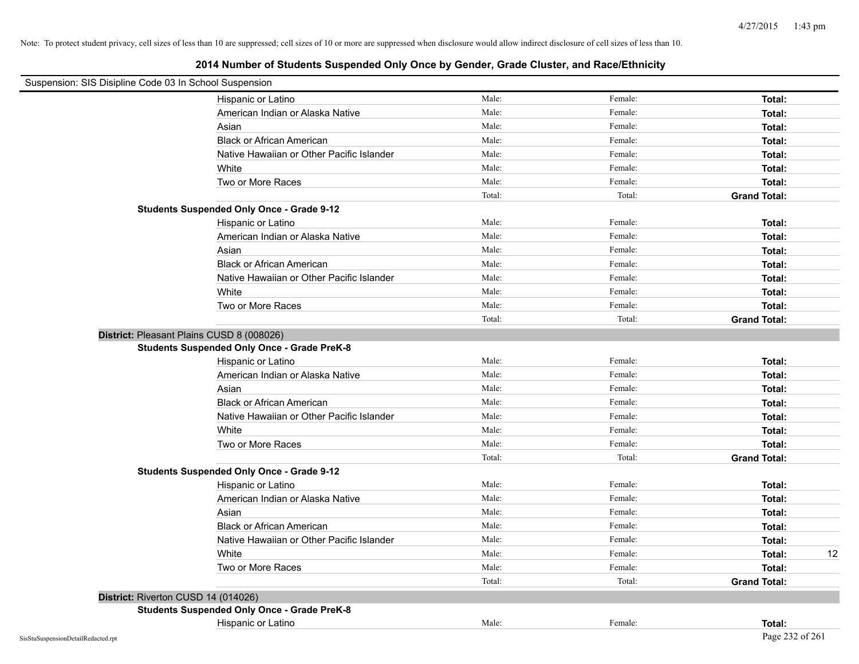| Suspension: SIS Disipline Code 03 In School Suspension |                                                    |        |         |                     |
|--------------------------------------------------------|----------------------------------------------------|--------|---------|---------------------|
|                                                        | Hispanic or Latino                                 | Male:  | Female: | Total:              |
|                                                        | American Indian or Alaska Native                   | Male:  | Female: | Total:              |
|                                                        | Asian                                              | Male:  | Female: | Total:              |
|                                                        | <b>Black or African American</b>                   | Male:  | Female: | Total:              |
|                                                        | Native Hawaiian or Other Pacific Islander          | Male:  | Female: | Total:              |
|                                                        | White                                              | Male:  | Female: | Total:              |
|                                                        | Two or More Races                                  | Male:  | Female: | Total:              |
|                                                        |                                                    | Total: | Total:  | <b>Grand Total:</b> |
|                                                        | <b>Students Suspended Only Once - Grade 9-12</b>   |        |         |                     |
|                                                        | Hispanic or Latino                                 | Male:  | Female: | Total:              |
|                                                        | American Indian or Alaska Native                   | Male:  | Female: | Total:              |
|                                                        | Asian                                              | Male:  | Female: | Total:              |
|                                                        | <b>Black or African American</b>                   | Male:  | Female: | Total:              |
|                                                        | Native Hawaiian or Other Pacific Islander          | Male:  | Female: | Total:              |
|                                                        | White                                              | Male:  | Female: | Total:              |
|                                                        | Two or More Races                                  | Male:  | Female: | Total:              |
|                                                        |                                                    | Total: | Total:  | <b>Grand Total:</b> |
| District: Pleasant Plains CUSD 8 (008026)              |                                                    |        |         |                     |
|                                                        | <b>Students Suspended Only Once - Grade PreK-8</b> |        |         |                     |
|                                                        | Hispanic or Latino                                 | Male:  | Female: | Total:              |
|                                                        | American Indian or Alaska Native                   | Male:  | Female: | Total:              |
|                                                        | Asian                                              | Male:  | Female: | Total:              |
|                                                        | <b>Black or African American</b>                   | Male:  | Female: | Total:              |
|                                                        | Native Hawaiian or Other Pacific Islander          | Male:  | Female: | Total:              |
|                                                        | White                                              | Male:  | Female: | Total:              |
|                                                        | Two or More Races                                  | Male:  | Female: | Total:              |
|                                                        |                                                    | Total: | Total:  | <b>Grand Total:</b> |
|                                                        | <b>Students Suspended Only Once - Grade 9-12</b>   |        |         |                     |
|                                                        | Hispanic or Latino                                 | Male:  | Female: | Total:              |
|                                                        | American Indian or Alaska Native                   | Male:  | Female: | Total:              |
|                                                        | Asian                                              | Male:  | Female: | Total:              |
|                                                        | <b>Black or African American</b>                   | Male:  | Female: | Total:              |
|                                                        | Native Hawaiian or Other Pacific Islander          | Male:  | Female: | Total:              |
|                                                        | White                                              | Male:  | Female: | 12<br>Total:        |
|                                                        | Two or More Races                                  | Male:  | Female: | Total:              |
|                                                        |                                                    | Total: | Total:  | <b>Grand Total:</b> |
| District: Riverton CUSD 14 (014026)                    |                                                    |        |         |                     |
|                                                        | <b>Students Suspended Only Once - Grade PreK-8</b> |        |         |                     |
|                                                        | Hispanic or Latino                                 | Male:  | Female: | Total:              |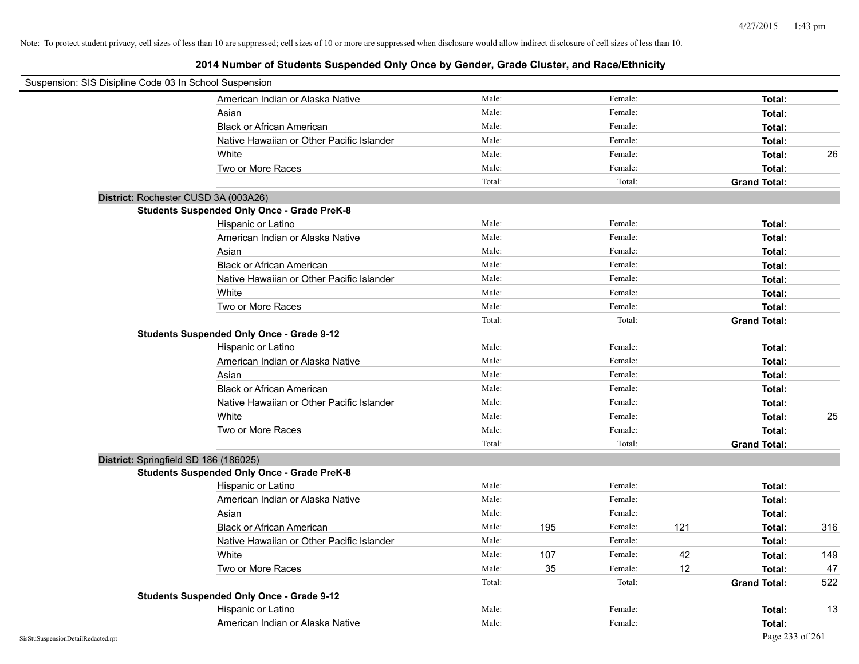| Suspension: SIS Disipline Code 03 In School Suspension |                                                    |        |     |         |     |                     |     |
|--------------------------------------------------------|----------------------------------------------------|--------|-----|---------|-----|---------------------|-----|
|                                                        | American Indian or Alaska Native                   | Male:  |     | Female: |     | Total:              |     |
|                                                        | Asian                                              | Male:  |     | Female: |     | Total:              |     |
|                                                        | <b>Black or African American</b>                   | Male:  |     | Female: |     | Total:              |     |
|                                                        | Native Hawaiian or Other Pacific Islander          | Male:  |     | Female: |     | Total:              |     |
|                                                        | White                                              | Male:  |     | Female: |     | Total:              | 26  |
|                                                        | Two or More Races                                  | Male:  |     | Female: |     | Total:              |     |
|                                                        |                                                    | Total: |     | Total:  |     | <b>Grand Total:</b> |     |
| District: Rochester CUSD 3A (003A26)                   |                                                    |        |     |         |     |                     |     |
|                                                        | <b>Students Suspended Only Once - Grade PreK-8</b> |        |     |         |     |                     |     |
|                                                        | Hispanic or Latino                                 | Male:  |     | Female: |     | Total:              |     |
|                                                        | American Indian or Alaska Native                   | Male:  |     | Female: |     | Total:              |     |
|                                                        | Asian                                              | Male:  |     | Female: |     | Total:              |     |
|                                                        | <b>Black or African American</b>                   | Male:  |     | Female: |     | Total:              |     |
|                                                        | Native Hawaiian or Other Pacific Islander          | Male:  |     | Female: |     | Total:              |     |
|                                                        | White                                              | Male:  |     | Female: |     | Total:              |     |
|                                                        | Two or More Races                                  | Male:  |     | Female: |     | Total:              |     |
|                                                        |                                                    | Total: |     | Total:  |     | <b>Grand Total:</b> |     |
|                                                        | <b>Students Suspended Only Once - Grade 9-12</b>   |        |     |         |     |                     |     |
|                                                        | Hispanic or Latino                                 | Male:  |     | Female: |     | Total:              |     |
|                                                        | American Indian or Alaska Native                   | Male:  |     | Female: |     | Total:              |     |
|                                                        | Asian                                              | Male:  |     | Female: |     | Total:              |     |
|                                                        | <b>Black or African American</b>                   | Male:  |     | Female: |     | Total:              |     |
|                                                        | Native Hawaiian or Other Pacific Islander          | Male:  |     | Female: |     | Total:              |     |
|                                                        | White                                              | Male:  |     | Female: |     | Total:              | 25  |
|                                                        | Two or More Races                                  | Male:  |     | Female: |     | Total:              |     |
|                                                        |                                                    | Total: |     | Total:  |     | <b>Grand Total:</b> |     |
| District: Springfield SD 186 (186025)                  |                                                    |        |     |         |     |                     |     |
|                                                        | <b>Students Suspended Only Once - Grade PreK-8</b> |        |     |         |     |                     |     |
|                                                        | Hispanic or Latino                                 | Male:  |     | Female: |     | Total:              |     |
|                                                        | American Indian or Alaska Native                   | Male:  |     | Female: |     | Total:              |     |
|                                                        | Asian                                              | Male:  |     | Female: |     | Total:              |     |
|                                                        | <b>Black or African American</b>                   | Male:  | 195 | Female: | 121 | Total:              | 316 |
|                                                        | Native Hawaiian or Other Pacific Islander          | Male:  |     | Female: |     | Total:              |     |
|                                                        | White                                              | Male:  | 107 | Female: | 42  | Total:              | 149 |
|                                                        | Two or More Races                                  | Male:  | 35  | Female: | 12  | Total:              | 47  |
|                                                        |                                                    | Total: |     | Total:  |     | <b>Grand Total:</b> | 522 |
|                                                        | <b>Students Suspended Only Once - Grade 9-12</b>   |        |     |         |     |                     |     |
|                                                        | Hispanic or Latino                                 | Male:  |     | Female: |     | Total:              | 13  |
|                                                        | American Indian or Alaska Native                   | Male:  |     | Female: |     | Total:              |     |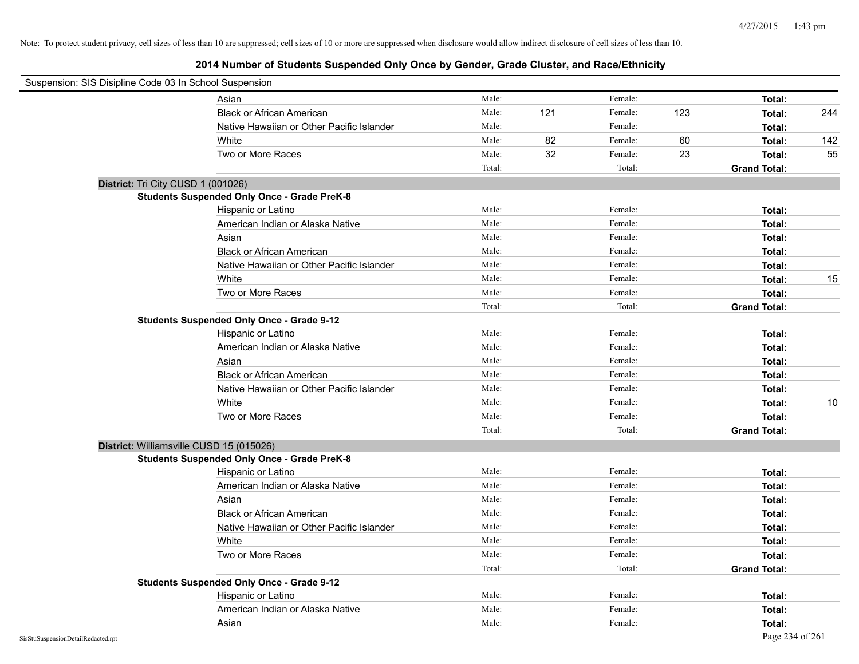| Suspension: SIS Disipline Code 03 In School Suspension |                                                    |        |     |         |     |                     |     |
|--------------------------------------------------------|----------------------------------------------------|--------|-----|---------|-----|---------------------|-----|
|                                                        | Asian                                              | Male:  |     | Female: |     | Total:              |     |
|                                                        | <b>Black or African American</b>                   | Male:  | 121 | Female: | 123 | Total:              | 244 |
|                                                        | Native Hawaiian or Other Pacific Islander          | Male:  |     | Female: |     | Total:              |     |
|                                                        | White                                              | Male:  | 82  | Female: | 60  | Total:              | 142 |
|                                                        | Two or More Races                                  | Male:  | 32  | Female: | 23  | Total:              | 55  |
|                                                        |                                                    | Total: |     | Total:  |     | <b>Grand Total:</b> |     |
| District: Tri City CUSD 1 (001026)                     |                                                    |        |     |         |     |                     |     |
|                                                        | <b>Students Suspended Only Once - Grade PreK-8</b> |        |     |         |     |                     |     |
|                                                        | Hispanic or Latino                                 | Male:  |     | Female: |     | Total:              |     |
|                                                        | American Indian or Alaska Native                   | Male:  |     | Female: |     | Total:              |     |
|                                                        | Asian                                              | Male:  |     | Female: |     | Total:              |     |
|                                                        | <b>Black or African American</b>                   | Male:  |     | Female: |     | Total:              |     |
|                                                        | Native Hawaiian or Other Pacific Islander          | Male:  |     | Female: |     | Total:              |     |
|                                                        | White                                              | Male:  |     | Female: |     | Total:              | 15  |
|                                                        | Two or More Races                                  | Male:  |     | Female: |     | Total:              |     |
|                                                        |                                                    | Total: |     | Total:  |     | <b>Grand Total:</b> |     |
|                                                        | <b>Students Suspended Only Once - Grade 9-12</b>   |        |     |         |     |                     |     |
|                                                        | Hispanic or Latino                                 | Male:  |     | Female: |     | Total:              |     |
|                                                        | American Indian or Alaska Native                   | Male:  |     | Female: |     | Total:              |     |
|                                                        | Asian                                              | Male:  |     | Female: |     | Total:              |     |
|                                                        | <b>Black or African American</b>                   | Male:  |     | Female: |     | Total:              |     |
|                                                        | Native Hawaiian or Other Pacific Islander          | Male:  |     | Female: |     | Total:              |     |
|                                                        | White                                              | Male:  |     | Female: |     | Total:              | 10  |
|                                                        | Two or More Races                                  | Male:  |     | Female: |     | Total:              |     |
|                                                        |                                                    | Total: |     | Total:  |     | <b>Grand Total:</b> |     |
| District: Williamsville CUSD 15 (015026)               |                                                    |        |     |         |     |                     |     |
|                                                        | <b>Students Suspended Only Once - Grade PreK-8</b> |        |     |         |     |                     |     |
|                                                        | Hispanic or Latino                                 | Male:  |     | Female: |     | Total:              |     |
|                                                        | American Indian or Alaska Native                   | Male:  |     | Female: |     | Total:              |     |
|                                                        | Asian                                              | Male:  |     | Female: |     | Total:              |     |
|                                                        | <b>Black or African American</b>                   | Male:  |     | Female: |     | Total:              |     |
|                                                        | Native Hawaiian or Other Pacific Islander          | Male:  |     | Female: |     | Total:              |     |
|                                                        | White                                              | Male:  |     | Female: |     | Total:              |     |
|                                                        | Two or More Races                                  | Male:  |     | Female: |     | <b>Total:</b>       |     |
|                                                        |                                                    | Total: |     | Total:  |     | <b>Grand Total:</b> |     |
|                                                        | <b>Students Suspended Only Once - Grade 9-12</b>   |        |     |         |     |                     |     |
|                                                        | Hispanic or Latino                                 | Male:  |     | Female: |     | Total:              |     |
|                                                        | American Indian or Alaska Native                   | Male:  |     | Female: |     | Total:              |     |
|                                                        | Asian                                              | Male:  |     | Female: |     | Total:              |     |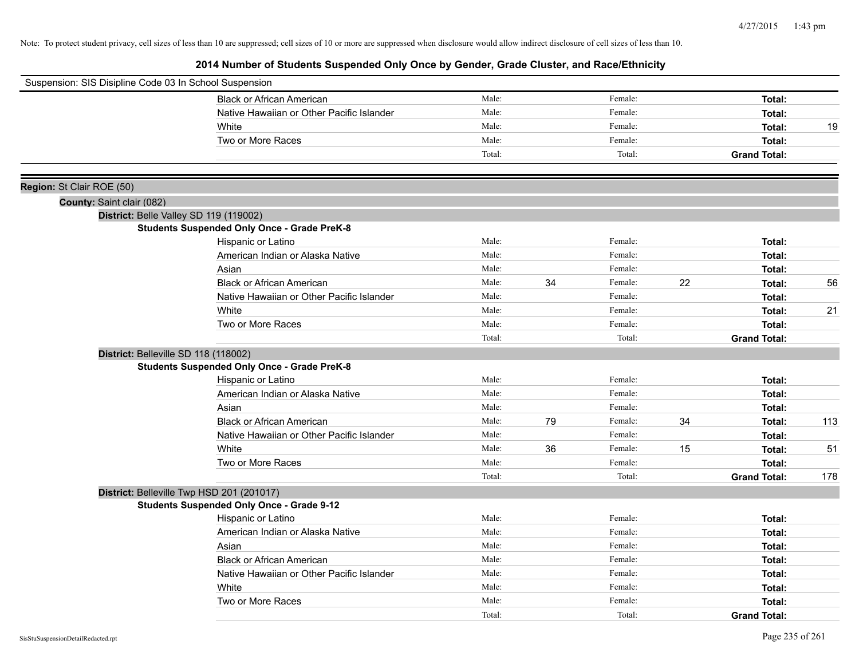| Suspension: SIS Disipline Code 03 In School Suspension |                                                    |        |    |         |    |                     |     |
|--------------------------------------------------------|----------------------------------------------------|--------|----|---------|----|---------------------|-----|
|                                                        | <b>Black or African American</b>                   | Male:  |    | Female: |    | Total:              |     |
|                                                        | Native Hawaiian or Other Pacific Islander          | Male:  |    | Female: |    | Total:              |     |
|                                                        | White                                              | Male:  |    | Female: |    | Total:              | 19  |
|                                                        | Two or More Races                                  | Male:  |    | Female: |    | Total:              |     |
|                                                        |                                                    | Total: |    | Total:  |    | <b>Grand Total:</b> |     |
| Region: St Clair ROE (50)                              |                                                    |        |    |         |    |                     |     |
| County: Saint clair (082)                              |                                                    |        |    |         |    |                     |     |
|                                                        | District: Belle Valley SD 119 (119002)             |        |    |         |    |                     |     |
|                                                        | <b>Students Suspended Only Once - Grade PreK-8</b> |        |    |         |    |                     |     |
|                                                        | Hispanic or Latino                                 | Male:  |    | Female: |    | Total:              |     |
|                                                        | American Indian or Alaska Native                   | Male:  |    | Female: |    | Total:              |     |
|                                                        | Asian                                              | Male:  |    | Female: |    | Total:              |     |
|                                                        | <b>Black or African American</b>                   | Male:  | 34 | Female: | 22 | Total:              | 56  |
|                                                        | Native Hawaiian or Other Pacific Islander          | Male:  |    | Female: |    | Total:              |     |
|                                                        | White                                              | Male:  |    | Female: |    | Total:              | 21  |
|                                                        | Two or More Races                                  | Male:  |    | Female: |    | Total:              |     |
|                                                        |                                                    | Total: |    | Total:  |    | <b>Grand Total:</b> |     |
|                                                        | District: Belleville SD 118 (118002)               |        |    |         |    |                     |     |
|                                                        | <b>Students Suspended Only Once - Grade PreK-8</b> |        |    |         |    |                     |     |
|                                                        | Hispanic or Latino                                 | Male:  |    | Female: |    | Total:              |     |
|                                                        | American Indian or Alaska Native                   | Male:  |    | Female: |    | Total:              |     |
|                                                        | Asian                                              | Male:  |    | Female: |    | Total:              |     |
|                                                        | <b>Black or African American</b>                   | Male:  | 79 | Female: | 34 | Total:              | 113 |
|                                                        | Native Hawaiian or Other Pacific Islander          | Male:  |    | Female: |    | Total:              |     |
|                                                        | White                                              | Male:  | 36 | Female: | 15 | Total:              | 51  |
|                                                        | Two or More Races                                  | Male:  |    | Female: |    | Total:              |     |
|                                                        |                                                    | Total: |    | Total:  |    | <b>Grand Total:</b> | 178 |
|                                                        | District: Belleville Twp HSD 201 (201017)          |        |    |         |    |                     |     |
|                                                        | <b>Students Suspended Only Once - Grade 9-12</b>   |        |    |         |    |                     |     |
|                                                        | Hispanic or Latino                                 | Male:  |    | Female: |    | Total:              |     |
|                                                        | American Indian or Alaska Native                   | Male:  |    | Female: |    | Total:              |     |
|                                                        | Asian                                              | Male:  |    | Female: |    | Total:              |     |
|                                                        | <b>Black or African American</b>                   | Male:  |    | Female: |    | Total:              |     |
|                                                        | Native Hawaiian or Other Pacific Islander          | Male:  |    | Female: |    | Total:              |     |
|                                                        | White                                              | Male:  |    | Female: |    | Total:              |     |
|                                                        | Two or More Races                                  | Male:  |    | Female: |    | Total:              |     |
|                                                        |                                                    | Total: |    | Total:  |    | <b>Grand Total:</b> |     |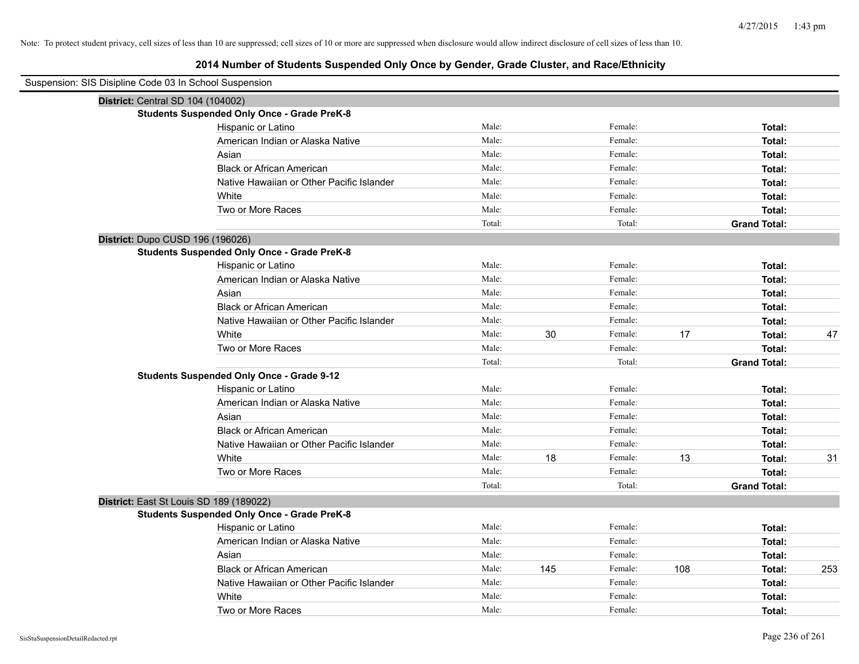# **2014 Number of Students Suspended Only Once by Gender, Grade Cluster, and Race/Ethnicity**

| Suspension: SIS Disipline Code 03 In School Suspension |                                                    |        |     |         |     |                     |     |
|--------------------------------------------------------|----------------------------------------------------|--------|-----|---------|-----|---------------------|-----|
| District: Central SD 104 (104002)                      |                                                    |        |     |         |     |                     |     |
|                                                        | <b>Students Suspended Only Once - Grade PreK-8</b> |        |     |         |     |                     |     |
|                                                        | Hispanic or Latino                                 | Male:  |     | Female: |     | Total:              |     |
|                                                        | American Indian or Alaska Native                   | Male:  |     | Female: |     | Total:              |     |
|                                                        | Asian                                              | Male:  |     | Female: |     | Total:              |     |
|                                                        | <b>Black or African American</b>                   | Male:  |     | Female: |     | Total:              |     |
|                                                        | Native Hawaiian or Other Pacific Islander          | Male:  |     | Female: |     | Total:              |     |
|                                                        | White                                              | Male:  |     | Female: |     | Total:              |     |
|                                                        | Two or More Races                                  | Male:  |     | Female: |     | Total:              |     |
|                                                        |                                                    | Total: |     | Total:  |     | <b>Grand Total:</b> |     |
| District: Dupo CUSD 196 (196026)                       |                                                    |        |     |         |     |                     |     |
|                                                        | <b>Students Suspended Only Once - Grade PreK-8</b> |        |     |         |     |                     |     |
|                                                        | Hispanic or Latino                                 | Male:  |     | Female: |     | Total:              |     |
|                                                        | American Indian or Alaska Native                   | Male:  |     | Female: |     | Total:              |     |
|                                                        | Asian                                              | Male:  |     | Female: |     | Total:              |     |
|                                                        | <b>Black or African American</b>                   | Male:  |     | Female: |     | Total:              |     |
|                                                        | Native Hawaiian or Other Pacific Islander          | Male:  |     | Female: |     | Total:              |     |
|                                                        | White                                              | Male:  | 30  | Female: | 17  | Total:              | 47  |
|                                                        | Two or More Races                                  | Male:  |     | Female: |     | Total:              |     |
|                                                        |                                                    | Total: |     | Total:  |     | <b>Grand Total:</b> |     |
|                                                        | <b>Students Suspended Only Once - Grade 9-12</b>   |        |     |         |     |                     |     |
|                                                        | Hispanic or Latino                                 | Male:  |     | Female: |     | Total:              |     |
|                                                        | American Indian or Alaska Native                   | Male:  |     | Female: |     | Total:              |     |
|                                                        | Asian                                              | Male:  |     | Female: |     | Total:              |     |
|                                                        | <b>Black or African American</b>                   | Male:  |     | Female: |     | Total:              |     |
|                                                        | Native Hawaiian or Other Pacific Islander          | Male:  |     | Female: |     | Total:              |     |
|                                                        | White                                              | Male:  | 18  | Female: | 13  | <b>Total:</b>       | 31  |
|                                                        | Two or More Races                                  | Male:  |     | Female: |     | Total:              |     |
|                                                        |                                                    | Total: |     | Total:  |     | <b>Grand Total:</b> |     |
| District: East St Louis SD 189 (189022)                |                                                    |        |     |         |     |                     |     |
|                                                        | <b>Students Suspended Only Once - Grade PreK-8</b> |        |     |         |     |                     |     |
|                                                        | Hispanic or Latino                                 | Male:  |     | Female: |     | Total:              |     |
|                                                        | American Indian or Alaska Native                   | Male:  |     | Female: |     | Total:              |     |
|                                                        | Asian                                              | Male:  |     | Female: |     | Total:              |     |
|                                                        | <b>Black or African American</b>                   | Male:  | 145 | Female: | 108 | Total:              | 253 |
|                                                        | Native Hawaiian or Other Pacific Islander          | Male:  |     | Female: |     | Total:              |     |
|                                                        | White                                              | Male:  |     | Female: |     | Total:              |     |
|                                                        | Two or More Races                                  | Male:  |     | Female: |     | Total:              |     |

÷,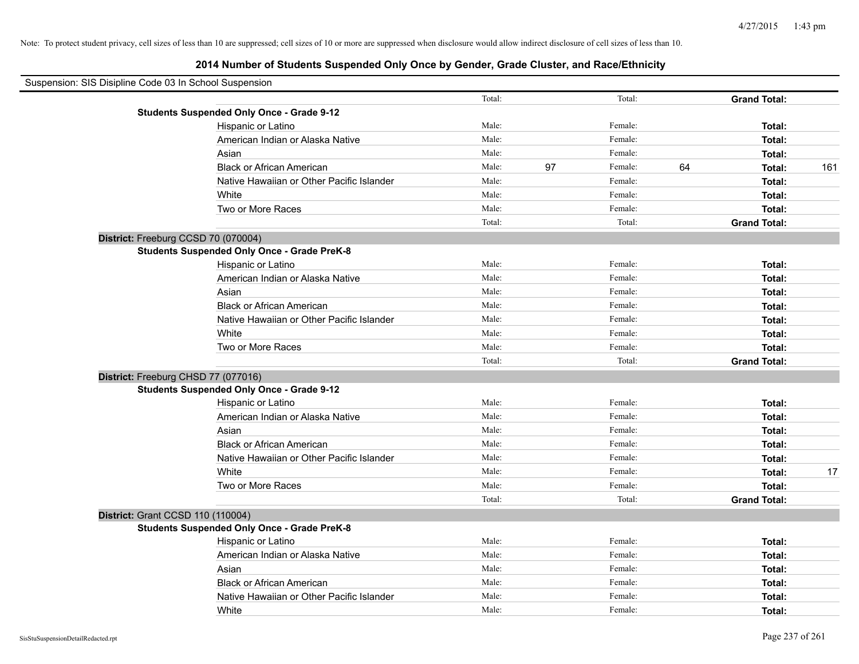| Suspension: SIS Disipline Code 03 In School Suspension |                                                    |        |               |                     |     |
|--------------------------------------------------------|----------------------------------------------------|--------|---------------|---------------------|-----|
|                                                        |                                                    | Total: | Total:        | <b>Grand Total:</b> |     |
|                                                        | <b>Students Suspended Only Once - Grade 9-12</b>   |        |               |                     |     |
|                                                        | Hispanic or Latino                                 | Male:  | Female:       | Total:              |     |
|                                                        | American Indian or Alaska Native                   | Male:  | Female:       | Total:              |     |
|                                                        | Asian                                              | Male:  | Female:       | Total:              |     |
|                                                        | <b>Black or African American</b>                   | Male:  | 97<br>Female: | 64<br>Total:        | 161 |
|                                                        | Native Hawaiian or Other Pacific Islander          | Male:  | Female:       | Total:              |     |
|                                                        | White                                              | Male:  | Female:       | Total:              |     |
|                                                        | Two or More Races                                  | Male:  | Female:       | Total:              |     |
|                                                        |                                                    | Total: | Total:        | <b>Grand Total:</b> |     |
|                                                        | District: Freeburg CCSD 70 (070004)                |        |               |                     |     |
|                                                        | <b>Students Suspended Only Once - Grade PreK-8</b> |        |               |                     |     |
|                                                        | Hispanic or Latino                                 | Male:  | Female:       | Total:              |     |
|                                                        | American Indian or Alaska Native                   | Male:  | Female:       | Total:              |     |
|                                                        | Asian                                              | Male:  | Female:       | Total:              |     |
|                                                        | <b>Black or African American</b>                   | Male:  | Female:       | Total:              |     |
|                                                        | Native Hawaiian or Other Pacific Islander          | Male:  | Female:       | Total:              |     |
|                                                        | White                                              | Male:  | Female:       | Total:              |     |
|                                                        | Two or More Races                                  | Male:  | Female:       | Total:              |     |
|                                                        |                                                    | Total: | Total:        | <b>Grand Total:</b> |     |
|                                                        | District: Freeburg CHSD 77 (077016)                |        |               |                     |     |
|                                                        | <b>Students Suspended Only Once - Grade 9-12</b>   |        |               |                     |     |
|                                                        | Hispanic or Latino                                 | Male:  | Female:       | Total:              |     |
|                                                        | American Indian or Alaska Native                   | Male:  | Female:       | Total:              |     |
|                                                        | Asian                                              | Male:  | Female:       | Total:              |     |
|                                                        | <b>Black or African American</b>                   | Male:  | Female:       | Total:              |     |
|                                                        | Native Hawaiian or Other Pacific Islander          | Male:  | Female:       | Total:              |     |
|                                                        | White                                              | Male:  | Female:       | Total:              | 17  |
|                                                        | Two or More Races                                  | Male:  | Female:       | Total:              |     |
|                                                        |                                                    | Total: | Total:        | <b>Grand Total:</b> |     |
|                                                        | District: Grant CCSD 110 (110004)                  |        |               |                     |     |
|                                                        | <b>Students Suspended Only Once - Grade PreK-8</b> |        |               |                     |     |
|                                                        | Hispanic or Latino                                 | Male:  | Female:       | Total:              |     |
|                                                        | American Indian or Alaska Native                   | Male:  | Female:       | Total:              |     |
|                                                        | Asian                                              | Male:  | Female:       | Total:              |     |
|                                                        | <b>Black or African American</b>                   | Male:  | Female:       | Total:              |     |
|                                                        | Native Hawaiian or Other Pacific Islander          | Male:  | Female:       | Total:              |     |
|                                                        | White                                              | Male:  | Female:       | Total:              |     |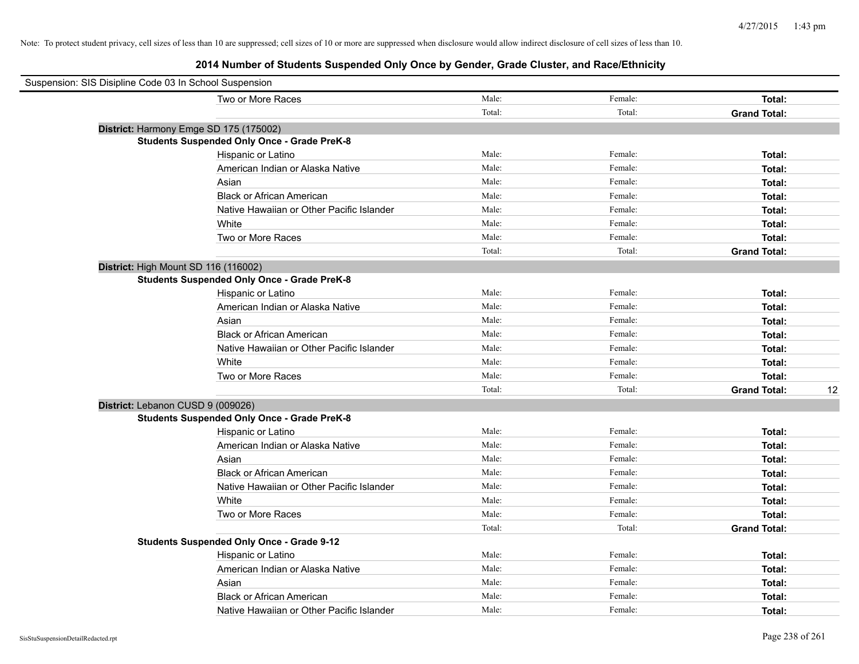| Suspension: SIS Disipline Code 03 In School Suspension |                                                    |        |         |                     |    |
|--------------------------------------------------------|----------------------------------------------------|--------|---------|---------------------|----|
|                                                        | Two or More Races                                  | Male:  | Female: | Total:              |    |
|                                                        |                                                    | Total: | Total:  | <b>Grand Total:</b> |    |
|                                                        | District: Harmony Emge SD 175 (175002)             |        |         |                     |    |
|                                                        | <b>Students Suspended Only Once - Grade PreK-8</b> |        |         |                     |    |
|                                                        | Hispanic or Latino                                 | Male:  | Female: | Total:              |    |
|                                                        | American Indian or Alaska Native                   | Male:  | Female: | Total:              |    |
|                                                        | Asian                                              | Male:  | Female: | Total:              |    |
|                                                        | <b>Black or African American</b>                   | Male:  | Female: | Total:              |    |
|                                                        | Native Hawaiian or Other Pacific Islander          | Male:  | Female: | Total:              |    |
|                                                        | White                                              | Male:  | Female: | Total:              |    |
|                                                        | Two or More Races                                  | Male:  | Female: | Total:              |    |
|                                                        |                                                    | Total: | Total:  | <b>Grand Total:</b> |    |
| District: High Mount SD 116 (116002)                   |                                                    |        |         |                     |    |
|                                                        | <b>Students Suspended Only Once - Grade PreK-8</b> |        |         |                     |    |
|                                                        | Hispanic or Latino                                 | Male:  | Female: | Total:              |    |
|                                                        | American Indian or Alaska Native                   | Male:  | Female: | Total:              |    |
|                                                        | Asian                                              | Male:  | Female: | Total:              |    |
|                                                        | <b>Black or African American</b>                   | Male:  | Female: | Total:              |    |
|                                                        | Native Hawaiian or Other Pacific Islander          | Male:  | Female: | Total:              |    |
|                                                        | White                                              | Male:  | Female: | Total:              |    |
|                                                        | Two or More Races                                  | Male:  | Female: | Total:              |    |
|                                                        |                                                    | Total: | Total:  | <b>Grand Total:</b> | 12 |
| District: Lebanon CUSD 9 (009026)                      |                                                    |        |         |                     |    |
|                                                        | <b>Students Suspended Only Once - Grade PreK-8</b> |        |         |                     |    |
|                                                        | Hispanic or Latino                                 | Male:  | Female: | Total:              |    |
|                                                        | American Indian or Alaska Native                   | Male:  | Female: | Total:              |    |
|                                                        | Asian                                              | Male:  | Female: | Total:              |    |
|                                                        | <b>Black or African American</b>                   | Male:  | Female: | Total:              |    |
|                                                        | Native Hawaiian or Other Pacific Islander          | Male:  | Female: | Total:              |    |
|                                                        | White                                              | Male:  | Female: | Total:              |    |
|                                                        | Two or More Races                                  | Male:  | Female: | Total:              |    |
|                                                        |                                                    | Total: | Total:  | <b>Grand Total:</b> |    |
|                                                        | <b>Students Suspended Only Once - Grade 9-12</b>   |        |         |                     |    |
|                                                        | Hispanic or Latino                                 | Male:  | Female: | Total:              |    |
|                                                        | American Indian or Alaska Native                   | Male:  | Female: | Total:              |    |
|                                                        | Asian                                              | Male:  | Female: | Total:              |    |
|                                                        | <b>Black or African American</b>                   | Male:  | Female: | Total:              |    |
|                                                        | Native Hawaiian or Other Pacific Islander          | Male:  | Female: | Total:              |    |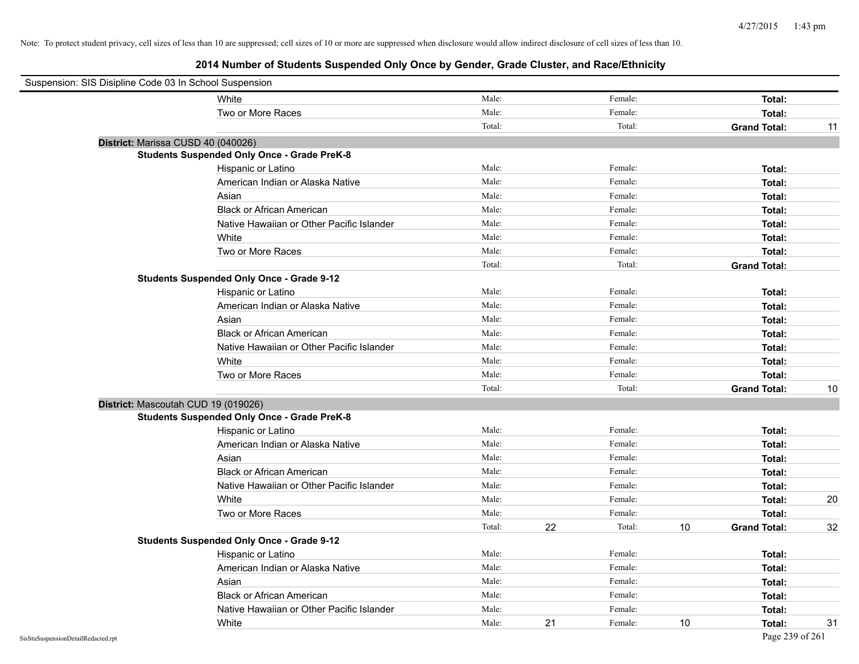| Suspension: SIS Disipline Code 03 In School Suspension |                                                    |        |    |         |    |                     |    |
|--------------------------------------------------------|----------------------------------------------------|--------|----|---------|----|---------------------|----|
|                                                        | White                                              | Male:  |    | Female: |    | Total:              |    |
|                                                        | Two or More Races                                  | Male:  |    | Female: |    | Total:              |    |
|                                                        |                                                    | Total: |    | Total:  |    | <b>Grand Total:</b> | 11 |
| District: Marissa CUSD 40 (040026)                     |                                                    |        |    |         |    |                     |    |
|                                                        | <b>Students Suspended Only Once - Grade PreK-8</b> |        |    |         |    |                     |    |
|                                                        | Hispanic or Latino                                 | Male:  |    | Female: |    | Total:              |    |
|                                                        | American Indian or Alaska Native                   | Male:  |    | Female: |    | Total:              |    |
|                                                        | Asian                                              | Male:  |    | Female: |    | Total:              |    |
|                                                        | <b>Black or African American</b>                   | Male:  |    | Female: |    | Total:              |    |
|                                                        | Native Hawaiian or Other Pacific Islander          | Male:  |    | Female: |    | Total:              |    |
|                                                        | White                                              | Male:  |    | Female: |    | Total:              |    |
|                                                        | Two or More Races                                  | Male:  |    | Female: |    | Total:              |    |
|                                                        |                                                    | Total: |    | Total:  |    | <b>Grand Total:</b> |    |
|                                                        | <b>Students Suspended Only Once - Grade 9-12</b>   |        |    |         |    |                     |    |
|                                                        | Hispanic or Latino                                 | Male:  |    | Female: |    | Total:              |    |
|                                                        | American Indian or Alaska Native                   | Male:  |    | Female: |    | Total:              |    |
|                                                        | Asian                                              | Male:  |    | Female: |    | Total:              |    |
|                                                        | <b>Black or African American</b>                   | Male:  |    | Female: |    | Total:              |    |
|                                                        | Native Hawaiian or Other Pacific Islander          | Male:  |    | Female: |    | Total:              |    |
|                                                        | White                                              | Male:  |    | Female: |    | Total:              |    |
|                                                        | Two or More Races                                  | Male:  |    | Female: |    | Total:              |    |
|                                                        |                                                    | Total: |    | Total:  |    | <b>Grand Total:</b> | 10 |
|                                                        | District: Mascoutah CUD 19 (019026)                |        |    |         |    |                     |    |
|                                                        | <b>Students Suspended Only Once - Grade PreK-8</b> |        |    |         |    |                     |    |
|                                                        | Hispanic or Latino                                 | Male:  |    | Female: |    | Total:              |    |
|                                                        | American Indian or Alaska Native                   | Male:  |    | Female: |    | Total:              |    |
|                                                        | Asian                                              | Male:  |    | Female: |    | Total:              |    |
|                                                        | <b>Black or African American</b>                   | Male:  |    | Female: |    | Total:              |    |
|                                                        | Native Hawaiian or Other Pacific Islander          | Male:  |    | Female: |    | Total:              |    |
|                                                        | White                                              | Male:  |    | Female: |    | Total:              | 20 |
|                                                        | Two or More Races                                  | Male:  |    | Female: |    | Total:              |    |
|                                                        |                                                    | Total: | 22 | Total:  | 10 | <b>Grand Total:</b> | 32 |
|                                                        | <b>Students Suspended Only Once - Grade 9-12</b>   |        |    |         |    |                     |    |
|                                                        | Hispanic or Latino                                 | Male:  |    | Female: |    | Total:              |    |
|                                                        | American Indian or Alaska Native                   | Male:  |    | Female: |    | Total:              |    |
|                                                        | Asian                                              | Male:  |    | Female: |    | Total:              |    |
|                                                        | <b>Black or African American</b>                   | Male:  |    | Female: |    | Total:              |    |
|                                                        | Native Hawaiian or Other Pacific Islander          | Male:  |    | Female: |    | Total:              |    |
|                                                        | White                                              | Male:  | 21 | Female: | 10 | Total:              | 31 |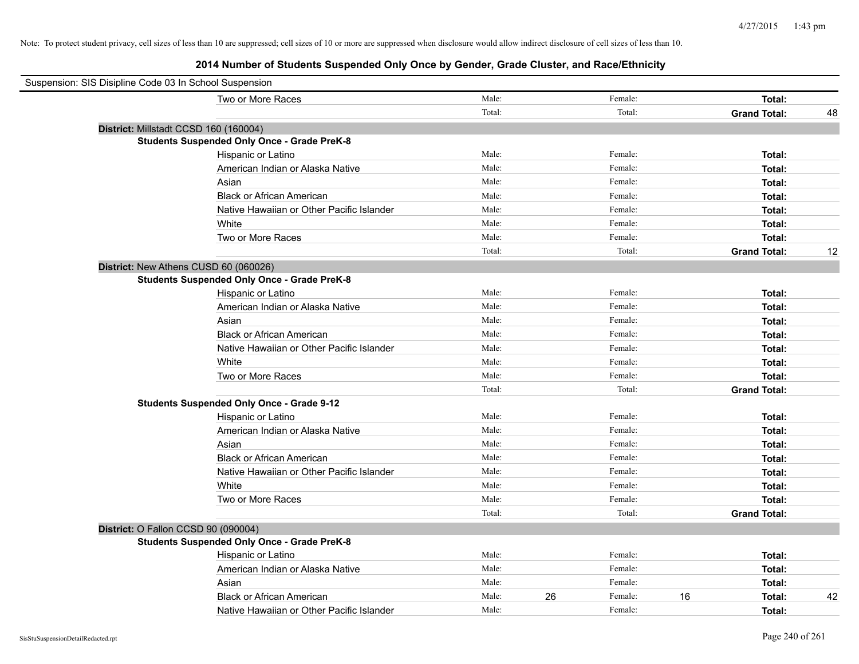| Suspension: SIS Disipline Code 03 In School Suspension |        |               |                     |    |
|--------------------------------------------------------|--------|---------------|---------------------|----|
| Two or More Races                                      | Male:  | Female:       | Total:              |    |
|                                                        | Total: | Total:        | <b>Grand Total:</b> | 48 |
| District: Millstadt CCSD 160 (160004)                  |        |               |                     |    |
| <b>Students Suspended Only Once - Grade PreK-8</b>     |        |               |                     |    |
| Hispanic or Latino                                     | Male:  | Female:       | Total:              |    |
| American Indian or Alaska Native                       | Male:  | Female:       | Total:              |    |
| Asian                                                  | Male:  | Female:       | Total:              |    |
| <b>Black or African American</b>                       | Male:  | Female:       | Total:              |    |
| Native Hawaiian or Other Pacific Islander              | Male:  | Female:       | Total:              |    |
| White                                                  | Male:  | Female:       | Total:              |    |
| Two or More Races                                      | Male:  | Female:       | Total:              |    |
|                                                        | Total: | Total:        | <b>Grand Total:</b> | 12 |
| District: New Athens CUSD 60 (060026)                  |        |               |                     |    |
| <b>Students Suspended Only Once - Grade PreK-8</b>     |        |               |                     |    |
| Hispanic or Latino                                     | Male:  | Female:       | Total:              |    |
| American Indian or Alaska Native                       | Male:  | Female:       | Total:              |    |
| Asian                                                  | Male:  | Female:       | Total:              |    |
| <b>Black or African American</b>                       | Male:  | Female:       | Total:              |    |
| Native Hawaiian or Other Pacific Islander              | Male:  | Female:       | Total:              |    |
| White                                                  | Male:  | Female:       | Total:              |    |
| Two or More Races                                      | Male:  | Female:       | Total:              |    |
|                                                        | Total: | Total:        | <b>Grand Total:</b> |    |
| <b>Students Suspended Only Once - Grade 9-12</b>       |        |               |                     |    |
| Hispanic or Latino                                     | Male:  | Female:       | Total:              |    |
| American Indian or Alaska Native                       | Male:  | Female:       | Total:              |    |
| Asian                                                  | Male:  | Female:       | Total:              |    |
| <b>Black or African American</b>                       | Male:  | Female:       | Total:              |    |
| Native Hawaiian or Other Pacific Islander              | Male:  | Female:       | Total:              |    |
| White                                                  | Male:  | Female:       | Total:              |    |
| Two or More Races                                      | Male:  | Female:       | Total:              |    |
|                                                        | Total: | Total:        | <b>Grand Total:</b> |    |
| District: O Fallon CCSD 90 (090004)                    |        |               |                     |    |
| <b>Students Suspended Only Once - Grade PreK-8</b>     |        |               |                     |    |
| Hispanic or Latino                                     | Male:  | Female:       | Total:              |    |
| American Indian or Alaska Native                       | Male:  | Female:       | Total:              |    |
| Asian                                                  | Male:  | Female:       | Total:              |    |
| <b>Black or African American</b>                       | Male:  | 26<br>Female: | 16<br>Total:        | 42 |
| Native Hawaiian or Other Pacific Islander              | Male:  | Female:       | Total:              |    |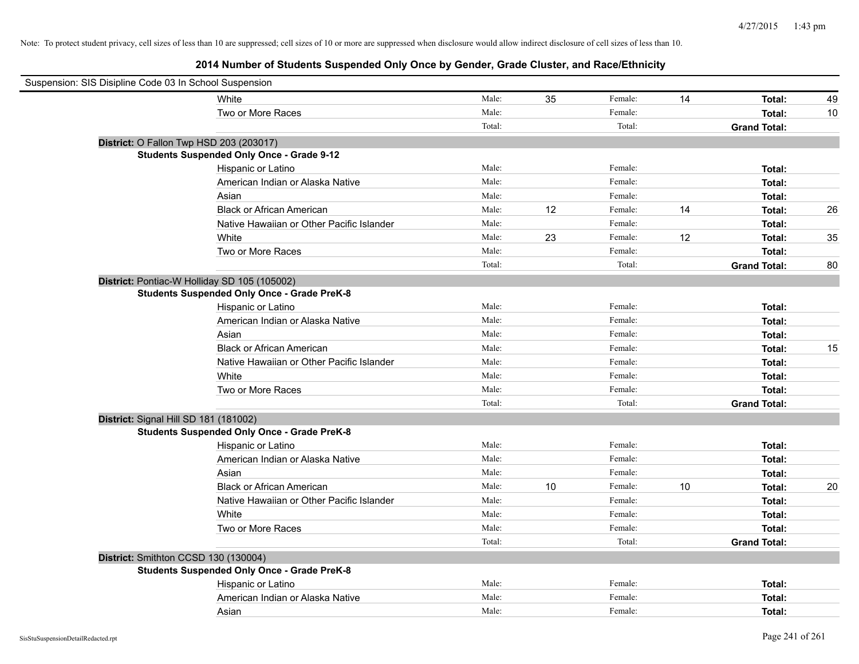| Suspension: SIS Disipline Code 03 In School Suspension |        |    |         |    |                     |    |
|--------------------------------------------------------|--------|----|---------|----|---------------------|----|
| White                                                  | Male:  | 35 | Female: | 14 | Total:              | 49 |
| Two or More Races                                      | Male:  |    | Female: |    | Total:              | 10 |
|                                                        | Total: |    | Total:  |    | <b>Grand Total:</b> |    |
| District: O Fallon Twp HSD 203 (203017)                |        |    |         |    |                     |    |
| <b>Students Suspended Only Once - Grade 9-12</b>       |        |    |         |    |                     |    |
| Hispanic or Latino                                     | Male:  |    | Female: |    | Total:              |    |
| American Indian or Alaska Native                       | Male:  |    | Female: |    | Total:              |    |
| Asian                                                  | Male:  |    | Female: |    | Total:              |    |
| <b>Black or African American</b>                       | Male:  | 12 | Female: | 14 | Total:              | 26 |
| Native Hawaiian or Other Pacific Islander              | Male:  |    | Female: |    | Total:              |    |
| White                                                  | Male:  | 23 | Female: | 12 | Total:              | 35 |
| Two or More Races                                      | Male:  |    | Female: |    | Total:              |    |
|                                                        | Total: |    | Total:  |    | <b>Grand Total:</b> | 80 |
| District: Pontiac-W Holliday SD 105 (105002)           |        |    |         |    |                     |    |
| <b>Students Suspended Only Once - Grade PreK-8</b>     |        |    |         |    |                     |    |
| Hispanic or Latino                                     | Male:  |    | Female: |    | Total:              |    |
| American Indian or Alaska Native                       | Male:  |    | Female: |    | Total:              |    |
| Asian                                                  | Male:  |    | Female: |    | Total:              |    |
| <b>Black or African American</b>                       | Male:  |    | Female: |    | Total:              | 15 |
| Native Hawaiian or Other Pacific Islander              | Male:  |    | Female: |    | Total:              |    |
| White                                                  | Male:  |    | Female: |    | Total:              |    |
| Two or More Races                                      | Male:  |    | Female: |    | Total:              |    |
|                                                        | Total: |    | Total:  |    | <b>Grand Total:</b> |    |
| District: Signal Hill SD 181 (181002)                  |        |    |         |    |                     |    |
| <b>Students Suspended Only Once - Grade PreK-8</b>     |        |    |         |    |                     |    |
| Hispanic or Latino                                     | Male:  |    | Female: |    | Total:              |    |
| American Indian or Alaska Native                       | Male:  |    | Female: |    | Total:              |    |
| Asian                                                  | Male:  |    | Female: |    | Total:              |    |
| <b>Black or African American</b>                       | Male:  | 10 | Female: | 10 | Total:              | 20 |
| Native Hawaiian or Other Pacific Islander              | Male:  |    | Female: |    | Total:              |    |
| White                                                  | Male:  |    | Female: |    | Total:              |    |
| Two or More Races                                      | Male:  |    | Female: |    | Total:              |    |
|                                                        | Total: |    | Total:  |    | <b>Grand Total:</b> |    |
| District: Smithton CCSD 130 (130004)                   |        |    |         |    |                     |    |
| <b>Students Suspended Only Once - Grade PreK-8</b>     |        |    |         |    |                     |    |
| Hispanic or Latino                                     | Male:  |    | Female: |    | Total:              |    |
| American Indian or Alaska Native                       | Male:  |    | Female: |    | Total:              |    |
| Asian                                                  | Male:  |    | Female: |    | Total:              |    |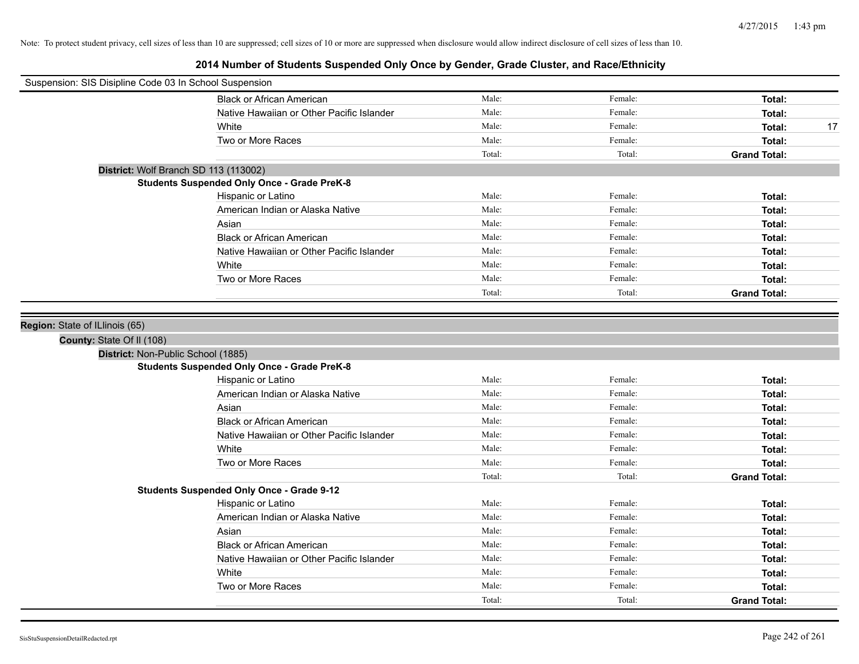| Suspension: SIS Disipline Code 03 In School Suspension |                                           |        |         |                     |
|--------------------------------------------------------|-------------------------------------------|--------|---------|---------------------|
|                                                        | <b>Black or African American</b>          | Male:  | Female: | Total:              |
|                                                        | Native Hawaiian or Other Pacific Islander | Male:  | Female: | Total:              |
| White                                                  |                                           | Male:  | Female: | 17<br>Total:        |
|                                                        | Two or More Races                         | Male:  | Female: | Total:              |
|                                                        |                                           | Total: | Total:  | <b>Grand Total:</b> |
| District: Wolf Branch SD 113 (113002)                  |                                           |        |         |                     |
| <b>Students Suspended Only Once - Grade PreK-8</b>     |                                           |        |         |                     |
| Hispanic or Latino                                     |                                           | Male:  | Female: | Total:              |
|                                                        | American Indian or Alaska Native          | Male:  | Female: | Total:              |
| Asian                                                  |                                           | Male:  | Female: | Total:              |
|                                                        | <b>Black or African American</b>          | Male:  | Female: | Total:              |
|                                                        | Native Hawaiian or Other Pacific Islander | Male:  | Female: | Total:              |
| White                                                  |                                           | Male:  | Female: | Total:              |
|                                                        | Two or More Races                         | Male:  | Female: | Total:              |
|                                                        |                                           | Total: | Total:  | <b>Grand Total:</b> |
|                                                        |                                           |        |         |                     |
| Region: State of ILlinois (65)                         |                                           |        |         |                     |
| County: State Of II (108)                              |                                           |        |         |                     |
| District: Non-Public School (1885)                     |                                           |        |         |                     |
| <b>Students Suspended Only Once - Grade PreK-8</b>     |                                           |        |         |                     |
| Hispanic or Latino                                     |                                           | Male:  | Female: | Total:              |
|                                                        | American Indian or Alaska Native          | Male:  | Female: | Total:              |
| Asian                                                  |                                           | Male:  | Female: | Total:              |
|                                                        | <b>Black or African American</b>          | Male:  | Female: | Total:              |
|                                                        | Native Hawaiian or Other Pacific Islander | Male:  | Female: | Total:              |
| White                                                  |                                           | Male:  | Female: | Total:              |
|                                                        | Two or More Races                         | Male:  | Female: | Total:              |
|                                                        |                                           | Total: | Total:  | <b>Grand Total:</b> |
| <b>Students Suspended Only Once - Grade 9-12</b>       |                                           |        |         |                     |
| Hispanic or Latino                                     |                                           | Male:  | Female: | Total:              |
|                                                        | American Indian or Alaska Native          | Male:  | Female: | Total:              |
| Asian                                                  |                                           | Male:  | Female: | Total:              |
|                                                        | <b>Black or African American</b>          | Male:  | Female: | Total:              |
|                                                        | Native Hawaiian or Other Pacific Islander | Male:  | Female: | Total:              |
| White                                                  |                                           | Male:  | Female: | Total:              |
|                                                        | Two or More Races                         | Male:  | Female: | Total:              |
|                                                        |                                           | Total: | Total:  | <b>Grand Total:</b> |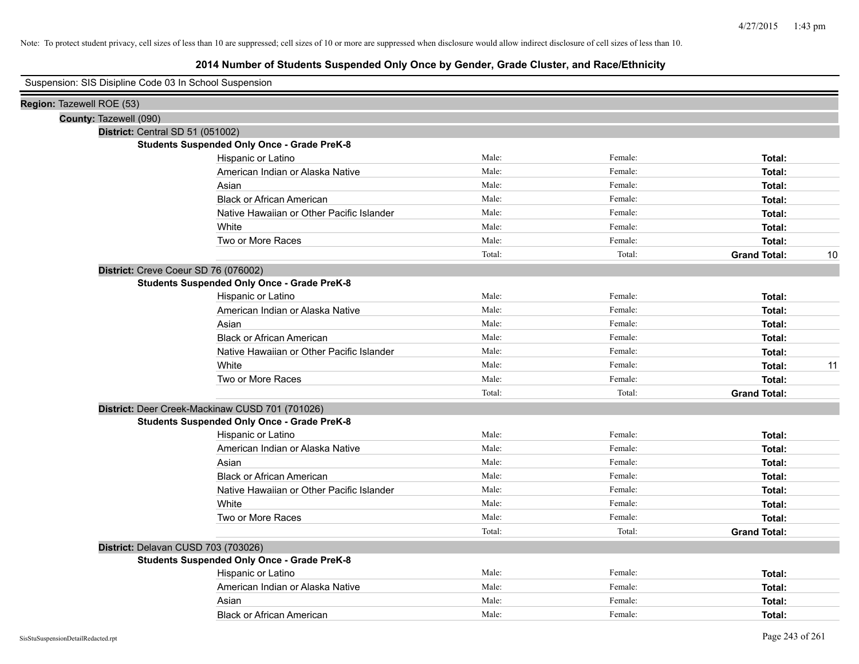| Suspension: SIS Disipline Code 03 In School Suspension |                                                    |        |         |                     |    |
|--------------------------------------------------------|----------------------------------------------------|--------|---------|---------------------|----|
| Region: Tazewell ROE (53)                              |                                                    |        |         |                     |    |
| County: Tazewell (090)                                 |                                                    |        |         |                     |    |
| District: Central SD 51 (051002)                       |                                                    |        |         |                     |    |
|                                                        | <b>Students Suspended Only Once - Grade PreK-8</b> |        |         |                     |    |
|                                                        | Hispanic or Latino                                 | Male:  | Female: | Total:              |    |
|                                                        | American Indian or Alaska Native                   | Male:  | Female: | Total:              |    |
|                                                        | Asian                                              | Male:  | Female: | Total:              |    |
|                                                        | <b>Black or African American</b>                   | Male:  | Female: | Total:              |    |
|                                                        | Native Hawaiian or Other Pacific Islander          | Male:  | Female: | Total:              |    |
|                                                        | White                                              | Male:  | Female: | Total:              |    |
|                                                        | Two or More Races                                  | Male:  | Female: | Total:              |    |
|                                                        |                                                    | Total: | Total:  | <b>Grand Total:</b> | 10 |
| District: Creve Coeur SD 76 (076002)                   |                                                    |        |         |                     |    |
|                                                        | <b>Students Suspended Only Once - Grade PreK-8</b> |        |         |                     |    |
|                                                        | Hispanic or Latino                                 | Male:  | Female: | Total:              |    |
|                                                        | American Indian or Alaska Native                   | Male:  | Female: | Total:              |    |
|                                                        | Asian                                              | Male:  | Female: | Total:              |    |
|                                                        | <b>Black or African American</b>                   | Male:  | Female: | Total:              |    |
|                                                        | Native Hawaiian or Other Pacific Islander          | Male:  | Female: | Total:              |    |
|                                                        | White                                              | Male:  | Female: | Total:              | 11 |
|                                                        | Two or More Races                                  | Male:  | Female: | Total:              |    |
|                                                        |                                                    | Total: | Total:  | <b>Grand Total:</b> |    |
|                                                        | District: Deer Creek-Mackinaw CUSD 701 (701026)    |        |         |                     |    |
|                                                        | <b>Students Suspended Only Once - Grade PreK-8</b> |        |         |                     |    |
|                                                        | Hispanic or Latino                                 | Male:  | Female: | Total:              |    |
|                                                        | American Indian or Alaska Native                   | Male:  | Female: | Total:              |    |
|                                                        | Asian                                              | Male:  | Female: | Total:              |    |
|                                                        | <b>Black or African American</b>                   | Male:  | Female: | Total:              |    |
|                                                        | Native Hawaiian or Other Pacific Islander          | Male:  | Female: | Total:              |    |
|                                                        | White                                              | Male:  | Female: | Total:              |    |
|                                                        | Two or More Races                                  | Male:  | Female: | Total:              |    |
|                                                        |                                                    | Total: | Total:  | <b>Grand Total:</b> |    |
| District: Delavan CUSD 703 (703026)                    |                                                    |        |         |                     |    |
|                                                        | <b>Students Suspended Only Once - Grade PreK-8</b> |        |         |                     |    |
|                                                        | Hispanic or Latino                                 | Male:  | Female: | Total:              |    |
|                                                        | American Indian or Alaska Native                   | Male:  | Female: | Total:              |    |
|                                                        | Asian                                              | Male:  | Female: | Total:              |    |
|                                                        | <b>Black or African American</b>                   | Male:  | Female: | Total:              |    |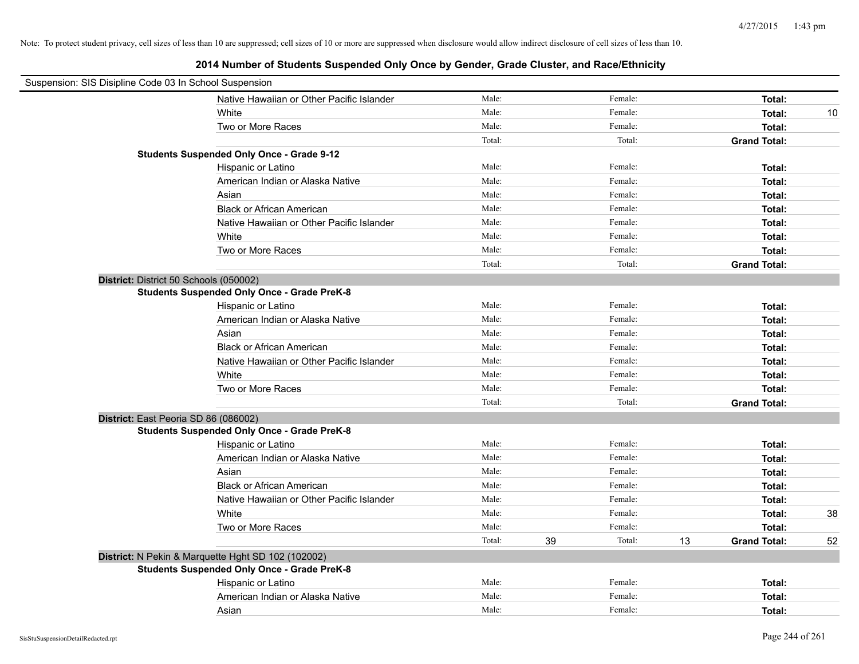| Suspension: SIS Disipline Code 03 In School Suspension |                                                    |        |         |              |                     |    |
|--------------------------------------------------------|----------------------------------------------------|--------|---------|--------------|---------------------|----|
|                                                        | Native Hawaiian or Other Pacific Islander          | Male:  | Female: |              | Total:              |    |
|                                                        | White                                              | Male:  | Female: |              | Total:              | 10 |
|                                                        | Two or More Races                                  | Male:  | Female: |              | <b>Total:</b>       |    |
|                                                        |                                                    | Total: |         | Total:       | <b>Grand Total:</b> |    |
|                                                        | <b>Students Suspended Only Once - Grade 9-12</b>   |        |         |              |                     |    |
|                                                        | Hispanic or Latino                                 | Male:  | Female: |              | Total:              |    |
|                                                        | American Indian or Alaska Native                   | Male:  | Female: |              | Total:              |    |
|                                                        | Asian                                              | Male:  | Female: |              | Total:              |    |
|                                                        | <b>Black or African American</b>                   | Male:  | Female: |              | Total:              |    |
|                                                        | Native Hawaiian or Other Pacific Islander          | Male:  | Female: |              | Total:              |    |
|                                                        | White                                              | Male:  | Female: |              | Total:              |    |
|                                                        | Two or More Races                                  | Male:  | Female: |              | Total:              |    |
|                                                        |                                                    | Total: |         | Total:       | <b>Grand Total:</b> |    |
| District: District 50 Schools (050002)                 |                                                    |        |         |              |                     |    |
|                                                        | <b>Students Suspended Only Once - Grade PreK-8</b> |        |         |              |                     |    |
|                                                        | Hispanic or Latino                                 | Male:  | Female: |              | Total:              |    |
|                                                        | American Indian or Alaska Native                   | Male:  | Female: |              | Total:              |    |
|                                                        | Asian                                              | Male:  | Female: |              | Total:              |    |
|                                                        | <b>Black or African American</b>                   | Male:  | Female: |              | Total:              |    |
|                                                        | Native Hawaiian or Other Pacific Islander          | Male:  | Female: |              | Total:              |    |
|                                                        | White                                              | Male:  | Female: |              | Total:              |    |
|                                                        | Two or More Races                                  | Male:  | Female: |              | Total:              |    |
|                                                        |                                                    | Total: |         | Total:       | <b>Grand Total:</b> |    |
| District: East Peoria SD 86 (086002)                   |                                                    |        |         |              |                     |    |
|                                                        | <b>Students Suspended Only Once - Grade PreK-8</b> |        |         |              |                     |    |
|                                                        | Hispanic or Latino                                 | Male:  | Female: |              | Total:              |    |
|                                                        | American Indian or Alaska Native                   | Male:  | Female: |              | Total:              |    |
|                                                        | Asian                                              | Male:  | Female: |              | Total:              |    |
|                                                        | <b>Black or African American</b>                   | Male:  | Female: |              | Total:              |    |
|                                                        | Native Hawaiian or Other Pacific Islander          | Male:  | Female: |              | Total:              |    |
|                                                        | White                                              | Male:  | Female: |              | Total:              | 38 |
|                                                        | Two or More Races                                  | Male:  | Female: |              | Total:              |    |
|                                                        |                                                    | Total: | 39      | Total:<br>13 | <b>Grand Total:</b> | 52 |
|                                                        | District: N Pekin & Marquette Hght SD 102 (102002) |        |         |              |                     |    |
|                                                        | <b>Students Suspended Only Once - Grade PreK-8</b> |        |         |              |                     |    |
|                                                        | Hispanic or Latino                                 | Male:  | Female: |              | Total:              |    |
|                                                        | American Indian or Alaska Native                   | Male:  | Female: |              | Total:              |    |
|                                                        | Asian                                              | Male:  | Female: |              | Total:              |    |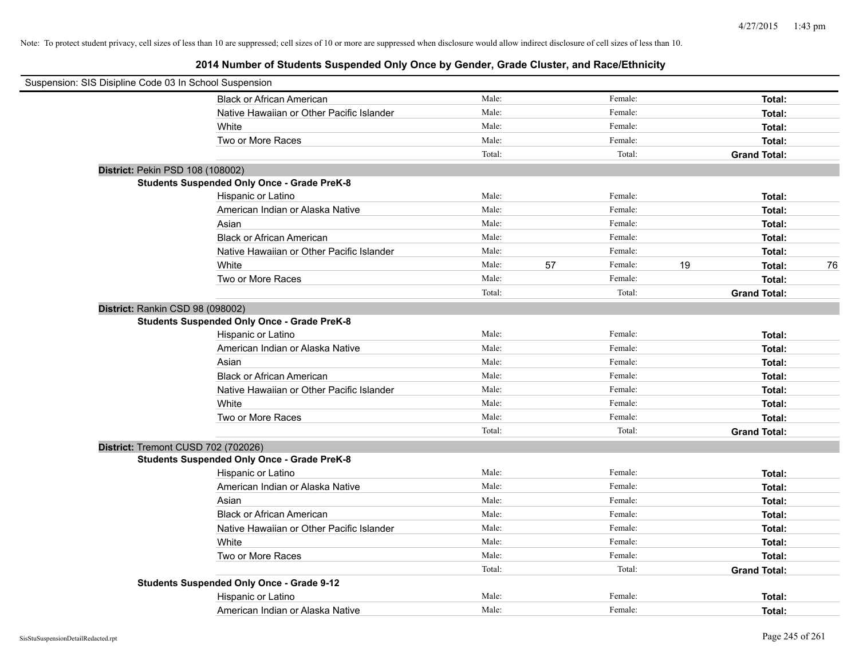| Suspension: SIS Disipline Code 03 In School Suspension |        |    |         |    |                     |    |
|--------------------------------------------------------|--------|----|---------|----|---------------------|----|
| <b>Black or African American</b>                       | Male:  |    | Female: |    | Total:              |    |
| Native Hawaiian or Other Pacific Islander              | Male:  |    | Female: |    | Total:              |    |
| White                                                  | Male:  |    | Female: |    | Total:              |    |
| Two or More Races                                      | Male:  |    | Female: |    | Total:              |    |
|                                                        | Total: |    | Total:  |    | <b>Grand Total:</b> |    |
| District: Pekin PSD 108 (108002)                       |        |    |         |    |                     |    |
| <b>Students Suspended Only Once - Grade PreK-8</b>     |        |    |         |    |                     |    |
| Hispanic or Latino                                     | Male:  |    | Female: |    | Total:              |    |
| American Indian or Alaska Native                       | Male:  |    | Female: |    | Total:              |    |
| Asian                                                  | Male:  |    | Female: |    | Total:              |    |
| <b>Black or African American</b>                       | Male:  |    | Female: |    | Total:              |    |
| Native Hawaiian or Other Pacific Islander              | Male:  |    | Female: |    | Total:              |    |
| White                                                  | Male:  | 57 | Female: | 19 | Total:              | 76 |
| Two or More Races                                      | Male:  |    | Female: |    | Total:              |    |
|                                                        | Total: |    | Total:  |    | <b>Grand Total:</b> |    |
| District: Rankin CSD 98 (098002)                       |        |    |         |    |                     |    |
| <b>Students Suspended Only Once - Grade PreK-8</b>     |        |    |         |    |                     |    |
| Hispanic or Latino                                     | Male:  |    | Female: |    | Total:              |    |
| American Indian or Alaska Native                       | Male:  |    | Female: |    | Total:              |    |
| Asian                                                  | Male:  |    | Female: |    | Total:              |    |
| <b>Black or African American</b>                       | Male:  |    | Female: |    | Total:              |    |
| Native Hawaiian or Other Pacific Islander              | Male:  |    | Female: |    | Total:              |    |
| White                                                  | Male:  |    | Female: |    | Total:              |    |
| Two or More Races                                      | Male:  |    | Female: |    | Total:              |    |
|                                                        | Total: |    | Total:  |    | <b>Grand Total:</b> |    |
| District: Tremont CUSD 702 (702026)                    |        |    |         |    |                     |    |
| <b>Students Suspended Only Once - Grade PreK-8</b>     |        |    |         |    |                     |    |
| Hispanic or Latino                                     | Male:  |    | Female: |    | Total:              |    |
| American Indian or Alaska Native                       | Male:  |    | Female: |    | Total:              |    |
| Asian                                                  | Male:  |    | Female: |    | Total:              |    |
| <b>Black or African American</b>                       | Male:  |    | Female: |    | Total:              |    |
| Native Hawaiian or Other Pacific Islander              | Male:  |    | Female: |    | Total:              |    |
| White                                                  | Male:  |    | Female: |    | Total:              |    |
| Two or More Races                                      | Male:  |    | Female: |    | Total:              |    |
|                                                        | Total: |    | Total:  |    | <b>Grand Total:</b> |    |
| <b>Students Suspended Only Once - Grade 9-12</b>       |        |    |         |    |                     |    |
| Hispanic or Latino                                     | Male:  |    | Female: |    | Total:              |    |
| American Indian or Alaska Native                       | Male:  |    | Female: |    | Total:              |    |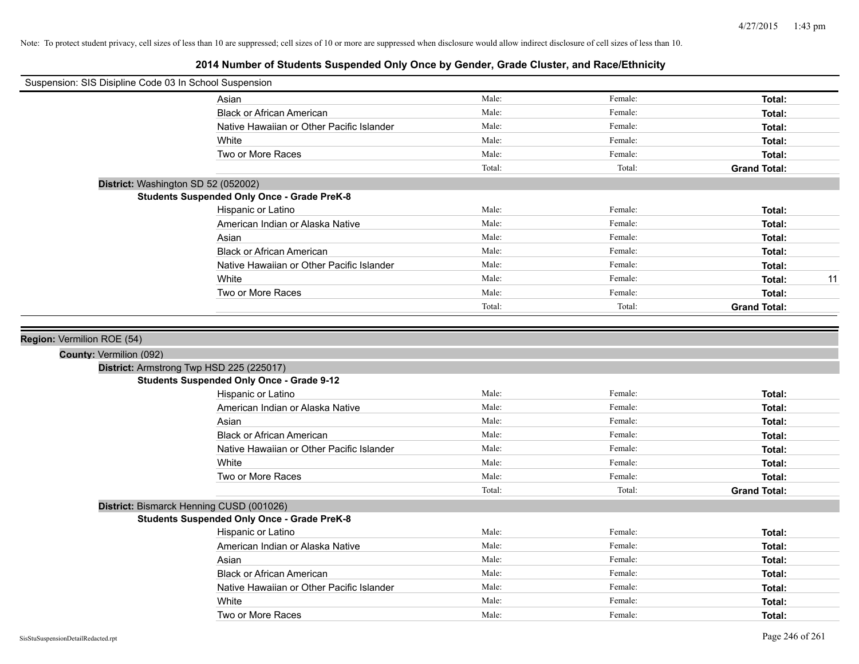| Suspension: SIS Disipline Code 03 In School Suspension |                                                    |        |         |                     |
|--------------------------------------------------------|----------------------------------------------------|--------|---------|---------------------|
|                                                        | Asian                                              | Male:  | Female: | Total:              |
|                                                        | <b>Black or African American</b>                   | Male:  | Female: | Total:              |
|                                                        | Native Hawaiian or Other Pacific Islander          | Male:  | Female: | Total:              |
|                                                        | White                                              | Male:  | Female: | Total:              |
|                                                        | Two or More Races                                  | Male:  | Female: | Total:              |
|                                                        |                                                    | Total: | Total:  | <b>Grand Total:</b> |
|                                                        | District: Washington SD 52 (052002)                |        |         |                     |
|                                                        | <b>Students Suspended Only Once - Grade PreK-8</b> |        |         |                     |
|                                                        | Hispanic or Latino                                 | Male:  | Female: | Total:              |
|                                                        | American Indian or Alaska Native                   | Male:  | Female: | Total:              |
|                                                        | Asian                                              | Male:  | Female: | Total:              |
|                                                        | <b>Black or African American</b>                   | Male:  | Female: | Total:              |
|                                                        | Native Hawaiian or Other Pacific Islander          | Male:  | Female: | Total:              |
|                                                        | White                                              | Male:  | Female: | 11<br>Total:        |
|                                                        | Two or More Races                                  | Male:  | Female: | Total:              |
|                                                        |                                                    | Total: | Total:  | <b>Grand Total:</b> |
|                                                        | District: Armstrong Twp HSD 225 (225017)           |        |         |                     |
|                                                        | <b>Students Suspended Only Once - Grade 9-12</b>   |        |         |                     |
|                                                        | Hispanic or Latino                                 | Male:  | Female: | Total:              |
|                                                        | American Indian or Alaska Native                   | Male:  | Female: | Total:              |
|                                                        | Asian                                              | Male:  | Female: | Total:              |
|                                                        | <b>Black or African American</b>                   | Male:  | Female: | Total:              |
|                                                        | Native Hawaiian or Other Pacific Islander          | Male:  | Female: | Total:              |
|                                                        | White                                              | Male:  | Female: | Total:              |
|                                                        | Two or More Races                                  | Male:  | Female: | Total:              |
|                                                        |                                                    | Total: | Total:  | <b>Grand Total:</b> |
|                                                        | District: Bismarck Henning CUSD (001026)           |        |         |                     |
|                                                        | <b>Students Suspended Only Once - Grade PreK-8</b> |        |         |                     |
|                                                        | Hispanic or Latino                                 | Male:  | Female: | Total:              |
|                                                        | American Indian or Alaska Native                   | Male:  | Female: | Total:              |
|                                                        | Asian                                              | Male:  | Female: | Total:              |
|                                                        | <b>Black or African American</b>                   | Male:  | Female: | Total:              |
|                                                        | Native Hawaiian or Other Pacific Islander          | Male:  | Female: | Total:              |
|                                                        | White                                              | Male:  | Female: | Total:              |
|                                                        | Two or More Races                                  | Male:  | Female: | Total:              |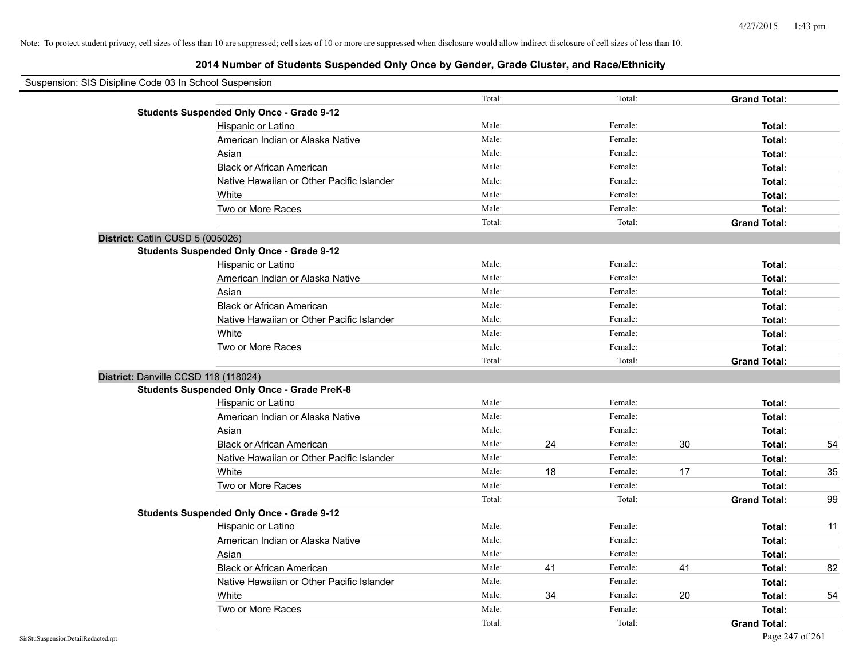# **2014 Number of Students Suspended Only Once by Gender, Grade Cluster, and Race/Ethnicity**

| Suspension: SIS Disipline Code 03 In School Suspension |                                                    |        |    |         |    |                     |    |
|--------------------------------------------------------|----------------------------------------------------|--------|----|---------|----|---------------------|----|
|                                                        |                                                    | Total: |    | Total:  |    | <b>Grand Total:</b> |    |
|                                                        | <b>Students Suspended Only Once - Grade 9-12</b>   |        |    |         |    |                     |    |
|                                                        | Hispanic or Latino                                 | Male:  |    | Female: |    | Total:              |    |
|                                                        | American Indian or Alaska Native                   | Male:  |    | Female: |    | Total:              |    |
|                                                        | Asian                                              | Male:  |    | Female: |    | Total:              |    |
|                                                        | <b>Black or African American</b>                   | Male:  |    | Female: |    | Total:              |    |
|                                                        | Native Hawaiian or Other Pacific Islander          | Male:  |    | Female: |    | Total:              |    |
|                                                        | White                                              | Male:  |    | Female: |    | Total:              |    |
|                                                        | Two or More Races                                  | Male:  |    | Female: |    | Total:              |    |
|                                                        |                                                    | Total: |    | Total:  |    | <b>Grand Total:</b> |    |
|                                                        | District: Catlin CUSD 5 (005026)                   |        |    |         |    |                     |    |
|                                                        | <b>Students Suspended Only Once - Grade 9-12</b>   |        |    |         |    |                     |    |
|                                                        | Hispanic or Latino                                 | Male:  |    | Female: |    | Total:              |    |
|                                                        | American Indian or Alaska Native                   | Male:  |    | Female: |    | Total:              |    |
|                                                        | Asian                                              | Male:  |    | Female: |    | Total:              |    |
|                                                        | <b>Black or African American</b>                   | Male:  |    | Female: |    | Total:              |    |
|                                                        | Native Hawaiian or Other Pacific Islander          | Male:  |    | Female: |    | Total:              |    |
|                                                        | White                                              | Male:  |    | Female: |    | Total:              |    |
|                                                        | Two or More Races                                  | Male:  |    | Female: |    | Total:              |    |
|                                                        |                                                    | Total: |    | Total:  |    | <b>Grand Total:</b> |    |
|                                                        | District: Danville CCSD 118 (118024)               |        |    |         |    |                     |    |
|                                                        | <b>Students Suspended Only Once - Grade PreK-8</b> |        |    |         |    |                     |    |
|                                                        | Hispanic or Latino                                 | Male:  |    | Female: |    | Total:              |    |
|                                                        | American Indian or Alaska Native                   | Male:  |    | Female: |    | Total:              |    |
|                                                        | Asian                                              | Male:  |    | Female: |    | Total:              |    |
|                                                        | <b>Black or African American</b>                   | Male:  | 24 | Female: | 30 | Total:              | 54 |
|                                                        | Native Hawaiian or Other Pacific Islander          | Male:  |    | Female: |    | Total:              |    |
|                                                        | White                                              | Male:  | 18 | Female: | 17 | Total:              | 35 |
|                                                        | Two or More Races                                  | Male:  |    | Female: |    | Total:              |    |
|                                                        |                                                    | Total: |    | Total:  |    | <b>Grand Total:</b> | 99 |
|                                                        | <b>Students Suspended Only Once - Grade 9-12</b>   |        |    |         |    |                     |    |
|                                                        | Hispanic or Latino                                 | Male:  |    | Female: |    | Total:              | 11 |
|                                                        | American Indian or Alaska Native                   | Male:  |    | Female: |    | Total:              |    |
|                                                        | Asian                                              | Male:  |    | Female: |    | Total:              |    |
|                                                        | <b>Black or African American</b>                   | Male:  | 41 | Female: | 41 | Total:              | 82 |
|                                                        | Native Hawaiian or Other Pacific Islander          | Male:  |    | Female: |    | Total:              |    |
|                                                        | White                                              | Male:  | 34 | Female: | 20 | Total:              | 54 |
|                                                        | Two or More Races                                  | Male:  |    | Female: |    | Total:              |    |
|                                                        |                                                    | Total: |    | Total:  |    | <b>Grand Total:</b> |    |

 $\blacksquare$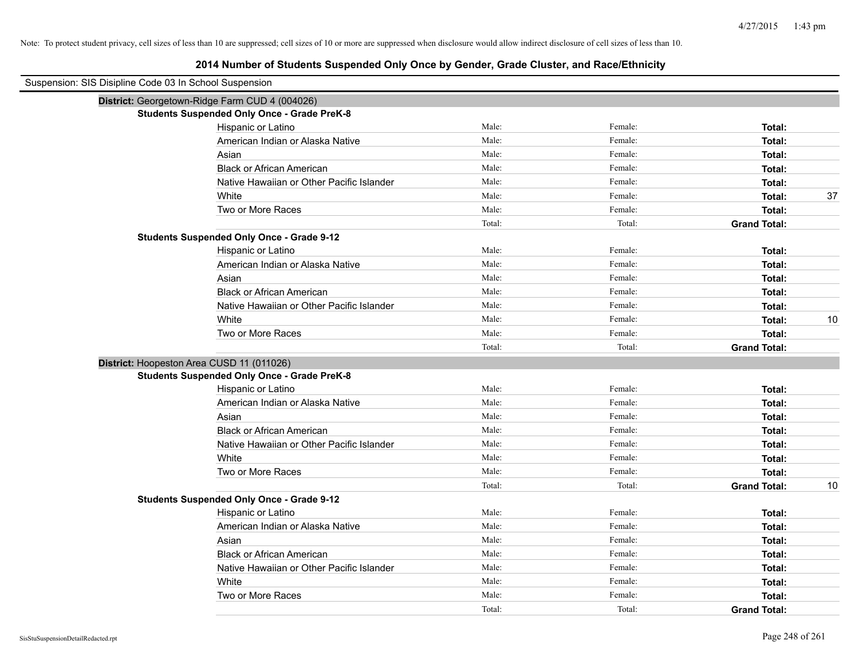| District: Georgetown-Ridge Farm CUD 4 (004026)<br><b>Students Suspended Only Once - Grade PreK-8</b><br>Male:<br>Female:<br>Hispanic or Latino<br>Total:<br>Male:<br>Female:<br>American Indian or Alaska Native<br>Total:<br>Male:<br>Female:<br>Asian<br>Total:<br>Male:<br><b>Black or African American</b><br>Female:<br>Total:<br>Male:<br>Female:<br>Native Hawaiian or Other Pacific Islander<br>Total:<br>Male:<br>White<br>Female:<br>37<br>Total:<br>Two or More Races<br>Male:<br>Female:<br>Total:<br>Total:<br>Total:<br><b>Grand Total:</b><br><b>Students Suspended Only Once - Grade 9-12</b><br>Male:<br>Female:<br>Hispanic or Latino<br>Total:<br>American Indian or Alaska Native<br>Male:<br>Female:<br>Total:<br>Male:<br>Asian<br>Female:<br>Total:<br>Male:<br><b>Black or African American</b><br>Female:<br>Total:<br>Male:<br>Female:<br>Native Hawaiian or Other Pacific Islander<br>Total:<br>White<br>Male:<br>Female:<br>10<br>Total:<br>Male:<br>Two or More Races<br>Female:<br>Total:<br>Total:<br>Total:<br><b>Grand Total:</b><br>District: Hoopeston Area CUSD 11 (011026)<br><b>Students Suspended Only Once - Grade PreK-8</b><br>Male:<br>Female:<br>Hispanic or Latino<br>Total:<br>Male:<br>Female:<br>American Indian or Alaska Native<br>Total:<br>Female:<br>Male:<br>Total:<br>Asian<br>Male:<br>Female:<br><b>Black or African American</b><br>Total:<br>Male:<br>Female:<br>Native Hawaiian or Other Pacific Islander<br>Total:<br>Male:<br>Female:<br>White<br>Total:<br>Male:<br>Female:<br>Two or More Races<br>Total:<br>Total:<br>Total:<br><b>Grand Total:</b><br>10<br><b>Students Suspended Only Once - Grade 9-12</b><br>Male:<br>Female:<br>Hispanic or Latino<br>Total:<br>Male:<br>Female:<br>American Indian or Alaska Native<br>Total:<br>Male:<br>Female:<br>Asian<br>Total:<br>Male:<br>Female:<br><b>Black or African American</b><br>Total:<br>Male:<br>Female:<br>Native Hawaiian or Other Pacific Islander<br>Total:<br>Male:<br>Female:<br>White<br>Total:<br>Male:<br>Two or More Races<br>Female:<br>Total: | Suspension: SIS Disipline Code 03 In School Suspension |        |        |                     |  |
|------------------------------------------------------------------------------------------------------------------------------------------------------------------------------------------------------------------------------------------------------------------------------------------------------------------------------------------------------------------------------------------------------------------------------------------------------------------------------------------------------------------------------------------------------------------------------------------------------------------------------------------------------------------------------------------------------------------------------------------------------------------------------------------------------------------------------------------------------------------------------------------------------------------------------------------------------------------------------------------------------------------------------------------------------------------------------------------------------------------------------------------------------------------------------------------------------------------------------------------------------------------------------------------------------------------------------------------------------------------------------------------------------------------------------------------------------------------------------------------------------------------------------------------------------------------------------------------------------------------------------------------------------------------------------------------------------------------------------------------------------------------------------------------------------------------------------------------------------------------------------------------------------------------------------------------------------------------------------------------------------------------------------------------------------------------------------------|--------------------------------------------------------|--------|--------|---------------------|--|
|                                                                                                                                                                                                                                                                                                                                                                                                                                                                                                                                                                                                                                                                                                                                                                                                                                                                                                                                                                                                                                                                                                                                                                                                                                                                                                                                                                                                                                                                                                                                                                                                                                                                                                                                                                                                                                                                                                                                                                                                                                                                                    |                                                        |        |        |                     |  |
|                                                                                                                                                                                                                                                                                                                                                                                                                                                                                                                                                                                                                                                                                                                                                                                                                                                                                                                                                                                                                                                                                                                                                                                                                                                                                                                                                                                                                                                                                                                                                                                                                                                                                                                                                                                                                                                                                                                                                                                                                                                                                    |                                                        |        |        |                     |  |
|                                                                                                                                                                                                                                                                                                                                                                                                                                                                                                                                                                                                                                                                                                                                                                                                                                                                                                                                                                                                                                                                                                                                                                                                                                                                                                                                                                                                                                                                                                                                                                                                                                                                                                                                                                                                                                                                                                                                                                                                                                                                                    |                                                        |        |        |                     |  |
|                                                                                                                                                                                                                                                                                                                                                                                                                                                                                                                                                                                                                                                                                                                                                                                                                                                                                                                                                                                                                                                                                                                                                                                                                                                                                                                                                                                                                                                                                                                                                                                                                                                                                                                                                                                                                                                                                                                                                                                                                                                                                    |                                                        |        |        |                     |  |
|                                                                                                                                                                                                                                                                                                                                                                                                                                                                                                                                                                                                                                                                                                                                                                                                                                                                                                                                                                                                                                                                                                                                                                                                                                                                                                                                                                                                                                                                                                                                                                                                                                                                                                                                                                                                                                                                                                                                                                                                                                                                                    |                                                        |        |        |                     |  |
|                                                                                                                                                                                                                                                                                                                                                                                                                                                                                                                                                                                                                                                                                                                                                                                                                                                                                                                                                                                                                                                                                                                                                                                                                                                                                                                                                                                                                                                                                                                                                                                                                                                                                                                                                                                                                                                                                                                                                                                                                                                                                    |                                                        |        |        |                     |  |
|                                                                                                                                                                                                                                                                                                                                                                                                                                                                                                                                                                                                                                                                                                                                                                                                                                                                                                                                                                                                                                                                                                                                                                                                                                                                                                                                                                                                                                                                                                                                                                                                                                                                                                                                                                                                                                                                                                                                                                                                                                                                                    |                                                        |        |        |                     |  |
|                                                                                                                                                                                                                                                                                                                                                                                                                                                                                                                                                                                                                                                                                                                                                                                                                                                                                                                                                                                                                                                                                                                                                                                                                                                                                                                                                                                                                                                                                                                                                                                                                                                                                                                                                                                                                                                                                                                                                                                                                                                                                    |                                                        |        |        |                     |  |
|                                                                                                                                                                                                                                                                                                                                                                                                                                                                                                                                                                                                                                                                                                                                                                                                                                                                                                                                                                                                                                                                                                                                                                                                                                                                                                                                                                                                                                                                                                                                                                                                                                                                                                                                                                                                                                                                                                                                                                                                                                                                                    |                                                        |        |        |                     |  |
|                                                                                                                                                                                                                                                                                                                                                                                                                                                                                                                                                                                                                                                                                                                                                                                                                                                                                                                                                                                                                                                                                                                                                                                                                                                                                                                                                                                                                                                                                                                                                                                                                                                                                                                                                                                                                                                                                                                                                                                                                                                                                    |                                                        |        |        |                     |  |
|                                                                                                                                                                                                                                                                                                                                                                                                                                                                                                                                                                                                                                                                                                                                                                                                                                                                                                                                                                                                                                                                                                                                                                                                                                                                                                                                                                                                                                                                                                                                                                                                                                                                                                                                                                                                                                                                                                                                                                                                                                                                                    |                                                        |        |        |                     |  |
|                                                                                                                                                                                                                                                                                                                                                                                                                                                                                                                                                                                                                                                                                                                                                                                                                                                                                                                                                                                                                                                                                                                                                                                                                                                                                                                                                                                                                                                                                                                                                                                                                                                                                                                                                                                                                                                                                                                                                                                                                                                                                    |                                                        |        |        |                     |  |
|                                                                                                                                                                                                                                                                                                                                                                                                                                                                                                                                                                                                                                                                                                                                                                                                                                                                                                                                                                                                                                                                                                                                                                                                                                                                                                                                                                                                                                                                                                                                                                                                                                                                                                                                                                                                                                                                                                                                                                                                                                                                                    |                                                        |        |        |                     |  |
|                                                                                                                                                                                                                                                                                                                                                                                                                                                                                                                                                                                                                                                                                                                                                                                                                                                                                                                                                                                                                                                                                                                                                                                                                                                                                                                                                                                                                                                                                                                                                                                                                                                                                                                                                                                                                                                                                                                                                                                                                                                                                    |                                                        |        |        |                     |  |
|                                                                                                                                                                                                                                                                                                                                                                                                                                                                                                                                                                                                                                                                                                                                                                                                                                                                                                                                                                                                                                                                                                                                                                                                                                                                                                                                                                                                                                                                                                                                                                                                                                                                                                                                                                                                                                                                                                                                                                                                                                                                                    |                                                        |        |        |                     |  |
|                                                                                                                                                                                                                                                                                                                                                                                                                                                                                                                                                                                                                                                                                                                                                                                                                                                                                                                                                                                                                                                                                                                                                                                                                                                                                                                                                                                                                                                                                                                                                                                                                                                                                                                                                                                                                                                                                                                                                                                                                                                                                    |                                                        |        |        |                     |  |
|                                                                                                                                                                                                                                                                                                                                                                                                                                                                                                                                                                                                                                                                                                                                                                                                                                                                                                                                                                                                                                                                                                                                                                                                                                                                                                                                                                                                                                                                                                                                                                                                                                                                                                                                                                                                                                                                                                                                                                                                                                                                                    |                                                        |        |        |                     |  |
|                                                                                                                                                                                                                                                                                                                                                                                                                                                                                                                                                                                                                                                                                                                                                                                                                                                                                                                                                                                                                                                                                                                                                                                                                                                                                                                                                                                                                                                                                                                                                                                                                                                                                                                                                                                                                                                                                                                                                                                                                                                                                    |                                                        |        |        |                     |  |
|                                                                                                                                                                                                                                                                                                                                                                                                                                                                                                                                                                                                                                                                                                                                                                                                                                                                                                                                                                                                                                                                                                                                                                                                                                                                                                                                                                                                                                                                                                                                                                                                                                                                                                                                                                                                                                                                                                                                                                                                                                                                                    |                                                        |        |        |                     |  |
|                                                                                                                                                                                                                                                                                                                                                                                                                                                                                                                                                                                                                                                                                                                                                                                                                                                                                                                                                                                                                                                                                                                                                                                                                                                                                                                                                                                                                                                                                                                                                                                                                                                                                                                                                                                                                                                                                                                                                                                                                                                                                    |                                                        |        |        |                     |  |
|                                                                                                                                                                                                                                                                                                                                                                                                                                                                                                                                                                                                                                                                                                                                                                                                                                                                                                                                                                                                                                                                                                                                                                                                                                                                                                                                                                                                                                                                                                                                                                                                                                                                                                                                                                                                                                                                                                                                                                                                                                                                                    |                                                        |        |        |                     |  |
|                                                                                                                                                                                                                                                                                                                                                                                                                                                                                                                                                                                                                                                                                                                                                                                                                                                                                                                                                                                                                                                                                                                                                                                                                                                                                                                                                                                                                                                                                                                                                                                                                                                                                                                                                                                                                                                                                                                                                                                                                                                                                    |                                                        |        |        |                     |  |
|                                                                                                                                                                                                                                                                                                                                                                                                                                                                                                                                                                                                                                                                                                                                                                                                                                                                                                                                                                                                                                                                                                                                                                                                                                                                                                                                                                                                                                                                                                                                                                                                                                                                                                                                                                                                                                                                                                                                                                                                                                                                                    |                                                        |        |        |                     |  |
|                                                                                                                                                                                                                                                                                                                                                                                                                                                                                                                                                                                                                                                                                                                                                                                                                                                                                                                                                                                                                                                                                                                                                                                                                                                                                                                                                                                                                                                                                                                                                                                                                                                                                                                                                                                                                                                                                                                                                                                                                                                                                    |                                                        |        |        |                     |  |
|                                                                                                                                                                                                                                                                                                                                                                                                                                                                                                                                                                                                                                                                                                                                                                                                                                                                                                                                                                                                                                                                                                                                                                                                                                                                                                                                                                                                                                                                                                                                                                                                                                                                                                                                                                                                                                                                                                                                                                                                                                                                                    |                                                        |        |        |                     |  |
|                                                                                                                                                                                                                                                                                                                                                                                                                                                                                                                                                                                                                                                                                                                                                                                                                                                                                                                                                                                                                                                                                                                                                                                                                                                                                                                                                                                                                                                                                                                                                                                                                                                                                                                                                                                                                                                                                                                                                                                                                                                                                    |                                                        |        |        |                     |  |
|                                                                                                                                                                                                                                                                                                                                                                                                                                                                                                                                                                                                                                                                                                                                                                                                                                                                                                                                                                                                                                                                                                                                                                                                                                                                                                                                                                                                                                                                                                                                                                                                                                                                                                                                                                                                                                                                                                                                                                                                                                                                                    |                                                        |        |        |                     |  |
|                                                                                                                                                                                                                                                                                                                                                                                                                                                                                                                                                                                                                                                                                                                                                                                                                                                                                                                                                                                                                                                                                                                                                                                                                                                                                                                                                                                                                                                                                                                                                                                                                                                                                                                                                                                                                                                                                                                                                                                                                                                                                    |                                                        |        |        |                     |  |
|                                                                                                                                                                                                                                                                                                                                                                                                                                                                                                                                                                                                                                                                                                                                                                                                                                                                                                                                                                                                                                                                                                                                                                                                                                                                                                                                                                                                                                                                                                                                                                                                                                                                                                                                                                                                                                                                                                                                                                                                                                                                                    |                                                        |        |        |                     |  |
|                                                                                                                                                                                                                                                                                                                                                                                                                                                                                                                                                                                                                                                                                                                                                                                                                                                                                                                                                                                                                                                                                                                                                                                                                                                                                                                                                                                                                                                                                                                                                                                                                                                                                                                                                                                                                                                                                                                                                                                                                                                                                    |                                                        |        |        |                     |  |
|                                                                                                                                                                                                                                                                                                                                                                                                                                                                                                                                                                                                                                                                                                                                                                                                                                                                                                                                                                                                                                                                                                                                                                                                                                                                                                                                                                                                                                                                                                                                                                                                                                                                                                                                                                                                                                                                                                                                                                                                                                                                                    |                                                        |        |        |                     |  |
|                                                                                                                                                                                                                                                                                                                                                                                                                                                                                                                                                                                                                                                                                                                                                                                                                                                                                                                                                                                                                                                                                                                                                                                                                                                                                                                                                                                                                                                                                                                                                                                                                                                                                                                                                                                                                                                                                                                                                                                                                                                                                    |                                                        |        |        |                     |  |
|                                                                                                                                                                                                                                                                                                                                                                                                                                                                                                                                                                                                                                                                                                                                                                                                                                                                                                                                                                                                                                                                                                                                                                                                                                                                                                                                                                                                                                                                                                                                                                                                                                                                                                                                                                                                                                                                                                                                                                                                                                                                                    |                                                        |        |        |                     |  |
|                                                                                                                                                                                                                                                                                                                                                                                                                                                                                                                                                                                                                                                                                                                                                                                                                                                                                                                                                                                                                                                                                                                                                                                                                                                                                                                                                                                                                                                                                                                                                                                                                                                                                                                                                                                                                                                                                                                                                                                                                                                                                    |                                                        |        |        |                     |  |
|                                                                                                                                                                                                                                                                                                                                                                                                                                                                                                                                                                                                                                                                                                                                                                                                                                                                                                                                                                                                                                                                                                                                                                                                                                                                                                                                                                                                                                                                                                                                                                                                                                                                                                                                                                                                                                                                                                                                                                                                                                                                                    |                                                        |        |        |                     |  |
|                                                                                                                                                                                                                                                                                                                                                                                                                                                                                                                                                                                                                                                                                                                                                                                                                                                                                                                                                                                                                                                                                                                                                                                                                                                                                                                                                                                                                                                                                                                                                                                                                                                                                                                                                                                                                                                                                                                                                                                                                                                                                    |                                                        |        |        |                     |  |
|                                                                                                                                                                                                                                                                                                                                                                                                                                                                                                                                                                                                                                                                                                                                                                                                                                                                                                                                                                                                                                                                                                                                                                                                                                                                                                                                                                                                                                                                                                                                                                                                                                                                                                                                                                                                                                                                                                                                                                                                                                                                                    |                                                        | Total: | Total: | <b>Grand Total:</b> |  |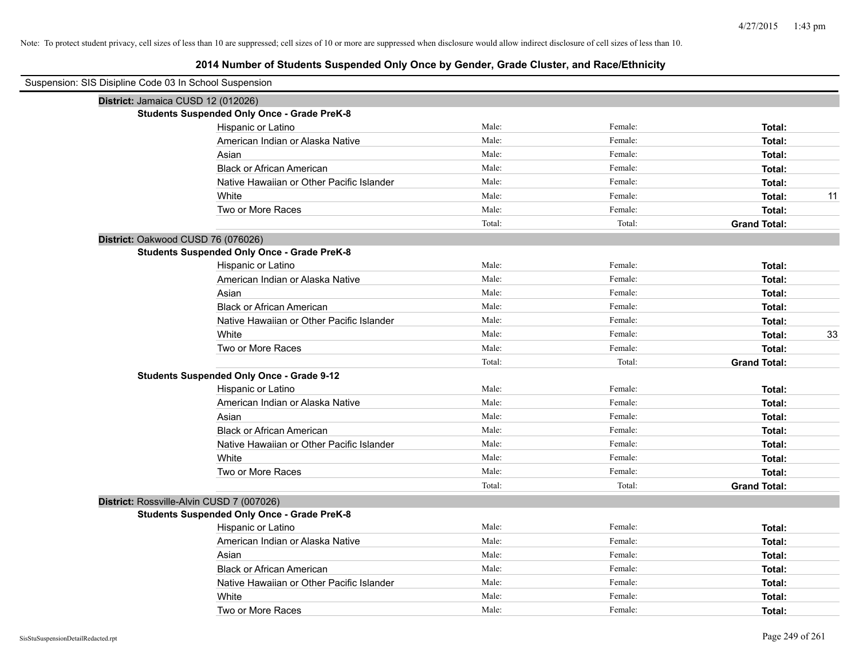| Suspension: SIS Disipline Code 03 In School Suspension |        |         |                     |
|--------------------------------------------------------|--------|---------|---------------------|
| District: Jamaica CUSD 12 (012026)                     |        |         |                     |
| <b>Students Suspended Only Once - Grade PreK-8</b>     |        |         |                     |
| Hispanic or Latino                                     | Male:  | Female: | Total:              |
| American Indian or Alaska Native                       | Male:  | Female: | Total:              |
| Asian                                                  | Male:  | Female: | Total:              |
| <b>Black or African American</b>                       | Male:  | Female: | Total:              |
| Native Hawaiian or Other Pacific Islander              | Male:  | Female: | Total:              |
| White                                                  | Male:  | Female: | 11<br>Total:        |
| Two or More Races                                      | Male:  | Female: | Total:              |
|                                                        | Total: | Total:  | <b>Grand Total:</b> |
| District: Oakwood CUSD 76 (076026)                     |        |         |                     |
| <b>Students Suspended Only Once - Grade PreK-8</b>     |        |         |                     |
| Hispanic or Latino                                     | Male:  | Female: | Total:              |
| American Indian or Alaska Native                       | Male:  | Female: | Total:              |
| Asian                                                  | Male:  | Female: | Total:              |
| <b>Black or African American</b>                       | Male:  | Female: | <b>Total:</b>       |
| Native Hawaiian or Other Pacific Islander              | Male:  | Female: | Total:              |
| White                                                  | Male:  | Female: | 33<br>Total:        |
| Two or More Races                                      | Male:  | Female: | Total:              |
|                                                        | Total: | Total:  | <b>Grand Total:</b> |
| <b>Students Suspended Only Once - Grade 9-12</b>       |        |         |                     |
| Hispanic or Latino                                     | Male:  | Female: | Total:              |
| American Indian or Alaska Native                       | Male:  | Female: | Total:              |
| Asian                                                  | Male:  | Female: | Total:              |
| <b>Black or African American</b>                       | Male:  | Female: | Total:              |
| Native Hawaiian or Other Pacific Islander              | Male:  | Female: | Total:              |
| White                                                  | Male:  | Female: | Total:              |
| Two or More Races                                      | Male:  | Female: | Total:              |
|                                                        | Total: | Total:  | <b>Grand Total:</b> |
| District: Rossville-Alvin CUSD 7 (007026)              |        |         |                     |
| <b>Students Suspended Only Once - Grade PreK-8</b>     |        |         |                     |
| Hispanic or Latino                                     | Male:  | Female: | Total:              |
| American Indian or Alaska Native                       | Male:  | Female: | Total:              |
| Asian                                                  | Male:  | Female: | Total:              |
| <b>Black or African American</b>                       | Male:  | Female: | Total:              |
| Native Hawaiian or Other Pacific Islander              | Male:  | Female: | Total:              |
| White                                                  | Male:  | Female: | Total:              |
| Two or More Races                                      | Male:  | Female: | Total:              |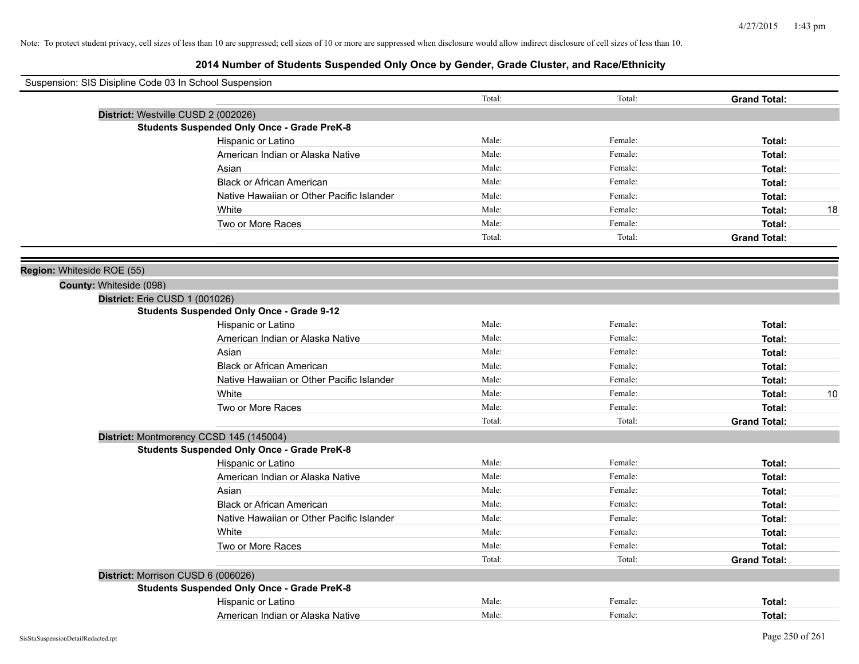| Suspension: SIS Disipline Code 03 In School Suspension |                                                    |        |         |                     |
|--------------------------------------------------------|----------------------------------------------------|--------|---------|---------------------|
|                                                        |                                                    | Total: | Total:  | <b>Grand Total:</b> |
|                                                        | District: Westville CUSD 2 (002026)                |        |         |                     |
|                                                        | <b>Students Suspended Only Once - Grade PreK-8</b> |        |         |                     |
|                                                        | Hispanic or Latino                                 | Male:  | Female: | Total:              |
|                                                        | American Indian or Alaska Native                   | Male:  | Female: | Total:              |
|                                                        | Asian                                              | Male:  | Female: | Total:              |
|                                                        | <b>Black or African American</b>                   | Male:  | Female: | Total:              |
|                                                        | Native Hawaiian or Other Pacific Islander          | Male:  | Female: | Total:              |
|                                                        | White                                              | Male:  | Female: | 18<br>Total:        |
|                                                        | Two or More Races                                  | Male:  | Female: | Total:              |
|                                                        |                                                    | Total: | Total:  | <b>Grand Total:</b> |
| Region: Whiteside ROE (55)                             |                                                    |        |         |                     |
| County: Whiteside (098)                                |                                                    |        |         |                     |
|                                                        | District: Erie CUSD 1 (001026)                     |        |         |                     |
|                                                        | <b>Students Suspended Only Once - Grade 9-12</b>   |        |         |                     |
|                                                        | Hispanic or Latino                                 | Male:  | Female: | Total:              |
|                                                        | American Indian or Alaska Native                   | Male:  | Female: | Total:              |
|                                                        | Asian                                              | Male:  | Female: | Total:              |
|                                                        | <b>Black or African American</b>                   | Male:  | Female: | Total:              |
|                                                        | Native Hawaiian or Other Pacific Islander          | Male:  | Female: | Total:              |
|                                                        | White                                              | Male:  | Female: | 10<br>Total:        |
|                                                        | Two or More Races                                  | Male:  | Female: | Total:              |
|                                                        |                                                    | Total: | Total:  | <b>Grand Total:</b> |
|                                                        | District: Montmorency CCSD 145 (145004)            |        |         |                     |
|                                                        | <b>Students Suspended Only Once - Grade PreK-8</b> |        |         |                     |
|                                                        | Hispanic or Latino                                 | Male:  | Female: | Total:              |
|                                                        | American Indian or Alaska Native                   | Male:  | Female: | Total:              |
|                                                        | Asian                                              | Male:  | Female: | Total:              |
|                                                        | <b>Black or African American</b>                   | Male:  | Female: | Total:              |
|                                                        | Native Hawaiian or Other Pacific Islander          | Male:  | Female: | Total:              |
|                                                        | White                                              | Male:  | Female: | Total:              |
|                                                        | Two or More Races                                  | Male:  | Female: | Total:              |
|                                                        |                                                    | Total: | Total:  | <b>Grand Total:</b> |
|                                                        | District: Morrison CUSD 6 (006026)                 |        |         |                     |
|                                                        | <b>Students Suspended Only Once - Grade PreK-8</b> |        |         |                     |
|                                                        | Hispanic or Latino                                 | Male:  | Female: | Total:              |
|                                                        | American Indian or Alaska Native                   | Male:  | Female: | Total:              |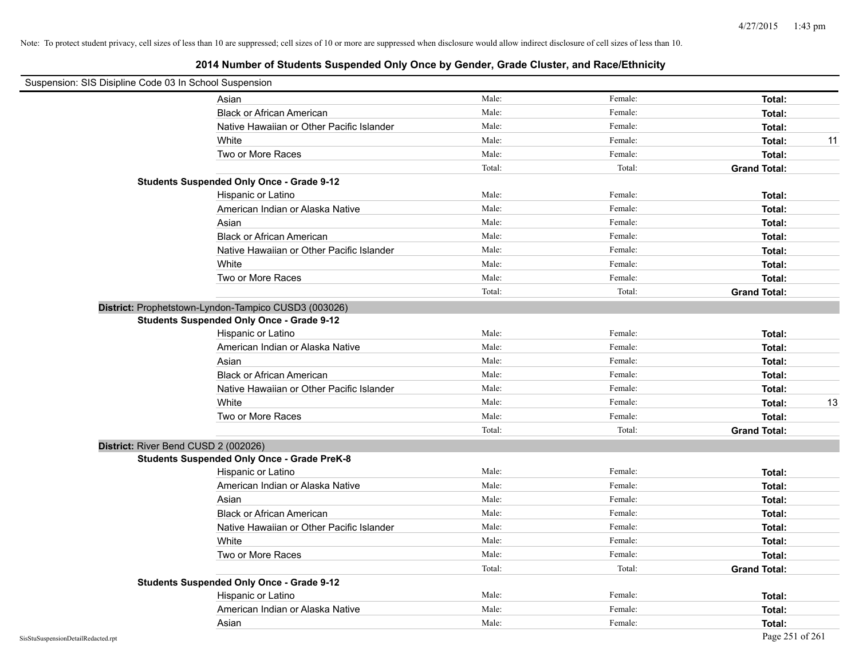| Suspension: SIS Disipline Code 03 In School Suspension |                                                      |        |         |                     |    |
|--------------------------------------------------------|------------------------------------------------------|--------|---------|---------------------|----|
|                                                        | Asian                                                | Male:  | Female: | Total:              |    |
|                                                        | <b>Black or African American</b>                     | Male:  | Female: | Total:              |    |
|                                                        | Native Hawaiian or Other Pacific Islander            | Male:  | Female: | Total:              |    |
|                                                        | White                                                | Male:  | Female: | Total:              | 11 |
|                                                        | Two or More Races                                    | Male:  | Female: | Total:              |    |
|                                                        |                                                      | Total: | Total:  | <b>Grand Total:</b> |    |
|                                                        | <b>Students Suspended Only Once - Grade 9-12</b>     |        |         |                     |    |
|                                                        | Hispanic or Latino                                   | Male:  | Female: | Total:              |    |
|                                                        | American Indian or Alaska Native                     | Male:  | Female: | Total:              |    |
|                                                        | Asian                                                | Male:  | Female: | Total:              |    |
|                                                        | <b>Black or African American</b>                     | Male:  | Female: | Total:              |    |
|                                                        | Native Hawaiian or Other Pacific Islander            | Male:  | Female: | Total:              |    |
|                                                        | White                                                | Male:  | Female: | Total:              |    |
|                                                        | Two or More Races                                    | Male:  | Female: | Total:              |    |
|                                                        |                                                      | Total: | Total:  | <b>Grand Total:</b> |    |
|                                                        | District: Prophetstown-Lyndon-Tampico CUSD3 (003026) |        |         |                     |    |
|                                                        | <b>Students Suspended Only Once - Grade 9-12</b>     |        |         |                     |    |
|                                                        | Hispanic or Latino                                   | Male:  | Female: | Total:              |    |
|                                                        | American Indian or Alaska Native                     | Male:  | Female: | Total:              |    |
|                                                        | Asian                                                | Male:  | Female: | Total:              |    |
|                                                        | <b>Black or African American</b>                     | Male:  | Female: | Total:              |    |
|                                                        | Native Hawaiian or Other Pacific Islander            | Male:  | Female: | Total:              |    |
|                                                        | White                                                | Male:  | Female: | Total:              | 13 |
|                                                        | Two or More Races                                    | Male:  | Female: | Total:              |    |
|                                                        |                                                      | Total: | Total:  | <b>Grand Total:</b> |    |
| District: River Bend CUSD 2 (002026)                   |                                                      |        |         |                     |    |
|                                                        | <b>Students Suspended Only Once - Grade PreK-8</b>   |        |         |                     |    |
|                                                        | Hispanic or Latino                                   | Male:  | Female: | Total:              |    |
|                                                        | American Indian or Alaska Native                     | Male:  | Female: | Total:              |    |
|                                                        | Asian                                                | Male:  | Female: | Total:              |    |
|                                                        | <b>Black or African American</b>                     | Male:  | Female: | Total:              |    |
|                                                        | Native Hawaiian or Other Pacific Islander            | Male:  | Female: | Total:              |    |
|                                                        | White                                                | Male:  | Female: | Total:              |    |
|                                                        | Two or More Races                                    | Male:  | Female: | Total:              |    |
|                                                        |                                                      | Total: | Total:  | <b>Grand Total:</b> |    |
|                                                        | <b>Students Suspended Only Once - Grade 9-12</b>     |        |         |                     |    |
|                                                        | Hispanic or Latino                                   | Male:  | Female: | Total:              |    |
|                                                        | American Indian or Alaska Native                     | Male:  | Female: | Total:              |    |
|                                                        | Asian                                                | Male:  | Female: | Total:              |    |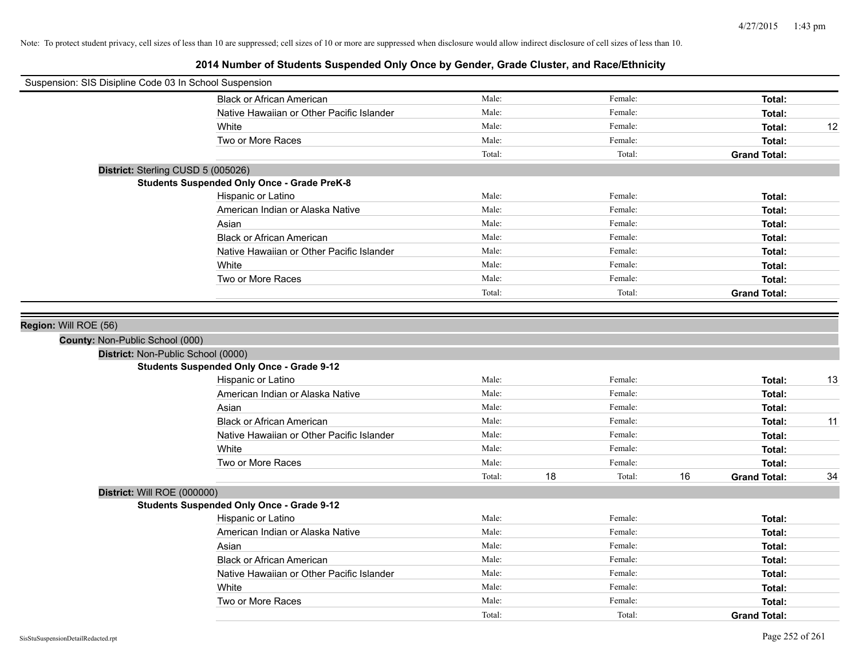| Suspension: SIS Disipline Code 03 In School Suspension                |        |    |         |    |                     |    |
|-----------------------------------------------------------------------|--------|----|---------|----|---------------------|----|
| <b>Black or African American</b>                                      | Male:  |    | Female: |    | Total:              |    |
| Native Hawaiian or Other Pacific Islander                             | Male:  |    | Female: |    | Total:              |    |
| White                                                                 | Male:  |    | Female: |    | Total:              | 12 |
| Two or More Races                                                     | Male:  |    | Female: |    | Total:              |    |
|                                                                       | Total: |    | Total:  |    | <b>Grand Total:</b> |    |
| District: Sterling CUSD 5 (005026)                                    |        |    |         |    |                     |    |
| <b>Students Suspended Only Once - Grade PreK-8</b>                    |        |    |         |    |                     |    |
| Hispanic or Latino                                                    | Male:  |    | Female: |    | Total:              |    |
| American Indian or Alaska Native                                      | Male:  |    | Female: |    | Total:              |    |
| Asian                                                                 | Male:  |    | Female: |    | Total:              |    |
| <b>Black or African American</b>                                      | Male:  |    | Female: |    | Total:              |    |
| Native Hawaiian or Other Pacific Islander                             | Male:  |    | Female: |    | Total:              |    |
| White                                                                 | Male:  |    | Female: |    | Total:              |    |
| Two or More Races                                                     | Male:  |    | Female: |    | Total:              |    |
|                                                                       | Total: |    | Total:  |    | <b>Grand Total:</b> |    |
| County: Non-Public School (000)<br>District: Non-Public School (0000) |        |    |         |    |                     |    |
| <b>Students Suspended Only Once - Grade 9-12</b>                      |        |    |         |    |                     |    |
| Hispanic or Latino                                                    | Male:  |    | Female: |    | Total:              | 13 |
| American Indian or Alaska Native                                      | Male:  |    | Female: |    | Total:              |    |
| Asian                                                                 | Male:  |    | Female: |    | Total:              |    |
| <b>Black or African American</b>                                      | Male:  |    | Female: |    | Total:              | 11 |
| Native Hawaiian or Other Pacific Islander                             | Male:  |    | Female: |    | Total:              |    |
| White                                                                 | Male:  |    | Female: |    | Total:              |    |
| Two or More Races                                                     | Male:  |    | Female: |    | Total:              |    |
|                                                                       | Total: | 18 | Total:  | 16 | <b>Grand Total:</b> | 34 |
| District: Will ROE (000000)                                           |        |    |         |    |                     |    |
| <b>Students Suspended Only Once - Grade 9-12</b>                      |        |    |         |    |                     |    |
| Hispanic or Latino                                                    | Male:  |    | Female: |    | Total:              |    |
| American Indian or Alaska Native                                      | Male:  |    | Female: |    | Total:              |    |
| Asian                                                                 | Male:  |    | Female: |    | Total:              |    |
| <b>Black or African American</b>                                      | Male:  |    | Female: |    | Total:              |    |
| Native Hawaiian or Other Pacific Islander                             | Male:  |    | Female: |    | Total:              |    |
| White                                                                 | Male:  |    | Female: |    | Total:              |    |
| Two or More Races                                                     | Male:  |    | Female: |    | Total:              |    |
|                                                                       | Total: |    | Total:  |    | <b>Grand Total:</b> |    |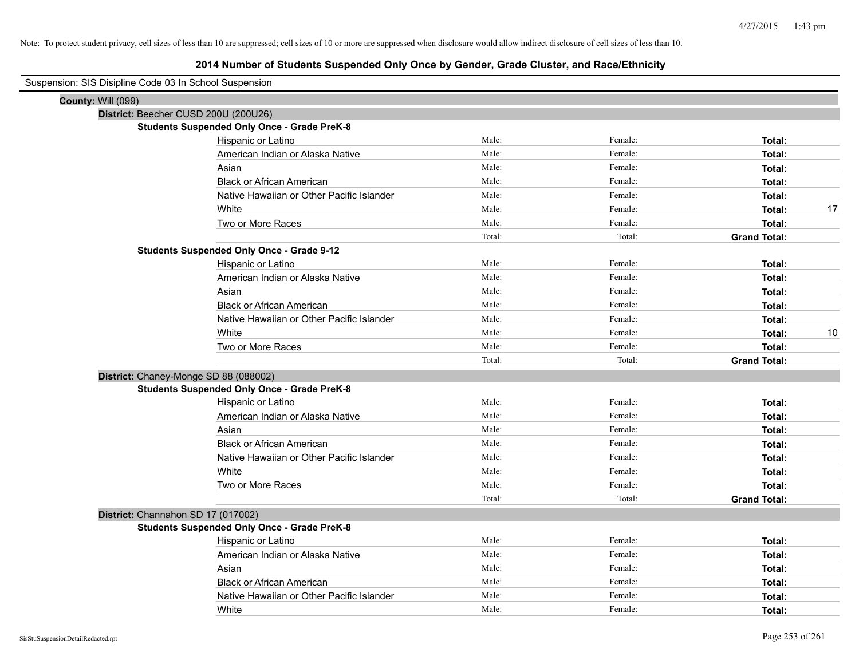| Suspension: SIS Disipline Code 03 In School Suspension |                                                    |        |         |                     |    |
|--------------------------------------------------------|----------------------------------------------------|--------|---------|---------------------|----|
| <b>County: Will (099)</b>                              |                                                    |        |         |                     |    |
|                                                        | District: Beecher CUSD 200U (200U26)               |        |         |                     |    |
|                                                        | <b>Students Suspended Only Once - Grade PreK-8</b> |        |         |                     |    |
|                                                        | Hispanic or Latino                                 | Male:  | Female: | Total:              |    |
|                                                        | American Indian or Alaska Native                   | Male:  | Female: | Total:              |    |
|                                                        | Asian                                              | Male:  | Female: | Total:              |    |
|                                                        | <b>Black or African American</b>                   | Male:  | Female: | Total:              |    |
|                                                        | Native Hawaiian or Other Pacific Islander          | Male:  | Female: | Total:              |    |
|                                                        | White                                              | Male:  | Female: | Total:              | 17 |
|                                                        | Two or More Races                                  | Male:  | Female: | Total:              |    |
|                                                        |                                                    | Total: | Total:  | <b>Grand Total:</b> |    |
|                                                        | <b>Students Suspended Only Once - Grade 9-12</b>   |        |         |                     |    |
|                                                        | Hispanic or Latino                                 | Male:  | Female: | Total:              |    |
|                                                        | American Indian or Alaska Native                   | Male:  | Female: | Total:              |    |
|                                                        | Asian                                              | Male:  | Female: | Total:              |    |
|                                                        | <b>Black or African American</b>                   | Male:  | Female: | Total:              |    |
|                                                        | Native Hawaiian or Other Pacific Islander          | Male:  | Female: | Total:              |    |
|                                                        | White                                              | Male:  | Female: | Total:              | 10 |
|                                                        | Two or More Races                                  | Male:  | Female: | Total:              |    |
|                                                        |                                                    | Total: | Total:  | <b>Grand Total:</b> |    |
|                                                        | District: Chaney-Monge SD 88 (088002)              |        |         |                     |    |
|                                                        | <b>Students Suspended Only Once - Grade PreK-8</b> |        |         |                     |    |
|                                                        | Hispanic or Latino                                 | Male:  | Female: | Total:              |    |
|                                                        | American Indian or Alaska Native                   | Male:  | Female: | Total:              |    |
|                                                        | Asian                                              | Male:  | Female: | Total:              |    |
|                                                        | <b>Black or African American</b>                   | Male:  | Female: | Total:              |    |
|                                                        | Native Hawaiian or Other Pacific Islander          | Male:  | Female: | Total:              |    |
|                                                        | White                                              | Male:  | Female: | Total:              |    |
|                                                        | Two or More Races                                  | Male:  | Female: | Total:              |    |
|                                                        |                                                    | Total: | Total:  | <b>Grand Total:</b> |    |
| District: Channahon SD 17 (017002)                     |                                                    |        |         |                     |    |
|                                                        | <b>Students Suspended Only Once - Grade PreK-8</b> |        |         |                     |    |
|                                                        | Hispanic or Latino                                 | Male:  | Female: | Total:              |    |
|                                                        | American Indian or Alaska Native                   | Male:  | Female: | Total:              |    |
|                                                        | Asian                                              | Male:  | Female: | Total:              |    |
|                                                        | <b>Black or African American</b>                   | Male:  | Female: | Total:              |    |
|                                                        | Native Hawaiian or Other Pacific Islander          | Male:  | Female: | Total:              |    |
|                                                        | White                                              | Male:  | Female: | Total:              |    |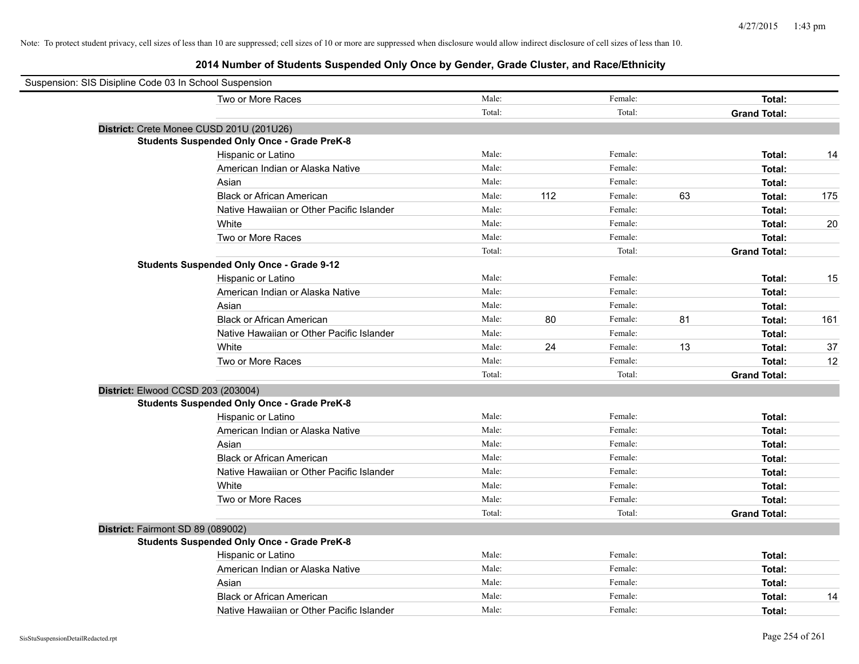| Suspension: SIS Disipline Code 03 In School Suspension |        |     |         |    |                     |     |
|--------------------------------------------------------|--------|-----|---------|----|---------------------|-----|
| Two or More Races                                      | Male:  |     | Female: |    | Total:              |     |
|                                                        | Total: |     | Total:  |    | <b>Grand Total:</b> |     |
| District: Crete Monee CUSD 201U (201U26)               |        |     |         |    |                     |     |
| <b>Students Suspended Only Once - Grade PreK-8</b>     |        |     |         |    |                     |     |
| Hispanic or Latino                                     | Male:  |     | Female: |    | Total:              | 14  |
| American Indian or Alaska Native                       | Male:  |     | Female: |    | Total:              |     |
| Asian                                                  | Male:  |     | Female: |    | Total:              |     |
| <b>Black or African American</b>                       | Male:  | 112 | Female: | 63 | Total:              | 175 |
| Native Hawaiian or Other Pacific Islander              | Male:  |     | Female: |    | Total:              |     |
| White                                                  | Male:  |     | Female: |    | Total:              | 20  |
| Two or More Races                                      | Male:  |     | Female: |    | Total:              |     |
|                                                        | Total: |     | Total:  |    | <b>Grand Total:</b> |     |
| <b>Students Suspended Only Once - Grade 9-12</b>       |        |     |         |    |                     |     |
| Hispanic or Latino                                     | Male:  |     | Female: |    | Total:              | 15  |
| American Indian or Alaska Native                       | Male:  |     | Female: |    | Total:              |     |
| Asian                                                  | Male:  |     | Female: |    | Total:              |     |
| <b>Black or African American</b>                       | Male:  | 80  | Female: | 81 | Total:              | 161 |
| Native Hawaiian or Other Pacific Islander              | Male:  |     | Female: |    | Total:              |     |
| White                                                  | Male:  | 24  | Female: | 13 | Total:              | 37  |
| Two or More Races                                      | Male:  |     | Female: |    | Total:              | 12  |
|                                                        | Total: |     | Total:  |    | <b>Grand Total:</b> |     |
| District: Elwood CCSD 203 (203004)                     |        |     |         |    |                     |     |
| <b>Students Suspended Only Once - Grade PreK-8</b>     |        |     |         |    |                     |     |
| Hispanic or Latino                                     | Male:  |     | Female: |    | Total:              |     |
| American Indian or Alaska Native                       | Male:  |     | Female: |    | Total:              |     |
| Asian                                                  | Male:  |     | Female: |    | Total:              |     |
| <b>Black or African American</b>                       | Male:  |     | Female: |    | Total:              |     |
| Native Hawaiian or Other Pacific Islander              | Male:  |     | Female: |    | Total:              |     |
| White                                                  | Male:  |     | Female: |    | Total:              |     |
| Two or More Races                                      | Male:  |     | Female: |    | Total:              |     |
|                                                        | Total: |     | Total:  |    | <b>Grand Total:</b> |     |
| District: Fairmont SD 89 (089002)                      |        |     |         |    |                     |     |
| <b>Students Suspended Only Once - Grade PreK-8</b>     |        |     |         |    |                     |     |
| Hispanic or Latino                                     | Male:  |     | Female: |    | Total:              |     |
| American Indian or Alaska Native                       | Male:  |     | Female: |    | Total:              |     |
| Asian                                                  | Male:  |     | Female: |    | Total:              |     |
| <b>Black or African American</b>                       | Male:  |     | Female: |    | Total:              | 14  |
| Native Hawaiian or Other Pacific Islander              | Male:  |     | Female: |    | Total:              |     |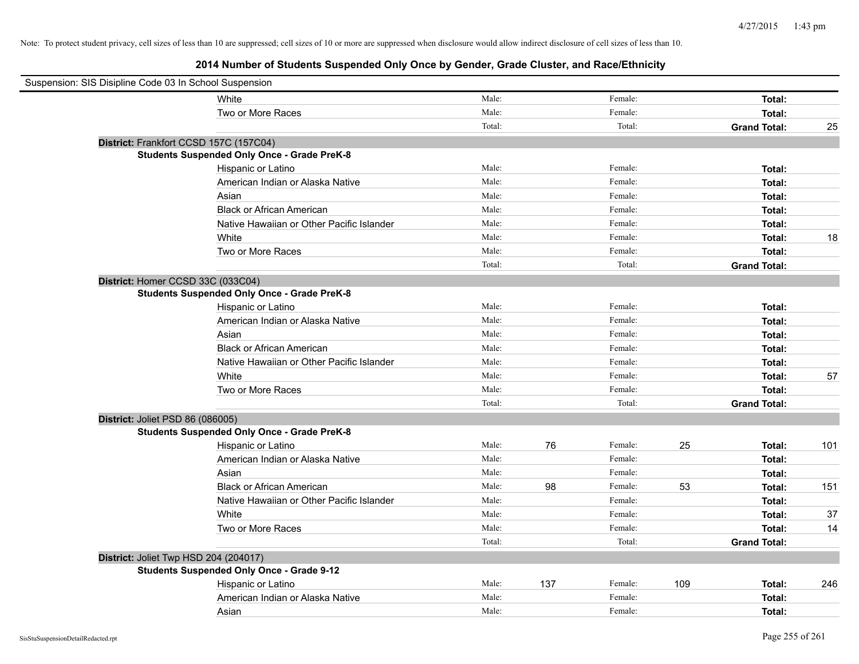| Suspension: SIS Disipline Code 03 In School Suspension |                                                    |        |     |         |     |                     |     |
|--------------------------------------------------------|----------------------------------------------------|--------|-----|---------|-----|---------------------|-----|
|                                                        | White                                              | Male:  |     | Female: |     | Total:              |     |
|                                                        | Two or More Races                                  | Male:  |     | Female: |     | Total:              |     |
|                                                        |                                                    | Total: |     | Total:  |     | <b>Grand Total:</b> | 25  |
|                                                        | District: Frankfort CCSD 157C (157C04)             |        |     |         |     |                     |     |
|                                                        | <b>Students Suspended Only Once - Grade PreK-8</b> |        |     |         |     |                     |     |
|                                                        | Hispanic or Latino                                 | Male:  |     | Female: |     | Total:              |     |
|                                                        | American Indian or Alaska Native                   | Male:  |     | Female: |     | Total:              |     |
|                                                        | Asian                                              | Male:  |     | Female: |     | Total:              |     |
|                                                        | <b>Black or African American</b>                   | Male:  |     | Female: |     | Total:              |     |
|                                                        | Native Hawaiian or Other Pacific Islander          | Male:  |     | Female: |     | Total:              |     |
|                                                        | White                                              | Male:  |     | Female: |     | Total:              | 18  |
|                                                        | Two or More Races                                  | Male:  |     | Female: |     | Total:              |     |
|                                                        |                                                    | Total: |     | Total:  |     | <b>Grand Total:</b> |     |
| District: Homer CCSD 33C (033C04)                      |                                                    |        |     |         |     |                     |     |
|                                                        | <b>Students Suspended Only Once - Grade PreK-8</b> |        |     |         |     |                     |     |
|                                                        | Hispanic or Latino                                 | Male:  |     | Female: |     | Total:              |     |
|                                                        | American Indian or Alaska Native                   | Male:  |     | Female: |     | Total:              |     |
|                                                        | Asian                                              | Male:  |     | Female: |     | Total:              |     |
|                                                        | <b>Black or African American</b>                   | Male:  |     | Female: |     | Total:              |     |
|                                                        | Native Hawaiian or Other Pacific Islander          | Male:  |     | Female: |     | Total:              |     |
|                                                        | White                                              | Male:  |     | Female: |     | Total:              | 57  |
|                                                        | Two or More Races                                  | Male:  |     | Female: |     | Total:              |     |
|                                                        |                                                    | Total: |     | Total:  |     | <b>Grand Total:</b> |     |
| District: Joliet PSD 86 (086005)                       |                                                    |        |     |         |     |                     |     |
|                                                        | <b>Students Suspended Only Once - Grade PreK-8</b> |        |     |         |     |                     |     |
|                                                        | Hispanic or Latino                                 | Male:  | 76  | Female: | 25  | Total:              | 101 |
|                                                        | American Indian or Alaska Native                   | Male:  |     | Female: |     | Total:              |     |
|                                                        | Asian                                              | Male:  |     | Female: |     | Total:              |     |
|                                                        | <b>Black or African American</b>                   | Male:  | 98  | Female: | 53  | Total:              | 151 |
|                                                        | Native Hawaiian or Other Pacific Islander          | Male:  |     | Female: |     | Total:              |     |
|                                                        | White                                              | Male:  |     | Female: |     | Total:              | 37  |
|                                                        | Two or More Races                                  | Male:  |     | Female: |     | Total:              | 14  |
|                                                        |                                                    | Total: |     | Total:  |     | <b>Grand Total:</b> |     |
| District: Joliet Twp HSD 204 (204017)                  |                                                    |        |     |         |     |                     |     |
|                                                        | <b>Students Suspended Only Once - Grade 9-12</b>   |        |     |         |     |                     |     |
|                                                        | Hispanic or Latino                                 | Male:  | 137 | Female: | 109 | Total:              | 246 |
|                                                        | American Indian or Alaska Native                   | Male:  |     | Female: |     | Total:              |     |
|                                                        | Asian                                              | Male:  |     | Female: |     | Total:              |     |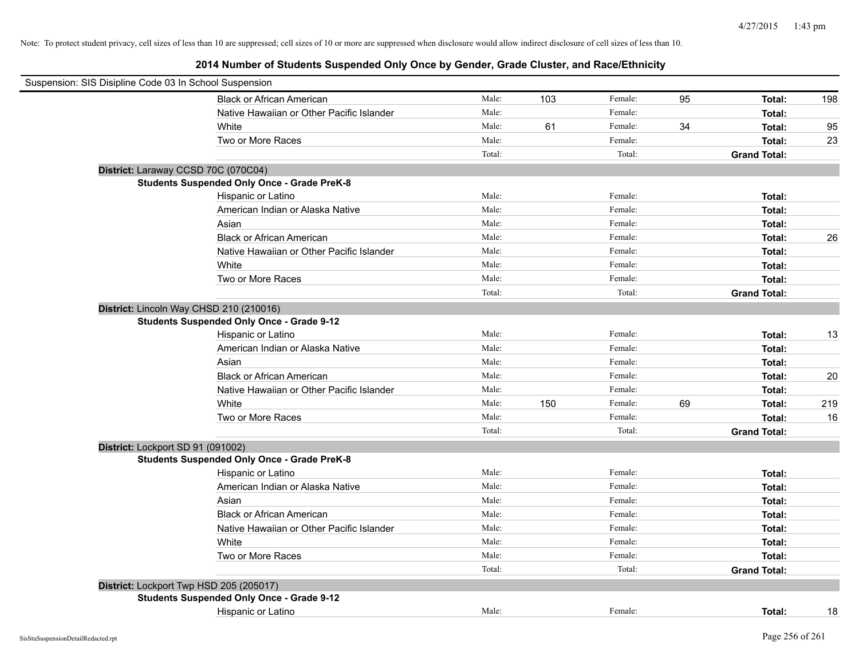| Suspension: SIS Disipline Code 03 In School Suspension |        |     |         |    |                     |     |
|--------------------------------------------------------|--------|-----|---------|----|---------------------|-----|
| <b>Black or African American</b>                       | Male:  | 103 | Female: | 95 | Total:              | 198 |
| Native Hawaiian or Other Pacific Islander              | Male:  |     | Female: |    | Total:              |     |
| White                                                  | Male:  | 61  | Female: | 34 | Total:              | 95  |
| Two or More Races                                      | Male:  |     | Female: |    | Total:              | 23  |
|                                                        | Total: |     | Total:  |    | <b>Grand Total:</b> |     |
| District: Laraway CCSD 70C (070C04)                    |        |     |         |    |                     |     |
| <b>Students Suspended Only Once - Grade PreK-8</b>     |        |     |         |    |                     |     |
| Hispanic or Latino                                     | Male:  |     | Female: |    | Total:              |     |
| American Indian or Alaska Native                       | Male:  |     | Female: |    | Total:              |     |
| Asian                                                  | Male:  |     | Female: |    | Total:              |     |
| <b>Black or African American</b>                       | Male:  |     | Female: |    | Total:              | 26  |
| Native Hawaiian or Other Pacific Islander              | Male:  |     | Female: |    | Total:              |     |
| White                                                  | Male:  |     | Female: |    | Total:              |     |
| Two or More Races                                      | Male:  |     | Female: |    | Total:              |     |
|                                                        | Total: |     | Total:  |    | <b>Grand Total:</b> |     |
| District: Lincoln Way CHSD 210 (210016)                |        |     |         |    |                     |     |
| <b>Students Suspended Only Once - Grade 9-12</b>       |        |     |         |    |                     |     |
| Hispanic or Latino                                     | Male:  |     | Female: |    | Total:              | 13  |
| American Indian or Alaska Native                       | Male:  |     | Female: |    | Total:              |     |
| Asian                                                  | Male:  |     | Female: |    | Total:              |     |
| <b>Black or African American</b>                       | Male:  |     | Female: |    | Total:              | 20  |
| Native Hawaiian or Other Pacific Islander              | Male:  |     | Female: |    | Total:              |     |
| White                                                  | Male:  | 150 | Female: | 69 | Total:              | 219 |
| Two or More Races                                      | Male:  |     | Female: |    | Total:              | 16  |
|                                                        | Total: |     | Total:  |    | <b>Grand Total:</b> |     |
| District: Lockport SD 91 (091002)                      |        |     |         |    |                     |     |
| <b>Students Suspended Only Once - Grade PreK-8</b>     |        |     |         |    |                     |     |
| Hispanic or Latino                                     | Male:  |     | Female: |    | Total:              |     |
| American Indian or Alaska Native                       | Male:  |     | Female: |    | Total:              |     |
| Asian                                                  | Male:  |     | Female: |    | Total:              |     |
| <b>Black or African American</b>                       | Male:  |     | Female: |    | Total:              |     |
| Native Hawaiian or Other Pacific Islander              | Male:  |     | Female: |    | Total:              |     |
| White                                                  | Male:  |     | Female: |    | Total:              |     |
| Two or More Races                                      | Male:  |     | Female: |    | Total:              |     |
|                                                        | Total: |     | Total:  |    | <b>Grand Total:</b> |     |
| District: Lockport Twp HSD 205 (205017)                |        |     |         |    |                     |     |
| <b>Students Suspended Only Once - Grade 9-12</b>       |        |     |         |    |                     |     |
| Hispanic or Latino                                     | Male:  |     | Female: |    | Total:              | 18  |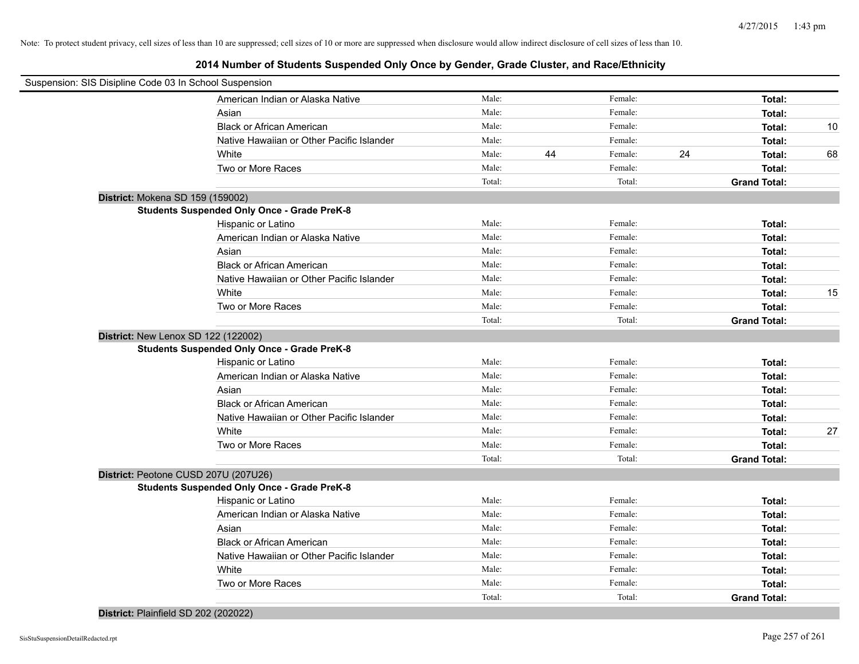# **2014 Number of Students Suspended Only Once by Gender, Grade Cluster, and Race/Ethnicity**

| Suspension: SIS Disipline Code 03 In School Suspension |                                                    |        |    |         |    |                     |    |
|--------------------------------------------------------|----------------------------------------------------|--------|----|---------|----|---------------------|----|
|                                                        | American Indian or Alaska Native                   | Male:  |    | Female: |    | Total:              |    |
|                                                        | Asian                                              | Male:  |    | Female: |    | Total:              |    |
|                                                        | <b>Black or African American</b>                   | Male:  |    | Female: |    | Total:              | 10 |
|                                                        | Native Hawaiian or Other Pacific Islander          | Male:  |    | Female: |    | Total:              |    |
|                                                        | White                                              | Male:  | 44 | Female: | 24 | Total:              | 68 |
|                                                        | Two or More Races                                  | Male:  |    | Female: |    | Total:              |    |
|                                                        |                                                    | Total: |    | Total:  |    | <b>Grand Total:</b> |    |
| District: Mokena SD 159 (159002)                       |                                                    |        |    |         |    |                     |    |
|                                                        | <b>Students Suspended Only Once - Grade PreK-8</b> |        |    |         |    |                     |    |
|                                                        | Hispanic or Latino                                 | Male:  |    | Female: |    | Total:              |    |
|                                                        | American Indian or Alaska Native                   | Male:  |    | Female: |    | Total:              |    |
|                                                        | Asian                                              | Male:  |    | Female: |    | Total:              |    |
|                                                        | <b>Black or African American</b>                   | Male:  |    | Female: |    | Total:              |    |
|                                                        | Native Hawaiian or Other Pacific Islander          | Male:  |    | Female: |    | Total:              |    |
|                                                        | White                                              | Male:  |    | Female: |    | Total:              | 15 |
|                                                        | Two or More Races                                  | Male:  |    | Female: |    | Total:              |    |
|                                                        |                                                    | Total: |    | Total:  |    | <b>Grand Total:</b> |    |
| District: New Lenox SD 122 (122002)                    |                                                    |        |    |         |    |                     |    |
|                                                        | <b>Students Suspended Only Once - Grade PreK-8</b> |        |    |         |    |                     |    |
|                                                        | Hispanic or Latino                                 | Male:  |    | Female: |    | Total:              |    |
|                                                        | American Indian or Alaska Native                   | Male:  |    | Female: |    | Total:              |    |
|                                                        | Asian                                              | Male:  |    | Female: |    | Total:              |    |
|                                                        | <b>Black or African American</b>                   | Male:  |    | Female: |    | Total:              |    |
|                                                        | Native Hawaiian or Other Pacific Islander          | Male:  |    | Female: |    | Total:              |    |
|                                                        | White                                              | Male:  |    | Female: |    | Total:              | 27 |
|                                                        | Two or More Races                                  | Male:  |    | Female: |    | Total:              |    |
|                                                        |                                                    | Total: |    | Total:  |    | <b>Grand Total:</b> |    |
|                                                        | District: Peotone CUSD 207U (207U26)               |        |    |         |    |                     |    |
|                                                        | <b>Students Suspended Only Once - Grade PreK-8</b> |        |    |         |    |                     |    |
|                                                        | Hispanic or Latino                                 | Male:  |    | Female: |    | Total:              |    |
|                                                        | American Indian or Alaska Native                   | Male:  |    | Female: |    | Total:              |    |
|                                                        | Asian                                              | Male:  |    | Female: |    | Total:              |    |
|                                                        | <b>Black or African American</b>                   | Male:  |    | Female: |    | Total:              |    |
|                                                        | Native Hawaiian or Other Pacific Islander          | Male:  |    | Female: |    | Total:              |    |
|                                                        | White                                              | Male:  |    | Female: |    | Total:              |    |
|                                                        | Two or More Races                                  | Male:  |    | Female: |    | Total:              |    |
|                                                        |                                                    | Total: |    | Total:  |    | <b>Grand Total:</b> |    |

## **District:** Plainfield SD 202 (202022)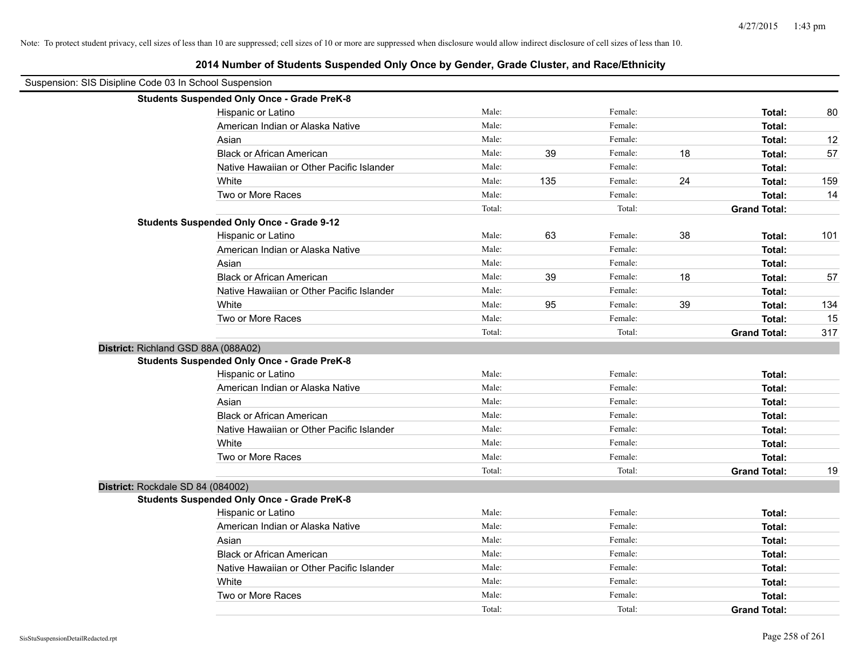|                                                        | 2014 Number of Students Suspended Only Once by Gender, Grade Cluster, and Race/Ethnicity |        |     |         |    |                     |     |
|--------------------------------------------------------|------------------------------------------------------------------------------------------|--------|-----|---------|----|---------------------|-----|
| Suspension: SIS Disipline Code 03 In School Suspension |                                                                                          |        |     |         |    |                     |     |
|                                                        | <b>Students Suspended Only Once - Grade PreK-8</b>                                       |        |     |         |    |                     |     |
|                                                        | Hispanic or Latino                                                                       | Male:  |     | Female: |    | Total:              | 80  |
|                                                        | American Indian or Alaska Native                                                         | Male:  |     | Female: |    | Total:              |     |
|                                                        | Asian                                                                                    | Male:  |     | Female: |    | Total:              | 12  |
|                                                        | <b>Black or African American</b>                                                         | Male:  | 39  | Female: | 18 | Total:              | 57  |
|                                                        | Native Hawaiian or Other Pacific Islander                                                | Male:  |     | Female: |    | Total:              |     |
|                                                        | White                                                                                    | Male:  | 135 | Female: | 24 | Total:              | 159 |
|                                                        | Two or More Races                                                                        | Male:  |     | Female: |    | Total:              | 14  |
|                                                        |                                                                                          | Total: |     | Total:  |    | <b>Grand Total:</b> |     |
|                                                        | <b>Students Suspended Only Once - Grade 9-12</b>                                         |        |     |         |    |                     |     |
|                                                        | Hispanic or Latino                                                                       | Male:  | 63  | Female: | 38 | Total:              | 101 |
|                                                        | American Indian or Alaska Native                                                         | Male:  |     | Female: |    | Total:              |     |
|                                                        | Asian                                                                                    | Male:  |     | Female: |    | Total:              |     |
|                                                        | <b>Black or African American</b>                                                         | Male:  | 39  | Female: | 18 | Total:              | 57  |
|                                                        | Native Hawaiian or Other Pacific Islander                                                | Male:  |     | Female: |    | Total:              |     |
|                                                        | White                                                                                    | Male:  | 95  | Female: | 39 | Total:              | 134 |
|                                                        | Two or More Races                                                                        | Male:  |     | Female: |    | Total:              | 15  |
|                                                        |                                                                                          | Total: |     | Total:  |    | <b>Grand Total:</b> | 317 |
| District: Richland GSD 88A (088A02)                    |                                                                                          |        |     |         |    |                     |     |
|                                                        | <b>Students Suspended Only Once - Grade PreK-8</b>                                       |        |     |         |    |                     |     |
|                                                        | Hispanic or Latino                                                                       | Male:  |     | Female: |    | Total:              |     |
|                                                        | American Indian or Alaska Native                                                         | Male:  |     | Female: |    | Total:              |     |
|                                                        | Asian                                                                                    | Male:  |     | Female: |    | Total:              |     |
|                                                        | <b>Black or African American</b>                                                         | Male:  |     | Female: |    | Total:              |     |
|                                                        | Native Hawaiian or Other Pacific Islander                                                | Male:  |     | Female: |    | Total:              |     |
|                                                        | White                                                                                    | Male:  |     | Female: |    | Total:              |     |
|                                                        | Two or More Races                                                                        | Male:  |     | Female: |    | Total:              |     |
|                                                        |                                                                                          | Total: |     | Total:  |    | <b>Grand Total:</b> | 19  |
| District: Rockdale SD 84 (084002)                      |                                                                                          |        |     |         |    |                     |     |
|                                                        | <b>Students Suspended Only Once - Grade PreK-8</b>                                       |        |     |         |    |                     |     |
|                                                        | Hispanic or Latino                                                                       | Male:  |     | Female: |    | Total:              |     |
|                                                        | American Indian or Alaska Native                                                         | Male:  |     | Female: |    | Total:              |     |
|                                                        | Asian                                                                                    | Male:  |     | Female: |    | Total:              |     |
|                                                        | <b>Black or African American</b>                                                         | Male:  |     | Female: |    | Total:              |     |
|                                                        | Native Hawaiian or Other Pacific Islander                                                | Male:  |     | Female: |    | Total:              |     |
|                                                        | White                                                                                    | Male:  |     | Female: |    | Total:              |     |
|                                                        | Two or More Races                                                                        | Male:  |     | Female: |    | Total:              |     |
|                                                        |                                                                                          | Total: |     | Total:  |    | <b>Grand Total:</b> |     |

 $\overline{\phantom{0}}$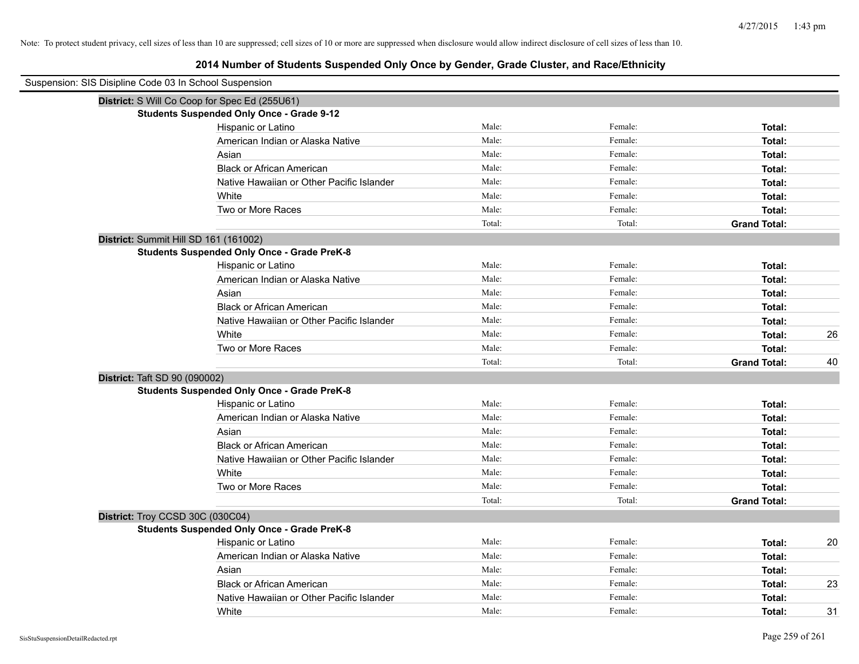# **2014 Number of Students Suspended Only Once by Gender, Grade Cluster, and Race/Ethnicity**

| Suspension: SIS Disipline Code 03 In School Suspension |                                                    |        |         |                     |    |
|--------------------------------------------------------|----------------------------------------------------|--------|---------|---------------------|----|
|                                                        | District: S Will Co Coop for Spec Ed (255U61)      |        |         |                     |    |
|                                                        | <b>Students Suspended Only Once - Grade 9-12</b>   |        |         |                     |    |
|                                                        | Hispanic or Latino                                 | Male:  | Female: | Total:              |    |
|                                                        | American Indian or Alaska Native                   | Male:  | Female: | Total:              |    |
|                                                        | Asian                                              | Male:  | Female: | Total:              |    |
|                                                        | <b>Black or African American</b>                   | Male:  | Female: | Total:              |    |
|                                                        | Native Hawaiian or Other Pacific Islander          | Male:  | Female: | Total:              |    |
|                                                        | White                                              | Male:  | Female: | Total:              |    |
|                                                        | Two or More Races                                  | Male:  | Female: | Total:              |    |
|                                                        |                                                    | Total: | Total:  | <b>Grand Total:</b> |    |
|                                                        | District: Summit Hill SD 161 (161002)              |        |         |                     |    |
|                                                        | <b>Students Suspended Only Once - Grade PreK-8</b> |        |         |                     |    |
|                                                        | Hispanic or Latino                                 | Male:  | Female: | Total:              |    |
|                                                        | American Indian or Alaska Native                   | Male:  | Female: | Total:              |    |
|                                                        | Asian                                              | Male:  | Female: | Total:              |    |
|                                                        | <b>Black or African American</b>                   | Male:  | Female: | Total:              |    |
|                                                        | Native Hawaiian or Other Pacific Islander          | Male:  | Female: | Total:              |    |
|                                                        | White                                              | Male:  | Female: | Total:              | 26 |
|                                                        | Two or More Races                                  | Male:  | Female: | Total:              |    |
|                                                        |                                                    | Total: | Total:  | <b>Grand Total:</b> | 40 |
| District: Taft SD 90 (090002)                          |                                                    |        |         |                     |    |
|                                                        | <b>Students Suspended Only Once - Grade PreK-8</b> |        |         |                     |    |
|                                                        | Hispanic or Latino                                 | Male:  | Female: | Total:              |    |
|                                                        | American Indian or Alaska Native                   | Male:  | Female: | Total:              |    |
|                                                        | Asian                                              | Male:  | Female: | Total:              |    |
|                                                        | <b>Black or African American</b>                   | Male:  | Female: | Total:              |    |
|                                                        | Native Hawaiian or Other Pacific Islander          | Male:  | Female: | Total:              |    |
|                                                        | White                                              | Male:  | Female: | Total:              |    |
|                                                        | Two or More Races                                  | Male:  | Female: | Total:              |    |
|                                                        |                                                    | Total: | Total:  | <b>Grand Total:</b> |    |
|                                                        | District: Troy CCSD 30C (030C04)                   |        |         |                     |    |
|                                                        | <b>Students Suspended Only Once - Grade PreK-8</b> |        |         |                     |    |
|                                                        | Hispanic or Latino                                 | Male:  | Female: | Total:              | 20 |
|                                                        | American Indian or Alaska Native                   | Male:  | Female: | Total:              |    |
|                                                        | Asian                                              | Male:  | Female: | Total:              |    |
|                                                        | <b>Black or African American</b>                   | Male:  | Female: | Total:              | 23 |
|                                                        | Native Hawaiian or Other Pacific Islander          | Male:  | Female: | Total:              |    |
|                                                        | White                                              | Male:  | Female: | Total:              | 31 |

 $\blacksquare$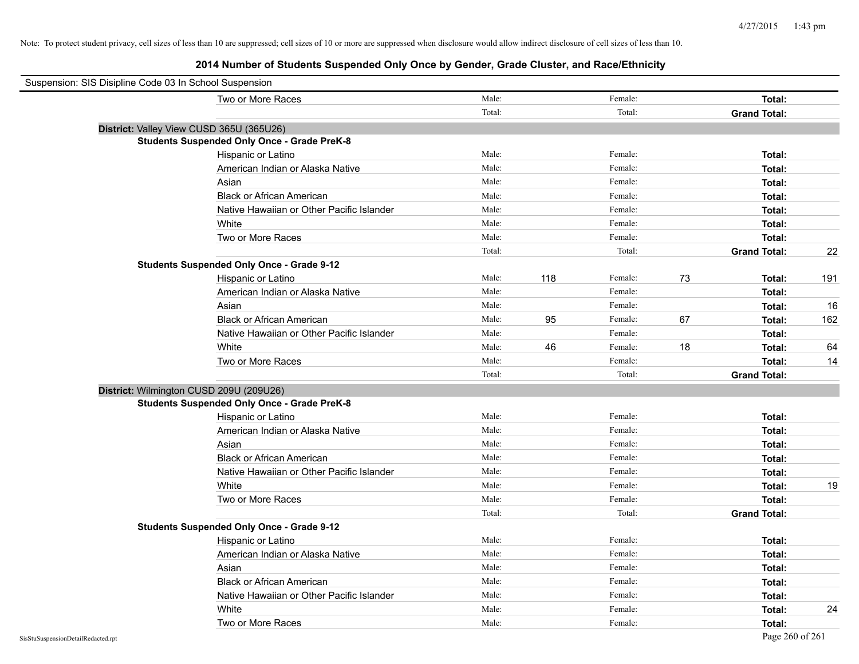| Suspension: SIS Disipline Code 03 In School Suspension |        |     |         |    |                     |     |
|--------------------------------------------------------|--------|-----|---------|----|---------------------|-----|
| Two or More Races                                      | Male:  |     | Female: |    | Total:              |     |
|                                                        | Total: |     | Total:  |    | <b>Grand Total:</b> |     |
| District: Valley View CUSD 365U (365U26)               |        |     |         |    |                     |     |
| <b>Students Suspended Only Once - Grade PreK-8</b>     |        |     |         |    |                     |     |
| Hispanic or Latino                                     | Male:  |     | Female: |    | Total:              |     |
| American Indian or Alaska Native                       | Male:  |     | Female: |    | Total:              |     |
| Asian                                                  | Male:  |     | Female: |    | Total:              |     |
| <b>Black or African American</b>                       | Male:  |     | Female: |    | Total:              |     |
| Native Hawaiian or Other Pacific Islander              | Male:  |     | Female: |    | Total:              |     |
| White                                                  | Male:  |     | Female: |    | Total:              |     |
| Two or More Races                                      | Male:  |     | Female: |    | Total:              |     |
|                                                        | Total: |     | Total:  |    | <b>Grand Total:</b> | 22  |
| <b>Students Suspended Only Once - Grade 9-12</b>       |        |     |         |    |                     |     |
| Hispanic or Latino                                     | Male:  | 118 | Female: | 73 | Total:              | 191 |
| American Indian or Alaska Native                       | Male:  |     | Female: |    | Total:              |     |
| Asian                                                  | Male:  |     | Female: |    | Total:              | 16  |
| <b>Black or African American</b>                       | Male:  | 95  | Female: | 67 | Total:              | 162 |
| Native Hawaiian or Other Pacific Islander              | Male:  |     | Female: |    | Total:              |     |
| White                                                  | Male:  | 46  | Female: | 18 | Total:              | 64  |
| Two or More Races                                      | Male:  |     | Female: |    | Total:              | 14  |
|                                                        | Total: |     | Total:  |    | <b>Grand Total:</b> |     |
| District: Wilmington CUSD 209U (209U26)                |        |     |         |    |                     |     |
| <b>Students Suspended Only Once - Grade PreK-8</b>     |        |     |         |    |                     |     |
| Hispanic or Latino                                     | Male:  |     | Female: |    | Total:              |     |
| American Indian or Alaska Native                       | Male:  |     | Female: |    | Total:              |     |
| Asian                                                  | Male:  |     | Female: |    | Total:              |     |
| <b>Black or African American</b>                       | Male:  |     | Female: |    | Total:              |     |
| Native Hawaiian or Other Pacific Islander              | Male:  |     | Female: |    | Total:              |     |
| White                                                  | Male:  |     | Female: |    | Total:              | 19  |
| Two or More Races                                      | Male:  |     | Female: |    | Total:              |     |
|                                                        | Total: |     | Total:  |    | <b>Grand Total:</b> |     |
| <b>Students Suspended Only Once - Grade 9-12</b>       |        |     |         |    |                     |     |
| Hispanic or Latino                                     | Male:  |     | Female: |    | Total:              |     |
| American Indian or Alaska Native                       | Male:  |     | Female: |    | Total:              |     |
| Asian                                                  | Male:  |     | Female: |    | Total:              |     |
| <b>Black or African American</b>                       | Male:  |     | Female: |    | Total:              |     |
| Native Hawaiian or Other Pacific Islander              | Male:  |     | Female: |    | Total:              |     |
| White                                                  | Male:  |     | Female: |    | Total:              | 24  |
| Two or More Races                                      | Male:  |     | Female: |    | Total:              |     |